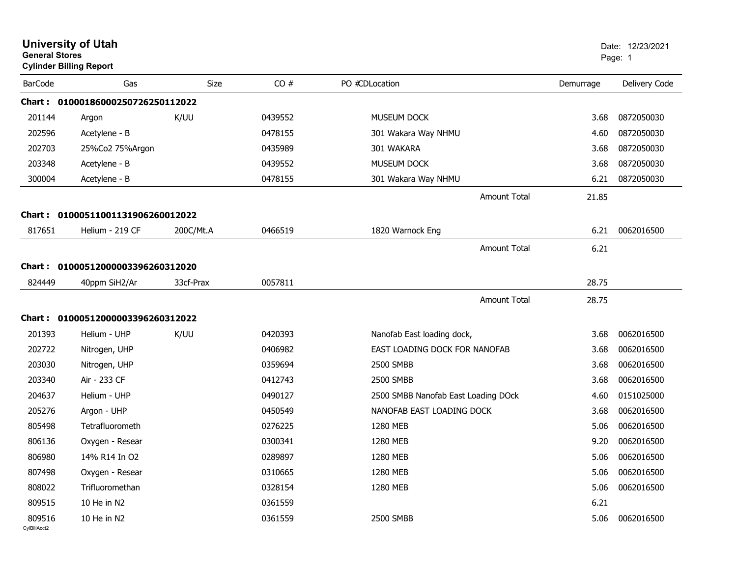| <b>General Stores</b>  | <b>University of Utah</b><br><b>Cylinder Billing Report</b> |           |         |                                     |           | Date: 12/23/2021<br>Page: 1 |
|------------------------|-------------------------------------------------------------|-----------|---------|-------------------------------------|-----------|-----------------------------|
| <b>BarCode</b>         | Gas                                                         | Size      | CO#     | PO #CDLocation                      | Demurrage | Delivery Code               |
|                        | Chart: 01000186000250726250112022                           |           |         |                                     |           |                             |
| 201144                 | Argon                                                       | K/UU      | 0439552 | MUSEUM DOCK                         | 3.68      | 0872050030                  |
| 202596                 | Acetylene - B                                               |           | 0478155 | 301 Wakara Way NHMU                 | 4.60      | 0872050030                  |
| 202703                 | 25%Co2 75%Argon                                             |           | 0435989 | 301 WAKARA                          | 3.68      | 0872050030                  |
| 203348                 | Acetylene - B                                               |           | 0439552 | MUSEUM DOCK                         | 3.68      | 0872050030                  |
| 300004                 | Acetylene - B                                               |           | 0478155 | 301 Wakara Way NHMU                 | 6.21      | 0872050030                  |
|                        |                                                             |           |         | <b>Amount Total</b>                 | 21.85     |                             |
| <b>Chart :</b>         | 01000511001131906260012022                                  |           |         |                                     |           |                             |
| 817651                 | Helium - 219 CF                                             | 200C/Mt.A | 0466519 | 1820 Warnock Eng                    | 6.21      | 0062016500                  |
|                        |                                                             |           |         | <b>Amount Total</b>                 | 6.21      |                             |
|                        | Chart: 01000512000003396260312020                           |           |         |                                     |           |                             |
| 824449                 | 40ppm SiH2/Ar                                               | 33cf-Prax | 0057811 |                                     | 28.75     |                             |
|                        |                                                             |           |         |                                     |           |                             |
|                        |                                                             |           |         | <b>Amount Total</b>                 | 28.75     |                             |
|                        | Chart: 01000512000003396260312022                           |           |         |                                     |           |                             |
| 201393                 | Helium - UHP                                                | K/UU      | 0420393 | Nanofab East loading dock,          | 3.68      | 0062016500                  |
| 202722                 | Nitrogen, UHP                                               |           | 0406982 | EAST LOADING DOCK FOR NANOFAB       | 3.68      | 0062016500                  |
| 203030                 | Nitrogen, UHP                                               |           | 0359694 | 2500 SMBB                           | 3.68      | 0062016500                  |
| 203340                 | Air - 233 CF                                                |           | 0412743 | 2500 SMBB                           | 3.68      | 0062016500                  |
| 204637                 | Helium - UHP                                                |           | 0490127 | 2500 SMBB Nanofab East Loading DOck | 4.60      | 0151025000                  |
| 205276                 | Argon - UHP                                                 |           | 0450549 | NANOFAB EAST LOADING DOCK           | 3.68      | 0062016500                  |
| 805498                 | Tetrafluorometh                                             |           | 0276225 | 1280 MEB                            | 5.06      | 0062016500                  |
| 806136                 | Oxygen - Resear                                             |           | 0300341 | 1280 MEB                            | 9.20      | 0062016500                  |
| 806980                 | 14% R14 In O2                                               |           | 0289897 | 1280 MEB                            | 5.06      | 0062016500                  |
| 807498                 | Oxygen - Resear                                             |           | 0310665 | 1280 MEB                            | 5.06      | 0062016500                  |
| 808022                 | Trifluoromethan                                             |           | 0328154 | 1280 MEB                            | 5.06      | 0062016500                  |
| 809515                 | 10 He in N2                                                 |           | 0361559 |                                     | 6.21      |                             |
| 809516<br>CylBillAcct2 | 10 He in N2                                                 |           | 0361559 | 2500 SMBB                           | 5.06      | 0062016500                  |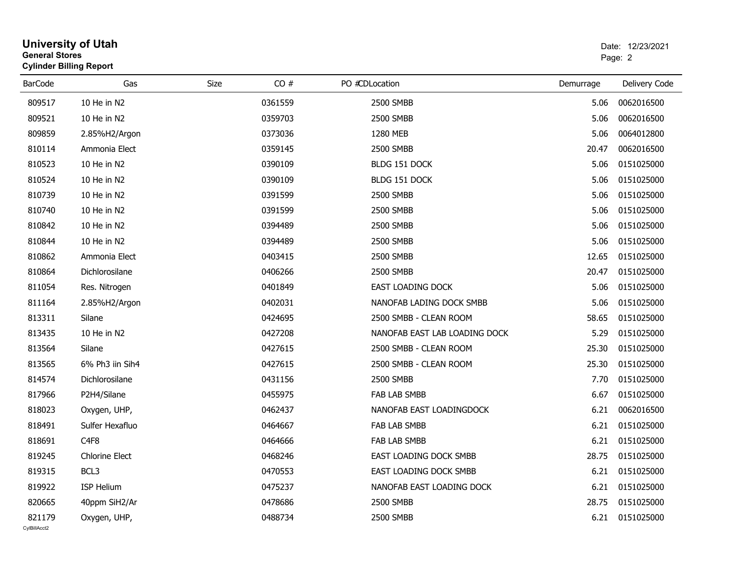|                        | <b>University of Utah</b><br><b>General Stores</b><br><b>Cylinder Billing Report</b> |      |         |                               | Date: 12/23/2021<br>Page: 2 |                  |  |
|------------------------|--------------------------------------------------------------------------------------|------|---------|-------------------------------|-----------------------------|------------------|--|
| <b>BarCode</b>         | Gas                                                                                  | Size | CO#     | PO #CDLocation                | Demurrage                   | Delivery Code    |  |
| 809517                 | 10 He in N2                                                                          |      | 0361559 | 2500 SMBB                     | 5.06                        | 0062016500       |  |
| 809521                 | 10 He in N2                                                                          |      | 0359703 | 2500 SMBB                     | 5.06                        | 0062016500       |  |
| 809859                 | 2.85%H2/Argon                                                                        |      | 0373036 | 1280 MEB                      | 5.06                        | 0064012800       |  |
| 810114                 | Ammonia Elect                                                                        |      | 0359145 | 2500 SMBB                     | 20.47                       | 0062016500       |  |
| 810523                 | 10 He in N2                                                                          |      | 0390109 | BLDG 151 DOCK                 | 5.06                        | 0151025000       |  |
| 810524                 | 10 He in N2                                                                          |      | 0390109 | BLDG 151 DOCK                 | 5.06                        | 0151025000       |  |
| 810739                 | 10 He in N2                                                                          |      | 0391599 | 2500 SMBB                     | 5.06                        | 0151025000       |  |
| 810740                 | 10 He in N2                                                                          |      | 0391599 | 2500 SMBB                     | 5.06                        | 0151025000       |  |
| 810842                 | 10 He in N2                                                                          |      | 0394489 | 2500 SMBB                     | 5.06                        | 0151025000       |  |
| 810844                 | 10 He in N2                                                                          |      | 0394489 | 2500 SMBB                     | 5.06                        | 0151025000       |  |
| 810862                 | Ammonia Elect                                                                        |      | 0403415 | 2500 SMBB                     | 12.65                       | 0151025000       |  |
| 810864                 | Dichlorosilane                                                                       |      | 0406266 | 2500 SMBB                     | 20.47                       | 0151025000       |  |
| 811054                 | Res. Nitrogen                                                                        |      | 0401849 | EAST LOADING DOCK             | 5.06                        | 0151025000       |  |
| 811164                 | 2.85%H2/Argon                                                                        |      | 0402031 | NANOFAB LADING DOCK SMBB      | 5.06                        | 0151025000       |  |
| 813311                 | Silane                                                                               |      | 0424695 | 2500 SMBB - CLEAN ROOM        | 58.65                       | 0151025000       |  |
| 813435                 | 10 He in N2                                                                          |      | 0427208 | NANOFAB EAST LAB LOADING DOCK | 5.29                        | 0151025000       |  |
| 813564                 | Silane                                                                               |      | 0427615 | 2500 SMBB - CLEAN ROOM        | 25.30                       | 0151025000       |  |
| 813565                 | 6% Ph3 iin Sih4                                                                      |      | 0427615 | 2500 SMBB - CLEAN ROOM        | 25.30                       | 0151025000       |  |
| 814574                 | Dichlorosilane                                                                       |      | 0431156 | 2500 SMBB                     | 7.70                        | 0151025000       |  |
| 817966                 | P2H4/Silane                                                                          |      | 0455975 | FAB LAB SMBB                  | 6.67                        | 0151025000       |  |
| 818023                 | Oxygen, UHP,                                                                         |      | 0462437 | NANOFAB EAST LOADINGDOCK      | 6.21                        | 0062016500       |  |
| 818491                 | Sulfer Hexafluo                                                                      |      | 0464667 | FAB LAB SMBB                  | 6.21                        | 0151025000       |  |
| 818691                 | C <sub>4F8</sub>                                                                     |      | 0464666 | <b>FAB LAB SMBB</b>           | 6.21                        | 0151025000       |  |
| 819245                 | <b>Chlorine Elect</b>                                                                |      | 0468246 | EAST LOADING DOCK SMBB        |                             | 28.75 0151025000 |  |
| 819315                 | BCL3                                                                                 |      | 0470553 | EAST LOADING DOCK SMBB        | 6.21                        | 0151025000       |  |
| 819922                 | ISP Helium                                                                           |      | 0475237 | NANOFAB EAST LOADING DOCK     | 6.21                        | 0151025000       |  |
| 820665                 | 40ppm SiH2/Ar                                                                        |      | 0478686 | 2500 SMBB                     | 28.75                       | 0151025000       |  |
| 821179<br>CvIBillAcct2 | Oxygen, UHP,                                                                         |      | 0488734 | 2500 SMBB                     |                             | 6.21 0151025000  |  |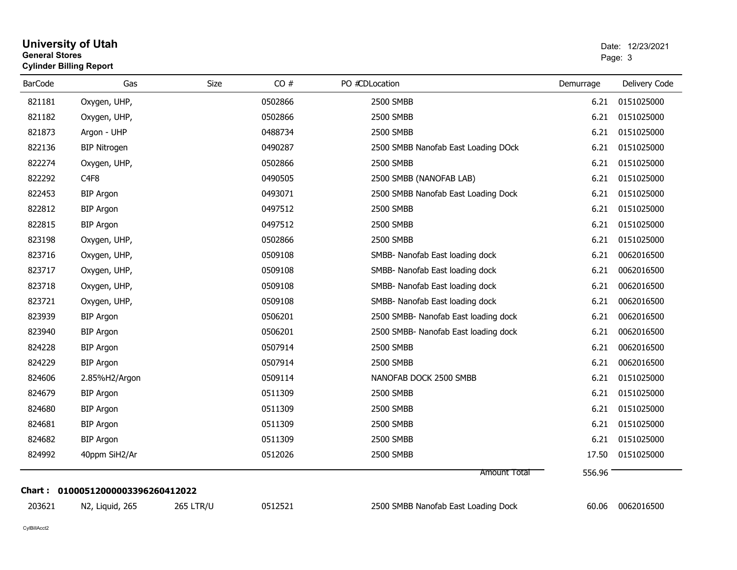| <b>General Stores</b><br><b>Cylinder Billing Report</b> |                                   |                  |         |                                      | Page: 3   |               |  |
|---------------------------------------------------------|-----------------------------------|------------------|---------|--------------------------------------|-----------|---------------|--|
| <b>BarCode</b>                                          | Gas                               | Size             | CO#     | PO #CDLocation                       | Demurrage | Delivery Code |  |
| 821181                                                  | Oxygen, UHP,                      |                  | 0502866 | 2500 SMBB                            | 6.21      | 0151025000    |  |
| 821182                                                  | Oxygen, UHP,                      |                  | 0502866 | 2500 SMBB                            | 6.21      | 0151025000    |  |
| 821873                                                  | Argon - UHP                       |                  | 0488734 | 2500 SMBB                            | 6.21      | 0151025000    |  |
| 822136                                                  | <b>BIP Nitrogen</b>               |                  | 0490287 | 2500 SMBB Nanofab East Loading DOck  | 6.21      | 0151025000    |  |
| 822274                                                  | Oxygen, UHP,                      |                  | 0502866 | 2500 SMBB                            | 6.21      | 0151025000    |  |
| 822292                                                  | C <sub>4F8</sub>                  |                  | 0490505 | 2500 SMBB (NANOFAB LAB)              | 6.21      | 0151025000    |  |
| 822453                                                  | <b>BIP Argon</b>                  |                  | 0493071 | 2500 SMBB Nanofab East Loading Dock  | 6.21      | 0151025000    |  |
| 822812                                                  | <b>BIP Argon</b>                  |                  | 0497512 | 2500 SMBB                            | 6.21      | 0151025000    |  |
| 822815                                                  | <b>BIP Argon</b>                  |                  | 0497512 | 2500 SMBB                            | 6.21      | 0151025000    |  |
| 823198                                                  | Oxygen, UHP,                      |                  | 0502866 | 2500 SMBB                            | 6.21      | 0151025000    |  |
| 823716                                                  | Oxygen, UHP,                      |                  | 0509108 | SMBB- Nanofab East loading dock      | 6.21      | 0062016500    |  |
| 823717                                                  | Oxygen, UHP,                      |                  | 0509108 | SMBB- Nanofab East loading dock      | 6.21      | 0062016500    |  |
| 823718                                                  | Oxygen, UHP,                      |                  | 0509108 | SMBB- Nanofab East loading dock      | 6.21      | 0062016500    |  |
| 823721                                                  | Oxygen, UHP,                      |                  | 0509108 | SMBB- Nanofab East loading dock      | 6.21      | 0062016500    |  |
| 823939                                                  | <b>BIP Argon</b>                  |                  | 0506201 | 2500 SMBB- Nanofab East loading dock | 6.21      | 0062016500    |  |
| 823940                                                  | <b>BIP Argon</b>                  |                  | 0506201 | 2500 SMBB- Nanofab East loading dock | 6.21      | 0062016500    |  |
| 824228                                                  | <b>BIP Argon</b>                  |                  | 0507914 | 2500 SMBB                            | 6.21      | 0062016500    |  |
| 824229                                                  | <b>BIP Argon</b>                  |                  | 0507914 | 2500 SMBB                            | 6.21      | 0062016500    |  |
| 824606                                                  | 2.85%H2/Argon                     |                  | 0509114 | NANOFAB DOCK 2500 SMBB               | 6.21      | 0151025000    |  |
| 824679                                                  | <b>BIP Argon</b>                  |                  | 0511309 | 2500 SMBB                            | 6.21      | 0151025000    |  |
| 824680                                                  | <b>BIP Argon</b>                  |                  | 0511309 | 2500 SMBB                            | 6.21      | 0151025000    |  |
| 824681                                                  | <b>BIP Argon</b>                  |                  | 0511309 | 2500 SMBB                            | 6.21      | 0151025000    |  |
| 824682                                                  | <b>BIP Argon</b>                  |                  | 0511309 | 2500 SMBB                            | 6.21      | 0151025000    |  |
| 824992                                                  | 40ppm SiH2/Ar                     |                  | 0512026 | 2500 SMBB                            | 17.50     | 0151025000    |  |
|                                                         |                                   |                  |         | Amount Total                         | 556.96    |               |  |
| 203621                                                  | Chart: 01000512000003396260412022 |                  | 0512521 |                                      |           | 0062016500    |  |
|                                                         | N2, Liquid, 265                   | <b>265 LTR/U</b> |         | 2500 SMBB Nanofab East Loading Dock  | 60.06     |               |  |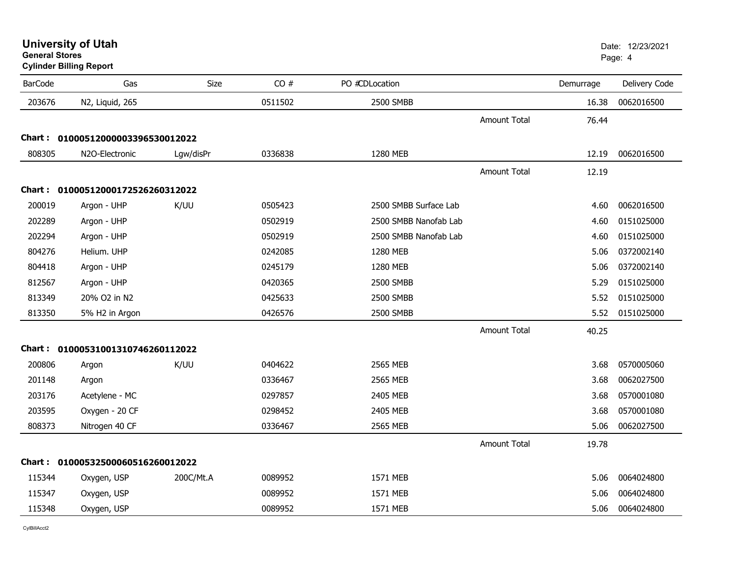| <b>BarCode</b> | Gas                               | <b>Size</b> | CO#     | PO #CDLocation        |                     | Demurrage | Delivery Code |
|----------------|-----------------------------------|-------------|---------|-----------------------|---------------------|-----------|---------------|
| 203676         | N2, Liquid, 265                   |             | 0511502 | 2500 SMBB             |                     | 16.38     | 0062016500    |
|                |                                   |             |         |                       | <b>Amount Total</b> | 76.44     |               |
|                | Chart: 01000512000003396530012022 |             |         |                       |                     |           |               |
| 808305         | N2O-Electronic                    | Lgw/disPr   | 0336838 | 1280 MEB              |                     | 12.19     | 0062016500    |
|                |                                   |             |         |                       | <b>Amount Total</b> | 12.19     |               |
|                | Chart: 01000512000172526260312022 |             |         |                       |                     |           |               |
| 200019         | Argon - UHP                       | K/UU        | 0505423 | 2500 SMBB Surface Lab |                     | 4.60      | 0062016500    |
| 202289         | Argon - UHP                       |             | 0502919 | 2500 SMBB Nanofab Lab |                     | 4.60      | 0151025000    |
| 202294         | Argon - UHP                       |             | 0502919 | 2500 SMBB Nanofab Lab |                     | 4.60      | 0151025000    |
| 804276         | Helium. UHP                       |             | 0242085 | 1280 MEB              |                     | 5.06      | 0372002140    |
| 804418         | Argon - UHP                       |             | 0245179 | 1280 MEB              |                     | 5.06      | 0372002140    |
| 812567         | Argon - UHP                       |             | 0420365 | 2500 SMBB             |                     | 5.29      | 0151025000    |
| 813349         | 20% O2 in N2                      |             | 0425633 | 2500 SMBB             |                     | 5.52      | 0151025000    |
| 813350         | 5% H2 in Argon                    |             | 0426576 | 2500 SMBB             |                     | 5.52      | 0151025000    |
|                |                                   |             |         |                       | <b>Amount Total</b> | 40.25     |               |
|                | Chart: 01000531001310746260112022 |             |         |                       |                     |           |               |
| 200806         | Argon                             | K/UU        | 0404622 | 2565 MEB              |                     | 3.68      | 0570005060    |
| 201148         | Argon                             |             | 0336467 | 2565 MEB              |                     | 3.68      | 0062027500    |
| 203176         | Acetylene - MC                    |             | 0297857 | 2405 MEB              |                     | 3.68      | 0570001080    |
| 203595         | Oxygen - 20 CF                    |             | 0298452 | 2405 MEB              |                     | 3.68      | 0570001080    |
| 808373         | Nitrogen 40 CF                    |             | 0336467 | 2565 MEB              |                     | 5.06      | 0062027500    |
|                |                                   |             |         |                       | <b>Amount Total</b> | 19.78     |               |
|                | Chart: 01000532500060516260012022 |             |         |                       |                     |           |               |
| 115344         | Oxygen, USP                       | 200C/Mt.A   | 0089952 | 1571 MEB              |                     | 5.06      | 0064024800    |
| 115347         | Oxygen, USP                       |             | 0089952 | 1571 MEB              |                     | 5.06      | 0064024800    |
| 115348         | Oxygen, USP                       |             | 0089952 | 1571 MEB              |                     | 5.06      | 0064024800    |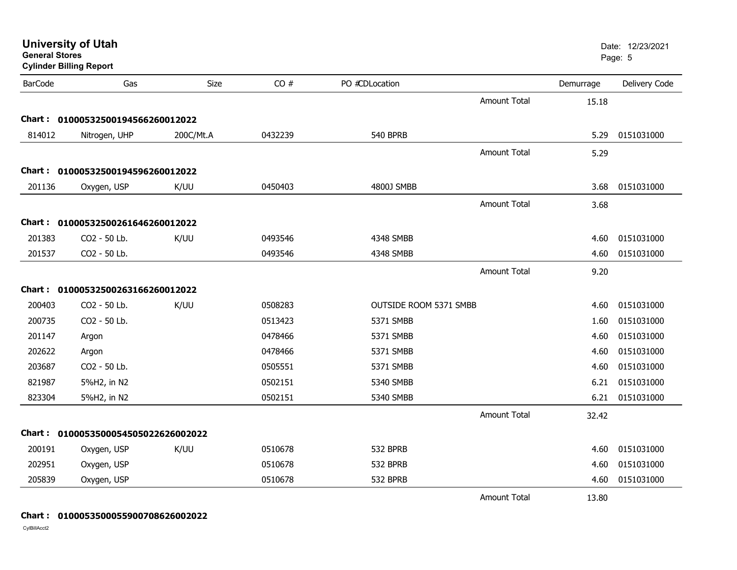| <b>General Stores</b> | <b>Cylinder Billing Report</b>      |             |         |                               |                     |           | Page: 5       |
|-----------------------|-------------------------------------|-------------|---------|-------------------------------|---------------------|-----------|---------------|
| <b>BarCode</b>        | Gas                                 | <b>Size</b> | CO#     | PO #CDLocation                |                     | Demurrage | Delivery Code |
|                       |                                     |             |         |                               | <b>Amount Total</b> | 15.18     |               |
|                       | Chart: 01000532500194566260012022   |             |         |                               |                     |           |               |
| 814012                | Nitrogen, UHP                       | 200C/Mt.A   | 0432239 | <b>540 BPRB</b>               |                     | 5.29      | 0151031000    |
|                       |                                     |             |         |                               | <b>Amount Total</b> | 5.29      |               |
|                       | Chart: 01000532500194596260012022   |             |         |                               |                     |           |               |
| 201136                | Oxygen, USP                         | K/UU        | 0450403 | 4800J SMBB                    |                     | 3.68      | 0151031000    |
|                       |                                     |             |         |                               | <b>Amount Total</b> | 3.68      |               |
|                       | Chart: 01000532500261646260012022   |             |         |                               |                     |           |               |
| 201383                | CO2 - 50 Lb.                        | K/UU        | 0493546 | 4348 SMBB                     |                     | 4.60      | 0151031000    |
| 201537                | CO2 - 50 Lb.                        |             | 0493546 | 4348 SMBB                     |                     | 4.60      | 0151031000    |
|                       |                                     |             |         |                               | <b>Amount Total</b> | 9.20      |               |
|                       | Chart: 01000532500263166260012022   |             |         |                               |                     |           |               |
| 200403                | CO2 - 50 Lb.                        | K/UU        | 0508283 | <b>OUTSIDE ROOM 5371 SMBB</b> |                     | 4.60      | 0151031000    |
| 200735                | CO2 - 50 Lb.                        |             | 0513423 | 5371 SMBB                     |                     | 1.60      | 0151031000    |
| 201147                | Argon                               |             | 0478466 | 5371 SMBB                     |                     | 4.60      | 0151031000    |
| 202622                | Argon                               |             | 0478466 | 5371 SMBB                     |                     | 4.60      | 0151031000    |
| 203687                | CO2 - 50 Lb.                        |             | 0505551 | 5371 SMBB                     |                     | 4.60      | 0151031000    |
| 821987                | 5%H2, in N2                         |             | 0502151 | 5340 SMBB                     |                     | 6.21      | 0151031000    |
| 823304                | 5%H2, in N2                         |             | 0502151 | 5340 SMBB                     |                     | 6.21      | 0151031000    |
|                       |                                     |             |         |                               | <b>Amount Total</b> | 32.42     |               |
|                       | Chart: 0100053500054505022626002022 |             |         |                               |                     |           |               |
| 200191                | Oxygen, USP                         | K/UU        | 0510678 | 532 BPRB                      |                     | 4.60      | 0151031000    |
| 202951                | Oxygen, USP                         |             | 0510678 | 532 BPRB                      |                     | 4.60      | 0151031000    |
| 205839                | Oxygen, USP                         |             | 0510678 | 532 BPRB                      |                     | 4.60      | 0151031000    |
|                       |                                     |             |         |                               | <b>Amount Total</b> | 13.80     |               |

**University of Utah** Date: 12/23/2021

### **Chart : 0100053500055900708626002022**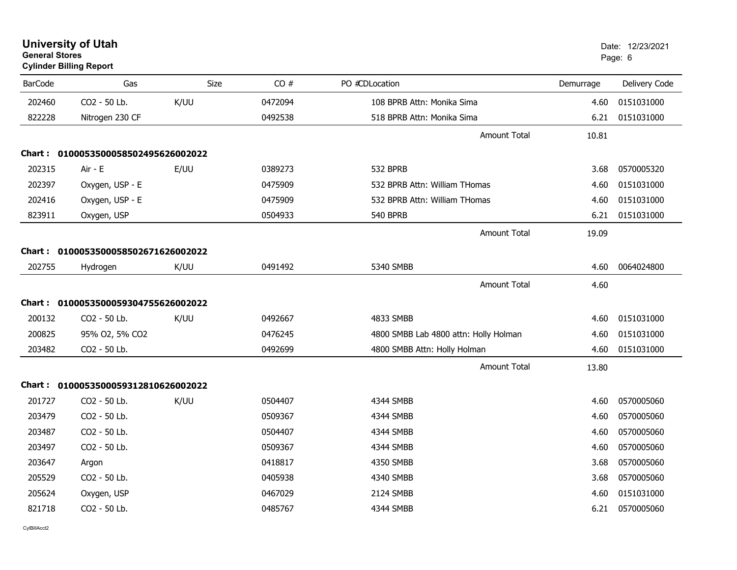| General Stores | <b>Cylinder Billing Report</b>      |      |         |                                       |           | Page: 6       |
|----------------|-------------------------------------|------|---------|---------------------------------------|-----------|---------------|
| <b>BarCode</b> | Gas                                 | Size | CO#     | PO #CDLocation                        | Demurrage | Delivery Code |
| 202460         | CO2 - 50 Lb.                        | K/UU | 0472094 | 108 BPRB Attn: Monika Sima            | 4.60      | 0151031000    |
| 822228         | Nitrogen 230 CF                     |      | 0492538 | 518 BPRB Attn: Monika Sima            | 6.21      | 0151031000    |
|                |                                     |      |         | <b>Amount Total</b>                   | 10.81     |               |
|                | Chart: 0100053500058502495626002022 |      |         |                                       |           |               |
| 202315         | Air - E                             | E/UU | 0389273 | 532 BPRB                              | 3.68      | 0570005320    |
| 202397         | Oxygen, USP - E                     |      | 0475909 | 532 BPRB Attn: William THomas         | 4.60      | 0151031000    |
| 202416         | Oxygen, USP - E                     |      | 0475909 | 532 BPRB Attn: William THomas         | 4.60      | 0151031000    |
| 823911         | Oxygen, USP                         |      | 0504933 | <b>540 BPRB</b>                       | 6.21      | 0151031000    |
|                |                                     |      |         | Amount Total                          | 19.09     |               |
|                | Chart: 0100053500058502671626002022 |      |         |                                       |           |               |
| 202755         | Hydrogen                            | K/UU | 0491492 | 5340 SMBB                             | 4.60      | 0064024800    |
|                |                                     |      |         | <b>Amount Total</b>                   | 4.60      |               |
|                | Chart: 0100053500059304755626002022 |      |         |                                       |           |               |
| 200132         | CO2 - 50 Lb.                        | K/UU | 0492667 | 4833 SMBB                             | 4.60      | 0151031000    |
| 200825         | 95% O2, 5% CO2                      |      | 0476245 | 4800 SMBB Lab 4800 attn: Holly Holman | 4.60      | 0151031000    |
| 203482         | CO2 - 50 Lb.                        |      | 0492699 | 4800 SMBB Attn: Holly Holman          | 4.60      | 0151031000    |
|                |                                     |      |         | Amount Total                          | 13.80     |               |
|                | Chart: 0100053500059312810626002022 |      |         |                                       |           |               |
| 201727         | CO2 - 50 Lb.                        | K/UU | 0504407 | 4344 SMBB                             | 4.60      | 0570005060    |
| 203479         | CO2 - 50 Lb.                        |      | 0509367 | 4344 SMBB                             | 4.60      | 0570005060    |
| 203487         | CO2 - 50 Lb.                        |      | 0504407 | 4344 SMBB                             | 4.60      | 0570005060    |
| 203497         | CO2 - 50 Lb.                        |      | 0509367 | 4344 SMBB                             | 4.60      | 0570005060    |
| 203647         | Argon                               |      | 0418817 | 4350 SMBB                             | 3.68      | 0570005060    |
| 205529         | CO2 - 50 Lb.                        |      | 0405938 | 4340 SMBB                             | 3.68      | 0570005060    |
| 205624         | Oxygen, USP                         |      | 0467029 | 2124 SMBB                             | 4.60      | 0151031000    |
| 821718         | CO2 - 50 Lb.                        |      | 0485767 | 4344 SMBB                             | 6.21      | 0570005060    |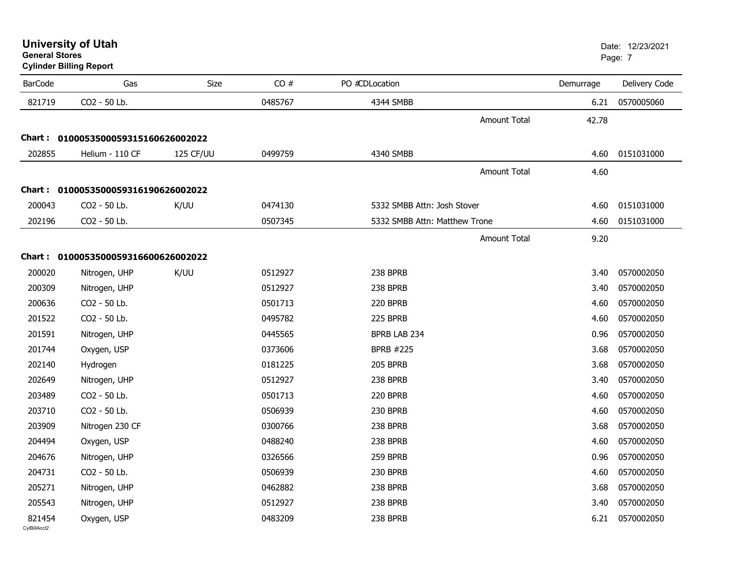| <b>University of Utah</b> |  |
|---------------------------|--|
| <b>General Stores</b>     |  |

| <b>BarCode</b> | Gas                                 | <b>Size</b> | CO#     | PO #CDLocation                | Demurrage                    | Delivery Code |
|----------------|-------------------------------------|-------------|---------|-------------------------------|------------------------------|---------------|
| 821719         | CO2 - 50 Lb.                        |             | 0485767 | 4344 SMBB                     | 6.21                         | 0570005060    |
|                |                                     |             |         |                               | <b>Amount Total</b><br>42.78 |               |
|                | Chart: 0100053500059315160626002022 |             |         |                               |                              |               |
| 202855         | Helium - 110 CF                     | 125 CF/UU   | 0499759 | 4340 SMBB                     | 4.60                         | 0151031000    |
|                |                                     |             |         |                               | <b>Amount Total</b><br>4.60  |               |
| Chart :        | 0100053500059316190626002022        |             |         |                               |                              |               |
| 200043         | CO2 - 50 Lb.                        | K/UU        | 0474130 | 5332 SMBB Attn: Josh Stover   | 4.60                         | 0151031000    |
| 202196         | CO2 - 50 Lb.                        |             | 0507345 | 5332 SMBB Attn: Matthew Trone | 4.60                         | 0151031000    |
|                |                                     |             |         |                               | <b>Amount Total</b><br>9.20  |               |
|                | Chart: 0100053500059316600626002022 |             |         |                               |                              |               |
| 200020         | Nitrogen, UHP                       | K/UU        | 0512927 | 238 BPRB                      | 3.40                         | 0570002050    |
| 200309         |                                     |             | 0512927 | 238 BPRB                      | 3.40                         | 0570002050    |
|                | Nitrogen, UHP                       |             |         |                               |                              |               |
| 200636         | CO2 - 50 Lb.                        |             | 0501713 | 220 BPRB                      | 4.60                         | 0570002050    |
| 201522         | CO2 - 50 Lb.                        |             | 0495782 | 225 BPRB                      | 4.60                         | 0570002050    |
| 201591         | Nitrogen, UHP                       |             | 0445565 | BPRB LAB 234                  | 0.96                         | 0570002050    |
| 201744         | Oxygen, USP                         |             | 0373606 | <b>BPRB #225</b>              | 3.68                         | 0570002050    |
| 202140         | Hydrogen                            |             | 0181225 | 205 BPRB                      | 3.68                         | 0570002050    |
| 202649         | Nitrogen, UHP                       |             | 0512927 | 238 BPRB                      | 3.40                         | 0570002050    |
| 203489         | CO2 - 50 Lb.                        |             | 0501713 | 220 BPRB                      | 4.60                         | 0570002050    |
| 203710         | CO2 - 50 Lb.                        |             | 0506939 | 230 BPRB                      | 4.60                         | 0570002050    |
| 203909         | Nitrogen 230 CF                     |             | 0300766 | 238 BPRB                      | 3.68                         | 0570002050    |
| 204494         | Oxygen, USP                         |             | 0488240 | 238 BPRB                      | 4.60                         | 0570002050    |
| 204676         | Nitrogen, UHP                       |             | 0326566 | 259 BPRB                      | 0.96                         | 0570002050    |
| 204731         | CO2 - 50 Lb.                        |             | 0506939 | 230 BPRB                      | 4.60                         | 0570002050    |
| 205271         | Nitrogen, UHP                       |             | 0462882 | 238 BPRB                      | 3.68                         | 0570002050    |
| 205543         | Nitrogen, UHP                       |             | 0512927 | 238 BPRB                      | 3.40                         | 0570002050    |
| 821454         | Oxygen, USP                         |             | 0483209 | 238 BPRB                      | 6.21                         | 0570002050    |
| CvIBillAcct2   |                                     |             |         |                               |                              |               |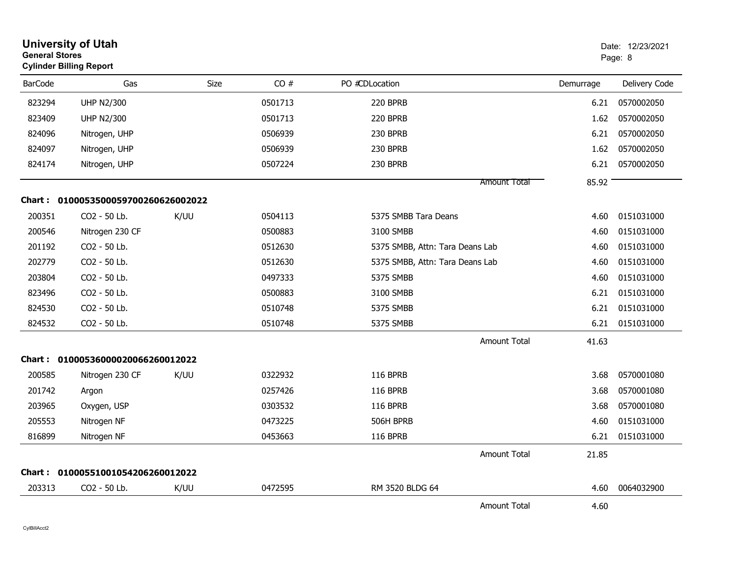| <b>General Stores</b> | <b>University of Utah</b><br><b>Cylinder Billing Report</b> |             |         |                                 |           | Date: 12/23/2021<br>Page: 8 |
|-----------------------|-------------------------------------------------------------|-------------|---------|---------------------------------|-----------|-----------------------------|
| <b>BarCode</b>        | Gas                                                         | <b>Size</b> | CO#     | PO #CDLocation                  | Demurrage | Delivery Code               |
| 823294                | <b>UHP N2/300</b>                                           |             | 0501713 | 220 BPRB                        | 6.21      | 0570002050                  |
| 823409                | <b>UHP N2/300</b>                                           |             | 0501713 | 220 BPRB                        | 1.62      | 0570002050                  |
| 824096                | Nitrogen, UHP                                               |             | 0506939 | 230 BPRB                        | 6.21      | 0570002050                  |
| 824097                | Nitrogen, UHP                                               |             | 0506939 | 230 BPRB                        | 1.62      | 0570002050                  |
| 824174                | Nitrogen, UHP                                               |             | 0507224 | 230 BPRB                        | 6.21      | 0570002050                  |
|                       |                                                             |             |         | <b>Amount Total</b>             | 85.92     |                             |
| <b>Chart :</b>        | 0100053500059700260626002022                                |             |         |                                 |           |                             |
| 200351                | CO2 - 50 Lb.                                                | K/UU        | 0504113 | 5375 SMBB Tara Deans            | 4.60      | 0151031000                  |
| 200546                | Nitrogen 230 CF                                             |             | 0500883 | 3100 SMBB                       | 4.60      | 0151031000                  |
| 201192                | CO2 - 50 Lb.                                                |             | 0512630 | 5375 SMBB, Attn: Tara Deans Lab | 4.60      | 0151031000                  |
| 202779                | CO2 - 50 Lb.                                                |             | 0512630 | 5375 SMBB, Attn: Tara Deans Lab | 4.60      | 0151031000                  |
| 203804                | CO <sub>2</sub> - 50 Lb.                                    |             | 0497333 | 5375 SMBB                       | 4.60      | 0151031000                  |
| 823496                | CO2 - 50 Lb.                                                |             | 0500883 | 3100 SMBB                       | 6.21      | 0151031000                  |
| 824530                | CO2 - 50 Lb.                                                |             | 0510748 | 5375 SMBB                       | 6.21      | 0151031000                  |
| 824532                | CO2 - 50 Lb.                                                |             | 0510748 | 5375 SMBB                       | 6.21      | 0151031000                  |
|                       |                                                             |             |         | Amount Total                    | 41.63     |                             |
|                       | Chart: 01000536000020066260012022                           |             |         |                                 |           |                             |
| 200585                | Nitrogen 230 CF                                             | K/UU        | 0322932 | <b>116 BPRB</b>                 | 3.68      | 0570001080                  |
| 201742                | Argon                                                       |             | 0257426 | <b>116 BPRB</b>                 | 3.68      | 0570001080                  |
| 203965                | Oxygen, USP                                                 |             | 0303532 | <b>116 BPRB</b>                 | 3.68      | 0570001080                  |
| 205553                | Nitrogen NF                                                 |             | 0473225 | 506H BPRB                       | 4.60      | 0151031000                  |
| 816899                | Nitrogen NF                                                 |             | 0453663 | 116 BPRB                        | 6.21      | 0151031000                  |
|                       |                                                             |             |         | <b>Amount Total</b>             | 21.85     |                             |
| Chart :               | 01000551001054206260012022                                  |             |         |                                 |           |                             |
| 203313                | CO2 - 50 Lb.                                                | K/UU        | 0472595 | RM 3520 BLDG 64                 | 4.60      | 0064032900                  |
|                       |                                                             |             |         | <b>Amount Total</b>             | 4.60      |                             |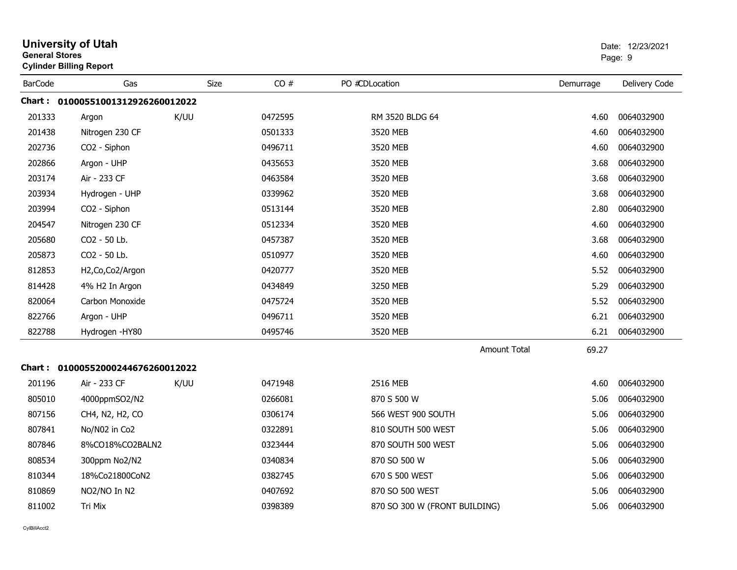|                | <b>University of Utah</b><br><b>General Stores</b><br><b>Cylinder Billing Report</b> |      |         |                               |                     |           | Date: 12/23/2021<br>Page: 9 |  |
|----------------|--------------------------------------------------------------------------------------|------|---------|-------------------------------|---------------------|-----------|-----------------------------|--|
| <b>BarCode</b> | Gas                                                                                  | Size | CO#     | PO #CDLocation                |                     | Demurrage | Delivery Code               |  |
|                | Chart: 01000551001312926260012022                                                    |      |         |                               |                     |           |                             |  |
| 201333         | Argon                                                                                | K/UU | 0472595 | RM 3520 BLDG 64               |                     | 4.60      | 0064032900                  |  |
| 201438         | Nitrogen 230 CF                                                                      |      | 0501333 | 3520 MEB                      |                     | 4.60      | 0064032900                  |  |
| 202736         | CO2 - Siphon                                                                         |      | 0496711 | 3520 MEB                      |                     | 4.60      | 0064032900                  |  |
| 202866         | Argon - UHP                                                                          |      | 0435653 | 3520 MEB                      |                     | 3.68      | 0064032900                  |  |
| 203174         | Air - 233 CF                                                                         |      | 0463584 | 3520 MEB                      |                     | 3.68      | 0064032900                  |  |
| 203934         | Hydrogen - UHP                                                                       |      | 0339962 | 3520 MEB                      |                     | 3.68      | 0064032900                  |  |
| 203994         | CO2 - Siphon                                                                         |      | 0513144 | 3520 MEB                      |                     | 2.80      | 0064032900                  |  |
| 204547         | Nitrogen 230 CF                                                                      |      | 0512334 | 3520 MEB                      |                     | 4.60      | 0064032900                  |  |
| 205680         | CO <sub>2</sub> - 50 Lb.                                                             |      | 0457387 | 3520 MEB                      |                     | 3.68      | 0064032900                  |  |
| 205873         | CO2 - 50 Lb.                                                                         |      | 0510977 | 3520 MEB                      |                     | 4.60      | 0064032900                  |  |
| 812853         | H2, Co, Co2/Argon                                                                    |      | 0420777 | 3520 MEB                      |                     | 5.52      | 0064032900                  |  |
| 814428         | 4% H2 In Argon                                                                       |      | 0434849 | 3250 MEB                      |                     | 5.29      | 0064032900                  |  |
| 820064         | Carbon Monoxide                                                                      |      | 0475724 | 3520 MEB                      |                     | 5.52      | 0064032900                  |  |
| 822766         | Argon - UHP                                                                          |      | 0496711 | 3520 MEB                      |                     | 6.21      | 0064032900                  |  |
| 822788         | Hydrogen - HY80                                                                      |      | 0495746 | 3520 MEB                      |                     | 6.21      | 0064032900                  |  |
|                |                                                                                      |      |         |                               | <b>Amount Total</b> | 69.27     |                             |  |
|                | Chart: 01000552000244676260012022                                                    |      |         |                               |                     |           |                             |  |
| 201196         | Air - 233 CF                                                                         | K/UU | 0471948 | 2516 MEB                      |                     | 4.60      | 0064032900                  |  |
| 805010         | 4000ppmSO2/N2                                                                        |      | 0266081 | 870 S 500 W                   |                     | 5.06      | 0064032900                  |  |
| 807156         | CH4, N2, H2, CO                                                                      |      | 0306174 | 566 WEST 900 SOUTH            |                     | 5.06      | 0064032900                  |  |
| 807841         | No/N02 in Co2                                                                        |      | 0322891 | 810 SOUTH 500 WEST            |                     | 5.06      | 0064032900                  |  |
| 807846         | 8%CO18%CO2BALN2                                                                      |      | 0323444 | 870 SOUTH 500 WEST            |                     | 5.06      | 0064032900                  |  |
| 808534         | 300ppm No2/N2                                                                        |      | 0340834 | 870 SO 500 W                  |                     | 5.06      | 0064032900                  |  |
| 810344         | 18%Co21800CoN2                                                                       |      | 0382745 | 670 S 500 WEST                |                     | 5.06      | 0064032900                  |  |
| 810869         | NO2/NO In N2                                                                         |      | 0407692 | 870 SO 500 WEST               |                     | 5.06      | 0064032900                  |  |
| 811002         | Tri Mix                                                                              |      | 0398389 | 870 SO 300 W (FRONT BUILDING) |                     | 5.06      | 0064032900                  |  |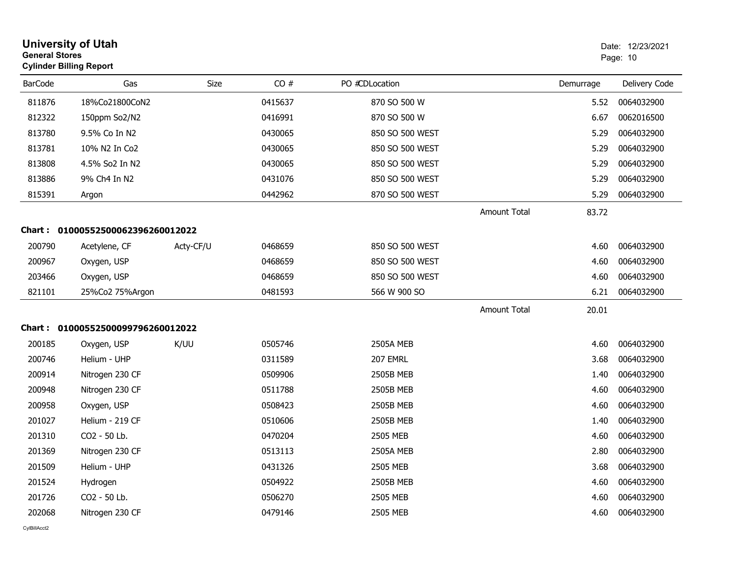| <b>University of Utah</b><br><b>General Stores</b><br>Page: 10<br><b>Cylinder Billing Report</b> |                                   |             |         |                  |              | Date: 12/23/2021 |               |
|--------------------------------------------------------------------------------------------------|-----------------------------------|-------------|---------|------------------|--------------|------------------|---------------|
| <b>BarCode</b>                                                                                   | Gas                               | <b>Size</b> | CO#     | PO #CDLocation   |              | Demurrage        | Delivery Code |
| 811876                                                                                           | 18%Co21800CoN2                    |             | 0415637 | 870 SO 500 W     |              | 5.52             | 0064032900    |
| 812322                                                                                           | 150ppm So2/N2                     |             | 0416991 | 870 SO 500 W     |              | 6.67             | 0062016500    |
| 813780                                                                                           | 9.5% Co In N2                     |             | 0430065 | 850 SO 500 WEST  |              | 5.29             | 0064032900    |
| 813781                                                                                           | 10% N2 In Co2                     |             | 0430065 | 850 SO 500 WEST  |              | 5.29             | 0064032900    |
| 813808                                                                                           | 4.5% So2 In N2                    |             | 0430065 | 850 SO 500 WEST  |              | 5.29             | 0064032900    |
| 813886                                                                                           | 9% Ch4 In N2                      |             | 0431076 | 850 SO 500 WEST  |              | 5.29             | 0064032900    |
| 815391                                                                                           | Argon                             |             | 0442962 | 870 SO 500 WEST  |              | 5.29             | 0064032900    |
|                                                                                                  |                                   |             |         |                  | Amount Total | 83.72            |               |
|                                                                                                  | Chart: 01000552500062396260012022 |             |         |                  |              |                  |               |
| 200790                                                                                           | Acetylene, CF                     | Acty-CF/U   | 0468659 | 850 SO 500 WEST  |              | 4.60             | 0064032900    |
| 200967                                                                                           | Oxygen, USP                       |             | 0468659 | 850 SO 500 WEST  |              | 4.60             | 0064032900    |
| 203466                                                                                           | Oxygen, USP                       |             | 0468659 | 850 SO 500 WEST  |              | 4.60             | 0064032900    |
| 821101                                                                                           | 25%Co2 75%Argon                   |             | 0481593 | 566 W 900 SO     |              | 6.21             | 0064032900    |
|                                                                                                  |                                   |             |         |                  | Amount Total | 20.01            |               |
|                                                                                                  | Chart: 01000552500099796260012022 |             |         |                  |              |                  |               |
| 200185                                                                                           | Oxygen, USP                       | K/UU        | 0505746 | 2505A MEB        |              | 4.60             | 0064032900    |
| 200746                                                                                           | Helium - UHP                      |             | 0311589 | 207 EMRL         |              | 3.68             | 0064032900    |
| 200914                                                                                           | Nitrogen 230 CF                   |             | 0509906 | 2505B MEB        |              | 1.40             | 0064032900    |
| 200948                                                                                           | Nitrogen 230 CF                   |             | 0511788 | 2505B MEB        |              | 4.60             | 0064032900    |
| 200958                                                                                           | Oxygen, USP                       |             | 0508423 | 2505B MEB        |              | 4.60             | 0064032900    |
| 201027                                                                                           | Helium - 219 CF                   |             | 0510606 | 2505B MEB        |              | 1.40             | 0064032900    |
| 201310                                                                                           | CO2 - 50 Lb.                      |             | 0470204 | 2505 MEB         |              | 4.60             | 0064032900    |
| 201369                                                                                           | Nitrogen 230 CF                   |             | 0513113 | <b>2505A MEB</b> |              | 2.80             | 0064032900    |
| 201509                                                                                           | Helium - UHP                      |             | 0431326 | 2505 MEB         |              | 3.68             | 0064032900    |
| 201524                                                                                           | Hydrogen                          |             | 0504922 | 2505B MEB        |              | 4.60             | 0064032900    |
| 201726                                                                                           | CO2 - 50 Lb.                      |             | 0506270 | 2505 MEB         |              | 4.60             | 0064032900    |
| 202068                                                                                           | Nitrogen 230 CF                   |             | 0479146 | 2505 MEB         |              | 4.60             | 0064032900    |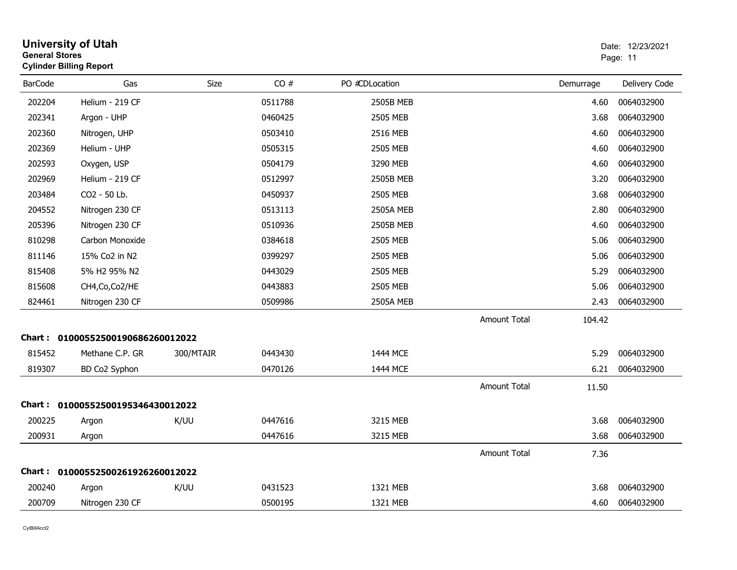| <b>General Stores</b> | <b>University of Utah</b><br><b>Cylinder Billing Report</b> |           |         |                  |                     |           | Date: 12/23/2021<br>Page: 11 |
|-----------------------|-------------------------------------------------------------|-----------|---------|------------------|---------------------|-----------|------------------------------|
| <b>BarCode</b>        | Gas                                                         | Size      | CO#     | PO #CDLocation   |                     | Demurrage | Delivery Code                |
| 202204                | Helium - 219 CF                                             |           | 0511788 | 2505B MEB        |                     | 4.60      | 0064032900                   |
| 202341                | Argon - UHP                                                 |           | 0460425 | 2505 MEB         |                     | 3.68      | 0064032900                   |
| 202360                | Nitrogen, UHP                                               |           | 0503410 | 2516 MEB         |                     | 4.60      | 0064032900                   |
| 202369                | Helium - UHP                                                |           | 0505315 | 2505 MEB         |                     | 4.60      | 0064032900                   |
| 202593                | Oxygen, USP                                                 |           | 0504179 | 3290 MEB         |                     | 4.60      | 0064032900                   |
| 202969                | Helium - 219 CF                                             |           | 0512997 | 2505B MEB        |                     | 3.20      | 0064032900                   |
| 203484                | CO2 - 50 Lb.                                                |           | 0450937 | 2505 MEB         |                     | 3.68      | 0064032900                   |
| 204552                | Nitrogen 230 CF                                             |           | 0513113 | <b>2505A MEB</b> |                     | 2.80      | 0064032900                   |
| 205396                | Nitrogen 230 CF                                             |           | 0510936 | <b>2505B MEB</b> |                     | 4.60      | 0064032900                   |
| 810298                | Carbon Monoxide                                             |           | 0384618 | 2505 MEB         |                     | 5.06      | 0064032900                   |
| 811146                | 15% Co2 in N2                                               |           | 0399297 | 2505 MEB         |                     | 5.06      | 0064032900                   |
| 815408                | 5% H2 95% N2                                                |           | 0443029 | 2505 MEB         |                     | 5.29      | 0064032900                   |
| 815608                | CH4, Co, Co2/HE                                             |           | 0443883 | 2505 MEB         |                     | 5.06      | 0064032900                   |
| 824461                | Nitrogen 230 CF                                             |           | 0509986 | 2505A MEB        |                     | 2.43      | 0064032900                   |
|                       |                                                             |           |         |                  | <b>Amount Total</b> | 104.42    |                              |
|                       | Chart: 01000552500190686260012022                           |           |         |                  |                     |           |                              |
| 815452                | Methane C.P. GR                                             | 300/MTAIR | 0443430 | 1444 MCE         |                     | 5.29      | 0064032900                   |
| 819307                | BD Co2 Syphon                                               |           | 0470126 | 1444 MCE         |                     | 6.21      | 0064032900                   |
|                       |                                                             |           |         |                  | <b>Amount Total</b> | 11.50     |                              |
|                       | Chart: 01000552500195346430012022                           |           |         |                  |                     |           |                              |
| 200225                | Argon                                                       | K/UU      | 0447616 | 3215 MEB         |                     | 3.68      | 0064032900                   |
| 200931                | Argon                                                       |           | 0447616 | 3215 MEB         |                     | 3.68      | 0064032900                   |
|                       |                                                             |           |         |                  | <b>Amount Total</b> | 7.36      |                              |
|                       | Chart: 01000552500261926260012022                           |           |         |                  |                     |           |                              |
| 200240                | Argon                                                       | K/UU      | 0431523 | 1321 MEB         |                     | 3.68      | 0064032900                   |
| 200709                | Nitrogen 230 CF                                             |           | 0500195 | 1321 MEB         |                     | 4.60      | 0064032900                   |
|                       |                                                             |           |         |                  |                     |           |                              |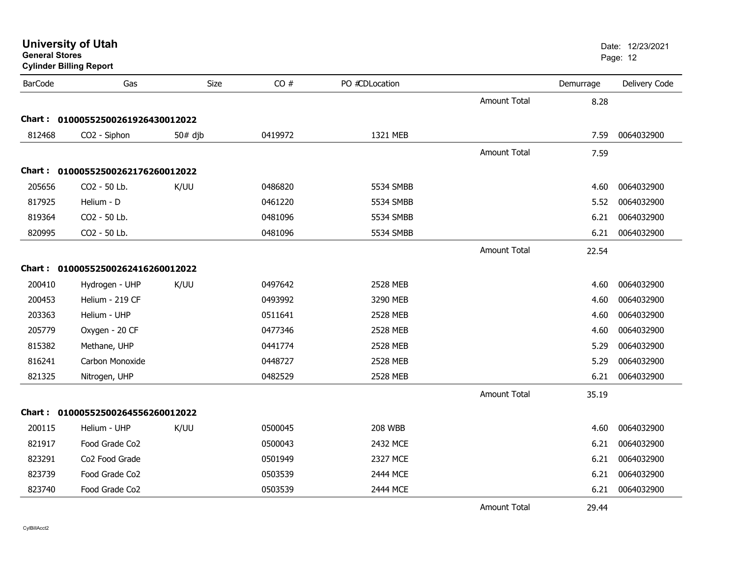| <b>BarCode</b> | Gas                               | Size      | CO#     | PO #CDLocation |                     | Demurrage | Delivery Code |
|----------------|-----------------------------------|-----------|---------|----------------|---------------------|-----------|---------------|
|                |                                   |           |         |                | <b>Amount Total</b> | 8.28      |               |
|                | Chart: 01000552500261926430012022 |           |         |                |                     |           |               |
| 812468         | CO2 - Siphon                      | $50#$ djb | 0419972 | 1321 MEB       |                     | 7.59      | 0064032900    |
|                |                                   |           |         |                | Amount Total        | 7.59      |               |
|                | Chart: 01000552500262176260012022 |           |         |                |                     |           |               |
| 205656         | CO2 - 50 Lb.                      | K/UU      | 0486820 | 5534 SMBB      |                     | 4.60      | 0064032900    |
| 817925         | Helium - D                        |           | 0461220 | 5534 SMBB      |                     | 5.52      | 0064032900    |
| 819364         | CO2 - 50 Lb.                      |           | 0481096 | 5534 SMBB      |                     | 6.21      | 0064032900    |
| 820995         | CO2 - 50 Lb.                      |           | 0481096 | 5534 SMBB      |                     | 6.21      | 0064032900    |
|                |                                   |           |         |                | Amount Total        | 22.54     |               |
|                | Chart: 01000552500262416260012022 |           |         |                |                     |           |               |
| 200410         | Hydrogen - UHP                    | K/UU      | 0497642 | 2528 MEB       |                     | 4.60      | 0064032900    |
| 200453         | Helium - 219 CF                   |           | 0493992 | 3290 MEB       |                     | 4.60      | 0064032900    |
| 203363         | Helium - UHP                      |           | 0511641 | 2528 MEB       |                     | 4.60      | 0064032900    |
| 205779         | Oxygen - 20 CF                    |           | 0477346 | 2528 MEB       |                     | 4.60      | 0064032900    |
| 815382         | Methane, UHP                      |           | 0441774 | 2528 MEB       |                     | 5.29      | 0064032900    |
| 816241         | Carbon Monoxide                   |           | 0448727 | 2528 MEB       |                     | 5.29      | 0064032900    |
| 821325         | Nitrogen, UHP                     |           | 0482529 | 2528 MEB       |                     | 6.21      | 0064032900    |
|                |                                   |           |         |                | Amount Total        | 35.19     |               |
|                | Chart: 01000552500264556260012022 |           |         |                |                     |           |               |
| 200115         | Helium - UHP                      | K/UU      | 0500045 | <b>208 WBB</b> |                     | 4.60      | 0064032900    |
| 821917         | Food Grade Co2                    |           | 0500043 | 2432 MCE       |                     | 6.21      | 0064032900    |
| 823291         | Co2 Food Grade                    |           | 0501949 | 2327 MCE       |                     | 6.21      | 0064032900    |
| 823739         | Food Grade Co2                    |           | 0503539 | 2444 MCE       |                     | 6.21      | 0064032900    |
| 823740         | Food Grade Co2                    |           | 0503539 | 2444 MCE       |                     | 6.21      | 0064032900    |
|                |                                   |           |         |                | <b>Amount Total</b> | 29.44     |               |

## **General Stores**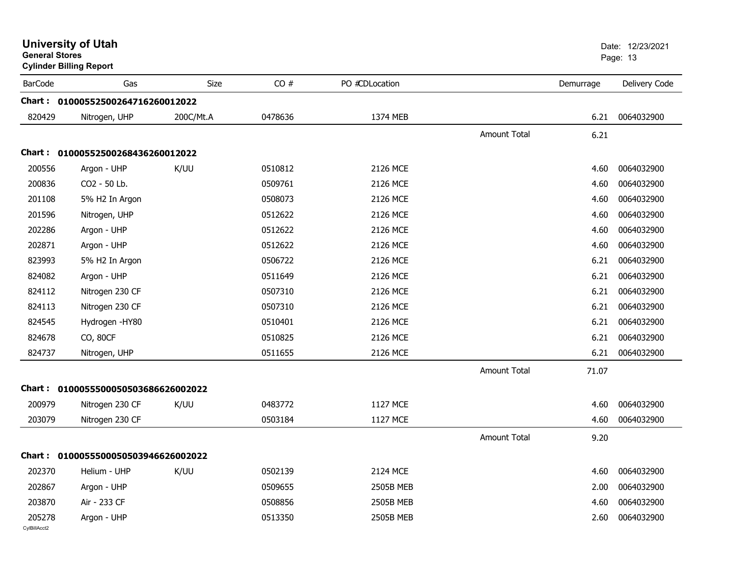| <b>General Stores</b>  | <b>University of Utah</b><br><b>Cylinder Billing Report</b> |             |         |                |                     |           | Date: 12/23/2021<br>Page: 13 |
|------------------------|-------------------------------------------------------------|-------------|---------|----------------|---------------------|-----------|------------------------------|
| <b>BarCode</b>         | Gas                                                         | <b>Size</b> | CO#     | PO #CDLocation |                     | Demurrage | Delivery Code                |
|                        | Chart: 01000552500264716260012022                           |             |         |                |                     |           |                              |
| 820429                 | Nitrogen, UHP                                               | 200C/Mt.A   | 0478636 | 1374 MEB       |                     | 6.21      | 0064032900                   |
|                        |                                                             |             |         |                | Amount Total        | 6.21      |                              |
|                        | Chart: 01000552500268436260012022                           |             |         |                |                     |           |                              |
| 200556                 | Argon - UHP                                                 | K/UU        | 0510812 | 2126 MCE       |                     | 4.60      | 0064032900                   |
| 200836                 | CO2 - 50 Lb.                                                |             | 0509761 | 2126 MCE       |                     | 4.60      | 0064032900                   |
| 201108                 | 5% H2 In Argon                                              |             | 0508073 | 2126 MCE       |                     | 4.60      | 0064032900                   |
| 201596                 | Nitrogen, UHP                                               |             | 0512622 | 2126 MCE       |                     | 4.60      | 0064032900                   |
| 202286                 | Argon - UHP                                                 |             | 0512622 | 2126 MCE       |                     | 4.60      | 0064032900                   |
| 202871                 | Argon - UHP                                                 |             | 0512622 | 2126 MCE       |                     | 4.60      | 0064032900                   |
| 823993                 | 5% H2 In Argon                                              |             | 0506722 | 2126 MCE       |                     | 6.21      | 0064032900                   |
| 824082                 | Argon - UHP                                                 |             | 0511649 | 2126 MCE       |                     | 6.21      | 0064032900                   |
| 824112                 | Nitrogen 230 CF                                             |             | 0507310 | 2126 MCE       |                     | 6.21      | 0064032900                   |
| 824113                 | Nitrogen 230 CF                                             |             | 0507310 | 2126 MCE       |                     | 6.21      | 0064032900                   |
| 824545                 | Hydrogen - HY80                                             |             | 0510401 | 2126 MCE       |                     | 6.21      | 0064032900                   |
| 824678                 | CO, 80CF                                                    |             | 0510825 | 2126 MCE       |                     | 6.21      | 0064032900                   |
| 824737                 | Nitrogen, UHP                                               |             | 0511655 | 2126 MCE       |                     | 6.21      | 0064032900                   |
|                        |                                                             |             |         |                | <b>Amount Total</b> | 71.07     |                              |
|                        | Chart: 0100055500050503686626002022                         |             |         |                |                     |           |                              |
| 200979                 | Nitrogen 230 CF                                             | K/UU        | 0483772 | 1127 MCE       |                     | 4.60      | 0064032900                   |
| 203079                 | Nitrogen 230 CF                                             |             | 0503184 | 1127 MCE       |                     | 4.60      | 0064032900                   |
|                        |                                                             |             |         |                | <b>Amount Total</b> | 9.20      |                              |
|                        | Chart: 0100055500050503946626002022                         |             |         |                |                     |           |                              |
| 202370                 | Helium - UHP                                                | K/UU        | 0502139 | 2124 MCE       |                     | 4.60      | 0064032900                   |
| 202867                 | Argon - UHP                                                 |             | 0509655 | 2505B MEB      |                     | 2.00      | 0064032900                   |
| 203870                 | Air - 233 CF                                                |             | 0508856 | 2505B MEB      |                     | 4.60      | 0064032900                   |
| 205278<br>CvIBillAcct2 | Argon - UHP                                                 |             | 0513350 | 2505B MEB      |                     | 2.60      | 0064032900                   |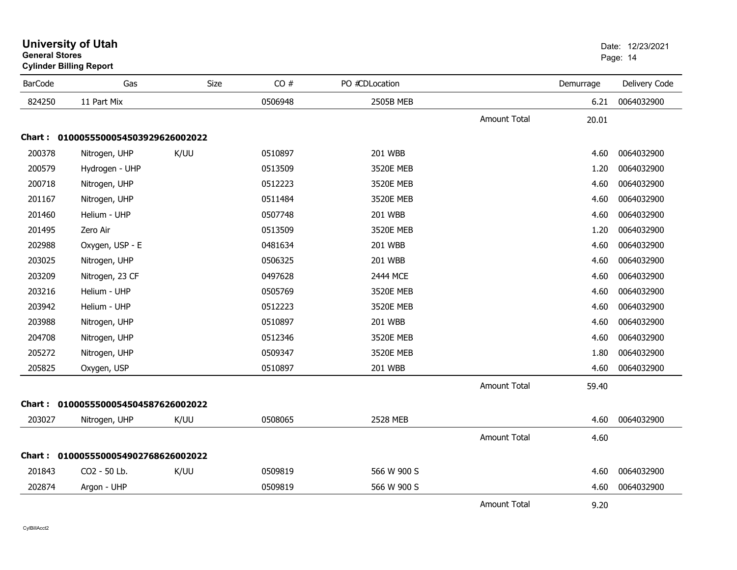| General Stores | <b>Cylinder Billing Report</b>      |      |         |                |                     |           | Page: 14      |
|----------------|-------------------------------------|------|---------|----------------|---------------------|-----------|---------------|
| <b>BarCode</b> | Gas                                 | Size | CO#     | PO #CDLocation |                     | Demurrage | Delivery Code |
| 824250         | 11 Part Mix                         |      | 0506948 | 2505B MEB      |                     | 6.21      | 0064032900    |
|                |                                     |      |         |                | <b>Amount Total</b> | 20.01     |               |
|                | Chart: 0100055500054503929626002022 |      |         |                |                     |           |               |
| 200378         | Nitrogen, UHP                       | K/UU | 0510897 | 201 WBB        |                     | 4.60      | 0064032900    |
| 200579         | Hydrogen - UHP                      |      | 0513509 | 3520E MEB      |                     | 1.20      | 0064032900    |
| 200718         | Nitrogen, UHP                       |      | 0512223 | 3520E MEB      |                     | 4.60      | 0064032900    |
| 201167         | Nitrogen, UHP                       |      | 0511484 | 3520E MEB      |                     | 4.60      | 0064032900    |
| 201460         | Helium - UHP                        |      | 0507748 | 201 WBB        |                     | 4.60      | 0064032900    |
| 201495         | Zero Air                            |      | 0513509 | 3520E MEB      |                     | 1.20      | 0064032900    |
| 202988         | Oxygen, USP - E                     |      | 0481634 | 201 WBB        |                     | 4.60      | 0064032900    |
| 203025         | Nitrogen, UHP                       |      | 0506325 | 201 WBB        |                     | 4.60      | 0064032900    |
| 203209         | Nitrogen, 23 CF                     |      | 0497628 | 2444 MCE       |                     | 4.60      | 0064032900    |
| 203216         | Helium - UHP                        |      | 0505769 | 3520E MEB      |                     | 4.60      | 0064032900    |
| 203942         | Helium - UHP                        |      | 0512223 | 3520E MEB      |                     | 4.60      | 0064032900    |
| 203988         | Nitrogen, UHP                       |      | 0510897 | 201 WBB        |                     | 4.60      | 0064032900    |
| 204708         | Nitrogen, UHP                       |      | 0512346 | 3520E MEB      |                     | 4.60      | 0064032900    |
| 205272         | Nitrogen, UHP                       |      | 0509347 | 3520E MEB      |                     | 1.80      | 0064032900    |
| 205825         | Oxygen, USP                         |      | 0510897 | 201 WBB        |                     | 4.60      | 0064032900    |
|                |                                     |      |         |                | <b>Amount Total</b> | 59.40     |               |
|                | Chart: 0100055500054504587626002022 |      |         |                |                     |           |               |
| 203027         | Nitrogen, UHP                       | K/UU | 0508065 | 2528 MEB       |                     | 4.60      | 0064032900    |
|                |                                     |      |         |                | <b>Amount Total</b> | 4.60      |               |
|                | Chart: 0100055500054902768626002022 |      |         |                |                     |           |               |
| 201843         | CO2 - 50 Lb.                        | K/UU | 0509819 | 566 W 900 S    |                     | 4.60      | 0064032900    |
| 202874         | Argon - UHP                         |      | 0509819 | 566 W 900 S    |                     | 4.60      | 0064032900    |
|                |                                     |      |         |                | <b>Amount Total</b> | 9.20      |               |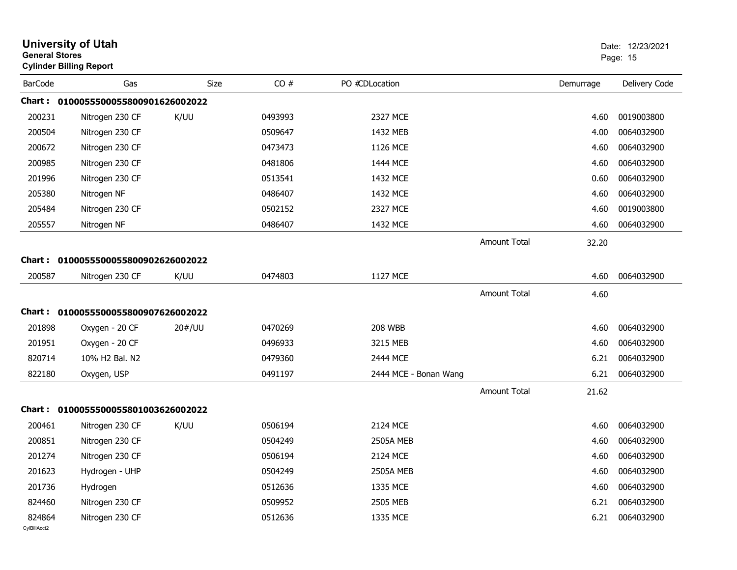| <b>General Stores</b>  | <b>University of Utah</b><br><b>Cylinder Billing Report</b> |        |         |                       |                     |           | Date: 12/23/2021<br>Page: 15 |
|------------------------|-------------------------------------------------------------|--------|---------|-----------------------|---------------------|-----------|------------------------------|
| <b>BarCode</b>         | Gas                                                         | Size   | CO#     | PO #CDLocation        |                     | Demurrage | Delivery Code                |
| Chart :                | 0100055500055800901626002022                                |        |         |                       |                     |           |                              |
| 200231                 | Nitrogen 230 CF                                             | K/UU   | 0493993 | 2327 MCE              |                     | 4.60      | 0019003800                   |
| 200504                 | Nitrogen 230 CF                                             |        | 0509647 | 1432 MEB              |                     | 4.00      | 0064032900                   |
| 200672                 | Nitrogen 230 CF                                             |        | 0473473 | 1126 MCE              |                     | 4.60      | 0064032900                   |
| 200985                 | Nitrogen 230 CF                                             |        | 0481806 | 1444 MCE              |                     | 4.60      | 0064032900                   |
| 201996                 | Nitrogen 230 CF                                             |        | 0513541 | 1432 MCE              |                     | 0.60      | 0064032900                   |
| 205380                 | Nitrogen NF                                                 |        | 0486407 | 1432 MCE              |                     | 4.60      | 0064032900                   |
| 205484                 | Nitrogen 230 CF                                             |        | 0502152 | 2327 MCE              |                     | 4.60      | 0019003800                   |
| 205557                 | Nitrogen NF                                                 |        | 0486407 | 1432 MCE              |                     | 4.60      | 0064032900                   |
|                        |                                                             |        |         |                       | <b>Amount Total</b> | 32.20     |                              |
| Chart:                 | 0100055500055800902626002022                                |        |         |                       |                     |           |                              |
| 200587                 | Nitrogen 230 CF                                             | K/UU   | 0474803 | 1127 MCE              |                     | 4.60      | 0064032900                   |
|                        |                                                             |        |         |                       | <b>Amount Total</b> | 4.60      |                              |
| Chart :                | 0100055500055800907626002022                                |        |         |                       |                     |           |                              |
| 201898                 | Oxygen - 20 CF                                              | 20#/UU | 0470269 | <b>208 WBB</b>        |                     | 4.60      | 0064032900                   |
| 201951                 | Oxygen - 20 CF                                              |        | 0496933 | 3215 MEB              |                     | 4.60      | 0064032900                   |
| 820714                 | 10% H2 Bal. N2                                              |        | 0479360 | 2444 MCE              |                     | 6.21      | 0064032900                   |
| 822180                 | Oxygen, USP                                                 |        | 0491197 | 2444 MCE - Bonan Wang |                     | 6.21      | 0064032900                   |
|                        |                                                             |        |         |                       | <b>Amount Total</b> | 21.62     |                              |
| <b>Chart :</b>         | 0100055500055801003626002022                                |        |         |                       |                     |           |                              |
| 200461                 | Nitrogen 230 CF                                             | K/UU   | 0506194 | 2124 MCE              |                     | 4.60      | 0064032900                   |
| 200851                 | Nitrogen 230 CF                                             |        | 0504249 | <b>2505A MEB</b>      |                     | 4.60      | 0064032900                   |
| 201274                 | Nitrogen 230 CF                                             |        | 0506194 | 2124 MCE              |                     | 4.60      | 0064032900                   |
| 201623                 | Hydrogen - UHP                                              |        | 0504249 | <b>2505A MEB</b>      |                     | 4.60      | 0064032900                   |
| 201736                 | Hydrogen                                                    |        | 0512636 | 1335 MCE              |                     | 4.60      | 0064032900                   |
| 824460                 | Nitrogen 230 CF                                             |        | 0509952 | 2505 MEB              |                     | 6.21      | 0064032900                   |
| 824864<br>CylBillAcct2 | Nitrogen 230 CF                                             |        | 0512636 | 1335 MCE              |                     | 6.21      | 0064032900                   |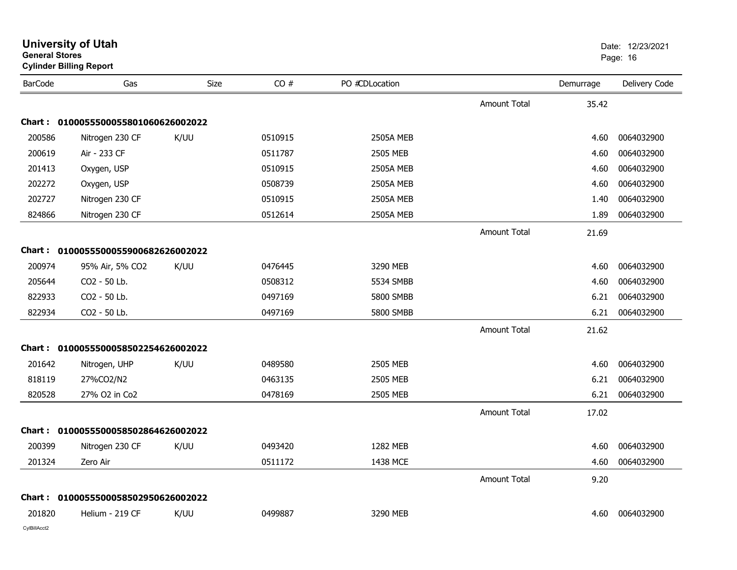| General Stores  | <b>Cylinder Billing Report</b>      |      |         |                  |                     |           | Page: 16      |
|-----------------|-------------------------------------|------|---------|------------------|---------------------|-----------|---------------|
| <b>BarCode</b>  | Gas                                 | Size | CO#     | PO #CDLocation   |                     | Demurrage | Delivery Code |
|                 |                                     |      |         |                  | <b>Amount Total</b> | 35.42     |               |
|                 | Chart: 0100055500055801060626002022 |      |         |                  |                     |           |               |
| 200586          | Nitrogen 230 CF                     | K/UU | 0510915 | <b>2505A MEB</b> |                     | 4.60      | 0064032900    |
| 200619          | Air - 233 CF                        |      | 0511787 | 2505 MEB         |                     | 4.60      | 0064032900    |
| 201413          | Oxygen, USP                         |      | 0510915 | 2505A MEB        |                     | 4.60      | 0064032900    |
| 202272          | Oxygen, USP                         |      | 0508739 | <b>2505A MEB</b> |                     | 4.60      | 0064032900    |
| 202727          | Nitrogen 230 CF                     |      | 0510915 | <b>2505A MEB</b> |                     | 1.40      | 0064032900    |
| 824866          | Nitrogen 230 CF                     |      | 0512614 | <b>2505A MEB</b> |                     | 1.89      | 0064032900    |
|                 |                                     |      |         |                  | <b>Amount Total</b> | 21.69     |               |
|                 | Chart: 0100055500055900682626002022 |      |         |                  |                     |           |               |
| 200974          | 95% Air, 5% CO2                     | K/UU | 0476445 | 3290 MEB         |                     | 4.60      | 0064032900    |
| 205644          | CO2 - 50 Lb.                        |      | 0508312 | 5534 SMBB        |                     | 4.60      | 0064032900    |
| 822933          | CO2 - 50 Lb.                        |      | 0497169 | 5800 SMBB        |                     | 6.21      | 0064032900    |
| 822934          | CO2 - 50 Lb.                        |      | 0497169 | <b>5800 SMBB</b> |                     | 6.21      | 0064032900    |
|                 |                                     |      |         |                  | <b>Amount Total</b> | 21.62     |               |
|                 | Chart: 0100055500058502254626002022 |      |         |                  |                     |           |               |
| 201642          | Nitrogen, UHP                       | K/UU | 0489580 | 2505 MEB         |                     | 4.60      | 0064032900    |
| 818119          | 27%CO2/N2                           |      | 0463135 | 2505 MEB         |                     | 6.21      | 0064032900    |
| 820528          | 27% O2 in Co2                       |      | 0478169 | 2505 MEB         |                     | 6.21      | 0064032900    |
|                 |                                     |      |         |                  | <b>Amount Total</b> | 17.02     |               |
|                 | Chart: 0100055500058502864626002022 |      |         |                  |                     |           |               |
| 200399          | Nitrogen 230 CF                     | K/UU | 0493420 | 1282 MEB         |                     | 4.60      | 0064032900    |
| 201324          | Zero Air                            |      | 0511172 | 1438 MCE         |                     | 4.60      | 0064032900    |
|                 |                                     |      |         |                  | <b>Amount Total</b> | 9.20      |               |
|                 | Chart: 0100055500058502950626002022 |      |         |                  |                     |           |               |
| 201820          | Helium - 219 CF                     | K/UU | 0499887 | 3290 MEB         |                     | 4.60      | 0064032900    |
| $0.40311A - 40$ |                                     |      |         |                  |                     |           |               |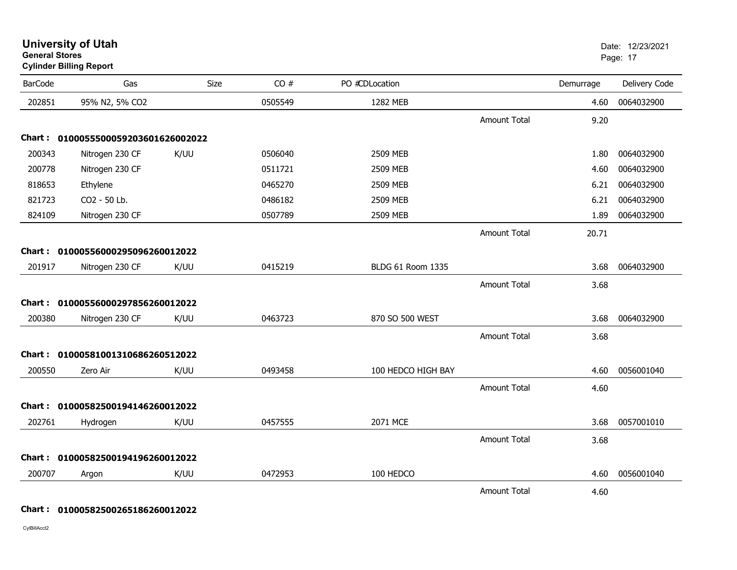| <b>BarCode</b> | Gas                                 | Size | CO#     | PO #CDLocation     |                     | Demurrage | Delivery Code |
|----------------|-------------------------------------|------|---------|--------------------|---------------------|-----------|---------------|
| 202851         | 95% N2, 5% CO2                      |      | 0505549 | 1282 MEB           |                     | 4.60      | 0064032900    |
|                |                                     |      |         |                    | <b>Amount Total</b> | 9.20      |               |
|                | Chart: 0100055500059203601626002022 |      |         |                    |                     |           |               |
| 200343         | Nitrogen 230 CF                     | K/UU | 0506040 | 2509 MEB           |                     | 1.80      | 0064032900    |
| 200778         | Nitrogen 230 CF                     |      | 0511721 | 2509 MEB           |                     | 4.60      | 0064032900    |
| 818653         | Ethylene                            |      | 0465270 | 2509 MEB           |                     | 6.21      | 0064032900    |
| 821723         | CO2 - 50 Lb.                        |      | 0486182 | 2509 MEB           |                     | 6.21      | 0064032900    |
| 824109         | Nitrogen 230 CF                     |      | 0507789 | 2509 MEB           |                     | 1.89      | 0064032900    |
|                |                                     |      |         |                    | <b>Amount Total</b> | 20.71     |               |
|                | Chart: 01000556000295096260012022   |      |         |                    |                     |           |               |
| 201917         | Nitrogen 230 CF                     | K/UU | 0415219 | BLDG 61 Room 1335  |                     | 3.68      | 0064032900    |
|                |                                     |      |         |                    | <b>Amount Total</b> | 3.68      |               |
|                | Chart: 01000556000297856260012022   |      |         |                    |                     |           |               |
| 200380         | Nitrogen 230 CF                     | K/UU | 0463723 | 870 SO 500 WEST    |                     | 3.68      | 0064032900    |
|                |                                     |      |         |                    | <b>Amount Total</b> | 3.68      |               |
|                | Chart: 01000581001310686260512022   |      |         |                    |                     |           |               |
| 200550         | Zero Air                            | K/UU | 0493458 | 100 HEDCO HIGH BAY |                     | 4.60      | 0056001040    |
|                |                                     |      |         |                    | <b>Amount Total</b> | 4.60      |               |
|                |                                     |      |         |                    |                     |           |               |
|                | Chart: 01000582500194146260012022   |      |         |                    |                     |           |               |
| 202761         | Hydrogen                            | K/UU | 0457555 | 2071 MCE           |                     | 3.68      | 0057001010    |
|                |                                     |      |         |                    | <b>Amount Total</b> | 3.68      |               |
|                | Chart: 01000582500194196260012022   |      |         |                    |                     |           |               |
| 200707         | Argon                               | K/UU | 0472953 | 100 HEDCO          |                     | 4.60      | 0056001040    |
|                |                                     |      |         |                    | <b>Amount Total</b> | 4.60      |               |

**University of Utah** Date: 12/23/2021

end and the state of the state of the state of the state of the state of the state of the Page: 17  $\,$ 

## **Chart : 01000582500265186260012022**

CylBillAcct2

**General Stores**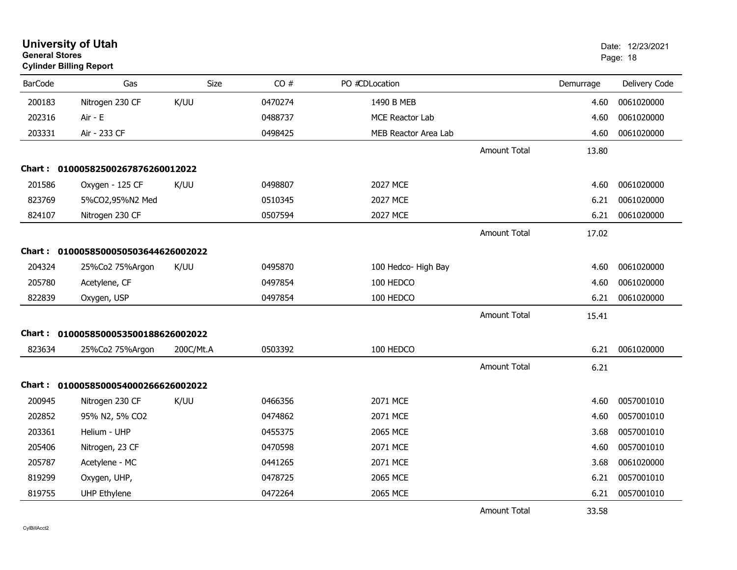| <b>University of Utah</b><br><b>General Stores</b><br><b>Cylinder Billing Report</b> |                                     |           |         |                             |                     |           | Date: 12/23/2021<br>Page: 18 |
|--------------------------------------------------------------------------------------|-------------------------------------|-----------|---------|-----------------------------|---------------------|-----------|------------------------------|
| <b>BarCode</b>                                                                       | Gas                                 | Size      | CO#     | PO #CDLocation              |                     | Demurrage | Delivery Code                |
| 200183                                                                               | Nitrogen 230 CF                     | K/UU      | 0470274 | 1490 B MEB                  |                     | 4.60      | 0061020000                   |
| 202316                                                                               | Air - E                             |           | 0488737 | MCE Reactor Lab             |                     | 4.60      | 0061020000                   |
| 203331                                                                               | Air - 233 CF                        |           | 0498425 | <b>MEB Reactor Area Lab</b> |                     | 4.60      | 0061020000                   |
|                                                                                      |                                     |           |         |                             | <b>Amount Total</b> | 13.80     |                              |
|                                                                                      | Chart: 01000582500267876260012022   |           |         |                             |                     |           |                              |
| 201586                                                                               | Oxygen - 125 CF                     | K/UU      | 0498807 | <b>2027 MCE</b>             |                     | 4.60      | 0061020000                   |
| 823769                                                                               | 5%CO2,95%N2 Med                     |           | 0510345 | 2027 MCE                    |                     | 6.21      | 0061020000                   |
| 824107                                                                               | Nitrogen 230 CF                     |           | 0507594 | <b>2027 MCE</b>             |                     | 6.21      | 0061020000                   |
|                                                                                      |                                     |           |         |                             | <b>Amount Total</b> | 17.02     |                              |
|                                                                                      | Chart: 0100058500050503644626002022 |           |         |                             |                     |           |                              |
| 204324                                                                               | 25%Co2 75%Argon                     | K/UU      | 0495870 | 100 Hedco- High Bay         |                     | 4.60      | 0061020000                   |
| 205780                                                                               | Acetylene, CF                       |           | 0497854 | 100 HEDCO                   |                     | 4.60      | 0061020000                   |
| 822839                                                                               | Oxygen, USP                         |           | 0497854 | 100 HEDCO                   |                     | 6.21      | 0061020000                   |
|                                                                                      |                                     |           |         |                             | <b>Amount Total</b> | 15.41     |                              |
| Chart :                                                                              | 0100058500053500188626002022        |           |         |                             |                     |           |                              |
| 823634                                                                               | 25%Co2 75%Argon                     | 200C/Mt.A | 0503392 | 100 HEDCO                   |                     | 6.21      | 0061020000                   |
|                                                                                      |                                     |           |         |                             | <b>Amount Total</b> | 6.21      |                              |
| Chart :                                                                              | 0100058500054000266626002022        |           |         |                             |                     |           |                              |
| 200945                                                                               | Nitrogen 230 CF                     | K/UU      | 0466356 | 2071 MCE                    |                     | 4.60      | 0057001010                   |
| 202852                                                                               | 95% N2, 5% CO2                      |           | 0474862 | 2071 MCE                    |                     | 4.60      | 0057001010                   |
| 203361                                                                               | Helium - UHP                        |           | 0455375 | 2065 MCE                    |                     | 3.68      | 0057001010                   |
| 205406                                                                               | Nitrogen, 23 CF                     |           | 0470598 | 2071 MCE                    |                     | 4.60      | 0057001010                   |
| 205787                                                                               | Acetylene - MC                      |           | 0441265 | 2071 MCE                    |                     | 3.68      | 0061020000                   |
| 819299                                                                               | Oxygen, UHP,                        |           | 0478725 | 2065 MCE                    |                     | 6.21      | 0057001010                   |
| 819755                                                                               | <b>UHP Ethylene</b>                 |           | 0472264 | 2065 MCE                    |                     | 6.21      | 0057001010                   |
|                                                                                      |                                     |           |         |                             | <b>Amount Total</b> | 33.58     |                              |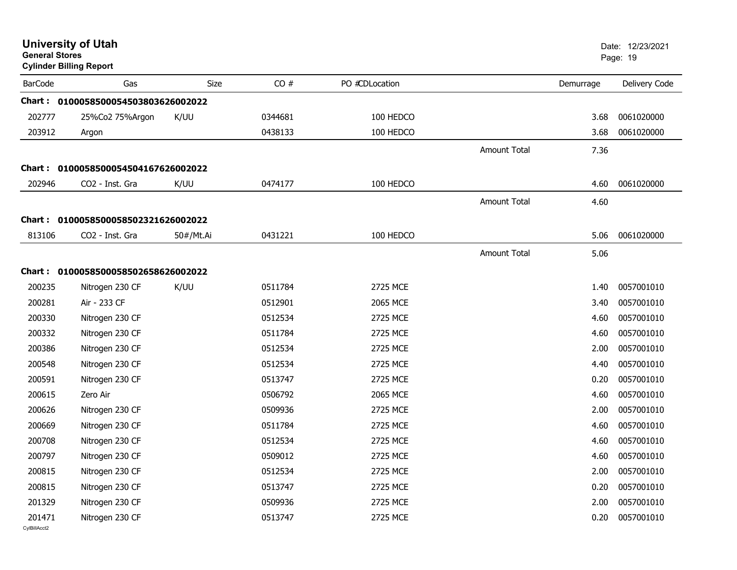|                | <b>University of Utah</b><br><b>General Stores</b><br><b>Cylinder Billing Report</b> |           |         |                |                     | Date: 12/23/2021<br>Page: 19 |               |
|----------------|--------------------------------------------------------------------------------------|-----------|---------|----------------|---------------------|------------------------------|---------------|
| <b>BarCode</b> | Gas                                                                                  | Size      | CO#     | PO #CDLocation |                     | Demurrage                    | Delivery Code |
|                | Chart: 0100058500054503803626002022                                                  |           |         |                |                     |                              |               |
| 202777         | 25%Co2 75%Argon                                                                      | K/UU      | 0344681 | 100 HEDCO      |                     | 3.68                         | 0061020000    |
| 203912         | Argon                                                                                |           | 0438133 | 100 HEDCO      |                     | 3.68                         | 0061020000    |
|                |                                                                                      |           |         |                | <b>Amount Total</b> | 7.36                         |               |
|                | Chart: 0100058500054504167626002022                                                  |           |         |                |                     |                              |               |
| 202946         | CO2 - Inst. Gra                                                                      | K/UU      | 0474177 | 100 HEDCO      |                     | 4.60                         | 0061020000    |
|                |                                                                                      |           |         |                | <b>Amount Total</b> | 4.60                         |               |
|                | Chart: 0100058500058502321626002022                                                  |           |         |                |                     |                              |               |
| 813106         | CO2 - Inst. Gra                                                                      | 50#/Mt.Ai | 0431221 | 100 HEDCO      |                     | 5.06                         | 0061020000    |
|                |                                                                                      |           |         |                | <b>Amount Total</b> | 5.06                         |               |
|                |                                                                                      |           |         |                |                     |                              |               |
|                | Chart: 0100058500058502658626002022                                                  |           |         |                |                     |                              |               |
| 200235         | Nitrogen 230 CF                                                                      | K/UU      | 0511784 | 2725 MCE       |                     | 1.40                         | 0057001010    |
| 200281         | Air - 233 CF                                                                         |           | 0512901 | 2065 MCE       |                     | 3.40                         | 0057001010    |
| 200330         | Nitrogen 230 CF                                                                      |           | 0512534 | 2725 MCE       |                     | 4.60                         | 0057001010    |
| 200332         | Nitrogen 230 CF                                                                      |           | 0511784 | 2725 MCE       |                     | 4.60                         | 0057001010    |
| 200386         | Nitrogen 230 CF                                                                      |           | 0512534 | 2725 MCE       |                     | 2.00                         | 0057001010    |
| 200548         | Nitrogen 230 CF                                                                      |           | 0512534 | 2725 MCE       |                     | 4.40                         | 0057001010    |
| 200591         | Nitrogen 230 CF                                                                      |           | 0513747 | 2725 MCE       |                     | 0.20                         | 0057001010    |
| 200615         | Zero Air                                                                             |           | 0506792 | 2065 MCE       |                     | 4.60                         | 0057001010    |
| 200626         | Nitrogen 230 CF                                                                      |           | 0509936 | 2725 MCE       |                     | 2.00                         | 0057001010    |
| 200669         | Nitrogen 230 CF                                                                      |           | 0511784 | 2725 MCE       |                     | 4.60                         | 0057001010    |
| 200708         | Nitrogen 230 CF                                                                      |           | 0512534 | 2725 MCE       |                     | 4.60                         | 0057001010    |
| 200797         | Nitrogen 230 CF                                                                      |           | 0509012 | 2725 MCE       |                     | 4.60                         | 0057001010    |
| 200815         | Nitrogen 230 CF                                                                      |           | 0512534 | 2725 MCE       |                     | 2.00                         | 0057001010    |
| 200815         | Nitrogen 230 CF                                                                      |           | 0513747 | 2725 MCE       |                     | 0.20                         | 0057001010    |
| 201329         | Nitrogen 230 CF                                                                      |           | 0509936 | 2725 MCE       |                     | 2.00                         | 0057001010    |
| 201471         | Nitrogen 230 CF                                                                      |           | 0513747 | 2725 MCE       |                     | 0.20                         | 0057001010    |
| CvIBillAcct2   |                                                                                      |           |         |                |                     |                              |               |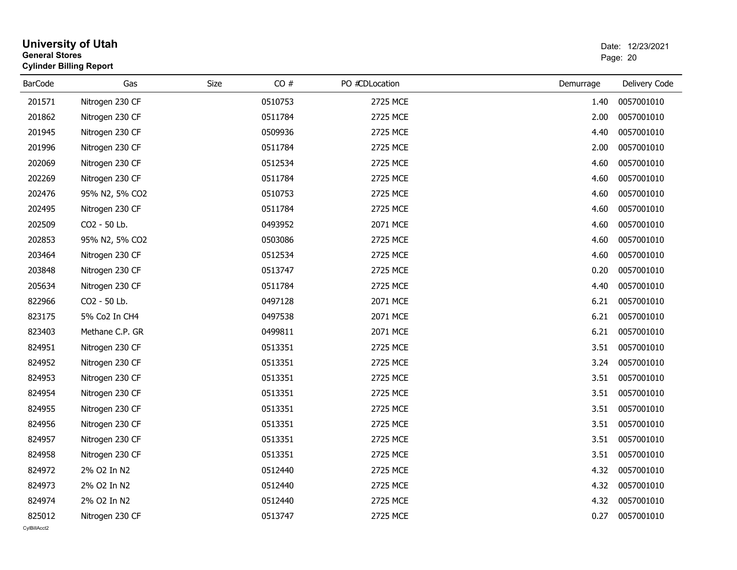| <b>General Stores</b> | <b>University of Utah</b><br><b>Cylinder Billing Report</b> | Date: 12/23/2021<br>Page: 20 |         |                |           |               |
|-----------------------|-------------------------------------------------------------|------------------------------|---------|----------------|-----------|---------------|
| <b>BarCode</b>        | Gas                                                         | Size                         | CO#     | PO #CDLocation | Demurrage | Delivery Code |
| 201571                | Nitrogen 230 CF                                             |                              | 0510753 | 2725 MCE       | 1.40      | 0057001010    |
| 201862                | Nitrogen 230 CF                                             |                              | 0511784 | 2725 MCE       | 2.00      | 0057001010    |
| 201945                | Nitrogen 230 CF                                             |                              | 0509936 | 2725 MCE       | 4.40      | 0057001010    |
| 201996                | Nitrogen 230 CF                                             |                              | 0511784 | 2725 MCE       | 2.00      | 0057001010    |
| 202069                | Nitrogen 230 CF                                             |                              | 0512534 | 2725 MCE       | 4.60      | 0057001010    |
| 202269                | Nitrogen 230 CF                                             |                              | 0511784 | 2725 MCE       | 4.60      | 0057001010    |
| 202476                | 95% N2, 5% CO2                                              |                              | 0510753 | 2725 MCE       | 4.60      | 0057001010    |
| 202495                | Nitrogen 230 CF                                             |                              | 0511784 | 2725 MCE       | 4.60      | 0057001010    |
| 202509                | CO2 - 50 Lb.                                                |                              | 0493952 | 2071 MCE       | 4.60      | 0057001010    |
| 202853                | 95% N2, 5% CO2                                              |                              | 0503086 | 2725 MCE       | 4.60      | 0057001010    |
| 203464                | Nitrogen 230 CF                                             |                              | 0512534 | 2725 MCE       | 4.60      | 0057001010    |
| 203848                | Nitrogen 230 CF                                             |                              | 0513747 | 2725 MCE       | 0.20      | 0057001010    |
| 205634                | Nitrogen 230 CF                                             |                              | 0511784 | 2725 MCE       | 4.40      | 0057001010    |
| 822966                | CO2 - 50 Lb.                                                |                              | 0497128 | 2071 MCE       | 6.21      | 0057001010    |
| 823175                | 5% Co2 In CH4                                               |                              | 0497538 | 2071 MCE       | 6.21      | 0057001010    |
| 823403                | Methane C.P. GR                                             |                              | 0499811 | 2071 MCE       | 6.21      | 0057001010    |
| 824951                | Nitrogen 230 CF                                             |                              | 0513351 | 2725 MCE       | 3.51      | 0057001010    |
| 824952                | Nitrogen 230 CF                                             |                              | 0513351 | 2725 MCE       | 3.24      | 0057001010    |
| 824953                | Nitrogen 230 CF                                             |                              | 0513351 | 2725 MCE       | 3.51      | 0057001010    |
| 824954                | Nitrogen 230 CF                                             |                              | 0513351 | 2725 MCE       | 3.51      | 0057001010    |
| 824955                | Nitrogen 230 CF                                             |                              | 0513351 | 2725 MCE       | 3.51      | 0057001010    |
| 824956                | Nitrogen 230 CF                                             |                              | 0513351 | 2725 MCE       | 3.51      | 0057001010    |
| 824957                | Nitrogen 230 CF                                             |                              | 0513351 | 2725 MCE       | 3.51      | 0057001010    |
| 824958                | Nitrogen 230 CF                                             |                              | 0513351 | 2725 MCE       | 3.51      | 0057001010    |
| 824972                | 2% O2 In N2                                                 |                              | 0512440 | 2725 MCE       | 4.32      | 0057001010    |
| 824973                | 2% O2 In N2                                                 |                              | 0512440 | 2725 MCE       | 4.32      | 0057001010    |
| 824974                | 2% O2 In N2                                                 |                              | 0512440 | 2725 MCE       | 4.32      | 0057001010    |
| 825012                | Nitrogen 230 CF                                             |                              | 0513747 | 2725 MCE       | 0.27      | 0057001010    |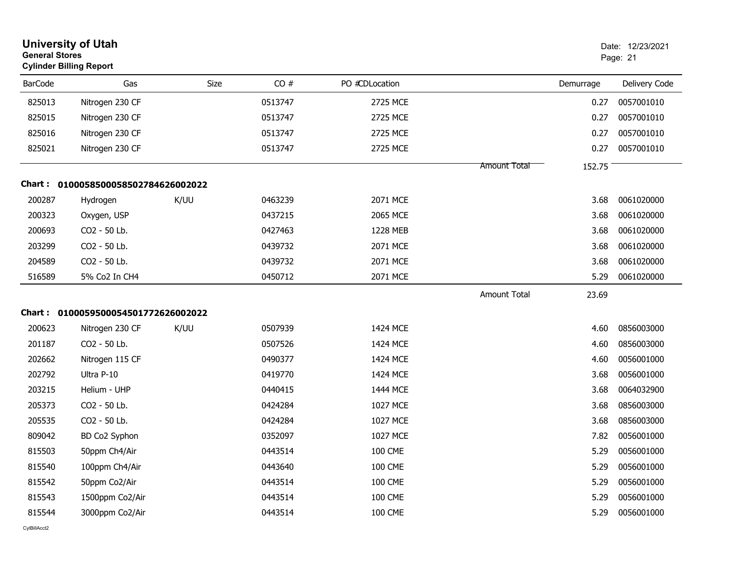| <b>General Stores</b> | <b>University of Utah</b><br><b>Cylinder Billing Report</b> |      |         |                |                     |           | Date: 12/23/2021<br>Page: 21 |
|-----------------------|-------------------------------------------------------------|------|---------|----------------|---------------------|-----------|------------------------------|
| <b>BarCode</b>        | Gas                                                         | Size | CO#     | PO #CDLocation |                     | Demurrage | Delivery Code                |
| 825013                | Nitrogen 230 CF                                             |      | 0513747 | 2725 MCE       |                     | 0.27      | 0057001010                   |
| 825015                | Nitrogen 230 CF                                             |      | 0513747 | 2725 MCE       |                     | 0.27      | 0057001010                   |
| 825016                | Nitrogen 230 CF                                             |      | 0513747 | 2725 MCE       |                     | 0.27      | 0057001010                   |
| 825021                | Nitrogen 230 CF                                             |      | 0513747 | 2725 MCE       |                     | 0.27      | 0057001010                   |
|                       |                                                             |      |         |                | Amount Total        | 152.75    |                              |
|                       | Chart: 0100058500058502784626002022                         |      |         |                |                     |           |                              |
| 200287                | Hydrogen                                                    | K/UU | 0463239 | 2071 MCE       |                     | 3.68      | 0061020000                   |
| 200323                | Oxygen, USP                                                 |      | 0437215 | 2065 MCE       |                     | 3.68      | 0061020000                   |
| 200693                | CO2 - 50 Lb.                                                |      | 0427463 | 1228 MEB       |                     | 3.68      | 0061020000                   |
| 203299                | CO2 - 50 Lb.                                                |      | 0439732 | 2071 MCE       |                     | 3.68      | 0061020000                   |
| 204589                | CO2 - 50 Lb.                                                |      | 0439732 | 2071 MCE       |                     | 3.68      | 0061020000                   |
| 516589                | 5% Co2 In CH4                                               |      | 0450712 | 2071 MCE       |                     | 5.29      | 0061020000                   |
|                       |                                                             |      |         |                | <b>Amount Total</b> | 23.69     |                              |
|                       | Chart: 0100059500054501772626002022                         |      |         |                |                     |           |                              |
| 200623                | Nitrogen 230 CF                                             | K/UU | 0507939 | 1424 MCE       |                     | 4.60      | 0856003000                   |
| 201187                | CO2 - 50 Lb.                                                |      | 0507526 | 1424 MCE       |                     | 4.60      | 0856003000                   |
| 202662                | Nitrogen 115 CF                                             |      | 0490377 | 1424 MCE       |                     | 4.60      | 0056001000                   |
| 202792                | Ultra P-10                                                  |      | 0419770 | 1424 MCE       |                     | 3.68      | 0056001000                   |
| 203215                | Helium - UHP                                                |      | 0440415 | 1444 MCE       |                     | 3.68      | 0064032900                   |
| 205373                | CO2 - 50 Lb.                                                |      | 0424284 | 1027 MCE       |                     | 3.68      | 0856003000                   |
| 205535                | CO2 - 50 Lb.                                                |      | 0424284 | 1027 MCE       |                     | 3.68      | 0856003000                   |
| 809042                | BD Co2 Syphon                                               |      | 0352097 | 1027 MCE       |                     | 7.82      | 0056001000                   |
| 815503                | 50ppm Ch4/Air                                               |      | 0443514 | <b>100 CME</b> |                     | 5.29      | 0056001000                   |
| 815540                | 100ppm Ch4/Air                                              |      | 0443640 | <b>100 CME</b> |                     | 5.29      | 0056001000                   |
| 815542                | 50ppm Co2/Air                                               |      | 0443514 | <b>100 CME</b> |                     | 5.29      | 0056001000                   |
| 815543                | 1500ppm Co2/Air                                             |      | 0443514 | <b>100 CME</b> |                     | 5.29      | 0056001000                   |
| 815544                | 3000ppm Co2/Air                                             |      | 0443514 | <b>100 CME</b> |                     | 5.29      | 0056001000                   |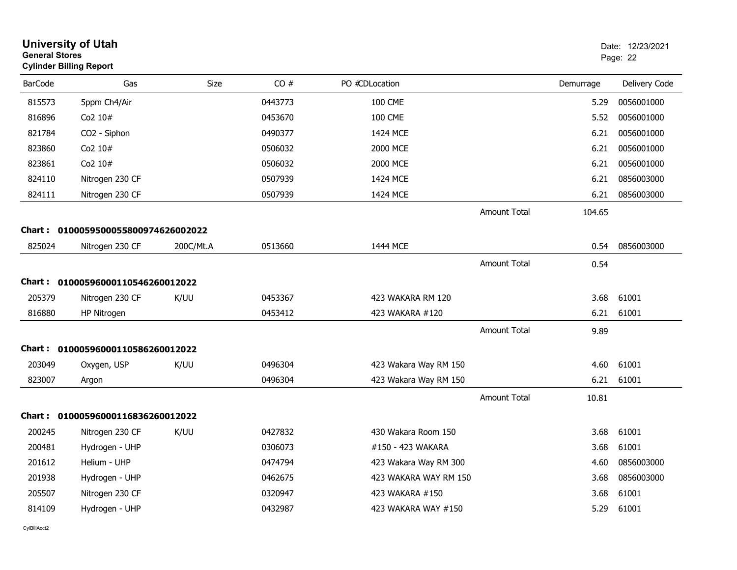| <b>General Stores</b> | <b>University of Utah</b><br><b>Cylinder Billing Report</b> |           |         |                       |                     |           | Date: 12/23/2021<br>Page: 22 |
|-----------------------|-------------------------------------------------------------|-----------|---------|-----------------------|---------------------|-----------|------------------------------|
| <b>BarCode</b>        | Gas                                                         | Size      | CO#     | PO #CDLocation        |                     | Demurrage | Delivery Code                |
| 815573                | 5ppm Ch4/Air                                                |           | 0443773 | <b>100 CME</b>        |                     | 5.29      | 0056001000                   |
| 816896                | Co2 10#                                                     |           | 0453670 | <b>100 CME</b>        |                     | 5.52      | 0056001000                   |
| 821784                | CO2 - Siphon                                                |           | 0490377 | 1424 MCE              |                     | 6.21      | 0056001000                   |
| 823860                | Co2 10#                                                     |           | 0506032 | 2000 MCE              |                     | 6.21      | 0056001000                   |
| 823861                | Co2 10#                                                     |           | 0506032 | 2000 MCE              |                     | 6.21      | 0056001000                   |
| 824110                | Nitrogen 230 CF                                             |           | 0507939 | 1424 MCE              |                     | 6.21      | 0856003000                   |
| 824111                | Nitrogen 230 CF                                             |           | 0507939 | 1424 MCE              |                     | 6.21      | 0856003000                   |
|                       |                                                             |           |         |                       | <b>Amount Total</b> | 104.65    |                              |
| Chart :               | 0100059500055800974626002022                                |           |         |                       |                     |           |                              |
| 825024                | Nitrogen 230 CF                                             | 200C/Mt.A | 0513660 | 1444 MCE              |                     | 0.54      | 0856003000                   |
|                       |                                                             |           |         |                       | <b>Amount Total</b> | 0.54      |                              |
| <b>Chart :</b>        | 01000596000110546260012022                                  |           |         |                       |                     |           |                              |
| 205379                | Nitrogen 230 CF                                             | K/UU      | 0453367 | 423 WAKARA RM 120     |                     | 3.68      | 61001                        |
| 816880                | HP Nitrogen                                                 |           | 0453412 | 423 WAKARA #120       |                     | 6.21      | 61001                        |
|                       |                                                             |           |         |                       |                     |           |                              |
|                       |                                                             |           |         |                       | <b>Amount Total</b> | 9.89      |                              |
|                       | Chart: 01000596000110586260012022                           |           |         |                       |                     |           |                              |
| 203049                | Oxygen, USP                                                 | K/UU      | 0496304 | 423 Wakara Way RM 150 |                     | 4.60      | 61001                        |
| 823007                | Argon                                                       |           | 0496304 | 423 Wakara Way RM 150 |                     | 6.21      | 61001                        |
|                       |                                                             |           |         |                       | <b>Amount Total</b> | 10.81     |                              |
|                       | Chart: 01000596000116836260012022                           |           |         |                       |                     |           |                              |
| 200245                | Nitrogen 230 CF                                             | K/UU      | 0427832 | 430 Wakara Room 150   |                     | 3.68      | 61001                        |
| 200481                | Hydrogen - UHP                                              |           | 0306073 | #150 - 423 WAKARA     |                     | 3.68      | 61001                        |
| 201612                | Helium - UHP                                                |           | 0474794 | 423 Wakara Way RM 300 |                     | 4.60      | 0856003000                   |
| 201938                | Hydrogen - UHP                                              |           | 0462675 | 423 WAKARA WAY RM 150 |                     | 3.68      | 0856003000                   |
| 205507                | Nitrogen 230 CF                                             |           | 0320947 | 423 WAKARA #150       |                     | 3.68      | 61001                        |
| 814109                | Hydrogen - UHP                                              |           | 0432987 | 423 WAKARA WAY #150   |                     | 5.29      | 61001                        |
|                       |                                                             |           |         |                       |                     |           |                              |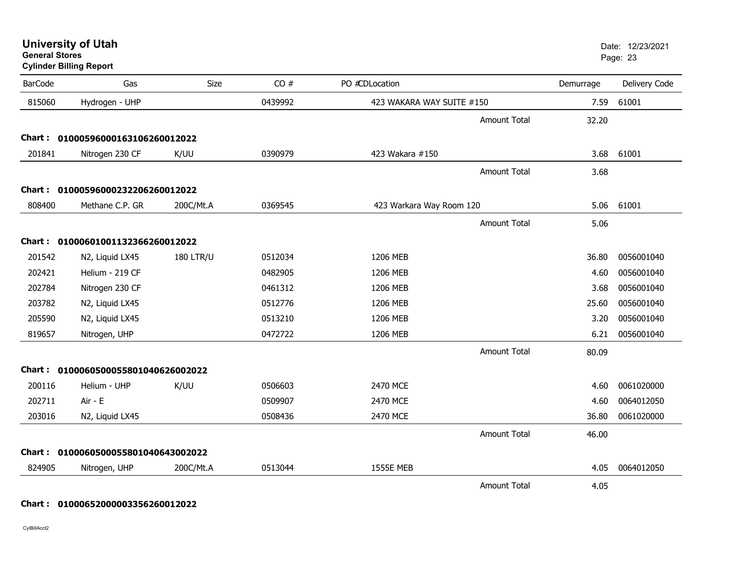| <b>University of Utah</b> |  |
|---------------------------|--|
| <b>General Stores</b>     |  |

| <b>BarCode</b> | Gas                                 | Size             | CO#     | PO #CDLocation            | Demurrage | Delivery Code |
|----------------|-------------------------------------|------------------|---------|---------------------------|-----------|---------------|
| 815060         | Hydrogen - UHP                      |                  | 0439992 | 423 WAKARA WAY SUITE #150 | 7.59      | 61001         |
|                |                                     |                  |         | <b>Amount Total</b>       | 32.20     |               |
|                | Chart: 01000596000163106260012022   |                  |         |                           |           |               |
| 201841         | Nitrogen 230 CF                     | K/UU             | 0390979 | 423 Wakara #150           | 3.68      | 61001         |
|                |                                     |                  |         | <b>Amount Total</b>       | 3.68      |               |
|                | Chart: 01000596000232206260012022   |                  |         |                           |           |               |
| 808400         | Methane C.P. GR                     | 200C/Mt.A        | 0369545 | 423 Warkara Way Room 120  | 5.06      | 61001         |
|                |                                     |                  |         | <b>Amount Total</b>       | 5.06      |               |
|                | Chart: 01000601001132366260012022   |                  |         |                           |           |               |
| 201542         | N2, Liquid LX45                     | <b>180 LTR/U</b> | 0512034 | 1206 MEB                  | 36.80     | 0056001040    |
| 202421         | Helium - 219 CF                     |                  | 0482905 | 1206 MEB                  | 4.60      | 0056001040    |
| 202784         | Nitrogen 230 CF                     |                  | 0461312 | 1206 MEB                  | 3.68      | 0056001040    |
| 203782         | N2, Liquid LX45                     |                  | 0512776 | 1206 MEB                  | 25.60     | 0056001040    |
| 205590         | N2, Liquid LX45                     |                  | 0513210 | 1206 MEB                  | 3.20      | 0056001040    |
| 819657         | Nitrogen, UHP                       |                  | 0472722 | 1206 MEB                  | 6.21      | 0056001040    |
|                |                                     |                  |         | <b>Amount Total</b>       | 80.09     |               |
|                | Chart: 0100060500055801040626002022 |                  |         |                           |           |               |
| 200116         | Helium - UHP                        | K/UU             | 0506603 | 2470 MCE                  | 4.60      | 0061020000    |
| 202711         | Air - E                             |                  | 0509907 | 2470 MCE                  | 4.60      | 0064012050    |
| 203016         | N2, Liquid LX45                     |                  | 0508436 | 2470 MCE                  | 36.80     | 0061020000    |
|                |                                     |                  |         | <b>Amount Total</b>       | 46.00     |               |
| Chart :        | 0100060500055801040643002022        |                  |         |                           |           |               |
| 824905         | Nitrogen, UHP                       | 200C/Mt.A        | 0513044 | <b>1555E MEB</b>          | 4.05      | 0064012050    |
|                |                                     |                  |         | <b>Amount Total</b>       | 4.05      |               |

## **Chart : 01000652000003356260012022**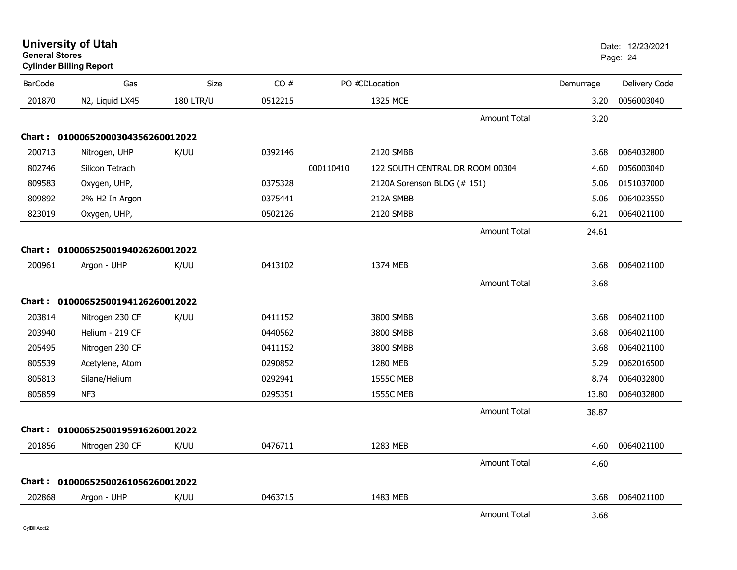| <b>University of Utah</b>      | Date: 12 |
|--------------------------------|----------|
| <b>General Stores</b>          | Page: 24 |
| <b>Cylinder Billing Report</b> |          |

| <b>BarCode</b> | Gas                               | Size             | CO#     |           | PO #CDLocation                  |                     | Demurrage | Delivery Code |
|----------------|-----------------------------------|------------------|---------|-----------|---------------------------------|---------------------|-----------|---------------|
| 201870         | N2, Liquid LX45                   | <b>180 LTR/U</b> | 0512215 |           | 1325 MCE                        |                     | 3.20      | 0056003040    |
|                |                                   |                  |         |           |                                 | <b>Amount Total</b> | 3.20      |               |
|                | Chart: 01000652000304356260012022 |                  |         |           |                                 |                     |           |               |
| 200713         | Nitrogen, UHP                     | K/UU             | 0392146 |           | 2120 SMBB                       |                     | 3.68      | 0064032800    |
| 802746         | Silicon Tetrach                   |                  |         | 000110410 | 122 SOUTH CENTRAL DR ROOM 00304 |                     | 4.60      | 0056003040    |
| 809583         | Oxygen, UHP,                      |                  | 0375328 |           | 2120A Sorenson BLDG (# 151)     |                     | 5.06      | 0151037000    |
| 809892         | 2% H2 In Argon                    |                  | 0375441 |           | 212A SMBB                       |                     | 5.06      | 0064023550    |
| 823019         | Oxygen, UHP,                      |                  | 0502126 |           | 2120 SMBB                       |                     | 6.21      | 0064021100    |
|                |                                   |                  |         |           |                                 | <b>Amount Total</b> | 24.61     |               |
|                | Chart: 01000652500194026260012022 |                  |         |           |                                 |                     |           |               |
| 200961         | Argon - UHP                       | K/UU             | 0413102 |           | 1374 MEB                        |                     | 3.68      | 0064021100    |
|                |                                   |                  |         |           |                                 | <b>Amount Total</b> | 3.68      |               |
|                | Chart: 01000652500194126260012022 |                  |         |           |                                 |                     |           |               |
| 203814         | Nitrogen 230 CF                   | K/UU             | 0411152 |           | 3800 SMBB                       |                     | 3.68      | 0064021100    |
| 203940         | Helium - 219 CF                   |                  | 0440562 |           | 3800 SMBB                       |                     | 3.68      | 0064021100    |
| 205495         | Nitrogen 230 CF                   |                  | 0411152 |           | 3800 SMBB                       |                     | 3.68      | 0064021100    |
| 805539         | Acetylene, Atom                   |                  | 0290852 |           | 1280 MEB                        |                     | 5.29      | 0062016500    |
| 805813         | Silane/Helium                     |                  | 0292941 |           | <b>1555C MEB</b>                |                     | 8.74      | 0064032800    |
| 805859         | NF3                               |                  | 0295351 |           | <b>1555C MEB</b>                |                     | 13.80     | 0064032800    |
|                |                                   |                  |         |           |                                 | <b>Amount Total</b> | 38.87     |               |
|                | Chart: 01000652500195916260012022 |                  |         |           |                                 |                     |           |               |
| 201856         | Nitrogen 230 CF                   | K/UU             | 0476711 |           | 1283 MEB                        |                     | 4.60      | 0064021100    |
|                |                                   |                  |         |           |                                 | <b>Amount Total</b> | 4.60      |               |
|                | Chart: 01000652500261056260012022 |                  |         |           |                                 |                     |           |               |
| 202868         | Argon - UHP                       | K/UU             | 0463715 |           | 1483 MEB                        |                     | 3.68      | 0064021100    |
|                |                                   |                  |         |           |                                 | <b>Amount Total</b> | 3.68      |               |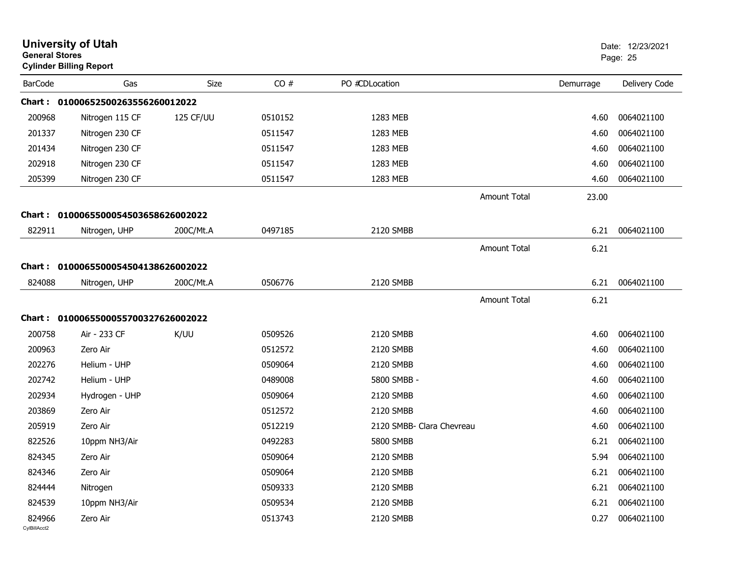| <b>General Stores</b>  | <b>University of Utah</b><br><b>Cylinder Billing Report</b> |           |         |                           |                     |           | Date: 12/23/2021<br>Page: 25 |
|------------------------|-------------------------------------------------------------|-----------|---------|---------------------------|---------------------|-----------|------------------------------|
| <b>BarCode</b>         | Gas                                                         | Size      | CO#     | PO #CDLocation            |                     | Demurrage | Delivery Code                |
|                        | Chart: 01000652500263556260012022                           |           |         |                           |                     |           |                              |
| 200968                 | Nitrogen 115 CF                                             | 125 CF/UU | 0510152 | 1283 MEB                  |                     | 4.60      | 0064021100                   |
| 201337                 | Nitrogen 230 CF                                             |           | 0511547 | 1283 MEB                  |                     | 4.60      | 0064021100                   |
| 201434                 | Nitrogen 230 CF                                             |           | 0511547 | 1283 MEB                  |                     | 4.60      | 0064021100                   |
| 202918                 | Nitrogen 230 CF                                             |           | 0511547 | 1283 MEB                  |                     | 4.60      | 0064021100                   |
| 205399                 | Nitrogen 230 CF                                             |           | 0511547 | 1283 MEB                  |                     | 4.60      | 0064021100                   |
|                        |                                                             |           |         |                           | <b>Amount Total</b> | 23.00     |                              |
|                        | Chart: 0100065500054503658626002022                         |           |         |                           |                     |           |                              |
| 822911                 | Nitrogen, UHP                                               | 200C/Mt.A | 0497185 | 2120 SMBB                 |                     | 6.21      | 0064021100                   |
|                        |                                                             |           |         |                           | <b>Amount Total</b> | 6.21      |                              |
|                        | Chart: 0100065500054504138626002022                         |           |         |                           |                     |           |                              |
|                        |                                                             |           |         | 2120 SMBB                 |                     |           |                              |
| 824088                 | Nitrogen, UHP                                               | 200C/Mt.A | 0506776 |                           |                     | 6.21      | 0064021100                   |
|                        |                                                             |           |         |                           | <b>Amount Total</b> | 6.21      |                              |
|                        | Chart: 0100065500055700327626002022                         |           |         |                           |                     |           |                              |
| 200758                 | Air - 233 CF                                                | K/UU      | 0509526 | 2120 SMBB                 |                     | 4.60      | 0064021100                   |
| 200963                 | Zero Air                                                    |           | 0512572 | 2120 SMBB                 |                     | 4.60      | 0064021100                   |
| 202276                 | Helium - UHP                                                |           | 0509064 | 2120 SMBB                 |                     | 4.60      | 0064021100                   |
| 202742                 | Helium - UHP                                                |           | 0489008 | 5800 SMBB -               |                     | 4.60      | 0064021100                   |
| 202934                 | Hydrogen - UHP                                              |           | 0509064 | 2120 SMBB                 |                     | 4.60      | 0064021100                   |
| 203869                 | Zero Air                                                    |           | 0512572 | 2120 SMBB                 |                     | 4.60      | 0064021100                   |
| 205919                 | Zero Air                                                    |           | 0512219 | 2120 SMBB- Clara Chevreau |                     | 4.60      | 0064021100                   |
| 822526                 | 10ppm NH3/Air                                               |           | 0492283 | <b>5800 SMBB</b>          |                     | 6.21      | 0064021100                   |
| 824345                 | Zero Air                                                    |           | 0509064 | 2120 SMBB                 |                     | 5.94      | 0064021100                   |
| 824346                 | Zero Air                                                    |           | 0509064 | 2120 SMBB                 |                     | 6.21      | 0064021100                   |
| 824444                 | Nitrogen                                                    |           | 0509333 | 2120 SMBB                 |                     | 6.21      | 0064021100                   |
| 824539                 | 10ppm NH3/Air                                               |           | 0509534 | 2120 SMBB                 |                     | 6.21      | 0064021100                   |
| 824966<br>CylBillAcct2 | Zero Air                                                    |           | 0513743 | 2120 SMBB                 |                     | 0.27      | 0064021100                   |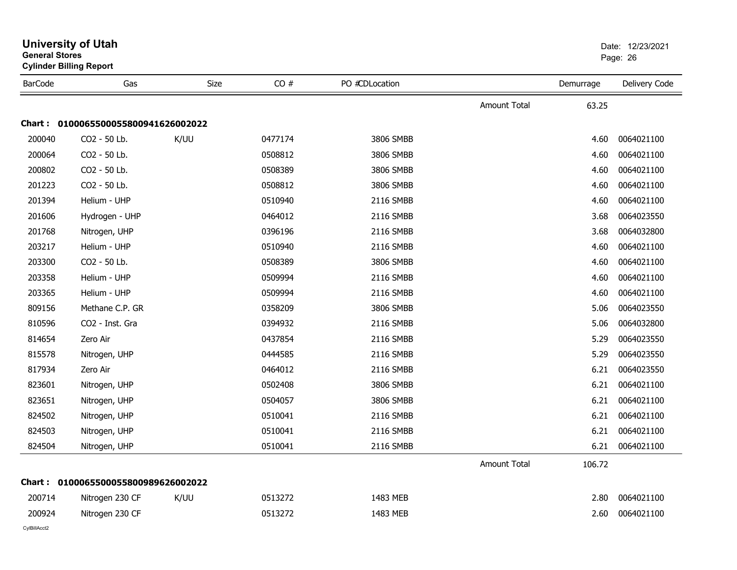| General Stores | <b>Cylinder Billing Report</b> |      |         |                |                     |           | Page: 26      |  |
|----------------|--------------------------------|------|---------|----------------|---------------------|-----------|---------------|--|
| <b>BarCode</b> | Gas                            | Size | CO#     | PO #CDLocation |                     | Demurrage | Delivery Code |  |
|                |                                |      |         |                | Amount Total        | 63.25     |               |  |
| <b>Chart :</b> | 0100065500055800941626002022   |      |         |                |                     |           |               |  |
| 200040         | CO2 - 50 Lb.                   | K/UU | 0477174 | 3806 SMBB      |                     | 4.60      | 0064021100    |  |
| 200064         | CO2 - 50 Lb.                   |      | 0508812 | 3806 SMBB      |                     | 4.60      | 0064021100    |  |
| 200802         | CO2 - 50 Lb.                   |      | 0508389 | 3806 SMBB      |                     | 4.60      | 0064021100    |  |
| 201223         | CO2 - 50 Lb.                   |      | 0508812 | 3806 SMBB      |                     | 4.60      | 0064021100    |  |
| 201394         | Helium - UHP                   |      | 0510940 | 2116 SMBB      |                     | 4.60      | 0064021100    |  |
| 201606         | Hydrogen - UHP                 |      | 0464012 | 2116 SMBB      |                     | 3.68      | 0064023550    |  |
| 201768         | Nitrogen, UHP                  |      | 0396196 | 2116 SMBB      |                     | 3.68      | 0064032800    |  |
| 203217         | Helium - UHP                   |      | 0510940 | 2116 SMBB      |                     | 4.60      | 0064021100    |  |
| 203300         | CO2 - 50 Lb.                   |      | 0508389 | 3806 SMBB      |                     | 4.60      | 0064021100    |  |
| 203358         | Helium - UHP                   |      | 0509994 | 2116 SMBB      |                     | 4.60      | 0064021100    |  |
| 203365         | Helium - UHP                   |      | 0509994 | 2116 SMBB      |                     | 4.60      | 0064021100    |  |
| 809156         | Methane C.P. GR                |      | 0358209 | 3806 SMBB      |                     | 5.06      | 0064023550    |  |
| 810596         | CO2 - Inst. Gra                |      | 0394932 | 2116 SMBB      |                     | 5.06      | 0064032800    |  |
| 814654         | Zero Air                       |      | 0437854 | 2116 SMBB      |                     | 5.29      | 0064023550    |  |
| 815578         | Nitrogen, UHP                  |      | 0444585 | 2116 SMBB      |                     | 5.29      | 0064023550    |  |
| 817934         | Zero Air                       |      | 0464012 | 2116 SMBB      |                     | 6.21      | 0064023550    |  |
| 823601         | Nitrogen, UHP                  |      | 0502408 | 3806 SMBB      |                     | 6.21      | 0064021100    |  |
| 823651         | Nitrogen, UHP                  |      | 0504057 | 3806 SMBB      |                     | 6.21      | 0064021100    |  |
| 824502         | Nitrogen, UHP                  |      | 0510041 | 2116 SMBB      |                     | 6.21      | 0064021100    |  |
| 824503         | Nitrogen, UHP                  |      | 0510041 | 2116 SMBB      |                     | 6.21      | 0064021100    |  |
| 824504         | Nitrogen, UHP                  |      | 0510041 | 2116 SMBB      |                     | 6.21      | 0064021100    |  |
|                |                                |      |         |                | <b>Amount Total</b> | 106.72    |               |  |
| <b>Chart :</b> | 0100065500055800989626002022   |      |         |                |                     |           |               |  |
| 200714         | Nitrogen 230 CF                | K/UU | 0513272 | 1483 MEB       |                     | 2.80      | 0064021100    |  |
| 200924         | Nitrogen 230 CF                |      | 0513272 | 1483 MEB       |                     | 2.60      | 0064021100    |  |
|                |                                |      |         |                |                     |           |               |  |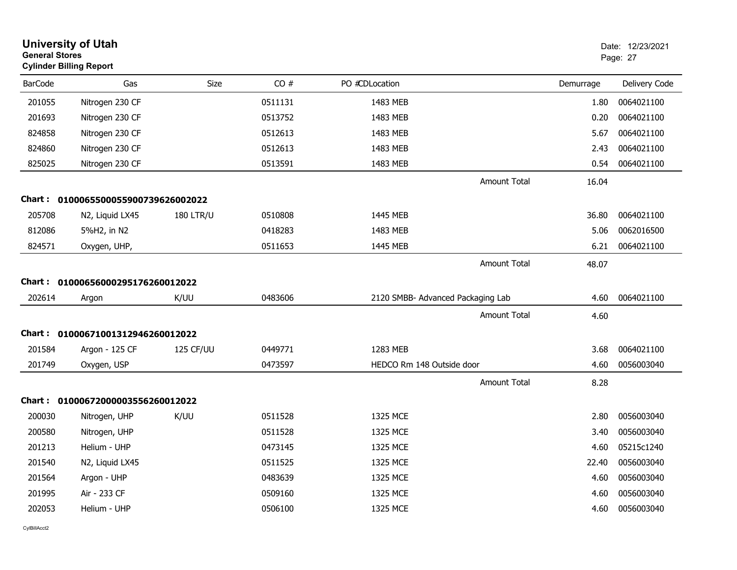| <b>General Stores</b> | <b>University of Utah</b><br><b>Cylinder Billing Report</b> |                  |         |                                   |                     |           | Date: 12/23/2021<br>Page: 27 |
|-----------------------|-------------------------------------------------------------|------------------|---------|-----------------------------------|---------------------|-----------|------------------------------|
| <b>BarCode</b>        | Gas                                                         | Size             | CO#     | PO #CDLocation                    |                     | Demurrage | Delivery Code                |
| 201055                | Nitrogen 230 CF                                             |                  | 0511131 | 1483 MEB                          |                     | 1.80      | 0064021100                   |
| 201693                | Nitrogen 230 CF                                             |                  | 0513752 | 1483 MEB                          |                     | 0.20      | 0064021100                   |
| 824858                | Nitrogen 230 CF                                             |                  | 0512613 | 1483 MEB                          |                     | 5.67      | 0064021100                   |
| 824860                | Nitrogen 230 CF                                             |                  | 0512613 | 1483 MEB                          |                     | 2.43      | 0064021100                   |
| 825025                | Nitrogen 230 CF                                             |                  | 0513591 | 1483 MEB                          |                     | 0.54      | 0064021100                   |
|                       |                                                             |                  |         |                                   | Amount Total        | 16.04     |                              |
| Chart :               | 0100065500055900739626002022                                |                  |         |                                   |                     |           |                              |
| 205708                | N2, Liquid LX45                                             | <b>180 LTR/U</b> | 0510808 | 1445 MEB                          |                     | 36.80     | 0064021100                   |
| 812086                | 5%H2, in N2                                                 |                  | 0418283 | 1483 MEB                          |                     | 5.06      | 0062016500                   |
| 824571                | Oxygen, UHP,                                                |                  | 0511653 | 1445 MEB                          |                     | 6.21      | 0064021100                   |
|                       |                                                             |                  |         |                                   | Amount Total        | 48.07     |                              |
| Chart :               | 01000656000295176260012022                                  |                  |         |                                   |                     |           |                              |
| 202614                | Argon                                                       | K/UU             | 0483606 | 2120 SMBB- Advanced Packaging Lab |                     | 4.60      | 0064021100                   |
|                       |                                                             |                  |         |                                   | Amount Total        | 4.60      |                              |
| Chart :               | 01000671001312946260012022                                  |                  |         |                                   |                     |           |                              |
| 201584                | Argon - 125 CF                                              | 125 CF/UU        | 0449771 | 1283 MEB                          |                     | 3.68      | 0064021100                   |
| 201749                | Oxygen, USP                                                 |                  | 0473597 | HEDCO Rm 148 Outside door         |                     | 4.60      | 0056003040                   |
|                       |                                                             |                  |         |                                   | <b>Amount Total</b> | 8.28      |                              |
| Chart :               | 01000672000003556260012022                                  |                  |         |                                   |                     |           |                              |
| 200030                | Nitrogen, UHP                                               | K/UU             | 0511528 | 1325 MCE                          |                     | 2.80      | 0056003040                   |
| 200580                | Nitrogen, UHP                                               |                  | 0511528 | 1325 MCE                          |                     | 3.40      | 0056003040                   |
| 201213                | Helium - UHP                                                |                  | 0473145 | 1325 MCE                          |                     | 4.60      | 05215c1240                   |
| 201540                | N2, Liquid LX45                                             |                  | 0511525 | 1325 MCE                          |                     | 22.40     | 0056003040                   |
| 201564                | Argon - UHP                                                 |                  | 0483639 | 1325 MCE                          |                     | 4.60      | 0056003040                   |
| 201995                | Air - 233 CF                                                |                  | 0509160 | 1325 MCE                          |                     | 4.60      | 0056003040                   |
| 202053                | Helium - UHP                                                |                  | 0506100 | 1325 MCE                          |                     | 4.60      | 0056003040                   |
|                       |                                                             |                  |         |                                   |                     |           |                              |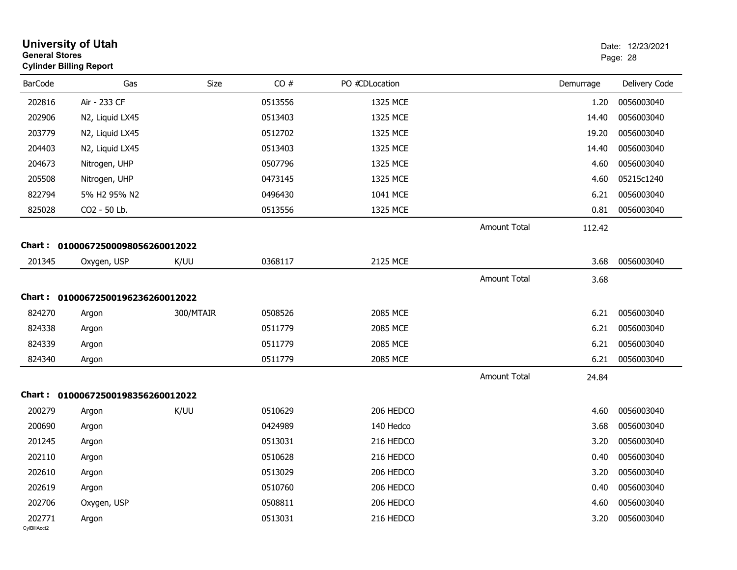| <b>General Stores</b>  | <b>University of Utah</b><br><b>Cylinder Billing Report</b> |           |         |                |                     |           | Date: 12/23/2021<br>Page: 28 |
|------------------------|-------------------------------------------------------------|-----------|---------|----------------|---------------------|-----------|------------------------------|
| <b>BarCode</b>         | Gas                                                         | Size      | CO#     | PO #CDLocation |                     | Demurrage | Delivery Code                |
| 202816                 | Air - 233 CF                                                |           | 0513556 | 1325 MCE       |                     | 1.20      | 0056003040                   |
| 202906                 | N2, Liquid LX45                                             |           | 0513403 | 1325 MCE       |                     | 14.40     | 0056003040                   |
| 203779                 | N2, Liquid LX45                                             |           | 0512702 | 1325 MCE       |                     | 19.20     | 0056003040                   |
| 204403                 | N2, Liquid LX45                                             |           | 0513403 | 1325 MCE       |                     | 14.40     | 0056003040                   |
| 204673                 | Nitrogen, UHP                                               |           | 0507796 | 1325 MCE       |                     | 4.60      | 0056003040                   |
| 205508                 | Nitrogen, UHP                                               |           | 0473145 | 1325 MCE       |                     | 4.60      | 05215c1240                   |
| 822794                 | 5% H2 95% N2                                                |           | 0496430 | 1041 MCE       |                     | 6.21      | 0056003040                   |
| 825028                 | CO2 - 50 Lb.                                                |           | 0513556 | 1325 MCE       |                     | 0.81      | 0056003040                   |
|                        |                                                             |           |         |                | <b>Amount Total</b> | 112.42    |                              |
|                        | Chart: 01000672500098056260012022                           |           |         |                |                     |           |                              |
| 201345                 | Oxygen, USP                                                 | K/UU      | 0368117 | 2125 MCE       |                     | 3.68      | 0056003040                   |
|                        |                                                             |           |         |                | <b>Amount Total</b> | 3.68      |                              |
|                        | Chart: 01000672500196236260012022                           |           |         |                |                     |           |                              |
| 824270                 | Argon                                                       | 300/MTAIR | 0508526 | 2085 MCE       |                     | 6.21      | 0056003040                   |
| 824338                 | Argon                                                       |           | 0511779 | 2085 MCE       |                     | 6.21      | 0056003040                   |
| 824339                 | Argon                                                       |           | 0511779 | 2085 MCE       |                     | 6.21      | 0056003040                   |
| 824340                 | Argon                                                       |           | 0511779 | 2085 MCE       |                     | 6.21      | 0056003040                   |
|                        |                                                             |           |         |                | <b>Amount Total</b> | 24.84     |                              |
|                        | Chart: 01000672500198356260012022                           |           |         |                |                     |           |                              |
| 200279                 | Argon                                                       | K/UU      | 0510629 | 206 HEDCO      |                     | 4.60      | 0056003040                   |
| 200690                 | Argon                                                       |           | 0424989 | 140 Hedco      |                     | 3.68      | 0056003040                   |
| 201245                 | Argon                                                       |           | 0513031 | 216 HEDCO      |                     | 3.20      | 0056003040                   |
| 202110                 | Argon                                                       |           | 0510628 | 216 HEDCO      |                     | 0.40      | 0056003040                   |
| 202610                 | Argon                                                       |           | 0513029 | 206 HEDCO      |                     | 3.20      | 0056003040                   |
| 202619                 | Argon                                                       |           | 0510760 | 206 HEDCO      |                     | 0.40      | 0056003040                   |
| 202706                 | Oxygen, USP                                                 |           | 0508811 | 206 HEDCO      |                     | 4.60      | 0056003040                   |
| 202771<br>CylBillAcct2 | Argon                                                       |           | 0513031 | 216 HEDCO      |                     | 3.20      | 0056003040                   |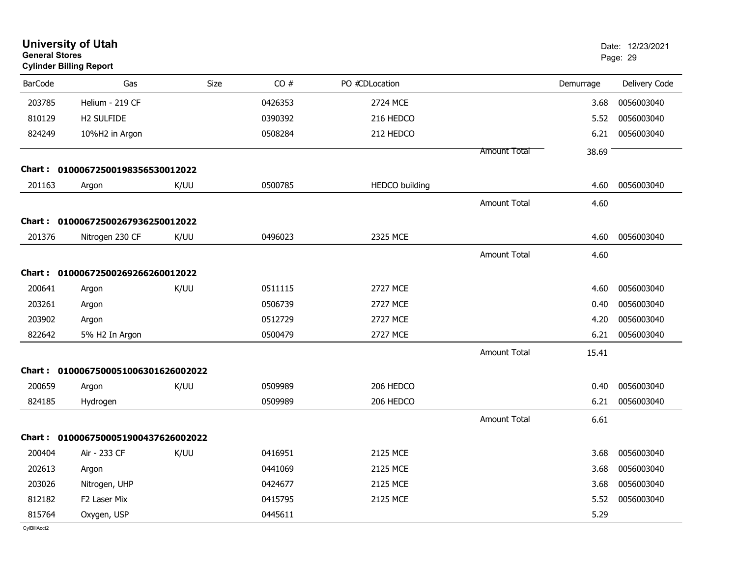| <b>General Stores</b> | <b>University of Utah</b><br><b>Cylinder Billing Report</b> |             |         |                       |                     |           | Date: 12/23/2021<br>Page: 29 |
|-----------------------|-------------------------------------------------------------|-------------|---------|-----------------------|---------------------|-----------|------------------------------|
| <b>BarCode</b>        | Gas                                                         | <b>Size</b> | CO#     | PO #CDLocation        |                     | Demurrage | Delivery Code                |
| 203785                | Helium - 219 CF                                             |             | 0426353 | 2724 MCE              |                     | 3.68      | 0056003040                   |
| 810129                | H2 SULFIDE                                                  |             | 0390392 | 216 HEDCO             |                     | 5.52      | 0056003040                   |
| 824249                | 10%H2 in Argon                                              |             | 0508284 | 212 HEDCO             |                     | 6.21      | 0056003040                   |
|                       |                                                             |             |         |                       | Amount Total        | 38.69     |                              |
| Chart :               | 01000672500198356530012022                                  |             |         |                       |                     |           |                              |
| 201163                | Argon                                                       | K/UU        | 0500785 | <b>HEDCO</b> building |                     | 4.60      | 0056003040                   |
|                       |                                                             |             |         |                       | <b>Amount Total</b> | 4.60      |                              |
| Chart :               | 01000672500267936250012022                                  |             |         |                       |                     |           |                              |
| 201376                | Nitrogen 230 CF                                             | K/UU        | 0496023 | 2325 MCE              |                     | 4.60      | 0056003040                   |
|                       |                                                             |             |         |                       | <b>Amount Total</b> | 4.60      |                              |
| Chart :               | 01000672500269266260012022                                  |             |         |                       |                     |           |                              |
| 200641                | Argon                                                       | K/UU        | 0511115 | 2727 MCE              |                     | 4.60      | 0056003040                   |
| 203261                | Argon                                                       |             | 0506739 | 2727 MCE              |                     | 0.40      | 0056003040                   |
| 203902                | Argon                                                       |             | 0512729 | <b>2727 MCE</b>       |                     | 4.20      | 0056003040                   |
| 822642                | 5% H2 In Argon                                              |             | 0500479 | <b>2727 MCE</b>       |                     | 6.21      | 0056003040                   |
|                       |                                                             |             |         |                       | <b>Amount Total</b> | 15.41     |                              |
|                       | Chart: 0100067500051006301626002022                         |             |         |                       |                     |           |                              |
| 200659                | Argon                                                       | K/UU        | 0509989 | 206 HEDCO             |                     | 0.40      | 0056003040                   |
| 824185                | Hydrogen                                                    |             | 0509989 | 206 HEDCO             |                     | 6.21      | 0056003040                   |
|                       |                                                             |             |         |                       | Amount Total        | 6.61      |                              |
|                       | Chart: 0100067500051900437626002022                         |             |         |                       |                     |           |                              |
| 200404                | Air - 233 CF                                                | K/UU        | 0416951 | 2125 MCE              |                     | 3.68      | 0056003040                   |
| 202613                | Argon                                                       |             | 0441069 | <b>2125 MCE</b>       |                     | 3.68      | 0056003040                   |
| 203026                | Nitrogen, UHP                                               |             | 0424677 | 2125 MCE              |                     | 3.68      | 0056003040                   |
| 812182                | F2 Laser Mix                                                |             | 0415795 | 2125 MCE              |                     | 5.52      | 0056003040                   |
| 815764                | Oxygen, USP                                                 |             | 0445611 |                       |                     | 5.29      |                              |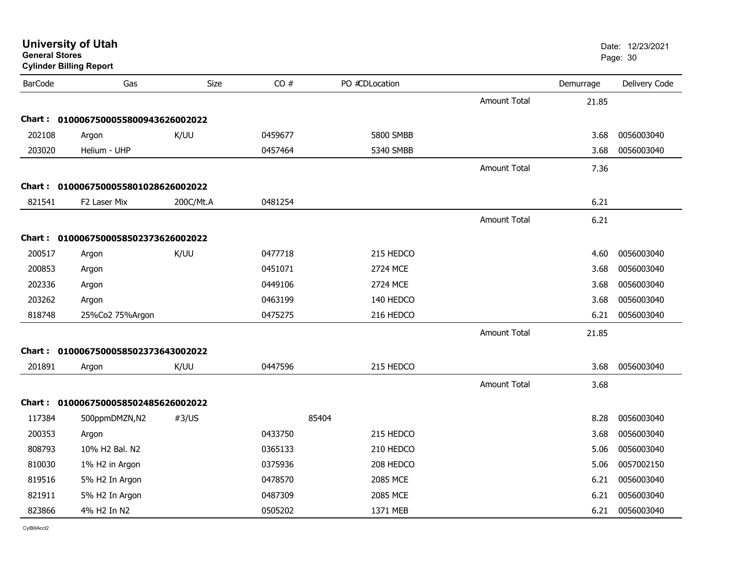| <b>General Stores</b> | <b>University of Utah</b><br><b>Cylinder Billing Report</b> |           |         |                |                     |           | Date: 12/23/2021<br>Page: 30 |
|-----------------------|-------------------------------------------------------------|-----------|---------|----------------|---------------------|-----------|------------------------------|
| <b>BarCode</b>        | Gas                                                         | Size      | CO#     | PO #CDLocation |                     | Demurrage | Delivery Code                |
|                       |                                                             |           |         |                | <b>Amount Total</b> | 21.85     |                              |
| Chart :               | 0100067500055800943626002022                                |           |         |                |                     |           |                              |
| 202108                | Argon                                                       | K/UU      | 0459677 | 5800 SMBB      |                     | 3.68      | 0056003040                   |
| 203020                | Helium - UHP                                                |           | 0457464 | 5340 SMBB      |                     | 3.68      | 0056003040                   |
|                       |                                                             |           |         |                | <b>Amount Total</b> | 7.36      |                              |
|                       | Chart: 0100067500055801028626002022                         |           |         |                |                     |           |                              |
| 821541                | F2 Laser Mix                                                | 200C/Mt.A | 0481254 |                |                     | 6.21      |                              |
|                       |                                                             |           |         |                | <b>Amount Total</b> | 6.21      |                              |
|                       | Chart: 0100067500058502373626002022                         |           |         |                |                     |           |                              |
| 200517                | Argon                                                       | K/UU      | 0477718 | 215 HEDCO      |                     | 4.60      | 0056003040                   |
| 200853                | Argon                                                       |           | 0451071 | 2724 MCE       |                     | 3.68      | 0056003040                   |
| 202336                | Argon                                                       |           | 0449106 | 2724 MCE       |                     | 3.68      | 0056003040                   |
| 203262                | Argon                                                       |           | 0463199 | 140 HEDCO      |                     | 3.68      | 0056003040                   |
| 818748                | 25%Co2 75%Argon                                             |           | 0475275 | 216 HEDCO      |                     | 6.21      | 0056003040                   |
|                       |                                                             |           |         |                | <b>Amount Total</b> | 21.85     |                              |
|                       | Chart: 0100067500058502373643002022                         |           |         |                |                     |           |                              |
| 201891                | Argon                                                       | K/UU      | 0447596 | 215 HEDCO      |                     | 3.68      | 0056003040                   |
|                       |                                                             |           |         |                | <b>Amount Total</b> | 3.68      |                              |
|                       | Chart: 0100067500058502485626002022                         |           |         |                |                     |           |                              |
| 117384                | 500ppmDMZN,N2                                               | #3/US     |         | 85404          |                     | 8.28      | 0056003040                   |
| 200353                | Argon                                                       |           | 0433750 | 215 HEDCO      |                     | 3.68      | 0056003040                   |
| 808793                | 10% H2 Bal. N2                                              |           | 0365133 | 210 HEDCO      |                     | 5.06      | 0056003040                   |
| 810030                | 1% H2 in Argon                                              |           | 0375936 | 208 HEDCO      |                     | 5.06      | 0057002150                   |
| 819516                | 5% H2 In Argon                                              |           | 0478570 | 2085 MCE       |                     | 6.21      | 0056003040                   |
| 821911                | 5% H2 In Argon                                              |           | 0487309 | 2085 MCE       |                     | 6.21      | 0056003040                   |
| 823866                | 4% H2 In N2                                                 |           | 0505202 | 1371 MEB       |                     | 6.21      | 0056003040                   |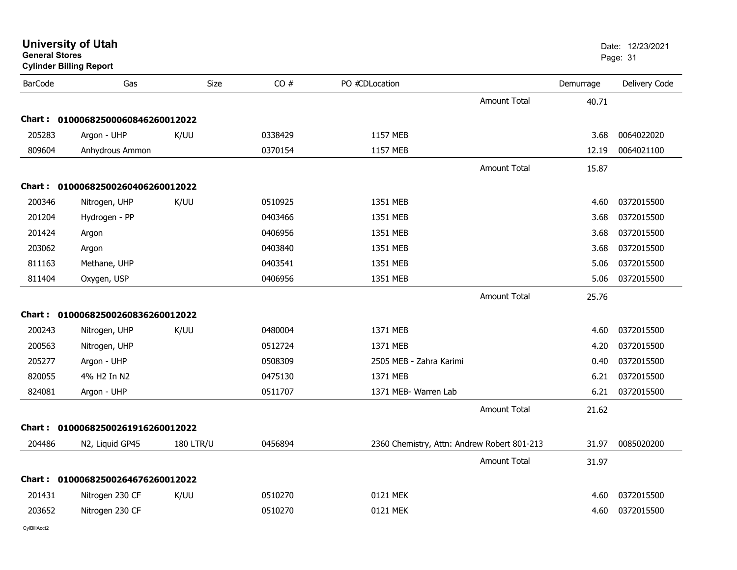| General Stores | <b>Cylinder Billing Report</b>    |                  |         |                                             |                     |           | Page: 31      |
|----------------|-----------------------------------|------------------|---------|---------------------------------------------|---------------------|-----------|---------------|
| <b>BarCode</b> | Gas                               | Size             | CO#     | PO #CDLocation                              |                     | Demurrage | Delivery Code |
|                |                                   |                  |         |                                             | <b>Amount Total</b> | 40.71     |               |
|                | Chart: 01000682500060846260012022 |                  |         |                                             |                     |           |               |
| 205283         | Argon - UHP                       | K/UU             | 0338429 | 1157 MEB                                    |                     | 3.68      | 0064022020    |
| 809604         | Anhydrous Ammon                   |                  | 0370154 | 1157 MEB                                    |                     | 12.19     | 0064021100    |
|                |                                   |                  |         |                                             | <b>Amount Total</b> | 15.87     |               |
|                | Chart: 01000682500260406260012022 |                  |         |                                             |                     |           |               |
| 200346         | Nitrogen, UHP                     | K/UU             | 0510925 | 1351 MEB                                    |                     | 4.60      | 0372015500    |
| 201204         | Hydrogen - PP                     |                  | 0403466 | 1351 MEB                                    |                     | 3.68      | 0372015500    |
| 201424         | Argon                             |                  | 0406956 | 1351 MEB                                    |                     | 3.68      | 0372015500    |
| 203062         | Argon                             |                  | 0403840 | 1351 MEB                                    |                     | 3.68      | 0372015500    |
| 811163         | Methane, UHP                      |                  | 0403541 | 1351 MEB                                    |                     | 5.06      | 0372015500    |
| 811404         | Oxygen, USP                       |                  | 0406956 | 1351 MEB                                    |                     | 5.06      | 0372015500    |
|                |                                   |                  |         |                                             | <b>Amount Total</b> | 25.76     |               |
|                | Chart: 01000682500260836260012022 |                  |         |                                             |                     |           |               |
| 200243         | Nitrogen, UHP                     | K/UU             | 0480004 | 1371 MEB                                    |                     | 4.60      | 0372015500    |
| 200563         | Nitrogen, UHP                     |                  | 0512724 | 1371 MEB                                    |                     | 4.20      | 0372015500    |
| 205277         | Argon - UHP                       |                  | 0508309 | 2505 MEB - Zahra Karimi                     |                     | 0.40      | 0372015500    |
| 820055         | 4% H2 In N2                       |                  | 0475130 | 1371 MEB                                    |                     | 6.21      | 0372015500    |
| 824081         | Argon - UHP                       |                  | 0511707 | 1371 MEB- Warren Lab                        |                     | 6.21      | 0372015500    |
|                |                                   |                  |         |                                             | <b>Amount Total</b> | 21.62     |               |
| Chart :        | 01000682500261916260012022        |                  |         |                                             |                     |           |               |
| 204486         | N2, Liquid GP45                   | <b>180 LTR/U</b> | 0456894 | 2360 Chemistry, Attn: Andrew Robert 801-213 |                     | 31.97     | 0085020200    |
|                |                                   |                  |         |                                             | <b>Amount Total</b> | 31.97     |               |
|                | Chart: 01000682500264676260012022 |                  |         |                                             |                     |           |               |
| 201431         | Nitrogen 230 CF                   | K/UU             | 0510270 | 0121 MEK                                    |                     | 4.60      | 0372015500    |
| 203652         | Nitrogen 230 CF                   |                  | 0510270 | 0121 MEK                                    |                     | 4.60      | 0372015500    |
|                |                                   |                  |         |                                             |                     |           |               |

**University of Utah** Date: 12/23/2021

CylBillAcct2

**General Stores**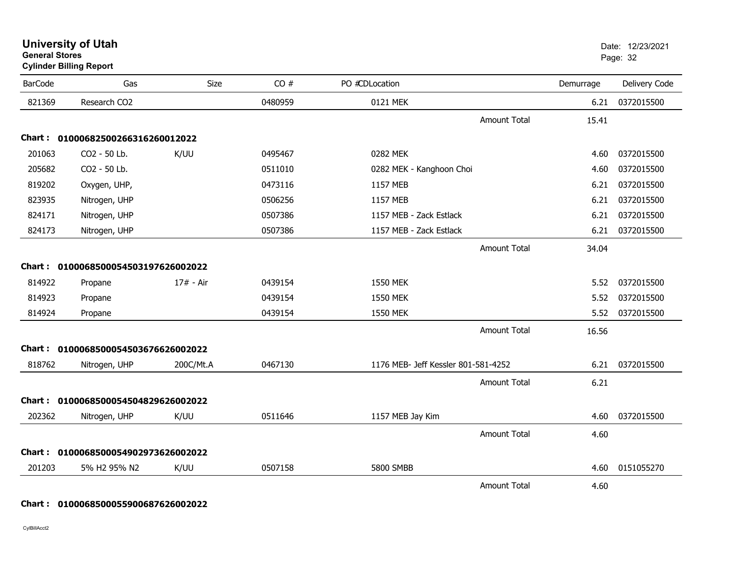| <b>BarCode</b> | Gas                                 | Size      | CO#     | PO #CDLocation                      |                     | Demurrage | Delivery Code   |
|----------------|-------------------------------------|-----------|---------|-------------------------------------|---------------------|-----------|-----------------|
| 821369         | Research CO2                        |           | 0480959 | 0121 MEK                            |                     |           | 6.21 0372015500 |
|                |                                     |           |         |                                     | <b>Amount Total</b> | 15.41     |                 |
|                | Chart: 01000682500266316260012022   |           |         |                                     |                     |           |                 |
| 201063         | CO2 - 50 Lb.                        | K/UU      | 0495467 | 0282 MEK                            |                     | 4.60      | 0372015500      |
| 205682         | CO2 - 50 Lb.                        |           | 0511010 | 0282 MEK - Kanghoon Choi            |                     | 4.60      | 0372015500      |
| 819202         | Oxygen, UHP,                        |           | 0473116 | 1157 MEB                            |                     | 6.21      | 0372015500      |
| 823935         | Nitrogen, UHP                       |           | 0506256 | 1157 MEB                            |                     | 6.21      | 0372015500      |
| 824171         | Nitrogen, UHP                       |           | 0507386 | 1157 MEB - Zack Estlack             |                     | 6.21      | 0372015500      |
| 824173         | Nitrogen, UHP                       |           | 0507386 | 1157 MEB - Zack Estlack             |                     | 6.21      | 0372015500      |
|                |                                     |           |         |                                     | <b>Amount Total</b> | 34.04     |                 |
|                | Chart: 0100068500054503197626002022 |           |         |                                     |                     |           |                 |
| 814922         | Propane                             | 17# - Air | 0439154 | 1550 MEK                            |                     | 5.52      | 0372015500      |
| 814923         | Propane                             |           | 0439154 | 1550 MEK                            |                     | 5.52      | 0372015500      |
| 814924         | Propane                             |           | 0439154 | 1550 MEK                            |                     | 5.52      | 0372015500      |
|                |                                     |           |         |                                     | <b>Amount Total</b> | 16.56     |                 |
|                | Chart: 0100068500054503676626002022 |           |         |                                     |                     |           |                 |
| 818762         | Nitrogen, UHP                       | 200C/Mt.A | 0467130 | 1176 MEB- Jeff Kessler 801-581-4252 |                     | 6.21      | 0372015500      |
|                |                                     |           |         |                                     | <b>Amount Total</b> | 6.21      |                 |
|                | Chart: 0100068500054504829626002022 |           |         |                                     |                     |           |                 |
| 202362         | Nitrogen, UHP                       | K/UU      | 0511646 | 1157 MEB Jay Kim                    |                     | 4.60      | 0372015500      |
|                |                                     |           |         |                                     | <b>Amount Total</b> | 4.60      |                 |
|                | Chart: 0100068500054902973626002022 |           |         |                                     |                     |           |                 |
| 201203         | 5% H2 95% N2                        | K/UU      | 0507158 | 5800 SMBB                           |                     | 4.60      | 0151055270      |
|                |                                     |           |         |                                     |                     |           |                 |
|                |                                     |           |         |                                     | <b>Amount Total</b> | 4.60      |                 |

### **General Stores**entry of the control of the control of the control of the control of the control of the control of the control of the control of the control of the control of the control of the control of the control of the control of the **Cylinder Billing Report**

**Chart : 0100068500055900687626002022**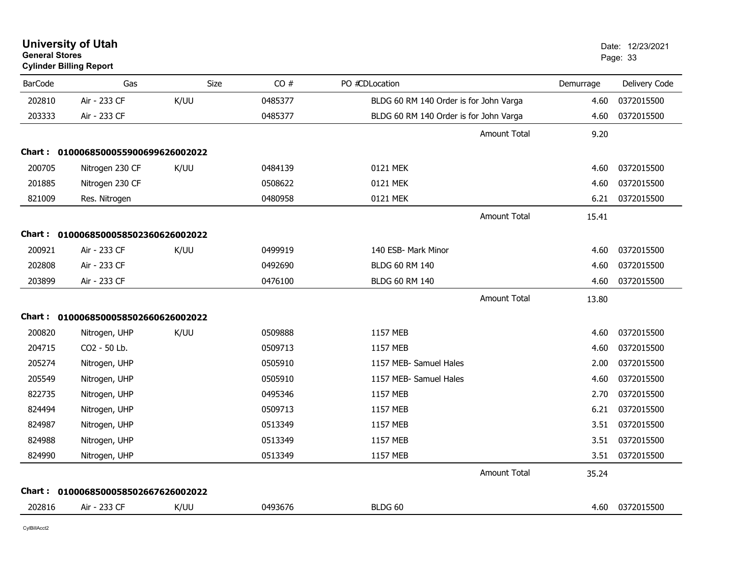| General Stores | <b>Cylinder Billing Report</b>      |      |         |                                        |           | Page: 33      |
|----------------|-------------------------------------|------|---------|----------------------------------------|-----------|---------------|
| <b>BarCode</b> | Gas                                 | Size | CO#     | PO #CDLocation                         | Demurrage | Delivery Code |
| 202810         | Air - 233 CF                        | K/UU | 0485377 | BLDG 60 RM 140 Order is for John Varga | 4.60      | 0372015500    |
| 203333         | Air - 233 CF                        |      | 0485377 | BLDG 60 RM 140 Order is for John Varga | 4.60      | 0372015500    |
|                |                                     |      |         | <b>Amount Total</b>                    | 9.20      |               |
|                | Chart: 0100068500055900699626002022 |      |         |                                        |           |               |
| 200705         | Nitrogen 230 CF                     | K/UU | 0484139 | 0121 MEK                               | 4.60      | 0372015500    |
| 201885         | Nitrogen 230 CF                     |      | 0508622 | 0121 MEK                               | 4.60      | 0372015500    |
| 821009         | Res. Nitrogen                       |      | 0480958 | 0121 MEK                               | 6.21      | 0372015500    |
|                |                                     |      |         | <b>Amount Total</b>                    | 15.41     |               |
|                | Chart: 0100068500058502360626002022 |      |         |                                        |           |               |
| 200921         | Air - 233 CF                        | K/UU | 0499919 | 140 ESB- Mark Minor                    | 4.60      | 0372015500    |
| 202808         | Air - 233 CF                        |      | 0492690 | <b>BLDG 60 RM 140</b>                  | 4.60      | 0372015500    |
| 203899         | Air - 233 CF                        |      | 0476100 | BLDG 60 RM 140                         | 4.60      | 0372015500    |
|                |                                     |      |         | <b>Amount Total</b>                    | 13.80     |               |
|                | Chart: 0100068500058502660626002022 |      |         |                                        |           |               |
| 200820         | Nitrogen, UHP                       | K/UU | 0509888 | 1157 MEB                               | 4.60      | 0372015500    |
| 204715         | CO2 - 50 Lb.                        |      | 0509713 | 1157 MEB                               | 4.60      | 0372015500    |
| 205274         | Nitrogen, UHP                       |      | 0505910 | 1157 MEB- Samuel Hales                 | 2.00      | 0372015500    |
| 205549         | Nitrogen, UHP                       |      | 0505910 | 1157 MEB- Samuel Hales                 | 4.60      | 0372015500    |
| 822735         | Nitrogen, UHP                       |      | 0495346 | 1157 MEB                               | 2.70      | 0372015500    |
| 824494         | Nitrogen, UHP                       |      | 0509713 | 1157 MEB                               | 6.21      | 0372015500    |
| 824987         | Nitrogen, UHP                       |      | 0513349 | 1157 MEB                               | 3.51      | 0372015500    |
| 824988         | Nitrogen, UHP                       |      | 0513349 | 1157 MEB                               | 3.51      | 0372015500    |
| 824990         | Nitrogen, UHP                       |      | 0513349 | 1157 MEB                               | 3.51      | 0372015500    |
|                |                                     |      |         | <b>Amount Total</b>                    | 35.24     |               |
|                | Chart: 0100068500058502667626002022 |      |         |                                        |           |               |
| 202816         | Air - 233 CF                        | K/UU | 0493676 | BLDG 60                                | 4.60      | 0372015500    |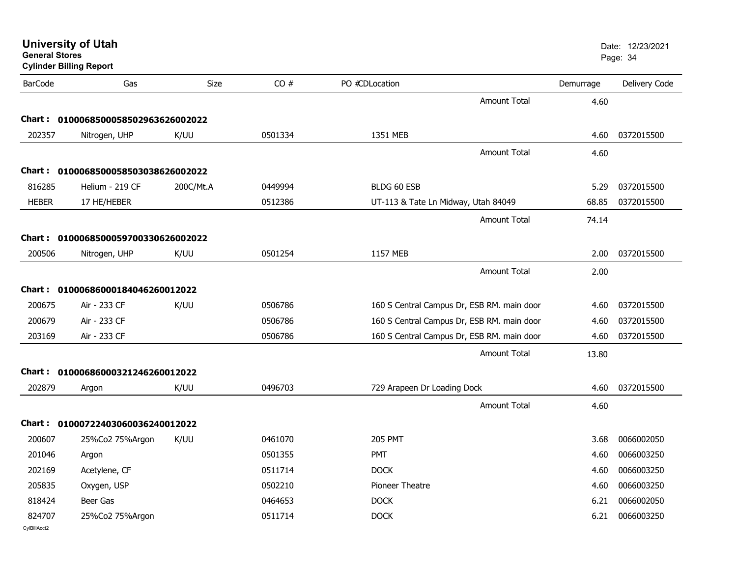| <b>University of Utah</b><br><b>General Stores</b><br><b>Cylinder Billing Report</b> |                                     |             |         | Date: 12/23/2021<br>Page: 34               |                     |           |               |
|--------------------------------------------------------------------------------------|-------------------------------------|-------------|---------|--------------------------------------------|---------------------|-----------|---------------|
| <b>BarCode</b>                                                                       | Gas                                 | <b>Size</b> | CO#     | PO #CDLocation                             |                     | Demurrage | Delivery Code |
|                                                                                      |                                     |             |         |                                            | <b>Amount Total</b> | 4.60      |               |
|                                                                                      | Chart: 0100068500058502963626002022 |             |         |                                            |                     |           |               |
| 202357                                                                               | Nitrogen, UHP                       | K/UU        | 0501334 | 1351 MEB                                   |                     | 4.60      | 0372015500    |
|                                                                                      |                                     |             |         |                                            | <b>Amount Total</b> | 4.60      |               |
|                                                                                      | Chart: 0100068500058503038626002022 |             |         |                                            |                     |           |               |
| 816285                                                                               | Helium - 219 CF                     | 200C/Mt.A   | 0449994 | BLDG 60 ESB                                |                     | 5.29      | 0372015500    |
| <b>HEBER</b>                                                                         | 17 HE/HEBER                         |             | 0512386 | UT-113 & Tate Ln Midway, Utah 84049        |                     | 68.85     | 0372015500    |
|                                                                                      |                                     |             |         |                                            | <b>Amount Total</b> | 74.14     |               |
|                                                                                      | Chart: 0100068500059700330626002022 |             |         |                                            |                     |           |               |
| 200506                                                                               | Nitrogen, UHP                       | K/UU        | 0501254 | 1157 MEB                                   |                     | 2.00      | 0372015500    |
|                                                                                      |                                     |             |         |                                            | <b>Amount Total</b> | 2.00      |               |
|                                                                                      | Chart: 01000686000184046260012022   |             |         |                                            |                     |           |               |
| 200675                                                                               | Air - 233 CF                        | K/UU        | 0506786 | 160 S Central Campus Dr, ESB RM. main door |                     | 4.60      | 0372015500    |
| 200679                                                                               | Air - 233 CF                        |             | 0506786 | 160 S Central Campus Dr, ESB RM. main door |                     | 4.60      | 0372015500    |
| 203169                                                                               | Air - 233 CF                        |             | 0506786 | 160 S Central Campus Dr, ESB RM. main door |                     | 4.60      | 0372015500    |
|                                                                                      |                                     |             |         |                                            | <b>Amount Total</b> | 13.80     |               |
|                                                                                      | Chart: 01000686000321246260012022   |             |         |                                            |                     |           |               |
| 202879                                                                               | Argon                               | K/UU        | 0496703 | 729 Arapeen Dr Loading Dock                |                     | 4.60      | 0372015500    |
|                                                                                      |                                     |             |         |                                            | Amount Total        | 4.60      |               |
|                                                                                      | Chart: 01000722403060036240012022   |             |         |                                            |                     |           |               |
| 200607                                                                               | 25%Co2 75%Argon                     | K/UU        | 0461070 | <b>205 PMT</b>                             |                     | 3.68      | 0066002050    |
| 201046                                                                               | Argon                               |             | 0501355 | PMT                                        |                     | 4.60      | 0066003250    |
| 202169                                                                               | Acetylene, CF                       |             | 0511714 | <b>DOCK</b>                                |                     | 4.60      | 0066003250    |
| 205835                                                                               | Oxygen, USP                         |             | 0502210 | Pioneer Theatre                            |                     | 4.60      | 0066003250    |
| 818424                                                                               | Beer Gas                            |             | 0464653 | <b>DOCK</b>                                |                     | 6.21      | 0066002050    |
| 824707<br>CvIBillAcct2                                                               | 25%Co2 75%Argon                     |             | 0511714 | <b>DOCK</b>                                |                     | 6.21      | 0066003250    |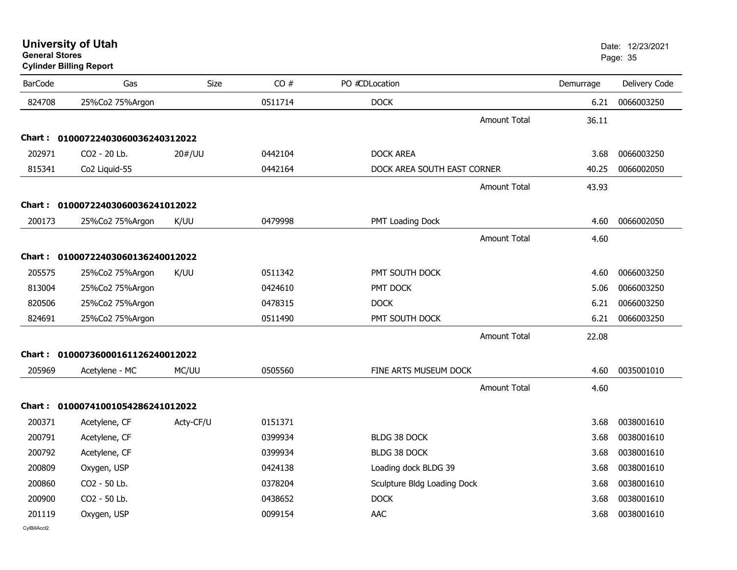| General Stores<br><b>Cylinder Billing Report</b> |                                   |             |         |                             |           | Page: 35      |  |  |
|--------------------------------------------------|-----------------------------------|-------------|---------|-----------------------------|-----------|---------------|--|--|
| <b>BarCode</b>                                   | Gas                               | <b>Size</b> | CO#     | PO #CDLocation              | Demurrage | Delivery Code |  |  |
| 824708                                           | 25%Co2 75%Argon                   |             | 0511714 | <b>DOCK</b>                 | 6.21      | 0066003250    |  |  |
|                                                  |                                   |             |         | <b>Amount Total</b>         | 36.11     |               |  |  |
|                                                  | Chart: 01000722403060036240312022 |             |         |                             |           |               |  |  |
| 202971                                           | CO2 - 20 Lb.                      | 20#/UU      | 0442104 | <b>DOCK AREA</b>            | 3.68      | 0066003250    |  |  |
| 815341                                           | Co2 Liquid-55                     |             | 0442164 | DOCK AREA SOUTH EAST CORNER | 40.25     | 0066002050    |  |  |
|                                                  |                                   |             |         | <b>Amount Total</b>         | 43.93     |               |  |  |
| Chart :                                          | 01000722403060036241012022        |             |         |                             |           |               |  |  |
| 200173                                           | 25%Co2 75%Argon                   | K/UU        | 0479998 | PMT Loading Dock            | 4.60      | 0066002050    |  |  |
|                                                  |                                   |             |         | <b>Amount Total</b>         | 4.60      |               |  |  |
| Chart :                                          | 01000722403060136240012022        |             |         |                             |           |               |  |  |
| 205575                                           | 25%Co2 75%Argon                   | K/UU        | 0511342 | PMT SOUTH DOCK              | 4.60      | 0066003250    |  |  |
| 813004                                           | 25%Co2 75%Argon                   |             | 0424610 | PMT DOCK                    | 5.06      | 0066003250    |  |  |
| 820506                                           | 25%Co2 75%Argon                   |             | 0478315 | <b>DOCK</b>                 | 6.21      | 0066003250    |  |  |
| 824691                                           | 25%Co2 75%Argon                   |             | 0511490 | PMT SOUTH DOCK              | 6.21      | 0066003250    |  |  |
|                                                  |                                   |             |         | <b>Amount Total</b>         | 22.08     |               |  |  |
| Chart :                                          | 01000736000161126240012022        |             |         |                             |           |               |  |  |
| 205969                                           | Acetylene - MC                    | MC/UU       | 0505560 | FINE ARTS MUSEUM DOCK       | 4.60      | 0035001010    |  |  |
|                                                  |                                   |             |         | <b>Amount Total</b>         | 4.60      |               |  |  |
|                                                  | Chart: 01000741001054286241012022 |             |         |                             |           |               |  |  |
| 200371                                           | Acetylene, CF                     | Acty-CF/U   | 0151371 |                             | 3.68      | 0038001610    |  |  |
| 200791                                           | Acetylene, CF                     |             | 0399934 | <b>BLDG 38 DOCK</b>         | 3.68      | 0038001610    |  |  |
| 200792                                           | Acetylene, CF                     |             | 0399934 | <b>BLDG 38 DOCK</b>         | 3.68      | 0038001610    |  |  |
| 200809                                           | Oxygen, USP                       |             | 0424138 | Loading dock BLDG 39        | 3.68      | 0038001610    |  |  |
| 200860                                           | CO2 - 50 Lb.                      |             | 0378204 | Sculpture Bldg Loading Dock | 3.68      | 0038001610    |  |  |
| 200900                                           | CO2 - 50 Lb.                      |             | 0438652 | <b>DOCK</b>                 | 3.68      | 0038001610    |  |  |
| 201119                                           | Oxygen, USP                       |             | 0099154 | AAC                         | 3.68      | 0038001610    |  |  |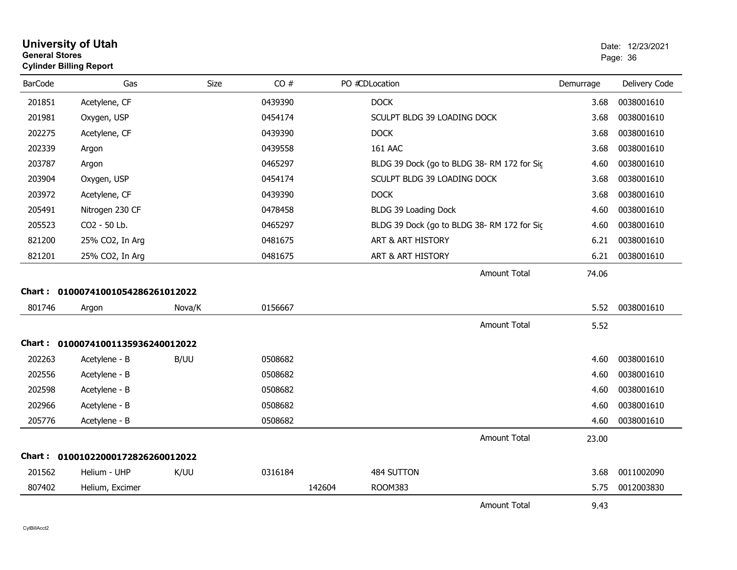| <b>University of Utah</b><br><b>General Stores</b><br><b>Cylinder Billing Report</b> |     |             |     |                | Date: 12<br>Page: 36 |
|--------------------------------------------------------------------------------------|-----|-------------|-----|----------------|----------------------|
| BarCode                                                                              | Gas | <b>Size</b> | CO# | PO #CDLocation | Deli<br>Demurrage    |

| <b>BarCode</b>                    | Gas                               | <b>Size</b> | CO#     |        | PO #CDLocation                             |                     | Demurrage | Delivery Code |
|-----------------------------------|-----------------------------------|-------------|---------|--------|--------------------------------------------|---------------------|-----------|---------------|
| 201851                            | Acetylene, CF                     |             | 0439390 |        | <b>DOCK</b>                                |                     | 3.68      | 0038001610    |
| 201981                            | Oxygen, USP                       |             | 0454174 |        | SCULPT BLDG 39 LOADING DOCK                |                     | 3.68      | 0038001610    |
| 202275                            | Acetylene, CF                     |             | 0439390 |        | <b>DOCK</b>                                |                     | 3.68      | 0038001610    |
| 202339                            | Argon                             |             | 0439558 |        | <b>161 AAC</b>                             |                     | 3.68      | 0038001610    |
| 203787                            | Argon                             |             | 0465297 |        | BLDG 39 Dock (go to BLDG 38-RM 172 for Sic |                     | 4.60      | 0038001610    |
| 203904                            | Oxygen, USP                       |             | 0454174 |        | SCULPT BLDG 39 LOADING DOCK                |                     | 3.68      | 0038001610    |
| 203972                            | Acetylene, CF                     |             | 0439390 |        | <b>DOCK</b>                                |                     | 3.68      | 0038001610    |
| 205491                            | Nitrogen 230 CF                   |             | 0478458 |        | BLDG 39 Loading Dock                       |                     | 4.60      | 0038001610    |
| 205523                            | CO2 - 50 Lb.                      |             | 0465297 |        | BLDG 39 Dock (go to BLDG 38-RM 172 for Sic |                     | 4.60      | 0038001610    |
| 821200                            | 25% CO2, In Arg                   |             | 0481675 |        | ART & ART HISTORY                          |                     | 6.21      | 0038001610    |
| 821201                            | 25% CO2, In Arg                   |             | 0481675 |        | ART & ART HISTORY                          |                     | 6.21      | 0038001610    |
|                                   |                                   |             |         |        |                                            | Amount Total        | 74.06     |               |
|                                   | Chart: 01000741001054286261012022 |             |         |        |                                            |                     |           |               |
| 801746                            | Argon                             | Nova/K      | 0156667 |        |                                            |                     | 5.52      | 0038001610    |
|                                   |                                   |             |         |        |                                            | <b>Amount Total</b> | 5.52      |               |
| Chart: 01000741001135936240012022 |                                   |             |         |        |                                            |                     |           |               |
| 202263                            | Acetylene - B                     | B/UU        | 0508682 |        |                                            |                     | 4.60      | 0038001610    |
| 202556                            | Acetylene - B                     |             | 0508682 |        |                                            |                     | 4.60      | 0038001610    |
| 202598                            | Acetylene - B                     |             | 0508682 |        |                                            |                     | 4.60      | 0038001610    |
| 202966                            | Acetylene - B                     |             | 0508682 |        |                                            |                     | 4.60      | 0038001610    |
| 205776                            | Acetylene - B                     |             | 0508682 |        |                                            |                     | 4.60      | 0038001610    |
|                                   |                                   |             |         |        |                                            | <b>Amount Total</b> | 23.00     |               |
| Chart: 01001022000172826260012022 |                                   |             |         |        |                                            |                     |           |               |
| 201562                            | Helium - UHP                      | K/UU        | 0316184 |        | 484 SUTTON                                 |                     | 3.68      | 0011002090    |
| 807402                            | Helium, Excimer                   |             |         | 142604 | <b>ROOM383</b>                             |                     | 5.75      | 0012003830    |
|                                   |                                   |             |         |        |                                            | <b>Amount Total</b> | 9.43      |               |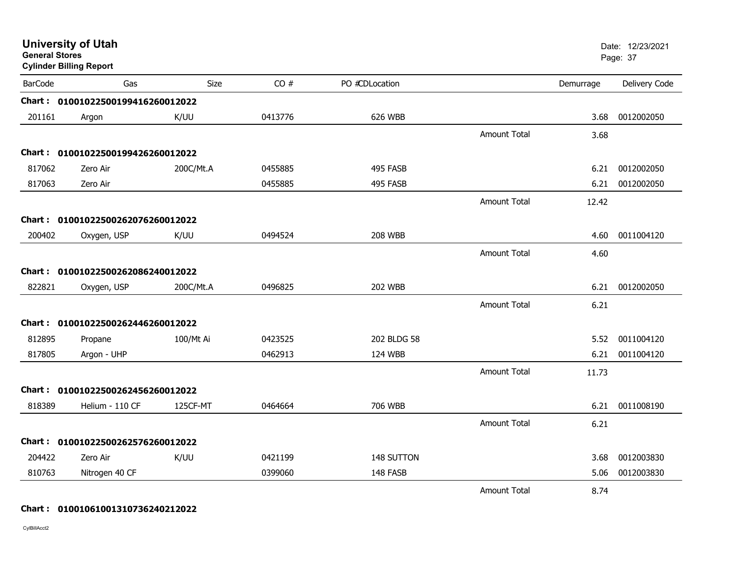| <b>General Stores</b> | <b>University of Utah</b><br><b>Cylinder Billing Report</b> |           |         |                |                     |           | Date: 12/23/2021<br>Page: 37 |
|-----------------------|-------------------------------------------------------------|-----------|---------|----------------|---------------------|-----------|------------------------------|
| <b>BarCode</b>        | Gas                                                         | Size      | CO#     | PO #CDLocation |                     | Demurrage | Delivery Code                |
|                       | Chart: 01001022500199416260012022                           |           |         |                |                     |           |                              |
| 201161                | Argon                                                       | K/UU      | 0413776 | 626 WBB        |                     | 3.68      | 0012002050                   |
|                       |                                                             |           |         |                | <b>Amount Total</b> | 3.68      |                              |
|                       | Chart: 01001022500199426260012022                           |           |         |                |                     |           |                              |
| 817062                | Zero Air                                                    | 200C/Mt.A | 0455885 | 495 FASB       |                     | 6.21      | 0012002050                   |
| 817063                | Zero Air                                                    |           | 0455885 | 495 FASB       |                     | 6.21      | 0012002050                   |
|                       |                                                             |           |         |                | <b>Amount Total</b> | 12.42     |                              |
|                       | Chart: 01001022500262076260012022                           |           |         |                |                     |           |                              |
| 200402                | Oxygen, USP                                                 | K/UU      | 0494524 | <b>208 WBB</b> |                     | 4.60      | 0011004120                   |
|                       |                                                             |           |         |                | Amount Total        | 4.60      |                              |
|                       | Chart: 01001022500262086240012022                           |           |         |                |                     |           |                              |
| 822821                | Oxygen, USP                                                 | 200C/Mt.A | 0496825 | <b>202 WBB</b> |                     | 6.21      | 0012002050                   |
|                       |                                                             |           |         |                | <b>Amount Total</b> | 6.21      |                              |
|                       | Chart: 01001022500262446260012022                           |           |         |                |                     |           |                              |
| 812895                | Propane                                                     | 100/Mt Ai | 0423525 | 202 BLDG 58    |                     | 5.52      | 0011004120                   |
| 817805                | Argon - UHP                                                 |           | 0462913 | 124 WBB        |                     | 6.21      | 0011004120                   |
|                       |                                                             |           |         |                | <b>Amount Total</b> | 11.73     |                              |
|                       | Chart: 01001022500262456260012022                           |           |         |                |                     |           |                              |
| 818389                | Helium - 110 CF                                             | 125CF-MT  | 0464664 | 706 WBB        |                     | 6.21      | 0011008190                   |
|                       |                                                             |           |         |                | <b>Amount Total</b> | 6.21      |                              |
|                       | Chart: 01001022500262576260012022                           |           |         |                |                     |           |                              |
| 204422                | Zero Air                                                    | K/UU      | 0421199 | 148 SUTTON     |                     | 3.68      | 0012003830                   |
| 810763                | Nitrogen 40 CF                                              |           | 0399060 | 148 FASB       |                     | 5.06      | 0012003830                   |
|                       |                                                             |           |         |                | <b>Amount Total</b> | 8.74      |                              |

**Chart : 01001061001310736240212022**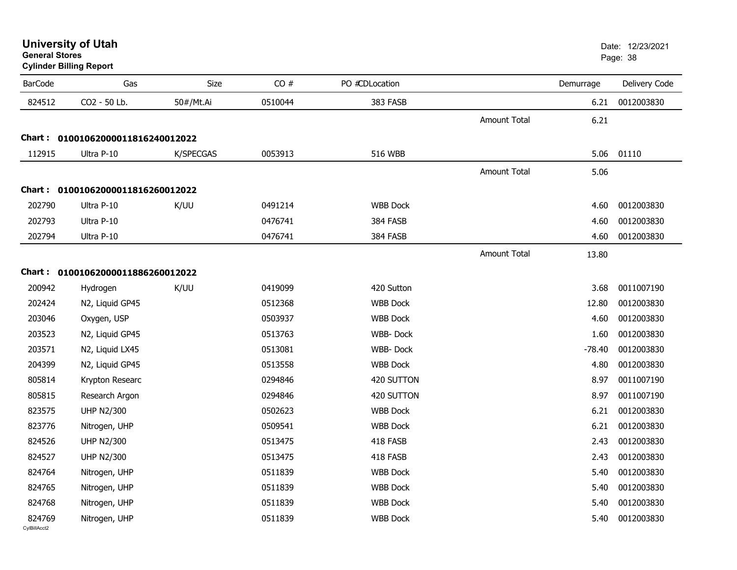| <b>University of Utah</b> |  |
|---------------------------|--|
| <b>General Stores</b>     |  |

| <b>BarCode</b>         | Gas                               | Size      | CO#     | PO #CDLocation  |                     | Demurrage | Delivery Code |
|------------------------|-----------------------------------|-----------|---------|-----------------|---------------------|-----------|---------------|
| 824512                 | CO2 - 50 Lb.                      | 50#/Mt.Ai | 0510044 | 383 FASB        |                     | 6.21      | 0012003830    |
|                        |                                   |           |         |                 | <b>Amount Total</b> | 6.21      |               |
|                        | Chart: 01001062000011816240012022 |           |         |                 |                     |           |               |
| 112915                 | Ultra P-10                        | K/SPECGAS | 0053913 | 516 WBB         |                     | 5.06      | 01110         |
|                        |                                   |           |         |                 | <b>Amount Total</b> | 5.06      |               |
|                        | Chart: 01001062000011816260012022 |           |         |                 |                     |           |               |
| 202790                 | Ultra P-10                        | K/UU      | 0491214 | <b>WBB Dock</b> |                     | 4.60      | 0012003830    |
| 202793                 | Ultra P-10                        |           | 0476741 | 384 FASB        |                     | 4.60      | 0012003830    |
| 202794                 | Ultra P-10                        |           | 0476741 | 384 FASB        |                     | 4.60      | 0012003830    |
|                        |                                   |           |         |                 | <b>Amount Total</b> | 13.80     |               |
|                        | Chart: 01001062000011886260012022 |           |         |                 |                     |           |               |
| 200942                 | Hydrogen                          | K/UU      | 0419099 | 420 Sutton      |                     | 3.68      | 0011007190    |
| 202424                 | N2, Liquid GP45                   |           | 0512368 | <b>WBB Dock</b> |                     | 12.80     | 0012003830    |
| 203046                 | Oxygen, USP                       |           | 0503937 | <b>WBB Dock</b> |                     | 4.60      | 0012003830    |
| 203523                 | N2, Liquid GP45                   |           | 0513763 | WBB-Dock        |                     | 1.60      | 0012003830    |
| 203571                 | N2, Liquid LX45                   |           | 0513081 | WBB-Dock        |                     | $-78.40$  | 0012003830    |
| 204399                 | N2, Liquid GP45                   |           | 0513558 | <b>WBB Dock</b> |                     | 4.80      | 0012003830    |
| 805814                 | Krypton Researc                   |           | 0294846 | 420 SUTTON      |                     | 8.97      | 0011007190    |
| 805815                 | Research Argon                    |           | 0294846 | 420 SUTTON      |                     | 8.97      | 0011007190    |
| 823575                 | <b>UHP N2/300</b>                 |           | 0502623 | <b>WBB Dock</b> |                     | 6.21      | 0012003830    |
| 823776                 | Nitrogen, UHP                     |           | 0509541 | <b>WBB Dock</b> |                     | 6.21      | 0012003830    |
| 824526                 | <b>UHP N2/300</b>                 |           | 0513475 | 418 FASB        |                     | 2.43      | 0012003830    |
| 824527                 | <b>UHP N2/300</b>                 |           | 0513475 | 418 FASB        |                     | 2.43      | 0012003830    |
| 824764                 | Nitrogen, UHP                     |           | 0511839 | <b>WBB Dock</b> |                     | 5.40      | 0012003830    |
| 824765                 | Nitrogen, UHP                     |           | 0511839 | <b>WBB Dock</b> |                     | 5.40      | 0012003830    |
| 824768                 | Nitrogen, UHP                     |           | 0511839 | <b>WBB Dock</b> |                     | 5.40      | 0012003830    |
| 824769<br>CvIBillAcct2 | Nitrogen, UHP                     |           | 0511839 | <b>WBB Dock</b> |                     | 5.40      | 0012003830    |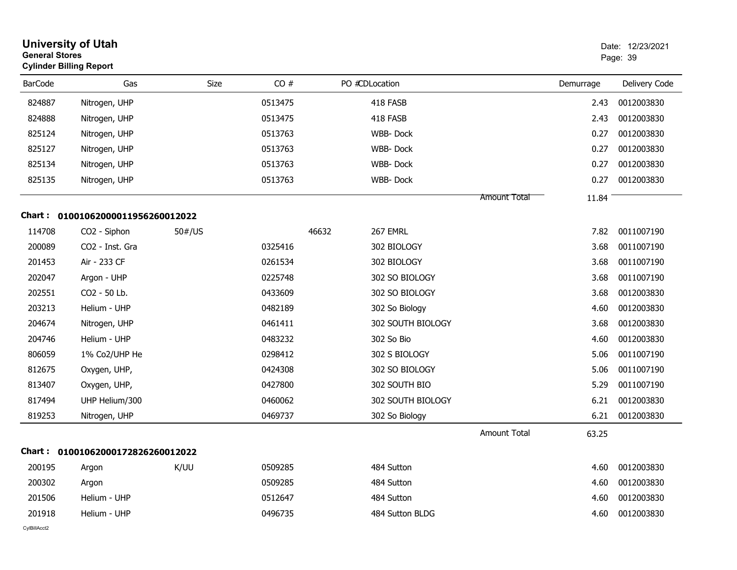| <b>General Stores</b> | <b>University of Utah</b><br><b>Cylinder Billing Report</b> |                                |         |       |                   |                     |           | Date: 12/23/2021<br>Page: 39 |
|-----------------------|-------------------------------------------------------------|--------------------------------|---------|-------|-------------------|---------------------|-----------|------------------------------|
| <b>BarCode</b>        | Gas                                                         | Size                           | CO#     |       | PO #CDLocation    |                     | Demurrage | Delivery Code                |
| 824887                | Nitrogen, UHP                                               |                                | 0513475 |       | 418 FASB          |                     | 2.43      | 0012003830                   |
| 824888                | Nitrogen, UHP                                               |                                | 0513475 |       | 418 FASB          |                     | 2.43      | 0012003830                   |
| 825124                | Nitrogen, UHP                                               |                                | 0513763 |       | WBB-Dock          |                     | 0.27      | 0012003830                   |
| 825127                | Nitrogen, UHP                                               |                                | 0513763 |       | WBB-Dock          |                     | 0.27      | 0012003830                   |
| 825134                | Nitrogen, UHP                                               |                                | 0513763 |       | WBB-Dock          |                     | 0.27      | 0012003830                   |
| 825135                | Nitrogen, UHP                                               |                                | 0513763 |       | WBB-Dock          |                     | 0.27      | 0012003830                   |
|                       |                                                             |                                |         |       |                   | <b>Amount Total</b> | 11.84     |                              |
|                       | Chart: 01001062000011956260012022                           |                                |         |       |                   |                     |           |                              |
| 114708                | CO2 - Siphon                                                | $50\frac{\text{#}}{\text{US}}$ |         | 46632 | 267 EMRL          |                     | 7.82      | 0011007190                   |
| 200089                | CO2 - Inst. Gra                                             |                                | 0325416 |       | 302 BIOLOGY       |                     | 3.68      | 0011007190                   |
| 201453                | Air - 233 CF                                                |                                | 0261534 |       | 302 BIOLOGY       |                     | 3.68      | 0011007190                   |
| 202047                | Argon - UHP                                                 |                                | 0225748 |       | 302 SO BIOLOGY    |                     | 3.68      | 0011007190                   |
| 202551                | CO2 - 50 Lb.                                                |                                | 0433609 |       | 302 SO BIOLOGY    |                     | 3.68      | 0012003830                   |
| 203213                | Helium - UHP                                                |                                | 0482189 |       | 302 So Biology    |                     | 4.60      | 0012003830                   |
| 204674                | Nitrogen, UHP                                               |                                | 0461411 |       | 302 SOUTH BIOLOGY |                     | 3.68      | 0012003830                   |
| 204746                | Helium - UHP                                                |                                | 0483232 |       | 302 So Bio        |                     | 4.60      | 0012003830                   |
| 806059                | 1% Co2/UHP He                                               |                                | 0298412 |       | 302 S BIOLOGY     |                     | 5.06      | 0011007190                   |
| 812675                | Oxygen, UHP,                                                |                                | 0424308 |       | 302 SO BIOLOGY    |                     | 5.06      | 0011007190                   |
| 813407                | Oxygen, UHP,                                                |                                | 0427800 |       | 302 SOUTH BIO     |                     | 5.29      | 0011007190                   |
| 817494                | UHP Helium/300                                              |                                | 0460062 |       | 302 SOUTH BIOLOGY |                     | 6.21      | 0012003830                   |
| 819253                | Nitrogen, UHP                                               |                                | 0469737 |       | 302 So Biology    |                     | 6.21      | 0012003830                   |
|                       |                                                             |                                |         |       |                   | <b>Amount Total</b> | 63.25     |                              |
|                       | Chart: 01001062000172826260012022                           |                                |         |       |                   |                     |           |                              |
| 200195                | Argon                                                       | K/UU                           | 0509285 |       | 484 Sutton        |                     | 4.60      | 0012003830                   |
| 200302                | Argon                                                       |                                | 0509285 |       | 484 Sutton        |                     | 4.60      | 0012003830                   |
| 201506                | Helium - UHP                                                |                                | 0512647 |       | 484 Sutton        |                     | 4.60      | 0012003830                   |
| 201918                | Helium - UHP                                                |                                | 0496735 |       | 484 Sutton BLDG   |                     | 4.60      | 0012003830                   |
| CvIBillAcct2          |                                                             |                                |         |       |                   |                     |           |                              |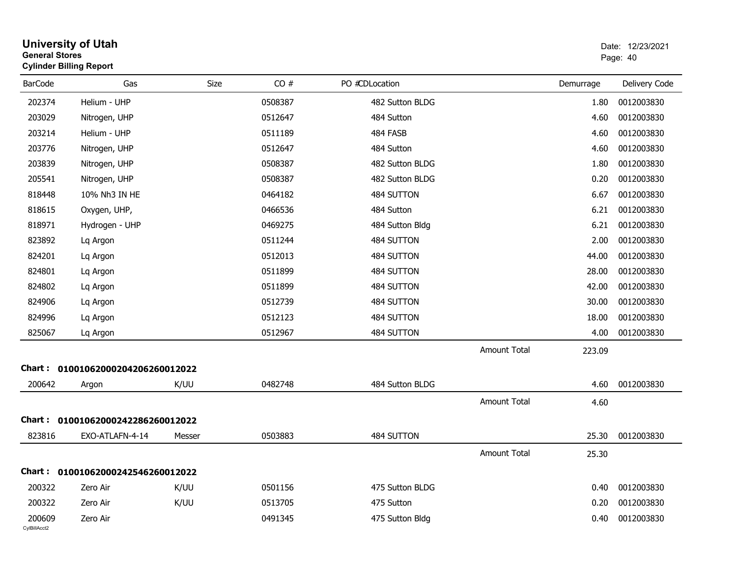| <b>General Stores</b>  | University of Utah<br><b>Cylinder Billing Report</b> |             |         |                 |                     |           | Date: 12/23/2021<br>Page: 40 |
|------------------------|------------------------------------------------------|-------------|---------|-----------------|---------------------|-----------|------------------------------|
| <b>BarCode</b>         | Gas                                                  | <b>Size</b> | CO#     | PO #CDLocation  |                     | Demurrage | Delivery Code                |
| 202374                 | Helium - UHP                                         |             | 0508387 | 482 Sutton BLDG |                     | 1.80      | 0012003830                   |
| 203029                 | Nitrogen, UHP                                        |             | 0512647 | 484 Sutton      |                     | 4.60      | 0012003830                   |
| 203214                 | Helium - UHP                                         |             | 0511189 | 484 FASB        |                     | 4.60      | 0012003830                   |
| 203776                 | Nitrogen, UHP                                        |             | 0512647 | 484 Sutton      |                     | 4.60      | 0012003830                   |
| 203839                 | Nitrogen, UHP                                        |             | 0508387 | 482 Sutton BLDG |                     | 1.80      | 0012003830                   |
| 205541                 | Nitrogen, UHP                                        |             | 0508387 | 482 Sutton BLDG |                     | 0.20      | 0012003830                   |
| 818448                 | 10% Nh3 IN HE                                        |             | 0464182 | 484 SUTTON      |                     | 6.67      | 0012003830                   |
| 818615                 | Oxygen, UHP,                                         |             | 0466536 | 484 Sutton      |                     | 6.21      | 0012003830                   |
| 818971                 | Hydrogen - UHP                                       |             | 0469275 | 484 Sutton Bldg |                     | 6.21      | 0012003830                   |
| 823892                 | Lq Argon                                             |             | 0511244 | 484 SUTTON      |                     | 2.00      | 0012003830                   |
| 824201                 | Lq Argon                                             |             | 0512013 | 484 SUTTON      |                     | 44.00     | 0012003830                   |
| 824801                 | Lq Argon                                             |             | 0511899 | 484 SUTTON      |                     | 28.00     | 0012003830                   |
| 824802                 | Lq Argon                                             |             | 0511899 | 484 SUTTON      |                     | 42.00     | 0012003830                   |
| 824906                 | Lq Argon                                             |             | 0512739 | 484 SUTTON      |                     | 30.00     | 0012003830                   |
| 824996                 | Lq Argon                                             |             | 0512123 | 484 SUTTON      |                     | 18.00     | 0012003830                   |
| 825067                 | Lq Argon                                             |             | 0512967 | 484 SUTTON      |                     | 4.00      | 0012003830                   |
|                        |                                                      |             |         |                 | Amount Total        | 223.09    |                              |
|                        | Chart: 01001062000204206260012022                    |             |         |                 |                     |           |                              |
| 200642                 | Argon                                                | K/UU        | 0482748 | 484 Sutton BLDG |                     | 4.60      | 0012003830                   |
|                        |                                                      |             |         |                 | <b>Amount Total</b> | 4.60      |                              |
|                        | Chart: 01001062000242286260012022                    |             |         |                 |                     |           |                              |
| 823816                 | EXO-ATLAFN-4-14                                      | Messer      | 0503883 | 484 SUTTON      |                     | 25.30     | 0012003830                   |
|                        |                                                      |             |         |                 | <b>Amount Total</b> | 25.30     |                              |
|                        | Chart: 01001062000242546260012022                    |             |         |                 |                     |           |                              |
| 200322                 | Zero Air                                             | K/UU        | 0501156 | 475 Sutton BLDG |                     | 0.40      | 0012003830                   |
| 200322                 | Zero Air                                             | K/UU        | 0513705 | 475 Sutton      |                     | 0.20      | 0012003830                   |
| 200609<br>CylBillAcct2 | Zero Air                                             |             | 0491345 | 475 Sutton Bldg |                     | 0.40      | 0012003830                   |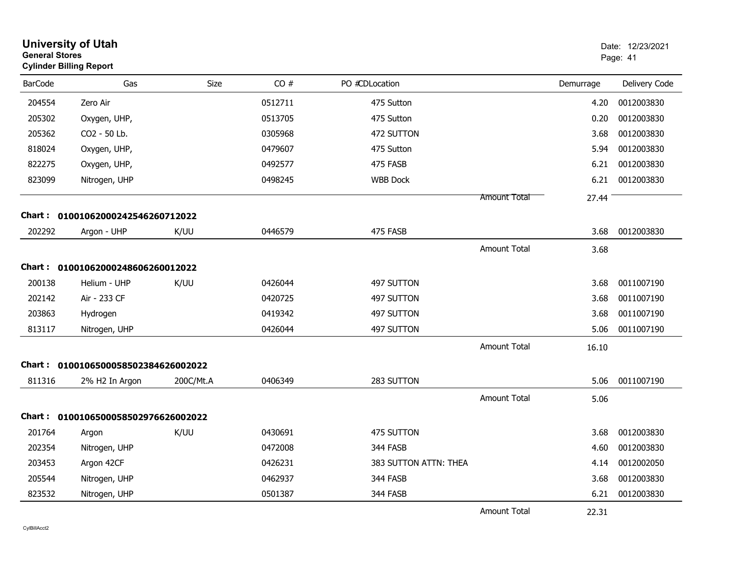| <b>General Stores</b> | <b>University of Utah</b><br><b>Cylinder Billing Report</b> |             |         |                       |                     |           | Date: 12/23/2021<br>Page: 41 |
|-----------------------|-------------------------------------------------------------|-------------|---------|-----------------------|---------------------|-----------|------------------------------|
| <b>BarCode</b>        | Gas                                                         | <b>Size</b> | CO#     | PO #CDLocation        |                     | Demurrage | Delivery Code                |
| 204554                | Zero Air                                                    |             | 0512711 | 475 Sutton            |                     | 4.20      | 0012003830                   |
| 205302                | Oxygen, UHP,                                                |             | 0513705 | 475 Sutton            |                     | 0.20      | 0012003830                   |
| 205362                | CO2 - 50 Lb.                                                |             | 0305968 | 472 SUTTON            |                     | 3.68      | 0012003830                   |
| 818024                | Oxygen, UHP,                                                |             | 0479607 | 475 Sutton            |                     | 5.94      | 0012003830                   |
| 822275                | Oxygen, UHP,                                                |             | 0492577 | 475 FASB              |                     | 6.21      | 0012003830                   |
| 823099                | Nitrogen, UHP                                               |             | 0498245 | <b>WBB Dock</b>       |                     | 6.21      | 0012003830                   |
|                       |                                                             |             |         |                       | <b>Amount Total</b> | 27.44     |                              |
|                       | Chart: 01001062000242546260712022                           |             |         |                       |                     |           |                              |
| 202292                | Argon - UHP                                                 | K/UU        | 0446579 | 475 FASB              |                     | 3.68      | 0012003830                   |
|                       |                                                             |             |         |                       | <b>Amount Total</b> | 3.68      |                              |
|                       | Chart: 01001062000248606260012022                           |             |         |                       |                     |           |                              |
| 200138                | Helium - UHP                                                | K/UU        | 0426044 | 497 SUTTON            |                     | 3.68      | 0011007190                   |
| 202142                | Air - 233 CF                                                |             | 0420725 | 497 SUTTON            |                     | 3.68      | 0011007190                   |
| 203863                | Hydrogen                                                    |             | 0419342 | 497 SUTTON            |                     | 3.68      | 0011007190                   |
| 813117                | Nitrogen, UHP                                               |             | 0426044 | 497 SUTTON            |                     | 5.06      | 0011007190                   |
|                       |                                                             |             |         |                       | Amount Total        | 16.10     |                              |
|                       | Chart: 0100106500058502384626002022                         |             |         |                       |                     |           |                              |
| 811316                | 2% H2 In Argon                                              | 200C/Mt.A   | 0406349 | 283 SUTTON            |                     | 5.06      | 0011007190                   |
|                       |                                                             |             |         |                       | Amount Total        | 5.06      |                              |
|                       | Chart: 0100106500058502976626002022                         |             |         |                       |                     |           |                              |
| 201764                | Argon                                                       | K/UU        | 0430691 | 475 SUTTON            |                     | 3.68      | 0012003830                   |
| 202354                | Nitrogen, UHP                                               |             | 0472008 | 344 FASB              |                     | 4.60      | 0012003830                   |
| 203453                | Argon 42CF                                                  |             | 0426231 | 383 SUTTON ATTN: THEA |                     | 4.14      | 0012002050                   |
| 205544                | Nitrogen, UHP                                               |             | 0462937 | 344 FASB              |                     | 3.68      | 0012003830                   |
| 823532                | Nitrogen, UHP                                               |             | 0501387 | 344 FASB              |                     | 6.21      | 0012003830                   |
|                       |                                                             |             |         |                       | Amount Total        | 22.31     |                              |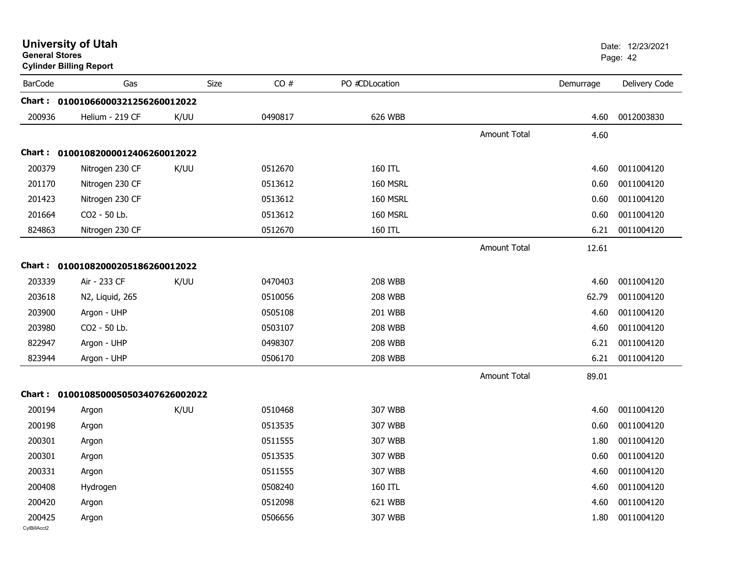| <b>General Stores</b>  | <b>University of Utah</b><br><b>Cylinder Billing Report</b> |      |         |                |                     |           | Date: 12/23/2021<br>Page: 42 |
|------------------------|-------------------------------------------------------------|------|---------|----------------|---------------------|-----------|------------------------------|
| <b>BarCode</b>         | Gas                                                         | Size | CO#     | PO #CDLocation |                     | Demurrage | Delivery Code                |
|                        | Chart: 01001066000321256260012022                           |      |         |                |                     |           |                              |
| 200936                 | Helium - 219 CF                                             | K/UU | 0490817 | 626 WBB        |                     | 4.60      | 0012003830                   |
|                        |                                                             |      |         |                | Amount Total        | 4.60      |                              |
|                        | Chart: 01001082000012406260012022                           |      |         |                |                     |           |                              |
| 200379                 | Nitrogen 230 CF                                             | K/UU | 0512670 | 160 ITL        |                     | 4.60      | 0011004120                   |
| 201170                 | Nitrogen 230 CF                                             |      | 0513612 | 160 MSRL       |                     | 0.60      | 0011004120                   |
| 201423                 | Nitrogen 230 CF                                             |      | 0513612 | 160 MSRL       |                     | 0.60      | 0011004120                   |
| 201664                 | CO2 - 50 Lb.                                                |      | 0513612 | 160 MSRL       |                     | 0.60      | 0011004120                   |
| 824863                 | Nitrogen 230 CF                                             |      | 0512670 | 160 ITL        |                     | 6.21      | 0011004120                   |
|                        |                                                             |      |         |                | Amount Total        | 12.61     |                              |
|                        | Chart: 01001082000205186260012022                           |      |         |                |                     |           |                              |
| 203339                 | Air - 233 CF                                                | K/UU | 0470403 | <b>208 WBB</b> |                     | 4.60      | 0011004120                   |
| 203618                 | N2, Liquid, 265                                             |      | 0510056 | <b>208 WBB</b> |                     | 62.79     | 0011004120                   |
| 203900                 | Argon - UHP                                                 |      | 0505108 | 201 WBB        |                     | 4.60      | 0011004120                   |
| 203980                 | CO2 - 50 Lb.                                                |      | 0503107 | <b>208 WBB</b> |                     | 4.60      | 0011004120                   |
| 822947                 | Argon - UHP                                                 |      | 0498307 | <b>208 WBB</b> |                     | 6.21      | 0011004120                   |
| 823944                 | Argon - UHP                                                 |      | 0506170 | <b>208 WBB</b> |                     | 6.21      | 0011004120                   |
|                        |                                                             |      |         |                | <b>Amount Total</b> | 89.01     |                              |
|                        | Chart: 0100108500050503407626002022                         |      |         |                |                     |           |                              |
| 200194                 | Argon                                                       | K/UU | 0510468 | 307 WBB        |                     | 4.60      | 0011004120                   |
| 200198                 | Argon                                                       |      | 0513535 | 307 WBB        |                     | 0.60      | 0011004120                   |
| 200301                 | Argon                                                       |      | 0511555 | 307 WBB        |                     | 1.80      | 0011004120                   |
| 200301                 | Argon                                                       |      | 0513535 | 307 WBB        |                     | 0.60      | 0011004120                   |
| 200331                 | Argon                                                       |      | 0511555 | 307 WBB        |                     | 4.60      | 0011004120                   |
| 200408                 | Hydrogen                                                    |      | 0508240 | 160 ITL        |                     | 4.60      | 0011004120                   |
| 200420                 | Argon                                                       |      | 0512098 | 621 WBB        |                     | 4.60      | 0011004120                   |
| 200425<br>CylBillAcct2 | Argon                                                       |      | 0506656 | 307 WBB        |                     | 1.80      | 0011004120                   |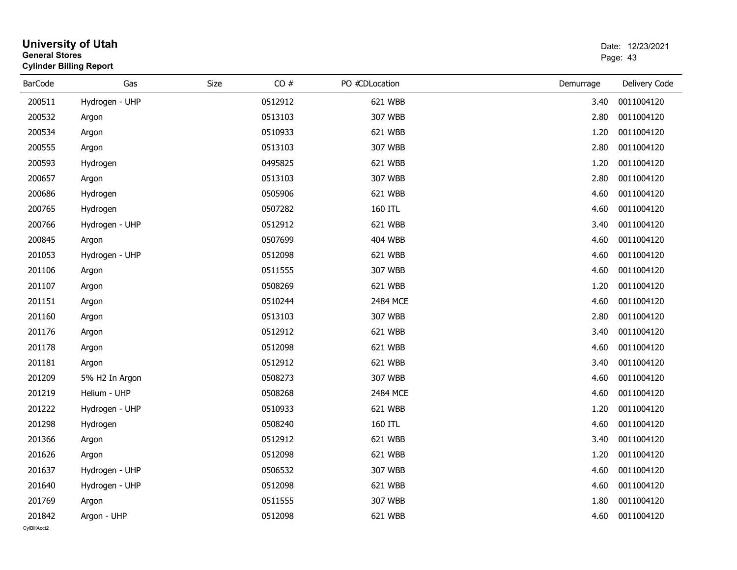| General Stores<br><b>Cylinder Billing Report</b> |      |                                                                                                                                                                                                                                                                                                                         |                                                                                                                                                                                                                                                                                                     | Page: 43      |
|--------------------------------------------------|------|-------------------------------------------------------------------------------------------------------------------------------------------------------------------------------------------------------------------------------------------------------------------------------------------------------------------------|-----------------------------------------------------------------------------------------------------------------------------------------------------------------------------------------------------------------------------------------------------------------------------------------------------|---------------|
| Gas                                              | Size | PO #CDLocation                                                                                                                                                                                                                                                                                                          | Demurrage                                                                                                                                                                                                                                                                                           | Delivery Code |
| Hydrogen - UHP                                   |      |                                                                                                                                                                                                                                                                                                                         | 3.40                                                                                                                                                                                                                                                                                                | 0011004120    |
| Argon                                            |      |                                                                                                                                                                                                                                                                                                                         | 2.80                                                                                                                                                                                                                                                                                                | 0011004120    |
| Argon                                            |      |                                                                                                                                                                                                                                                                                                                         | 1.20                                                                                                                                                                                                                                                                                                | 0011004120    |
| Argon                                            |      |                                                                                                                                                                                                                                                                                                                         | 2.80                                                                                                                                                                                                                                                                                                | 0011004120    |
| Hydrogen                                         |      |                                                                                                                                                                                                                                                                                                                         | 1.20                                                                                                                                                                                                                                                                                                | 0011004120    |
| Argon                                            |      |                                                                                                                                                                                                                                                                                                                         | 2.80                                                                                                                                                                                                                                                                                                | 0011004120    |
| Hydrogen                                         |      |                                                                                                                                                                                                                                                                                                                         | 4.60                                                                                                                                                                                                                                                                                                | 0011004120    |
| Hydrogen                                         |      | 160 ITL                                                                                                                                                                                                                                                                                                                 | 4.60                                                                                                                                                                                                                                                                                                | 0011004120    |
| Hydrogen - UHP                                   |      |                                                                                                                                                                                                                                                                                                                         | 3.40                                                                                                                                                                                                                                                                                                | 0011004120    |
| Argon                                            |      |                                                                                                                                                                                                                                                                                                                         | 4.60                                                                                                                                                                                                                                                                                                | 0011004120    |
| Hydrogen - UHP                                   |      |                                                                                                                                                                                                                                                                                                                         | 4.60                                                                                                                                                                                                                                                                                                | 0011004120    |
| Argon                                            |      |                                                                                                                                                                                                                                                                                                                         | 4.60                                                                                                                                                                                                                                                                                                | 0011004120    |
| Argon                                            |      |                                                                                                                                                                                                                                                                                                                         | 1.20                                                                                                                                                                                                                                                                                                | 0011004120    |
| Argon                                            |      |                                                                                                                                                                                                                                                                                                                         | 4.60                                                                                                                                                                                                                                                                                                | 0011004120    |
| Argon                                            |      |                                                                                                                                                                                                                                                                                                                         | 2.80                                                                                                                                                                                                                                                                                                | 0011004120    |
| Argon                                            |      |                                                                                                                                                                                                                                                                                                                         | 3.40                                                                                                                                                                                                                                                                                                | 0011004120    |
| Argon                                            |      |                                                                                                                                                                                                                                                                                                                         | 4.60                                                                                                                                                                                                                                                                                                | 0011004120    |
| Argon                                            |      |                                                                                                                                                                                                                                                                                                                         | 3.40                                                                                                                                                                                                                                                                                                | 0011004120    |
| 5% H2 In Argon                                   |      |                                                                                                                                                                                                                                                                                                                         | 4.60                                                                                                                                                                                                                                                                                                | 0011004120    |
| Helium - UHP                                     |      |                                                                                                                                                                                                                                                                                                                         | 4.60                                                                                                                                                                                                                                                                                                | 0011004120    |
| Hydrogen - UHP                                   |      |                                                                                                                                                                                                                                                                                                                         | 1.20                                                                                                                                                                                                                                                                                                | 0011004120    |
| Hydrogen                                         |      | 160 ITL                                                                                                                                                                                                                                                                                                                 | 4.60                                                                                                                                                                                                                                                                                                | 0011004120    |
| Argon                                            |      |                                                                                                                                                                                                                                                                                                                         | 3.40                                                                                                                                                                                                                                                                                                | 0011004120    |
| Argon                                            |      |                                                                                                                                                                                                                                                                                                                         | 1.20                                                                                                                                                                                                                                                                                                | 0011004120    |
| Hydrogen - UHP                                   |      |                                                                                                                                                                                                                                                                                                                         | 4.60                                                                                                                                                                                                                                                                                                | 0011004120    |
| Hydrogen - UHP                                   |      |                                                                                                                                                                                                                                                                                                                         | 4.60                                                                                                                                                                                                                                                                                                | 0011004120    |
| Argon                                            |      |                                                                                                                                                                                                                                                                                                                         | 1.80                                                                                                                                                                                                                                                                                                | 0011004120    |
| Argon - UHP                                      |      |                                                                                                                                                                                                                                                                                                                         | 4.60                                                                                                                                                                                                                                                                                                | 0011004120    |
|                                                  |      | CO#<br>0512912<br>0513103<br>0510933<br>0513103<br>0495825<br>0513103<br>0505906<br>0507282<br>0512912<br>0507699<br>0512098<br>0511555<br>0508269<br>0510244<br>0513103<br>0512912<br>0512098<br>0512912<br>0508273<br>0508268<br>0510933<br>0508240<br>0512912<br>0512098<br>0506532<br>0512098<br>0511555<br>0512098 | 621 WBB<br>307 WBB<br>621 WBB<br>307 WBB<br>621 WBB<br>307 WBB<br>621 WBB<br>621 WBB<br><b>404 WBB</b><br>621 WBB<br>307 WBB<br>621 WBB<br>2484 MCE<br>307 WBB<br>621 WBB<br>621 WBB<br>621 WBB<br>307 WBB<br>2484 MCE<br>621 WBB<br>621 WBB<br>621 WBB<br>307 WBB<br>621 WBB<br>307 WBB<br>621 WBB |               |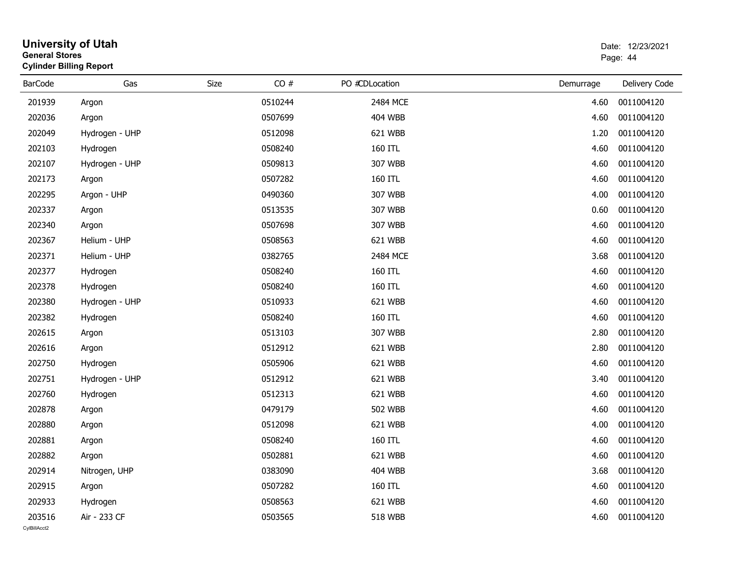| <b>General Stores</b>  | <b>University of Utah</b><br><b>Cylinder Billing Report</b> |      |         |                |           | Date: 12/23/2021<br>Page: 44 |
|------------------------|-------------------------------------------------------------|------|---------|----------------|-----------|------------------------------|
| <b>BarCode</b>         | Gas                                                         | Size | CO#     | PO #CDLocation | Demurrage | Delivery Code                |
| 201939                 | Argon                                                       |      | 0510244 | 2484 MCE       | 4.60      | 0011004120                   |
| 202036                 | Argon                                                       |      | 0507699 | <b>404 WBB</b> | 4.60      | 0011004120                   |
| 202049                 | Hydrogen - UHP                                              |      | 0512098 | 621 WBB        | 1.20      | 0011004120                   |
| 202103                 | Hydrogen                                                    |      | 0508240 | 160 ITL        | 4.60      | 0011004120                   |
| 202107                 | Hydrogen - UHP                                              |      | 0509813 | 307 WBB        | 4.60      | 0011004120                   |
| 202173                 | Argon                                                       |      | 0507282 | 160 ITL        | 4.60      | 0011004120                   |
| 202295                 | Argon - UHP                                                 |      | 0490360 | 307 WBB        | 4.00      | 0011004120                   |
| 202337                 | Argon                                                       |      | 0513535 | 307 WBB        | 0.60      | 0011004120                   |
| 202340                 | Argon                                                       |      | 0507698 | 307 WBB        | 4.60      | 0011004120                   |
| 202367                 | Helium - UHP                                                |      | 0508563 | 621 WBB        | 4.60      | 0011004120                   |
| 202371                 | Helium - UHP                                                |      | 0382765 | 2484 MCE       | 3.68      | 0011004120                   |
| 202377                 | Hydrogen                                                    |      | 0508240 | 160 ITL        | 4.60      | 0011004120                   |
| 202378                 | Hydrogen                                                    |      | 0508240 | 160 ITL        | 4.60      | 0011004120                   |
| 202380                 | Hydrogen - UHP                                              |      | 0510933 | 621 WBB        | 4.60      | 0011004120                   |
| 202382                 | Hydrogen                                                    |      | 0508240 | 160 ITL        | 4.60      | 0011004120                   |
| 202615                 | Argon                                                       |      | 0513103 | 307 WBB        | 2.80      | 0011004120                   |
| 202616                 | Argon                                                       |      | 0512912 | 621 WBB        | 2.80      | 0011004120                   |
| 202750                 | Hydrogen                                                    |      | 0505906 | 621 WBB        | 4.60      | 0011004120                   |
| 202751                 | Hydrogen - UHP                                              |      | 0512912 | 621 WBB        | 3.40      | 0011004120                   |
| 202760                 | Hydrogen                                                    |      | 0512313 | 621 WBB        | 4.60      | 0011004120                   |
| 202878                 | Argon                                                       |      | 0479179 | <b>502 WBB</b> | 4.60      | 0011004120                   |
| 202880                 | Argon                                                       |      | 0512098 | 621 WBB        | 4.00      | 0011004120                   |
| 202881                 | Argon                                                       |      | 0508240 | 160 ITL        | 4.60      | 0011004120                   |
| 202882                 | Argon                                                       |      | 0502881 | 621 WBB        |           | 4.60 0011004120              |
| 202914                 | Nitrogen, UHP                                               |      | 0383090 | <b>404 WBB</b> | 3.68      | 0011004120                   |
| 202915                 | Argon                                                       |      | 0507282 | 160 ITL        | 4.60      | 0011004120                   |
| 202933                 | Hydrogen                                                    |      | 0508563 | 621 WBB        | 4.60      | 0011004120                   |
| 203516<br>CvIBillAcct2 | Air - 233 CF                                                |      | 0503565 | <b>518 WBB</b> | 4.60      | 0011004120                   |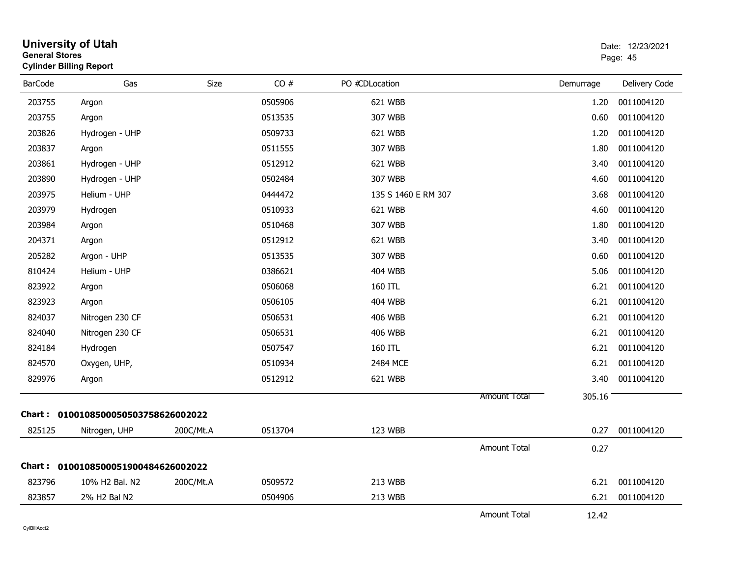| <b>General Stores</b> | <b>University of Utah</b><br><b>Cylinder Billing Report</b> |           |         |                     |                     | Date: 12/23/2021<br>Page: 45 |               |
|-----------------------|-------------------------------------------------------------|-----------|---------|---------------------|---------------------|------------------------------|---------------|
| <b>BarCode</b>        | Gas                                                         | Size      | CO#     | PO #CDLocation      |                     | Demurrage                    | Delivery Code |
| 203755                | Argon                                                       |           | 0505906 | 621 WBB             |                     | 1.20                         | 0011004120    |
| 203755                | Argon                                                       |           | 0513535 | 307 WBB             |                     | 0.60                         | 0011004120    |
| 203826                | Hydrogen - UHP                                              |           | 0509733 | 621 WBB             |                     | 1.20                         | 0011004120    |
| 203837                | Argon                                                       |           | 0511555 | 307 WBB             |                     | 1.80                         | 0011004120    |
| 203861                | Hydrogen - UHP                                              |           | 0512912 | 621 WBB             |                     | 3.40                         | 0011004120    |
| 203890                | Hydrogen - UHP                                              |           | 0502484 | 307 WBB             |                     | 4.60                         | 0011004120    |
| 203975                | Helium - UHP                                                |           | 0444472 | 135 S 1460 E RM 307 |                     | 3.68                         | 0011004120    |
| 203979                | Hydrogen                                                    |           | 0510933 | 621 WBB             |                     | 4.60                         | 0011004120    |
| 203984                | Argon                                                       |           | 0510468 | 307 WBB             |                     | 1.80                         | 0011004120    |
| 204371                | Argon                                                       |           | 0512912 | 621 WBB             |                     | 3.40                         | 0011004120    |
| 205282                | Argon - UHP                                                 |           | 0513535 | 307 WBB             |                     | 0.60                         | 0011004120    |
| 810424                | Helium - UHP                                                |           | 0386621 | 404 WBB             |                     | 5.06                         | 0011004120    |
| 823922                | Argon                                                       |           | 0506068 | 160 ITL             |                     | 6.21                         | 0011004120    |
| 823923                | Argon                                                       |           | 0506105 | 404 WBB             |                     | 6.21                         | 0011004120    |
| 824037                | Nitrogen 230 CF                                             |           | 0506531 | <b>406 WBB</b>      |                     | 6.21                         | 0011004120    |
| 824040                | Nitrogen 230 CF                                             |           | 0506531 | 406 WBB             |                     | 6.21                         | 0011004120    |
| 824184                | Hydrogen                                                    |           | 0507547 | 160 ITL             |                     | 6.21                         | 0011004120    |
| 824570                | Oxygen, UHP,                                                |           | 0510934 | 2484 MCE            |                     | 6.21                         | 0011004120    |
| 829976                | Argon                                                       |           | 0512912 | 621 WBB             |                     | 3.40                         | 0011004120    |
|                       |                                                             |           |         |                     | Amount Total        | 305.16                       |               |
|                       | Chart: 0100108500050503758626002022                         |           |         |                     |                     |                              |               |
| 825125                | Nitrogen, UHP                                               | 200C/Mt.A | 0513704 | 123 WBB             |                     | 0.27                         | 0011004120    |
|                       |                                                             |           |         |                     | <b>Amount Total</b> | 0.27                         |               |
|                       | Chart: 0100108500051900484626002022                         |           |         |                     |                     |                              |               |
| 823796                | 10% H2 Bal. N2                                              | 200C/Mt.A | 0509572 | 213 WBB             |                     | 6.21                         | 0011004120    |
| 823857                | 2% H2 Bal N2                                                |           | 0504906 | 213 WBB             |                     | 6.21                         | 0011004120    |
|                       |                                                             |           |         |                     | Amount Total        | 12.42                        |               |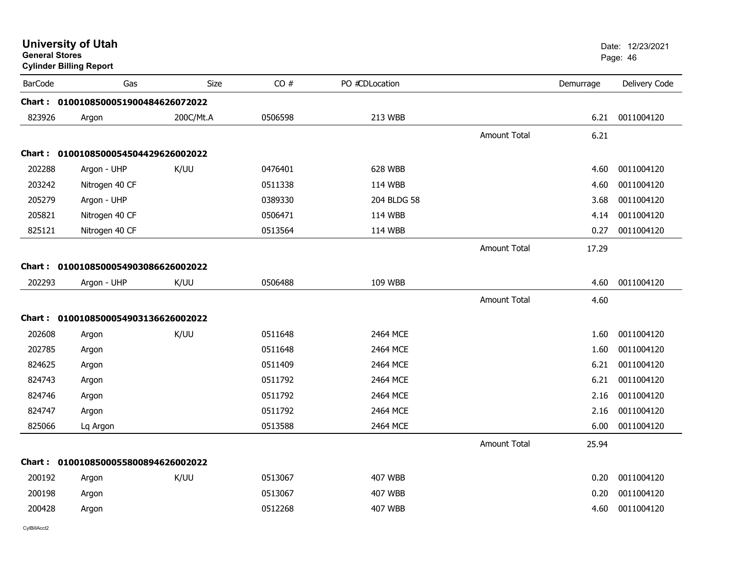| <b>General Stores</b> | <b>University of Utah</b><br><b>Cylinder Billing Report</b> |           |         |                |                     |           | Date: 12/23/2021<br>Page: 46 |
|-----------------------|-------------------------------------------------------------|-----------|---------|----------------|---------------------|-----------|------------------------------|
| <b>BarCode</b>        | Gas                                                         | Size      | CO#     | PO #CDLocation |                     | Demurrage | Delivery Code                |
|                       | Chart: 0100108500051900484626072022                         |           |         |                |                     |           |                              |
| 823926                | Argon                                                       | 200C/Mt.A | 0506598 | 213 WBB        |                     | 6.21      | 0011004120                   |
|                       |                                                             |           |         |                | Amount Total        | 6.21      |                              |
|                       | Chart: 0100108500054504429626002022                         |           |         |                |                     |           |                              |
| 202288                | Argon - UHP                                                 | K/UU      | 0476401 | 628 WBB        |                     | 4.60      | 0011004120                   |
| 203242                | Nitrogen 40 CF                                              |           | 0511338 | 114 WBB        |                     | 4.60      | 0011004120                   |
| 205279                | Argon - UHP                                                 |           | 0389330 | 204 BLDG 58    |                     | 3.68      | 0011004120                   |
| 205821                | Nitrogen 40 CF                                              |           | 0506471 | 114 WBB        |                     | 4.14      | 0011004120                   |
| 825121                | Nitrogen 40 CF                                              |           | 0513564 | 114 WBB        |                     | 0.27      | 0011004120                   |
|                       |                                                             |           |         |                | <b>Amount Total</b> | 17.29     |                              |
|                       | Chart: 0100108500054903086626002022                         |           |         |                |                     |           |                              |
| 202293                | Argon - UHP                                                 | K/UU      | 0506488 | 109 WBB        |                     | 4.60      | 0011004120                   |
|                       |                                                             |           |         |                | Amount Total        | 4.60      |                              |
|                       | Chart: 0100108500054903136626002022                         |           |         |                |                     |           |                              |
| 202608                | Argon                                                       | K/UU      | 0511648 | 2464 MCE       |                     | 1.60      | 0011004120                   |
| 202785                | Argon                                                       |           | 0511648 | 2464 MCE       |                     | 1.60      | 0011004120                   |
| 824625                | Argon                                                       |           | 0511409 | 2464 MCE       |                     | 6.21      | 0011004120                   |
| 824743                | Argon                                                       |           | 0511792 | 2464 MCE       |                     | 6.21      | 0011004120                   |
| 824746                | Argon                                                       |           | 0511792 | 2464 MCE       |                     | 2.16      | 0011004120                   |
| 824747                | Argon                                                       |           | 0511792 | 2464 MCE       |                     | 2.16      | 0011004120                   |
| 825066                | Lq Argon                                                    |           | 0513588 | 2464 MCE       |                     | 6.00      | 0011004120                   |
|                       |                                                             |           |         |                | <b>Amount Total</b> | 25.94     |                              |
|                       | Chart: 0100108500055800894626002022                         |           |         |                |                     |           |                              |
| 200192                | Argon                                                       | K/UU      | 0513067 | <b>407 WBB</b> |                     | 0.20      | 0011004120                   |
| 200198                | Argon                                                       |           | 0513067 | <b>407 WBB</b> |                     | 0.20      | 0011004120                   |
| 200428                | Argon                                                       |           | 0512268 | <b>407 WBB</b> |                     | 4.60      | 0011004120                   |
|                       |                                                             |           |         |                |                     |           |                              |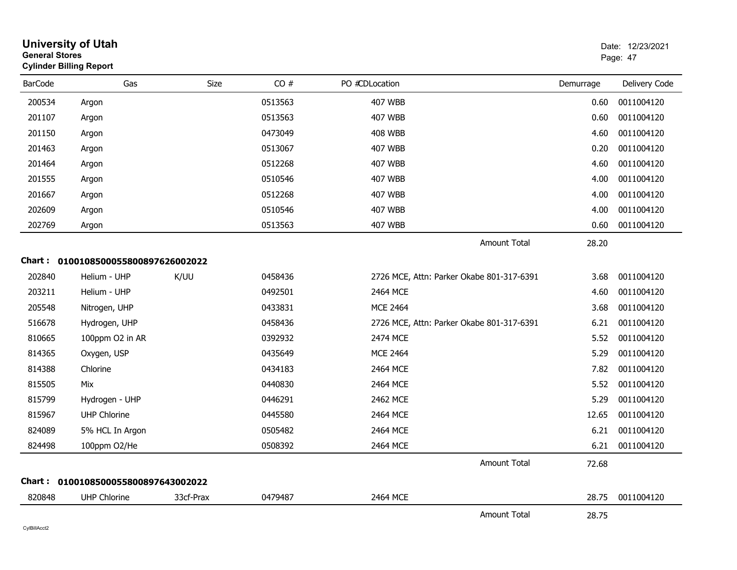| <b>General Stores</b> | <b>University of Utah</b><br><b>Cylinder Billing Report</b> |             |         |                                           |           | Date: 12/23/2021<br>Page: 47 |
|-----------------------|-------------------------------------------------------------|-------------|---------|-------------------------------------------|-----------|------------------------------|
| <b>BarCode</b>        | Gas                                                         | <b>Size</b> | CO#     | PO #CDLocation                            | Demurrage | Delivery Code                |
| 200534                | Argon                                                       |             | 0513563 | <b>407 WBB</b>                            | 0.60      | 0011004120                   |
| 201107                | Argon                                                       |             | 0513563 | 407 WBB                                   | 0.60      | 0011004120                   |
| 201150                | Argon                                                       |             | 0473049 | <b>408 WBB</b>                            | 4.60      | 0011004120                   |
| 201463                | Argon                                                       |             | 0513067 | 407 WBB                                   | 0.20      | 0011004120                   |
| 201464                | Argon                                                       |             | 0512268 | <b>407 WBB</b>                            | 4.60      | 0011004120                   |
| 201555                | Argon                                                       |             | 0510546 | 407 WBB                                   | 4.00      | 0011004120                   |
| 201667                | Argon                                                       |             | 0512268 | 407 WBB                                   | 4.00      | 0011004120                   |
| 202609                | Argon                                                       |             | 0510546 | <b>407 WBB</b>                            | 4.00      | 0011004120                   |
| 202769                | Argon                                                       |             | 0513563 | 407 WBB                                   | 0.60      | 0011004120                   |
|                       |                                                             |             |         | <b>Amount Total</b>                       | 28.20     |                              |
|                       | Chart: 0100108500055800897626002022                         |             |         |                                           |           |                              |
| 202840                | Helium - UHP                                                | K/UU        | 0458436 | 2726 MCE, Attn: Parker Okabe 801-317-6391 | 3.68      | 0011004120                   |
| 203211                | Helium - UHP                                                |             | 0492501 | 2464 MCE                                  | 4.60      | 0011004120                   |
| 205548                | Nitrogen, UHP                                               |             | 0433831 | <b>MCE 2464</b>                           | 3.68      | 0011004120                   |
| 516678                | Hydrogen, UHP                                               |             | 0458436 | 2726 MCE, Attn: Parker Okabe 801-317-6391 | 6.21      | 0011004120                   |
| 810665                | 100ppm O2 in AR                                             |             | 0392932 | 2474 MCE                                  | 5.52      | 0011004120                   |
| 814365                | Oxygen, USP                                                 |             | 0435649 | <b>MCE 2464</b>                           | 5.29      | 0011004120                   |
| 814388                | Chlorine                                                    |             | 0434183 | 2464 MCE                                  | 7.82      | 0011004120                   |
| 815505                | Mix                                                         |             | 0440830 | 2464 MCE                                  | 5.52      | 0011004120                   |
| 815799                | Hydrogen - UHP                                              |             | 0446291 | 2462 MCE                                  | 5.29      | 0011004120                   |
| 815967                | <b>UHP Chlorine</b>                                         |             | 0445580 | 2464 MCE                                  | 12.65     | 0011004120                   |
| 824089                | 5% HCL In Argon                                             |             | 0505482 | 2464 MCE                                  | 6.21      | 0011004120                   |
| 824498                | 100ppm O2/He                                                |             | 0508392 | 2464 MCE                                  | 6.21      | 0011004120                   |
|                       |                                                             |             |         | <b>Amount Total</b>                       | 72.68     |                              |
|                       | Chart: 0100108500055800897643002022                         |             |         |                                           |           |                              |
| 820848                | <b>UHP Chlorine</b>                                         | 33cf-Prax   | 0479487 | 2464 MCE                                  | 28.75     | 0011004120                   |
|                       |                                                             |             |         | <b>Amount Total</b>                       | 28.75     |                              |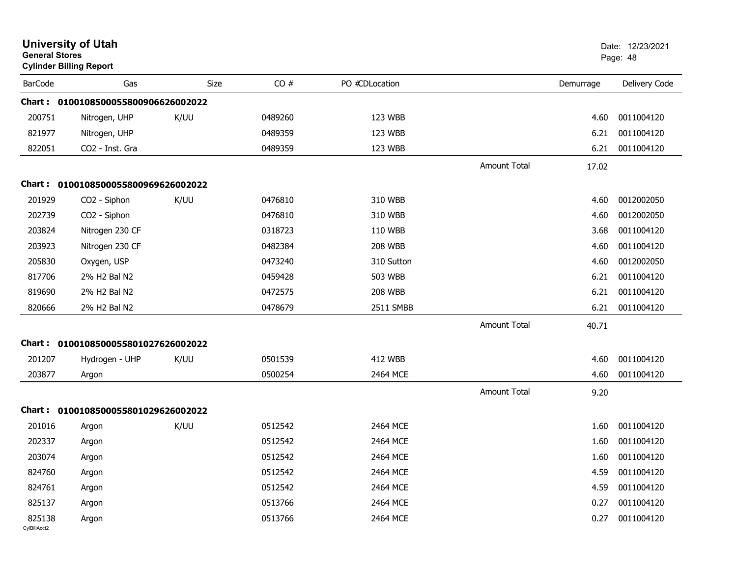| <b>General Stores</b>  | <b>University of Utah</b><br><b>Cylinder Billing Report</b> |      |         |                |                     |           | Date: 12/23/2021<br>Page: 48 |
|------------------------|-------------------------------------------------------------|------|---------|----------------|---------------------|-----------|------------------------------|
| <b>BarCode</b>         | Gas                                                         | Size | CO#     | PO #CDLocation |                     | Demurrage | Delivery Code                |
|                        | Chart: 0100108500055800906626002022                         |      |         |                |                     |           |                              |
| 200751                 | Nitrogen, UHP                                               | K/UU | 0489260 | 123 WBB        |                     | 4.60      | 0011004120                   |
| 821977                 | Nitrogen, UHP                                               |      | 0489359 | 123 WBB        |                     | 6.21      | 0011004120                   |
| 822051                 | CO2 - Inst. Gra                                             |      | 0489359 | 123 WBB        |                     | 6.21      | 0011004120                   |
|                        |                                                             |      |         |                | <b>Amount Total</b> | 17.02     |                              |
| Chart :                | 0100108500055800969626002022                                |      |         |                |                     |           |                              |
| 201929                 | CO <sub>2</sub> - Siphon                                    | K/UU | 0476810 | 310 WBB        |                     | 4.60      | 0012002050                   |
| 202739                 | CO <sub>2</sub> - Siphon                                    |      | 0476810 | 310 WBB        |                     | 4.60      | 0012002050                   |
| 203824                 | Nitrogen 230 CF                                             |      | 0318723 | 110 WBB        |                     | 3.68      | 0011004120                   |
| 203923                 | Nitrogen 230 CF                                             |      | 0482384 | <b>208 WBB</b> |                     | 4.60      | 0011004120                   |
| 205830                 | Oxygen, USP                                                 |      | 0473240 | 310 Sutton     |                     | 4.60      | 0012002050                   |
| 817706                 | 2% H2 Bal N2                                                |      | 0459428 | 503 WBB        |                     | 6.21      | 0011004120                   |
| 819690                 | 2% H2 Bal N2                                                |      | 0472575 | <b>208 WBB</b> |                     | 6.21      | 0011004120                   |
| 820666                 | 2% H2 Bal N2                                                |      | 0478679 | 2511 SMBB      |                     | 6.21      | 0011004120                   |
|                        |                                                             |      |         |                | <b>Amount Total</b> | 40.71     |                              |
| Chart :                | 0100108500055801027626002022                                |      |         |                |                     |           |                              |
| 201207                 | Hydrogen - UHP                                              | K/UU | 0501539 | <b>412 WBB</b> |                     | 4.60      | 0011004120                   |
| 203877                 | Argon                                                       |      | 0500254 | 2464 MCE       |                     | 4.60      | 0011004120                   |
|                        |                                                             |      |         |                | <b>Amount Total</b> | 9.20      |                              |
| Chart :                | 0100108500055801029626002022                                |      |         |                |                     |           |                              |
| 201016                 | Argon                                                       | K/UU | 0512542 | 2464 MCE       |                     | 1.60      | 0011004120                   |
| 202337                 | Argon                                                       |      | 0512542 | 2464 MCE       |                     | 1.60      | 0011004120                   |
| 203074                 | Argon                                                       |      | 0512542 | 2464 MCE       |                     | 1.60      | 0011004120                   |
| 824760                 | Argon                                                       |      | 0512542 | 2464 MCE       |                     | 4.59      | 0011004120                   |
| 824761                 | Argon                                                       |      | 0512542 | 2464 MCE       |                     | 4.59      | 0011004120                   |
| 825137                 | Argon                                                       |      | 0513766 | 2464 MCE       |                     | 0.27      | 0011004120                   |
| 825138<br>CylBillAcct2 | Argon                                                       |      | 0513766 | 2464 MCE       |                     | 0.27      | 0011004120                   |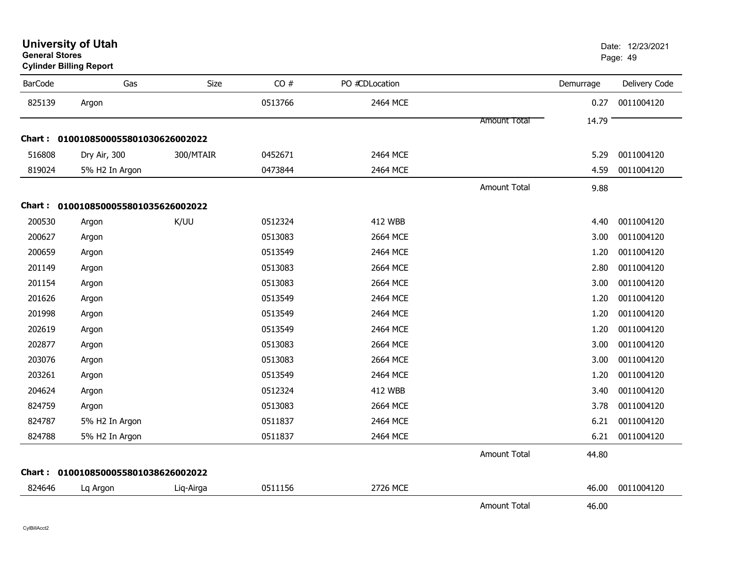| <b>BarCode</b> | Gas                                 | <b>Size</b> | CO#     | PO #CDLocation |                     | Demurrage | Delivery Code |
|----------------|-------------------------------------|-------------|---------|----------------|---------------------|-----------|---------------|
| 825139         | Argon                               |             | 0513766 | 2464 MCE       |                     | 0.27      | 0011004120    |
|                |                                     |             |         |                | <b>Amount Total</b> | 14.79     |               |
|                | Chart: 0100108500055801030626002022 |             |         |                |                     |           |               |
| 516808         | Dry Air, 300                        | 300/MTAIR   | 0452671 | 2464 MCE       |                     | 5.29      | 0011004120    |
| 819024         | 5% H2 In Argon                      |             | 0473844 | 2464 MCE       |                     | 4.59      | 0011004120    |
|                |                                     |             |         |                | <b>Amount Total</b> | 9.88      |               |
|                | Chart: 0100108500055801035626002022 |             |         |                |                     |           |               |
| 200530         | Argon                               | K/UU        | 0512324 | <b>412 WBB</b> |                     | 4.40      | 0011004120    |
| 200627         | Argon                               |             | 0513083 | 2664 MCE       |                     | 3.00      | 0011004120    |
| 200659         | Argon                               |             | 0513549 | 2464 MCE       |                     | 1.20      | 0011004120    |
| 201149         | Argon                               |             | 0513083 | 2664 MCE       |                     | 2.80      | 0011004120    |
| 201154         | Argon                               |             | 0513083 | 2664 MCE       |                     | 3.00      | 0011004120    |
| 201626         | Argon                               |             | 0513549 | 2464 MCE       |                     | 1.20      | 0011004120    |
| 201998         | Argon                               |             | 0513549 | 2464 MCE       |                     | 1.20      | 0011004120    |
| 202619         | Argon                               |             | 0513549 | 2464 MCE       |                     | 1.20      | 0011004120    |
| 202877         | Argon                               |             | 0513083 | 2664 MCE       |                     | 3.00      | 0011004120    |
| 203076         | Argon                               |             | 0513083 | 2664 MCE       |                     | 3.00      | 0011004120    |
| 203261         | Argon                               |             | 0513549 | 2464 MCE       |                     | 1.20      | 0011004120    |
| 204624         | Argon                               |             | 0512324 | <b>412 WBB</b> |                     | 3.40      | 0011004120    |
| 824759         | Argon                               |             | 0513083 | 2664 MCE       |                     | 3.78      | 0011004120    |
| 824787         | 5% H2 In Argon                      |             | 0511837 | 2464 MCE       |                     | 6.21      | 0011004120    |
| 824788         | 5% H2 In Argon                      |             | 0511837 | 2464 MCE       |                     | 6.21      | 0011004120    |
|                |                                     |             |         |                | Amount Total        | 44.80     |               |
|                | Chart: 0100108500055801038626002022 |             |         |                |                     |           |               |
| 824646         | Lq Argon                            | Liq-Airga   | 0511156 | 2726 MCE       |                     | 46.00     | 0011004120    |
|                |                                     |             |         |                | <b>Amount Total</b> | 46.00     |               |

**General StoresCylinder Billing Report**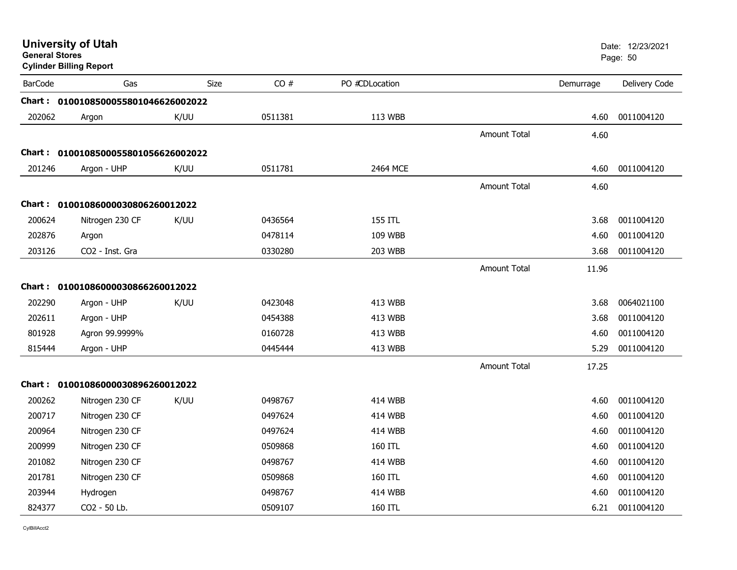| <b>General Stores</b> | <b>University of Utah</b><br><b>Cylinder Billing Report</b> |      |         |                |                     |           | Date: 12/23/2021<br>Page: 50 |
|-----------------------|-------------------------------------------------------------|------|---------|----------------|---------------------|-----------|------------------------------|
| <b>BarCode</b>        | Gas                                                         | Size | CO#     | PO #CDLocation |                     | Demurrage | Delivery Code                |
|                       | Chart: 0100108500055801046626002022                         |      |         |                |                     |           |                              |
| 202062                | Argon                                                       | K/UU | 0511381 | 113 WBB        |                     | 4.60      | 0011004120                   |
|                       |                                                             |      |         |                | <b>Amount Total</b> | 4.60      |                              |
|                       | Chart: 0100108500055801056626002022                         |      |         |                |                     |           |                              |
| 201246                | Argon - UHP                                                 | K/UU | 0511781 | 2464 MCE       |                     | 4.60      | 0011004120                   |
|                       |                                                             |      |         |                | Amount Total        | 4.60      |                              |
|                       | Chart: 01001086000030806260012022                           |      |         |                |                     |           |                              |
| 200624                | Nitrogen 230 CF                                             | K/UU | 0436564 | 155 ITL        |                     | 3.68      | 0011004120                   |
| 202876                | Argon                                                       |      | 0478114 | 109 WBB        |                     | 4.60      | 0011004120                   |
| 203126                | CO2 - Inst. Gra                                             |      | 0330280 | 203 WBB        |                     | 3.68      | 0011004120                   |
|                       |                                                             |      |         |                | Amount Total        | 11.96     |                              |
|                       | Chart: 01001086000030866260012022                           |      |         |                |                     |           |                              |
| 202290                | Argon - UHP                                                 | K/UU | 0423048 | 413 WBB        |                     | 3.68      | 0064021100                   |
| 202611                | Argon - UHP                                                 |      | 0454388 | 413 WBB        |                     | 3.68      | 0011004120                   |
| 801928                | Agron 99.9999%                                              |      | 0160728 | 413 WBB        |                     | 4.60      | 0011004120                   |
| 815444                | Argon - UHP                                                 |      | 0445444 | 413 WBB        |                     | 5.29      | 0011004120                   |
|                       |                                                             |      |         |                | <b>Amount Total</b> | 17.25     |                              |
|                       | Chart: 01001086000030896260012022                           |      |         |                |                     |           |                              |
| 200262                | Nitrogen 230 CF                                             | K/UU | 0498767 | <b>414 WBB</b> |                     | 4.60      | 0011004120                   |
| 200717                | Nitrogen 230 CF                                             |      | 0497624 | 414 WBB        |                     | 4.60      | 0011004120                   |
| 200964                | Nitrogen 230 CF                                             |      | 0497624 | <b>414 WBB</b> |                     | 4.60      | 0011004120                   |
| 200999                | Nitrogen 230 CF                                             |      | 0509868 | 160 ITL        |                     | 4.60      | 0011004120                   |
| 201082                | Nitrogen 230 CF                                             |      | 0498767 | 414 WBB        |                     | 4.60      | 0011004120                   |
| 201781                | Nitrogen 230 CF                                             |      | 0509868 | 160 ITL        |                     | 4.60      | 0011004120                   |
| 203944                | Hydrogen                                                    |      | 0498767 | <b>414 WBB</b> |                     | 4.60      | 0011004120                   |
| 824377                | CO <sub>2</sub> - 50 Lb.                                    |      | 0509107 | 160 ITL        |                     | 6.21      | 0011004120                   |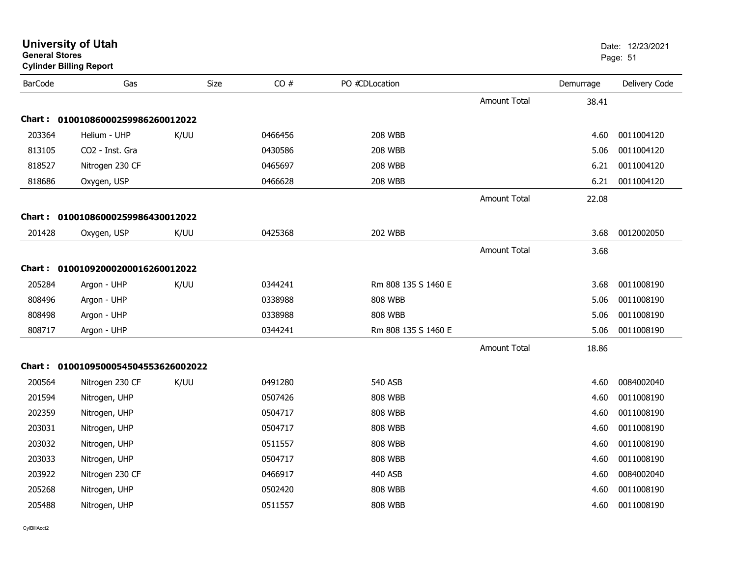| <b>General Stores</b> | <b>Cylinder Billing Report</b>      |             |         |                     |                     |           | Page: 51      |
|-----------------------|-------------------------------------|-------------|---------|---------------------|---------------------|-----------|---------------|
| <b>BarCode</b>        | Gas                                 | <b>Size</b> | CO#     | PO #CDLocation      |                     | Demurrage | Delivery Code |
|                       |                                     |             |         |                     | Amount Total        | 38.41     |               |
| <b>Chart:</b>         | 01001086000259986260012022          |             |         |                     |                     |           |               |
| 203364                | Helium - UHP                        | K/UU        | 0466456 | <b>208 WBB</b>      |                     | 4.60      | 0011004120    |
| 813105                | CO2 - Inst. Gra                     |             | 0430586 | <b>208 WBB</b>      |                     | 5.06      | 0011004120    |
| 818527                | Nitrogen 230 CF                     |             | 0465697 | <b>208 WBB</b>      |                     | 6.21      | 0011004120    |
| 818686                | Oxygen, USP                         |             | 0466628 | <b>208 WBB</b>      |                     | 6.21      | 0011004120    |
|                       |                                     |             |         |                     | <b>Amount Total</b> | 22.08     |               |
|                       | Chart: 01001086000259986430012022   |             |         |                     |                     |           |               |
| 201428                | Oxygen, USP                         | K/UU        | 0425368 | <b>202 WBB</b>      |                     | 3.68      | 0012002050    |
|                       |                                     |             |         |                     | <b>Amount Total</b> | 3.68      |               |
|                       | Chart: 01001092000200016260012022   |             |         |                     |                     |           |               |
| 205284                | Argon - UHP                         | K/UU        | 0344241 | Rm 808 135 S 1460 E |                     | 3.68      | 0011008190    |
| 808496                | Argon - UHP                         |             | 0338988 | <b>808 WBB</b>      |                     | 5.06      | 0011008190    |
| 808498                | Argon - UHP                         |             | 0338988 | <b>808 WBB</b>      |                     | 5.06      | 0011008190    |
| 808717                | Argon - UHP                         |             | 0344241 | Rm 808 135 S 1460 E |                     | 5.06      | 0011008190    |
|                       |                                     |             |         |                     | <b>Amount Total</b> | 18.86     |               |
|                       | Chart: 0100109500054504553626002022 |             |         |                     |                     |           |               |
| 200564                | Nitrogen 230 CF                     | K/UU        | 0491280 | 540 ASB             |                     | 4.60      | 0084002040    |
| 201594                | Nitrogen, UHP                       |             | 0507426 | <b>808 WBB</b>      |                     | 4.60      | 0011008190    |
| 202359                | Nitrogen, UHP                       |             | 0504717 | <b>808 WBB</b>      |                     | 4.60      | 0011008190    |
| 203031                | Nitrogen, UHP                       |             | 0504717 | <b>808 WBB</b>      |                     | 4.60      | 0011008190    |
| 203032                | Nitrogen, UHP                       |             | 0511557 | <b>808 WBB</b>      |                     | 4.60      | 0011008190    |
| 203033                | Nitrogen, UHP                       |             | 0504717 | <b>808 WBB</b>      |                     | 4.60      | 0011008190    |
| 203922                | Nitrogen 230 CF                     |             | 0466917 | 440 ASB             |                     | 4.60      | 0084002040    |
| 205268                | Nitrogen, UHP                       |             | 0502420 | <b>808 WBB</b>      |                     | 4.60      | 0011008190    |
| 205488                | Nitrogen, UHP                       |             | 0511557 | <b>808 WBB</b>      |                     | 4.60      | 0011008190    |
|                       |                                     |             |         |                     |                     |           |               |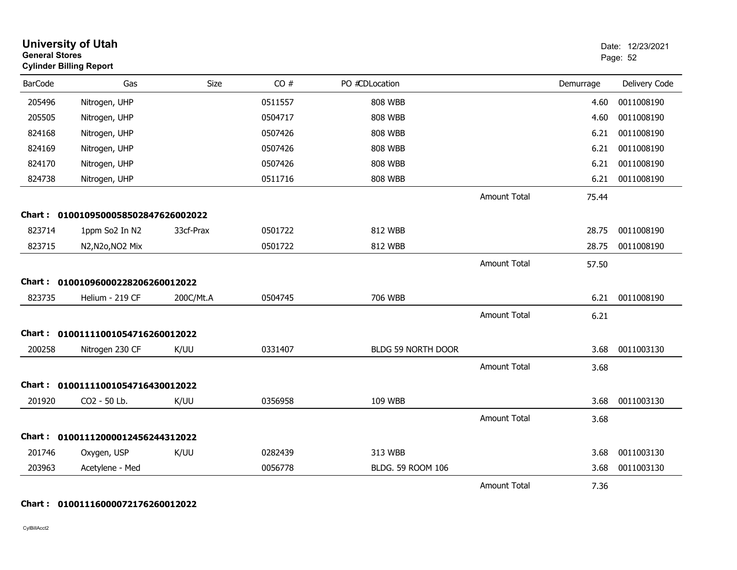| <b>General Stores</b> | <b>University of Utah</b><br><b>Cylinder Billing Report</b> |           |         |                    |                     | Date: 12/23/2021<br>Page: 52 |               |
|-----------------------|-------------------------------------------------------------|-----------|---------|--------------------|---------------------|------------------------------|---------------|
| <b>BarCode</b>        | Gas                                                         | Size      | CO#     | PO #CDLocation     |                     | Demurrage                    | Delivery Code |
| 205496                | Nitrogen, UHP                                               |           | 0511557 | <b>808 WBB</b>     |                     | 4.60                         | 0011008190    |
| 205505                | Nitrogen, UHP                                               |           | 0504717 | <b>808 WBB</b>     |                     | 4.60                         | 0011008190    |
| 824168                | Nitrogen, UHP                                               |           | 0507426 | <b>808 WBB</b>     |                     | 6.21                         | 0011008190    |
| 824169                | Nitrogen, UHP                                               |           | 0507426 | 808 WBB            |                     | 6.21                         | 0011008190    |
| 824170                | Nitrogen, UHP                                               |           | 0507426 | <b>808 WBB</b>     |                     | 6.21                         | 0011008190    |
| 824738                | Nitrogen, UHP                                               |           | 0511716 | <b>808 WBB</b>     |                     | 6.21                         | 0011008190    |
|                       |                                                             |           |         |                    | <b>Amount Total</b> | 75.44                        |               |
|                       | Chart: 0100109500058502847626002022                         |           |         |                    |                     |                              |               |
| 823714                | 1ppm So2 In N2                                              | 33cf-Prax | 0501722 | 812 WBB            |                     | 28.75                        | 0011008190    |
| 823715                | N2, N2o, NO2 Mix                                            |           | 0501722 | 812 WBB            |                     | 28.75                        | 0011008190    |
|                       |                                                             |           |         |                    | <b>Amount Total</b> | 57.50                        |               |
| <b>Chart :</b>        | 01001096000228206260012022                                  |           |         |                    |                     |                              |               |
| 823735                | Helium - 219 CF                                             | 200C/Mt.A | 0504745 | 706 WBB            |                     | 6.21                         | 0011008190    |
|                       |                                                             |           |         |                    | <b>Amount Total</b> | 6.21                         |               |
|                       | Chart: 01001111001054716260012022                           |           |         |                    |                     |                              |               |
| 200258                | Nitrogen 230 CF                                             | K/UU      | 0331407 | BLDG 59 NORTH DOOR |                     | 3.68                         | 0011003130    |
|                       |                                                             |           |         |                    | <b>Amount Total</b> | 3.68                         |               |
|                       | Chart: 01001111001054716430012022                           |           |         |                    |                     |                              |               |
| 201920                | CO2 - 50 Lb.                                                | K/UU      | 0356958 | 109 WBB            |                     | 3.68                         | 0011003130    |
|                       |                                                             |           |         |                    | <b>Amount Total</b> | 3.68                         |               |
|                       | Chart: 01001112000012456244312022                           |           |         |                    |                     |                              |               |
| 201746                | Oxygen, USP                                                 | K/UU      | 0282439 | 313 WBB            |                     | 3.68                         | 0011003130    |
| 203963                | Acetylene - Med                                             |           | 0056778 | BLDG. 59 ROOM 106  |                     | 3.68                         | 0011003130    |
|                       |                                                             |           |         |                    | <b>Amount Total</b> | 7.36                         |               |

### **Chart : 01001116000072176260012022**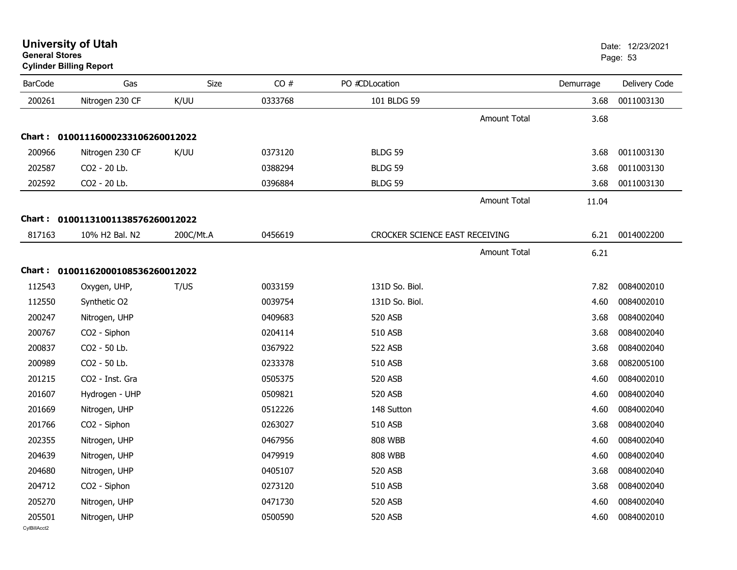|                | <b>Cylinder Billing Report</b>    |           |         |                                |                     |           | ı ayu. Ju     |
|----------------|-----------------------------------|-----------|---------|--------------------------------|---------------------|-----------|---------------|
| <b>BarCode</b> | Gas                               | Size      | CO#     | PO #CDLocation                 |                     | Demurrage | Delivery Code |
| 200261         | Nitrogen 230 CF                   | K/UU      | 0333768 | 101 BLDG 59                    |                     | 3.68      | 0011003130    |
|                |                                   |           |         |                                | <b>Amount Total</b> | 3.68      |               |
|                | Chart: 01001116000233106260012022 |           |         |                                |                     |           |               |
| 200966         | Nitrogen 230 CF                   | K/UU      | 0373120 | <b>BLDG 59</b>                 |                     | 3.68      | 0011003130    |
| 202587         | CO2 - 20 Lb.                      |           | 0388294 | <b>BLDG 59</b>                 |                     | 3.68      | 0011003130    |
| 202592         | CO2 - 20 Lb.                      |           | 0396884 | <b>BLDG 59</b>                 |                     | 3.68      | 0011003130    |
|                |                                   |           |         |                                | Amount Total        | 11.04     |               |
|                | Chart: 01001131001138576260012022 |           |         |                                |                     |           |               |
| 817163         | 10% H2 Bal. N2                    | 200C/Mt.A | 0456619 | CROCKER SCIENCE EAST RECEIVING |                     | 6.21      | 0014002200    |
|                |                                   |           |         |                                | <b>Amount Total</b> | 6.21      |               |
|                | Chart: 01001162000108536260012022 |           |         |                                |                     |           |               |
| 112543         | Oxygen, UHP,                      | T/US      | 0033159 | 131D So. Biol.                 |                     | 7.82      | 0084002010    |
| 112550         | Synthetic O2                      |           | 0039754 | 131D So. Biol.                 |                     | 4.60      | 0084002010    |
| 200247         | Nitrogen, UHP                     |           | 0409683 | 520 ASB                        |                     | 3.68      | 0084002040    |
| 200767         | CO2 - Siphon                      |           | 0204114 | 510 ASB                        |                     | 3.68      | 0084002040    |
| 200837         | CO2 - 50 Lb.                      |           | 0367922 | 522 ASB                        |                     | 3.68      | 0084002040    |
| 200989         | CO2 - 50 Lb.                      |           | 0233378 | 510 ASB                        |                     | 3.68      | 0082005100    |
| 201215         | CO2 - Inst. Gra                   |           | 0505375 | 520 ASB                        |                     | 4.60      | 0084002010    |
| 201607         | Hydrogen - UHP                    |           | 0509821 | <b>520 ASB</b>                 |                     | 4.60      | 0084002040    |
| 201669         | Nitrogen, UHP                     |           | 0512226 | 148 Sutton                     |                     | 4.60      | 0084002040    |
| 201766         | CO2 - Siphon                      |           | 0263027 | 510 ASB                        |                     | 3.68      | 0084002040    |
| 202355         | Nitrogen, UHP                     |           | 0467956 | <b>808 WBB</b>                 |                     | 4.60      | 0084002040    |
| 204639         | Nitrogen, UHP                     |           | 0479919 | <b>808 WBB</b>                 |                     | 4.60      | 0084002040    |
| 204680         | Nitrogen, UHP                     |           | 0405107 | 520 ASB                        |                     | 3.68      | 0084002040    |
| 204712         | CO2 - Siphon                      |           | 0273120 | 510 ASB                        |                     | 3.68      | 0084002040    |
| 205270         | Nitrogen, UHP                     |           | 0471730 | 520 ASB                        |                     | 4.60      | 0084002040    |
| 205501         | Nitrogen, UHP                     |           | 0500590 | <b>520 ASB</b>                 |                     | 4.60      | 0084002010    |

#### **University of Utah** Date: 12/23/2021 **General Stores**s and the contract of the contract of the contract of the contract of the contract of the contract of the contract of the contract of the contract of the contract of the contract of the contract of the contract of the cont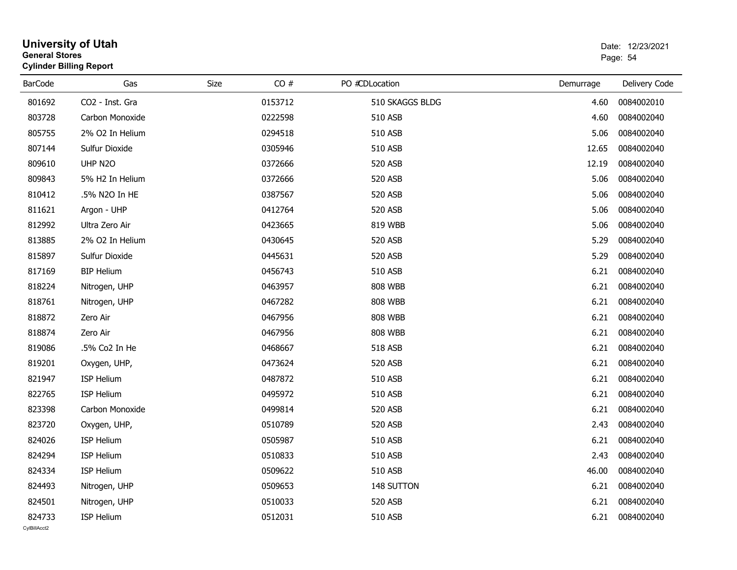| <b>General Stores</b>  | <b>University of Utah</b><br><b>Cylinder Billing Report</b> |             |         |                 |           | Date: 12/23/2021<br>Page: 54 |
|------------------------|-------------------------------------------------------------|-------------|---------|-----------------|-----------|------------------------------|
| <b>BarCode</b>         | Gas                                                         | <b>Size</b> | CO#     | PO #CDLocation  | Demurrage | Delivery Code                |
| 801692                 | CO2 - Inst. Gra                                             |             | 0153712 | 510 SKAGGS BLDG | 4.60      | 0084002010                   |
| 803728                 | Carbon Monoxide                                             |             | 0222598 | 510 ASB         | 4.60      | 0084002040                   |
| 805755                 | 2% O2 In Helium                                             |             | 0294518 | 510 ASB         | 5.06      | 0084002040                   |
| 807144                 | Sulfur Dioxide                                              |             | 0305946 | 510 ASB         | 12.65     | 0084002040                   |
| 809610                 | UHP N2O                                                     |             | 0372666 | 520 ASB         | 12.19     | 0084002040                   |
| 809843                 | 5% H2 In Helium                                             |             | 0372666 | 520 ASB         | 5.06      | 0084002040                   |
| 810412                 | .5% N2O In HE                                               |             | 0387567 | 520 ASB         | 5.06      | 0084002040                   |
| 811621                 | Argon - UHP                                                 |             | 0412764 | 520 ASB         | 5.06      | 0084002040                   |
| 812992                 | Ultra Zero Air                                              |             | 0423665 | 819 WBB         | 5.06      | 0084002040                   |
| 813885                 | 2% O2 In Helium                                             |             | 0430645 | 520 ASB         | 5.29      | 0084002040                   |
| 815897                 | Sulfur Dioxide                                              |             | 0445631 | 520 ASB         | 5.29      | 0084002040                   |
| 817169                 | <b>BIP Helium</b>                                           |             | 0456743 | 510 ASB         | 6.21      | 0084002040                   |
| 818224                 | Nitrogen, UHP                                               |             | 0463957 | <b>808 WBB</b>  | 6.21      | 0084002040                   |
| 818761                 | Nitrogen, UHP                                               |             | 0467282 | <b>808 WBB</b>  | 6.21      | 0084002040                   |
| 818872                 | Zero Air                                                    |             | 0467956 | <b>808 WBB</b>  | 6.21      | 0084002040                   |
| 818874                 | Zero Air                                                    |             | 0467956 | <b>808 WBB</b>  | 6.21      | 0084002040                   |
| 819086                 | .5% Co2 In He                                               |             | 0468667 | 518 ASB         | 6.21      | 0084002040                   |
| 819201                 | Oxygen, UHP,                                                |             | 0473624 | 520 ASB         | 6.21      | 0084002040                   |
| 821947                 | <b>ISP Helium</b>                                           |             | 0487872 | 510 ASB         | 6.21      | 0084002040                   |
| 822765                 | <b>ISP Helium</b>                                           |             | 0495972 | 510 ASB         | 6.21      | 0084002040                   |
| 823398                 | Carbon Monoxide                                             |             | 0499814 | 520 ASB         | 6.21      | 0084002040                   |
| 823720                 | Oxygen, UHP,                                                |             | 0510789 | 520 ASB         | 2.43      | 0084002040                   |
| 824026                 | ISP Helium                                                  |             | 0505987 | 510 ASB         | 6.21      | 0084002040                   |
| 824294                 | <b>ISP Helium</b>                                           |             | 0510833 | 510 ASB         | 2.43      | 0084002040                   |
| 824334                 | ISP Helium                                                  |             | 0509622 | 510 ASB         | 46.00     | 0084002040                   |
| 824493                 | Nitrogen, UHP                                               |             | 0509653 | 148 SUTTON      | 6.21      | 0084002040                   |
| 824501                 | Nitrogen, UHP                                               |             | 0510033 | 520 ASB         | 6.21      | 0084002040                   |
| 824733<br>CvIBillAcct2 | ISP Helium                                                  |             | 0512031 | 510 ASB         | 6.21      | 0084002040                   |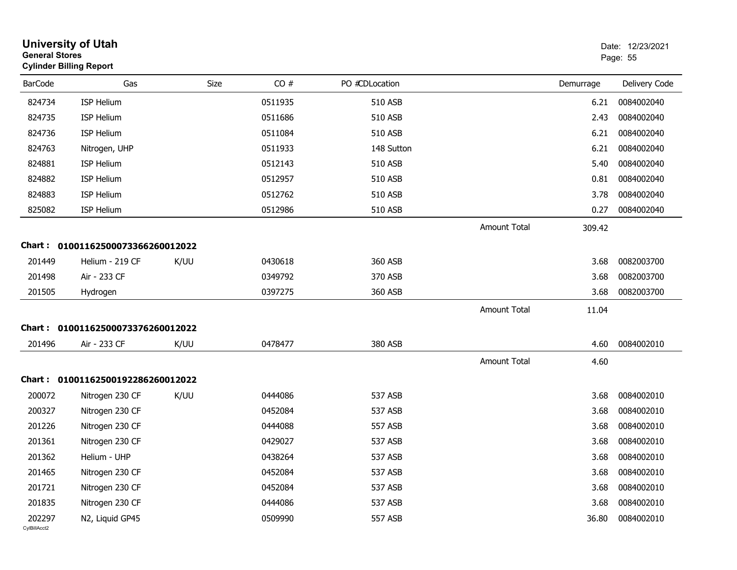| <b>General Stores</b>  | <b>University of Utah</b><br><b>Cylinder Billing Report</b> |      |         |                |                     |           | Date: 12/23/2021<br>Page: 55 |
|------------------------|-------------------------------------------------------------|------|---------|----------------|---------------------|-----------|------------------------------|
| <b>BarCode</b>         | Gas                                                         | Size | CO#     | PO #CDLocation |                     | Demurrage | Delivery Code                |
| 824734                 | ISP Helium                                                  |      | 0511935 | <b>510 ASB</b> |                     | 6.21      | 0084002040                   |
| 824735                 | <b>ISP Helium</b>                                           |      | 0511686 | 510 ASB        |                     | 2.43      | 0084002040                   |
| 824736                 | ISP Helium                                                  |      | 0511084 | <b>510 ASB</b> |                     | 6.21      | 0084002040                   |
| 824763                 | Nitrogen, UHP                                               |      | 0511933 | 148 Sutton     |                     | 6.21      | 0084002040                   |
| 824881                 | <b>ISP Helium</b>                                           |      | 0512143 | <b>510 ASB</b> |                     | 5.40      | 0084002040                   |
| 824882                 | <b>ISP Helium</b>                                           |      | 0512957 | 510 ASB        |                     | 0.81      | 0084002040                   |
| 824883                 | <b>ISP Helium</b>                                           |      | 0512762 | <b>510 ASB</b> |                     | 3.78      | 0084002040                   |
| 825082                 | ISP Helium                                                  |      | 0512986 | 510 ASB        |                     | 0.27      | 0084002040                   |
|                        |                                                             |      |         |                | <b>Amount Total</b> | 309.42    |                              |
|                        | Chart: 01001162500073366260012022                           |      |         |                |                     |           |                              |
| 201449                 | Helium - 219 CF                                             | K/UU | 0430618 | 360 ASB        |                     | 3.68      | 0082003700                   |
| 201498                 | Air - 233 CF                                                |      | 0349792 | 370 ASB        |                     | 3.68      | 0082003700                   |
| 201505                 | Hydrogen                                                    |      | 0397275 | 360 ASB        |                     | 3.68      | 0082003700                   |
|                        |                                                             |      |         |                | <b>Amount Total</b> | 11.04     |                              |
| Chart :                | 01001162500073376260012022                                  |      |         |                |                     |           |                              |
| 201496                 | Air - 233 CF                                                | K/UU | 0478477 | 380 ASB        |                     | 4.60      | 0084002010                   |
|                        |                                                             |      |         |                | <b>Amount Total</b> | 4.60      |                              |
|                        | Chart: 01001162500192286260012022                           |      |         |                |                     |           |                              |
| 200072                 | Nitrogen 230 CF                                             | K/UU | 0444086 | 537 ASB        |                     | 3.68      | 0084002010                   |
| 200327                 | Nitrogen 230 CF                                             |      | 0452084 | 537 ASB        |                     | 3.68      | 0084002010                   |
| 201226                 | Nitrogen 230 CF                                             |      | 0444088 | 557 ASB        |                     | 3.68      | 0084002010                   |
| 201361                 | Nitrogen 230 CF                                             |      | 0429027 | 537 ASB        |                     | 3.68      | 0084002010                   |
| 201362                 | Helium - UHP                                                |      | 0438264 | 537 ASB        |                     | 3.68      | 0084002010                   |
| 201465                 | Nitrogen 230 CF                                             |      | 0452084 | 537 ASB        |                     | 3.68      | 0084002010                   |
| 201721                 | Nitrogen 230 CF                                             |      | 0452084 | 537 ASB        |                     | 3.68      | 0084002010                   |
| 201835                 | Nitrogen 230 CF                                             |      | 0444086 | 537 ASB        |                     | 3.68      | 0084002010                   |
| 202297<br>CvIBillAcct2 | N2, Liquid GP45                                             |      | 0509990 | 557 ASB        |                     | 36.80     | 0084002010                   |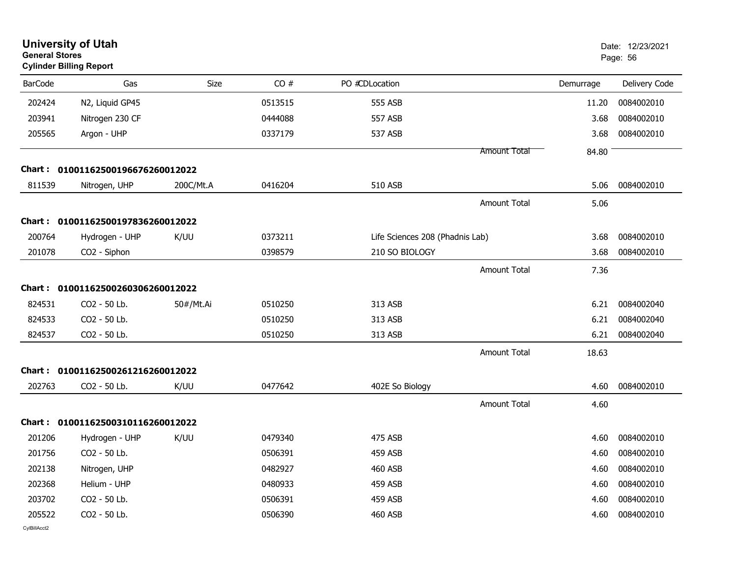| <b>General Stores</b> | <b>University of Utah</b><br><b>Cylinder Billing Report</b> |             |         |                                 |                     |           | Date: 12/23/2021<br>Page: 56 |
|-----------------------|-------------------------------------------------------------|-------------|---------|---------------------------------|---------------------|-----------|------------------------------|
| <b>BarCode</b>        | Gas                                                         | <b>Size</b> | CO#     | PO #CDLocation                  |                     | Demurrage | Delivery Code                |
| 202424                | N2, Liquid GP45                                             |             | 0513515 | 555 ASB                         |                     | 11.20     | 0084002010                   |
| 203941                | Nitrogen 230 CF                                             |             | 0444088 | 557 ASB                         |                     | 3.68      | 0084002010                   |
| 205565                | Argon - UHP                                                 |             | 0337179 | 537 ASB                         |                     | 3.68      | 0084002010                   |
|                       |                                                             |             |         |                                 | Amount Total        | 84.80     |                              |
|                       | Chart: 01001162500196676260012022                           |             |         |                                 |                     |           |                              |
| 811539                | Nitrogen, UHP                                               | 200C/Mt.A   | 0416204 | 510 ASB                         |                     | 5.06      | 0084002010                   |
|                       |                                                             |             |         |                                 | <b>Amount Total</b> | 5.06      |                              |
|                       | Chart: 01001162500197836260012022                           |             |         |                                 |                     |           |                              |
| 200764                | Hydrogen - UHP                                              | K/UU        | 0373211 | Life Sciences 208 (Phadnis Lab) |                     | 3.68      | 0084002010                   |
| 201078                | CO2 - Siphon                                                |             | 0398579 | 210 SO BIOLOGY                  |                     | 3.68      | 0084002010                   |
|                       |                                                             |             |         |                                 | <b>Amount Total</b> | 7.36      |                              |
|                       | Chart: 01001162500260306260012022                           |             |         |                                 |                     |           |                              |
| 824531                | CO2 - 50 Lb.                                                | 50#/Mt.Ai   | 0510250 | 313 ASB                         |                     | 6.21      | 0084002040                   |
| 824533                | CO2 - 50 Lb.                                                |             | 0510250 | 313 ASB                         |                     | 6.21      | 0084002040                   |
| 824537                | CO2 - 50 Lb.                                                |             | 0510250 | 313 ASB                         |                     | 6.21      | 0084002040                   |
|                       |                                                             |             |         |                                 | Amount Total        | 18.63     |                              |
| Chart :               | 01001162500261216260012022                                  |             |         |                                 |                     |           |                              |
| 202763                | CO2 - 50 Lb.                                                | K/UU        | 0477642 | 402E So Biology                 |                     | 4.60      | 0084002010                   |
|                       |                                                             |             |         |                                 | <b>Amount Total</b> | 4.60      |                              |
|                       | Chart: 01001162500310116260012022                           |             |         |                                 |                     |           |                              |
| 201206                | Hydrogen - UHP                                              | K/UU        | 0479340 | <b>475 ASB</b>                  |                     | 4.60      | 0084002010                   |
| 201756                | CO2 - 50 Lb.                                                |             | 0506391 | <b>459 ASB</b>                  |                     | 4.60      | 0084002010                   |
| 202138                | Nitrogen, UHP                                               |             | 0482927 | 460 ASB                         |                     | 4.60      | 0084002010                   |
| 202368                | Helium - UHP                                                |             | 0480933 | 459 ASB                         |                     | 4.60      | 0084002010                   |
| 203702                | CO2 - 50 Lb.                                                |             | 0506391 | 459 ASB                         |                     | 4.60      | 0084002010                   |
| 205522                | CO2 - 50 Lb.                                                |             | 0506390 | <b>460 ASB</b>                  |                     | 4.60      | 0084002010                   |
| CvIBillAcct2          |                                                             |             |         |                                 |                     |           |                              |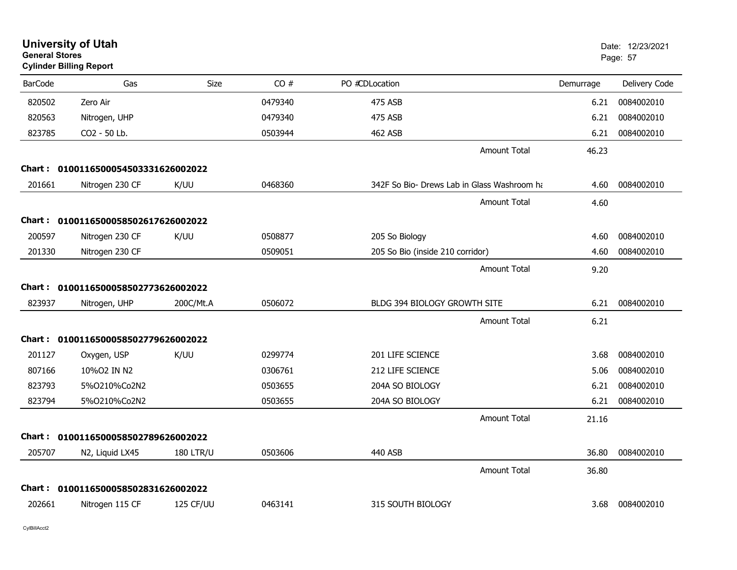| <b>General Stores</b> | <b>University of Utah</b><br><b>Cylinder Billing Report</b> |                  |         |                                             |           | Date: 12/23/2021<br>Page: 57 |
|-----------------------|-------------------------------------------------------------|------------------|---------|---------------------------------------------|-----------|------------------------------|
| <b>BarCode</b>        | Gas                                                         | Size             | CO#     | PO #CDLocation                              | Demurrage | Delivery Code                |
| 820502                | Zero Air                                                    |                  | 0479340 | 475 ASB                                     | 6.21      | 0084002010                   |
| 820563                | Nitrogen, UHP                                               |                  | 0479340 | 475 ASB                                     | 6.21      | 0084002010                   |
| 823785                | CO <sub>2</sub> - 50 Lb.                                    |                  | 0503944 | 462 ASB                                     | 6.21      | 0084002010                   |
|                       |                                                             |                  |         | <b>Amount Total</b>                         | 46.23     |                              |
| Chart :               | 0100116500054503331626002022                                |                  |         |                                             |           |                              |
| 201661                | Nitrogen 230 CF                                             | K/UU             | 0468360 | 342F So Bio- Drews Lab in Glass Washroom ha | 4.60      | 0084002010                   |
|                       |                                                             |                  |         | <b>Amount Total</b>                         | 4.60      |                              |
| Chart :               | 0100116500058502617626002022                                |                  |         |                                             |           |                              |
| 200597                | Nitrogen 230 CF                                             | K/UU             | 0508877 | 205 So Biology                              | 4.60      | 0084002010                   |
| 201330                | Nitrogen 230 CF                                             |                  | 0509051 | 205 So Bio (inside 210 corridor)            | 4.60      | 0084002010                   |
|                       |                                                             |                  |         | <b>Amount Total</b>                         | 9.20      |                              |
| Chart :               | 0100116500058502773626002022                                |                  |         |                                             |           |                              |
| 823937                | Nitrogen, UHP                                               | 200C/Mt.A        | 0506072 | BLDG 394 BIOLOGY GROWTH SITE                | 6.21      | 0084002010                   |
|                       |                                                             |                  |         | <b>Amount Total</b>                         | 6.21      |                              |
|                       | Chart: 0100116500058502779626002022                         |                  |         |                                             |           |                              |
| 201127                | Oxygen, USP                                                 | K/UU             | 0299774 | 201 LIFE SCIENCE                            | 3.68      | 0084002010                   |
| 807166                | 10%02 IN N2                                                 |                  | 0306761 | <b>212 LIFE SCIENCE</b>                     | 5.06      | 0084002010                   |
| 823793                | 5%0210%Co2N2                                                |                  | 0503655 | 204A SO BIOLOGY                             | 6.21      | 0084002010                   |
| 823794                | 5%0210%Co2N2                                                |                  | 0503655 | 204A SO BIOLOGY                             | 6.21      | 0084002010                   |
|                       |                                                             |                  |         | <b>Amount Total</b>                         | 21.16     |                              |
| <b>Chart :</b>        | 0100116500058502789626002022                                |                  |         |                                             |           |                              |
| 205707                | N2, Liquid LX45                                             | <b>180 LTR/U</b> | 0503606 | 440 ASB                                     | 36.80     | 0084002010                   |
|                       |                                                             |                  |         | <b>Amount Total</b>                         | 36.80     |                              |
| Chart :               | 0100116500058502831626002022                                |                  |         |                                             |           |                              |
| 202661                | Nitrogen 115 CF                                             | 125 CF/UU        | 0463141 | 315 SOUTH BIOLOGY                           | 3.68      | 0084002010                   |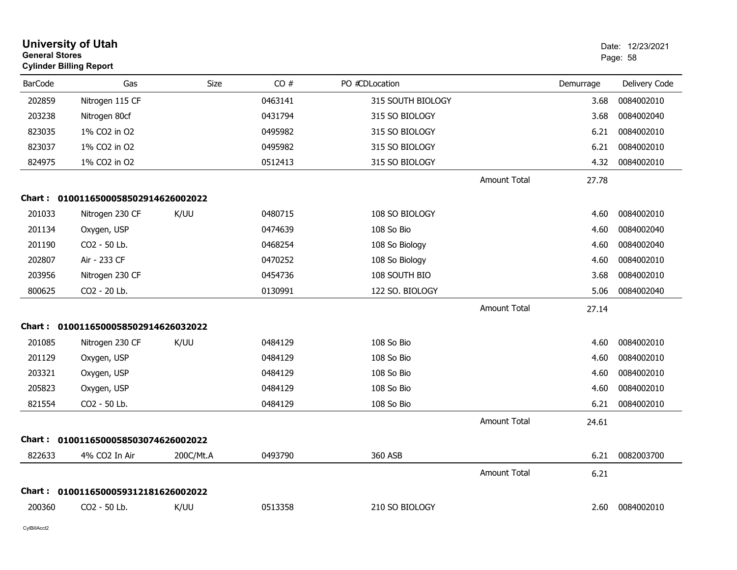|                | <b>University of Utah</b><br><b>General Stores</b><br><b>Cylinder Billing Report</b> |           |         |                   |                     |           | Date: 12/23/2021<br>Page: 58 |
|----------------|--------------------------------------------------------------------------------------|-----------|---------|-------------------|---------------------|-----------|------------------------------|
| <b>BarCode</b> | Gas                                                                                  | Size      | CO#     | PO #CDLocation    |                     | Demurrage | Delivery Code                |
| 202859         | Nitrogen 115 CF                                                                      |           | 0463141 | 315 SOUTH BIOLOGY |                     | 3.68      | 0084002010                   |
| 203238         | Nitrogen 80cf                                                                        |           | 0431794 | 315 SO BIOLOGY    |                     | 3.68      | 0084002040                   |
| 823035         | 1% CO2 in O2                                                                         |           | 0495982 | 315 SO BIOLOGY    |                     | 6.21      | 0084002010                   |
| 823037         | 1% CO2 in O2                                                                         |           | 0495982 | 315 SO BIOLOGY    |                     | 6.21      | 0084002010                   |
| 824975         | 1% CO2 in O2                                                                         |           | 0512413 | 315 SO BIOLOGY    |                     | 4.32      | 0084002010                   |
|                |                                                                                      |           |         |                   | <b>Amount Total</b> | 27.78     |                              |
|                | Chart: 0100116500058502914626002022                                                  |           |         |                   |                     |           |                              |
| 201033         | Nitrogen 230 CF                                                                      | K/UU      | 0480715 | 108 SO BIOLOGY    |                     | 4.60      | 0084002010                   |
| 201134         | Oxygen, USP                                                                          |           | 0474639 | 108 So Bio        |                     | 4.60      | 0084002040                   |
| 201190         | CO2 - 50 Lb.                                                                         |           | 0468254 | 108 So Biology    |                     | 4.60      | 0084002040                   |
| 202807         | Air - 233 CF                                                                         |           | 0470252 | 108 So Biology    |                     | 4.60      | 0084002010                   |
| 203956         | Nitrogen 230 CF                                                                      |           | 0454736 | 108 SOUTH BIO     |                     | 3.68      | 0084002010                   |
| 800625         | CO2 - 20 Lb.                                                                         |           | 0130991 | 122 SO. BIOLOGY   |                     | 5.06      | 0084002040                   |
|                |                                                                                      |           |         |                   | <b>Amount Total</b> | 27.14     |                              |
|                | Chart: 0100116500058502914626032022                                                  |           |         |                   |                     |           |                              |
| 201085         | Nitrogen 230 CF                                                                      | K/UU      | 0484129 | 108 So Bio        |                     | 4.60      | 0084002010                   |
| 201129         | Oxygen, USP                                                                          |           | 0484129 | 108 So Bio        |                     | 4.60      | 0084002010                   |
| 203321         | Oxygen, USP                                                                          |           | 0484129 | 108 So Bio        |                     | 4.60      | 0084002010                   |
| 205823         | Oxygen, USP                                                                          |           | 0484129 | 108 So Bio        |                     | 4.60      | 0084002010                   |
| 821554         | CO2 - 50 Lb.                                                                         |           | 0484129 | 108 So Bio        |                     | 6.21      | 0084002010                   |
|                |                                                                                      |           |         |                   | <b>Amount Total</b> | 24.61     |                              |
|                | Chart: 0100116500058503074626002022                                                  |           |         |                   |                     |           |                              |
| 822633         | 4% CO2 In Air                                                                        | 200C/Mt.A | 0493790 | 360 ASB           |                     | 6.21      | 0082003700                   |
|                |                                                                                      |           |         |                   | Amount Total        | 6.21      |                              |
|                | Chart: 0100116500059312181626002022                                                  |           |         |                   |                     |           |                              |
| 200360         | CO2 - 50 Lb.                                                                         | K/UU      | 0513358 | 210 SO BIOLOGY    |                     | 2.60      | 0084002010                   |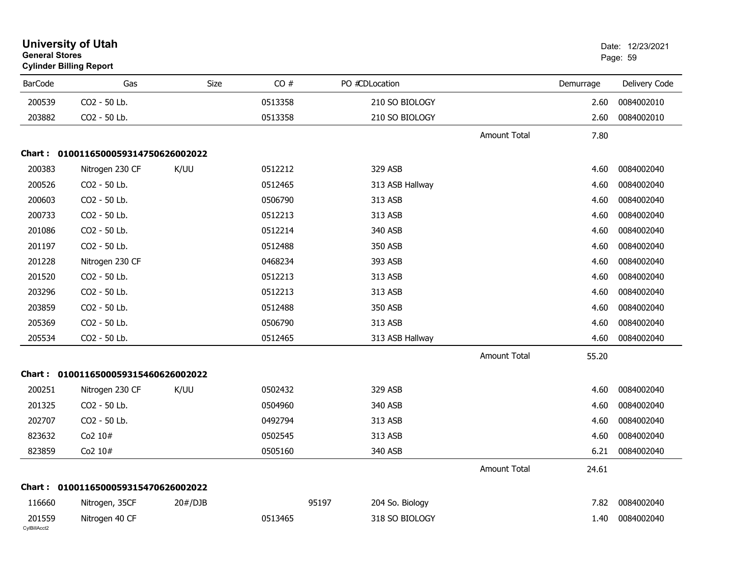| <b>General Stores</b>  | <b>University of Utah</b><br><b>Cylinder Billing Report</b> |         |         |                 |                     |           | Date: 12/23/2021<br>Page: 59 |
|------------------------|-------------------------------------------------------------|---------|---------|-----------------|---------------------|-----------|------------------------------|
| <b>BarCode</b>         | Gas                                                         | Size    | CO#     | PO #CDLocation  |                     | Demurrage | Delivery Code                |
| 200539                 | CO2 - 50 Lb.                                                |         | 0513358 | 210 SO BIOLOGY  |                     | 2.60      | 0084002010                   |
| 203882                 | CO2 - 50 Lb.                                                |         | 0513358 | 210 SO BIOLOGY  |                     | 2.60      | 0084002010                   |
|                        |                                                             |         |         |                 | Amount Total        | 7.80      |                              |
|                        | Chart: 0100116500059314750626002022                         |         |         |                 |                     |           |                              |
| 200383                 | Nitrogen 230 CF                                             | K/UU    | 0512212 | 329 ASB         |                     | 4.60      | 0084002040                   |
| 200526                 | CO2 - 50 Lb.                                                |         | 0512465 | 313 ASB Hallway |                     | 4.60      | 0084002040                   |
| 200603                 | CO2 - 50 Lb.                                                |         | 0506790 | 313 ASB         |                     | 4.60      | 0084002040                   |
| 200733                 | CO2 - 50 Lb.                                                |         | 0512213 | 313 ASB         |                     | 4.60      | 0084002040                   |
| 201086                 | CO2 - 50 Lb.                                                |         | 0512214 | 340 ASB         |                     | 4.60      | 0084002040                   |
| 201197                 | CO2 - 50 Lb.                                                |         | 0512488 | 350 ASB         |                     | 4.60      | 0084002040                   |
| 201228                 | Nitrogen 230 CF                                             |         | 0468234 | 393 ASB         |                     | 4.60      | 0084002040                   |
| 201520                 | CO2 - 50 Lb.                                                |         | 0512213 | 313 ASB         |                     | 4.60      | 0084002040                   |
| 203296                 | CO2 - 50 Lb.                                                |         | 0512213 | 313 ASB         |                     | 4.60      | 0084002040                   |
| 203859                 | CO2 - 50 Lb.                                                |         | 0512488 | 350 ASB         |                     | 4.60      | 0084002040                   |
| 205369                 | CO2 - 50 Lb.                                                |         | 0506790 | 313 ASB         |                     | 4.60      | 0084002040                   |
| 205534                 | CO2 - 50 Lb.                                                |         | 0512465 | 313 ASB Hallway |                     | 4.60      | 0084002040                   |
|                        |                                                             |         |         |                 | <b>Amount Total</b> | 55.20     |                              |
|                        | Chart: 0100116500059315460626002022                         |         |         |                 |                     |           |                              |
| 200251                 | Nitrogen 230 CF                                             | K/UU    | 0502432 | 329 ASB         |                     | 4.60      | 0084002040                   |
| 201325                 | CO2 - 50 Lb.                                                |         | 0504960 | 340 ASB         |                     | 4.60      | 0084002040                   |
| 202707                 | CO2 - 50 Lb.                                                |         | 0492794 | 313 ASB         |                     | 4.60      | 0084002040                   |
| 823632                 | Co2 10#                                                     |         | 0502545 | 313 ASB         |                     | 4.60      | 0084002040                   |
| 823859                 | Co2 10#                                                     |         | 0505160 | 340 ASB         |                     | 6.21      | 0084002040                   |
|                        |                                                             |         |         |                 | <b>Amount Total</b> | 24.61     |                              |
| Chart :                | 0100116500059315470626002022                                |         |         |                 |                     |           |                              |
| 116660                 | Nitrogen, 35CF                                              | 20#/DJB | 95197   | 204 So. Biology |                     | 7.82      | 0084002040                   |
| 201559<br>CvIBillAcct2 | Nitrogen 40 CF                                              |         | 0513465 | 318 SO BIOLOGY  |                     | 1.40      | 0084002040                   |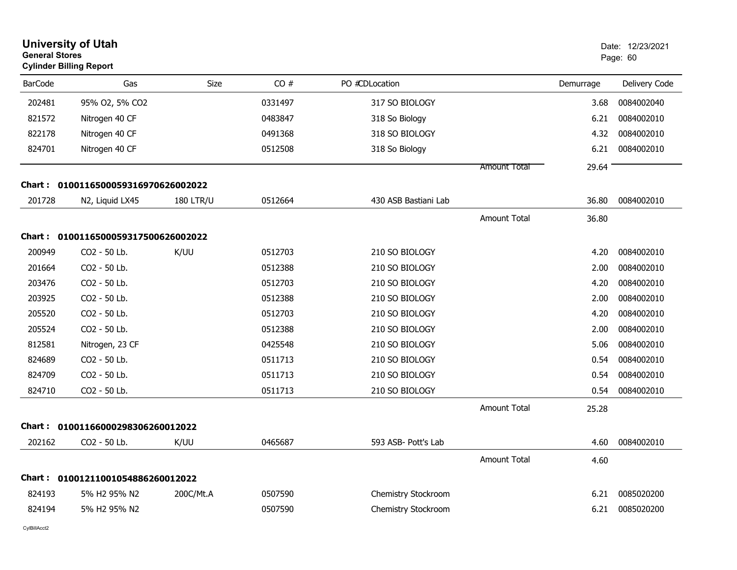| <b>General Stores</b>               | <b>University of Utah</b><br><b>Cylinder Billing Report</b> |                  |         |                      |                     |           | Date: 12/23/2021<br>Page: 60 |  |
|-------------------------------------|-------------------------------------------------------------|------------------|---------|----------------------|---------------------|-----------|------------------------------|--|
| <b>BarCode</b>                      | Gas                                                         | <b>Size</b>      | CO#     | PO #CDLocation       |                     | Demurrage | Delivery Code                |  |
| 202481                              | 95% O2, 5% CO2                                              |                  | 0331497 | 317 SO BIOLOGY       |                     | 3.68      | 0084002040                   |  |
| 821572                              | Nitrogen 40 CF                                              |                  | 0483847 | 318 So Biology       |                     | 6.21      | 0084002010                   |  |
| 822178                              | Nitrogen 40 CF                                              |                  | 0491368 | 318 SO BIOLOGY       |                     | 4.32      | 0084002010                   |  |
| 824701                              | Nitrogen 40 CF                                              |                  | 0512508 | 318 So Biology       |                     | 6.21      | 0084002010                   |  |
|                                     |                                                             |                  |         |                      | <b>Amount Total</b> | 29.64     |                              |  |
|                                     | Chart: 0100116500059316970626002022                         |                  |         |                      |                     |           |                              |  |
| 201728                              | N2, Liquid LX45                                             | <b>180 LTR/U</b> | 0512664 | 430 ASB Bastiani Lab |                     | 36.80     | 0084002010                   |  |
|                                     |                                                             |                  |         |                      | <b>Amount Total</b> | 36.80     |                              |  |
| Chart: 0100116500059317500626002022 |                                                             |                  |         |                      |                     |           |                              |  |
| 200949                              | CO2 - 50 Lb.                                                | K/UU             | 0512703 | 210 SO BIOLOGY       |                     | 4.20      | 0084002010                   |  |
| 201664                              | CO2 - 50 Lb.                                                |                  | 0512388 | 210 SO BIOLOGY       |                     | 2.00      | 0084002010                   |  |
| 203476                              | CO2 - 50 Lb.                                                |                  | 0512703 | 210 SO BIOLOGY       |                     | 4.20      | 0084002010                   |  |
| 203925                              | CO2 - 50 Lb.                                                |                  | 0512388 | 210 SO BIOLOGY       |                     | 2.00      | 0084002010                   |  |
| 205520                              | CO2 - 50 Lb.                                                |                  | 0512703 | 210 SO BIOLOGY       |                     | 4.20      | 0084002010                   |  |
| 205524                              | CO2 - 50 Lb.                                                |                  | 0512388 | 210 SO BIOLOGY       |                     | 2.00      | 0084002010                   |  |
| 812581                              | Nitrogen, 23 CF                                             |                  | 0425548 | 210 SO BIOLOGY       |                     | 5.06      | 0084002010                   |  |
| 824689                              | CO2 - 50 Lb.                                                |                  | 0511713 | 210 SO BIOLOGY       |                     | 0.54      | 0084002010                   |  |
| 824709                              | CO2 - 50 Lb.                                                |                  | 0511713 | 210 SO BIOLOGY       |                     | 0.54      | 0084002010                   |  |
| 824710                              | CO2 - 50 Lb.                                                |                  | 0511713 | 210 SO BIOLOGY       |                     | 0.54      | 0084002010                   |  |
|                                     |                                                             |                  |         |                      | <b>Amount Total</b> | 25.28     |                              |  |
|                                     | Chart: 01001166000298306260012022                           |                  |         |                      |                     |           |                              |  |
| 202162                              | CO2 - 50 Lb.                                                | K/UU             | 0465687 | 593 ASB- Pott's Lab  |                     | 4.60      | 0084002010                   |  |
|                                     |                                                             |                  |         |                      | <b>Amount Total</b> | 4.60      |                              |  |
|                                     | Chart: 01001211001054886260012022                           |                  |         |                      |                     |           |                              |  |
| 824193                              | 5% H2 95% N2                                                | 200C/Mt.A        | 0507590 | Chemistry Stockroom  |                     | 6.21      | 0085020200                   |  |
| 824194                              | 5% H2 95% N2                                                |                  | 0507590 | Chemistry Stockroom  |                     | 6.21      | 0085020200                   |  |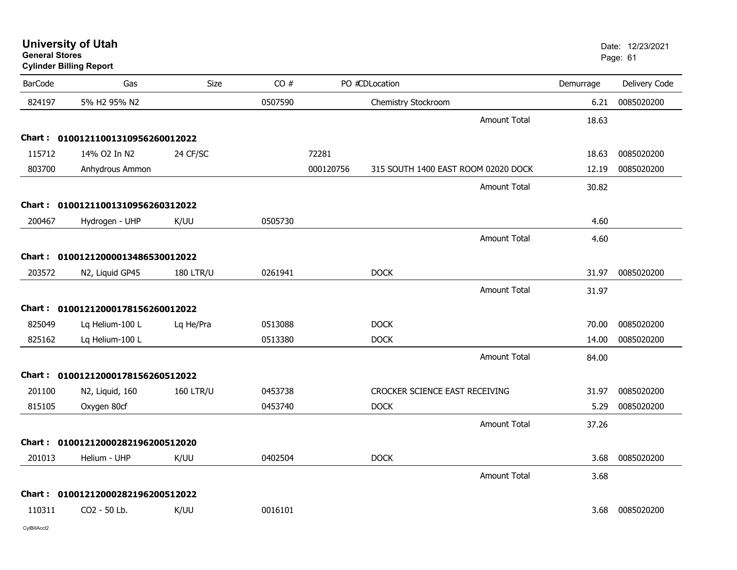| General Stores | <b>Cylinder Billing Report</b>    |                  |         |           |                                     |                     |           | Page: 61      |
|----------------|-----------------------------------|------------------|---------|-----------|-------------------------------------|---------------------|-----------|---------------|
| <b>BarCode</b> | Gas                               | <b>Size</b>      | CO#     |           | PO #CDLocation                      |                     | Demurrage | Delivery Code |
| 824197         | 5% H2 95% N2                      |                  | 0507590 |           | Chemistry Stockroom                 |                     | 6.21      | 0085020200    |
|                |                                   |                  |         |           |                                     | <b>Amount Total</b> | 18.63     |               |
|                | Chart: 01001211001310956260012022 |                  |         |           |                                     |                     |           |               |
| 115712         | 14% O2 In N2                      | 24 CF/SC         |         | 72281     |                                     |                     | 18.63     | 0085020200    |
| 803700         | Anhydrous Ammon                   |                  |         | 000120756 | 315 SOUTH 1400 EAST ROOM 02020 DOCK |                     | 12.19     | 0085020200    |
|                |                                   |                  |         |           |                                     | Amount Total        | 30.82     |               |
|                | Chart: 01001211001310956260312022 |                  |         |           |                                     |                     |           |               |
| 200467         | Hydrogen - UHP                    | K/UU             | 0505730 |           |                                     |                     | 4.60      |               |
|                |                                   |                  |         |           |                                     | <b>Amount Total</b> | 4.60      |               |
|                | Chart: 01001212000013486530012022 |                  |         |           |                                     |                     |           |               |
| 203572         | N2, Liquid GP45                   | <b>180 LTR/U</b> | 0261941 |           | <b>DOCK</b>                         |                     | 31.97     | 0085020200    |
|                |                                   |                  |         |           |                                     | <b>Amount Total</b> | 31.97     |               |
|                | Chart: 01001212000178156260012022 |                  |         |           |                                     |                     |           |               |
| 825049         | Lq Helium-100 L                   | Lq He/Pra        | 0513088 |           | <b>DOCK</b>                         |                     | 70.00     | 0085020200    |
| 825162         | Lq Helium-100 L                   |                  | 0513380 |           | <b>DOCK</b>                         |                     | 14.00     | 0085020200    |
|                |                                   |                  |         |           |                                     | <b>Amount Total</b> | 84.00     |               |
|                | Chart: 01001212000178156260512022 |                  |         |           |                                     |                     |           |               |
| 201100         | N2, Liquid, 160                   | <b>160 LTR/U</b> | 0453738 |           | CROCKER SCIENCE EAST RECEIVING      |                     | 31.97     | 0085020200    |
| 815105         | Oxygen 80cf                       |                  | 0453740 |           | <b>DOCK</b>                         |                     | 5.29      | 0085020200    |
|                |                                   |                  |         |           |                                     | <b>Amount Total</b> | 37.26     |               |
|                | Chart: 01001212000282196200512020 |                  |         |           |                                     |                     |           |               |
| 201013         | Helium - UHP                      | K/UU             | 0402504 |           | <b>DOCK</b>                         |                     | 3.68      | 0085020200    |
|                |                                   |                  |         |           |                                     | <b>Amount Total</b> | 3.68      |               |
|                | Chart: 01001212000282196200512022 |                  |         |           |                                     |                     |           |               |
| 110311         | CO2 - 50 Lb.                      | K/UU             | 0016101 |           |                                     |                     | 3.68      | 0085020200    |
|                |                                   |                  |         |           |                                     |                     |           |               |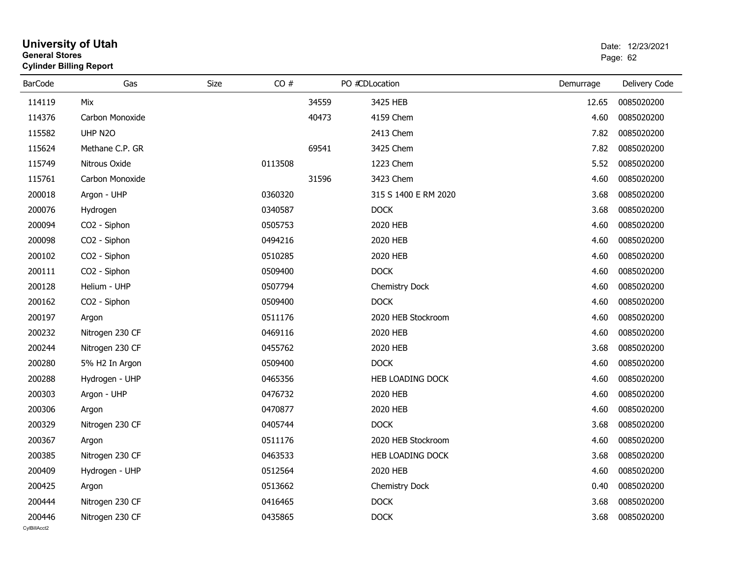| General Stores | <b>Cylinder Billing Report</b> |      | Page: 62 |       |                      |           |               |
|----------------|--------------------------------|------|----------|-------|----------------------|-----------|---------------|
| <b>BarCode</b> | Gas                            | Size | CO#      |       | PO #CDLocation       | Demurrage | Delivery Code |
| 114119         | Mix                            |      |          | 34559 | 3425 HEB             | 12.65     | 0085020200    |
| 114376         | Carbon Monoxide                |      |          | 40473 | 4159 Chem            | 4.60      | 0085020200    |
| 115582         | UHP N2O                        |      |          |       | 2413 Chem            | 7.82      | 0085020200    |
| 115624         | Methane C.P. GR                |      |          | 69541 | 3425 Chem            | 7.82      | 0085020200    |
| 115749         | Nitrous Oxide                  |      | 0113508  |       | 1223 Chem            | 5.52      | 0085020200    |
| 115761         | Carbon Monoxide                |      |          | 31596 | 3423 Chem            | 4.60      | 0085020200    |
| 200018         | Argon - UHP                    |      | 0360320  |       | 315 S 1400 E RM 2020 | 3.68      | 0085020200    |
| 200076         | Hydrogen                       |      | 0340587  |       | <b>DOCK</b>          | 3.68      | 0085020200    |
| 200094         | CO2 - Siphon                   |      | 0505753  |       | 2020 HEB             | 4.60      | 0085020200    |
| 200098         | CO2 - Siphon                   |      | 0494216  |       | 2020 HEB             | 4.60      | 0085020200    |
| 200102         | CO2 - Siphon                   |      | 0510285  |       | 2020 HEB             | 4.60      | 0085020200    |
| 200111         | CO2 - Siphon                   |      | 0509400  |       | <b>DOCK</b>          | 4.60      | 0085020200    |
| 200128         | Helium - UHP                   |      | 0507794  |       | Chemistry Dock       | 4.60      | 0085020200    |
| 200162         | CO2 - Siphon                   |      | 0509400  |       | <b>DOCK</b>          | 4.60      | 0085020200    |
| 200197         | Argon                          |      | 0511176  |       | 2020 HEB Stockroom   | 4.60      | 0085020200    |
| 200232         | Nitrogen 230 CF                |      | 0469116  |       | 2020 HEB             | 4.60      | 0085020200    |
| 200244         | Nitrogen 230 CF                |      | 0455762  |       | 2020 HEB             | 3.68      | 0085020200    |
| 200280         | 5% H2 In Argon                 |      | 0509400  |       | <b>DOCK</b>          | 4.60      | 0085020200    |
| 200288         | Hydrogen - UHP                 |      | 0465356  |       | HEB LOADING DOCK     | 4.60      | 0085020200    |
| 200303         | Argon - UHP                    |      | 0476732  |       | 2020 HEB             | 4.60      | 0085020200    |
| 200306         | Argon                          |      | 0470877  |       | 2020 HEB             | 4.60      | 0085020200    |
| 200329         | Nitrogen 230 CF                |      | 0405744  |       | <b>DOCK</b>          | 3.68      | 0085020200    |
| 200367         | Argon                          |      | 0511176  |       | 2020 HEB Stockroom   | 4.60      | 0085020200    |
| 200385         | Nitrogen 230 CF                |      | 0463533  |       | HEB LOADING DOCK     | 3.68      | 0085020200    |
| 200409         | Hydrogen - UHP                 |      | 0512564  |       | 2020 HEB             | 4.60      | 0085020200    |
| 200425         | Argon                          |      | 0513662  |       | Chemistry Dock       | 0.40      | 0085020200    |
| 200444         | Nitrogen 230 CF                |      | 0416465  |       | <b>DOCK</b>          | 3.68      | 0085020200    |
| 200446         | Nitrogen 230 CF                |      | 0435865  |       | <b>DOCK</b>          | 3.68      | 0085020200    |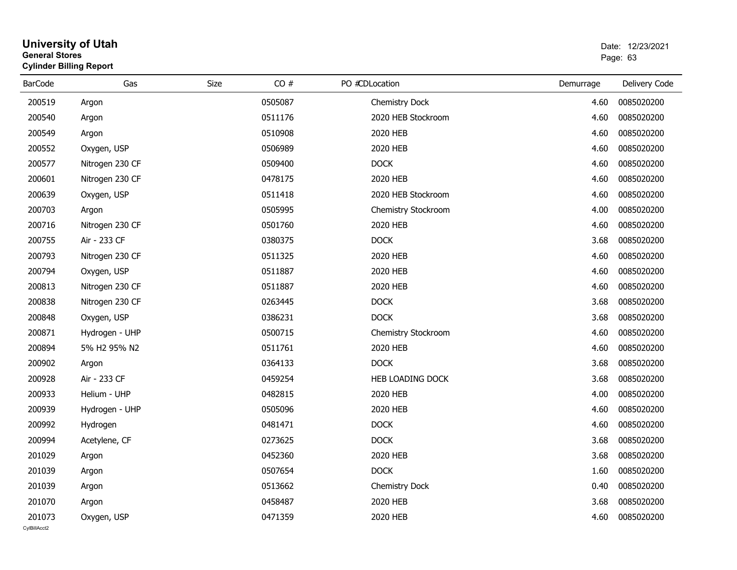#### **University of Utah** Date: 12/23/2021 **General Stores**entry of the control of the control of the control of the control of the control of the control of the control of the control of the control of the control of the control of the control of the control of the control of the **Cylinder Billing Report**

| <b>BarCode</b>         | Gas             | CO#<br>Size | PO #CDLocation      | Demurrage | Delivery Code |
|------------------------|-----------------|-------------|---------------------|-----------|---------------|
| 200519                 | Argon           | 0505087     | Chemistry Dock      | 4.60      | 0085020200    |
| 200540                 | Argon           | 0511176     | 2020 HEB Stockroom  | 4.60      | 0085020200    |
| 200549                 | Argon           | 0510908     | 2020 HEB            | 4.60      | 0085020200    |
| 200552                 | Oxygen, USP     | 0506989     | 2020 HEB            | 4.60      | 0085020200    |
| 200577                 | Nitrogen 230 CF | 0509400     | <b>DOCK</b>         | 4.60      | 0085020200    |
| 200601                 | Nitrogen 230 CF | 0478175     | 2020 HEB            | 4.60      | 0085020200    |
| 200639                 | Oxygen, USP     | 0511418     | 2020 HEB Stockroom  | 4.60      | 0085020200    |
| 200703                 | Argon           | 0505995     | Chemistry Stockroom | 4.00      | 0085020200    |
| 200716                 | Nitrogen 230 CF | 0501760     | 2020 HEB            | 4.60      | 0085020200    |
| 200755                 | Air - 233 CF    | 0380375     | <b>DOCK</b>         | 3.68      | 0085020200    |
| 200793                 | Nitrogen 230 CF | 0511325     | 2020 HEB            | 4.60      | 0085020200    |
| 200794                 | Oxygen, USP     | 0511887     | 2020 HEB            | 4.60      | 0085020200    |
| 200813                 | Nitrogen 230 CF | 0511887     | 2020 HEB            | 4.60      | 0085020200    |
| 200838                 | Nitrogen 230 CF | 0263445     | <b>DOCK</b>         | 3.68      | 0085020200    |
| 200848                 | Oxygen, USP     | 0386231     | <b>DOCK</b>         | 3.68      | 0085020200    |
| 200871                 | Hydrogen - UHP  | 0500715     | Chemistry Stockroom | 4.60      | 0085020200    |
| 200894                 | 5% H2 95% N2    | 0511761     | 2020 HEB            | 4.60      | 0085020200    |
| 200902                 | Argon           | 0364133     | <b>DOCK</b>         | 3.68      | 0085020200    |
| 200928                 | Air - 233 CF    | 0459254     | HEB LOADING DOCK    | 3.68      | 0085020200    |
| 200933                 | Helium - UHP    | 0482815     | 2020 HEB            | 4.00      | 0085020200    |
| 200939                 | Hydrogen - UHP  | 0505096     | 2020 HEB            | 4.60      | 0085020200    |
| 200992                 | Hydrogen        | 0481471     | <b>DOCK</b>         | 4.60      | 0085020200    |
| 200994                 | Acetylene, CF   | 0273625     | <b>DOCK</b>         | 3.68      | 0085020200    |
| 201029                 | Argon           | 0452360     | 2020 HEB            | 3.68      | 0085020200    |
| 201039                 | Argon           | 0507654     | <b>DOCK</b>         | 1.60      | 0085020200    |
| 201039                 | Argon           | 0513662     | Chemistry Dock      | 0.40      | 0085020200    |
| 201070                 | Argon           | 0458487     | 2020 HEB            | 3.68      | 0085020200    |
| 201073<br>CvIBillAcct2 | Oxygen, USP     | 0471359     | 2020 HEB            | 4.60      | 0085020200    |
|                        |                 |             |                     |           |               |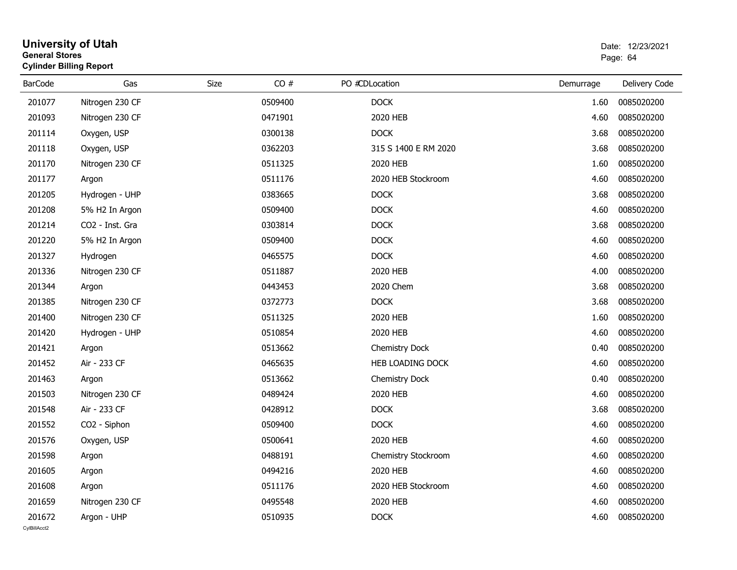| <b>General Stores</b> | <b>Cylinder Billing Report</b> |      | Page: 64 |                         |           |               |
|-----------------------|--------------------------------|------|----------|-------------------------|-----------|---------------|
| <b>BarCode</b>        | Gas                            | Size | CO#      | PO #CDLocation          | Demurrage | Delivery Code |
| 201077                | Nitrogen 230 CF                |      | 0509400  | <b>DOCK</b>             | 1.60      | 0085020200    |
| 201093                | Nitrogen 230 CF                |      | 0471901  | 2020 HEB                | 4.60      | 0085020200    |
| 201114                | Oxygen, USP                    |      | 0300138  | <b>DOCK</b>             | 3.68      | 0085020200    |
| 201118                | Oxygen, USP                    |      | 0362203  | 315 S 1400 E RM 2020    | 3.68      | 0085020200    |
| 201170                | Nitrogen 230 CF                |      | 0511325  | 2020 HEB                | 1.60      | 0085020200    |
| 201177                | Argon                          |      | 0511176  | 2020 HEB Stockroom      | 4.60      | 0085020200    |
| 201205                | Hydrogen - UHP                 |      | 0383665  | <b>DOCK</b>             | 3.68      | 0085020200    |
| 201208                | 5% H2 In Argon                 |      | 0509400  | <b>DOCK</b>             | 4.60      | 0085020200    |
| 201214                | CO <sub>2</sub> - Inst. Gra    |      | 0303814  | <b>DOCK</b>             | 3.68      | 0085020200    |
| 201220                | 5% H2 In Argon                 |      | 0509400  | <b>DOCK</b>             | 4.60      | 0085020200    |
| 201327                | Hydrogen                       |      | 0465575  | <b>DOCK</b>             | 4.60      | 0085020200    |
| 201336                | Nitrogen 230 CF                |      | 0511887  | 2020 HEB                | 4.00      | 0085020200    |
| 201344                | Argon                          |      | 0443453  | 2020 Chem               | 3.68      | 0085020200    |
| 201385                | Nitrogen 230 CF                |      | 0372773  | <b>DOCK</b>             | 3.68      | 0085020200    |
| 201400                | Nitrogen 230 CF                |      | 0511325  | 2020 HEB                | 1.60      | 0085020200    |
| 201420                | Hydrogen - UHP                 |      | 0510854  | 2020 HEB                | 4.60      | 0085020200    |
| 201421                | Argon                          |      | 0513662  | <b>Chemistry Dock</b>   | 0.40      | 0085020200    |
| 201452                | Air - 233 CF                   |      | 0465635  | <b>HEB LOADING DOCK</b> | 4.60      | 0085020200    |
| 201463                | Argon                          |      | 0513662  | Chemistry Dock          | 0.40      | 0085020200    |
| 201503                | Nitrogen 230 CF                |      | 0489424  | 2020 HEB                | 4.60      | 0085020200    |
| 201548                | Air - 233 CF                   |      | 0428912  | <b>DOCK</b>             | 3.68      | 0085020200    |
| 201552                | CO2 - Siphon                   |      | 0509400  | <b>DOCK</b>             | 4.60      | 0085020200    |
| 201576                | Oxygen, USP                    |      | 0500641  | 2020 HEB                | 4.60      | 0085020200    |
| 201598                | Argon                          |      | 0488191  | Chemistry Stockroom     | 4.60      | 0085020200    |
| 201605                | Argon                          |      | 0494216  | 2020 HEB                | 4.60      | 0085020200    |
| 201608                | Argon                          |      | 0511176  | 2020 HEB Stockroom      | 4.60      | 0085020200    |
| 201659                | Nitrogen 230 CF                |      | 0495548  | 2020 HEB                | 4.60      | 0085020200    |
| 201672                | Argon - UHP                    |      | 0510935  | <b>DOCK</b>             | 4.60      | 0085020200    |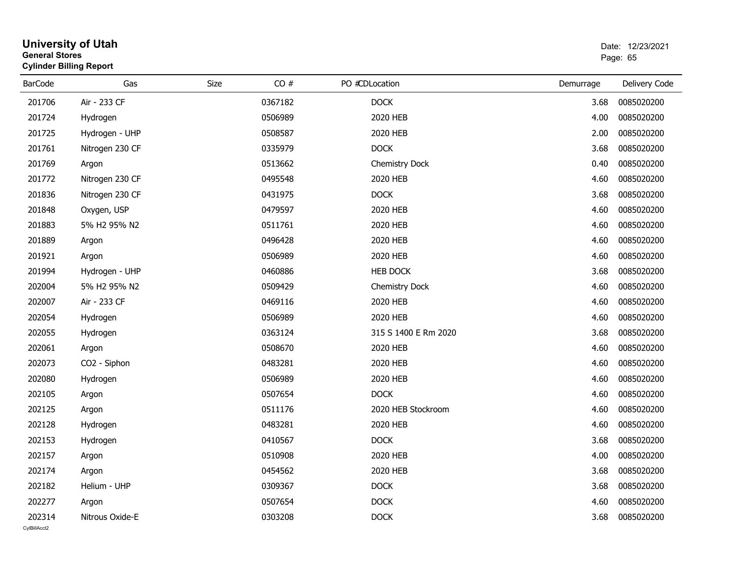| General Stores<br><b>Cylinder Billing Report</b> |                 |      |         |  |                       |           | Page: 65      |  |  |
|--------------------------------------------------|-----------------|------|---------|--|-----------------------|-----------|---------------|--|--|
| <b>BarCode</b>                                   | Gas             | Size | CO#     |  | PO #CDLocation        | Demurrage | Delivery Code |  |  |
| 201706                                           | Air - 233 CF    |      | 0367182 |  | <b>DOCK</b>           | 3.68      | 0085020200    |  |  |
| 201724                                           | Hydrogen        |      | 0506989 |  | 2020 HEB              | 4.00      | 0085020200    |  |  |
| 201725                                           | Hydrogen - UHP  |      | 0508587 |  | 2020 HEB              | 2.00      | 0085020200    |  |  |
| 201761                                           | Nitrogen 230 CF |      | 0335979 |  | <b>DOCK</b>           | 3.68      | 0085020200    |  |  |
| 201769                                           | Argon           |      | 0513662 |  | Chemistry Dock        | 0.40      | 0085020200    |  |  |
| 201772                                           | Nitrogen 230 CF |      | 0495548 |  | 2020 HEB              | 4.60      | 0085020200    |  |  |
| 201836                                           | Nitrogen 230 CF |      | 0431975 |  | <b>DOCK</b>           | 3.68      | 0085020200    |  |  |
| 201848                                           | Oxygen, USP     |      | 0479597 |  | 2020 HEB              | 4.60      | 0085020200    |  |  |
| 201883                                           | 5% H2 95% N2    |      | 0511761 |  | 2020 HEB              | 4.60      | 0085020200    |  |  |
| 201889                                           | Argon           |      | 0496428 |  | 2020 HEB              | 4.60      | 0085020200    |  |  |
| 201921                                           | Argon           |      | 0506989 |  | 2020 HEB              | 4.60      | 0085020200    |  |  |
| 201994                                           | Hydrogen - UHP  |      | 0460886 |  | <b>HEB DOCK</b>       | 3.68      | 0085020200    |  |  |
| 202004                                           | 5% H2 95% N2    |      | 0509429 |  | <b>Chemistry Dock</b> | 4.60      | 0085020200    |  |  |
| 202007                                           | Air - 233 CF    |      | 0469116 |  | 2020 HEB              | 4.60      | 0085020200    |  |  |
| 202054                                           | Hydrogen        |      | 0506989 |  | 2020 HEB              | 4.60      | 0085020200    |  |  |
| 202055                                           | Hydrogen        |      | 0363124 |  | 315 S 1400 E Rm 2020  | 3.68      | 0085020200    |  |  |
| 202061                                           | Argon           |      | 0508670 |  | 2020 HEB              | 4.60      | 0085020200    |  |  |
| 202073                                           | CO2 - Siphon    |      | 0483281 |  | 2020 HEB              | 4.60      | 0085020200    |  |  |
| 202080                                           | Hydrogen        |      | 0506989 |  | 2020 HEB              | 4.60      | 0085020200    |  |  |
| 202105                                           | Argon           |      | 0507654 |  | <b>DOCK</b>           | 4.60      | 0085020200    |  |  |
| 202125                                           | Argon           |      | 0511176 |  | 2020 HEB Stockroom    | 4.60      | 0085020200    |  |  |
| 202128                                           | Hydrogen        |      | 0483281 |  | 2020 HEB              | 4.60      | 0085020200    |  |  |
| 202153                                           | Hydrogen        |      | 0410567 |  | <b>DOCK</b>           | 3.68      | 0085020200    |  |  |
| 202157                                           | Argon           |      | 0510908 |  | 2020 HEB              | 4.00      | 0085020200    |  |  |
| 202174                                           | Argon           |      | 0454562 |  | 2020 HEB              | 3.68      | 0085020200    |  |  |
| 202182                                           | Helium - UHP    |      | 0309367 |  | <b>DOCK</b>           | 3.68      | 0085020200    |  |  |
| 202277                                           | Argon           |      | 0507654 |  | <b>DOCK</b>           | 4.60      | 0085020200    |  |  |
| 202314                                           | Nitrous Oxide-E |      | 0303208 |  | <b>DOCK</b>           | 3.68      | 0085020200    |  |  |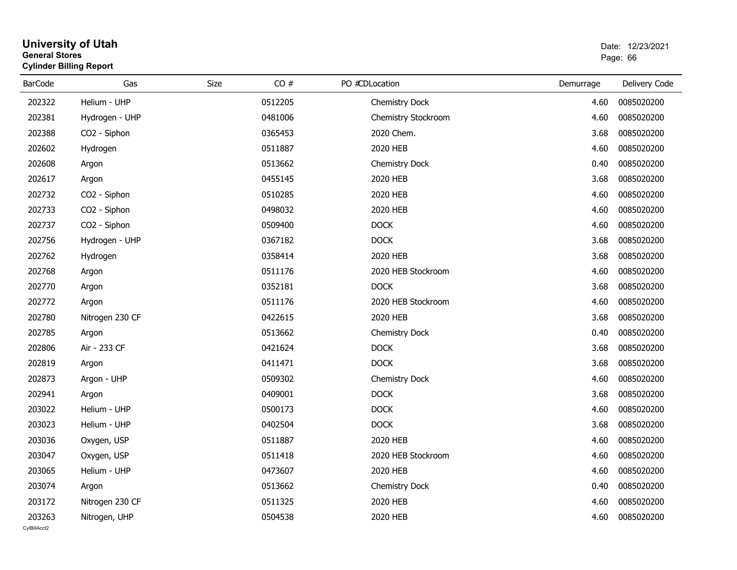#### **University of Utah** Date: 12/23/2021 **General Stores**е в последници по последници по последници по последници по последници по последници по последници по последниц<br>В 1963 године по последници по последници по последници по последници по последници по последници по последни **Cylinder Billing Report**

| <b>BarCode</b>         | Gas             | Size<br>CO# | PO #CDLocation        | Demurrage | Delivery Code |
|------------------------|-----------------|-------------|-----------------------|-----------|---------------|
| 202322                 | Helium - UHP    | 0512205     | Chemistry Dock        | 4.60      | 0085020200    |
| 202381                 | Hydrogen - UHP  | 0481006     | Chemistry Stockroom   | 4.60      | 0085020200    |
| 202388                 | CO2 - Siphon    | 0365453     | 2020 Chem.            | 3.68      | 0085020200    |
| 202602                 | Hydrogen        | 0511887     | 2020 HEB              | 4.60      | 0085020200    |
| 202608                 | Argon           | 0513662     | Chemistry Dock        | 0.40      | 0085020200    |
| 202617                 | Argon           | 0455145     | 2020 HEB              | 3.68      | 0085020200    |
| 202732                 | CO2 - Siphon    | 0510285     | 2020 HEB              | 4.60      | 0085020200    |
| 202733                 | CO2 - Siphon    | 0498032     | 2020 HEB              | 4.60      | 0085020200    |
| 202737                 | CO2 - Siphon    | 0509400     | <b>DOCK</b>           | 4.60      | 0085020200    |
| 202756                 | Hydrogen - UHP  | 0367182     | <b>DOCK</b>           | 3.68      | 0085020200    |
| 202762                 | Hydrogen        | 0358414     | 2020 HEB              | 3.68      | 0085020200    |
| 202768                 | Argon           | 0511176     | 2020 HEB Stockroom    | 4.60      | 0085020200    |
| 202770                 | Argon           | 0352181     | <b>DOCK</b>           | 3.68      | 0085020200    |
| 202772                 | Argon           | 0511176     | 2020 HEB Stockroom    | 4.60      | 0085020200    |
| 202780                 | Nitrogen 230 CF | 0422615     | 2020 HEB              | 3.68      | 0085020200    |
| 202785                 | Argon           | 0513662     | Chemistry Dock        | 0.40      | 0085020200    |
| 202806                 | Air - 233 CF    | 0421624     | <b>DOCK</b>           | 3.68      | 0085020200    |
| 202819                 | Argon           | 0411471     | <b>DOCK</b>           | 3.68      | 0085020200    |
| 202873                 | Argon - UHP     | 0509302     | Chemistry Dock        | 4.60      | 0085020200    |
| 202941                 | Argon           | 0409001     | <b>DOCK</b>           | 3.68      | 0085020200    |
| 203022                 | Helium - UHP    | 0500173     | <b>DOCK</b>           | 4.60      | 0085020200    |
| 203023                 | Helium - UHP    | 0402504     | <b>DOCK</b>           | 3.68      | 0085020200    |
| 203036                 | Oxygen, USP     | 0511887     | 2020 HEB              | 4.60      | 0085020200    |
| 203047                 | Oxygen, USP     | 0511418     | 2020 HEB Stockroom    | 4.60      | 0085020200    |
| 203065                 | Helium - UHP    | 0473607     | 2020 HEB              | 4.60      | 0085020200    |
| 203074                 | Argon           | 0513662     | <b>Chemistry Dock</b> | 0.40      | 0085020200    |
| 203172                 | Nitrogen 230 CF | 0511325     | 2020 HEB              | 4.60      | 0085020200    |
| 203263<br>CvIBillAcct2 | Nitrogen, UHP   | 0504538     | 2020 HEB              | 4.60      | 0085020200    |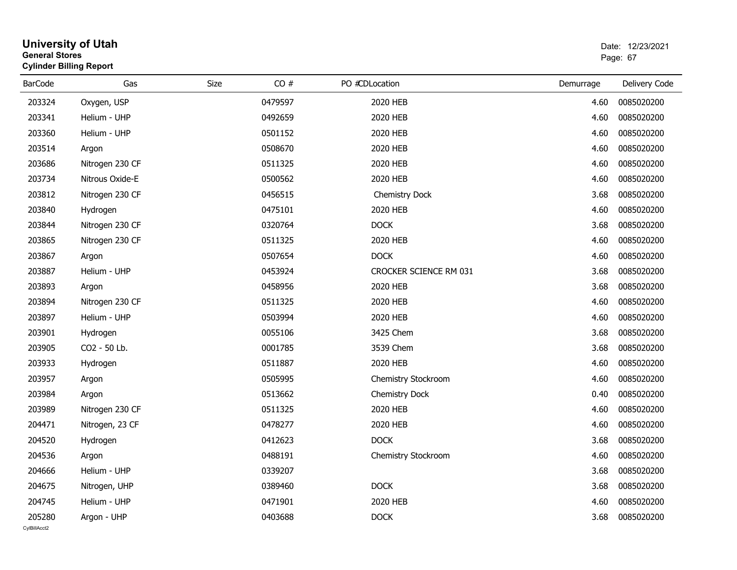| <b>General Stores</b> | <b>Cylinder Billing Report</b> |      | Page: 67 |                               |           |               |
|-----------------------|--------------------------------|------|----------|-------------------------------|-----------|---------------|
| <b>BarCode</b>        | Gas                            | Size | CO#      | PO #CDLocation                | Demurrage | Delivery Code |
| 203324                | Oxygen, USP                    |      | 0479597  | 2020 HEB                      | 4.60      | 0085020200    |
| 203341                | Helium - UHP                   |      | 0492659  | 2020 HEB                      | 4.60      | 0085020200    |
| 203360                | Helium - UHP                   |      | 0501152  | 2020 HEB                      | 4.60      | 0085020200    |
| 203514                | Argon                          |      | 0508670  | 2020 HEB                      | 4.60      | 0085020200    |
| 203686                | Nitrogen 230 CF                |      | 0511325  | 2020 HEB                      | 4.60      | 0085020200    |
| 203734                | Nitrous Oxide-E                |      | 0500562  | 2020 HEB                      | 4.60      | 0085020200    |
| 203812                | Nitrogen 230 CF                |      | 0456515  | Chemistry Dock                | 3.68      | 0085020200    |
| 203840                | Hydrogen                       |      | 0475101  | 2020 HEB                      | 4.60      | 0085020200    |
| 203844                | Nitrogen 230 CF                |      | 0320764  | <b>DOCK</b>                   | 3.68      | 0085020200    |
| 203865                | Nitrogen 230 CF                |      | 0511325  | 2020 HEB                      | 4.60      | 0085020200    |
| 203867                | Argon                          |      | 0507654  | <b>DOCK</b>                   | 4.60      | 0085020200    |
| 203887                | Helium - UHP                   |      | 0453924  | <b>CROCKER SCIENCE RM 031</b> | 3.68      | 0085020200    |
| 203893                | Argon                          |      | 0458956  | 2020 HEB                      | 3.68      | 0085020200    |
| 203894                | Nitrogen 230 CF                |      | 0511325  | 2020 HEB                      | 4.60      | 0085020200    |
| 203897                | Helium - UHP                   |      | 0503994  | 2020 HEB                      | 4.60      | 0085020200    |
| 203901                | Hydrogen                       |      | 0055106  | 3425 Chem                     | 3.68      | 0085020200    |
| 203905                | CO <sub>2</sub> - 50 Lb.       |      | 0001785  | 3539 Chem                     | 3.68      | 0085020200    |
| 203933                | Hydrogen                       |      | 0511887  | 2020 HEB                      | 4.60      | 0085020200    |
| 203957                | Argon                          |      | 0505995  | Chemistry Stockroom           | 4.60      | 0085020200    |
| 203984                | Argon                          |      | 0513662  | <b>Chemistry Dock</b>         | 0.40      | 0085020200    |
| 203989                | Nitrogen 230 CF                |      | 0511325  | 2020 HEB                      | 4.60      | 0085020200    |
| 204471                | Nitrogen, 23 CF                |      | 0478277  | 2020 HEB                      | 4.60      | 0085020200    |
| 204520                | Hydrogen                       |      | 0412623  | <b>DOCK</b>                   | 3.68      | 0085020200    |
| 204536                | Argon                          |      | 0488191  | Chemistry Stockroom           | 4.60      | 0085020200    |
| 204666                | Helium - UHP                   |      | 0339207  |                               | 3.68      | 0085020200    |
| 204675                | Nitrogen, UHP                  |      | 0389460  | <b>DOCK</b>                   | 3.68      | 0085020200    |
| 204745                | Helium - UHP                   |      | 0471901  | 2020 HEB                      | 4.60      | 0085020200    |
| 205280                | Argon - UHP                    |      | 0403688  | <b>DOCK</b>                   | 3.68      | 0085020200    |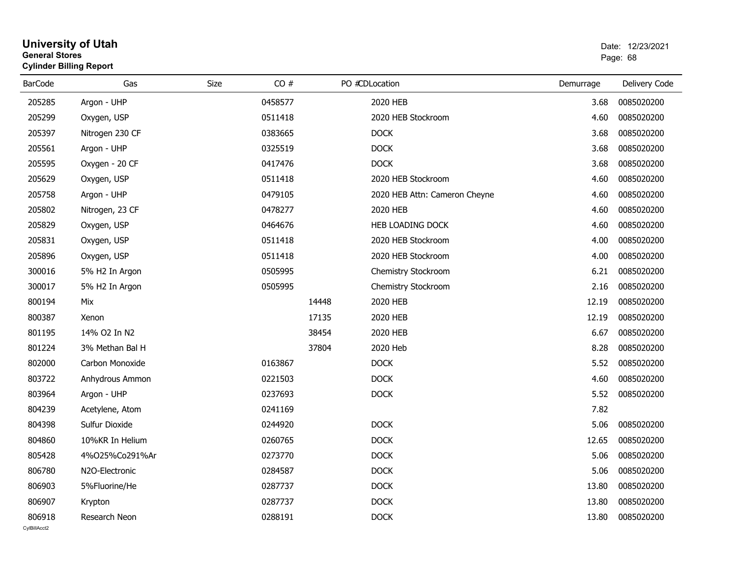#### **University of Utah** Date: 12/23/2021 **General Stores**entry of the control of the control of the control of the control of the control of the control of the control of the control of the control of the control of the control of the control of the control of the control of the **Cylinder Billing Report**

| <b>BarCode</b> | Gas             | Size | CO#     |       | PO #CDLocation                | Demurrage | Delivery Code |
|----------------|-----------------|------|---------|-------|-------------------------------|-----------|---------------|
| 205285         | Argon - UHP     |      | 0458577 |       | 2020 HEB                      | 3.68      | 0085020200    |
| 205299         | Oxygen, USP     |      | 0511418 |       | 2020 HEB Stockroom            | 4.60      | 0085020200    |
| 205397         | Nitrogen 230 CF |      | 0383665 |       | <b>DOCK</b>                   | 3.68      | 0085020200    |
| 205561         | Argon - UHP     |      | 0325519 |       | <b>DOCK</b>                   | 3.68      | 0085020200    |
| 205595         | Oxygen - 20 CF  |      | 0417476 |       | <b>DOCK</b>                   | 3.68      | 0085020200    |
| 205629         | Oxygen, USP     |      | 0511418 |       | 2020 HEB Stockroom            | 4.60      | 0085020200    |
| 205758         | Argon - UHP     |      | 0479105 |       | 2020 HEB Attn: Cameron Cheyne | 4.60      | 0085020200    |
| 205802         | Nitrogen, 23 CF |      | 0478277 |       | 2020 HEB                      | 4.60      | 0085020200    |
| 205829         | Oxygen, USP     |      | 0464676 |       | HEB LOADING DOCK              | 4.60      | 0085020200    |
| 205831         | Oxygen, USP     |      | 0511418 |       | 2020 HEB Stockroom            | 4.00      | 0085020200    |
| 205896         | Oxygen, USP     |      | 0511418 |       | 2020 HEB Stockroom            | 4.00      | 0085020200    |
| 300016         | 5% H2 In Argon  |      | 0505995 |       | Chemistry Stockroom           | 6.21      | 0085020200    |
| 300017         | 5% H2 In Argon  |      | 0505995 |       | Chemistry Stockroom           | 2.16      | 0085020200    |
| 800194         | Mix             |      |         | 14448 | 2020 HEB                      | 12.19     | 0085020200    |
| 800387         | Xenon           |      |         | 17135 | 2020 HEB                      | 12.19     | 0085020200    |
| 801195         | 14% O2 In N2    |      |         | 38454 | 2020 HEB                      | 6.67      | 0085020200    |
| 801224         | 3% Methan Bal H |      |         | 37804 | 2020 Heb                      | 8.28      | 0085020200    |
| 802000         | Carbon Monoxide |      | 0163867 |       | <b>DOCK</b>                   | 5.52      | 0085020200    |
| 803722         | Anhydrous Ammon |      | 0221503 |       | <b>DOCK</b>                   | 4.60      | 0085020200    |
| 803964         | Argon - UHP     |      | 0237693 |       | <b>DOCK</b>                   | 5.52      | 0085020200    |
| 804239         | Acetylene, Atom |      | 0241169 |       |                               | 7.82      |               |
| 804398         | Sulfur Dioxide  |      | 0244920 |       | <b>DOCK</b>                   | 5.06      | 0085020200    |
| 804860         | 10%KR In Helium |      | 0260765 |       | <b>DOCK</b>                   | 12.65     | 0085020200    |
| 805428         | 4%025%Co291%Ar  |      | 0273770 |       | <b>DOCK</b>                   | 5.06      | 0085020200    |
| 806780         | N2O-Electronic  |      | 0284587 |       | <b>DOCK</b>                   | 5.06      | 0085020200    |
| 806903         | 5%Fluorine/He   |      | 0287737 |       | <b>DOCK</b>                   | 13.80     | 0085020200    |
| 806907         | Krypton         |      | 0287737 |       | <b>DOCK</b>                   | 13.80     | 0085020200    |
| 806918         | Research Neon   |      | 0288191 |       | <b>DOCK</b>                   | 13.80     | 0085020200    |
| CvIBillAcct2   |                 |      |         |       |                               |           |               |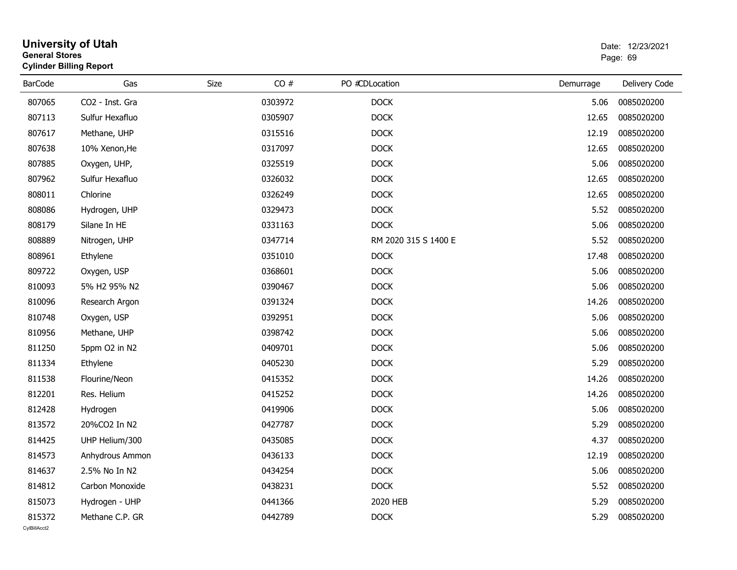| <b>General Stores</b> | <b>University of Utah</b><br><b>Cylinder Billing Report</b> |      | Date: 12/23/2021<br>Page: 69 |                      |           |               |
|-----------------------|-------------------------------------------------------------|------|------------------------------|----------------------|-----------|---------------|
| <b>BarCode</b>        | Gas                                                         | Size | CO#                          | PO #CDLocation       | Demurrage | Delivery Code |
| 807065                | CO2 - Inst. Gra                                             |      | 0303972                      | <b>DOCK</b>          | 5.06      | 0085020200    |
| 807113                | Sulfur Hexafluo                                             |      | 0305907                      | <b>DOCK</b>          | 12.65     | 0085020200    |
| 807617                | Methane, UHP                                                |      | 0315516                      | <b>DOCK</b>          | 12.19     | 0085020200    |
| 807638                | 10% Xenon, He                                               |      | 0317097                      | <b>DOCK</b>          | 12.65     | 0085020200    |
| 807885                | Oxygen, UHP,                                                |      | 0325519                      | <b>DOCK</b>          | 5.06      | 0085020200    |
| 807962                | Sulfur Hexafluo                                             |      | 0326032                      | <b>DOCK</b>          | 12.65     | 0085020200    |
| 808011                | Chlorine                                                    |      | 0326249                      | <b>DOCK</b>          | 12.65     | 0085020200    |
| 808086                | Hydrogen, UHP                                               |      | 0329473                      | <b>DOCK</b>          | 5.52      | 0085020200    |
| 808179                | Silane In HE                                                |      | 0331163                      | <b>DOCK</b>          | 5.06      | 0085020200    |
| 808889                | Nitrogen, UHP                                               |      | 0347714                      | RM 2020 315 S 1400 E | 5.52      | 0085020200    |
| 808961                | Ethylene                                                    |      | 0351010                      | <b>DOCK</b>          | 17.48     | 0085020200    |
| 809722                | Oxygen, USP                                                 |      | 0368601                      | <b>DOCK</b>          | 5.06      | 0085020200    |
| 810093                | 5% H <sub>2</sub> 95% N <sub>2</sub>                        |      | 0390467                      | <b>DOCK</b>          | 5.06      | 0085020200    |
| 810096                | Research Argon                                              |      | 0391324                      | <b>DOCK</b>          | 14.26     | 0085020200    |
| 810748                | Oxygen, USP                                                 |      | 0392951                      | <b>DOCK</b>          | 5.06      | 0085020200    |
| 810956                | Methane, UHP                                                |      | 0398742                      | <b>DOCK</b>          | 5.06      | 0085020200    |
| 811250                | 5ppm O2 in N2                                               |      | 0409701                      | <b>DOCK</b>          | 5.06      | 0085020200    |
| 811334                | Ethylene                                                    |      | 0405230                      | <b>DOCK</b>          | 5.29      | 0085020200    |
| 811538                | Flourine/Neon                                               |      | 0415352                      | <b>DOCK</b>          | 14.26     | 0085020200    |
| 812201                | Res. Helium                                                 |      | 0415252                      | <b>DOCK</b>          | 14.26     | 0085020200    |
| 812428                | Hydrogen                                                    |      | 0419906                      | <b>DOCK</b>          | 5.06      | 0085020200    |
| 813572                | 20%CO2 In N2                                                |      | 0427787                      | <b>DOCK</b>          | 5.29      | 0085020200    |
| 814425                | UHP Helium/300                                              |      | 0435085                      | <b>DOCK</b>          | 4.37      | 0085020200    |
| 814573                | Anhydrous Ammon                                             |      | 0436133                      | <b>DOCK</b>          | 12.19     | 0085020200    |
| 814637                | 2.5% No In N2                                               |      | 0434254                      | <b>DOCK</b>          | 5.06      | 0085020200    |
| 814812                | Carbon Monoxide                                             |      | 0438231                      | <b>DOCK</b>          | 5.52      | 0085020200    |
| 815073                | Hydrogen - UHP                                              |      | 0441366                      | 2020 HEB             | 5.29      | 0085020200    |
| 815372                | Methane C.P. GR                                             |      | 0442789                      | <b>DOCK</b>          | 5.29      | 0085020200    |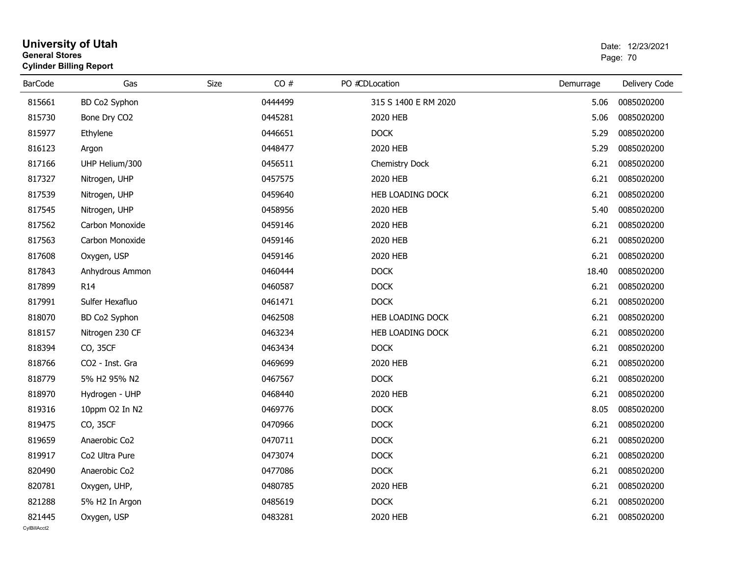| <b>General Stores</b>  | <b>University of Utah</b><br><b>Cylinder Billing Report</b> |      | Date: 12/23/2021<br>Page: 70 |                      |           |               |
|------------------------|-------------------------------------------------------------|------|------------------------------|----------------------|-----------|---------------|
| <b>BarCode</b>         | Gas                                                         | Size | CO#                          | PO #CDLocation       | Demurrage | Delivery Code |
| 815661                 | BD Co2 Syphon                                               |      | 0444499                      | 315 S 1400 E RM 2020 | 5.06      | 0085020200    |
| 815730                 | Bone Dry CO2                                                |      | 0445281                      | 2020 HEB             | 5.06      | 0085020200    |
| 815977                 | Ethylene                                                    |      | 0446651                      | <b>DOCK</b>          | 5.29      | 0085020200    |
| 816123                 | Argon                                                       |      | 0448477                      | 2020 HEB             | 5.29      | 0085020200    |
| 817166                 | UHP Helium/300                                              |      | 0456511                      | Chemistry Dock       | 6.21      | 0085020200    |
| 817327                 | Nitrogen, UHP                                               |      | 0457575                      | 2020 HEB             | 6.21      | 0085020200    |
| 817539                 | Nitrogen, UHP                                               |      | 0459640                      | HEB LOADING DOCK     | 6.21      | 0085020200    |
| 817545                 | Nitrogen, UHP                                               |      | 0458956                      | 2020 HEB             | 5.40      | 0085020200    |
| 817562                 | Carbon Monoxide                                             |      | 0459146                      | 2020 HEB             | 6.21      | 0085020200    |
| 817563                 | Carbon Monoxide                                             |      | 0459146                      | 2020 HEB             | 6.21      | 0085020200    |
| 817608                 | Oxygen, USP                                                 |      | 0459146                      | 2020 HEB             | 6.21      | 0085020200    |
| 817843                 | Anhydrous Ammon                                             |      | 0460444                      | <b>DOCK</b>          | 18.40     | 0085020200    |
| 817899                 | R <sub>14</sub>                                             |      | 0460587                      | <b>DOCK</b>          | 6.21      | 0085020200    |
| 817991                 | Sulfer Hexafluo                                             |      | 0461471                      | <b>DOCK</b>          | 6.21      | 0085020200    |
| 818070                 | BD Co2 Syphon                                               |      | 0462508                      | HEB LOADING DOCK     | 6.21      | 0085020200    |
| 818157                 | Nitrogen 230 CF                                             |      | 0463234                      | HEB LOADING DOCK     | 6.21      | 0085020200    |
| 818394                 | CO, 35CF                                                    |      | 0463434                      | <b>DOCK</b>          | 6.21      | 0085020200    |
| 818766                 | CO2 - Inst. Gra                                             |      | 0469699                      | 2020 HEB             | 6.21      | 0085020200    |
| 818779                 | 5% H2 95% N2                                                |      | 0467567                      | <b>DOCK</b>          | 6.21      | 0085020200    |
| 818970                 | Hydrogen - UHP                                              |      | 0468440                      | 2020 HEB             | 6.21      | 0085020200    |
| 819316                 | 10ppm O2 In N2                                              |      | 0469776                      | <b>DOCK</b>          | 8.05      | 0085020200    |
| 819475                 | CO, 35CF                                                    |      | 0470966                      | <b>DOCK</b>          | 6.21      | 0085020200    |
| 819659                 | Anaerobic Co2                                               |      | 0470711                      | <b>DOCK</b>          | 6.21      | 0085020200    |
| 819917                 | Co2 Ultra Pure                                              |      | 0473074                      | <b>DOCK</b>          | 6.21      | 0085020200    |
| 820490                 | Anaerobic Co2                                               |      | 0477086                      | <b>DOCK</b>          | 6.21      | 0085020200    |
| 820781                 | Oxygen, UHP,                                                |      | 0480785                      | 2020 HEB             | 6.21      | 0085020200    |
| 821288                 | 5% H2 In Argon                                              |      | 0485619                      | <b>DOCK</b>          | 6.21      | 0085020200    |
| 821445<br>CvIBillAcct2 | Oxygen, USP                                                 |      | 0483281                      | 2020 HEB             | 6.21      | 0085020200    |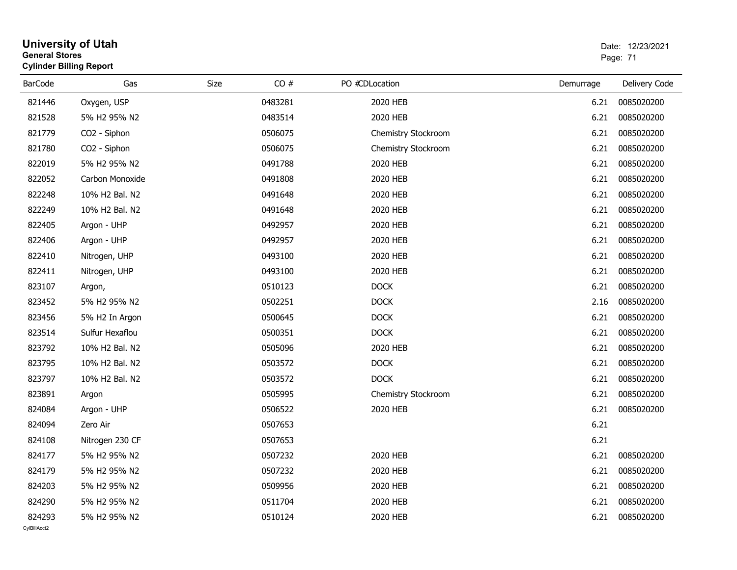| <b>General Stores</b> | <b>Cylinder Billing Report</b> |      | Page: 71 |                     |           |               |
|-----------------------|--------------------------------|------|----------|---------------------|-----------|---------------|
| <b>BarCode</b>        | Gas                            | Size | CO#      | PO #CDLocation      | Demurrage | Delivery Code |
| 821446                | Oxygen, USP                    |      | 0483281  | 2020 HEB            | 6.21      | 0085020200    |
| 821528                | 5% H2 95% N2                   |      | 0483514  | 2020 HEB            | 6.21      | 0085020200    |
| 821779                | CO2 - Siphon                   |      | 0506075  | Chemistry Stockroom | 6.21      | 0085020200    |
| 821780                | CO2 - Siphon                   |      | 0506075  | Chemistry Stockroom | 6.21      | 0085020200    |
| 822019                | 5% H2 95% N2                   |      | 0491788  | 2020 HEB            | 6.21      | 0085020200    |
| 822052                | Carbon Monoxide                |      | 0491808  | 2020 HEB            | 6.21      | 0085020200    |
| 822248                | 10% H2 Bal. N2                 |      | 0491648  | 2020 HEB            | 6.21      | 0085020200    |
| 822249                | 10% H2 Bal. N2                 |      | 0491648  | 2020 HEB            | 6.21      | 0085020200    |
| 822405                | Argon - UHP                    |      | 0492957  | 2020 HEB            | 6.21      | 0085020200    |
| 822406                | Argon - UHP                    |      | 0492957  | 2020 HEB            | 6.21      | 0085020200    |
| 822410                | Nitrogen, UHP                  |      | 0493100  | 2020 HEB            | 6.21      | 0085020200    |
| 822411                | Nitrogen, UHP                  |      | 0493100  | 2020 HEB            | 6.21      | 0085020200    |
| 823107                | Argon,                         |      | 0510123  | <b>DOCK</b>         | 6.21      | 0085020200    |
| 823452                | 5% H2 95% N2                   |      | 0502251  | <b>DOCK</b>         | 2.16      | 0085020200    |
| 823456                | 5% H2 In Argon                 |      | 0500645  | <b>DOCK</b>         | 6.21      | 0085020200    |
| 823514                | Sulfur Hexaflou                |      | 0500351  | <b>DOCK</b>         | 6.21      | 0085020200    |
| 823792                | 10% H2 Bal. N2                 |      | 0505096  | 2020 HEB            | 6.21      | 0085020200    |
| 823795                | 10% H2 Bal. N2                 |      | 0503572  | <b>DOCK</b>         | 6.21      | 0085020200    |
| 823797                | 10% H2 Bal. N2                 |      | 0503572  | <b>DOCK</b>         | 6.21      | 0085020200    |
| 823891                | Argon                          |      | 0505995  | Chemistry Stockroom | 6.21      | 0085020200    |
| 824084                | Argon - UHP                    |      | 0506522  | 2020 HEB            | 6.21      | 0085020200    |
| 824094                | Zero Air                       |      | 0507653  |                     | 6.21      |               |
| 824108                | Nitrogen 230 CF                |      | 0507653  |                     | 6.21      |               |
| 824177                | 5% H2 95% N2                   |      | 0507232  | 2020 HEB            | 6.21      | 0085020200    |
| 824179                | 5% H2 95% N2                   |      | 0507232  | 2020 HEB            | 6.21      | 0085020200    |
| 824203                | 5% H2 95% N2                   |      | 0509956  | 2020 HEB            | 6.21      | 0085020200    |
| 824290                | 5% H2 95% N2                   |      | 0511704  | 2020 HEB            | 6.21      | 0085020200    |
| 824293                | 5% H2 95% N2                   |      | 0510124  | 2020 HEB            | 6.21      | 0085020200    |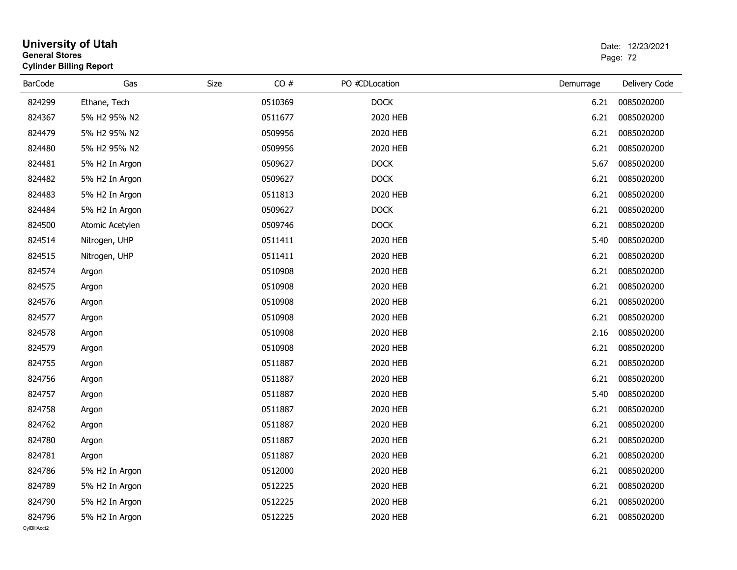| University of Utah<br><b>General Stores</b><br><b>Cylinder Billing Report</b> |                 |      |         |                |           | Date: 12/23/2021<br>Page: 72 |  |
|-------------------------------------------------------------------------------|-----------------|------|---------|----------------|-----------|------------------------------|--|
| <b>BarCode</b>                                                                | Gas             | Size | CO#     | PO #CDLocation | Demurrage | Delivery Code                |  |
| 824299                                                                        | Ethane, Tech    |      | 0510369 | <b>DOCK</b>    | 6.21      | 0085020200                   |  |
| 824367                                                                        | 5% H2 95% N2    |      | 0511677 | 2020 HEB       | 6.21      | 0085020200                   |  |
| 824479                                                                        | 5% H2 95% N2    |      | 0509956 | 2020 HEB       | 6.21      | 0085020200                   |  |
| 824480                                                                        | 5% H2 95% N2    |      | 0509956 | 2020 HEB       | 6.21      | 0085020200                   |  |
| 824481                                                                        | 5% H2 In Argon  |      | 0509627 | <b>DOCK</b>    | 5.67      | 0085020200                   |  |
| 824482                                                                        | 5% H2 In Argon  |      | 0509627 | <b>DOCK</b>    | 6.21      | 0085020200                   |  |
| 824483                                                                        | 5% H2 In Argon  |      | 0511813 | 2020 HEB       | 6.21      | 0085020200                   |  |
| 824484                                                                        | 5% H2 In Argon  |      | 0509627 | <b>DOCK</b>    | 6.21      | 0085020200                   |  |
| 824500                                                                        | Atomic Acetylen |      | 0509746 | <b>DOCK</b>    | 6.21      | 0085020200                   |  |
| 824514                                                                        | Nitrogen, UHP   |      | 0511411 | 2020 HEB       | 5.40      | 0085020200                   |  |
| 824515                                                                        | Nitrogen, UHP   |      | 0511411 | 2020 HEB       | 6.21      | 0085020200                   |  |
| 824574                                                                        | Argon           |      | 0510908 | 2020 HEB       | 6.21      | 0085020200                   |  |
| 824575                                                                        | Argon           |      | 0510908 | 2020 HEB       | 6.21      | 0085020200                   |  |
| 824576                                                                        | Argon           |      | 0510908 | 2020 HEB       | 6.21      | 0085020200                   |  |
| 824577                                                                        | Argon           |      | 0510908 | 2020 HEB       | 6.21      | 0085020200                   |  |
| 824578                                                                        | Argon           |      | 0510908 | 2020 HEB       | 2.16      | 0085020200                   |  |
| 824579                                                                        | Argon           |      | 0510908 | 2020 HEB       | 6.21      | 0085020200                   |  |
| 824755                                                                        | Argon           |      | 0511887 | 2020 HEB       | 6.21      | 0085020200                   |  |
| 824756                                                                        | Argon           |      | 0511887 | 2020 HEB       | 6.21      | 0085020200                   |  |
| 824757                                                                        | Argon           |      | 0511887 | 2020 HEB       | 5.40      | 0085020200                   |  |
| 824758                                                                        | Argon           |      | 0511887 | 2020 HEB       | 6.21      | 0085020200                   |  |
| 824762                                                                        | Argon           |      | 0511887 | 2020 HEB       | 6.21      | 0085020200                   |  |
| 824780                                                                        | Argon           |      | 0511887 | 2020 HEB       | 6.21      | 0085020200                   |  |
| 824781                                                                        | Argon           |      | 0511887 | 2020 HEB       | 6.21      | 0085020200                   |  |
| 824786                                                                        | 5% H2 In Argon  |      | 0512000 | 2020 HEB       | 6.21      | 0085020200                   |  |
| 824789                                                                        | 5% H2 In Argon  |      | 0512225 | 2020 HEB       | 6.21      | 0085020200                   |  |
| 824790                                                                        | 5% H2 In Argon  |      | 0512225 | 2020 HEB       | 6.21      | 0085020200                   |  |
| 824796<br>CvIBillAcct2                                                        | 5% H2 In Argon  |      | 0512225 | 2020 HEB       | 6.21      | 0085020200                   |  |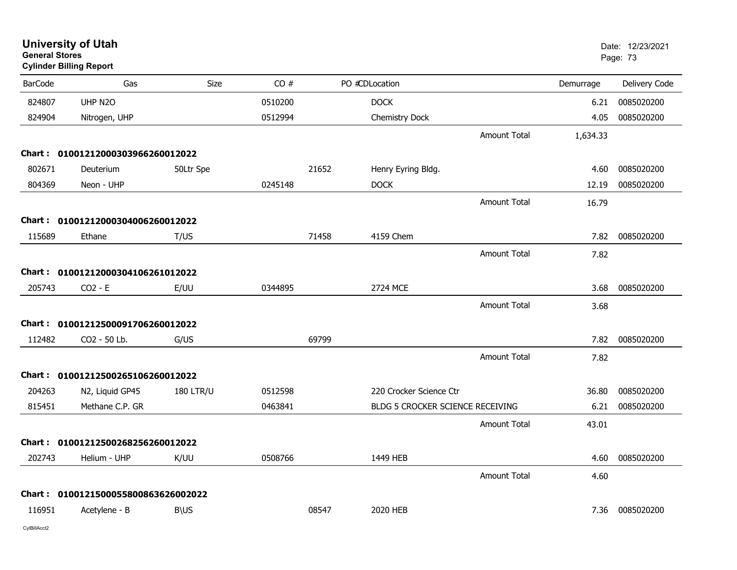| <b>General Stores</b> | <b>University of Utah</b><br><b>Cylinder Billing Report</b> |                  |         |       |                                  |                     |           | Date: 12/23/2021<br>Page: 73 |
|-----------------------|-------------------------------------------------------------|------------------|---------|-------|----------------------------------|---------------------|-----------|------------------------------|
| <b>BarCode</b>        | Gas                                                         | Size             | CO#     |       | PO #CDLocation                   |                     | Demurrage | Delivery Code                |
| 824807                | UHP N2O                                                     |                  | 0510200 |       | <b>DOCK</b>                      |                     | 6.21      | 0085020200                   |
| 824904                | Nitrogen, UHP                                               |                  | 0512994 |       | Chemistry Dock                   |                     | 4.05      | 0085020200                   |
|                       |                                                             |                  |         |       |                                  | <b>Amount Total</b> | 1,634.33  |                              |
|                       | Chart: 01001212000303966260012022                           |                  |         |       |                                  |                     |           |                              |
| 802671                | Deuterium                                                   | 50Ltr Spe        |         | 21652 | Henry Eyring Bldg.               |                     | 4.60      | 0085020200                   |
| 804369                | Neon - UHP                                                  |                  | 0245148 |       | <b>DOCK</b>                      |                     | 12.19     | 0085020200                   |
|                       |                                                             |                  |         |       |                                  | <b>Amount Total</b> | 16.79     |                              |
|                       | Chart: 01001212000304006260012022                           |                  |         |       |                                  |                     |           |                              |
| 115689                | Ethane                                                      | T/US             |         | 71458 | 4159 Chem                        |                     | 7.82      | 0085020200                   |
|                       |                                                             |                  |         |       |                                  | <b>Amount Total</b> | 7.82      |                              |
|                       | Chart: 01001212000304106261012022                           |                  |         |       |                                  |                     |           |                              |
| 205743                | $CO2 - E$                                                   | E/UU             | 0344895 |       | 2724 MCE                         |                     | 3.68      | 0085020200                   |
|                       |                                                             |                  |         |       |                                  | <b>Amount Total</b> | 3.68      |                              |
|                       | Chart: 01001212500091706260012022                           |                  |         |       |                                  |                     |           |                              |
| 112482                | CO2 - 50 Lb.                                                | G/US             |         | 69799 |                                  |                     | 7.82      | 0085020200                   |
|                       |                                                             |                  |         |       |                                  | <b>Amount Total</b> | 7.82      |                              |
|                       | Chart: 01001212500265106260012022                           |                  |         |       |                                  |                     |           |                              |
| 204263                | N2, Liquid GP45                                             | <b>180 LTR/U</b> | 0512598 |       | 220 Crocker Science Ctr          |                     | 36.80     | 0085020200                   |
| 815451                | Methane C.P. GR                                             |                  | 0463841 |       | BLDG 5 CROCKER SCIENCE RECEIVING |                     | 6.21      | 0085020200                   |
|                       |                                                             |                  |         |       |                                  | Amount Total        | 43.01     |                              |
|                       | Chart: 01001212500268256260012022                           |                  |         |       |                                  |                     |           |                              |
| 202743                | Helium - UHP                                                | K/UU             | 0508766 |       | 1449 HEB                         |                     | 4.60      | 0085020200                   |
|                       |                                                             |                  |         |       |                                  | <b>Amount Total</b> | 4.60      |                              |
|                       | Chart: 0100121500055800863626002022                         |                  |         |       |                                  |                     |           |                              |
| 116951                | Acetylene - B                                               | <b>B\US</b>      |         | 08547 | 2020 HEB                         |                     | 7.36      | 0085020200                   |
|                       |                                                             |                  |         |       |                                  |                     |           |                              |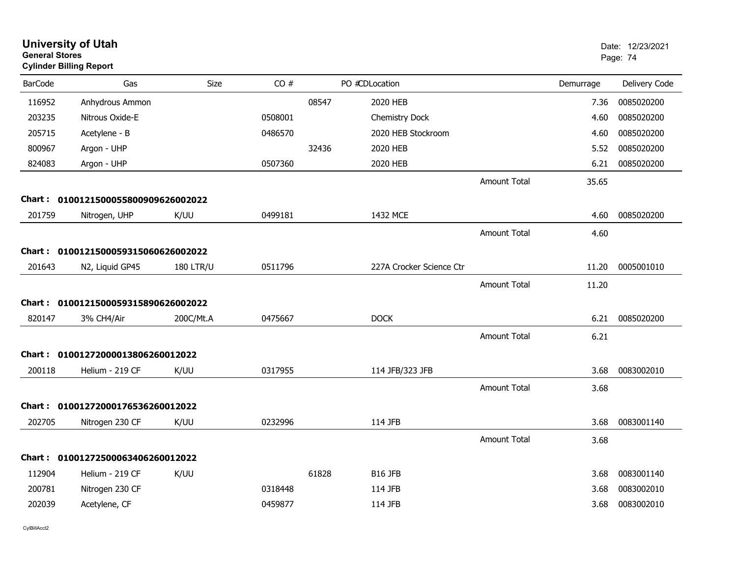| <b>General Stores</b> | <b>University of Utah</b><br><b>Cylinder Billing Report</b> |                  |         |       |                          |                     |           | Date: 12/23/2021<br>Page: 74 |
|-----------------------|-------------------------------------------------------------|------------------|---------|-------|--------------------------|---------------------|-----------|------------------------------|
| <b>BarCode</b>        | Gas                                                         | Size             | CO#     |       | PO #CDLocation           |                     | Demurrage | Delivery Code                |
| 116952                | Anhydrous Ammon                                             |                  |         | 08547 | 2020 HEB                 |                     | 7.36      | 0085020200                   |
| 203235                | Nitrous Oxide-E                                             |                  | 0508001 |       | Chemistry Dock           |                     | 4.60      | 0085020200                   |
| 205715                | Acetylene - B                                               |                  | 0486570 |       | 2020 HEB Stockroom       |                     | 4.60      | 0085020200                   |
| 800967                | Argon - UHP                                                 |                  |         | 32436 | 2020 HEB                 |                     | 5.52      | 0085020200                   |
| 824083                | Argon - UHP                                                 |                  | 0507360 |       | 2020 HEB                 |                     | 6.21      | 0085020200                   |
|                       |                                                             |                  |         |       |                          | <b>Amount Total</b> | 35.65     |                              |
|                       | Chart: 0100121500055800909626002022                         |                  |         |       |                          |                     |           |                              |
| 201759                | Nitrogen, UHP                                               | K/UU             | 0499181 |       | 1432 MCE                 |                     | 4.60      | 0085020200                   |
|                       |                                                             |                  |         |       |                          | <b>Amount Total</b> | 4.60      |                              |
|                       | Chart: 0100121500059315060626002022                         |                  |         |       |                          |                     |           |                              |
| 201643                | N2, Liquid GP45                                             | <b>180 LTR/U</b> | 0511796 |       | 227A Crocker Science Ctr |                     | 11.20     | 0005001010                   |
|                       |                                                             |                  |         |       |                          | <b>Amount Total</b> | 11.20     |                              |
|                       | Chart: 0100121500059315890626002022                         |                  |         |       |                          |                     |           |                              |
| 820147                | 3% CH4/Air                                                  | 200C/Mt.A        | 0475667 |       | <b>DOCK</b>              |                     | 6.21      | 0085020200                   |
|                       |                                                             |                  |         |       |                          | <b>Amount Total</b> | 6.21      |                              |
|                       | Chart: 01001272000013806260012022                           |                  |         |       |                          |                     |           |                              |
| 200118                | Helium - 219 CF                                             | K/UU             | 0317955 |       | 114 JFB/323 JFB          |                     | 3.68      | 0083002010                   |
|                       |                                                             |                  |         |       |                          | <b>Amount Total</b> | 3.68      |                              |
|                       | Chart: 01001272000176536260012022                           |                  |         |       |                          |                     |           |                              |
| 202705                | Nitrogen 230 CF                                             | K/UU             | 0232996 |       | 114 JFB                  |                     | 3.68      | 0083001140                   |
|                       |                                                             |                  |         |       |                          | <b>Amount Total</b> | 3.68      |                              |
|                       | Chart: 01001272500063406260012022                           |                  |         |       |                          |                     |           |                              |
| 112904                | Helium - 219 CF                                             | K/UU             |         | 61828 | B16 JFB                  |                     | 3.68      | 0083001140                   |
| 200781                | Nitrogen 230 CF                                             |                  | 0318448 |       | 114 JFB                  |                     | 3.68      | 0083002010                   |
| 202039                | Acetylene, CF                                               |                  | 0459877 |       | 114 JFB                  |                     | 3.68      | 0083002010                   |
|                       |                                                             |                  |         |       |                          |                     |           |                              |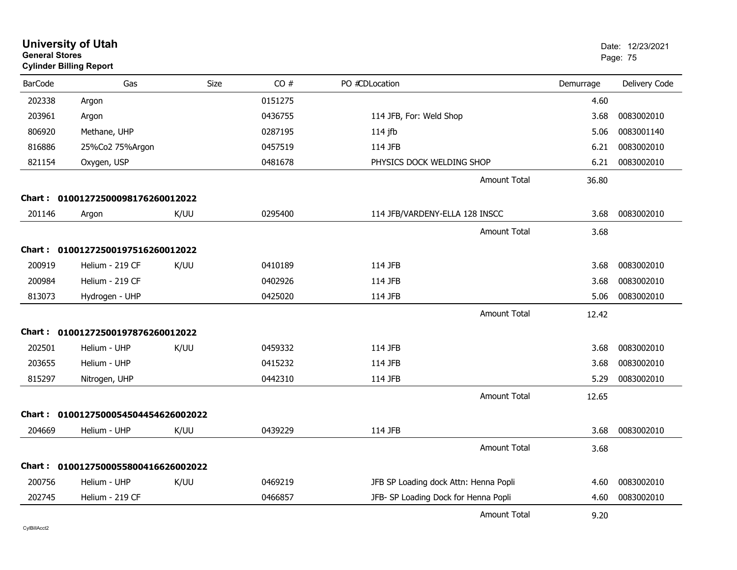| <b>General Stores</b> | <b>University of Utah</b><br><b>Cylinder Billing Report</b> |      |         |                                       |           | Date: 12/23/2021<br>Page: 75 |
|-----------------------|-------------------------------------------------------------|------|---------|---------------------------------------|-----------|------------------------------|
| <b>BarCode</b>        | Gas                                                         | Size | CO#     | PO #CDLocation                        | Demurrage | Delivery Code                |
| 202338                | Argon                                                       |      | 0151275 |                                       | 4.60      |                              |
| 203961                | Argon                                                       |      | 0436755 | 114 JFB, For: Weld Shop               | 3.68      | 0083002010                   |
| 806920                | Methane, UHP                                                |      | 0287195 | $114$ jfb                             | 5.06      | 0083001140                   |
| 816886                | 25%Co2 75%Argon                                             |      | 0457519 | 114 JFB                               | 6.21      | 0083002010                   |
| 821154                | Oxygen, USP                                                 |      | 0481678 | PHYSICS DOCK WELDING SHOP             | 6.21      | 0083002010                   |
|                       |                                                             |      |         | <b>Amount Total</b>                   | 36.80     |                              |
| Chart :               | 01001272500098176260012022                                  |      |         |                                       |           |                              |
| 201146                | Argon                                                       | K/UU | 0295400 | 114 JFB/VARDENY-ELLA 128 INSCC        | 3.68      | 0083002010                   |
|                       |                                                             |      |         | <b>Amount Total</b>                   | 3.68      |                              |
| Chart :               | 01001272500197516260012022                                  |      |         |                                       |           |                              |
| 200919                | Helium - 219 CF                                             | K/UU | 0410189 | 114 JFB                               | 3.68      | 0083002010                   |
| 200984                | Helium - 219 CF                                             |      | 0402926 | 114 JFB                               | 3.68      | 0083002010                   |
| 813073                | Hydrogen - UHP                                              |      | 0425020 | 114 JFB                               | 5.06      | 0083002010                   |
|                       |                                                             |      |         | <b>Amount Total</b>                   | 12.42     |                              |
| Chart :               | 01001272500197876260012022                                  |      |         |                                       |           |                              |
| 202501                | Helium - UHP                                                | K/UU | 0459332 | 114 JFB                               | 3.68      | 0083002010                   |
| 203655                | Helium - UHP                                                |      | 0415232 | 114 JFB                               | 3.68      | 0083002010                   |
| 815297                | Nitrogen, UHP                                               |      | 0442310 | 114 JFB                               | 5.29      | 0083002010                   |
|                       |                                                             |      |         | <b>Amount Total</b>                   | 12.65     |                              |
|                       | 0100127500054504454626002022                                |      |         |                                       |           |                              |
| <b>Chart :</b>        |                                                             |      | 0439229 |                                       |           | 0083002010                   |
| 204669                | Helium - UHP                                                | K/UU |         | 114 JFB                               | 3.68      |                              |
|                       |                                                             |      |         | <b>Amount Total</b>                   | 3.68      |                              |
| Chart :               | 0100127500055800416626002022                                |      |         |                                       |           |                              |
| 200756                | Helium - UHP                                                | K/UU | 0469219 | JFB SP Loading dock Attn: Henna Popli | 4.60      | 0083002010                   |
| 202745                | Helium - 219 CF                                             |      | 0466857 | JFB- SP Loading Dock for Henna Popli  | 4.60      | 0083002010                   |
|                       |                                                             |      |         | <b>Amount Total</b>                   | 9.20      |                              |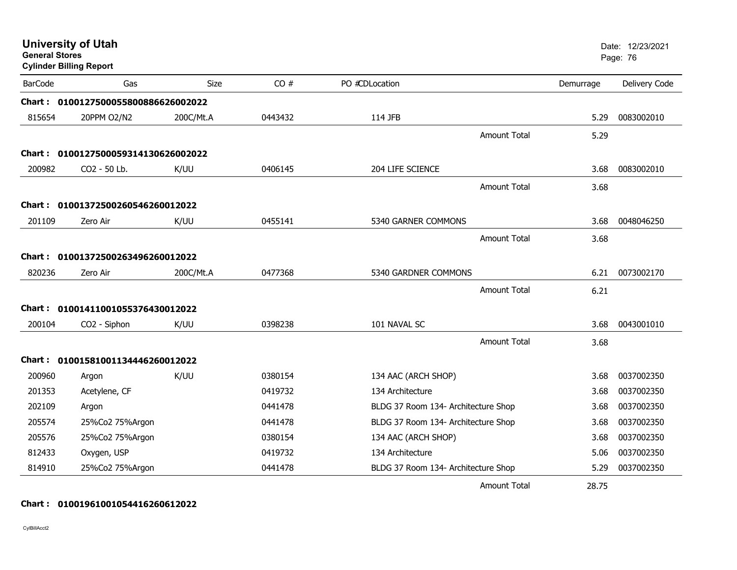| <b>General Stores</b> | <b>University of Utah</b><br><b>Cylinder Billing Report</b> |             |         |                                     |           | Date: 12/23/2021<br>Page: 76 |
|-----------------------|-------------------------------------------------------------|-------------|---------|-------------------------------------|-----------|------------------------------|
| <b>BarCode</b>        | Gas                                                         | <b>Size</b> | CO#     | PO #CDLocation                      | Demurrage | Delivery Code                |
|                       | Chart: 0100127500055800886626002022                         |             |         |                                     |           |                              |
| 815654                | 20PPM O2/N2                                                 | 200C/Mt.A   | 0443432 | 114 JFB                             | 5.29      | 0083002010                   |
|                       |                                                             |             |         | <b>Amount Total</b>                 | 5.29      |                              |
|                       | Chart: 0100127500059314130626002022                         |             |         |                                     |           |                              |
| 200982                | CO2 - 50 Lb.                                                | K/UU        | 0406145 | 204 LIFE SCIENCE                    | 3.68      | 0083002010                   |
|                       |                                                             |             |         | <b>Amount Total</b>                 | 3.68      |                              |
|                       | Chart: 01001372500260546260012022                           |             |         |                                     |           |                              |
| 201109                | Zero Air                                                    | K/UU        | 0455141 | 5340 GARNER COMMONS                 | 3.68      | 0048046250                   |
|                       |                                                             |             |         | <b>Amount Total</b>                 | 3.68      |                              |
| Chart :               | 01001372500263496260012022                                  |             |         |                                     |           |                              |
| 820236                | Zero Air                                                    | 200C/Mt.A   | 0477368 | 5340 GARDNER COMMONS                | 6.21      | 0073002170                   |
|                       |                                                             |             |         | <b>Amount Total</b>                 | 6.21      |                              |
|                       | Chart: 01001411001055376430012022                           |             |         |                                     |           |                              |
| 200104                | CO2 - Siphon                                                | K/UU        | 0398238 | 101 NAVAL SC                        | 3.68      | 0043001010                   |
|                       |                                                             |             |         | Amount Total                        | 3.68      |                              |
|                       |                                                             |             |         |                                     |           |                              |
| 200960                | Chart: 01001581001134446260012022                           | K/UU        | 0380154 | 134 AAC (ARCH SHOP)                 | 3.68      | 0037002350                   |
| 201353                | Argon<br>Acetylene, CF                                      |             | 0419732 | 134 Architecture                    | 3.68      | 0037002350                   |
| 202109                | Argon                                                       |             | 0441478 | BLDG 37 Room 134- Architecture Shop | 3.68      | 0037002350                   |
| 205574                | 25%Co2 75%Argon                                             |             | 0441478 | BLDG 37 Room 134- Architecture Shop | 3.68      | 0037002350                   |
| 205576                | 25%Co2 75%Argon                                             |             | 0380154 | 134 AAC (ARCH SHOP)                 | 3.68      | 0037002350                   |
| 812433                | Oxygen, USP                                                 |             | 0419732 | 134 Architecture                    | 5.06      | 0037002350                   |
| 814910                | 25%Co2 75%Argon                                             |             | 0441478 | BLDG 37 Room 134- Architecture Shop | 5.29      | 0037002350                   |
|                       |                                                             |             |         | <b>Amount Total</b>                 | 28.75     |                              |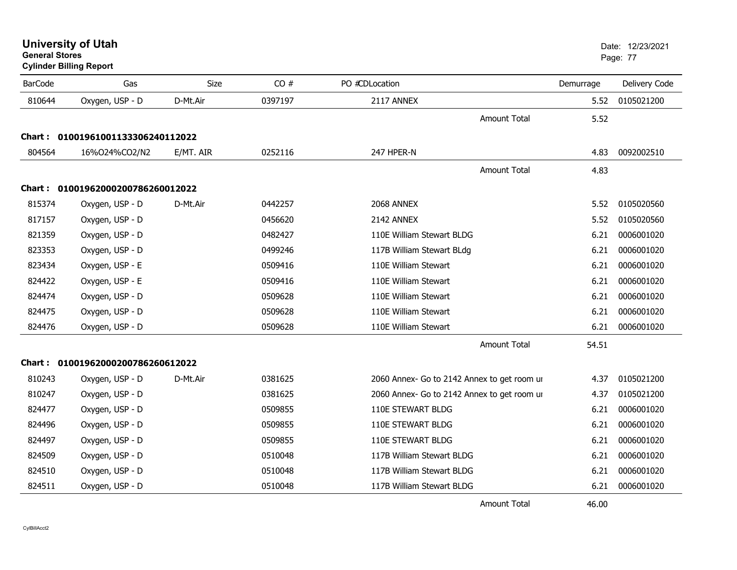**University of Utah** Date: 12/23/2021 **General Stores**

**Cylinder Billing Report**

| <b>BarCode</b> | Gas                               | <b>Size</b> | CO#     | PO #CDLocation                              | Demurrage | Delivery Code |
|----------------|-----------------------------------|-------------|---------|---------------------------------------------|-----------|---------------|
| 810644         | Oxygen, USP - D                   | D-Mt.Air    | 0397197 | 2117 ANNEX                                  | 5.52      | 0105021200    |
|                |                                   |             |         | <b>Amount Total</b>                         | 5.52      |               |
|                | Chart: 01001961001133306240112022 |             |         |                                             |           |               |
| 804564         | 16%024%CO2/N2                     | E/MT. AIR   | 0252116 | 247 HPER-N                                  | 4.83      | 0092002510    |
|                |                                   |             |         | <b>Amount Total</b>                         | 4.83      |               |
| Chart :        | 01001962000200786260012022        |             |         |                                             |           |               |
| 815374         | Oxygen, USP - D                   | D-Mt.Air    | 0442257 | 2068 ANNEX                                  | 5.52      | 0105020560    |
| 817157         | Oxygen, USP - D                   |             | 0456620 | 2142 ANNEX                                  | 5.52      | 0105020560    |
| 821359         | Oxygen, USP - D                   |             | 0482427 | 110E William Stewart BLDG                   | 6.21      | 0006001020    |
| 823353         | Oxygen, USP - D                   |             | 0499246 | 117B William Stewart BLdg                   | 6.21      | 0006001020    |
| 823434         | Oxygen, USP - E                   |             | 0509416 | 110E William Stewart                        | 6.21      | 0006001020    |
| 824422         | Oxygen, USP - E                   |             | 0509416 | 110E William Stewart                        | 6.21      | 0006001020    |
| 824474         | Oxygen, USP - D                   |             | 0509628 | 110E William Stewart                        | 6.21      | 0006001020    |
| 824475         | Oxygen, USP - D                   |             | 0509628 | 110E William Stewart                        | 6.21      | 0006001020    |
| 824476         | Oxygen, USP - D                   |             | 0509628 | 110E William Stewart                        | 6.21      | 0006001020    |
|                |                                   |             |         | <b>Amount Total</b>                         | 54.51     |               |
|                | Chart: 01001962000200786260612022 |             |         |                                             |           |               |
| 810243         | Oxygen, USP - D                   | D-Mt.Air    | 0381625 | 2060 Annex- Go to 2142 Annex to get room ur | 4.37      | 0105021200    |
| 810247         | Oxygen, USP - D                   |             | 0381625 | 2060 Annex- Go to 2142 Annex to get room ur | 4.37      | 0105021200    |
| 824477         | Oxygen, USP - D                   |             | 0509855 | 110E STEWART BLDG                           | 6.21      | 0006001020    |
| 824496         | Oxygen, USP - D                   |             | 0509855 | 110E STEWART BLDG                           | 6.21      | 0006001020    |
| 824497         | Oxygen, USP - D                   |             | 0509855 | 110E STEWART BLDG                           | 6.21      | 0006001020    |
| 824509         | Oxygen, USP - D                   |             | 0510048 | 117B William Stewart BLDG                   | 6.21      | 0006001020    |
| 824510         | Oxygen, USP - D                   |             | 0510048 | 117B William Stewart BLDG                   | 6.21      | 0006001020    |
| 824511         | Oxygen, USP - D                   |             | 0510048 | 117B William Stewart BLDG                   | 6.21      | 0006001020    |

Amount Total

46.00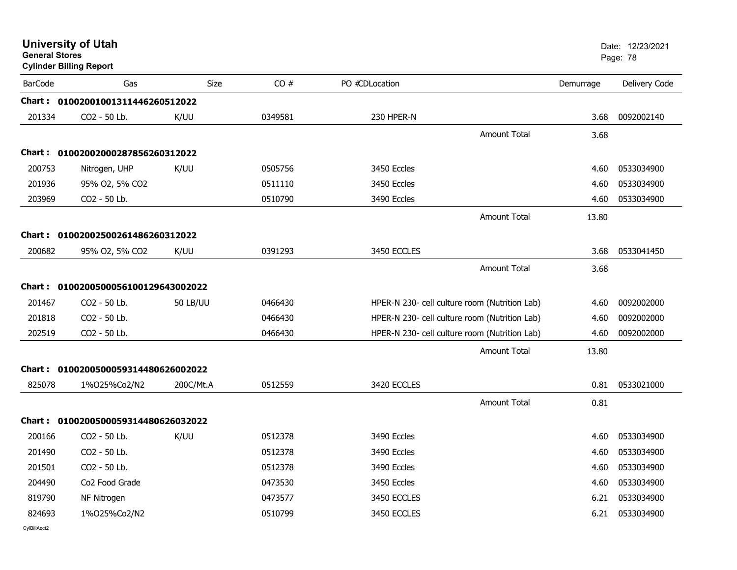| <b>General Stores</b> | <b>University of Utah</b><br><b>Cylinder Billing Report</b> |           |         |                |                                               |           | Date: 12/23/2021<br>Page: 78 |
|-----------------------|-------------------------------------------------------------|-----------|---------|----------------|-----------------------------------------------|-----------|------------------------------|
| <b>BarCode</b>        | Gas                                                         | Size      | CO#     | PO #CDLocation |                                               | Demurrage | Delivery Code                |
|                       | Chart: 01002001001311446260512022                           |           |         |                |                                               |           |                              |
| 201334                | CO2 - 50 Lb.                                                | K/UU      | 0349581 | 230 HPER-N     |                                               | 3.68      | 0092002140                   |
|                       |                                                             |           |         |                | <b>Amount Total</b>                           | 3.68      |                              |
|                       | Chart: 01002002000287856260312022                           |           |         |                |                                               |           |                              |
| 200753                | Nitrogen, UHP                                               | K/UU      | 0505756 | 3450 Eccles    |                                               | 4.60      | 0533034900                   |
| 201936                | 95% O2, 5% CO2                                              |           | 0511110 | 3450 Eccles    |                                               | 4.60      | 0533034900                   |
| 203969                | CO2 - 50 Lb.                                                |           | 0510790 | 3490 Eccles    |                                               | 4.60      | 0533034900                   |
|                       |                                                             |           |         |                | Amount Total                                  | 13.80     |                              |
|                       | Chart: 01002002500261486260312022                           |           |         |                |                                               |           |                              |
| 200682                | 95% O2, 5% CO2                                              | K/UU      | 0391293 | 3450 ECCLES    |                                               | 3.68      | 0533041450                   |
|                       |                                                             |           |         |                | Amount Total                                  | 3.68      |                              |
|                       | Chart: 0100200500056100129643002022                         |           |         |                |                                               |           |                              |
| 201467                | CO2 - 50 Lb.                                                | 50 LB/UU  | 0466430 |                | HPER-N 230- cell culture room (Nutrition Lab) | 4.60      | 0092002000                   |
| 201818                | CO2 - 50 Lb.                                                |           | 0466430 |                | HPER-N 230- cell culture room (Nutrition Lab) | 4.60      | 0092002000                   |
| 202519                | CO2 - 50 Lb.                                                |           | 0466430 |                | HPER-N 230- cell culture room (Nutrition Lab) | 4.60      | 0092002000                   |
|                       |                                                             |           |         |                | <b>Amount Total</b>                           | 13.80     |                              |
|                       | Chart: 0100200500059314480626002022                         |           |         |                |                                               |           |                              |
| 825078                | 1%025%Co2/N2                                                | 200C/Mt.A | 0512559 | 3420 ECCLES    |                                               | 0.81      | 0533021000                   |
|                       |                                                             |           |         |                | <b>Amount Total</b>                           | 0.81      |                              |
|                       | Chart: 0100200500059314480626032022                         |           |         |                |                                               |           |                              |
| 200166                | CO <sub>2</sub> - 50 Lb.                                    | K/UU      | 0512378 | 3490 Eccles    |                                               | 4.60      | 0533034900                   |
| 201490                | CO <sub>2</sub> - 50 Lb.                                    |           | 0512378 | 3490 Eccles    |                                               | 4.60      | 0533034900                   |
| 201501                | CO2 - 50 Lb.                                                |           | 0512378 | 3490 Eccles    |                                               | 4.60      | 0533034900                   |
| 204490                | Co2 Food Grade                                              |           | 0473530 | 3450 Eccles    |                                               | 4.60      | 0533034900                   |
| 819790                | NF Nitrogen                                                 |           | 0473577 | 3450 ECCLES    |                                               | 6.21      | 0533034900                   |
| 824693                | 1%025%Co2/N2                                                |           | 0510799 | 3450 ECCLES    |                                               | 6.21      | 0533034900                   |
|                       |                                                             |           |         |                |                                               |           |                              |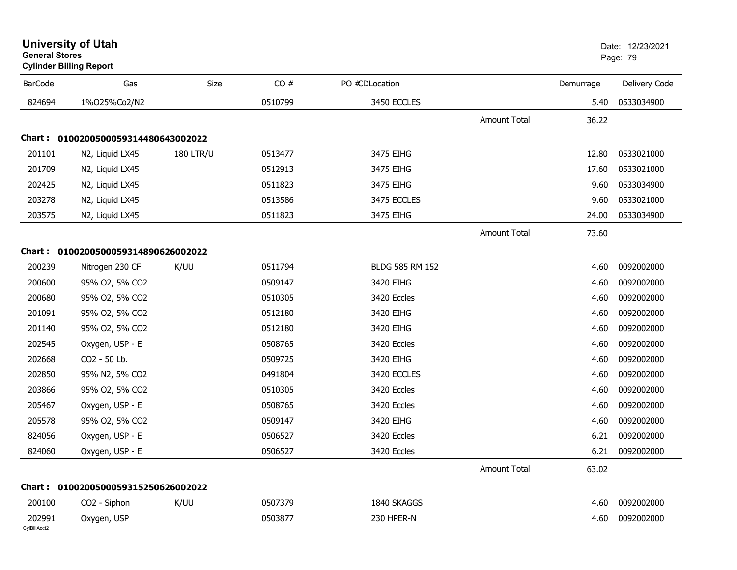| <b>BarCode</b>         | Gas                                 | Size             | CO#     | PO #CDLocation  |                     | Demurrage | Delivery Code |
|------------------------|-------------------------------------|------------------|---------|-----------------|---------------------|-----------|---------------|
| 824694                 | 1%025%Co2/N2                        |                  | 0510799 | 3450 ECCLES     |                     | 5.40      | 0533034900    |
|                        |                                     |                  |         |                 | <b>Amount Total</b> | 36.22     |               |
|                        | Chart: 0100200500059314480643002022 |                  |         |                 |                     |           |               |
| 201101                 | N2, Liquid LX45                     | <b>180 LTR/U</b> | 0513477 | 3475 EIHG       |                     | 12.80     | 0533021000    |
| 201709                 | N2, Liquid LX45                     |                  | 0512913 | 3475 EIHG       |                     | 17.60     | 0533021000    |
| 202425                 | N2, Liquid LX45                     |                  | 0511823 | 3475 EIHG       |                     | 9.60      | 0533034900    |
| 203278                 | N2, Liquid LX45                     |                  | 0513586 | 3475 ECCLES     |                     | 9.60      | 0533021000    |
| 203575                 | N2, Liquid LX45                     |                  | 0511823 | 3475 EIHG       |                     | 24.00     | 0533034900    |
|                        |                                     |                  |         |                 | Amount Total        | 73.60     |               |
|                        | Chart: 0100200500059314890626002022 |                  |         |                 |                     |           |               |
| 200239                 | Nitrogen 230 CF                     | K/UU             | 0511794 | BLDG 585 RM 152 |                     | 4.60      | 0092002000    |
| 200600                 | 95% O2, 5% CO2                      |                  | 0509147 | 3420 EIHG       |                     | 4.60      | 0092002000    |
| 200680                 | 95% O2, 5% CO2                      |                  | 0510305 | 3420 Eccles     |                     | 4.60      | 0092002000    |
| 201091                 | 95% O2, 5% CO2                      |                  | 0512180 | 3420 EIHG       |                     | 4.60      | 0092002000    |
| 201140                 | 95% O2, 5% CO2                      |                  | 0512180 | 3420 EIHG       |                     | 4.60      | 0092002000    |
| 202545                 | Oxygen, USP - E                     |                  | 0508765 | 3420 Eccles     |                     | 4.60      | 0092002000    |
| 202668                 | CO2 - 50 Lb.                        |                  | 0509725 | 3420 EIHG       |                     | 4.60      | 0092002000    |
| 202850                 | 95% N2, 5% CO2                      |                  | 0491804 | 3420 ECCLES     |                     | 4.60      | 0092002000    |
| 203866                 | 95% O2, 5% CO2                      |                  | 0510305 | 3420 Eccles     |                     | 4.60      | 0092002000    |
| 205467                 | Oxygen, USP - E                     |                  | 0508765 | 3420 Eccles     |                     | 4.60      | 0092002000    |
| 205578                 | 95% O2, 5% CO2                      |                  | 0509147 | 3420 EIHG       |                     | 4.60      | 0092002000    |
| 824056                 | Oxygen, USP - E                     |                  | 0506527 | 3420 Eccles     |                     | 6.21      | 0092002000    |
| 824060                 | Oxygen, USP - E                     |                  | 0506527 | 3420 Eccles     |                     | 6.21      | 0092002000    |
|                        |                                     |                  |         |                 | <b>Amount Total</b> | 63.02     |               |
|                        | Chart: 0100200500059315250626002022 |                  |         |                 |                     |           |               |
| 200100                 | CO2 - Siphon                        | K/UU             | 0507379 | 1840 SKAGGS     |                     | 4.60      | 0092002000    |
| 202991<br>CvIBillAcct2 | Oxygen, USP                         |                  | 0503877 | 230 HPER-N      |                     | 4.60      | 0092002000    |

## **University of Utah** Date: 12/23/2021 **General Stores**

## **Cylinder Billing Report**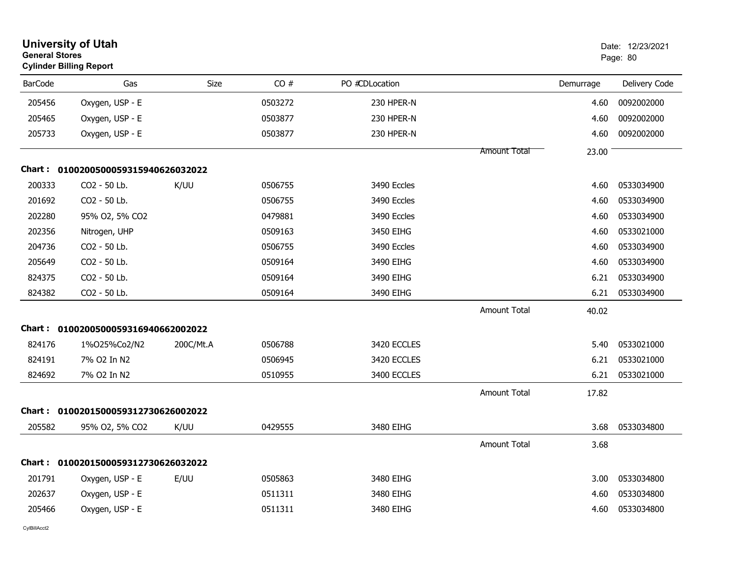|                | <b>University of Utah</b><br><b>General Stores</b><br><b>Cylinder Billing Report</b> |             |         |                | Date: 12/23/2021<br>Page: 80 |           |               |
|----------------|--------------------------------------------------------------------------------------|-------------|---------|----------------|------------------------------|-----------|---------------|
| <b>BarCode</b> | Gas                                                                                  | <b>Size</b> | CO#     | PO #CDLocation |                              | Demurrage | Delivery Code |
| 205456         | Oxygen, USP - E                                                                      |             | 0503272 | 230 HPER-N     |                              | 4.60      | 0092002000    |
| 205465         | Oxygen, USP - E                                                                      |             | 0503877 | 230 HPER-N     |                              | 4.60      | 0092002000    |
| 205733         | Oxygen, USP - E                                                                      |             | 0503877 | 230 HPER-N     |                              | 4.60      | 0092002000    |
|                |                                                                                      |             |         |                | <b>Amount Total</b>          | 23.00     |               |
|                | Chart: 0100200500059315940626032022                                                  |             |         |                |                              |           |               |
| 200333         | CO2 - 50 Lb.                                                                         | K/UU        | 0506755 | 3490 Eccles    |                              | 4.60      | 0533034900    |
| 201692         | CO2 - 50 Lb.                                                                         |             | 0506755 | 3490 Eccles    |                              | 4.60      | 0533034900    |
| 202280         | 95% O2, 5% CO2                                                                       |             | 0479881 | 3490 Eccles    |                              | 4.60      | 0533034900    |
| 202356         | Nitrogen, UHP                                                                        |             | 0509163 | 3450 EIHG      |                              | 4.60      | 0533021000    |
| 204736         | CO <sub>2</sub> - 50 Lb.                                                             |             | 0506755 | 3490 Eccles    |                              | 4.60      | 0533034900    |
| 205649         | CO2 - 50 Lb.                                                                         |             | 0509164 | 3490 EIHG      |                              | 4.60      | 0533034900    |
| 824375         | CO2 - 50 Lb.                                                                         |             | 0509164 | 3490 EIHG      |                              | 6.21      | 0533034900    |
| 824382         | CO2 - 50 Lb.                                                                         |             | 0509164 | 3490 EIHG      |                              | 6.21      | 0533034900    |
|                |                                                                                      |             |         |                | <b>Amount Total</b>          | 40.02     |               |
|                | Chart: 0100200500059316940662002022                                                  |             |         |                |                              |           |               |
| 824176         | 1%025%Co2/N2                                                                         | 200C/Mt.A   | 0506788 | 3420 ECCLES    |                              | 5.40      | 0533021000    |
| 824191         | 7% O2 In N2                                                                          |             | 0506945 | 3420 ECCLES    |                              | 6.21      | 0533021000    |
| 824692         | 7% O2 In N2                                                                          |             | 0510955 | 3400 ECCLES    |                              | 6.21      | 0533021000    |
|                |                                                                                      |             |         |                | <b>Amount Total</b>          | 17.82     |               |
| Chart :        | 0100201500059312730626002022                                                         |             |         |                |                              |           |               |
| 205582         | 95% O2, 5% CO2                                                                       | K/UU        | 0429555 | 3480 EIHG      |                              | 3.68      | 0533034800    |
|                |                                                                                      |             |         |                | <b>Amount Total</b>          | 3.68      |               |
| Chart :        | 0100201500059312730626032022                                                         |             |         |                |                              |           |               |
| 201791         | Oxygen, USP - E                                                                      | E/UU        | 0505863 | 3480 EIHG      |                              | 3.00      | 0533034800    |
| 202637         | Oxygen, USP - E                                                                      |             | 0511311 | 3480 EIHG      |                              | 4.60      | 0533034800    |
| 205466         | Oxygen, USP - E                                                                      |             | 0511311 | 3480 EIHG      |                              | 4.60      | 0533034800    |
|                |                                                                                      |             |         |                |                              |           |               |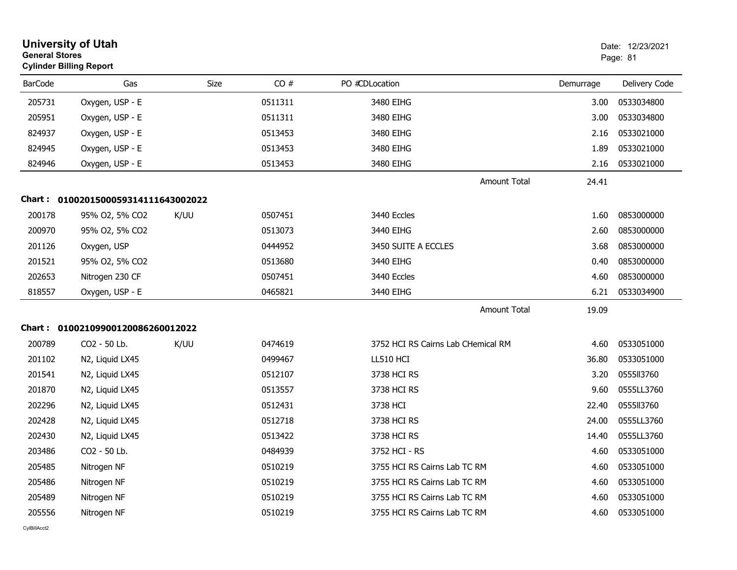|                | <b>University of Utah</b><br><b>General Stores</b><br><b>Cylinder Billing Report</b> |      |         |                                    |           |               |
|----------------|--------------------------------------------------------------------------------------|------|---------|------------------------------------|-----------|---------------|
| <b>BarCode</b> | Gas                                                                                  | Size | CO#     | PO #CDLocation                     | Demurrage | Delivery Code |
| 205731         | Oxygen, USP - E                                                                      |      | 0511311 | 3480 EIHG                          | 3.00      | 0533034800    |
| 205951         | Oxygen, USP - E                                                                      |      | 0511311 | 3480 EIHG                          | 3.00      | 0533034800    |
| 824937         | Oxygen, USP - E                                                                      |      | 0513453 | 3480 EIHG                          | 2.16      | 0533021000    |
| 824945         | Oxygen, USP - E                                                                      |      | 0513453 | 3480 EIHG                          | 1.89      | 0533021000    |
| 824946         | Oxygen, USP - E                                                                      |      | 0513453 | 3480 EIHG                          | 2.16      | 0533021000    |
|                |                                                                                      |      |         | <b>Amount Total</b>                | 24.41     |               |
|                | Chart: 0100201500059314111643002022                                                  |      |         |                                    |           |               |
| 200178         | 95% O2, 5% CO2                                                                       | K/UU | 0507451 | 3440 Eccles                        | 1.60      | 0853000000    |
| 200970         | 95% O2, 5% CO2                                                                       |      | 0513073 | 3440 EIHG                          | 2.60      | 0853000000    |
| 201126         | Oxygen, USP                                                                          |      | 0444952 | 3450 SUITE A ECCLES                | 3.68      | 0853000000    |
| 201521         | 95% O2, 5% CO2                                                                       |      | 0513680 | 3440 EIHG                          | 0.40      | 0853000000    |
| 202653         | Nitrogen 230 CF                                                                      |      | 0507451 | 3440 Eccles                        | 4.60      | 0853000000    |
| 818557         | Oxygen, USP - E                                                                      |      | 0465821 | 3440 EIHG                          | 6.21      | 0533034900    |
|                |                                                                                      |      |         | <b>Amount Total</b>                | 19.09     |               |
|                | Chart: 01002109900120086260012022                                                    |      |         |                                    |           |               |
| 200789         | CO2 - 50 Lb.                                                                         | K/UU | 0474619 | 3752 HCI RS Cairns Lab CHemical RM | 4.60      | 0533051000    |
| 201102         | N2, Liquid LX45                                                                      |      | 0499467 | LL510 HCI                          | 36.80     | 0533051000    |
| 201541         | N2, Liquid LX45                                                                      |      | 0512107 | 3738 HCI RS                        | 3.20      | 0555113760    |
| 201870         | N2, Liquid LX45                                                                      |      | 0513557 | 3738 HCI RS                        | 9.60      | 0555LL3760    |
| 202296         | N2, Liquid LX45                                                                      |      | 0512431 | 3738 HCI                           | 22.40     | 0555113760    |
| 202428         | N2, Liquid LX45                                                                      |      | 0512718 | 3738 HCI RS                        | 24.00     | 0555LL3760    |
| 202430         | N2, Liquid LX45                                                                      |      | 0513422 | 3738 HCI RS                        | 14.40     | 0555LL3760    |
| 203486         | CO2 - 50 Lb.                                                                         |      | 0484939 | 3752 HCI - RS                      | 4.60      | 0533051000    |
| 205485         | Nitrogen NF                                                                          |      | 0510219 | 3755 HCI RS Cairns Lab TC RM       | 4.60      | 0533051000    |
| 205486         | Nitrogen NF                                                                          |      | 0510219 | 3755 HCI RS Cairns Lab TC RM       | 4.60      | 0533051000    |
| 205489         | Nitrogen NF                                                                          |      | 0510219 | 3755 HCI RS Cairns Lab TC RM       | 4.60      | 0533051000    |
| 205556         | Nitrogen NF                                                                          |      | 0510219 | 3755 HCI RS Cairns Lab TC RM       | 4.60      | 0533051000    |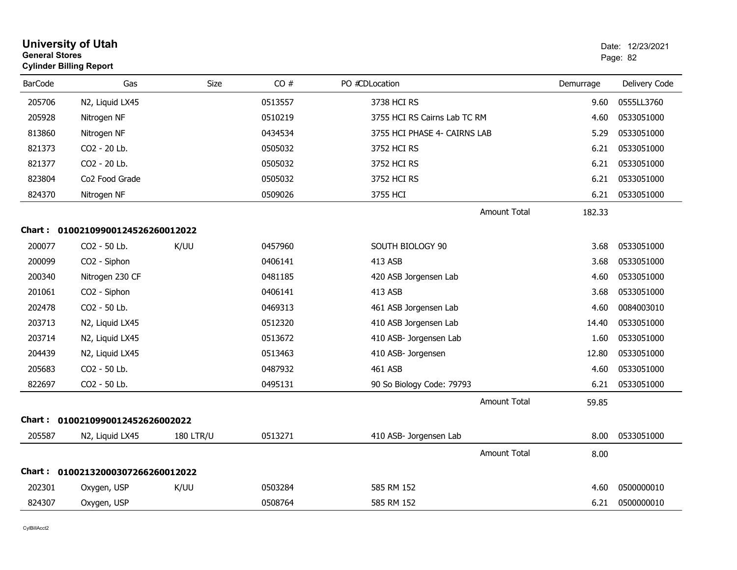| <b>General Stores</b> | <b>University of Utah</b><br><b>Cylinder Billing Report</b> |                  |         |                              |           | Date: 12/23/2021<br>Page: 82 |
|-----------------------|-------------------------------------------------------------|------------------|---------|------------------------------|-----------|------------------------------|
| <b>BarCode</b>        | Gas                                                         | Size             | CO#     | PO #CDLocation               | Demurrage | Delivery Code                |
| 205706                | N2, Liquid LX45                                             |                  | 0513557 | 3738 HCI RS                  | 9.60      | 0555LL3760                   |
| 205928                | Nitrogen NF                                                 |                  | 0510219 | 3755 HCI RS Cairns Lab TC RM | 4.60      | 0533051000                   |
| 813860                | Nitrogen NF                                                 |                  | 0434534 | 3755 HCI PHASE 4- CAIRNS LAB | 5.29      | 0533051000                   |
| 821373                | CO2 - 20 Lb.                                                |                  | 0505032 | 3752 HCI RS                  | 6.21      | 0533051000                   |
| 821377                | CO2 - 20 Lb.                                                |                  | 0505032 | 3752 HCI RS                  | 6.21      | 0533051000                   |
| 823804                | Co <sub>2</sub> Food Grade                                  |                  | 0505032 | 3752 HCI RS                  | 6.21      | 0533051000                   |
| 824370                | Nitrogen NF                                                 |                  | 0509026 | 3755 HCI                     | 6.21      | 0533051000                   |
|                       |                                                             |                  |         | <b>Amount Total</b>          | 182.33    |                              |
|                       | Chart: 01002109900124526260012022                           |                  |         |                              |           |                              |
| 200077                | CO2 - 50 Lb.                                                | K/UU             | 0457960 | SOUTH BIOLOGY 90             | 3.68      | 0533051000                   |
| 200099                | CO2 - Siphon                                                |                  | 0406141 | 413 ASB                      | 3.68      | 0533051000                   |
| 200340                | Nitrogen 230 CF                                             |                  | 0481185 | 420 ASB Jorgensen Lab        | 4.60      | 0533051000                   |
| 201061                | CO2 - Siphon                                                |                  | 0406141 | 413 ASB                      | 3.68      | 0533051000                   |
| 202478                | CO2 - 50 Lb.                                                |                  | 0469313 | 461 ASB Jorgensen Lab        | 4.60      | 0084003010                   |
| 203713                | N2, Liquid LX45                                             |                  | 0512320 | 410 ASB Jorgensen Lab        | 14.40     | 0533051000                   |
| 203714                | N2, Liquid LX45                                             |                  | 0513672 | 410 ASB- Jorgensen Lab       | 1.60      | 0533051000                   |
| 204439                | N2, Liquid LX45                                             |                  | 0513463 | 410 ASB- Jorgensen           | 12.80     | 0533051000                   |
| 205683                | CO2 - 50 Lb.                                                |                  | 0487932 | 461 ASB                      | 4.60      | 0533051000                   |
| 822697                | CO2 - 50 Lb.                                                |                  | 0495131 | 90 So Biology Code: 79793    | 6.21      | 0533051000                   |
|                       |                                                             |                  |         | <b>Amount Total</b>          | 59.85     |                              |
|                       | Chart: 0100210990012452626002022                            |                  |         |                              |           |                              |
| 205587                | N2, Liquid LX45                                             | <b>180 LTR/U</b> | 0513271 | 410 ASB- Jorgensen Lab       | 8.00      | 0533051000                   |
|                       |                                                             |                  |         | <b>Amount Total</b>          | 8.00      |                              |
|                       | Chart: 01002132000307266260012022                           |                  |         |                              |           |                              |
| 202301                | Oxygen, USP                                                 | K/UU             | 0503284 | 585 RM 152                   | 4.60      | 0500000010                   |
| 824307                | Oxygen, USP                                                 |                  | 0508764 | 585 RM 152                   | 6.21      | 0500000010                   |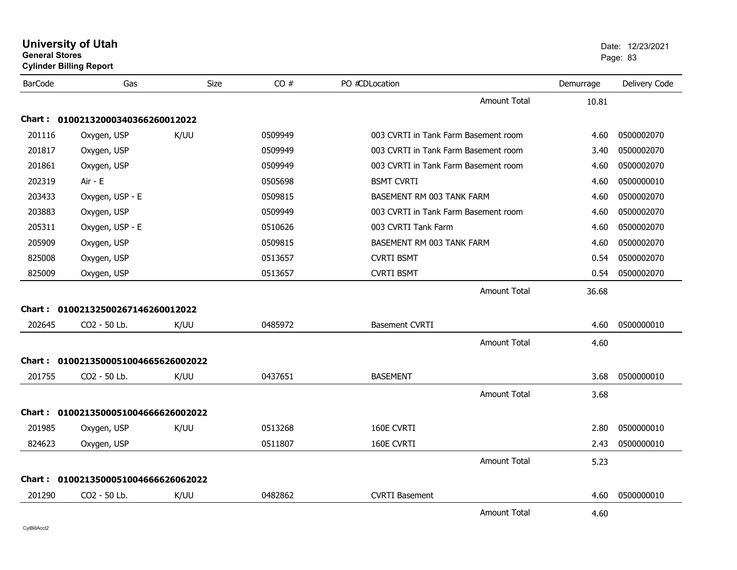| <b>General Stores</b> | <b>University of Utah</b><br><b>Cylinder Billing Report</b> |             |         |                                      |           | Date: 12/23/2021<br>Page: 83 |
|-----------------------|-------------------------------------------------------------|-------------|---------|--------------------------------------|-----------|------------------------------|
| <b>BarCode</b>        | Gas                                                         | <b>Size</b> | CO#     | PO #CDLocation                       | Demurrage | Delivery Code                |
|                       |                                                             |             |         | <b>Amount Total</b>                  | 10.81     |                              |
|                       | Chart: 01002132000340366260012022                           |             |         |                                      |           |                              |
| 201116                | Oxygen, USP                                                 | K/UU        | 0509949 | 003 CVRTI in Tank Farm Basement room | 4.60      | 0500002070                   |
| 201817                | Oxygen, USP                                                 |             | 0509949 | 003 CVRTI in Tank Farm Basement room | 3.40      | 0500002070                   |
| 201861                | Oxygen, USP                                                 |             | 0509949 | 003 CVRTI in Tank Farm Basement room | 4.60      | 0500002070                   |
| 202319                | Air - E                                                     |             | 0505698 | <b>BSMT CVRTI</b>                    | 4.60      | 0500000010                   |
| 203433                | Oxygen, USP - E                                             |             | 0509815 | BASEMENT RM 003 TANK FARM            | 4.60      | 0500002070                   |
| 203883                | Oxygen, USP                                                 |             | 0509949 | 003 CVRTI in Tank Farm Basement room | 4.60      | 0500002070                   |
| 205311                | Oxygen, USP - E                                             |             | 0510626 | 003 CVRTI Tank Farm                  | 4.60      | 0500002070                   |
| 205909                | Oxygen, USP                                                 |             | 0509815 | BASEMENT RM 003 TANK FARM            | 4.60      | 0500002070                   |
| 825008                | Oxygen, USP                                                 |             | 0513657 | <b>CVRTI BSMT</b>                    | 0.54      | 0500002070                   |
| 825009                | Oxygen, USP                                                 |             | 0513657 | <b>CVRTI BSMT</b>                    | 0.54      | 0500002070                   |
|                       |                                                             |             |         | Amount Total                         | 36.68     |                              |
| Chart :               | 01002132500267146260012022                                  |             |         |                                      |           |                              |
| 202645                | CO2 - 50 Lb.                                                | K/UU        | 0485972 | <b>Basement CVRTI</b>                | 4.60      | 0500000010                   |
|                       |                                                             |             |         | Amount Total                         | 4.60      |                              |
| Chart :               | 0100213500051004665626002022                                |             |         |                                      |           |                              |
| 201755                | CO2 - 50 Lb.                                                | K/UU        | 0437651 | <b>BASEMENT</b>                      | 3.68      | 0500000010                   |
|                       |                                                             |             |         | <b>Amount Total</b>                  | 3.68      |                              |
|                       | Chart: 0100213500051004666626002022                         |             |         |                                      |           |                              |
| 201985                | Oxygen, USP                                                 | K/UU        | 0513268 | 160E CVRTI                           | 2.80      | 0500000010                   |
| 824623                | Oxygen, USP                                                 |             | 0511807 | 160E CVRTI                           | 2.43      | 0500000010                   |
|                       |                                                             |             |         | <b>Amount Total</b>                  | 5.23      |                              |
|                       | Chart: 0100213500051004666626062022                         |             |         |                                      |           |                              |
| 201290                | CO <sub>2</sub> - 50 Lb.                                    | K/UU        | 0482862 | <b>CVRTI Basement</b>                | 4.60      | 0500000010                   |
|                       |                                                             |             |         | <b>Amount Total</b>                  | 4.60      |                              |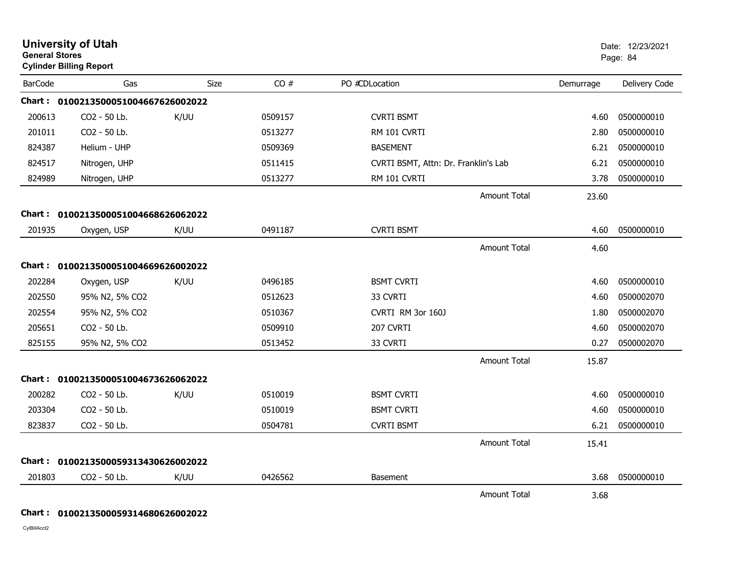| <b>University of Utah</b><br><b>General Stores</b><br><b>Cylinder Billing Report</b> |                                     |             |         |                                      |                     |           | Date: 12/23/2021<br>Page: 84 |  |
|--------------------------------------------------------------------------------------|-------------------------------------|-------------|---------|--------------------------------------|---------------------|-----------|------------------------------|--|
| <b>BarCode</b>                                                                       | Gas                                 | <b>Size</b> | CO#     | PO #CDLocation                       |                     | Demurrage | Delivery Code                |  |
|                                                                                      | Chart: 0100213500051004667626002022 |             |         |                                      |                     |           |                              |  |
| 200613                                                                               | CO2 - 50 Lb.                        | K/UU        | 0509157 | <b>CVRTI BSMT</b>                    |                     | 4.60      | 0500000010                   |  |
| 201011                                                                               | CO2 - 50 Lb.                        |             | 0513277 | RM 101 CVRTI                         |                     | 2.80      | 0500000010                   |  |
| 824387                                                                               | Helium - UHP                        |             | 0509369 | <b>BASEMENT</b>                      |                     | 6.21      | 0500000010                   |  |
| 824517                                                                               | Nitrogen, UHP                       |             | 0511415 | CVRTI BSMT, Attn: Dr. Franklin's Lab |                     | 6.21      | 0500000010                   |  |
| 824989                                                                               | Nitrogen, UHP                       |             | 0513277 | RM 101 CVRTI                         |                     | 3.78      | 0500000010                   |  |
|                                                                                      |                                     |             |         |                                      | <b>Amount Total</b> | 23.60     |                              |  |
|                                                                                      | Chart: 0100213500051004668626062022 |             |         |                                      |                     |           |                              |  |
| 201935                                                                               | Oxygen, USP                         | K/UU        | 0491187 | <b>CVRTI BSMT</b>                    |                     | 4.60      | 0500000010                   |  |
|                                                                                      |                                     |             |         |                                      | <b>Amount Total</b> | 4.60      |                              |  |
|                                                                                      | Chart: 0100213500051004669626002022 |             |         |                                      |                     |           |                              |  |
| 202284                                                                               | Oxygen, USP                         | K/UU        | 0496185 | <b>BSMT CVRTI</b>                    |                     | 4.60      | 0500000010                   |  |
| 202550                                                                               | 95% N2, 5% CO2                      |             | 0512623 | 33 CVRTI                             |                     | 4.60      | 0500002070                   |  |
| 202554                                                                               | 95% N2, 5% CO2                      |             | 0510367 | CVRTI RM 3or 160J                    |                     | 1.80      | 0500002070                   |  |
| 205651                                                                               | CO2 - 50 Lb.                        |             | 0509910 | 207 CVRTI                            |                     | 4.60      | 0500002070                   |  |
| 825155                                                                               | 95% N2, 5% CO2                      |             | 0513452 | 33 CVRTI                             |                     | 0.27      | 0500002070                   |  |
|                                                                                      |                                     |             |         |                                      | <b>Amount Total</b> | 15.87     |                              |  |
|                                                                                      | Chart: 0100213500051004673626062022 |             |         |                                      |                     |           |                              |  |
| 200282                                                                               | CO2 - 50 Lb.                        | K/UU        | 0510019 | <b>BSMT CVRTI</b>                    |                     | 4.60      | 0500000010                   |  |
| 203304                                                                               | CO2 - 50 Lb.                        |             | 0510019 | <b>BSMT CVRTI</b>                    |                     | 4.60      | 0500000010                   |  |
| 823837                                                                               | CO2 - 50 Lb.                        |             | 0504781 | <b>CVRTI BSMT</b>                    |                     | 6.21      | 0500000010                   |  |
|                                                                                      |                                     |             |         |                                      | <b>Amount Total</b> | 15.41     |                              |  |
| Chart :                                                                              | 0100213500059313430626002022        |             |         |                                      |                     |           |                              |  |
| 201803                                                                               | CO2 - 50 Lb.                        | K/UU        | 0426562 | Basement                             |                     | 3.68      | 0500000010                   |  |
|                                                                                      |                                     |             |         |                                      | <b>Amount Total</b> | 3.68      |                              |  |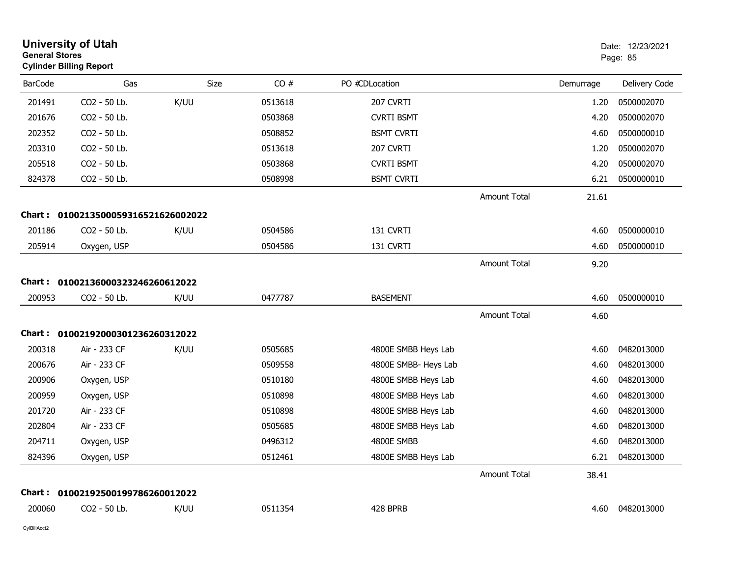| <b>General Stores</b> | <b>University of Utah</b><br><b>Cylinder Billing Report</b> |      |         |                      |                     |           | Date: 12/23/2021<br>Page: 85 |
|-----------------------|-------------------------------------------------------------|------|---------|----------------------|---------------------|-----------|------------------------------|
| <b>BarCode</b>        | Gas                                                         | Size | CO#     | PO #CDLocation       |                     | Demurrage | Delivery Code                |
| 201491                | CO2 - 50 Lb.                                                | K/UU | 0513618 | 207 CVRTI            |                     | 1.20      | 0500002070                   |
| 201676                | CO2 - 50 Lb.                                                |      | 0503868 | <b>CVRTI BSMT</b>    |                     | 4.20      | 0500002070                   |
| 202352                | CO2 - 50 Lb.                                                |      | 0508852 | <b>BSMT CVRTI</b>    |                     | 4.60      | 0500000010                   |
| 203310                | CO2 - 50 Lb.                                                |      | 0513618 | 207 CVRTI            |                     | 1.20      | 0500002070                   |
| 205518                | CO2 - 50 Lb.                                                |      | 0503868 | <b>CVRTI BSMT</b>    |                     | 4.20      | 0500002070                   |
| 824378                | CO2 - 50 Lb.                                                |      | 0508998 | <b>BSMT CVRTI</b>    |                     | 6.21      | 0500000010                   |
|                       |                                                             |      |         |                      | <b>Amount Total</b> | 21.61     |                              |
| Chart :               | 0100213500059316521626002022                                |      |         |                      |                     |           |                              |
| 201186                | CO2 - 50 Lb.                                                | K/UU | 0504586 | 131 CVRTI            |                     | 4.60      | 0500000010                   |
| 205914                | Oxygen, USP                                                 |      | 0504586 | 131 CVRTI            |                     | 4.60      | 0500000010                   |
|                       |                                                             |      |         |                      | <b>Amount Total</b> | 9.20      |                              |
| Chart :               | 01002136000323246260612022                                  |      |         |                      |                     |           |                              |
| 200953                | CO2 - 50 Lb.                                                | K/UU | 0477787 | <b>BASEMENT</b>      |                     | 4.60      | 0500000010                   |
|                       |                                                             |      |         |                      | <b>Amount Total</b> | 4.60      |                              |
|                       | Chart: 01002192000301236260312022                           |      |         |                      |                     |           |                              |
| 200318                | Air - 233 CF                                                | K/UU | 0505685 | 4800E SMBB Heys Lab  |                     | 4.60      | 0482013000                   |
| 200676                | Air - 233 CF                                                |      | 0509558 | 4800E SMBB- Heys Lab |                     | 4.60      | 0482013000                   |
| 200906                | Oxygen, USP                                                 |      | 0510180 | 4800E SMBB Heys Lab  |                     | 4.60      | 0482013000                   |
| 200959                | Oxygen, USP                                                 |      | 0510898 | 4800E SMBB Heys Lab  |                     | 4.60      | 0482013000                   |
| 201720                | Air - 233 CF                                                |      | 0510898 | 4800E SMBB Heys Lab  |                     | 4.60      | 0482013000                   |
| 202804                | Air - 233 CF                                                |      | 0505685 | 4800E SMBB Heys Lab  |                     | 4.60      | 0482013000                   |
| 204711                | Oxygen, USP                                                 |      | 0496312 | 4800E SMBB           |                     | 4.60      | 0482013000                   |
| 824396                | Oxygen, USP                                                 |      | 0512461 | 4800E SMBB Heys Lab  |                     |           | 6.21 0482013000              |
|                       |                                                             |      |         |                      | <b>Amount Total</b> | 38.41     |                              |
| Chart :               | 01002192500199786260012022                                  |      |         |                      |                     |           |                              |
| 200060                | CO2 - 50 Lb.                                                | K/UU | 0511354 | 428 BPRB             |                     |           | 4.60 0482013000              |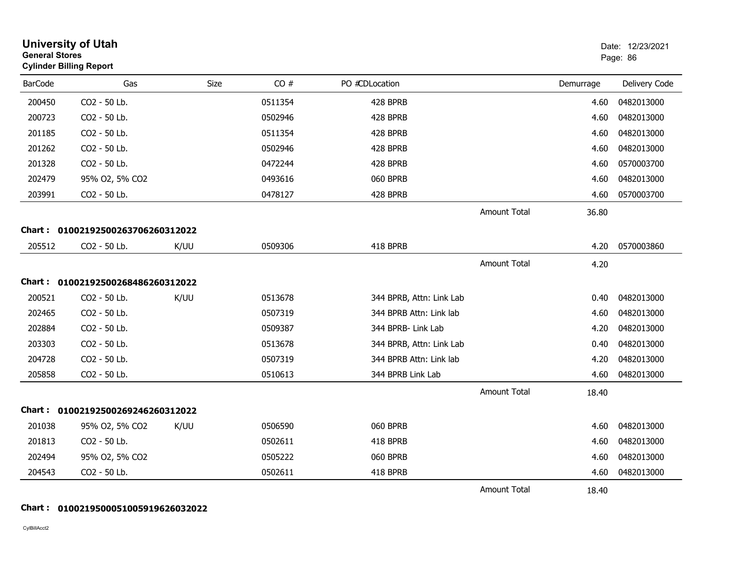| <b>General Stores</b> | <b>University of Utah</b><br><b>Cylinder Billing Report</b> |      |             |                          |                     |           | Date: 12/23/2021<br>Page: 86 |
|-----------------------|-------------------------------------------------------------|------|-------------|--------------------------|---------------------|-----------|------------------------------|
| <b>BarCode</b>        | Gas                                                         |      | CO#<br>Size | PO #CDLocation           |                     | Demurrage | Delivery Code                |
| 200450                | CO2 - 50 Lb.                                                |      | 0511354     | 428 BPRB                 |                     | 4.60      | 0482013000                   |
| 200723                | CO2 - 50 Lb.                                                |      | 0502946     | 428 BPRB                 |                     | 4.60      | 0482013000                   |
| 201185                | CO2 - 50 Lb.                                                |      | 0511354     | 428 BPRB                 |                     | 4.60      | 0482013000                   |
| 201262                | CO2 - 50 Lb.                                                |      | 0502946     | 428 BPRB                 |                     | 4.60      | 0482013000                   |
| 201328                | CO2 - 50 Lb.                                                |      | 0472244     | 428 BPRB                 |                     | 4.60      | 0570003700                   |
| 202479                | 95% O2, 5% CO2                                              |      | 0493616     | 060 BPRB                 |                     | 4.60      | 0482013000                   |
| 203991                | CO2 - 50 Lb.                                                |      | 0478127     | 428 BPRB                 |                     | 4.60      | 0570003700                   |
|                       |                                                             |      |             |                          | <b>Amount Total</b> | 36.80     |                              |
|                       | Chart: 01002192500263706260312022                           |      |             |                          |                     |           |                              |
| 205512                | CO2 - 50 Lb.                                                | K/UU | 0509306     | 418 BPRB                 |                     | 4.20      | 0570003860                   |
|                       |                                                             |      |             |                          | <b>Amount Total</b> | 4.20      |                              |
|                       | Chart: 01002192500268486260312022                           |      |             |                          |                     |           |                              |
| 200521                | CO2 - 50 Lb.                                                | K/UU | 0513678     | 344 BPRB, Attn: Link Lab |                     | 0.40      | 0482013000                   |
| 202465                | CO2 - 50 Lb.                                                |      | 0507319     | 344 BPRB Attn: Link lab  |                     | 4.60      | 0482013000                   |
| 202884                | CO2 - 50 Lb.                                                |      | 0509387     | 344 BPRB- Link Lab       |                     | 4.20      | 0482013000                   |
| 203303                | CO2 - 50 Lb.                                                |      | 0513678     | 344 BPRB, Attn: Link Lab |                     | 0.40      | 0482013000                   |
| 204728                | CO2 - 50 Lb.                                                |      | 0507319     | 344 BPRB Attn: Link lab  |                     | 4.20      | 0482013000                   |
| 205858                | CO2 - 50 Lb.                                                |      | 0510613     | 344 BPRB Link Lab        |                     | 4.60      | 0482013000                   |
|                       |                                                             |      |             |                          | <b>Amount Total</b> | 18.40     |                              |
|                       | Chart: 01002192500269246260312022                           |      |             |                          |                     |           |                              |
| 201038                | 95% O2, 5% CO2                                              | K/UU | 0506590     | 060 BPRB                 |                     | 4.60      | 0482013000                   |
| 201813                | CO2 - 50 Lb.                                                |      | 0502611     | 418 BPRB                 |                     | 4.60      | 0482013000                   |
| 202494                | 95% O2, 5% CO2                                              |      | 0505222     | 060 BPRB                 |                     | 4.60      | 0482013000                   |
| 204543                | CO2 - 50 Lb.                                                |      | 0502611     | 418 BPRB                 |                     | 4.60      | 0482013000                   |
|                       |                                                             |      |             |                          | <b>Amount Total</b> | 18.40     |                              |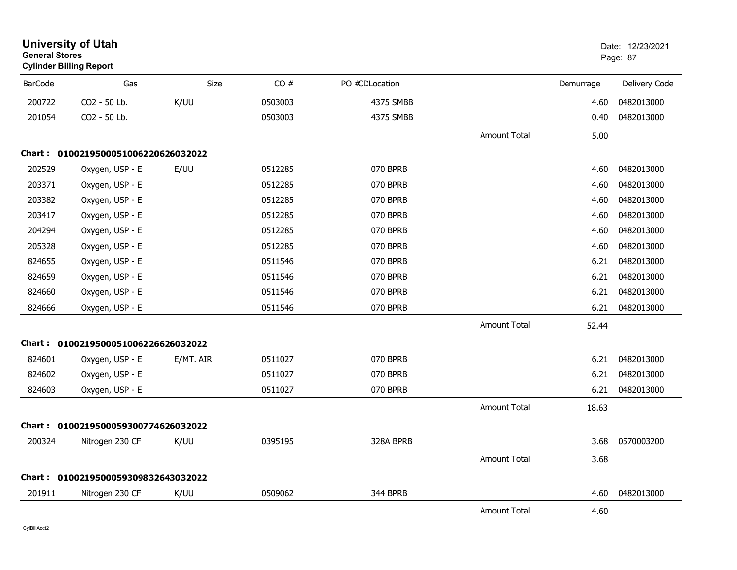| <b>General Stores</b> | <b>University of Utah</b><br><b>Cylinder Billing Report</b> |             |         |                |                     |           | Date: 12/23/2021<br>Page: 87 |
|-----------------------|-------------------------------------------------------------|-------------|---------|----------------|---------------------|-----------|------------------------------|
| <b>BarCode</b>        | Gas                                                         | <b>Size</b> | CO#     | PO #CDLocation |                     | Demurrage | Delivery Code                |
| 200722                | CO2 - 50 Lb.                                                | K/UU        | 0503003 | 4375 SMBB      |                     | 4.60      | 0482013000                   |
| 201054                | CO2 - 50 Lb.                                                |             | 0503003 | 4375 SMBB      |                     | 0.40      | 0482013000                   |
|                       |                                                             |             |         |                | <b>Amount Total</b> | 5.00      |                              |
|                       | Chart: 0100219500051006220626032022                         |             |         |                |                     |           |                              |
| 202529                | Oxygen, USP - E                                             | E/UU        | 0512285 | 070 BPRB       |                     | 4.60      | 0482013000                   |
| 203371                | Oxygen, USP - E                                             |             | 0512285 | 070 BPRB       |                     | 4.60      | 0482013000                   |
| 203382                | Oxygen, USP - E                                             |             | 0512285 | 070 BPRB       |                     | 4.60      | 0482013000                   |
| 203417                | Oxygen, USP - E                                             |             | 0512285 | 070 BPRB       |                     | 4.60      | 0482013000                   |
| 204294                | Oxygen, USP - E                                             |             | 0512285 | 070 BPRB       |                     | 4.60      | 0482013000                   |
| 205328                | Oxygen, USP - E                                             |             | 0512285 | 070 BPRB       |                     | 4.60      | 0482013000                   |
| 824655                | Oxygen, USP - E                                             |             | 0511546 | 070 BPRB       |                     | 6.21      | 0482013000                   |
| 824659                | Oxygen, USP - E                                             |             | 0511546 | 070 BPRB       |                     | 6.21      | 0482013000                   |
| 824660                | Oxygen, USP - E                                             |             | 0511546 | 070 BPRB       |                     | 6.21      | 0482013000                   |
| 824666                | Oxygen, USP - E                                             |             | 0511546 | 070 BPRB       |                     | 6.21      | 0482013000                   |
|                       |                                                             |             |         |                | <b>Amount Total</b> | 52.44     |                              |
|                       | Chart: 0100219500051006226626032022                         |             |         |                |                     |           |                              |
| 824601                | Oxygen, USP - E                                             | E/MT. AIR   | 0511027 | 070 BPRB       |                     | 6.21      | 0482013000                   |
| 824602                | Oxygen, USP - E                                             |             | 0511027 | 070 BPRB       |                     | 6.21      | 0482013000                   |
| 824603                | Oxygen, USP - E                                             |             | 0511027 | 070 BPRB       |                     | 6.21      | 0482013000                   |
|                       |                                                             |             |         |                | <b>Amount Total</b> | 18.63     |                              |
|                       | Chart: 0100219500059300774626032022                         |             |         |                |                     |           |                              |
| 200324                | Nitrogen 230 CF                                             | K/UU        | 0395195 | 328A BPRB      |                     | 3.68      | 0570003200                   |
|                       |                                                             |             |         |                | <b>Amount Total</b> | 3.68      |                              |
|                       | Chart: 0100219500059309832643032022                         |             |         |                |                     |           |                              |
| 201911                | Nitrogen 230 CF                                             | K/UU        | 0509062 | 344 BPRB       |                     | 4.60      | 0482013000                   |
|                       |                                                             |             |         |                | <b>Amount Total</b> | 4.60      |                              |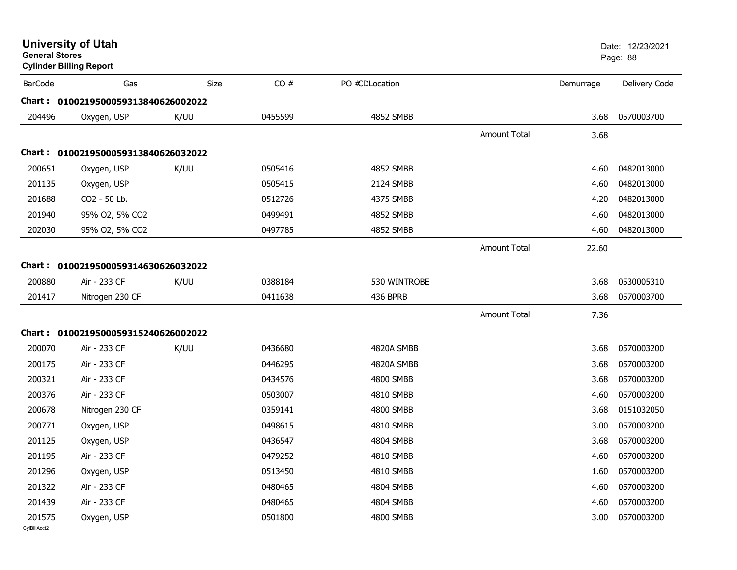| <b>General Stores</b>  | <b>University of Utah</b><br><b>Cylinder Billing Report</b> |      |         |                  |                     |           | Date: 12/23/2021<br>Page: 88 |
|------------------------|-------------------------------------------------------------|------|---------|------------------|---------------------|-----------|------------------------------|
| <b>BarCode</b>         | Gas                                                         | Size | CO#     | PO #CDLocation   |                     | Demurrage | Delivery Code                |
|                        | Chart: 0100219500059313840626002022                         |      |         |                  |                     |           |                              |
| 204496                 | Oxygen, USP                                                 | K/UU | 0455599 | <b>4852 SMBB</b> |                     | 3.68      | 0570003700                   |
|                        |                                                             |      |         |                  | <b>Amount Total</b> | 3.68      |                              |
|                        | Chart: 0100219500059313840626032022                         |      |         |                  |                     |           |                              |
| 200651                 | Oxygen, USP                                                 | K/UU | 0505416 | 4852 SMBB        |                     | 4.60      | 0482013000                   |
| 201135                 | Oxygen, USP                                                 |      | 0505415 | 2124 SMBB        |                     | 4.60      | 0482013000                   |
| 201688                 | CO2 - 50 Lb.                                                |      | 0512726 | 4375 SMBB        |                     | 4.20      | 0482013000                   |
| 201940                 | 95% 02, 5% CO2                                              |      | 0499491 | 4852 SMBB        |                     | 4.60      | 0482013000                   |
| 202030                 | 95% O2, 5% CO2                                              |      | 0497785 | <b>4852 SMBB</b> |                     | 4.60      | 0482013000                   |
|                        |                                                             |      |         |                  | <b>Amount Total</b> | 22.60     |                              |
|                        | Chart: 0100219500059314630626032022                         |      |         |                  |                     |           |                              |
| 200880                 | Air - 233 CF                                                | K/UU | 0388184 | 530 WINTROBE     |                     | 3.68      | 0530005310                   |
| 201417                 | Nitrogen 230 CF                                             |      | 0411638 | 436 BPRB         |                     | 3.68      | 0570003700                   |
|                        |                                                             |      |         |                  | <b>Amount Total</b> | 7.36      |                              |
|                        | Chart: 0100219500059315240626002022                         |      |         |                  |                     |           |                              |
| 200070                 | Air - 233 CF                                                | K/UU | 0436680 | 4820A SMBB       |                     | 3.68      | 0570003200                   |
| 200175                 | Air - 233 CF                                                |      | 0446295 | 4820A SMBB       |                     | 3.68      | 0570003200                   |
| 200321                 | Air - 233 CF                                                |      | 0434576 | 4800 SMBB        |                     | 3.68      | 0570003200                   |
| 200376                 | Air - 233 CF                                                |      | 0503007 | 4810 SMBB        |                     | 4.60      | 0570003200                   |
| 200678                 | Nitrogen 230 CF                                             |      | 0359141 | 4800 SMBB        |                     | 3.68      | 0151032050                   |
| 200771                 | Oxygen, USP                                                 |      | 0498615 | 4810 SMBB        |                     | 3.00      | 0570003200                   |
| 201125                 | Oxygen, USP                                                 |      | 0436547 | 4804 SMBB        |                     | 3.68      | 0570003200                   |
| 201195                 | Air - 233 CF                                                |      | 0479252 | 4810 SMBB        |                     | 4.60      | 0570003200                   |
| 201296                 | Oxygen, USP                                                 |      | 0513450 | 4810 SMBB        |                     | 1.60      | 0570003200                   |
| 201322                 | Air - 233 CF                                                |      | 0480465 | 4804 SMBB        |                     | 4.60      | 0570003200                   |
| 201439                 | Air - 233 CF                                                |      | 0480465 | 4804 SMBB        |                     | 4.60      | 0570003200                   |
| 201575<br>CvIBillAcct2 | Oxygen, USP                                                 |      | 0501800 | 4800 SMBB        |                     | 3.00      | 0570003200                   |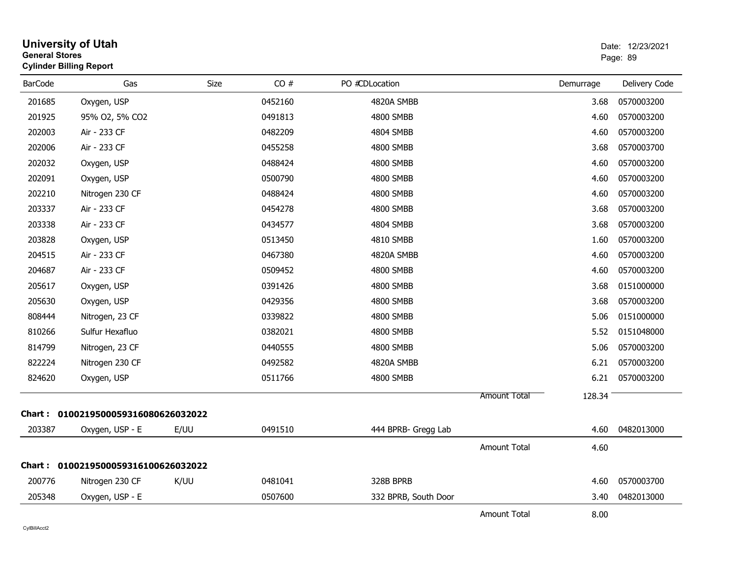| <b>General Stores</b> | <b>University of Utah</b><br><b>Cylinder Billing Report</b> |      |         |                      |                     |           | Date: 12/23/2021<br>Page: 89 |
|-----------------------|-------------------------------------------------------------|------|---------|----------------------|---------------------|-----------|------------------------------|
| <b>BarCode</b>        | Gas                                                         | Size | CO#     | PO #CDLocation       |                     | Demurrage | Delivery Code                |
| 201685                | Oxygen, USP                                                 |      | 0452160 | 4820A SMBB           |                     | 3.68      | 0570003200                   |
| 201925                | 95% O2, 5% CO2                                              |      | 0491813 | 4800 SMBB            |                     | 4.60      | 0570003200                   |
| 202003                | Air - 233 CF                                                |      | 0482209 | 4804 SMBB            |                     | 4.60      | 0570003200                   |
| 202006                | Air - 233 CF                                                |      | 0455258 | 4800 SMBB            |                     | 3.68      | 0570003700                   |
| 202032                | Oxygen, USP                                                 |      | 0488424 | 4800 SMBB            |                     | 4.60      | 0570003200                   |
| 202091                | Oxygen, USP                                                 |      | 0500790 | 4800 SMBB            |                     | 4.60      | 0570003200                   |
| 202210                | Nitrogen 230 CF                                             |      | 0488424 | 4800 SMBB            |                     | 4.60      | 0570003200                   |
| 203337                | Air - 233 CF                                                |      | 0454278 | 4800 SMBB            |                     | 3.68      | 0570003200                   |
| 203338                | Air - 233 CF                                                |      | 0434577 | <b>4804 SMBB</b>     |                     | 3.68      | 0570003200                   |
| 203828                | Oxygen, USP                                                 |      | 0513450 | 4810 SMBB            |                     | 1.60      | 0570003200                   |
| 204515                | Air - 233 CF                                                |      | 0467380 | 4820A SMBB           |                     | 4.60      | 0570003200                   |
| 204687                | Air - 233 CF                                                |      | 0509452 | 4800 SMBB            |                     | 4.60      | 0570003200                   |
| 205617                | Oxygen, USP                                                 |      | 0391426 | 4800 SMBB            |                     | 3.68      | 0151000000                   |
| 205630                | Oxygen, USP                                                 |      | 0429356 | 4800 SMBB            |                     | 3.68      | 0570003200                   |
| 808444                | Nitrogen, 23 CF                                             |      | 0339822 | 4800 SMBB            |                     | 5.06      | 0151000000                   |
| 810266                | Sulfur Hexafluo                                             |      | 0382021 | 4800 SMBB            |                     | 5.52      | 0151048000                   |
| 814799                | Nitrogen, 23 CF                                             |      | 0440555 | 4800 SMBB            |                     | 5.06      | 0570003200                   |
| 822224                | Nitrogen 230 CF                                             |      | 0492582 | 4820A SMBB           |                     | 6.21      | 0570003200                   |
| 824620                | Oxygen, USP                                                 |      | 0511766 | 4800 SMBB            |                     | 6.21      | 0570003200                   |
|                       |                                                             |      |         |                      | <b>Amount Total</b> | 128.34    |                              |
|                       | Chart: 0100219500059316080626032022                         |      |         |                      |                     |           |                              |
| 203387                | Oxygen, USP - E                                             | E/UU | 0491510 | 444 BPRB- Gregg Lab  |                     | 4.60      | 0482013000                   |
|                       |                                                             |      |         |                      | <b>Amount Total</b> | 4.60      |                              |
|                       | Chart: 0100219500059316100626032022                         |      |         |                      |                     |           |                              |
| 200776                | Nitrogen 230 CF                                             | K/UU | 0481041 | 328B BPRB            |                     | 4.60      | 0570003700                   |
| 205348                | Oxygen, USP - E                                             |      | 0507600 | 332 BPRB, South Door |                     | 3.40      | 0482013000                   |
|                       |                                                             |      |         |                      | <b>Amount Total</b> | 8.00      |                              |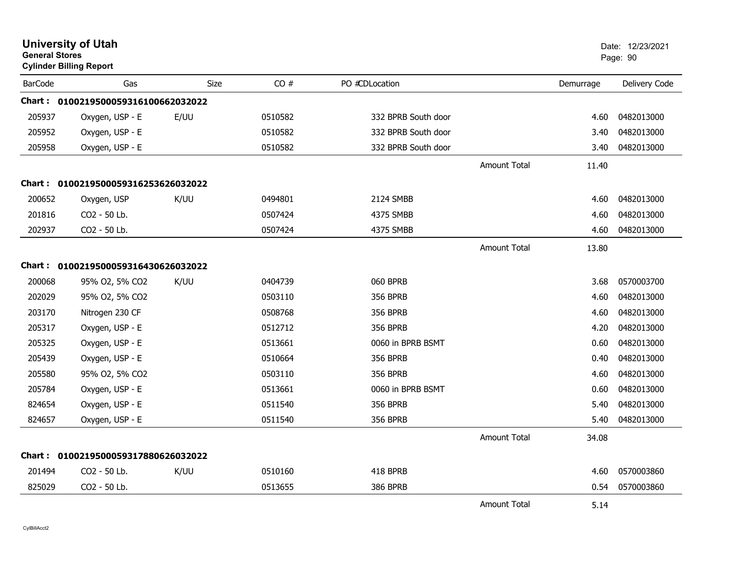|                | <b>University of Utah</b><br><b>General Stores</b><br><b>Cylinder Billing Report</b> |      |         |                     |                     |           | Date: 12/23/2021<br>Page: 90 |
|----------------|--------------------------------------------------------------------------------------|------|---------|---------------------|---------------------|-----------|------------------------------|
| <b>BarCode</b> | Gas                                                                                  | Size | CO#     | PO #CDLocation      |                     | Demurrage | Delivery Code                |
|                | Chart: 0100219500059316100662032022                                                  |      |         |                     |                     |           |                              |
| 205937         | Oxygen, USP - E                                                                      | E/UU | 0510582 | 332 BPRB South door |                     | 4.60      | 0482013000                   |
| 205952         | Oxygen, USP - E                                                                      |      | 0510582 | 332 BPRB South door |                     | 3.40      | 0482013000                   |
| 205958         | Oxygen, USP - E                                                                      |      | 0510582 | 332 BPRB South door |                     | 3.40      | 0482013000                   |
|                |                                                                                      |      |         |                     | Amount Total        | 11.40     |                              |
|                | Chart: 0100219500059316253626032022                                                  |      |         |                     |                     |           |                              |
| 200652         | Oxygen, USP                                                                          | K/UU | 0494801 | 2124 SMBB           |                     | 4.60      | 0482013000                   |
| 201816         | CO2 - 50 Lb.                                                                         |      | 0507424 | 4375 SMBB           |                     | 4.60      | 0482013000                   |
| 202937         | CO2 - 50 Lb.                                                                         |      | 0507424 | 4375 SMBB           |                     | 4.60      | 0482013000                   |
|                |                                                                                      |      |         |                     | <b>Amount Total</b> | 13.80     |                              |
| Chart :        | 0100219500059316430626032022                                                         |      |         |                     |                     |           |                              |
| 200068         | 95% O2, 5% CO2                                                                       | K/UU | 0404739 | <b>060 BPRB</b>     |                     | 3.68      | 0570003700                   |
| 202029         | 95% O2, 5% CO2                                                                       |      | 0503110 | <b>356 BPRB</b>     |                     | 4.60      | 0482013000                   |
| 203170         | Nitrogen 230 CF                                                                      |      | 0508768 | <b>356 BPRB</b>     |                     | 4.60      | 0482013000                   |
| 205317         | Oxygen, USP - E                                                                      |      | 0512712 | <b>356 BPRB</b>     |                     | 4.20      | 0482013000                   |
| 205325         | Oxygen, USP - E                                                                      |      | 0513661 | 0060 in BPRB BSMT   |                     | 0.60      | 0482013000                   |
| 205439         | Oxygen, USP - E                                                                      |      | 0510664 | <b>356 BPRB</b>     |                     | 0.40      | 0482013000                   |
| 205580         | 95% O2, 5% CO2                                                                       |      | 0503110 | <b>356 BPRB</b>     |                     | 4.60      | 0482013000                   |
| 205784         | Oxygen, USP - E                                                                      |      | 0513661 | 0060 in BPRB BSMT   |                     | 0.60      | 0482013000                   |
| 824654         | Oxygen, USP - E                                                                      |      | 0511540 | <b>356 BPRB</b>     |                     | 5.40      | 0482013000                   |
| 824657         | Oxygen, USP - E                                                                      |      | 0511540 | <b>356 BPRB</b>     |                     | 5.40      | 0482013000                   |
|                |                                                                                      |      |         |                     | <b>Amount Total</b> | 34.08     |                              |
| <b>Chart :</b> | 0100219500059317880626032022                                                         |      |         |                     |                     |           |                              |
| 201494         | CO <sub>2</sub> - 50 Lb.                                                             | K/UU | 0510160 | 418 BPRB            |                     | 4.60      | 0570003860                   |
| 825029         | CO2 - 50 Lb.                                                                         |      | 0513655 | 386 BPRB            |                     | 0.54      | 0570003860                   |
|                |                                                                                      |      |         |                     | <b>Amount Total</b> | 5.14      |                              |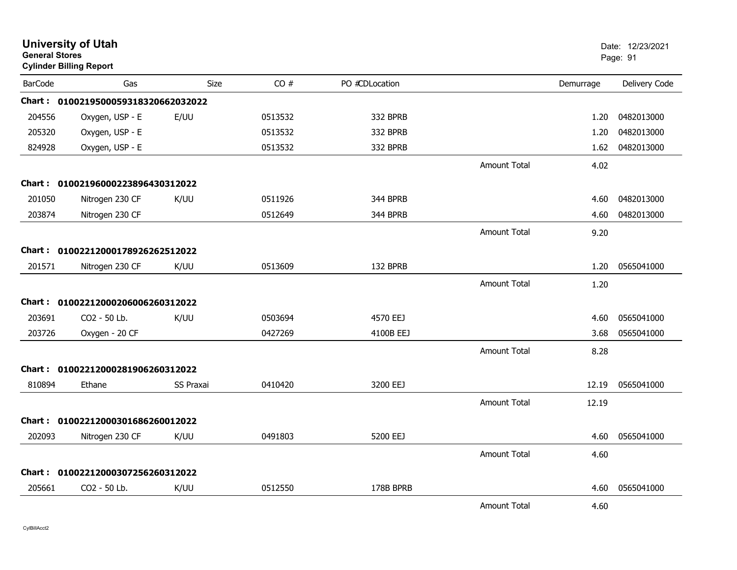| <b>General Stores</b> | <b>University of Utah</b><br><b>Cylinder Billing Report</b> |           |         |                |                     |           | Date: 12/23/2021<br>Page: 91 |
|-----------------------|-------------------------------------------------------------|-----------|---------|----------------|---------------------|-----------|------------------------------|
| <b>BarCode</b>        | Gas                                                         | Size      | CO#     | PO #CDLocation |                     | Demurrage | Delivery Code                |
|                       | Chart: 0100219500059318320662032022                         |           |         |                |                     |           |                              |
| 204556                | Oxygen, USP - E                                             | E/UU      | 0513532 | 332 BPRB       |                     | 1.20      | 0482013000                   |
| 205320                | Oxygen, USP - E                                             |           | 0513532 | 332 BPRB       |                     | 1.20      | 0482013000                   |
| 824928                | Oxygen, USP - E                                             |           | 0513532 | 332 BPRB       |                     | 1.62      | 0482013000                   |
|                       |                                                             |           |         |                | <b>Amount Total</b> | 4.02      |                              |
|                       | Chart: 01002196000223896430312022                           |           |         |                |                     |           |                              |
| 201050                | Nitrogen 230 CF                                             | K/UU      | 0511926 | 344 BPRB       |                     | 4.60      | 0482013000                   |
| 203874                | Nitrogen 230 CF                                             |           | 0512649 | 344 BPRB       |                     | 4.60      | 0482013000                   |
|                       |                                                             |           |         |                | <b>Amount Total</b> | 9.20      |                              |
|                       | Chart: 01002212000178926262512022                           |           |         |                |                     |           |                              |
| 201571                | Nitrogen 230 CF                                             | K/UU      | 0513609 | 132 BPRB       |                     | 1.20      | 0565041000                   |
|                       |                                                             |           |         |                | <b>Amount Total</b> | 1.20      |                              |
|                       | Chart: 01002212000206006260312022                           |           |         |                |                     |           |                              |
| 203691                | CO2 - 50 Lb.                                                | K/UU      | 0503694 | 4570 EEJ       |                     | 4.60      | 0565041000                   |
| 203726                | Oxygen - 20 CF                                              |           | 0427269 | 4100B EEJ      |                     | 3.68      | 0565041000                   |
|                       |                                                             |           |         |                | <b>Amount Total</b> | 8.28      |                              |
|                       | Chart: 01002212000281906260312022                           |           |         |                |                     |           |                              |
| 810894                | Ethane                                                      | SS Praxai | 0410420 | 3200 EEJ       |                     | 12.19     | 0565041000                   |
|                       |                                                             |           |         |                | <b>Amount Total</b> | 12.19     |                              |
|                       | Chart: 01002212000301686260012022                           |           |         |                |                     |           |                              |
| 202093                | Nitrogen 230 CF                                             | K/UU      | 0491803 | 5200 EEJ       |                     | 4.60      | 0565041000                   |
|                       |                                                             |           |         |                | <b>Amount Total</b> | 4.60      |                              |
|                       | Chart: 01002212000307256260312022                           |           |         |                |                     |           |                              |
| 205661                | CO <sub>2</sub> - 50 Lb.                                    | K/UU      | 0512550 | 178B BPRB      |                     | 4.60      | 0565041000                   |
|                       |                                                             |           |         |                | <b>Amount Total</b> | 4.60      |                              |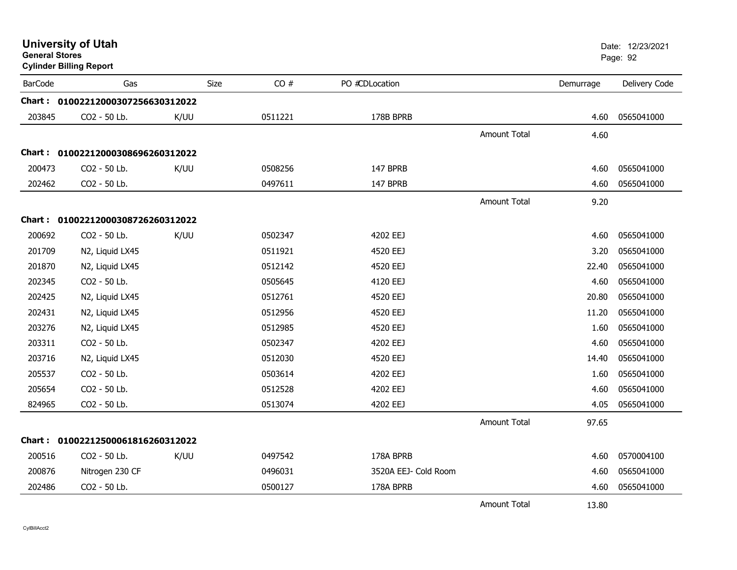| <b>General Stores</b> | <b>University of Utah</b><br><b>Cylinder Billing Report</b> |      |         |                      |                     |           | Date: 12/23/2021<br>Page: 92 |
|-----------------------|-------------------------------------------------------------|------|---------|----------------------|---------------------|-----------|------------------------------|
| <b>BarCode</b>        | Gas                                                         | Size | CO#     | PO #CDLocation       |                     | Demurrage | Delivery Code                |
|                       | Chart: 01002212000307256630312022                           |      |         |                      |                     |           |                              |
| 203845                | CO2 - 50 Lb.                                                | K/UU | 0511221 | 178B BPRB            |                     | 4.60      | 0565041000                   |
|                       |                                                             |      |         |                      | <b>Amount Total</b> | 4.60      |                              |
|                       | Chart: 01002212000308696260312022                           |      |         |                      |                     |           |                              |
| 200473                | CO2 - 50 Lb.                                                | K/UU | 0508256 | 147 BPRB             |                     | 4.60      | 0565041000                   |
| 202462                | CO2 - 50 Lb.                                                |      | 0497611 | 147 BPRB             |                     | 4.60      | 0565041000                   |
|                       |                                                             |      |         |                      | <b>Amount Total</b> | 9.20      |                              |
|                       | Chart: 01002212000308726260312022                           |      |         |                      |                     |           |                              |
| 200692                | CO <sub>2</sub> - 50 Lb.                                    | K/UU | 0502347 | 4202 EEJ             |                     | 4.60      | 0565041000                   |
| 201709                | N2, Liquid LX45                                             |      | 0511921 | 4520 EEJ             |                     | 3.20      | 0565041000                   |
| 201870                | N2, Liquid LX45                                             |      | 0512142 | 4520 EEJ             |                     | 22.40     | 0565041000                   |
| 202345                | CO2 - 50 Lb.                                                |      | 0505645 | 4120 EEJ             |                     | 4.60      | 0565041000                   |
| 202425                | N2, Liquid LX45                                             |      | 0512761 | 4520 EEJ             |                     | 20.80     | 0565041000                   |
| 202431                | N2, Liquid LX45                                             |      | 0512956 | 4520 EEJ             |                     | 11.20     | 0565041000                   |
| 203276                | N2, Liquid LX45                                             |      | 0512985 | 4520 EEJ             |                     | 1.60      | 0565041000                   |
| 203311                | CO2 - 50 Lb.                                                |      | 0502347 | 4202 EEJ             |                     | 4.60      | 0565041000                   |
| 203716                | N2, Liquid LX45                                             |      | 0512030 | 4520 EEJ             |                     | 14.40     | 0565041000                   |
| 205537                | CO2 - 50 Lb.                                                |      | 0503614 | 4202 EEJ             |                     | 1.60      | 0565041000                   |
| 205654                | CO2 - 50 Lb.                                                |      | 0512528 | 4202 EEJ             |                     | 4.60      | 0565041000                   |
| 824965                | CO2 - 50 Lb.                                                |      | 0513074 | 4202 EEJ             |                     | 4.05      | 0565041000                   |
|                       |                                                             |      |         |                      | <b>Amount Total</b> | 97.65     |                              |
|                       | Chart: 01002212500061816260312022                           |      |         |                      |                     |           |                              |
| 200516                | CO2 - 50 Lb.                                                | K/UU | 0497542 | 178A BPRB            |                     | 4.60      | 0570004100                   |
| 200876                | Nitrogen 230 CF                                             |      | 0496031 | 3520A EEJ- Cold Room |                     | 4.60      | 0565041000                   |
| 202486                | CO2 - 50 Lb.                                                |      | 0500127 | 178A BPRB            |                     | 4.60      | 0565041000                   |
|                       |                                                             |      |         |                      | <b>Amount Total</b> | 13.80     |                              |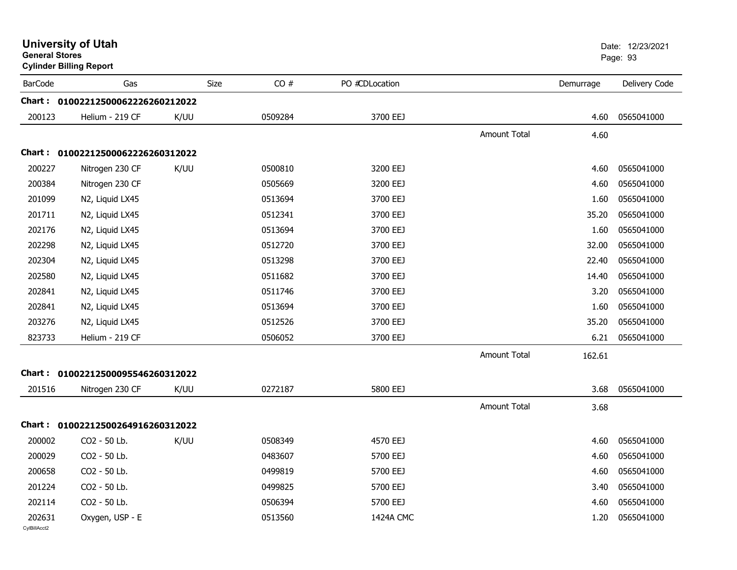| <b>General Stores</b>  | <b>University of Utah</b><br><b>Cylinder Billing Report</b> |      |         |                |                     |           | Date: 12/23/2021<br>Page: 93 |
|------------------------|-------------------------------------------------------------|------|---------|----------------|---------------------|-----------|------------------------------|
| <b>BarCode</b>         | Gas                                                         | Size | CO#     | PO #CDLocation |                     | Demurrage | Delivery Code                |
|                        | Chart: 01002212500062226260212022                           |      |         |                |                     |           |                              |
| 200123                 | Helium - 219 CF                                             | K/UU | 0509284 | 3700 EEJ       |                     | 4.60      | 0565041000                   |
|                        |                                                             |      |         |                | <b>Amount Total</b> | 4.60      |                              |
|                        | Chart: 01002212500062226260312022                           |      |         |                |                     |           |                              |
| 200227                 | Nitrogen 230 CF                                             | K/UU | 0500810 | 3200 EEJ       |                     | 4.60      | 0565041000                   |
| 200384                 | Nitrogen 230 CF                                             |      | 0505669 | 3200 EEJ       |                     | 4.60      | 0565041000                   |
| 201099                 | N2, Liquid LX45                                             |      | 0513694 | 3700 EEJ       |                     | 1.60      | 0565041000                   |
| 201711                 | N2, Liquid LX45                                             |      | 0512341 | 3700 EEJ       |                     | 35.20     | 0565041000                   |
| 202176                 | N2, Liquid LX45                                             |      | 0513694 | 3700 EEJ       |                     | 1.60      | 0565041000                   |
| 202298                 | N2, Liquid LX45                                             |      | 0512720 | 3700 EEJ       |                     | 32.00     | 0565041000                   |
| 202304                 | N2, Liquid LX45                                             |      | 0513298 | 3700 EEJ       |                     | 22.40     | 0565041000                   |
| 202580                 | N2, Liquid LX45                                             |      | 0511682 | 3700 EEJ       |                     | 14.40     | 0565041000                   |
| 202841                 | N2, Liquid LX45                                             |      | 0511746 | 3700 EEJ       |                     | 3.20      | 0565041000                   |
| 202841                 | N2, Liquid LX45                                             |      | 0513694 | 3700 EEJ       |                     | 1.60      | 0565041000                   |
| 203276                 | N2, Liquid LX45                                             |      | 0512526 | 3700 EEJ       |                     | 35.20     | 0565041000                   |
| 823733                 | Helium - 219 CF                                             |      | 0506052 | 3700 EEJ       |                     | 6.21      | 0565041000                   |
|                        |                                                             |      |         |                | <b>Amount Total</b> | 162.61    |                              |
| 201516                 | Chart: 01002212500095546260312022<br>Nitrogen 230 CF        | K/UU | 0272187 | 5800 EEJ       |                     | 3.68      | 0565041000                   |
|                        |                                                             |      |         |                | <b>Amount Total</b> | 3.68      |                              |
|                        | Chart: 01002212500264916260312022                           |      |         |                |                     |           |                              |
| 200002                 | CO2 - 50 Lb.                                                | K/UU | 0508349 | 4570 EEJ       |                     | 4.60      | 0565041000                   |
| 200029                 | CO2 - 50 Lb.                                                |      | 0483607 | 5700 EEJ       |                     | 4.60      | 0565041000                   |
| 200658                 | CO2 - 50 Lb.                                                |      | 0499819 | 5700 EEJ       |                     |           | 4.60 0565041000              |
| 201224                 | CO2 - 50 Lb.                                                |      | 0499825 | 5700 EEJ       |                     |           | 3.40 0565041000              |
| 202114                 | CO2 - 50 Lb.                                                |      | 0506394 | 5700 EEJ       |                     | 4.60      | 0565041000                   |
| 202631<br>CylBillAcct2 | Oxygen, USP - E                                             |      | 0513560 | 1424A CMC      |                     |           | 1.20 0565041000              |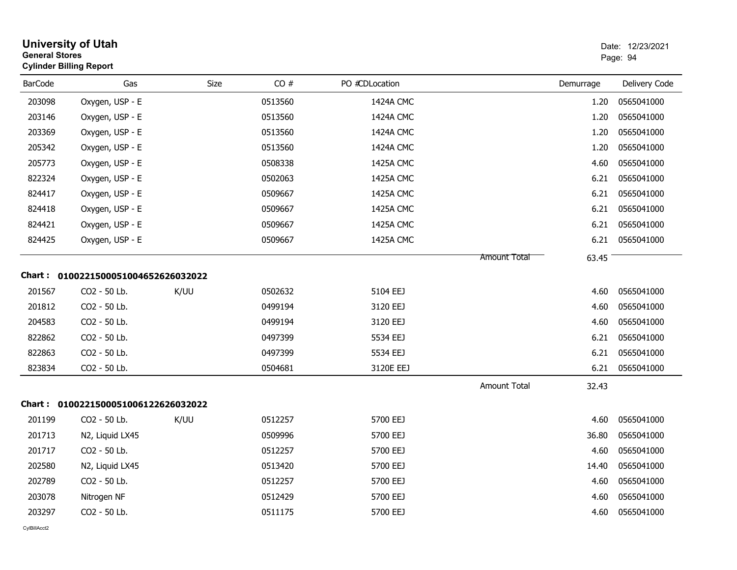| <b>General Stores</b> | <b>University of Utah</b><br><b>Cylinder Billing Report</b> |             |         |                |                     |           | Date: 12/23/2021<br>Page: 94 |
|-----------------------|-------------------------------------------------------------|-------------|---------|----------------|---------------------|-----------|------------------------------|
| <b>BarCode</b>        | Gas                                                         | <b>Size</b> | CO#     | PO #CDLocation |                     | Demurrage | Delivery Code                |
| 203098                | Oxygen, USP - E                                             |             | 0513560 | 1424A CMC      |                     | 1.20      | 0565041000                   |
| 203146                | Oxygen, USP - E                                             |             | 0513560 | 1424A CMC      |                     | 1.20      | 0565041000                   |
| 203369                | Oxygen, USP - E                                             |             | 0513560 | 1424A CMC      |                     | 1.20      | 0565041000                   |
| 205342                | Oxygen, USP - E                                             |             | 0513560 | 1424A CMC      |                     | 1.20      | 0565041000                   |
| 205773                | Oxygen, USP - E                                             |             | 0508338 | 1425A CMC      |                     | 4.60      | 0565041000                   |
| 822324                | Oxygen, USP - E                                             |             | 0502063 | 1425A CMC      |                     | 6.21      | 0565041000                   |
| 824417                | Oxygen, USP - E                                             |             | 0509667 | 1425A CMC      |                     | 6.21      | 0565041000                   |
| 824418                | Oxygen, USP - E                                             |             | 0509667 | 1425A CMC      |                     | 6.21      | 0565041000                   |
| 824421                | Oxygen, USP - E                                             |             | 0509667 | 1425A CMC      |                     | 6.21      | 0565041000                   |
| 824425                | Oxygen, USP - E                                             |             | 0509667 | 1425A CMC      |                     | 6.21      | 0565041000                   |
|                       |                                                             |             |         |                | Amount Total        | 63.45     |                              |
|                       | Chart: 0100221500051004652626032022                         |             |         |                |                     |           |                              |
| 201567                | CO2 - 50 Lb.                                                | K/UU        | 0502632 | 5104 EEJ       |                     | 4.60      | 0565041000                   |
| 201812                | CO2 - 50 Lb.                                                |             | 0499194 | 3120 EEJ       |                     | 4.60      | 0565041000                   |
| 204583                | CO2 - 50 Lb.                                                |             | 0499194 | 3120 EEJ       |                     | 4.60      | 0565041000                   |
| 822862                | CO2 - 50 Lb.                                                |             | 0497399 | 5534 EEJ       |                     | 6.21      | 0565041000                   |
| 822863                | CO2 - 50 Lb.                                                |             | 0497399 | 5534 EEJ       |                     | 6.21      | 0565041000                   |
| 823834                | CO2 - 50 Lb.                                                |             | 0504681 | 3120E EEJ      |                     | 6.21      | 0565041000                   |
|                       |                                                             |             |         |                | <b>Amount Total</b> | 32.43     |                              |
|                       | Chart: 0100221500051006122626032022                         |             |         |                |                     |           |                              |
| 201199                | CO2 - 50 Lb.                                                | K/UU        | 0512257 | 5700 EEJ       |                     | 4.60      | 0565041000                   |
| 201713                | N2, Liquid LX45                                             |             | 0509996 | 5700 EEJ       |                     | 36.80     | 0565041000                   |
| 201717                | CO2 - 50 Lb.                                                |             | 0512257 | 5700 EEJ       |                     | 4.60      | 0565041000                   |
| 202580                | N2, Liquid LX45                                             |             | 0513420 | 5700 EEJ       |                     | 14.40     | 0565041000                   |
| 202789                | CO2 - 50 Lb.                                                |             | 0512257 | 5700 EEJ       |                     | 4.60      | 0565041000                   |
| 203078                | Nitrogen NF                                                 |             | 0512429 | 5700 EEJ       |                     | 4.60      | 0565041000                   |
| 203297                | CO2 - 50 Lb.                                                |             | 0511175 | 5700 EEJ       |                     | 4.60      | 0565041000                   |
|                       |                                                             |             |         |                |                     |           |                              |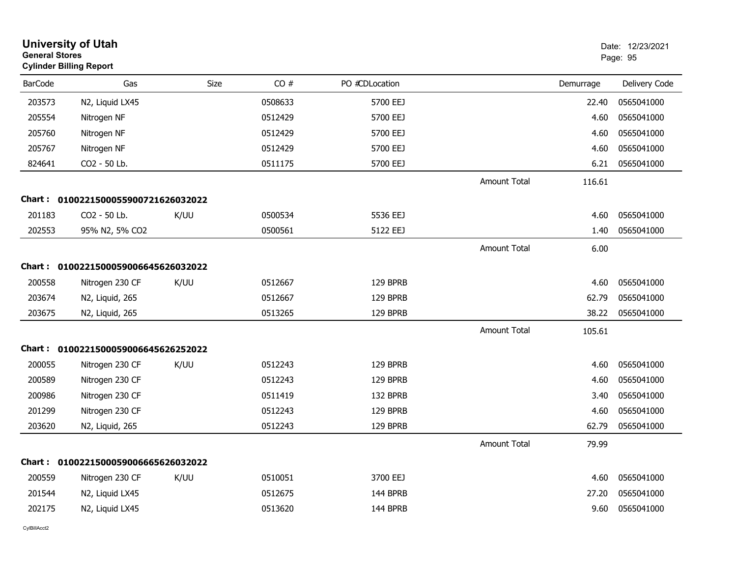| <b>University of Utah</b><br>Date: 12/23/2021<br><b>General Stores</b><br>Page: 95<br><b>Cylinder Billing Report</b> |                                     |      |         |                |                     |           |               |  |
|----------------------------------------------------------------------------------------------------------------------|-------------------------------------|------|---------|----------------|---------------------|-----------|---------------|--|
| <b>BarCode</b>                                                                                                       | Gas                                 | Size | CO#     | PO #CDLocation |                     | Demurrage | Delivery Code |  |
| 203573                                                                                                               | N2, Liquid LX45                     |      | 0508633 | 5700 EEJ       |                     | 22.40     | 0565041000    |  |
| 205554                                                                                                               | Nitrogen NF                         |      | 0512429 | 5700 EEJ       |                     | 4.60      | 0565041000    |  |
| 205760                                                                                                               | Nitrogen NF                         |      | 0512429 | 5700 EEJ       |                     | 4.60      | 0565041000    |  |
| 205767                                                                                                               | Nitrogen NF                         |      | 0512429 | 5700 EEJ       |                     | 4.60      | 0565041000    |  |
| 824641                                                                                                               | CO2 - 50 Lb.                        |      | 0511175 | 5700 EEJ       |                     | 6.21      | 0565041000    |  |
|                                                                                                                      |                                     |      |         |                | <b>Amount Total</b> | 116.61    |               |  |
|                                                                                                                      | Chart: 0100221500055900721626032022 |      |         |                |                     |           |               |  |
| 201183                                                                                                               | CO2 - 50 Lb.                        | K/UU | 0500534 | 5536 EEJ       |                     | 4.60      | 0565041000    |  |
| 202553                                                                                                               | 95% N2, 5% CO2                      |      | 0500561 | 5122 EEJ       |                     | 1.40      | 0565041000    |  |
|                                                                                                                      |                                     |      |         |                | <b>Amount Total</b> | 6.00      |               |  |
|                                                                                                                      | Chart: 0100221500059006645626032022 |      |         |                |                     |           |               |  |
| 200558                                                                                                               | Nitrogen 230 CF                     | K/UU | 0512667 | 129 BPRB       |                     | 4.60      | 0565041000    |  |
| 203674                                                                                                               | N2, Liquid, 265                     |      | 0512667 | 129 BPRB       |                     | 62.79     | 0565041000    |  |
| 203675                                                                                                               | N2, Liquid, 265                     |      | 0513265 | 129 BPRB       |                     | 38.22     | 0565041000    |  |
|                                                                                                                      |                                     |      |         |                | <b>Amount Total</b> | 105.61    |               |  |
|                                                                                                                      | Chart: 0100221500059006645626252022 |      |         |                |                     |           |               |  |
| 200055                                                                                                               | Nitrogen 230 CF                     | K/UU | 0512243 | 129 BPRB       |                     | 4.60      | 0565041000    |  |
| 200589                                                                                                               | Nitrogen 230 CF                     |      | 0512243 | 129 BPRB       |                     | 4.60      | 0565041000    |  |
| 200986                                                                                                               | Nitrogen 230 CF                     |      | 0511419 | 132 BPRB       |                     | 3.40      | 0565041000    |  |
| 201299                                                                                                               | Nitrogen 230 CF                     |      | 0512243 | 129 BPRB       |                     | 4.60      | 0565041000    |  |
| 203620                                                                                                               | N2, Liquid, 265                     |      | 0512243 | 129 BPRB       |                     | 62.79     | 0565041000    |  |
|                                                                                                                      |                                     |      |         |                | <b>Amount Total</b> | 79.99     |               |  |
|                                                                                                                      | Chart: 0100221500059006665626032022 |      |         |                |                     |           |               |  |
| 200559                                                                                                               | Nitrogen 230 CF                     | K/UU | 0510051 | 3700 EEJ       |                     | 4.60      | 0565041000    |  |
| 201544                                                                                                               | N2, Liquid LX45                     |      | 0512675 | 144 BPRB       |                     | 27.20     | 0565041000    |  |
| 202175                                                                                                               | N2, Liquid LX45                     |      | 0513620 | 144 BPRB       |                     | 9.60      | 0565041000    |  |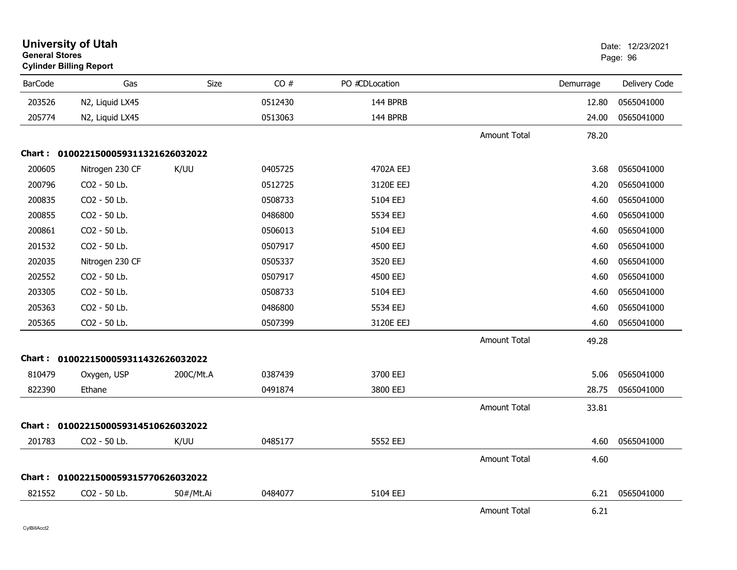| <b>General Stores</b> | <b>University of Utah</b><br><b>Cylinder Billing Report</b> |           |         |                |                     |           | Date: 12/23/2021<br>Page: 96 |
|-----------------------|-------------------------------------------------------------|-----------|---------|----------------|---------------------|-----------|------------------------------|
| <b>BarCode</b>        | Gas                                                         | Size      | CO#     | PO #CDLocation |                     | Demurrage | Delivery Code                |
| 203526                | N2, Liquid LX45                                             |           | 0512430 | 144 BPRB       |                     | 12.80     | 0565041000                   |
| 205774                | N2, Liquid LX45                                             |           | 0513063 | 144 BPRB       |                     | 24.00     | 0565041000                   |
|                       |                                                             |           |         |                | <b>Amount Total</b> | 78.20     |                              |
|                       | Chart: 0100221500059311321626032022                         |           |         |                |                     |           |                              |
| 200605                | Nitrogen 230 CF                                             | K/UU      | 0405725 | 4702A EEJ      |                     | 3.68      | 0565041000                   |
| 200796                | CO2 - 50 Lb.                                                |           | 0512725 | 3120E EEJ      |                     | 4.20      | 0565041000                   |
| 200835                | CO2 - 50 Lb.                                                |           | 0508733 | 5104 EEJ       |                     | 4.60      | 0565041000                   |
| 200855                | CO2 - 50 Lb.                                                |           | 0486800 | 5534 EEJ       |                     | 4.60      | 0565041000                   |
| 200861                | CO2 - 50 Lb.                                                |           | 0506013 | 5104 EEJ       |                     | 4.60      | 0565041000                   |
| 201532                | CO2 - 50 Lb.                                                |           | 0507917 | 4500 EEJ       |                     | 4.60      | 0565041000                   |
| 202035                | Nitrogen 230 CF                                             |           | 0505337 | 3520 EEJ       |                     | 4.60      | 0565041000                   |
| 202552                | CO2 - 50 Lb.                                                |           | 0507917 | 4500 EEJ       |                     | 4.60      | 0565041000                   |
| 203305                | CO2 - 50 Lb.                                                |           | 0508733 | 5104 EEJ       |                     | 4.60      | 0565041000                   |
| 205363                | CO2 - 50 Lb.                                                |           | 0486800 | 5534 EEJ       |                     | 4.60      | 0565041000                   |
| 205365                | CO2 - 50 Lb.                                                |           | 0507399 | 3120E EEJ      |                     | 4.60      | 0565041000                   |
|                       |                                                             |           |         |                | <b>Amount Total</b> | 49.28     |                              |
|                       | Chart: 0100221500059311432626032022                         |           |         |                |                     |           |                              |
| 810479                | Oxygen, USP                                                 | 200C/Mt.A | 0387439 | 3700 EEJ       |                     | 5.06      | 0565041000                   |
| 822390                | Ethane                                                      |           | 0491874 | 3800 EEJ       |                     | 28.75     | 0565041000                   |
|                       |                                                             |           |         |                | <b>Amount Total</b> | 33.81     |                              |
|                       | Chart: 0100221500059314510626032022                         |           |         |                |                     |           |                              |
| 201783                | CO2 - 50 Lb.                                                | K/UU      | 0485177 | 5552 EEJ       |                     | 4.60      | 0565041000                   |
|                       |                                                             |           |         |                | <b>Amount Total</b> | 4.60      |                              |
|                       | Chart: 0100221500059315770626032022                         |           |         |                |                     |           |                              |
| 821552                | CO2 - 50 Lb.                                                | 50#/Mt.Ai | 0484077 | 5104 EEJ       |                     | 6.21      | 0565041000                   |
|                       |                                                             |           |         |                | <b>Amount Total</b> | 6.21      |                              |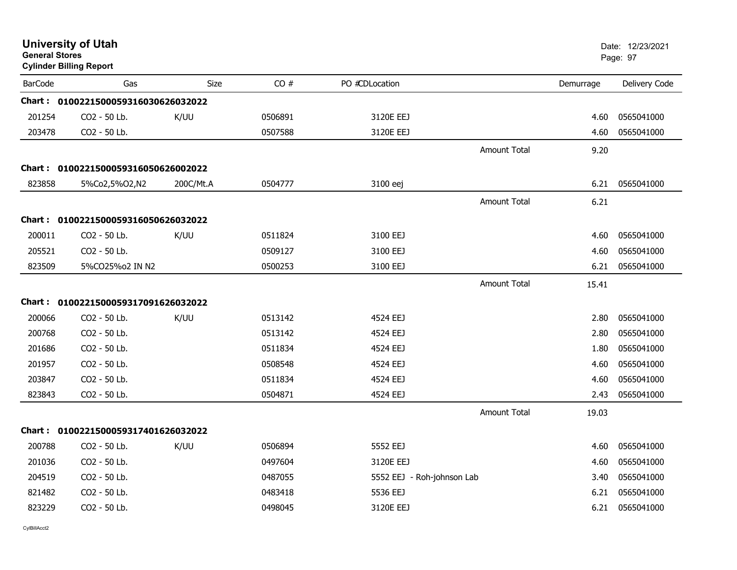| <b>General Stores</b> | <b>University of Utah</b><br><b>Cylinder Billing Report</b> |           |         |                            |                     |           | Date: 12/23/2021<br>Page: 97 |
|-----------------------|-------------------------------------------------------------|-----------|---------|----------------------------|---------------------|-----------|------------------------------|
| <b>BarCode</b>        | Gas                                                         | Size      | CO#     | PO #CDLocation             |                     | Demurrage | Delivery Code                |
|                       | Chart: 0100221500059316030626032022                         |           |         |                            |                     |           |                              |
| 201254                | CO2 - 50 Lb.                                                | K/UU      | 0506891 | 3120E EEJ                  |                     | 4.60      | 0565041000                   |
| 203478                | CO2 - 50 Lb.                                                |           | 0507588 | 3120E EEJ                  |                     | 4.60      | 0565041000                   |
|                       |                                                             |           |         |                            | <b>Amount Total</b> | 9.20      |                              |
|                       | Chart: 0100221500059316050626002022                         |           |         |                            |                     |           |                              |
| 823858                | 5%Co2,5%O2,N2                                               | 200C/Mt.A | 0504777 | 3100 eej                   |                     | 6.21      | 0565041000                   |
|                       |                                                             |           |         |                            | <b>Amount Total</b> | 6.21      |                              |
|                       | Chart: 0100221500059316050626032022                         |           |         |                            |                     |           |                              |
| 200011                | CO2 - 50 Lb.                                                | K/UU      | 0511824 | 3100 EEJ                   |                     | 4.60      | 0565041000                   |
| 205521                | CO2 - 50 Lb.                                                |           | 0509127 | 3100 EEJ                   |                     | 4.60      | 0565041000                   |
| 823509                | 5%CO25%o2 IN N2                                             |           | 0500253 | 3100 EEJ                   |                     | 6.21      | 0565041000                   |
|                       |                                                             |           |         |                            | <b>Amount Total</b> | 15.41     |                              |
|                       | Chart: 0100221500059317091626032022                         |           |         |                            |                     |           |                              |
| 200066                | CO2 - 50 Lb.                                                | K/UU      | 0513142 | 4524 EEJ                   |                     | 2.80      | 0565041000                   |
| 200768                | CO2 - 50 Lb.                                                |           | 0513142 | 4524 EEJ                   |                     | 2.80      | 0565041000                   |
| 201686                | CO2 - 50 Lb.                                                |           | 0511834 | 4524 EEJ                   |                     | 1.80      | 0565041000                   |
| 201957                | CO2 - 50 Lb.                                                |           | 0508548 | 4524 EEJ                   |                     | 4.60      | 0565041000                   |
| 203847                | CO2 - 50 Lb.                                                |           | 0511834 | 4524 EEJ                   |                     | 4.60      | 0565041000                   |
| 823843                | CO2 - 50 Lb.                                                |           | 0504871 | 4524 EEJ                   |                     | 2.43      | 0565041000                   |
|                       |                                                             |           |         |                            | <b>Amount Total</b> | 19.03     |                              |
|                       | Chart: 0100221500059317401626032022                         |           |         |                            |                     |           |                              |
| 200788                | CO2 - 50 Lb.                                                | K/UU      | 0506894 | 5552 EEJ                   |                     | 4.60      | 0565041000                   |
| 201036                | CO2 - 50 Lb.                                                |           | 0497604 | 3120E EEJ                  |                     | 4.60      | 0565041000                   |
| 204519                | CO2 - 50 Lb.                                                |           | 0487055 | 5552 EEJ - Roh-johnson Lab |                     | 3.40      | 0565041000                   |
| 821482                | CO2 - 50 Lb.                                                |           | 0483418 | 5536 EEJ                   |                     | 6.21      | 0565041000                   |
| 823229                | CO2 - 50 Lb.                                                |           | 0498045 | 3120E EEJ                  |                     | 6.21      | 0565041000                   |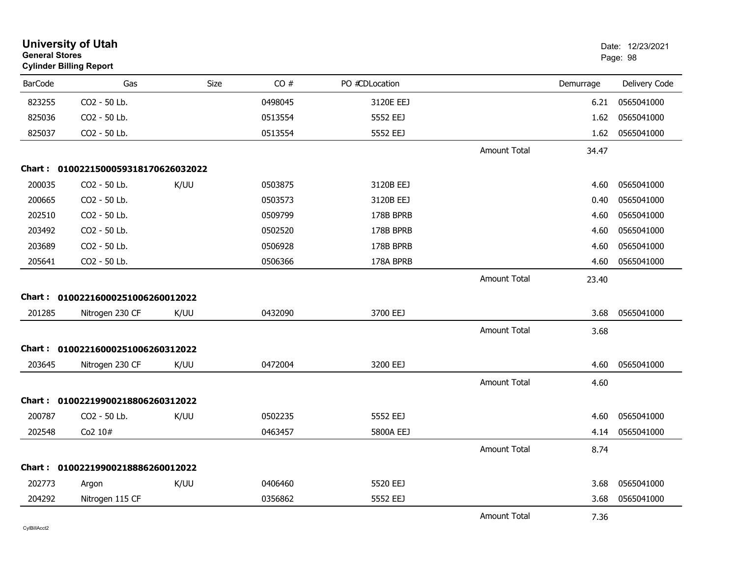| <b>University of Utah</b><br><b>General Stores</b><br><b>Cylinder Billing Report</b> |                                     |             |         |                |                     | Date: 12/23/2021<br>Page: 98 |               |
|--------------------------------------------------------------------------------------|-------------------------------------|-------------|---------|----------------|---------------------|------------------------------|---------------|
| <b>BarCode</b>                                                                       | Gas                                 | <b>Size</b> | CO#     | PO #CDLocation |                     | Demurrage                    | Delivery Code |
| 823255                                                                               | CO2 - 50 Lb.                        |             | 0498045 | 3120E EEJ      |                     | 6.21                         | 0565041000    |
| 825036                                                                               | CO2 - 50 Lb.                        |             | 0513554 | 5552 EEJ       |                     | 1.62                         | 0565041000    |
| 825037                                                                               | CO2 - 50 Lb.                        |             | 0513554 | 5552 EEJ       |                     | 1.62                         | 0565041000    |
|                                                                                      |                                     |             |         |                | <b>Amount Total</b> | 34.47                        |               |
|                                                                                      | Chart: 0100221500059318170626032022 |             |         |                |                     |                              |               |
| 200035                                                                               | CO2 - 50 Lb.                        | K/UU        | 0503875 | 3120B EEJ      |                     | 4.60                         | 0565041000    |
| 200665                                                                               | CO2 - 50 Lb.                        |             | 0503573 | 3120B EEJ      |                     | 0.40                         | 0565041000    |
| 202510                                                                               | CO2 - 50 Lb.                        |             | 0509799 | 178B BPRB      |                     | 4.60                         | 0565041000    |
| 203492                                                                               | CO <sub>2</sub> - 50 Lb.            |             | 0502520 | 178B BPRB      |                     | 4.60                         | 0565041000    |
| 203689                                                                               | CO2 - 50 Lb.                        |             | 0506928 | 178B BPRB      |                     | 4.60                         | 0565041000    |
| 205641                                                                               | CO2 - 50 Lb.                        |             | 0506366 | 178A BPRB      |                     | 4.60                         | 0565041000    |
|                                                                                      |                                     |             |         |                | <b>Amount Total</b> | 23.40                        |               |
|                                                                                      | Chart: 01002216000251006260012022   |             |         |                |                     |                              |               |
| 201285                                                                               | Nitrogen 230 CF                     | K/UU        | 0432090 | 3700 EEJ       |                     | 3.68                         | 0565041000    |
|                                                                                      |                                     |             |         |                | <b>Amount Total</b> | 3.68                         |               |
|                                                                                      | Chart: 01002216000251006260312022   |             |         |                |                     |                              |               |
| 203645                                                                               | Nitrogen 230 CF                     | K/UU        | 0472004 | 3200 EEJ       |                     | 4.60                         | 0565041000    |
|                                                                                      |                                     |             |         |                | <b>Amount Total</b> | 4.60                         |               |
| Chart :                                                                              | 01002219900218806260312022          |             |         |                |                     |                              |               |
| 200787                                                                               | CO2 - 50 Lb.                        | K/UU        | 0502235 | 5552 EEJ       |                     | 4.60                         | 0565041000    |
| 202548                                                                               | Co2 10#                             |             | 0463457 | 5800A EEJ      |                     | 4.14                         | 0565041000    |
|                                                                                      |                                     |             |         |                | Amount Total        | 8.74                         |               |
|                                                                                      | Chart: 01002219900218886260012022   |             |         |                |                     |                              |               |
| 202773                                                                               | Argon                               | K/UU        | 0406460 | 5520 EEJ       |                     | 3.68                         | 0565041000    |
| 204292                                                                               | Nitrogen 115 CF                     |             | 0356862 | 5552 EEJ       |                     | 3.68                         | 0565041000    |
|                                                                                      |                                     |             |         |                | <b>Amount Total</b> | 7.36                         |               |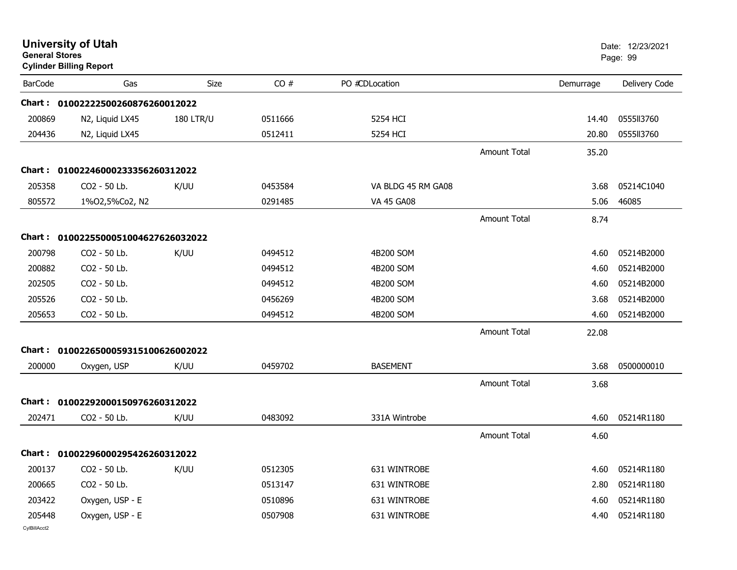| <b>University of Utah</b><br><b>General Stores</b><br><b>Cylinder Billing Report</b> |                                                   |                  |                    |                              |                     |              | Date: 12/23/2021<br>Page: 99 |
|--------------------------------------------------------------------------------------|---------------------------------------------------|------------------|--------------------|------------------------------|---------------------|--------------|------------------------------|
| <b>BarCode</b>                                                                       | Gas                                               | Size             | CO#                | PO #CDLocation               |                     | Demurrage    | Delivery Code                |
|                                                                                      | Chart: 01002222500260876260012022                 |                  |                    |                              |                     |              |                              |
| 200869                                                                               | N2, Liquid LX45                                   | <b>180 LTR/U</b> | 0511666            | 5254 HCI                     |                     | 14.40        | 0555113760                   |
| 204436                                                                               | N2, Liquid LX45                                   |                  | 0512411            | 5254 HCI                     |                     | 20.80        | 0555113760                   |
|                                                                                      |                                                   |                  |                    |                              | <b>Amount Total</b> | 35.20        |                              |
|                                                                                      | Chart: 01002246000233356260312022                 |                  |                    |                              |                     |              |                              |
| 205358                                                                               | CO2 - 50 Lb.                                      | K/UU             | 0453584            | VA BLDG 45 RM GA08           |                     | 3.68         | 05214C1040                   |
| 805572                                                                               | 1%02,5%Co2, N2                                    |                  | 0291485            | <b>VA 45 GA08</b>            |                     | 5.06         | 46085                        |
|                                                                                      |                                                   |                  |                    |                              | <b>Amount Total</b> | 8.74         |                              |
|                                                                                      | Chart: 0100225500051004627626032022               |                  |                    |                              |                     |              |                              |
| 200798                                                                               | CO2 - 50 Lb.                                      | K/UU             | 0494512            | 4B200 SOM                    |                     | 4.60         | 05214B2000                   |
| 200882                                                                               | CO2 - 50 Lb.                                      |                  | 0494512            | 4B200 SOM                    |                     | 4.60         | 05214B2000                   |
| 202505                                                                               | CO2 - 50 Lb.                                      |                  | 0494512            | 4B200 SOM                    |                     | 4.60         | 05214B2000                   |
| 205526                                                                               | CO2 - 50 Lb.                                      |                  | 0456269            | 4B200 SOM                    |                     | 3.68         | 05214B2000                   |
| 205653                                                                               | CO2 - 50 Lb.                                      |                  | 0494512            | 4B200 SOM                    |                     | 4.60         | 05214B2000                   |
|                                                                                      |                                                   |                  |                    |                              | <b>Amount Total</b> | 22.08        |                              |
| Chart :                                                                              | 0100226500059315100626002022                      |                  |                    |                              |                     |              |                              |
| 200000                                                                               | Oxygen, USP                                       | K/UU             | 0459702            | <b>BASEMENT</b>              |                     | 3.68         | 0500000010                   |
|                                                                                      |                                                   |                  |                    |                              | <b>Amount Total</b> | 3.68         |                              |
|                                                                                      | Chart: 01002292000150976260312022                 |                  |                    |                              |                     |              |                              |
| 202471                                                                               | CO2 - 50 Lb.                                      | K/UU             | 0483092            | 331A Wintrobe                |                     | 4.60         | 05214R1180                   |
|                                                                                      |                                                   |                  |                    |                              | <b>Amount Total</b> | 4.60         |                              |
|                                                                                      |                                                   |                  |                    |                              |                     |              |                              |
| 200137                                                                               | Chart: 01002296000295426260312022<br>CO2 - 50 Lb. | K/UU             |                    |                              |                     |              | 05214R1180                   |
| 200665                                                                               | CO2 - 50 Lb.                                      |                  | 0512305<br>0513147 | 631 WINTROBE<br>631 WINTROBE |                     | 4.60<br>2.80 | 05214R1180                   |
| 203422                                                                               | Oxygen, USP - E                                   |                  | 0510896            | 631 WINTROBE                 |                     | 4.60         | 05214R1180                   |
| 205448                                                                               | Oxygen, USP - E                                   |                  | 0507908            | 631 WINTROBE                 |                     | 4.40         | 05214R1180                   |
| CylBillAcct2                                                                         |                                                   |                  |                    |                              |                     |              |                              |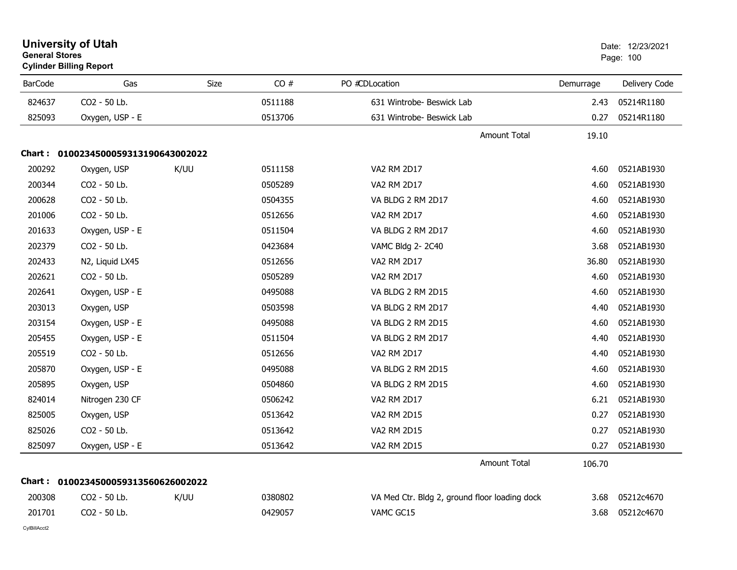| <b>University of Utah</b><br><b>General Stores</b><br><b>Cylinder Billing Report</b> |                                     |      |         | Date: 12/23/2021<br>Page: 100                 |           |               |
|--------------------------------------------------------------------------------------|-------------------------------------|------|---------|-----------------------------------------------|-----------|---------------|
| <b>BarCode</b>                                                                       | Gas                                 | Size | CO#     | PO #CDLocation                                | Demurrage | Delivery Code |
| 824637                                                                               | CO2 - 50 Lb.                        |      | 0511188 | 631 Wintrobe- Beswick Lab                     | 2.43      | 05214R1180    |
| 825093                                                                               | Oxygen, USP - E                     |      | 0513706 | 631 Wintrobe- Beswick Lab                     | 0.27      | 05214R1180    |
|                                                                                      |                                     |      |         | <b>Amount Total</b>                           | 19.10     |               |
|                                                                                      | Chart: 0100234500059313190643002022 |      |         |                                               |           |               |
| 200292                                                                               | Oxygen, USP                         | K/UU | 0511158 | <b>VA2 RM 2D17</b>                            | 4.60      | 0521AB1930    |
| 200344                                                                               | CO <sub>2</sub> - 50 Lb.            |      | 0505289 | <b>VA2 RM 2D17</b>                            | 4.60      | 0521AB1930    |
| 200628                                                                               | CO <sub>2</sub> - 50 Lb.            |      | 0504355 | VA BLDG 2 RM 2D17                             | 4.60      | 0521AB1930    |
| 201006                                                                               | CO2 - 50 Lb.                        |      | 0512656 | <b>VA2 RM 2D17</b>                            | 4.60      | 0521AB1930    |
| 201633                                                                               | Oxygen, USP - E                     |      | 0511504 | VA BLDG 2 RM 2D17                             | 4.60      | 0521AB1930    |
| 202379                                                                               | CO2 - 50 Lb.                        |      | 0423684 | VAMC Bldg 2-2C40                              | 3.68      | 0521AB1930    |
| 202433                                                                               | N2, Liquid LX45                     |      | 0512656 | VA2 RM 2D17                                   | 36.80     | 0521AB1930    |
| 202621                                                                               | CO2 - 50 Lb.                        |      | 0505289 | VA2 RM 2D17                                   | 4.60      | 0521AB1930    |
| 202641                                                                               | Oxygen, USP - E                     |      | 0495088 | VA BLDG 2 RM 2D15                             | 4.60      | 0521AB1930    |
| 203013                                                                               | Oxygen, USP                         |      | 0503598 | VA BLDG 2 RM 2D17                             | 4.40      | 0521AB1930    |
| 203154                                                                               | Oxygen, USP - E                     |      | 0495088 | VA BLDG 2 RM 2D15                             | 4.60      | 0521AB1930    |
| 205455                                                                               | Oxygen, USP - E                     |      | 0511504 | VA BLDG 2 RM 2D17                             | 4.40      | 0521AB1930    |
| 205519                                                                               | CO2 - 50 Lb.                        |      | 0512656 | <b>VA2 RM 2D17</b>                            | 4.40      | 0521AB1930    |
| 205870                                                                               | Oxygen, USP - E                     |      | 0495088 | VA BLDG 2 RM 2D15                             | 4.60      | 0521AB1930    |
| 205895                                                                               | Oxygen, USP                         |      | 0504860 | VA BLDG 2 RM 2D15                             | 4.60      | 0521AB1930    |
| 824014                                                                               | Nitrogen 230 CF                     |      | 0506242 | VA2 RM 2D17                                   | 6.21      | 0521AB1930    |
| 825005                                                                               | Oxygen, USP                         |      | 0513642 | VA2 RM 2D15                                   | 0.27      | 0521AB1930    |
| 825026                                                                               | CO2 - 50 Lb.                        |      | 0513642 | VA2 RM 2D15                                   | 0.27      | 0521AB1930    |
| 825097                                                                               | Oxygen, USP - E                     |      | 0513642 | VA2 RM 2D15                                   | 0.27      | 0521AB1930    |
|                                                                                      |                                     |      |         | Amount Total                                  | 106.70    |               |
|                                                                                      | Chart: 0100234500059313560626002022 |      |         |                                               |           |               |
| 200308                                                                               | CO2 - 50 Lb.                        | K/UU | 0380802 | VA Med Ctr. Bldg 2, ground floor loading dock | 3.68      | 05212c4670    |
| 201701                                                                               | CO2 - 50 Lb.                        |      | 0429057 | VAMC GC15                                     | 3.68      | 05212c4670    |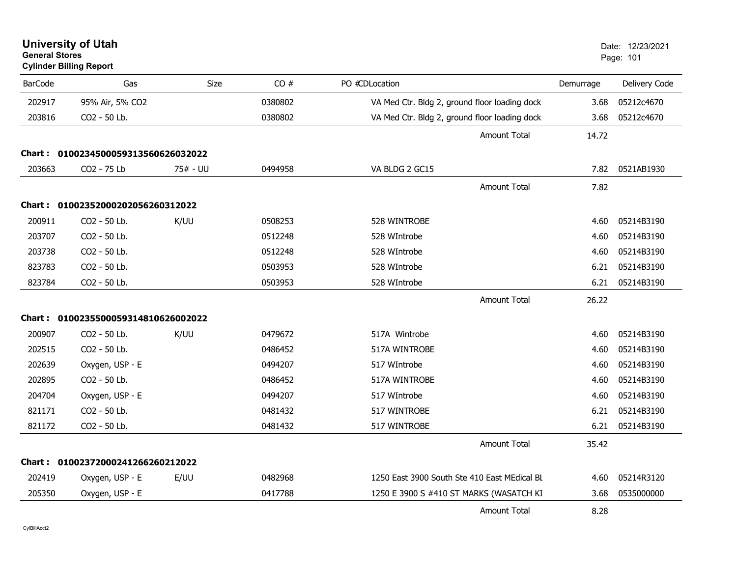| <b>General Stores</b> | <b>University of Utah</b><br><b>Cylinder Billing Report</b> |          |         |                                               |           | Date: 12/23/2021<br>Page: 101 |
|-----------------------|-------------------------------------------------------------|----------|---------|-----------------------------------------------|-----------|-------------------------------|
| <b>BarCode</b>        | Gas                                                         | Size     | CO#     | PO #CDLocation                                | Demurrage | Delivery Code                 |
| 202917                | 95% Air, 5% CO2                                             |          | 0380802 | VA Med Ctr. Bldg 2, ground floor loading dock | 3.68      | 05212c4670                    |
| 203816                | CO2 - 50 Lb.                                                |          | 0380802 | VA Med Ctr. Bldg 2, ground floor loading dock | 3.68      | 05212c4670                    |
|                       |                                                             |          |         | Amount Total                                  | 14.72     |                               |
|                       | Chart: 0100234500059313560626032022                         |          |         |                                               |           |                               |
| 203663                | CO2 - 75 Lb                                                 | 75# - UU | 0494958 | VA BLDG 2 GC15                                | 7.82      | 0521AB1930                    |
|                       |                                                             |          |         | <b>Amount Total</b>                           | 7.82      |                               |
|                       | Chart: 01002352000202056260312022                           |          |         |                                               |           |                               |
| 200911                | CO2 - 50 Lb.                                                | K/UU     | 0508253 | 528 WINTROBE                                  | 4.60      | 05214B3190                    |
| 203707                | CO2 - 50 Lb.                                                |          | 0512248 | 528 WIntrobe                                  | 4.60      | 05214B3190                    |
| 203738                | CO2 - 50 Lb.                                                |          | 0512248 | 528 WIntrobe                                  | 4.60      | 05214B3190                    |
| 823783                | CO2 - 50 Lb.                                                |          | 0503953 | 528 WIntrobe                                  | 6.21      | 05214B3190                    |
| 823784                | CO2 - 50 Lb.                                                |          | 0503953 | 528 WIntrobe                                  | 6.21      | 05214B3190                    |
|                       |                                                             |          |         | <b>Amount Total</b>                           | 26.22     |                               |
|                       | Chart: 0100235500059314810626002022                         |          |         |                                               |           |                               |
| 200907                | CO <sub>2</sub> - 50 Lb.                                    | K/UU     | 0479672 | 517A Wintrobe                                 | 4.60      | 05214B3190                    |
| 202515                | CO2 - 50 Lb.                                                |          | 0486452 | 517A WINTROBE                                 | 4.60      | 05214B3190                    |
| 202639                | Oxygen, USP - E                                             |          | 0494207 | 517 WIntrobe                                  | 4.60      | 05214B3190                    |
| 202895                | CO2 - 50 Lb.                                                |          | 0486452 | 517A WINTROBE                                 | 4.60      | 05214B3190                    |
| 204704                | Oxygen, USP - E                                             |          | 0494207 | 517 WIntrobe                                  | 4.60      | 05214B3190                    |
| 821171                | CO2 - 50 Lb.                                                |          | 0481432 | 517 WINTROBE                                  | 6.21      | 05214B3190                    |
| 821172                | CO2 - 50 Lb.                                                |          | 0481432 | 517 WINTROBE                                  | 6.21      | 05214B3190                    |
|                       |                                                             |          |         | <b>Amount Total</b>                           | 35.42     |                               |
|                       | Chart: 01002372000241266260212022                           |          |         |                                               |           |                               |
| 202419                | Oxygen, USP - E                                             | E/UU     | 0482968 | 1250 East 3900 South Ste 410 East MEdical BL  | 4.60      | 05214R3120                    |
| 205350                | Oxygen, USP - E                                             |          | 0417788 | 1250 E 3900 S #410 ST MARKS (WASATCH KI       | 3.68      | 0535000000                    |
|                       |                                                             |          |         | <b>Amount Total</b>                           | 8.28      |                               |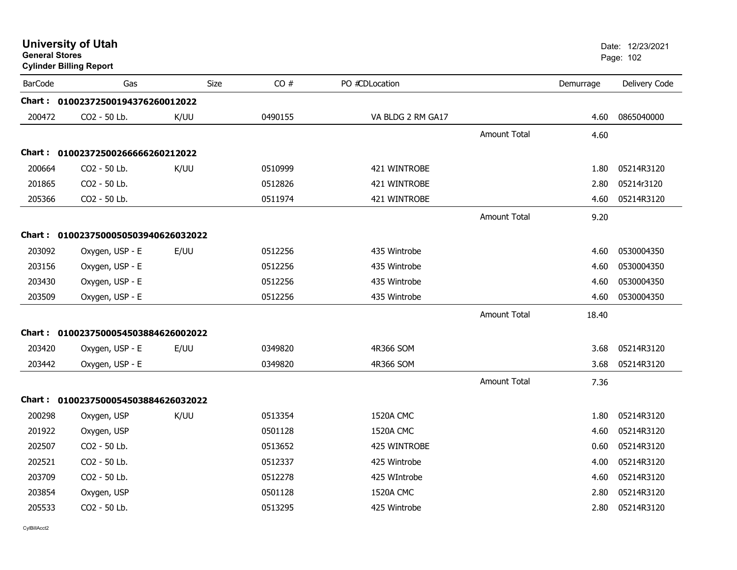| <b>General Stores</b> | <b>Cylinder Billing Report</b>      |             |         |                   |                     |           | Dalt. IZIZJIZUZ I<br>Page: 102 |
|-----------------------|-------------------------------------|-------------|---------|-------------------|---------------------|-----------|--------------------------------|
| <b>BarCode</b>        | Gas                                 | <b>Size</b> | CO#     | PO #CDLocation    |                     | Demurrage | Delivery Code                  |
|                       | Chart: 01002372500194376260012022   |             |         |                   |                     |           |                                |
| 200472                | CO2 - 50 Lb.                        | K/UU        | 0490155 | VA BLDG 2 RM GA17 |                     | 4.60      | 0865040000                     |
|                       |                                     |             |         |                   | <b>Amount Total</b> | 4.60      |                                |
|                       | Chart: 01002372500266666260212022   |             |         |                   |                     |           |                                |
| 200664                | CO2 - 50 Lb.                        | K/UU        | 0510999 | 421 WINTROBE      |                     | 1.80      | 05214R3120                     |
| 201865                | CO2 - 50 Lb.                        |             | 0512826 | 421 WINTROBE      |                     | 2.80      | 05214r3120                     |
| 205366                | CO2 - 50 Lb.                        |             | 0511974 | 421 WINTROBE      |                     | 4.60      | 05214R3120                     |
|                       |                                     |             |         |                   | Amount Total        | 9.20      |                                |
|                       | Chart: 0100237500050503940626032022 |             |         |                   |                     |           |                                |
| 203092                | Oxygen, USP - E                     | E/UU        | 0512256 | 435 Wintrobe      |                     | 4.60      | 0530004350                     |
| 203156                | Oxygen, USP - E                     |             | 0512256 | 435 Wintrobe      |                     | 4.60      | 0530004350                     |
| 203430                | Oxygen, USP - E                     |             | 0512256 | 435 Wintrobe      |                     | 4.60      | 0530004350                     |
| 203509                | Oxygen, USP - E                     |             | 0512256 | 435 Wintrobe      |                     | 4.60      | 0530004350                     |
|                       |                                     |             |         |                   | <b>Amount Total</b> | 18.40     |                                |
|                       | Chart: 0100237500054503884626002022 |             |         |                   |                     |           |                                |
| 203420                | Oxygen, USP - E                     | E/UU        | 0349820 | 4R366 SOM         |                     | 3.68      | 05214R3120                     |
| 203442                | Oxygen, USP - E                     |             | 0349820 | 4R366 SOM         |                     | 3.68      | 05214R3120                     |
|                       |                                     |             |         |                   | <b>Amount Total</b> | 7.36      |                                |
|                       | Chart: 0100237500054503884626032022 |             |         |                   |                     |           |                                |
| 200298                | Oxygen, USP                         | K/UU        | 0513354 | 1520A CMC         |                     | 1.80      | 05214R3120                     |
| 201922                | Oxygen, USP                         |             | 0501128 | 1520A CMC         |                     | 4.60      | 05214R3120                     |
| 202507                | CO2 - 50 Lb.                        |             | 0513652 | 425 WINTROBE      |                     | 0.60      | 05214R3120                     |
| 202521                | CO2 - 50 Lb.                        |             | 0512337 | 425 Wintrobe      |                     | 4.00      | 05214R3120                     |
| 203709                | CO2 - 50 Lb.                        |             | 0512278 | 425 WIntrobe      |                     | 4.60      | 05214R3120                     |
| 203854                | Oxygen, USP                         |             | 0501128 | 1520A CMC         |                     | 2.80      | 05214R3120                     |
| 205533                | CO2 - 50 Lb.                        |             | 0513295 | 425 Wintrobe      |                     | 2.80      | 05214R3120                     |

# **University of Utah** Date: 12/23/2021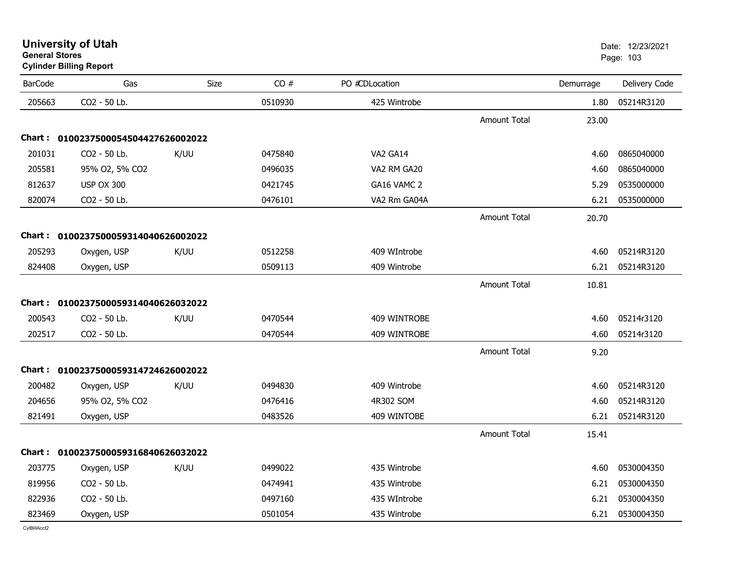| <b>University of Utah</b> |  |
|---------------------------|--|
| <b>General Stores</b>     |  |

## **Cylinder Billing Report**

| <b>BarCode</b> | Gas                                 | Size | CO#     | PO #CDLocation |                     | Demurrage | Delivery Code   |
|----------------|-------------------------------------|------|---------|----------------|---------------------|-----------|-----------------|
| 205663         | CO2 - 50 Lb.                        |      | 0510930 | 425 Wintrobe   |                     | 1.80      | 05214R3120      |
|                |                                     |      |         |                | <b>Amount Total</b> | 23.00     |                 |
|                | Chart: 0100237500054504427626002022 |      |         |                |                     |           |                 |
| 201031         | CO2 - 50 Lb.                        | K/UU | 0475840 | VA2 GA14       |                     | 4.60      | 0865040000      |
| 205581         | 95% O2, 5% CO2                      |      | 0496035 | VA2 RM GA20    |                     | 4.60      | 0865040000      |
| 812637         | <b>USP OX 300</b>                   |      | 0421745 | GA16 VAMC 2    |                     | 5.29      | 0535000000      |
| 820074         | CO2 - 50 Lb.                        |      | 0476101 | VA2 Rm GA04A   |                     | 6.21      | 0535000000      |
|                |                                     |      |         |                | <b>Amount Total</b> | 20.70     |                 |
|                | Chart: 0100237500059314040626002022 |      |         |                |                     |           |                 |
| 205293         | Oxygen, USP                         | K/UU | 0512258 | 409 WIntrobe   |                     | 4.60      | 05214R3120      |
| 824408         | Oxygen, USP                         |      | 0509113 | 409 Wintrobe   |                     | 6.21      | 05214R3120      |
|                |                                     |      |         |                | <b>Amount Total</b> | 10.81     |                 |
|                | Chart: 0100237500059314040626032022 |      |         |                |                     |           |                 |
| 200543         | CO2 - 50 Lb.                        | K/UU | 0470544 | 409 WINTROBE   |                     | 4.60      | 05214r3120      |
| 202517         | CO2 - 50 Lb.                        |      | 0470544 | 409 WINTROBE   |                     | 4.60      | 05214r3120      |
|                |                                     |      |         |                | <b>Amount Total</b> | 9.20      |                 |
|                | Chart: 0100237500059314724626002022 |      |         |                |                     |           |                 |
| 200482         | Oxygen, USP                         | K/UU | 0494830 | 409 Wintrobe   |                     | 4.60      | 05214R3120      |
| 204656         | 95% O2, 5% CO2                      |      | 0476416 | 4R302 SOM      |                     | 4.60      | 05214R3120      |
| 821491         | Oxygen, USP                         |      | 0483526 | 409 WINTOBE    |                     | 6.21      | 05214R3120      |
|                |                                     |      |         |                | <b>Amount Total</b> | 15.41     |                 |
|                |                                     |      |         |                |                     |           |                 |
|                | Chart: 0100237500059316840626032022 |      |         |                |                     |           |                 |
| 203775         | Oxygen, USP                         | K/UU | 0499022 | 435 Wintrobe   |                     | 4.60      | 0530004350      |
| 819956         | CO2 - 50 Lb.                        |      | 0474941 | 435 Wintrobe   |                     | 6.21      | 0530004350      |
| 822936         | CO2 - 50 Lb.                        |      | 0497160 | 435 WIntrobe   |                     | 6.21      | 0530004350      |
| 823469         | Oxygen, USP                         |      | 0501054 | 435 Wintrobe   |                     |           | 6.21 0530004350 |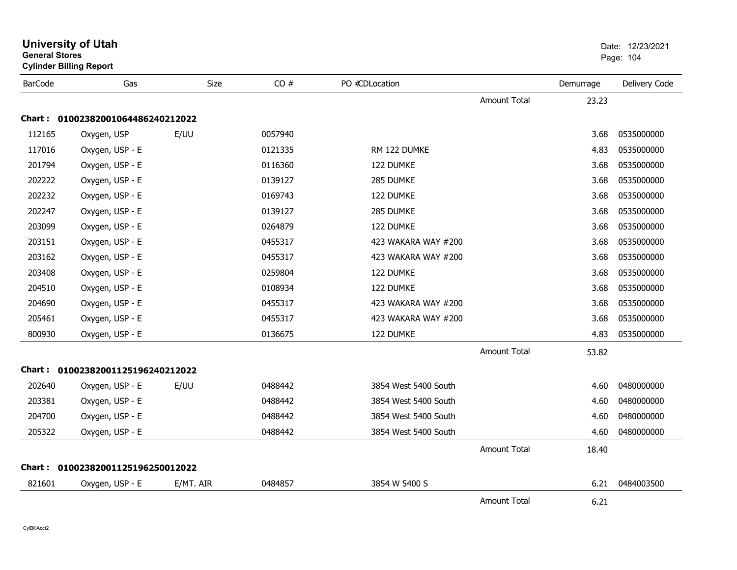|                | <b>University of Utah</b><br><b>General Stores</b><br><b>Cylinder Billing Report</b> |             |         | Date: 12/23/2021<br>Page: 104 |                     |           |               |
|----------------|--------------------------------------------------------------------------------------|-------------|---------|-------------------------------|---------------------|-----------|---------------|
| <b>BarCode</b> | Gas                                                                                  | <b>Size</b> | CO#     | PO #CDLocation                |                     | Demurrage | Delivery Code |
|                |                                                                                      |             |         |                               | <b>Amount Total</b> | 23.23     |               |
|                | Chart: 01002382001064486240212022                                                    |             |         |                               |                     |           |               |
| 112165         | Oxygen, USP                                                                          | E/UU        | 0057940 |                               |                     | 3.68      | 0535000000    |
| 117016         | Oxygen, USP - E                                                                      |             | 0121335 | RM 122 DUMKE                  |                     | 4.83      | 0535000000    |
| 201794         | Oxygen, USP - E                                                                      |             | 0116360 | 122 DUMKE                     |                     | 3.68      | 0535000000    |
| 202222         | Oxygen, USP - E                                                                      |             | 0139127 | 285 DUMKE                     |                     | 3.68      | 0535000000    |
| 202232         | Oxygen, USP - E                                                                      |             | 0169743 | 122 DUMKE                     |                     | 3.68      | 0535000000    |
| 202247         | Oxygen, USP - E                                                                      |             | 0139127 | 285 DUMKE                     |                     | 3.68      | 0535000000    |
| 203099         | Oxygen, USP - E                                                                      |             | 0264879 | 122 DUMKE                     |                     | 3.68      | 0535000000    |
| 203151         | Oxygen, USP - E                                                                      |             | 0455317 | 423 WAKARA WAY #200           |                     | 3.68      | 0535000000    |
| 203162         | Oxygen, USP - E                                                                      |             | 0455317 | 423 WAKARA WAY #200           |                     | 3.68      | 0535000000    |
| 203408         | Oxygen, USP - E                                                                      |             | 0259804 | 122 DUMKE                     |                     | 3.68      | 0535000000    |
| 204510         | Oxygen, USP - E                                                                      |             | 0108934 | 122 DUMKE                     |                     | 3.68      | 0535000000    |
| 204690         | Oxygen, USP - E                                                                      |             | 0455317 | 423 WAKARA WAY #200           |                     | 3.68      | 0535000000    |
| 205461         | Oxygen, USP - E                                                                      |             | 0455317 | 423 WAKARA WAY #200           |                     | 3.68      | 0535000000    |
| 800930         | Oxygen, USP - E                                                                      |             | 0136675 | 122 DUMKE                     |                     | 4.83      | 0535000000    |
|                |                                                                                      |             |         |                               | <b>Amount Total</b> | 53.82     |               |
|                | Chart: 01002382001125196240212022                                                    |             |         |                               |                     |           |               |
| 202640         | Oxygen, USP - E                                                                      | E/UU        | 0488442 | 3854 West 5400 South          |                     | 4.60      | 0480000000    |
| 203381         | Oxygen, USP - E                                                                      |             | 0488442 | 3854 West 5400 South          |                     | 4.60      | 0480000000    |
| 204700         | Oxygen, USP - E                                                                      |             | 0488442 | 3854 West 5400 South          |                     | 4.60      | 0480000000    |
| 205322         | Oxygen, USP - E                                                                      |             | 0488442 | 3854 West 5400 South          |                     | 4.60      | 0480000000    |
|                |                                                                                      |             |         |                               | <b>Amount Total</b> | 18.40     |               |
|                | Chart: 01002382001125196250012022                                                    |             |         |                               |                     |           |               |
| 821601         | Oxygen, USP - E                                                                      | E/MT. AIR   | 0484857 | 3854 W 5400 S                 |                     | 6.21      | 0484003500    |
|                |                                                                                      |             |         |                               | Amount Total        | 6.21      |               |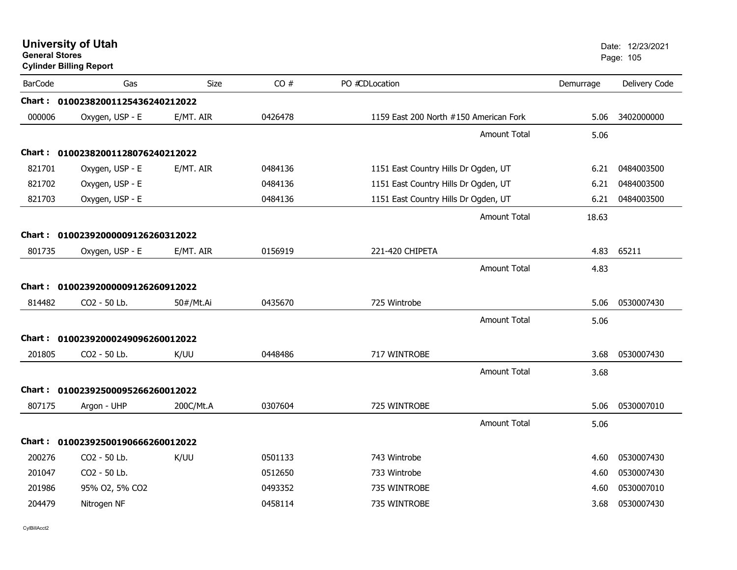| <b>General Stores</b> | <b>University of Utah</b><br><b>Cylinder Billing Report</b> |             |         |                                        |                     |           | Date: 12/23/2021<br>Page: 105 |
|-----------------------|-------------------------------------------------------------|-------------|---------|----------------------------------------|---------------------|-----------|-------------------------------|
| <b>BarCode</b>        | Gas                                                         | <b>Size</b> | CO#     | PO #CDLocation                         |                     | Demurrage | Delivery Code                 |
|                       | Chart: 01002382001125436240212022                           |             |         |                                        |                     |           |                               |
| 000006                | Oxygen, USP - E                                             | E/MT. AIR   | 0426478 | 1159 East 200 North #150 American Fork |                     | 5.06      | 3402000000                    |
|                       |                                                             |             |         |                                        | <b>Amount Total</b> | 5.06      |                               |
|                       | Chart: 01002382001128076240212022                           |             |         |                                        |                     |           |                               |
| 821701                | Oxygen, USP - E                                             | E/MT. AIR   | 0484136 | 1151 East Country Hills Dr Ogden, UT   |                     | 6.21      | 0484003500                    |
| 821702                | Oxygen, USP - E                                             |             | 0484136 | 1151 East Country Hills Dr Ogden, UT   |                     | 6.21      | 0484003500                    |
| 821703                | Oxygen, USP - E                                             |             | 0484136 | 1151 East Country Hills Dr Ogden, UT   |                     | 6.21      | 0484003500                    |
|                       |                                                             |             |         |                                        | <b>Amount Total</b> | 18.63     |                               |
| Chart :               | 01002392000009126260312022                                  |             |         |                                        |                     |           |                               |
| 801735                | Oxygen, USP - E                                             | E/MT. AIR   | 0156919 | 221-420 CHIPETA                        |                     | 4.83      | 65211                         |
|                       |                                                             |             |         |                                        | <b>Amount Total</b> | 4.83      |                               |
| <b>Chart :</b>        | 01002392000009126260912022                                  |             |         |                                        |                     |           |                               |
| 814482                | CO2 - 50 Lb.                                                | 50#/Mt.Ai   | 0435670 | 725 Wintrobe                           |                     | 5.06      | 0530007430                    |
|                       |                                                             |             |         |                                        | <b>Amount Total</b> | 5.06      |                               |
|                       | Chart: 01002392000249096260012022                           |             |         |                                        |                     |           |                               |
| 201805                | CO2 - 50 Lb.                                                | K/UU        | 0448486 | 717 WINTROBE                           |                     | 3.68      | 0530007430                    |
|                       |                                                             |             |         |                                        | <b>Amount Total</b> | 3.68      |                               |
|                       | Chart: 01002392500095266260012022                           |             |         |                                        |                     |           |                               |
| 807175                | Argon - UHP                                                 | 200C/Mt.A   | 0307604 | 725 WINTROBE                           |                     | 5.06      | 0530007010                    |
|                       |                                                             |             |         |                                        | <b>Amount Total</b> | 5.06      |                               |
|                       | Chart: 01002392500190666260012022                           |             |         |                                        |                     |           |                               |
| 200276                | CO <sub>2</sub> - 50 Lb.                                    | K/UU        | 0501133 | 743 Wintrobe                           |                     | 4.60      | 0530007430                    |
| 201047                | CO2 - 50 Lb.                                                |             | 0512650 | 733 Wintrobe                           |                     | 4.60      | 0530007430                    |
| 201986                | 95% O2, 5% CO2                                              |             | 0493352 | 735 WINTROBE                           |                     | 4.60      | 0530007010                    |
| 204479                | Nitrogen NF                                                 |             | 0458114 | 735 WINTROBE                           |                     | 3.68      | 0530007430                    |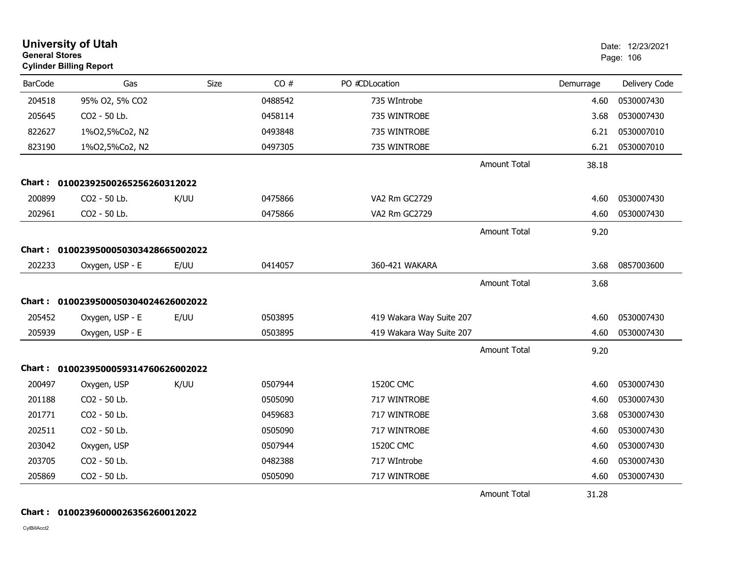| <b>General Stores</b> | <b>University of Utah</b><br><b>Cylinder Billing Report</b> |      |         |                          |                     |           | Date: 12/23/2021<br>Page: 106 |
|-----------------------|-------------------------------------------------------------|------|---------|--------------------------|---------------------|-----------|-------------------------------|
| <b>BarCode</b>        | Gas                                                         | Size | CO#     | PO #CDLocation           |                     | Demurrage | Delivery Code                 |
| 204518                | 95% O2, 5% CO2                                              |      | 0488542 | 735 WIntrobe             |                     | 4.60      | 0530007430                    |
| 205645                | CO2 - 50 Lb.                                                |      | 0458114 | 735 WINTROBE             |                     | 3.68      | 0530007430                    |
| 822627                | 1%02,5%Co2, N2                                              |      | 0493848 | 735 WINTROBE             |                     | 6.21      | 0530007010                    |
| 823190                | 1%02,5%Co2, N2                                              |      | 0497305 | 735 WINTROBE             |                     | 6.21      | 0530007010                    |
|                       |                                                             |      |         |                          | Amount Total        | 38.18     |                               |
|                       | Chart: 01002392500265256260312022                           |      |         |                          |                     |           |                               |
| 200899                | CO2 - 50 Lb.                                                | K/UU | 0475866 | VA2 Rm GC2729            |                     | 4.60      | 0530007430                    |
| 202961                | CO2 - 50 Lb.                                                |      | 0475866 | VA2 Rm GC2729            |                     | 4.60      | 0530007430                    |
|                       |                                                             |      |         |                          | <b>Amount Total</b> | 9.20      |                               |
| Chart :               | 0100239500050303428665002022                                |      |         |                          |                     |           |                               |
| 202233                | Oxygen, USP - E                                             | E/UU | 0414057 | 360-421 WAKARA           |                     | 3.68      | 0857003600                    |
|                       |                                                             |      |         |                          | <b>Amount Total</b> | 3.68      |                               |
|                       | Chart: 0100239500050304024626002022                         |      |         |                          |                     |           |                               |
| 205452                | Oxygen, USP - E                                             | E/UU | 0503895 | 419 Wakara Way Suite 207 |                     | 4.60      | 0530007430                    |
| 205939                | Oxygen, USP - E                                             |      | 0503895 | 419 Wakara Way Suite 207 |                     | 4.60      | 0530007430                    |
|                       |                                                             |      |         |                          | <b>Amount Total</b> | 9.20      |                               |
|                       | Chart: 0100239500059314760626002022                         |      |         |                          |                     |           |                               |
| 200497                | Oxygen, USP                                                 | K/UU | 0507944 | <b>1520C CMC</b>         |                     | 4.60      | 0530007430                    |
| 201188                | CO2 - 50 Lb.                                                |      | 0505090 | 717 WINTROBE             |                     | 4.60      | 0530007430                    |
| 201771                | CO2 - 50 Lb.                                                |      | 0459683 | 717 WINTROBE             |                     | 3.68      | 0530007430                    |
| 202511                | CO2 - 50 Lb.                                                |      | 0505090 | 717 WINTROBE             |                     | 4.60      | 0530007430                    |
| 203042                | Oxygen, USP                                                 |      | 0507944 | 1520C CMC                |                     | 4.60      | 0530007430                    |
| 203705                | CO2 - 50 Lb.                                                |      | 0482388 | 717 WIntrobe             |                     | 4.60      | 0530007430                    |
| 205869                | CO2 - 50 Lb.                                                |      | 0505090 | 717 WINTROBE             |                     | 4.60      | 0530007430                    |
|                       |                                                             |      |         |                          | Amount Total        | 31.28     |                               |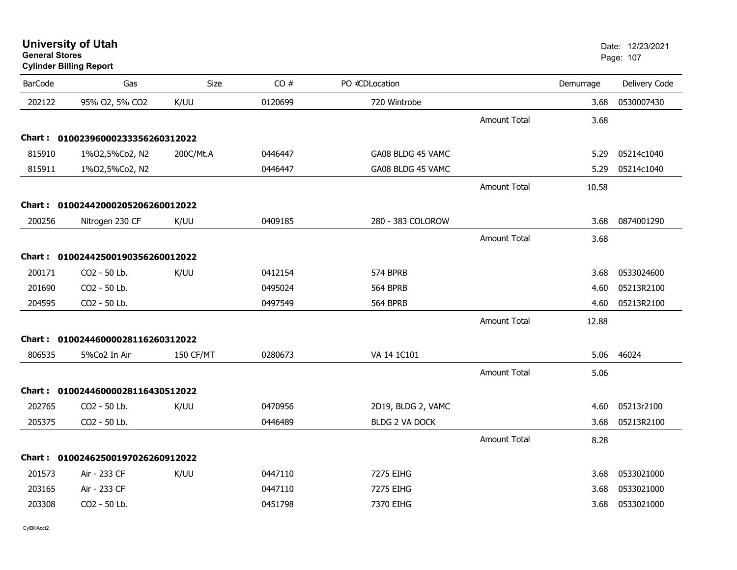| <b>University of Utah</b> |  |
|---------------------------|--|
| <b>General Stores</b>     |  |

## **Cylinder Billing Report**

| <b>BarCode</b> | Gas                               | Size      | CO#     | PO #CDLocation        |                     | Demurrage | Delivery Code |
|----------------|-----------------------------------|-----------|---------|-----------------------|---------------------|-----------|---------------|
| 202122         | 95% O2, 5% CO2                    | K/UU      | 0120699 | 720 Wintrobe          |                     | 3.68      | 0530007430    |
|                |                                   |           |         |                       | <b>Amount Total</b> | 3.68      |               |
|                | Chart: 01002396000233356260312022 |           |         |                       |                     |           |               |
| 815910         | 1%02,5%Co2, N2                    | 200C/Mt.A | 0446447 | GA08 BLDG 45 VAMC     |                     | 5.29      | 05214c1040    |
| 815911         | 1%02,5%Co2, N2                    |           | 0446447 | GA08 BLDG 45 VAMC     |                     | 5.29      | 05214c1040    |
|                |                                   |           |         |                       | <b>Amount Total</b> | 10.58     |               |
|                | Chart: 01002442000205206260012022 |           |         |                       |                     |           |               |
| 200256         | Nitrogen 230 CF                   | K/UU      | 0409185 | 280 - 383 COLOROW     |                     | 3.68      | 0874001290    |
|                |                                   |           |         |                       | <b>Amount Total</b> | 3.68      |               |
|                | Chart: 01002442500190356260012022 |           |         |                       |                     |           |               |
| 200171         | CO2 - 50 Lb.                      | K/UU      | 0412154 | 574 BPRB              |                     | 3.68      | 0533024600    |
| 201690         | CO2 - 50 Lb.                      |           | 0495024 | <b>564 BPRB</b>       |                     | 4.60      | 05213R2100    |
| 204595         | CO2 - 50 Lb.                      |           | 0497549 | 564 BPRB              |                     | 4.60      | 05213R2100    |
|                |                                   |           |         |                       | <b>Amount Total</b> | 12.88     |               |
|                | Chart: 01002446000028116260312022 |           |         |                       |                     |           |               |
| 806535         | 5%Co2 In Air                      | 150 CF/MT | 0280673 | VA 14 1C101           |                     | 5.06      | 46024         |
|                |                                   |           |         |                       | <b>Amount Total</b> | 5.06      |               |
|                | Chart: 01002446000028116430512022 |           |         |                       |                     |           |               |
| 202765         | CO2 - 50 Lb.                      | K/UU      | 0470956 | 2D19, BLDG 2, VAMC    |                     | 4.60      | 05213r2100    |
| 205375         | CO2 - 50 Lb.                      |           | 0446489 | <b>BLDG 2 VA DOCK</b> |                     | 3.68      | 05213R2100    |
|                |                                   |           |         |                       | <b>Amount Total</b> | 8.28      |               |
|                | Chart: 01002462500197026260912022 |           |         |                       |                     |           |               |
| 201573         | Air - 233 CF                      | K/UU      | 0447110 | 7275 EIHG             |                     | 3.68      | 0533021000    |
| 203165         | Air - 233 CF                      |           | 0447110 | 7275 EIHG             |                     | 3.68      | 0533021000    |
| 203308         | CO2 - 50 Lb.                      |           | 0451798 | 7370 EIHG             |                     | 3.68      | 0533021000    |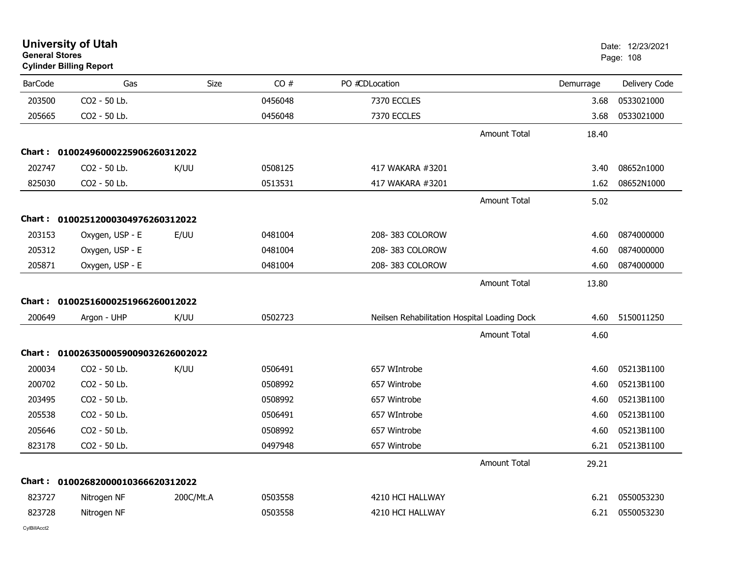| <b>University of Utah</b><br><b>General Stores</b><br><b>Cylinder Billing Report</b> |                                   |           |         |                                              |                     | Date: 12/23/2021<br>Page: 108 |               |
|--------------------------------------------------------------------------------------|-----------------------------------|-----------|---------|----------------------------------------------|---------------------|-------------------------------|---------------|
| <b>BarCode</b>                                                                       | Gas                               | Size      | CO#     | PO #CDLocation                               |                     | Demurrage                     | Delivery Code |
| 203500                                                                               | CO2 - 50 Lb.                      |           | 0456048 | 7370 ECCLES                                  |                     | 3.68                          | 0533021000    |
| 205665                                                                               | CO2 - 50 Lb.                      |           | 0456048 | 7370 ECCLES                                  |                     | 3.68                          | 0533021000    |
|                                                                                      |                                   |           |         |                                              | <b>Amount Total</b> | 18.40                         |               |
|                                                                                      | Chart: 01002496000225906260312022 |           |         |                                              |                     |                               |               |
| 202747                                                                               | CO2 - 50 Lb.                      | K/UU      | 0508125 | 417 WAKARA #3201                             |                     | 3.40                          | 08652n1000    |
| 825030                                                                               | CO2 - 50 Lb.                      |           | 0513531 | 417 WAKARA #3201                             |                     | 1.62                          | 08652N1000    |
|                                                                                      |                                   |           |         |                                              | Amount Total        | 5.02                          |               |
|                                                                                      | Chart: 01002512000304976260312022 |           |         |                                              |                     |                               |               |
| 203153                                                                               | Oxygen, USP - E                   | E/UU      | 0481004 | 208-383 COLOROW                              |                     | 4.60                          | 0874000000    |
| 205312                                                                               | Oxygen, USP - E                   |           | 0481004 | 208-383 COLOROW                              |                     | 4.60                          | 0874000000    |
| 205871                                                                               | Oxygen, USP - E                   |           | 0481004 | 208-383 COLOROW                              |                     | 4.60                          | 0874000000    |
|                                                                                      |                                   |           |         |                                              | <b>Amount Total</b> | 13.80                         |               |
| Chart :                                                                              | 01002516000251966260012022        |           |         |                                              |                     |                               |               |
| 200649                                                                               | Argon - UHP                       | K/UU      | 0502723 | Neilsen Rehabilitation Hospital Loading Dock |                     | 4.60                          | 5150011250    |
|                                                                                      |                                   |           |         |                                              | Amount Total        | 4.60                          |               |
| Chart :                                                                              | 0100263500059009032626002022      |           |         |                                              |                     |                               |               |
| 200034                                                                               | CO2 - 50 Lb.                      | K/UU      | 0506491 | 657 WIntrobe                                 |                     | 4.60                          | 05213B1100    |
| 200702                                                                               | CO2 - 50 Lb.                      |           | 0508992 | 657 Wintrobe                                 |                     | 4.60                          | 05213B1100    |
| 203495                                                                               | CO2 - 50 Lb.                      |           | 0508992 | 657 Wintrobe                                 |                     | 4.60                          | 05213B1100    |
| 205538                                                                               | CO2 - 50 Lb.                      |           | 0506491 | 657 WIntrobe                                 |                     | 4.60                          | 05213B1100    |
| 205646                                                                               | CO2 - 50 Lb.                      |           | 0508992 | 657 Wintrobe                                 |                     | 4.60                          | 05213B1100    |
| 823178                                                                               | CO2 - 50 Lb.                      |           | 0497948 | 657 Wintrobe                                 |                     | 6.21                          | 05213B1100    |
|                                                                                      |                                   |           |         |                                              | <b>Amount Total</b> | 29.21                         |               |
|                                                                                      | Chart: 01002682000010366620312022 |           |         |                                              |                     |                               |               |
| 823727                                                                               | Nitrogen NF                       | 200C/Mt.A | 0503558 | 4210 HCI HALLWAY                             |                     | 6.21                          | 0550053230    |
| 823728                                                                               | Nitrogen NF                       |           | 0503558 | 4210 HCI HALLWAY                             |                     | 6.21                          | 0550053230    |
|                                                                                      |                                   |           |         |                                              |                     |                               |               |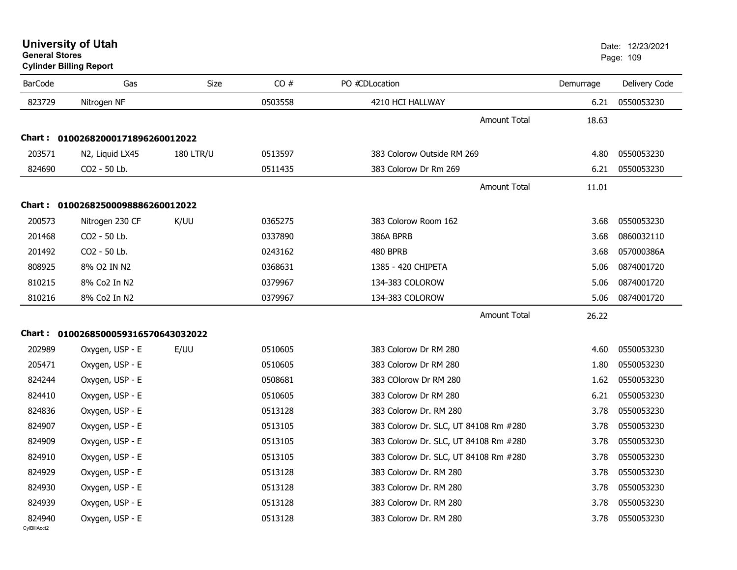**Cylinder Billing Report**

| <b>BarCode</b>         | Gas                                      | Size             | CO#     | PO #CDLocation                        | Demurrage | Delivery Code |
|------------------------|------------------------------------------|------------------|---------|---------------------------------------|-----------|---------------|
| 823729                 | Nitrogen NF                              |                  | 0503558 | 4210 HCI HALLWAY                      | 6.21      | 0550053230    |
|                        |                                          |                  |         | <b>Amount Total</b>                   | 18.63     |               |
| Chart :                | 01002682000171896260012022               |                  |         |                                       |           |               |
| 203571                 | N <sub>2</sub> , Liquid LX <sub>45</sub> | <b>180 LTR/U</b> | 0513597 | 383 Colorow Outside RM 269            | 4.80      | 0550053230    |
| 824690                 | CO2 - 50 Lb.                             |                  | 0511435 | 383 Colorow Dr Rm 269                 | 6.21      | 0550053230    |
|                        |                                          |                  |         | <b>Amount Total</b>                   | 11.01     |               |
|                        | Chart: 01002682500098886260012022        |                  |         |                                       |           |               |
| 200573                 | Nitrogen 230 CF                          | K/UU             | 0365275 | 383 Colorow Room 162                  | 3.68      | 0550053230    |
| 201468                 | CO2 - 50 Lb.                             |                  | 0337890 | 386A BPRB                             | 3.68      | 0860032110    |
| 201492                 | CO2 - 50 Lb.                             |                  | 0243162 | 480 BPRB                              | 3.68      | 057000386A    |
| 808925                 | 8% O2 IN N2                              |                  | 0368631 | 1385 - 420 CHIPETA                    | 5.06      | 0874001720    |
| 810215                 | 8% Co2 In N2                             |                  | 0379967 | 134-383 COLOROW                       | 5.06      | 0874001720    |
| 810216                 | 8% Co2 In N2                             |                  | 0379967 | 134-383 COLOROW                       | 5.06      | 0874001720    |
|                        |                                          |                  |         | <b>Amount Total</b>                   | 26.22     |               |
| <b>Chart :</b>         | 0100268500059316570643032022             |                  |         |                                       |           |               |
| 202989                 | Oxygen, USP - E                          | E/UU             | 0510605 | 383 Colorow Dr RM 280                 | 4.60      | 0550053230    |
| 205471                 | Oxygen, USP - E                          |                  | 0510605 | 383 Colorow Dr RM 280                 | 1.80      | 0550053230    |
| 824244                 | Oxygen, USP - E                          |                  | 0508681 | 383 COlorow Dr RM 280                 | 1.62      | 0550053230    |
| 824410                 | Oxygen, USP - E                          |                  | 0510605 | 383 Colorow Dr RM 280                 | 6.21      | 0550053230    |
| 824836                 | Oxygen, USP - E                          |                  | 0513128 | 383 Colorow Dr. RM 280                | 3.78      | 0550053230    |
| 824907                 | Oxygen, USP - E                          |                  | 0513105 | 383 Colorow Dr. SLC, UT 84108 Rm #280 | 3.78      | 0550053230    |
| 824909                 | Oxygen, USP - E                          |                  | 0513105 | 383 Colorow Dr. SLC, UT 84108 Rm #280 | 3.78      | 0550053230    |
| 824910                 | Oxygen, USP - E                          |                  | 0513105 | 383 Colorow Dr. SLC, UT 84108 Rm #280 | 3.78      | 0550053230    |
| 824929                 | Oxygen, USP - E                          |                  | 0513128 | 383 Colorow Dr. RM 280                | 3.78      | 0550053230    |
| 824930                 | Oxygen, USP - E                          |                  | 0513128 | 383 Colorow Dr. RM 280                | 3.78      | 0550053230    |
| 824939                 | Oxygen, USP - E                          |                  | 0513128 | 383 Colorow Dr. RM 280                | 3.78      | 0550053230    |
| 824940<br>CvIBillAcct2 | Oxygen, USP - E                          |                  | 0513128 | 383 Colorow Dr. RM 280                | 3.78      | 0550053230    |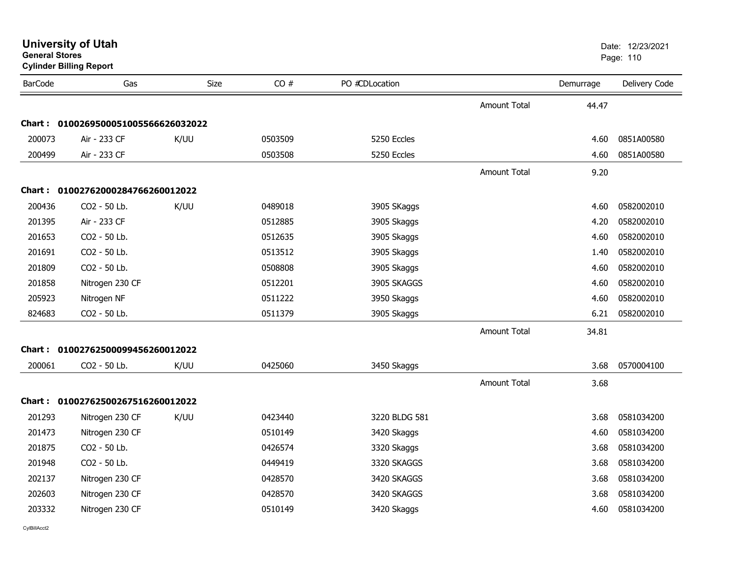| General Stores | <b>Cylinder Billing Report</b>      |             |         |                |                     |           | Page: 110     |
|----------------|-------------------------------------|-------------|---------|----------------|---------------------|-----------|---------------|
| <b>BarCode</b> | Gas                                 | <b>Size</b> | CO#     | PO #CDLocation |                     | Demurrage | Delivery Code |
|                |                                     |             |         |                | <b>Amount Total</b> | 44.47     |               |
|                | Chart: 0100269500051005566626032022 |             |         |                |                     |           |               |
| 200073         | Air - 233 CF                        | K/UU        | 0503509 | 5250 Eccles    |                     | 4.60      | 0851A00580    |
| 200499         | Air - 233 CF                        |             | 0503508 | 5250 Eccles    |                     | 4.60      | 0851A00580    |
|                |                                     |             |         |                | <b>Amount Total</b> | 9.20      |               |
|                | Chart: 01002762000284766260012022   |             |         |                |                     |           |               |
| 200436         | CO2 - 50 Lb.                        | K/UU        | 0489018 | 3905 SKaggs    |                     | 4.60      | 0582002010    |
| 201395         | Air - 233 CF                        |             | 0512885 | 3905 Skaggs    |                     | 4.20      | 0582002010    |
| 201653         | CO2 - 50 Lb.                        |             | 0512635 | 3905 Skaggs    |                     | 4.60      | 0582002010    |
| 201691         | CO2 - 50 Lb.                        |             | 0513512 | 3905 Skaggs    |                     | 1.40      | 0582002010    |
| 201809         | CO2 - 50 Lb.                        |             | 0508808 | 3905 Skaggs    |                     | 4.60      | 0582002010    |
| 201858         | Nitrogen 230 CF                     |             | 0512201 | 3905 SKAGGS    |                     | 4.60      | 0582002010    |
| 205923         | Nitrogen NF                         |             | 0511222 | 3950 Skaggs    |                     | 4.60      | 0582002010    |
| 824683         | CO2 - 50 Lb.                        |             | 0511379 | 3905 Skaggs    |                     | 6.21      | 0582002010    |
|                |                                     |             |         |                | Amount Total        | 34.81     |               |
|                | Chart: 01002762500099456260012022   |             |         |                |                     |           |               |
| 200061         | CO2 - 50 Lb.                        | K/UU        | 0425060 | 3450 Skaggs    |                     | 3.68      | 0570004100    |
|                |                                     |             |         |                | <b>Amount Total</b> | 3.68      |               |
|                | Chart: 01002762500267516260012022   |             |         |                |                     |           |               |
| 201293         | Nitrogen 230 CF                     | K/UU        | 0423440 | 3220 BLDG 581  |                     | 3.68      | 0581034200    |
| 201473         | Nitrogen 230 CF                     |             | 0510149 | 3420 Skaggs    |                     | 4.60      | 0581034200    |
| 201875         | CO2 - 50 Lb.                        |             | 0426574 | 3320 Skaggs    |                     | 3.68      | 0581034200    |
| 201948         | CO2 - 50 Lb.                        |             | 0449419 | 3320 SKAGGS    |                     | 3.68      | 0581034200    |
| 202137         | Nitrogen 230 CF                     |             | 0428570 | 3420 SKAGGS    |                     | 3.68      | 0581034200    |
| 202603         | Nitrogen 230 CF                     |             | 0428570 | 3420 SKAGGS    |                     | 3.68      | 0581034200    |
| 203332         | Nitrogen 230 CF                     |             | 0510149 | 3420 Skaggs    |                     | 4.60      | 0581034200    |
|                |                                     |             |         |                |                     |           |               |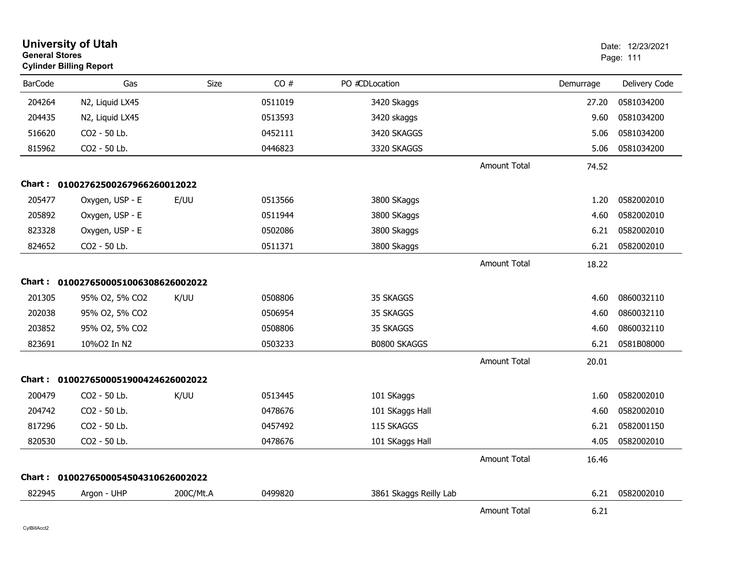|                | <b>University of Utah</b><br><b>General Stores</b><br><b>Cylinder Billing Report</b> |             |         |                        | Date: 12/23/2021<br>Page: 111 |           |               |
|----------------|--------------------------------------------------------------------------------------|-------------|---------|------------------------|-------------------------------|-----------|---------------|
| <b>BarCode</b> | Gas                                                                                  | <b>Size</b> | CO#     | PO #CDLocation         |                               | Demurrage | Delivery Code |
| 204264         | N2, Liquid LX45                                                                      |             | 0511019 | 3420 Skaggs            |                               | 27.20     | 0581034200    |
| 204435         | N2, Liquid LX45                                                                      |             | 0513593 | 3420 skaggs            |                               | 9.60      | 0581034200    |
| 516620         | CO2 - 50 Lb.                                                                         |             | 0452111 | 3420 SKAGGS            |                               | 5.06      | 0581034200    |
| 815962         | CO2 - 50 Lb.                                                                         |             | 0446823 | 3320 SKAGGS            |                               | 5.06      | 0581034200    |
|                |                                                                                      |             |         |                        | <b>Amount Total</b>           | 74.52     |               |
|                | Chart: 01002762500267966260012022                                                    |             |         |                        |                               |           |               |
| 205477         | Oxygen, USP - E                                                                      | E/UU        | 0513566 | 3800 SKaggs            |                               | 1.20      | 0582002010    |
| 205892         | Oxygen, USP - E                                                                      |             | 0511944 | 3800 SKaggs            |                               | 4.60      | 0582002010    |
| 823328         | Oxygen, USP - E                                                                      |             | 0502086 | 3800 Skaggs            |                               | 6.21      | 0582002010    |
| 824652         | CO2 - 50 Lb.                                                                         |             | 0511371 | 3800 Skaggs            |                               | 6.21      | 0582002010    |
|                |                                                                                      |             |         |                        | <b>Amount Total</b>           | 18.22     |               |
|                | Chart: 0100276500051006308626002022                                                  |             |         |                        |                               |           |               |
| 201305         | 95% O2, 5% CO2                                                                       | K/UU        | 0508806 | 35 SKAGGS              |                               | 4.60      | 0860032110    |
| 202038         | 95% O2, 5% CO2                                                                       |             | 0506954 | 35 SKAGGS              |                               | 4.60      | 0860032110    |
| 203852         | 95% O2, 5% CO2                                                                       |             | 0508806 | 35 SKAGGS              |                               | 4.60      | 0860032110    |
| 823691         | 10%O2 In N2                                                                          |             | 0503233 | B0800 SKAGGS           |                               | 6.21      | 0581B08000    |
|                |                                                                                      |             |         |                        | <b>Amount Total</b>           | 20.01     |               |
|                | Chart: 0100276500051900424626002022                                                  |             |         |                        |                               |           |               |
| 200479         | CO2 - 50 Lb.                                                                         | K/UU        | 0513445 | 101 SKaggs             |                               | 1.60      | 0582002010    |
| 204742         | CO2 - 50 Lb.                                                                         |             | 0478676 | 101 SKaggs Hall        |                               | 4.60      | 0582002010    |
| 817296         | CO2 - 50 Lb.                                                                         |             | 0457492 | 115 SKAGGS             |                               | 6.21      | 0582001150    |
| 820530         | CO2 - 50 Lb.                                                                         |             | 0478676 | 101 SKaggs Hall        |                               | 4.05      | 0582002010    |
|                |                                                                                      |             |         |                        | <b>Amount Total</b>           | 16.46     |               |
|                | Chart: 0100276500054504310626002022                                                  |             |         |                        |                               |           |               |
| 822945         | Argon - UHP                                                                          | 200C/Mt.A   | 0499820 | 3861 Skaggs Reilly Lab |                               | 6.21      | 0582002010    |
|                |                                                                                      |             |         |                        | Amount Total                  | 6.21      |               |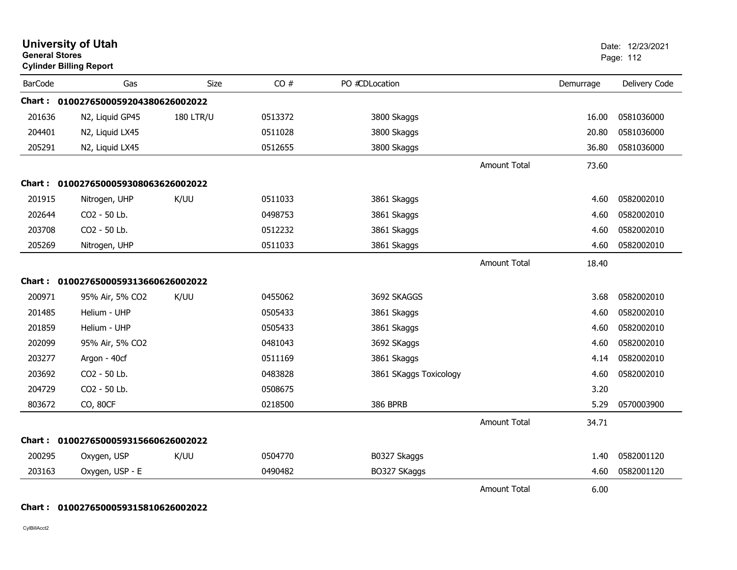| <b>General Stores</b> | <b>University of Utah</b><br><b>Cylinder Billing Report</b> |                  |         |                        |                     |           | Date: 12/23/2021<br>Page: 112 |
|-----------------------|-------------------------------------------------------------|------------------|---------|------------------------|---------------------|-----------|-------------------------------|
| <b>BarCode</b>        | Gas                                                         | Size             | CO#     | PO #CDLocation         |                     | Demurrage | Delivery Code                 |
|                       | Chart: 0100276500059204380626002022                         |                  |         |                        |                     |           |                               |
| 201636                | N2, Liquid GP45                                             | <b>180 LTR/U</b> | 0513372 | 3800 Skaggs            |                     | 16.00     | 0581036000                    |
| 204401                | N2, Liquid LX45                                             |                  | 0511028 | 3800 Skaggs            |                     | 20.80     | 0581036000                    |
| 205291                | N2, Liquid LX45                                             |                  | 0512655 | 3800 Skaggs            |                     | 36.80     | 0581036000                    |
|                       |                                                             |                  |         |                        | <b>Amount Total</b> | 73.60     |                               |
|                       | Chart: 0100276500059308063626002022                         |                  |         |                        |                     |           |                               |
| 201915                | Nitrogen, UHP                                               | K/UU             | 0511033 | 3861 Skaggs            |                     | 4.60      | 0582002010                    |
| 202644                | CO2 - 50 Lb.                                                |                  | 0498753 | 3861 Skaggs            |                     | 4.60      | 0582002010                    |
| 203708                | CO2 - 50 Lb.                                                |                  | 0512232 | 3861 Skaggs            |                     | 4.60      | 0582002010                    |
| 205269                | Nitrogen, UHP                                               |                  | 0511033 | 3861 Skaggs            |                     | 4.60      | 0582002010                    |
|                       |                                                             |                  |         |                        | Amount Total        | 18.40     |                               |
|                       | Chart: 0100276500059313660626002022                         |                  |         |                        |                     |           |                               |
| 200971                | 95% Air, 5% CO2                                             | K/UU             | 0455062 | 3692 SKAGGS            |                     | 3.68      | 0582002010                    |
| 201485                | Helium - UHP                                                |                  | 0505433 | 3861 Skaggs            |                     | 4.60      | 0582002010                    |
| 201859                | Helium - UHP                                                |                  | 0505433 | 3861 Skaggs            |                     | 4.60      | 0582002010                    |
| 202099                | 95% Air, 5% CO2                                             |                  | 0481043 | 3692 SKaggs            |                     | 4.60      | 0582002010                    |
| 203277                | Argon - 40cf                                                |                  | 0511169 | 3861 Skaggs            |                     | 4.14      | 0582002010                    |
| 203692                | CO2 - 50 Lb.                                                |                  | 0483828 | 3861 SKaggs Toxicology |                     | 4.60      | 0582002010                    |
| 204729                | CO2 - 50 Lb.                                                |                  | 0508675 |                        |                     | 3.20      |                               |
| 803672                | CO, 80CF                                                    |                  | 0218500 | <b>386 BPRB</b>        |                     | 5.29      | 0570003900                    |
|                       |                                                             |                  |         |                        | <b>Amount Total</b> | 34.71     |                               |
|                       | Chart: 0100276500059315660626002022                         |                  |         |                        |                     |           |                               |
| 200295                | Oxygen, USP                                                 | K/UU             | 0504770 | B0327 Skaggs           |                     | 1.40      | 0582001120                    |
| 203163                | Oxygen, USP - E                                             |                  | 0490482 | BO327 SKaggs           |                     | 4.60      | 0582001120                    |
|                       |                                                             |                  |         |                        | Amount Total        | 6.00      |                               |

## **Chart : 0100276500059315810626002022**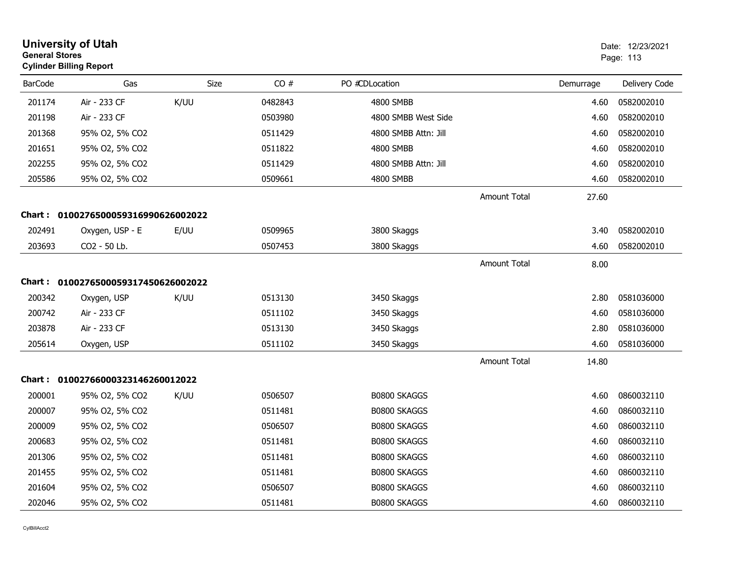|                | <b>University of Utah</b><br><b>General Stores</b><br><b>Cylinder Billing Report</b> |      |         |                      |                     |           | Date: 12/23/2021<br>Page: 113 |
|----------------|--------------------------------------------------------------------------------------|------|---------|----------------------|---------------------|-----------|-------------------------------|
| <b>BarCode</b> | Gas                                                                                  | Size | CO#     | PO #CDLocation       |                     | Demurrage | Delivery Code                 |
| 201174         | Air - 233 CF                                                                         | K/UU | 0482843 | 4800 SMBB            |                     | 4.60      | 0582002010                    |
| 201198         | Air - 233 CF                                                                         |      | 0503980 | 4800 SMBB West Side  |                     | 4.60      | 0582002010                    |
| 201368         | 95% O2, 5% CO2                                                                       |      | 0511429 | 4800 SMBB Attn: Jill |                     | 4.60      | 0582002010                    |
| 201651         | 95% O2, 5% CO2                                                                       |      | 0511822 | 4800 SMBB            |                     | 4.60      | 0582002010                    |
| 202255         | 95% O2, 5% CO2                                                                       |      | 0511429 | 4800 SMBB Attn: Jill |                     | 4.60      | 0582002010                    |
| 205586         | 95% O2, 5% CO2                                                                       |      | 0509661 | 4800 SMBB            |                     | 4.60      | 0582002010                    |
|                |                                                                                      |      |         |                      | Amount Total        | 27.60     |                               |
|                | Chart: 0100276500059316990626002022                                                  |      |         |                      |                     |           |                               |
| 202491         | Oxygen, USP - E                                                                      | E/UU | 0509965 | 3800 Skaggs          |                     | 3.40      | 0582002010                    |
| 203693         | CO2 - 50 Lb.                                                                         |      | 0507453 | 3800 Skaggs          |                     | 4.60      | 0582002010                    |
|                |                                                                                      |      |         |                      | <b>Amount Total</b> | 8.00      |                               |
|                | Chart: 0100276500059317450626002022                                                  |      |         |                      |                     |           |                               |
| 200342         | Oxygen, USP                                                                          | K/UU | 0513130 | 3450 Skaggs          |                     | 2.80      | 0581036000                    |
| 200742         | Air - 233 CF                                                                         |      | 0511102 | 3450 Skaggs          |                     | 4.60      | 0581036000                    |
| 203878         | Air - 233 CF                                                                         |      | 0513130 | 3450 Skaggs          |                     | 2.80      | 0581036000                    |
| 205614         | Oxygen, USP                                                                          |      | 0511102 | 3450 Skaggs          |                     | 4.60      | 0581036000                    |
|                |                                                                                      |      |         |                      | <b>Amount Total</b> | 14.80     |                               |
| <b>Chart:</b>  | 01002766000323146260012022                                                           |      |         |                      |                     |           |                               |
| 200001         | 95% O2, 5% CO2                                                                       | K/UU | 0506507 | <b>B0800 SKAGGS</b>  |                     | 4.60      | 0860032110                    |
| 200007         | 95% O2, 5% CO2                                                                       |      | 0511481 | B0800 SKAGGS         |                     | 4.60      | 0860032110                    |
| 200009         | 95% O2, 5% CO2                                                                       |      | 0506507 | B0800 SKAGGS         |                     | 4.60      | 0860032110                    |
| 200683         | 95% O2, 5% CO2                                                                       |      | 0511481 | <b>B0800 SKAGGS</b>  |                     | 4.60      | 0860032110                    |
| 201306         | 95% O2, 5% CO2                                                                       |      | 0511481 | B0800 SKAGGS         |                     | 4.60      | 0860032110                    |
| 201455         | 95% O2, 5% CO2                                                                       |      | 0511481 | B0800 SKAGGS         |                     | 4.60      | 0860032110                    |
| 201604         | 95% O2, 5% CO2                                                                       |      | 0506507 | <b>B0800 SKAGGS</b>  |                     | 4.60      | 0860032110                    |
| 202046         | 95% O2, 5% CO2                                                                       |      | 0511481 | B0800 SKAGGS         |                     | 4.60      | 0860032110                    |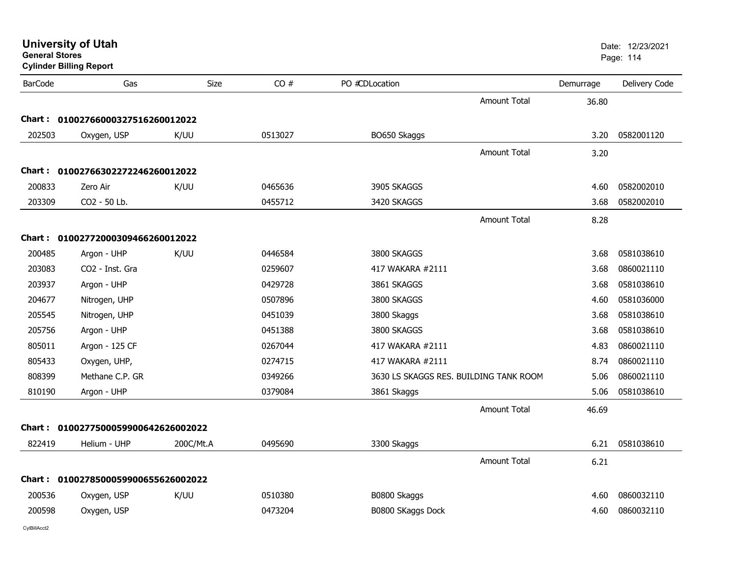|                | <b>University of Utah</b><br><b>General Stores</b><br><b>Cylinder Billing Report</b> |           |         |                                        |                     | Date: 12/23/2021<br>Page: 114 |               |
|----------------|--------------------------------------------------------------------------------------|-----------|---------|----------------------------------------|---------------------|-------------------------------|---------------|
| <b>BarCode</b> | Gas                                                                                  | Size      | CO#     | PO #CDLocation                         |                     | Demurrage                     | Delivery Code |
|                |                                                                                      |           |         |                                        | Amount Total        | 36.80                         |               |
| Chart :        | 01002766000327516260012022                                                           |           |         |                                        |                     |                               |               |
| 202503         | Oxygen, USP                                                                          | K/UU      | 0513027 | BO650 Skaggs                           |                     | 3.20                          | 0582001120    |
|                |                                                                                      |           |         |                                        | <b>Amount Total</b> | 3.20                          |               |
| Chart :        | 01002766302272246260012022                                                           |           |         |                                        |                     |                               |               |
| 200833         | Zero Air                                                                             | K/UU      | 0465636 | 3905 SKAGGS                            |                     | 4.60                          | 0582002010    |
| 203309         | CO2 - 50 Lb.                                                                         |           | 0455712 | 3420 SKAGGS                            |                     | 3.68                          | 0582002010    |
|                |                                                                                      |           |         |                                        | <b>Amount Total</b> | 8.28                          |               |
| Chart :        | 01002772000309466260012022                                                           |           |         |                                        |                     |                               |               |
| 200485         | Argon - UHP                                                                          | K/UU      | 0446584 | 3800 SKAGGS                            |                     | 3.68                          | 0581038610    |
| 203083         | CO <sub>2</sub> - Inst. Gra                                                          |           | 0259607 | 417 WAKARA #2111                       |                     | 3.68                          | 0860021110    |
| 203937         | Argon - UHP                                                                          |           | 0429728 | 3861 SKAGGS                            |                     | 3.68                          | 0581038610    |
| 204677         | Nitrogen, UHP                                                                        |           | 0507896 | 3800 SKAGGS                            |                     | 4.60                          | 0581036000    |
| 205545         | Nitrogen, UHP                                                                        |           | 0451039 | 3800 Skaggs                            |                     | 3.68                          | 0581038610    |
| 205756         | Argon - UHP                                                                          |           | 0451388 | 3800 SKAGGS                            |                     | 3.68                          | 0581038610    |
| 805011         | Argon - 125 CF                                                                       |           | 0267044 | 417 WAKARA #2111                       |                     | 4.83                          | 0860021110    |
| 805433         | Oxygen, UHP,                                                                         |           | 0274715 | 417 WAKARA #2111                       |                     | 8.74                          | 0860021110    |
| 808399         | Methane C.P. GR                                                                      |           | 0349266 | 3630 LS SKAGGS RES. BUILDING TANK ROOM |                     | 5.06                          | 0860021110    |
| 810190         | Argon - UHP                                                                          |           | 0379084 | 3861 Skaggs                            |                     | 5.06                          | 0581038610    |
|                |                                                                                      |           |         |                                        | <b>Amount Total</b> | 46.69                         |               |
| <b>Chart :</b> | 0100277500059900642626002022                                                         |           |         |                                        |                     |                               |               |
| 822419         | Helium - UHP                                                                         | 200C/Mt.A | 0495690 | 3300 Skaggs                            |                     | 6.21                          | 0581038610    |
|                |                                                                                      |           |         |                                        | <b>Amount Total</b> | 6.21                          |               |
| Chart :        | 0100278500059900655626002022                                                         |           |         |                                        |                     |                               |               |
| 200536         | Oxygen, USP                                                                          | K/UU      | 0510380 | B0800 Skaggs                           |                     | 4.60                          | 0860032110    |
| 200598         | Oxygen, USP                                                                          |           | 0473204 | B0800 SKaggs Dock                      |                     | 4.60                          | 0860032110    |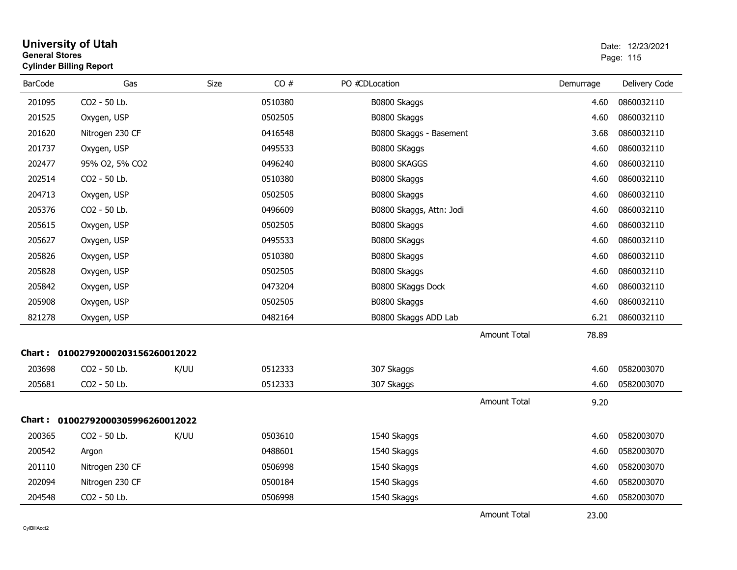| <b>General Stores</b> | <b>Cylinder Billing Report</b> |      |         |                          |                     |           | Page: 115     |
|-----------------------|--------------------------------|------|---------|--------------------------|---------------------|-----------|---------------|
| <b>BarCode</b>        | Gas                            | Size | CO#     | PO #CDLocation           |                     | Demurrage | Delivery Code |
| 201095                | CO2 - 50 Lb.                   |      | 0510380 | B0800 Skaggs             |                     | 4.60      | 0860032110    |
| 201525                | Oxygen, USP                    |      | 0502505 | B0800 Skaggs             |                     | 4.60      | 0860032110    |
| 201620                | Nitrogen 230 CF                |      | 0416548 | B0800 Skaggs - Basement  |                     | 3.68      | 0860032110    |
| 201737                | Oxygen, USP                    |      | 0495533 | B0800 SKaggs             |                     | 4.60      | 0860032110    |
| 202477                | 95% O2, 5% CO2                 |      | 0496240 | <b>B0800 SKAGGS</b>      |                     | 4.60      | 0860032110    |
| 202514                | CO2 - 50 Lb.                   |      | 0510380 | B0800 Skaggs             |                     | 4.60      | 0860032110    |
| 204713                | Oxygen, USP                    |      | 0502505 | B0800 Skaggs             |                     | 4.60      | 0860032110    |
| 205376                | CO2 - 50 Lb.                   |      | 0496609 | B0800 Skaggs, Attn: Jodi |                     | 4.60      | 0860032110    |
| 205615                | Oxygen, USP                    |      | 0502505 | B0800 Skaggs             |                     | 4.60      | 0860032110    |
| 205627                | Oxygen, USP                    |      | 0495533 | B0800 SKaggs             |                     | 4.60      | 0860032110    |
| 205826                | Oxygen, USP                    |      | 0510380 | B0800 Skaggs             |                     | 4.60      | 0860032110    |
| 205828                | Oxygen, USP                    |      | 0502505 | B0800 Skaggs             |                     | 4.60      | 0860032110    |
| 205842                | Oxygen, USP                    |      | 0473204 | B0800 SKaggs Dock        |                     | 4.60      | 0860032110    |
| 205908                | Oxygen, USP                    |      | 0502505 | B0800 Skaggs             |                     | 4.60      | 0860032110    |
| 821278                | Oxygen, USP                    |      | 0482164 | B0800 Skaggs ADD Lab     |                     | 6.21      | 0860032110    |
|                       |                                |      |         |                          | <b>Amount Total</b> | 78.89     |               |
| <b>Chart :</b>        | 01002792000203156260012022     |      |         |                          |                     |           |               |
| 203698                | CO2 - 50 Lb.                   | K/UU | 0512333 | 307 Skaggs               |                     | 4.60      | 0582003070    |
| 205681                | CO2 - 50 Lb.                   |      | 0512333 | 307 Skaggs               |                     | 4.60      | 0582003070    |
|                       |                                |      |         |                          | Amount Total        | 9.20      |               |
| Chart :               | 01002792000305996260012022     |      |         |                          |                     |           |               |
| 200365                | CO2 - 50 Lb.                   | K/UU | 0503610 | 1540 Skaggs              |                     | 4.60      | 0582003070    |
| 200542                | Argon                          |      | 0488601 | 1540 Skaggs              |                     | 4.60      | 0582003070    |
| 201110                | Nitrogen 230 CF                |      | 0506998 | 1540 Skaggs              |                     | 4.60      | 0582003070    |
| 202094                | Nitrogen 230 CF                |      | 0500184 | 1540 Skaggs              |                     | 4.60      | 0582003070    |
| 204548                | CO2 - 50 Lb.                   |      | 0506998 | 1540 Skaggs              |                     | 4.60      | 0582003070    |
|                       |                                |      |         |                          | <b>Amount Total</b> | 23.00     |               |

**University of Utah** Date: 12/23/2021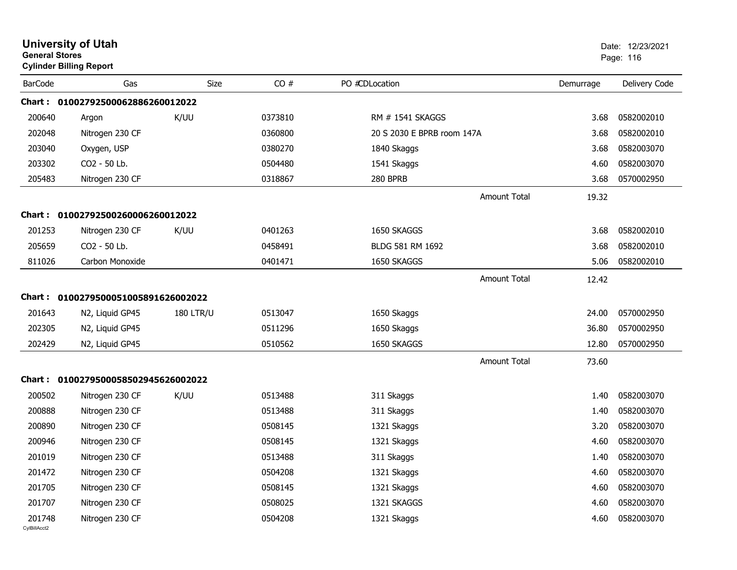| <b>General Stores</b>  | <b>University of Utah</b><br><b>Cylinder Billing Report</b> |                  |         |                            |           | Date: 12/23/2021<br>Page: 116 |
|------------------------|-------------------------------------------------------------|------------------|---------|----------------------------|-----------|-------------------------------|
| <b>BarCode</b>         | Gas                                                         | Size             | CO#     | PO #CDLocation             | Demurrage | Delivery Code                 |
|                        | Chart: 01002792500062886260012022                           |                  |         |                            |           |                               |
| 200640                 | Argon                                                       | K/UU             | 0373810 | RM # 1541 SKAGGS           | 3.68      | 0582002010                    |
| 202048                 | Nitrogen 230 CF                                             |                  | 0360800 | 20 S 2030 E BPRB room 147A | 3.68      | 0582002010                    |
| 203040                 | Oxygen, USP                                                 |                  | 0380270 | 1840 Skaggs                | 3.68      | 0582003070                    |
| 203302                 | CO2 - 50 Lb.                                                |                  | 0504480 | 1541 Skaggs                | 4.60      | 0582003070                    |
| 205483                 | Nitrogen 230 CF                                             |                  | 0318867 | 280 BPRB                   | 3.68      | 0570002950                    |
|                        |                                                             |                  |         | <b>Amount Total</b>        | 19.32     |                               |
| Chart :                | 01002792500260006260012022                                  |                  |         |                            |           |                               |
| 201253                 | Nitrogen 230 CF                                             | K/UU             | 0401263 | 1650 SKAGGS                | 3.68      | 0582002010                    |
| 205659                 | CO2 - 50 Lb.                                                |                  | 0458491 | BLDG 581 RM 1692           | 3.68      | 0582002010                    |
| 811026                 | Carbon Monoxide                                             |                  | 0401471 | 1650 SKAGGS                | 5.06      | 0582002010                    |
|                        |                                                             |                  |         | <b>Amount Total</b>        | 12.42     |                               |
| Chart :                | 0100279500051005891626002022                                |                  |         |                            |           |                               |
| 201643                 | N2, Liquid GP45                                             | <b>180 LTR/U</b> | 0513047 | 1650 Skaggs                | 24.00     | 0570002950                    |
| 202305                 | N2, Liquid GP45                                             |                  | 0511296 | 1650 Skaggs                | 36.80     | 0570002950                    |
| 202429                 | N2, Liquid GP45                                             |                  | 0510562 | 1650 SKAGGS                | 12.80     | 0570002950                    |
|                        |                                                             |                  |         | <b>Amount Total</b>        | 73.60     |                               |
|                        | Chart: 0100279500058502945626002022                         |                  |         |                            |           |                               |
| 200502                 | Nitrogen 230 CF                                             | K/UU             | 0513488 | 311 Skaggs                 | 1.40      | 0582003070                    |
| 200888                 | Nitrogen 230 CF                                             |                  | 0513488 | 311 Skaggs                 | 1.40      | 0582003070                    |
| 200890                 | Nitrogen 230 CF                                             |                  | 0508145 | 1321 Skaggs                | 3.20      | 0582003070                    |
| 200946                 | Nitrogen 230 CF                                             |                  | 0508145 | 1321 Skaggs                | 4.60      | 0582003070                    |
| 201019                 | Nitrogen 230 CF                                             |                  | 0513488 | 311 Skaggs                 | 1.40      | 0582003070                    |
| 201472                 | Nitrogen 230 CF                                             |                  | 0504208 | 1321 Skaggs                | 4.60      | 0582003070                    |
| 201705                 | Nitrogen 230 CF                                             |                  | 0508145 | 1321 Skaggs                | 4.60      | 0582003070                    |
| 201707                 | Nitrogen 230 CF                                             |                  | 0508025 | 1321 SKAGGS                | 4.60      | 0582003070                    |
| 201748<br>CvIBillAcct2 | Nitrogen 230 CF                                             |                  | 0504208 | 1321 Skaggs                | 4.60      | 0582003070                    |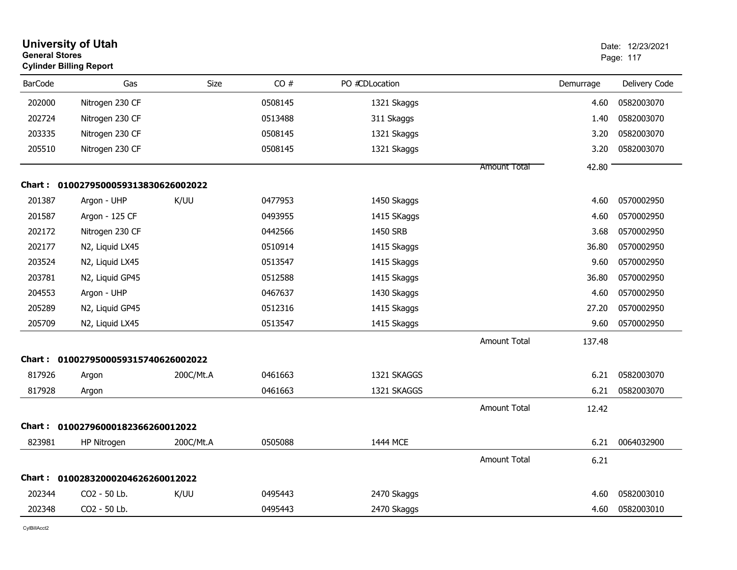| <b>General Stores</b> | <b>University of Utah</b><br><b>Cylinder Billing Report</b> |           |         |                |                     |           | Date: 12/23/2021<br>Page: 117 |
|-----------------------|-------------------------------------------------------------|-----------|---------|----------------|---------------------|-----------|-------------------------------|
| <b>BarCode</b>        | Gas                                                         | Size      | CO#     | PO #CDLocation |                     | Demurrage | Delivery Code                 |
| 202000                | Nitrogen 230 CF                                             |           | 0508145 | 1321 Skaggs    |                     | 4.60      | 0582003070                    |
| 202724                | Nitrogen 230 CF                                             |           | 0513488 | 311 Skaggs     |                     | 1.40      | 0582003070                    |
| 203335                | Nitrogen 230 CF                                             |           | 0508145 | 1321 Skaggs    |                     | 3.20      | 0582003070                    |
| 205510                | Nitrogen 230 CF                                             |           | 0508145 | 1321 Skaggs    |                     | 3.20      | 0582003070                    |
|                       |                                                             |           |         |                | <b>Amount Total</b> | 42.80     |                               |
|                       | Chart: 0100279500059313830626002022                         |           |         |                |                     |           |                               |
| 201387                | Argon - UHP                                                 | K/UU      | 0477953 | 1450 Skaggs    |                     | 4.60      | 0570002950                    |
| 201587                | Argon - 125 CF                                              |           | 0493955 | 1415 SKaggs    |                     | 4.60      | 0570002950                    |
| 202172                | Nitrogen 230 CF                                             |           | 0442566 | 1450 SRB       |                     | 3.68      | 0570002950                    |
| 202177                | N2, Liquid LX45                                             |           | 0510914 | 1415 Skaggs    |                     | 36.80     | 0570002950                    |
| 203524                | N2, Liquid LX45                                             |           | 0513547 | 1415 Skaggs    |                     | 9.60      | 0570002950                    |
| 203781                | N2, Liquid GP45                                             |           | 0512588 | 1415 Skaggs    |                     | 36.80     | 0570002950                    |
| 204553                | Argon - UHP                                                 |           | 0467637 | 1430 Skaggs    |                     | 4.60      | 0570002950                    |
| 205289                | N2, Liquid GP45                                             |           | 0512316 | 1415 Skaggs    |                     | 27.20     | 0570002950                    |
| 205709                | N2, Liquid LX45                                             |           | 0513547 | 1415 Skaggs    |                     | 9.60      | 0570002950                    |
|                       |                                                             |           |         |                | <b>Amount Total</b> | 137.48    |                               |
| Chart :               | 0100279500059315740626002022                                |           |         |                |                     |           |                               |
| 817926                | Argon                                                       | 200C/Mt.A | 0461663 | 1321 SKAGGS    |                     | 6.21      | 0582003070                    |
| 817928                | Argon                                                       |           | 0461663 | 1321 SKAGGS    |                     | 6.21      | 0582003070                    |
|                       |                                                             |           |         |                | <b>Amount Total</b> | 12.42     |                               |
| <b>Chart :</b>        | 01002796000182366260012022                                  |           |         |                |                     |           |                               |
| 823981                | HP Nitrogen                                                 | 200C/Mt.A | 0505088 | 1444 MCE       |                     | 6.21      | 0064032900                    |
|                       |                                                             |           |         |                | <b>Amount Total</b> | 6.21      |                               |
| Chart :               | 01002832000204626260012022                                  |           |         |                |                     |           |                               |
| 202344                | CO <sub>2</sub> - 50 Lb.                                    | K/UU      | 0495443 | 2470 Skaggs    |                     | 4.60      | 0582003010                    |
| 202348                | CO2 - 50 Lb.                                                |           | 0495443 | 2470 Skaggs    |                     | 4.60      | 0582003010                    |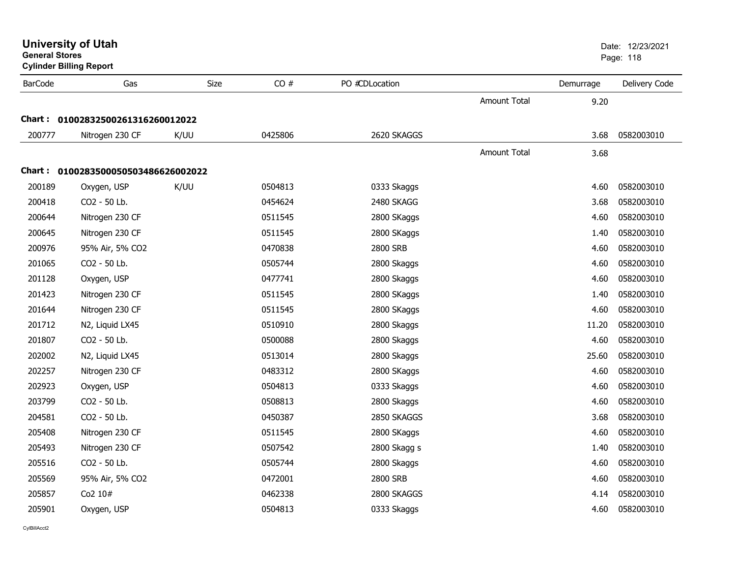| <b>General Stores</b><br><b>Cylinder Billing Report</b> |                                     |      |         |                 |                     |           | Page: 118     |
|---------------------------------------------------------|-------------------------------------|------|---------|-----------------|---------------------|-----------|---------------|
| <b>BarCode</b>                                          | Gas                                 | Size | CO#     | PO #CDLocation  |                     | Demurrage | Delivery Code |
|                                                         |                                     |      |         |                 | Amount Total        | 9.20      |               |
|                                                         | Chart: 01002832500261316260012022   |      |         |                 |                     |           |               |
| 200777                                                  | Nitrogen 230 CF                     | K/UU | 0425806 | 2620 SKAGGS     |                     | 3.68      | 0582003010    |
|                                                         |                                     |      |         |                 | <b>Amount Total</b> | 3.68      |               |
|                                                         | Chart: 0100283500050503486626002022 |      |         |                 |                     |           |               |
| 200189                                                  | Oxygen, USP                         | K/UU | 0504813 | 0333 Skaggs     |                     | 4.60      | 0582003010    |
| 200418                                                  | CO2 - 50 Lb.                        |      | 0454624 | 2480 SKAGG      |                     | 3.68      | 0582003010    |
| 200644                                                  | Nitrogen 230 CF                     |      | 0511545 | 2800 SKaggs     |                     | 4.60      | 0582003010    |
| 200645                                                  | Nitrogen 230 CF                     |      | 0511545 | 2800 SKaggs     |                     | 1.40      | 0582003010    |
| 200976                                                  | 95% Air, 5% CO2                     |      | 0470838 | 2800 SRB        |                     | 4.60      | 0582003010    |
| 201065                                                  | CO2 - 50 Lb.                        |      | 0505744 | 2800 Skaggs     |                     | 4.60      | 0582003010    |
| 201128                                                  | Oxygen, USP                         |      | 0477741 | 2800 Skaggs     |                     | 4.60      | 0582003010    |
| 201423                                                  | Nitrogen 230 CF                     |      | 0511545 | 2800 SKaggs     |                     | 1.40      | 0582003010    |
| 201644                                                  | Nitrogen 230 CF                     |      | 0511545 | 2800 SKaggs     |                     | 4.60      | 0582003010    |
| 201712                                                  | N2, Liquid LX45                     |      | 0510910 | 2800 Skaggs     |                     | 11.20     | 0582003010    |
| 201807                                                  | CO2 - 50 Lb.                        |      | 0500088 | 2800 Skaggs     |                     | 4.60      | 0582003010    |
| 202002                                                  | N2, Liquid LX45                     |      | 0513014 | 2800 Skaggs     |                     | 25.60     | 0582003010    |
| 202257                                                  | Nitrogen 230 CF                     |      | 0483312 | 2800 SKaggs     |                     | 4.60      | 0582003010    |
| 202923                                                  | Oxygen, USP                         |      | 0504813 | 0333 Skaggs     |                     | 4.60      | 0582003010    |
| 203799                                                  | CO2 - 50 Lb.                        |      | 0508813 | 2800 Skaggs     |                     | 4.60      | 0582003010    |
| 204581                                                  | CO2 - 50 Lb.                        |      | 0450387 | 2850 SKAGGS     |                     | 3.68      | 0582003010    |
| 205408                                                  | Nitrogen 230 CF                     |      | 0511545 | 2800 SKaggs     |                     | 4.60      | 0582003010    |
| 205493                                                  | Nitrogen 230 CF                     |      | 0507542 | 2800 Skagg s    |                     | 1.40      | 0582003010    |
| 205516                                                  | CO2 - 50 Lb.                        |      | 0505744 | 2800 Skaggs     |                     | 4.60      | 0582003010    |
| 205569                                                  | 95% Air, 5% CO2                     |      | 0472001 | <b>2800 SRB</b> |                     | 4.60      | 0582003010    |
| 205857                                                  | Co2 10#                             |      | 0462338 | 2800 SKAGGS     |                     | 4.14      | 0582003010    |
| 205901                                                  | Oxygen, USP                         |      | 0504813 | 0333 Skaggs     |                     | 4.60      | 0582003010    |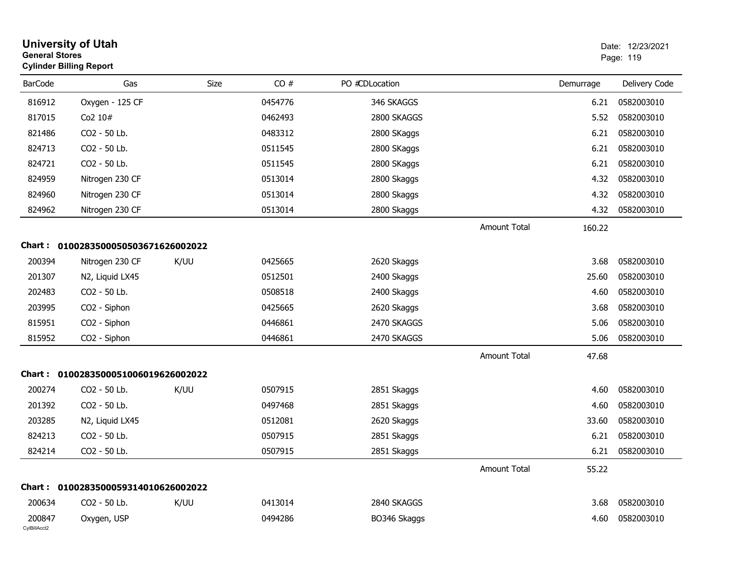| <b>General Stores</b>  | <b>University of Utah</b><br><b>Cylinder Billing Report</b> |      |         |                |                     | Date: 12/23/2021<br>Page: 119 |               |
|------------------------|-------------------------------------------------------------|------|---------|----------------|---------------------|-------------------------------|---------------|
| <b>BarCode</b>         | Gas                                                         | Size | CO#     | PO #CDLocation |                     | Demurrage                     | Delivery Code |
| 816912                 | Oxygen - 125 CF                                             |      | 0454776 | 346 SKAGGS     |                     | 6.21                          | 0582003010    |
| 817015                 | Co2 10#                                                     |      | 0462493 | 2800 SKAGGS    |                     | 5.52                          | 0582003010    |
| 821486                 | CO2 - 50 Lb.                                                |      | 0483312 | 2800 SKaggs    |                     | 6.21                          | 0582003010    |
| 824713                 | CO2 - 50 Lb.                                                |      | 0511545 | 2800 SKaggs    |                     | 6.21                          | 0582003010    |
| 824721                 | CO2 - 50 Lb.                                                |      | 0511545 | 2800 SKaggs    |                     | 6.21                          | 0582003010    |
| 824959                 | Nitrogen 230 CF                                             |      | 0513014 | 2800 Skaggs    |                     | 4.32                          | 0582003010    |
| 824960                 | Nitrogen 230 CF                                             |      | 0513014 | 2800 Skaggs    |                     | 4.32                          | 0582003010    |
| 824962                 | Nitrogen 230 CF                                             |      | 0513014 | 2800 Skaggs    |                     | 4.32                          | 0582003010    |
|                        |                                                             |      |         |                | Amount Total        | 160.22                        |               |
|                        | Chart: 0100283500050503671626002022                         |      |         |                |                     |                               |               |
| 200394                 | Nitrogen 230 CF                                             | K/UU | 0425665 | 2620 Skaggs    |                     | 3.68                          | 0582003010    |
| 201307                 | N2, Liquid LX45                                             |      | 0512501 | 2400 Skaggs    |                     | 25.60                         | 0582003010    |
| 202483                 | CO2 - 50 Lb.                                                |      | 0508518 | 2400 Skaggs    |                     | 4.60                          | 0582003010    |
| 203995                 | CO2 - Siphon                                                |      | 0425665 | 2620 Skaggs    |                     | 3.68                          | 0582003010    |
| 815951                 | CO2 - Siphon                                                |      | 0446861 | 2470 SKAGGS    |                     | 5.06                          | 0582003010    |
| 815952                 | CO2 - Siphon                                                |      | 0446861 | 2470 SKAGGS    |                     | 5.06                          | 0582003010    |
|                        |                                                             |      |         |                | <b>Amount Total</b> | 47.68                         |               |
|                        | Chart: 0100283500051006019626002022                         |      |         |                |                     |                               |               |
| 200274                 | CO2 - 50 Lb.                                                | K/UU | 0507915 | 2851 Skaggs    |                     | 4.60                          | 0582003010    |
| 201392                 | CO2 - 50 Lb.                                                |      | 0497468 | 2851 Skaggs    |                     | 4.60                          | 0582003010    |
| 203285                 | N2, Liquid LX45                                             |      | 0512081 | 2620 Skaggs    |                     | 33.60                         | 0582003010    |
| 824213                 | CO2 - 50 Lb.                                                |      | 0507915 | 2851 Skaggs    |                     | 6.21                          | 0582003010    |
| 824214                 | CO2 - 50 Lb.                                                |      | 0507915 | 2851 Skaggs    |                     | 6.21                          | 0582003010    |
|                        |                                                             |      |         |                | <b>Amount Total</b> | 55.22                         |               |
|                        | Chart: 0100283500059314010626002022                         |      |         |                |                     |                               |               |
| 200634                 | CO2 - 50 Lb.                                                | K/UU | 0413014 | 2840 SKAGGS    |                     | 3.68                          | 0582003010    |
| 200847<br>CylBillAcct2 | Oxygen, USP                                                 |      | 0494286 | BO346 Skaggs   |                     | 4.60                          | 0582003010    |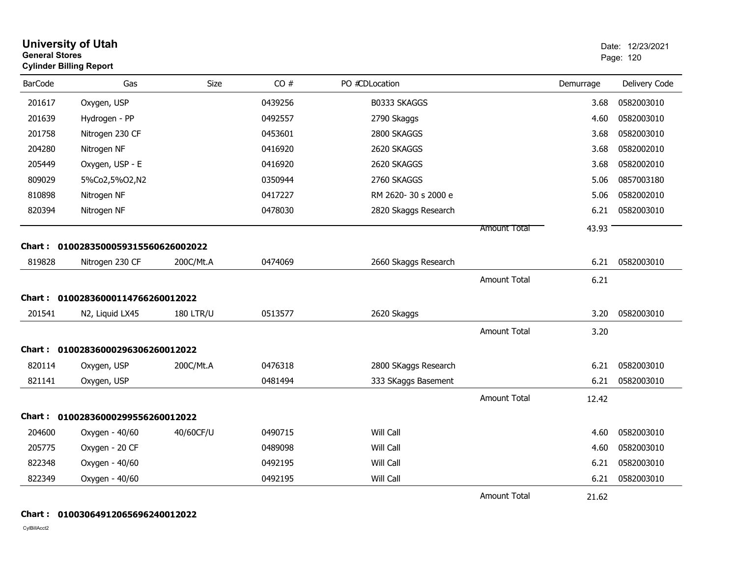| <b>General Stores</b> | <b>University of Utah</b><br><b>Cylinder Billing Report</b> |                  |         |                      |                     |           | Date: 12/23/2021<br>Page: 120 |
|-----------------------|-------------------------------------------------------------|------------------|---------|----------------------|---------------------|-----------|-------------------------------|
| <b>BarCode</b>        | Gas                                                         | <b>Size</b>      | CO#     | PO #CDLocation       |                     | Demurrage | Delivery Code                 |
| 201617                | Oxygen, USP                                                 |                  | 0439256 | B0333 SKAGGS         |                     | 3.68      | 0582003010                    |
| 201639                | Hydrogen - PP                                               |                  | 0492557 | 2790 Skaggs          |                     | 4.60      | 0582003010                    |
| 201758                | Nitrogen 230 CF                                             |                  | 0453601 | 2800 SKAGGS          |                     | 3.68      | 0582003010                    |
| 204280                | Nitrogen NF                                                 |                  | 0416920 | 2620 SKAGGS          |                     | 3.68      | 0582002010                    |
| 205449                | Oxygen, USP - E                                             |                  | 0416920 | 2620 SKAGGS          |                     | 3.68      | 0582002010                    |
| 809029                | 5%Co2,5%O2,N2                                               |                  | 0350944 | 2760 SKAGGS          |                     | 5.06      | 0857003180                    |
| 810898                | Nitrogen NF                                                 |                  | 0417227 | RM 2620-30 s 2000 e  |                     | 5.06      | 0582002010                    |
| 820394                | Nitrogen NF                                                 |                  | 0478030 | 2820 Skaggs Research |                     | 6.21      | 0582003010                    |
|                       |                                                             |                  |         |                      | <b>Amount Total</b> | 43.93     |                               |
|                       | Chart: 0100283500059315560626002022                         |                  |         |                      |                     |           |                               |
| 819828                | Nitrogen 230 CF                                             | 200C/Mt.A        | 0474069 | 2660 Skaggs Research |                     | 6.21      | 0582003010                    |
|                       |                                                             |                  |         |                      | <b>Amount Total</b> | 6.21      |                               |
|                       | Chart: 01002836000114766260012022                           |                  |         |                      |                     |           |                               |
| 201541                | N2, Liquid LX45                                             | <b>180 LTR/U</b> | 0513577 | 2620 Skaggs          |                     | 3.20      | 0582003010                    |
|                       |                                                             |                  |         |                      | <b>Amount Total</b> | 3.20      |                               |
|                       | Chart: 01002836000296306260012022                           |                  |         |                      |                     |           |                               |
| 820114                | Oxygen, USP                                                 | 200C/Mt.A        | 0476318 | 2800 SKaggs Research |                     | 6.21      | 0582003010                    |
| 821141                | Oxygen, USP                                                 |                  | 0481494 | 333 SKaggs Basement  |                     | 6.21      | 0582003010                    |
|                       |                                                             |                  |         |                      | <b>Amount Total</b> | 12.42     |                               |
|                       | Chart: 01002836000299556260012022                           |                  |         |                      |                     |           |                               |
| 204600                | Oxygen - 40/60                                              | 40/60CF/U        | 0490715 | Will Call            |                     | 4.60      | 0582003010                    |
| 205775                | Oxygen - 20 CF                                              |                  | 0489098 | Will Call            |                     | 4.60      | 0582003010                    |
| 822348                | Oxygen - 40/60                                              |                  | 0492195 | Will Call            |                     | 6.21      | 0582003010                    |
| 822349                | Oxygen - 40/60                                              |                  | 0492195 | Will Call            |                     | 6.21      | 0582003010                    |
|                       |                                                             |                  |         |                      | <b>Amount Total</b> | 21.62     |                               |

### **Chart : 01003064912065696240012022**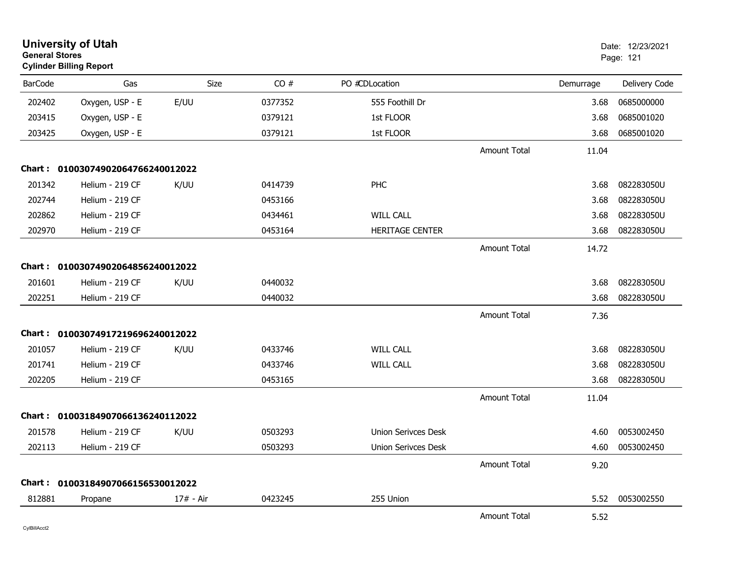| <b>University of Utah</b><br><b>General Stores</b><br><b>Cylinder Billing Report</b> |                                   |           |         |                            |                     | Date: 12/23/2021<br>Page: 121 |               |
|--------------------------------------------------------------------------------------|-----------------------------------|-----------|---------|----------------------------|---------------------|-------------------------------|---------------|
| <b>BarCode</b>                                                                       | Gas                               | Size      | CO#     | PO #CDLocation             |                     | Demurrage                     | Delivery Code |
| 202402                                                                               | Oxygen, USP - E                   | E/UU      | 0377352 | 555 Foothill Dr            |                     | 3.68                          | 0685000000    |
| 203415                                                                               | Oxygen, USP - E                   |           | 0379121 | 1st FLOOR                  |                     | 3.68                          | 0685001020    |
| 203425                                                                               | Oxygen, USP - E                   |           | 0379121 | 1st FLOOR                  |                     | 3.68                          | 0685001020    |
|                                                                                      |                                   |           |         |                            | <b>Amount Total</b> | 11.04                         |               |
|                                                                                      | Chart: 01003074902064766240012022 |           |         |                            |                     |                               |               |
| 201342                                                                               | Helium - 219 CF                   | K/UU      | 0414739 | PHC                        |                     | 3.68                          | 082283050U    |
| 202744                                                                               | Helium - 219 CF                   |           | 0453166 |                            |                     | 3.68                          | 082283050U    |
| 202862                                                                               | Helium - 219 CF                   |           | 0434461 | <b>WILL CALL</b>           |                     | 3.68                          | 082283050U    |
| 202970                                                                               | Helium - 219 CF                   |           | 0453164 | <b>HERITAGE CENTER</b>     |                     | 3.68                          | 082283050U    |
|                                                                                      |                                   |           |         |                            | <b>Amount Total</b> | 14.72                         |               |
|                                                                                      | Chart: 01003074902064856240012022 |           |         |                            |                     |                               |               |
| 201601                                                                               | Helium - 219 CF                   | K/UU      | 0440032 |                            |                     | 3.68                          | 082283050U    |
| 202251                                                                               | Helium - 219 CF                   |           | 0440032 |                            |                     | 3.68                          | 082283050U    |
|                                                                                      |                                   |           |         |                            | <b>Amount Total</b> | 7.36                          |               |
| Chart :                                                                              | 01003074917219696240012022        |           |         |                            |                     |                               |               |
| 201057                                                                               | Helium - 219 CF                   | K/UU      | 0433746 | <b>WILL CALL</b>           |                     | 3.68                          | 082283050U    |
| 201741                                                                               | Helium - 219 CF                   |           | 0433746 | <b>WILL CALL</b>           |                     | 3.68                          | 082283050U    |
| 202205                                                                               | Helium - 219 CF                   |           | 0453165 |                            |                     | 3.68                          | 082283050U    |
|                                                                                      |                                   |           |         |                            | <b>Amount Total</b> | 11.04                         |               |
|                                                                                      | Chart: 01003184907066136240112022 |           |         |                            |                     |                               |               |
| 201578                                                                               | Helium - 219 CF                   | K/UU      | 0503293 | Union Serivces Desk        |                     | 4.60                          | 0053002450    |
| 202113                                                                               | Helium - 219 CF                   |           | 0503293 | <b>Union Serivces Desk</b> |                     | 4.60                          | 0053002450    |
|                                                                                      |                                   |           |         |                            | <b>Amount Total</b> | 9.20                          |               |
|                                                                                      | Chart: 01003184907066156530012022 |           |         |                            |                     |                               |               |
| 812881                                                                               | Propane                           | 17# - Air | 0423245 | 255 Union                  |                     | 5.52                          | 0053002550    |
|                                                                                      |                                   |           |         |                            | <b>Amount Total</b> | 5.52                          |               |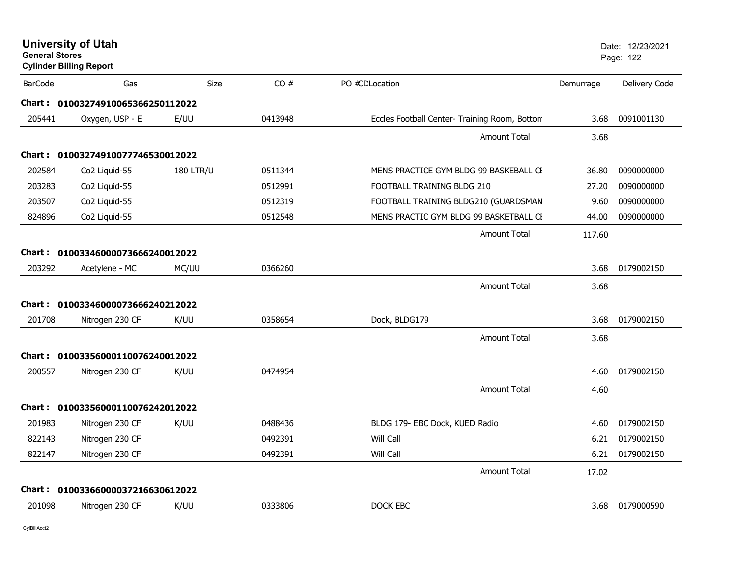| <b>General Stores</b> | <b>University of Utah</b><br><b>Cylinder Billing Report</b> |                  |         |                                               |           | Date: 12/23/2021<br>Page: 122 |
|-----------------------|-------------------------------------------------------------|------------------|---------|-----------------------------------------------|-----------|-------------------------------|
| <b>BarCode</b>        | Gas                                                         | Size             | CO#     | PO #CDLocation                                | Demurrage | Delivery Code                 |
|                       | Chart: 01003274910065366250112022                           |                  |         |                                               |           |                               |
| 205441                | Oxygen, USP - E                                             | E/UU             | 0413948 | Eccles Football Center- Training Room, Bottom | 3.68      | 0091001130                    |
|                       |                                                             |                  |         | <b>Amount Total</b>                           | 3.68      |                               |
| Chart :               | 01003274910077746530012022                                  |                  |         |                                               |           |                               |
| 202584                | Co <sub>2</sub> Liquid-55                                   | <b>180 LTR/U</b> | 0511344 | MENS PRACTICE GYM BLDG 99 BASKEBALL CE        | 36.80     | 0090000000                    |
| 203283                | Co <sub>2</sub> Liquid-55                                   |                  | 0512991 | FOOTBALL TRAINING BLDG 210                    | 27.20     | 0090000000                    |
| 203507                | Co2 Liquid-55                                               |                  | 0512319 | FOOTBALL TRAINING BLDG210 (GUARDSMAN          | 9.60      | 0090000000                    |
| 824896                | Co2 Liquid-55                                               |                  | 0512548 | MENS PRACTIC GYM BLDG 99 BASKETBALL CE        | 44.00     | 0090000000                    |
|                       |                                                             |                  |         | <b>Amount Total</b>                           | 117.60    |                               |
|                       | Chart: 01003346000073666240012022                           |                  |         |                                               |           |                               |
| 203292                | Acetylene - MC                                              | MC/UU            | 0366260 |                                               | 3.68      | 0179002150                    |
|                       |                                                             |                  |         | <b>Amount Total</b>                           | 3.68      |                               |
|                       | Chart: 01003346000073666240212022                           |                  |         |                                               |           |                               |
| 201708                | Nitrogen 230 CF                                             | K/UU             | 0358654 | Dock, BLDG179                                 | 3.68      | 0179002150                    |
|                       |                                                             |                  |         | <b>Amount Total</b>                           | 3.68      |                               |
|                       | Chart: 01003356000110076240012022                           |                  |         |                                               |           |                               |
| 200557                | Nitrogen 230 CF                                             | K/UU             | 0474954 |                                               | 4.60      | 0179002150                    |
|                       |                                                             |                  |         | <b>Amount Total</b>                           | 4.60      |                               |
|                       | Chart: 01003356000110076242012022                           |                  |         |                                               |           |                               |
| 201983                | Nitrogen 230 CF                                             | K/UU             | 0488436 | BLDG 179- EBC Dock, KUED Radio                | 4.60      | 0179002150                    |
| 822143                | Nitrogen 230 CF                                             |                  | 0492391 | Will Call                                     | 6.21      | 0179002150                    |
| 822147                | Nitrogen 230 CF                                             |                  | 0492391 | Will Call                                     | 6.21      | 0179002150                    |
|                       |                                                             |                  |         | <b>Amount Total</b>                           | 17.02     |                               |
|                       | Chart: 01003366000037216630612022                           |                  |         |                                               |           |                               |
| 201098                | Nitrogen 230 CF                                             | K/UU             | 0333806 | DOCK EBC                                      | 3.68      | 0179000590                    |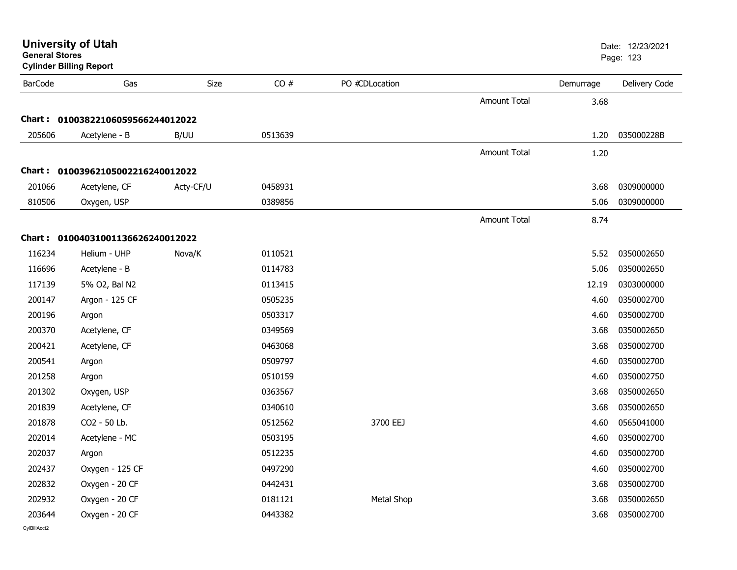| <b>General Stores</b> | <b>University of Utah</b><br><b>Cylinder Billing Report</b> |           |         |                   |                     |           | Date: 12/23/2021<br>Page: 123 |
|-----------------------|-------------------------------------------------------------|-----------|---------|-------------------|---------------------|-----------|-------------------------------|
| <b>BarCode</b>        | Gas                                                         | Size      | CO#     | PO #CDLocation    |                     | Demurrage | Delivery Code                 |
|                       |                                                             |           |         |                   | <b>Amount Total</b> | 3.68      |                               |
|                       | Chart: 01003822106059566244012022                           |           |         |                   |                     |           |                               |
| 205606                | Acetylene - B                                               | B/UU      | 0513639 |                   |                     | 1.20      | 035000228B                    |
|                       |                                                             |           |         |                   | <b>Amount Total</b> | 1.20      |                               |
|                       | Chart: 01003962105002216240012022                           |           |         |                   |                     |           |                               |
| 201066                | Acetylene, CF                                               | Acty-CF/U | 0458931 |                   |                     | 3.68      | 0309000000                    |
| 810506                | Oxygen, USP                                                 |           | 0389856 |                   |                     | 5.06      | 0309000000                    |
|                       |                                                             |           |         |                   | <b>Amount Total</b> | 8.74      |                               |
|                       | Chart: 01004031001136626240012022                           |           |         |                   |                     |           |                               |
| 116234                | Helium - UHP                                                | Nova/K    | 0110521 |                   |                     | 5.52      | 0350002650                    |
| 116696                | Acetylene - B                                               |           | 0114783 |                   |                     | 5.06      | 0350002650                    |
| 117139                | 5% O2, Bal N2                                               |           | 0113415 |                   |                     | 12.19     | 0303000000                    |
| 200147                | Argon - 125 CF                                              |           | 0505235 |                   |                     | 4.60      | 0350002700                    |
| 200196                | Argon                                                       |           | 0503317 |                   |                     | 4.60      | 0350002700                    |
| 200370                | Acetylene, CF                                               |           | 0349569 |                   |                     | 3.68      | 0350002650                    |
| 200421                | Acetylene, CF                                               |           | 0463068 |                   |                     | 3.68      | 0350002700                    |
| 200541                | Argon                                                       |           | 0509797 |                   |                     | 4.60      | 0350002700                    |
| 201258                | Argon                                                       |           | 0510159 |                   |                     | 4.60      | 0350002750                    |
| 201302                | Oxygen, USP                                                 |           | 0363567 |                   |                     | 3.68      | 0350002650                    |
| 201839                | Acetylene, CF                                               |           | 0340610 |                   |                     | 3.68      | 0350002650                    |
| 201878                | CO2 - 50 Lb.                                                |           | 0512562 | 3700 EEJ          |                     | 4.60      | 0565041000                    |
| 202014                | Acetylene - MC                                              |           | 0503195 |                   |                     | 4.60      | 0350002700                    |
| 202037                | Argon                                                       |           | 0512235 |                   |                     | 4.60      | 0350002700                    |
| 202437                | Oxygen - 125 CF                                             |           | 0497290 |                   |                     | 4.60      | 0350002700                    |
| 202832                | Oxygen - 20 CF                                              |           | 0442431 |                   |                     | 3.68      | 0350002700                    |
| 202932                | Oxygen - 20 CF                                              |           | 0181121 | <b>Metal Shop</b> |                     | 3.68      | 0350002650                    |
| 203644                | Oxygen - 20 CF                                              |           | 0443382 |                   |                     | 3.68      | 0350002700                    |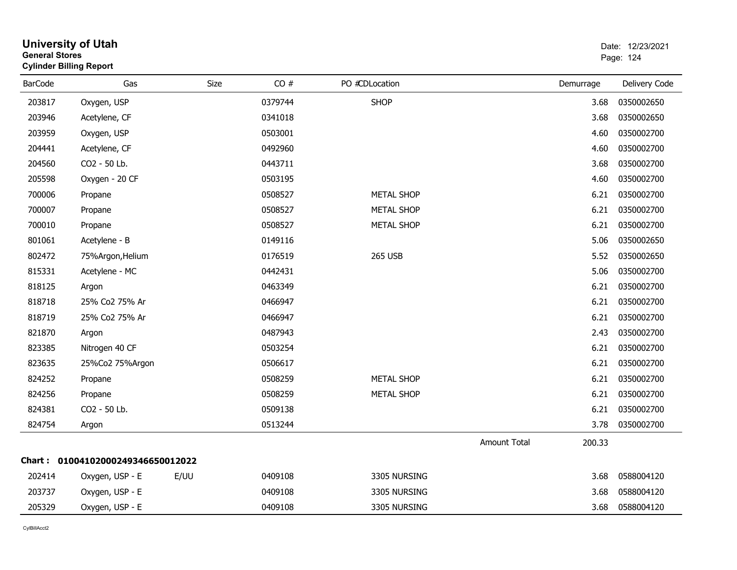|                | General Stores<br><b>Cylinder Billing Report</b> |      |         |                   |                     |           |               |
|----------------|--------------------------------------------------|------|---------|-------------------|---------------------|-----------|---------------|
| <b>BarCode</b> | Gas                                              | Size | CO#     | PO #CDLocation    |                     | Demurrage | Delivery Code |
| 203817         | Oxygen, USP                                      |      | 0379744 | <b>SHOP</b>       |                     | 3.68      | 0350002650    |
| 203946         | Acetylene, CF                                    |      | 0341018 |                   |                     | 3.68      | 0350002650    |
| 203959         | Oxygen, USP                                      |      | 0503001 |                   |                     | 4.60      | 0350002700    |
| 204441         | Acetylene, CF                                    |      | 0492960 |                   |                     | 4.60      | 0350002700    |
| 204560         | CO2 - 50 Lb.                                     |      | 0443711 |                   |                     | 3.68      | 0350002700    |
| 205598         | Oxygen - 20 CF                                   |      | 0503195 |                   |                     | 4.60      | 0350002700    |
| 700006         | Propane                                          |      | 0508527 | <b>METAL SHOP</b> |                     | 6.21      | 0350002700    |
| 700007         | Propane                                          |      | 0508527 | <b>METAL SHOP</b> |                     | 6.21      | 0350002700    |
| 700010         | Propane                                          |      | 0508527 | <b>METAL SHOP</b> |                     | 6.21      | 0350002700    |
| 801061         | Acetylene - B                                    |      | 0149116 |                   |                     | 5.06      | 0350002650    |
| 802472         | 75%Argon, Helium                                 |      | 0176519 | <b>265 USB</b>    |                     | 5.52      | 0350002650    |
| 815331         | Acetylene - MC                                   |      | 0442431 |                   |                     | 5.06      | 0350002700    |
| 818125         | Argon                                            |      | 0463349 |                   |                     | 6.21      | 0350002700    |
| 818718         | 25% Co2 75% Ar                                   |      | 0466947 |                   |                     | 6.21      | 0350002700    |
| 818719         | 25% Co2 75% Ar                                   |      | 0466947 |                   |                     | 6.21      | 0350002700    |
| 821870         | Argon                                            |      | 0487943 |                   |                     | 2.43      | 0350002700    |
| 823385         | Nitrogen 40 CF                                   |      | 0503254 |                   |                     | 6.21      | 0350002700    |
| 823635         | 25%Co2 75%Argon                                  |      | 0506617 |                   |                     | 6.21      | 0350002700    |
| 824252         | Propane                                          |      | 0508259 | <b>METAL SHOP</b> |                     | 6.21      | 0350002700    |
| 824256         | Propane                                          |      | 0508259 | <b>METAL SHOP</b> |                     | 6.21      | 0350002700    |
| 824381         | CO2 - 50 Lb.                                     |      | 0509138 |                   |                     | 6.21      | 0350002700    |
| 824754         | Argon                                            |      | 0513244 |                   |                     | 3.78      | 0350002700    |
|                |                                                  |      |         |                   | <b>Amount Total</b> | 200.33    |               |
|                | Chart: 01004102000249346650012022                |      |         |                   |                     |           |               |
| 202414         | Oxygen, USP - E                                  | E/UU | 0409108 | 3305 NURSING      |                     | 3.68      | 0588004120    |
| 203737         | Oxygen, USP - E                                  |      | 0409108 | 3305 NURSING      |                     | 3.68      | 0588004120    |
| 205329         | Oxygen, USP - E                                  |      | 0409108 | 3305 NURSING      |                     | 3.68      | 0588004120    |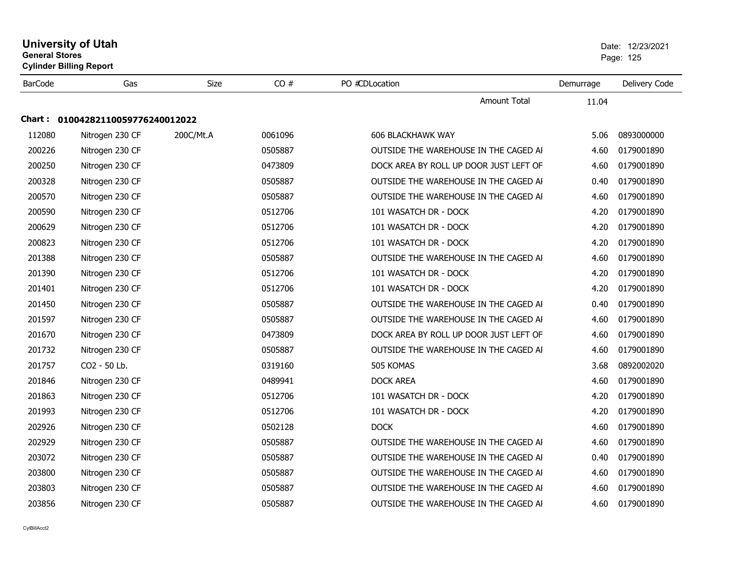|                | <b>University of Utah</b><br><b>General Stores</b><br><b>Cylinder Billing Report</b> |             |         |                                        | Date: 12/23/2021<br>Page: 125 |               |
|----------------|--------------------------------------------------------------------------------------|-------------|---------|----------------------------------------|-------------------------------|---------------|
| <b>BarCode</b> | Gas                                                                                  | <b>Size</b> | CO#     | PO #CDLocation                         | Demurrage                     | Delivery Code |
|                |                                                                                      |             |         | <b>Amount Total</b>                    | 11.04                         |               |
|                | Chart: 01004282110059776240012022                                                    |             |         |                                        |                               |               |
| 112080         | Nitrogen 230 CF                                                                      | 200C/Mt.A   | 0061096 | <b>606 BLACKHAWK WAY</b>               | 5.06                          | 0893000000    |
| 200226         | Nitrogen 230 CF                                                                      |             | 0505887 | OUTSIDE THE WAREHOUSE IN THE CAGED AI  | 4.60                          | 0179001890    |
| 200250         | Nitrogen 230 CF                                                                      |             | 0473809 | DOCK AREA BY ROLL UP DOOR JUST LEFT OF | 4.60                          | 0179001890    |
| 200328         | Nitrogen 230 CF                                                                      |             | 0505887 | OUTSIDE THE WAREHOUSE IN THE CAGED AI  | 0.40                          | 0179001890    |
| 200570         | Nitrogen 230 CF                                                                      |             | 0505887 | OUTSIDE THE WAREHOUSE IN THE CAGED AI  | 4.60                          | 0179001890    |
| 200590         | Nitrogen 230 CF                                                                      |             | 0512706 | 101 WASATCH DR - DOCK                  | 4.20                          | 0179001890    |
| 200629         | Nitrogen 230 CF                                                                      |             | 0512706 | 101 WASATCH DR - DOCK                  | 4.20                          | 0179001890    |
| 200823         | Nitrogen 230 CF                                                                      |             | 0512706 | 101 WASATCH DR - DOCK                  | 4.20                          | 0179001890    |
| 201388         | Nitrogen 230 CF                                                                      |             | 0505887 | OUTSIDE THE WAREHOUSE IN THE CAGED AI  | 4.60                          | 0179001890    |
| 201390         | Nitrogen 230 CF                                                                      |             | 0512706 | 101 WASATCH DR - DOCK                  | 4.20                          | 0179001890    |
| 201401         | Nitrogen 230 CF                                                                      |             | 0512706 | 101 WASATCH DR - DOCK                  | 4.20                          | 0179001890    |
| 201450         | Nitrogen 230 CF                                                                      |             | 0505887 | OUTSIDE THE WAREHOUSE IN THE CAGED AI  | 0.40                          | 0179001890    |
| 201597         | Nitrogen 230 CF                                                                      |             | 0505887 | OUTSIDE THE WAREHOUSE IN THE CAGED AI  | 4.60                          | 0179001890    |
| 201670         | Nitrogen 230 CF                                                                      |             | 0473809 | DOCK AREA BY ROLL UP DOOR JUST LEFT OF | 4.60                          | 0179001890    |
| 201732         | Nitrogen 230 CF                                                                      |             | 0505887 | OUTSIDE THE WAREHOUSE IN THE CAGED AI  | 4.60                          | 0179001890    |
| 201757         | CO2 - 50 Lb.                                                                         |             | 0319160 | 505 KOMAS                              | 3.68                          | 0892002020    |
| 201846         | Nitrogen 230 CF                                                                      |             | 0489941 | <b>DOCK AREA</b>                       | 4.60                          | 0179001890    |
| 201863         | Nitrogen 230 CF                                                                      |             | 0512706 | 101 WASATCH DR - DOCK                  | 4.20                          | 0179001890    |
| 201993         | Nitrogen 230 CF                                                                      |             | 0512706 | 101 WASATCH DR - DOCK                  | 4.20                          | 0179001890    |
| 202926         | Nitrogen 230 CF                                                                      |             | 0502128 | <b>DOCK</b>                            | 4.60                          | 0179001890    |
| 202929         | Nitrogen 230 CF                                                                      |             | 0505887 | OUTSIDE THE WAREHOUSE IN THE CAGED AI  | 4.60                          | 0179001890    |
| 203072         | Nitrogen 230 CF                                                                      |             | 0505887 | OUTSIDE THE WAREHOUSE IN THE CAGED AI  | 0.40                          | 0179001890    |
| 203800         | Nitrogen 230 CF                                                                      |             | 0505887 | OUTSIDE THE WAREHOUSE IN THE CAGED AI  | 4.60                          | 0179001890    |
| 203803         | Nitrogen 230 CF                                                                      |             | 0505887 | OUTSIDE THE WAREHOUSE IN THE CAGED AI  | 4.60                          | 0179001890    |
| 203856         | Nitrogen 230 CF                                                                      |             | 0505887 | OUTSIDE THE WAREHOUSE IN THE CAGED AI  | 4.60                          | 0179001890    |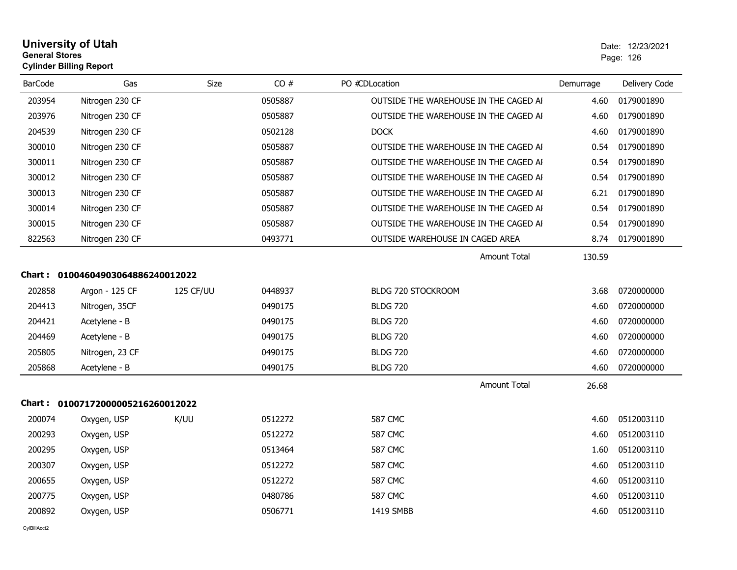| <b>University of Utah</b>      | Date: 12/2 |  |
|--------------------------------|------------|--|
| <b>General Stores</b>          | Page: 126  |  |
| <b>Cylinder Billing Report</b> |            |  |

| <b>BarCode</b> | Gas                               | <b>Size</b> | CO#     | PO #CDLocation                        | Demurrage | Delivery Code |
|----------------|-----------------------------------|-------------|---------|---------------------------------------|-----------|---------------|
| 203954         | Nitrogen 230 CF                   |             | 0505887 | OUTSIDE THE WAREHOUSE IN THE CAGED AI | 4.60      | 0179001890    |
| 203976         | Nitrogen 230 CF                   |             | 0505887 | OUTSIDE THE WAREHOUSE IN THE CAGED AI | 4.60      | 0179001890    |
| 204539         | Nitrogen 230 CF                   |             | 0502128 | <b>DOCK</b>                           | 4.60      | 0179001890    |
| 300010         | Nitrogen 230 CF                   |             | 0505887 | OUTSIDE THE WAREHOUSE IN THE CAGED AI | 0.54      | 0179001890    |
| 300011         | Nitrogen 230 CF                   |             | 0505887 | OUTSIDE THE WAREHOUSE IN THE CAGED AI | 0.54      | 0179001890    |
| 300012         | Nitrogen 230 CF                   |             | 0505887 | OUTSIDE THE WAREHOUSE IN THE CAGED AI | 0.54      | 0179001890    |
| 300013         | Nitrogen 230 CF                   |             | 0505887 | OUTSIDE THE WAREHOUSE IN THE CAGED AI | 6.21      | 0179001890    |
| 300014         | Nitrogen 230 CF                   |             | 0505887 | OUTSIDE THE WAREHOUSE IN THE CAGED AI | 0.54      | 0179001890    |
| 300015         | Nitrogen 230 CF                   |             | 0505887 | OUTSIDE THE WAREHOUSE IN THE CAGED AI | 0.54      | 0179001890    |
| 822563         | Nitrogen 230 CF                   |             | 0493771 | OUTSIDE WAREHOUSE IN CAGED AREA       | 8.74      | 0179001890    |
|                |                                   |             |         | Amount Total                          | 130.59    |               |
|                | Chart: 01004604903064886240012022 |             |         |                                       |           |               |
| 202858         | Argon - 125 CF                    | 125 CF/UU   | 0448937 | BLDG 720 STOCKROOM                    | 3.68      | 0720000000    |
| 204413         | Nitrogen, 35CF                    |             | 0490175 | <b>BLDG 720</b>                       | 4.60      | 0720000000    |
| 204421         | Acetylene - B                     |             | 0490175 | <b>BLDG 720</b>                       | 4.60      | 0720000000    |
| 204469         | Acetylene - B                     |             | 0490175 | <b>BLDG 720</b>                       | 4.60      | 0720000000    |
| 205805         | Nitrogen, 23 CF                   |             | 0490175 | <b>BLDG 720</b>                       | 4.60      | 0720000000    |
| 205868         | Acetylene - B                     |             | 0490175 | <b>BLDG 720</b>                       | 4.60      | 0720000000    |
|                |                                   |             |         | <b>Amount Total</b>                   | 26.68     |               |
|                | Chart: 01007172000005216260012022 |             |         |                                       |           |               |
| 200074         | Oxygen, USP                       | K/UU        | 0512272 | <b>587 CMC</b>                        | 4.60      | 0512003110    |
| 200293         | Oxygen, USP                       |             | 0512272 | <b>587 CMC</b>                        | 4.60      | 0512003110    |
| 200295         | Oxygen, USP                       |             | 0513464 | <b>587 CMC</b>                        | 1.60      | 0512003110    |
| 200307         | Oxygen, USP                       |             | 0512272 | <b>587 CMC</b>                        | 4.60      | 0512003110    |
| 200655         | Oxygen, USP                       |             | 0512272 | <b>587 CMC</b>                        | 4.60      | 0512003110    |
| 200775         | Oxygen, USP                       |             | 0480786 | <b>587 CMC</b>                        | 4.60      | 0512003110    |
| 200892         | Oxygen, USP                       |             | 0506771 | 1419 SMBB                             | 4.60      | 0512003110    |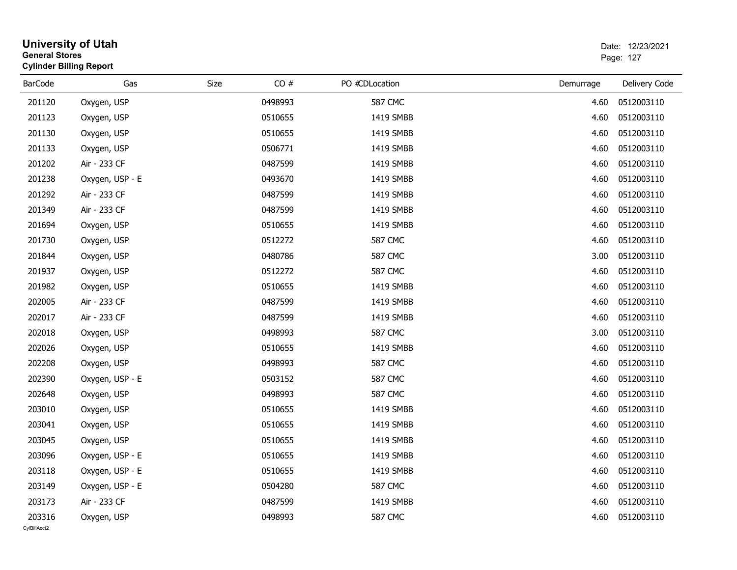| <b>University of Utah</b><br><b>General Stores</b><br><b>Cylinder Billing Report</b> |                 |      |         |                |           | Date: 12/23/2021<br>Page: 127 |  |
|--------------------------------------------------------------------------------------|-----------------|------|---------|----------------|-----------|-------------------------------|--|
| <b>BarCode</b>                                                                       | Gas             | Size | CO#     | PO #CDLocation | Demurrage | Delivery Code                 |  |
| 201120                                                                               | Oxygen, USP     |      | 0498993 | <b>587 CMC</b> | 4.60      | 0512003110                    |  |
| 201123                                                                               | Oxygen, USP     |      | 0510655 | 1419 SMBB      | 4.60      | 0512003110                    |  |
| 201130                                                                               | Oxygen, USP     |      | 0510655 | 1419 SMBB      | 4.60      | 0512003110                    |  |
| 201133                                                                               | Oxygen, USP     |      | 0506771 | 1419 SMBB      | 4.60      | 0512003110                    |  |
| 201202                                                                               | Air - 233 CF    |      | 0487599 | 1419 SMBB      | 4.60      | 0512003110                    |  |
| 201238                                                                               | Oxygen, USP - E |      | 0493670 | 1419 SMBB      | 4.60      | 0512003110                    |  |
| 201292                                                                               | Air - 233 CF    |      | 0487599 | 1419 SMBB      | 4.60      | 0512003110                    |  |
| 201349                                                                               | Air - 233 CF    |      | 0487599 | 1419 SMBB      | 4.60      | 0512003110                    |  |
| 201694                                                                               | Oxygen, USP     |      | 0510655 | 1419 SMBB      | 4.60      | 0512003110                    |  |
| 201730                                                                               | Oxygen, USP     |      | 0512272 | <b>587 CMC</b> | 4.60      | 0512003110                    |  |
| 201844                                                                               | Oxygen, USP     |      | 0480786 | 587 CMC        | 3.00      | 0512003110                    |  |
| 201937                                                                               | Oxygen, USP     |      | 0512272 | <b>587 CMC</b> | 4.60      | 0512003110                    |  |
| 201982                                                                               | Oxygen, USP     |      | 0510655 | 1419 SMBB      | 4.60      | 0512003110                    |  |
| 202005                                                                               | Air - 233 CF    |      | 0487599 | 1419 SMBB      | 4.60      | 0512003110                    |  |
| 202017                                                                               | Air - 233 CF    |      | 0487599 | 1419 SMBB      | 4.60      | 0512003110                    |  |
| 202018                                                                               | Oxygen, USP     |      | 0498993 | <b>587 CMC</b> | 3.00      | 0512003110                    |  |
| 202026                                                                               | Oxygen, USP     |      | 0510655 | 1419 SMBB      | 4.60      | 0512003110                    |  |
| 202208                                                                               | Oxygen, USP     |      | 0498993 | <b>587 CMC</b> | 4.60      | 0512003110                    |  |
| 202390                                                                               | Oxygen, USP - E |      | 0503152 | <b>587 CMC</b> | 4.60      | 0512003110                    |  |
| 202648                                                                               | Oxygen, USP     |      | 0498993 | <b>587 CMC</b> | 4.60      | 0512003110                    |  |
| 203010                                                                               | Oxygen, USP     |      | 0510655 | 1419 SMBB      | 4.60      | 0512003110                    |  |
| 203041                                                                               | Oxygen, USP     |      | 0510655 | 1419 SMBB      | 4.60      | 0512003110                    |  |
| 203045                                                                               | Oxygen, USP     |      | 0510655 | 1419 SMBB      | 4.60      | 0512003110                    |  |
| 203096                                                                               | Oxygen, USP - E |      | 0510655 | 1419 SMBB      | 4.60      | 0512003110                    |  |
| 203118                                                                               | Oxygen, USP - E |      | 0510655 | 1419 SMBB      | 4.60      | 0512003110                    |  |
| 203149                                                                               | Oxygen, USP - E |      | 0504280 | <b>587 CMC</b> | 4.60      | 0512003110                    |  |
| 203173                                                                               | Air - 233 CF    |      | 0487599 | 1419 SMBB      | 4.60      | 0512003110                    |  |
| 203316<br>CylBillAcct2                                                               | Oxygen, USP     |      | 0498993 | <b>587 CMC</b> | 4.60      | 0512003110                    |  |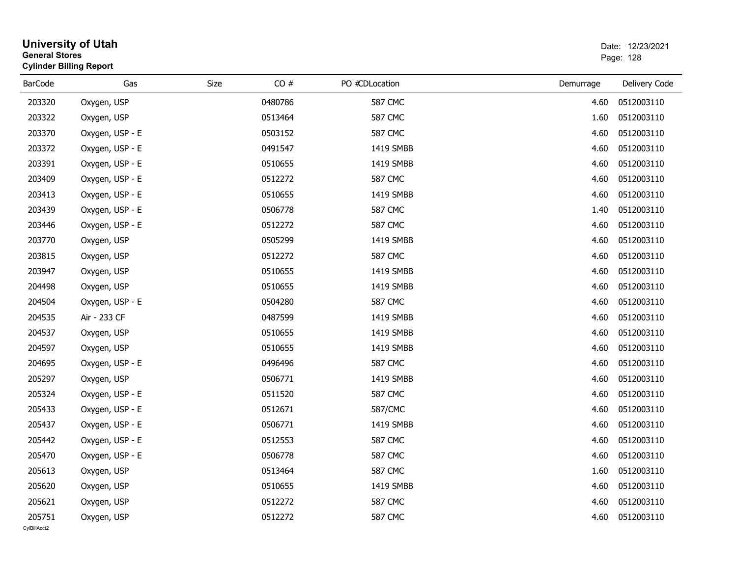| <b>University of Utah</b><br><b>General Stores</b><br><b>Cylinder Billing Report</b> |                 |      |         |                |           | Date: 12/23/2021<br>Page: 128 |  |  |
|--------------------------------------------------------------------------------------|-----------------|------|---------|----------------|-----------|-------------------------------|--|--|
| <b>BarCode</b>                                                                       | Gas             | Size | CO#     | PO #CDLocation | Demurrage | Delivery Code                 |  |  |
| 203320                                                                               | Oxygen, USP     |      | 0480786 | <b>587 CMC</b> | 4.60      | 0512003110                    |  |  |
| 203322                                                                               | Oxygen, USP     |      | 0513464 | <b>587 CMC</b> | 1.60      | 0512003110                    |  |  |
| 203370                                                                               | Oxygen, USP - E |      | 0503152 | <b>587 CMC</b> | 4.60      | 0512003110                    |  |  |
| 203372                                                                               | Oxygen, USP - E |      | 0491547 | 1419 SMBB      | 4.60      | 0512003110                    |  |  |
| 203391                                                                               | Oxygen, USP - E |      | 0510655 | 1419 SMBB      | 4.60      | 0512003110                    |  |  |
| 203409                                                                               | Oxygen, USP - E |      | 0512272 | <b>587 CMC</b> | 4.60      | 0512003110                    |  |  |
| 203413                                                                               | Oxygen, USP - E |      | 0510655 | 1419 SMBB      | 4.60      | 0512003110                    |  |  |
| 203439                                                                               | Oxygen, USP - E |      | 0506778 | <b>587 CMC</b> | 1.40      | 0512003110                    |  |  |
| 203446                                                                               | Oxygen, USP - E |      | 0512272 | <b>587 CMC</b> | 4.60      | 0512003110                    |  |  |
| 203770                                                                               | Oxygen, USP     |      | 0505299 | 1419 SMBB      | 4.60      | 0512003110                    |  |  |
| 203815                                                                               | Oxygen, USP     |      | 0512272 | <b>587 CMC</b> | 4.60      | 0512003110                    |  |  |
| 203947                                                                               | Oxygen, USP     |      | 0510655 | 1419 SMBB      | 4.60      | 0512003110                    |  |  |
| 204498                                                                               | Oxygen, USP     |      | 0510655 | 1419 SMBB      | 4.60      | 0512003110                    |  |  |
| 204504                                                                               | Oxygen, USP - E |      | 0504280 | <b>587 CMC</b> | 4.60      | 0512003110                    |  |  |
| 204535                                                                               | Air - 233 CF    |      | 0487599 | 1419 SMBB      | 4.60      | 0512003110                    |  |  |
| 204537                                                                               | Oxygen, USP     |      | 0510655 | 1419 SMBB      | 4.60      | 0512003110                    |  |  |
| 204597                                                                               | Oxygen, USP     |      | 0510655 | 1419 SMBB      | 4.60      | 0512003110                    |  |  |
| 204695                                                                               | Oxygen, USP - E |      | 0496496 | <b>587 CMC</b> | 4.60      | 0512003110                    |  |  |
| 205297                                                                               | Oxygen, USP     |      | 0506771 | 1419 SMBB      | 4.60      | 0512003110                    |  |  |
| 205324                                                                               | Oxygen, USP - E |      | 0511520 | <b>587 CMC</b> | 4.60      | 0512003110                    |  |  |
| 205433                                                                               | Oxygen, USP - E |      | 0512671 | 587/CMC        | 4.60      | 0512003110                    |  |  |
| 205437                                                                               | Oxygen, USP - E |      | 0506771 | 1419 SMBB      | 4.60      | 0512003110                    |  |  |
| 205442                                                                               | Oxygen, USP - E |      | 0512553 | <b>587 CMC</b> | 4.60      | 0512003110                    |  |  |
| 205470                                                                               | Oxygen, USP - E |      | 0506778 | <b>587 CMC</b> | 4.60      | 0512003110                    |  |  |
| 205613                                                                               | Oxygen, USP     |      | 0513464 | <b>587 CMC</b> | 1.60      | 0512003110                    |  |  |
| 205620                                                                               | Oxygen, USP     |      | 0510655 | 1419 SMBB      | 4.60      | 0512003110                    |  |  |
| 205621                                                                               | Oxygen, USP     |      | 0512272 | <b>587 CMC</b> | 4.60      | 0512003110                    |  |  |
| 205751<br>CylBillAcct2                                                               | Oxygen, USP     |      | 0512272 | <b>587 CMC</b> | 4.60      | 0512003110                    |  |  |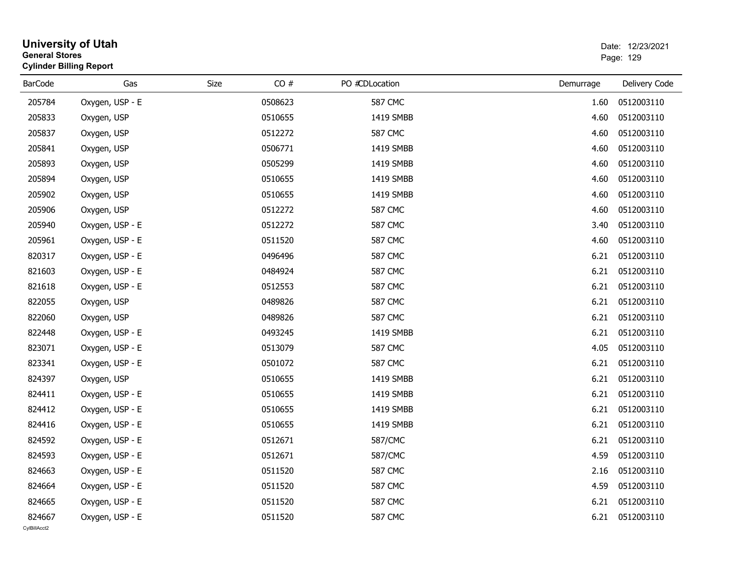|                        | <b>University of Utah</b><br><b>General Stores</b><br><b>Cylinder Billing Report</b> |             |         |                |           | Date: 12/23/2021<br>Page: 129 |  |  |
|------------------------|--------------------------------------------------------------------------------------|-------------|---------|----------------|-----------|-------------------------------|--|--|
| <b>BarCode</b>         | Gas                                                                                  | <b>Size</b> | CO#     | PO #CDLocation | Demurrage | Delivery Code                 |  |  |
| 205784                 | Oxygen, USP - E                                                                      |             | 0508623 | <b>587 CMC</b> | 1.60      | 0512003110                    |  |  |
| 205833                 | Oxygen, USP                                                                          |             | 0510655 | 1419 SMBB      | 4.60      | 0512003110                    |  |  |
| 205837                 | Oxygen, USP                                                                          |             | 0512272 | <b>587 CMC</b> | 4.60      | 0512003110                    |  |  |
| 205841                 | Oxygen, USP                                                                          |             | 0506771 | 1419 SMBB      | 4.60      | 0512003110                    |  |  |
| 205893                 | Oxygen, USP                                                                          |             | 0505299 | 1419 SMBB      | 4.60      | 0512003110                    |  |  |
| 205894                 | Oxygen, USP                                                                          |             | 0510655 | 1419 SMBB      | 4.60      | 0512003110                    |  |  |
| 205902                 | Oxygen, USP                                                                          |             | 0510655 | 1419 SMBB      | 4.60      | 0512003110                    |  |  |
| 205906                 | Oxygen, USP                                                                          |             | 0512272 | <b>587 CMC</b> | 4.60      | 0512003110                    |  |  |
| 205940                 | Oxygen, USP - E                                                                      |             | 0512272 | <b>587 CMC</b> | 3.40      | 0512003110                    |  |  |
| 205961                 | Oxygen, USP - E                                                                      |             | 0511520 | <b>587 CMC</b> | 4.60      | 0512003110                    |  |  |
| 820317                 | Oxygen, USP - E                                                                      |             | 0496496 | <b>587 CMC</b> | 6.21      | 0512003110                    |  |  |
| 821603                 | Oxygen, USP - E                                                                      |             | 0484924 | 587 CMC        | 6.21      | 0512003110                    |  |  |
| 821618                 | Oxygen, USP - E                                                                      |             | 0512553 | <b>587 CMC</b> | 6.21      | 0512003110                    |  |  |
| 822055                 | Oxygen, USP                                                                          |             | 0489826 | <b>587 CMC</b> | 6.21      | 0512003110                    |  |  |
| 822060                 | Oxygen, USP                                                                          |             | 0489826 | <b>587 CMC</b> | 6.21      | 0512003110                    |  |  |
| 822448                 | Oxygen, USP - E                                                                      |             | 0493245 | 1419 SMBB      | 6.21      | 0512003110                    |  |  |
| 823071                 | Oxygen, USP - E                                                                      |             | 0513079 | <b>587 CMC</b> | 4.05      | 0512003110                    |  |  |
| 823341                 | Oxygen, USP - E                                                                      |             | 0501072 | <b>587 CMC</b> | 6.21      | 0512003110                    |  |  |
| 824397                 | Oxygen, USP                                                                          |             | 0510655 | 1419 SMBB      | 6.21      | 0512003110                    |  |  |
| 824411                 | Oxygen, USP - E                                                                      |             | 0510655 | 1419 SMBB      | 6.21      | 0512003110                    |  |  |
| 824412                 | Oxygen, USP - E                                                                      |             | 0510655 | 1419 SMBB      | 6.21      | 0512003110                    |  |  |
| 824416                 | Oxygen, USP - E                                                                      |             | 0510655 | 1419 SMBB      | 6.21      | 0512003110                    |  |  |
| 824592                 | Oxygen, USP - E                                                                      |             | 0512671 | 587/CMC        | 6.21      | 0512003110                    |  |  |
| 824593                 | Oxygen, USP - E                                                                      |             | 0512671 | 587/CMC        | 4.59      | 0512003110                    |  |  |
| 824663                 | Oxygen, USP - E                                                                      |             | 0511520 | <b>587 CMC</b> | 2.16      | 0512003110                    |  |  |
| 824664                 | Oxygen, USP - E                                                                      |             | 0511520 | <b>587 CMC</b> | 4.59      | 0512003110                    |  |  |
| 824665                 | Oxygen, USP - E                                                                      |             | 0511520 | <b>587 CMC</b> | 6.21      | 0512003110                    |  |  |
| 824667<br>CvIBillAcct2 | Oxygen, USP - E                                                                      |             | 0511520 | <b>587 CMC</b> | 6.21      | 0512003110                    |  |  |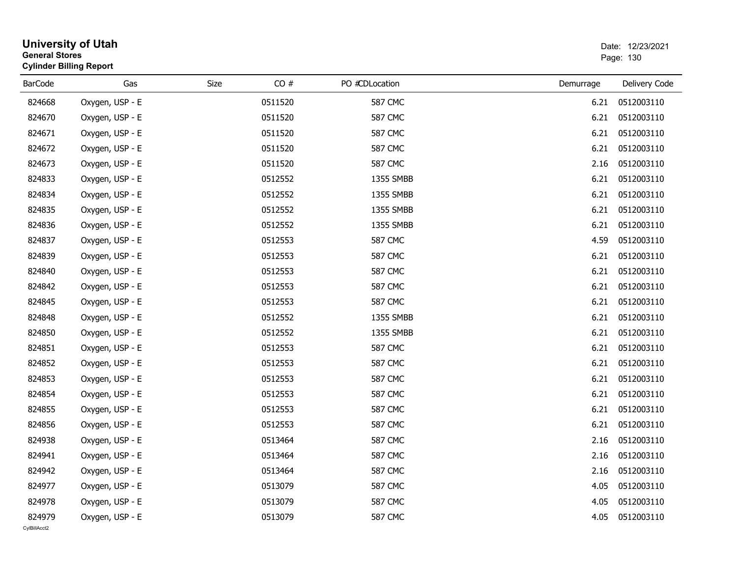| <b>University of Utah</b><br><b>General Stores</b><br><b>Cylinder Billing Report</b> |                 |             |         |                | Date: 12/23/2021<br>Page: 130 |               |
|--------------------------------------------------------------------------------------|-----------------|-------------|---------|----------------|-------------------------------|---------------|
| <b>BarCode</b>                                                                       | Gas             | <b>Size</b> | CO#     | PO #CDLocation | Demurrage                     | Delivery Code |
| 824668                                                                               | Oxygen, USP - E |             | 0511520 | <b>587 CMC</b> | 6.21                          | 0512003110    |
| 824670                                                                               | Oxygen, USP - E |             | 0511520 | <b>587 CMC</b> | 6.21                          | 0512003110    |
| 824671                                                                               | Oxygen, USP - E |             | 0511520 | <b>587 CMC</b> | 6.21                          | 0512003110    |
| 824672                                                                               | Oxygen, USP - E |             | 0511520 | <b>587 CMC</b> | 6.21                          | 0512003110    |
| 824673                                                                               | Oxygen, USP - E |             | 0511520 | <b>587 CMC</b> | 2.16                          | 0512003110    |
| 824833                                                                               | Oxygen, USP - E |             | 0512552 | 1355 SMBB      | 6.21                          | 0512003110    |
| 824834                                                                               | Oxygen, USP - E |             | 0512552 | 1355 SMBB      | 6.21                          | 0512003110    |
| 824835                                                                               | Oxygen, USP - E |             | 0512552 | 1355 SMBB      | 6.21                          | 0512003110    |
| 824836                                                                               | Oxygen, USP - E |             | 0512552 | 1355 SMBB      | 6.21                          | 0512003110    |
| 824837                                                                               | Oxygen, USP - E |             | 0512553 | <b>587 CMC</b> | 4.59                          | 0512003110    |
| 824839                                                                               | Oxygen, USP - E |             | 0512553 | 587 CMC        | 6.21                          | 0512003110    |
| 824840                                                                               | Oxygen, USP - E |             | 0512553 | <b>587 CMC</b> | 6.21                          | 0512003110    |
| 824842                                                                               | Oxygen, USP - E |             | 0512553 | <b>587 CMC</b> | 6.21                          | 0512003110    |
| 824845                                                                               | Oxygen, USP - E |             | 0512553 | <b>587 CMC</b> | 6.21                          | 0512003110    |
| 824848                                                                               | Oxygen, USP - E |             | 0512552 | 1355 SMBB      | 6.21                          | 0512003110    |
| 824850                                                                               | Oxygen, USP - E |             | 0512552 | 1355 SMBB      | 6.21                          | 0512003110    |
| 824851                                                                               | Oxygen, USP - E |             | 0512553 | <b>587 CMC</b> | 6.21                          | 0512003110    |
| 824852                                                                               | Oxygen, USP - E |             | 0512553 | <b>587 CMC</b> | 6.21                          | 0512003110    |
| 824853                                                                               | Oxygen, USP - E |             | 0512553 | <b>587 CMC</b> | 6.21                          | 0512003110    |
| 824854                                                                               | Oxygen, USP - E |             | 0512553 | <b>587 CMC</b> | 6.21                          | 0512003110    |
| 824855                                                                               | Oxygen, USP - E |             | 0512553 | <b>587 CMC</b> | 6.21                          | 0512003110    |
| 824856                                                                               | Oxygen, USP - E |             | 0512553 | <b>587 CMC</b> | 6.21                          | 0512003110    |
| 824938                                                                               | Oxygen, USP - E |             | 0513464 | <b>587 CMC</b> | 2.16                          | 0512003110    |
| 824941                                                                               | Oxygen, USP - E |             | 0513464 | <b>587 CMC</b> | 2.16                          | 0512003110    |
| 824942                                                                               | Oxygen, USP - E |             | 0513464 | <b>587 CMC</b> | 2.16                          | 0512003110    |
| 824977                                                                               | Oxygen, USP - E |             | 0513079 | <b>587 CMC</b> | 4.05                          | 0512003110    |
| 824978                                                                               | Oxygen, USP - E |             | 0513079 | <b>587 CMC</b> | 4.05                          | 0512003110    |
| 824979<br>CvIBillAcct2                                                               | Oxygen, USP - E |             | 0513079 | <b>587 CMC</b> | 4.05                          | 0512003110    |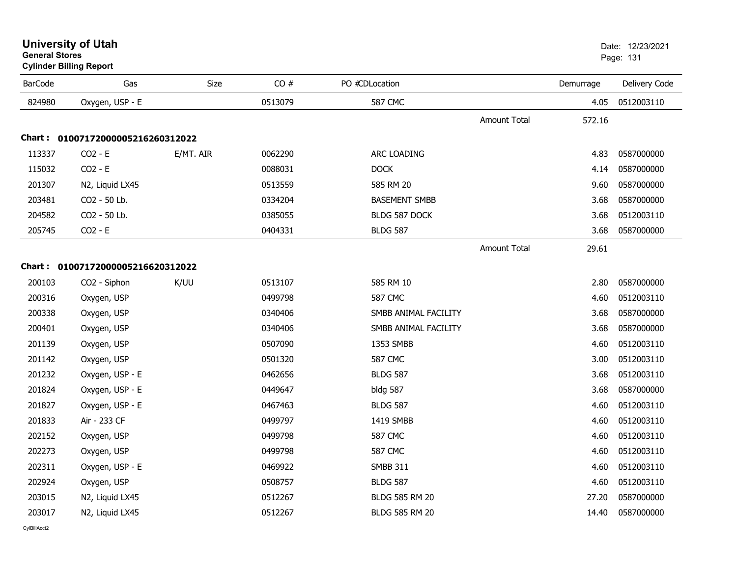| <b>BarCode</b> | Gas                               | <b>Size</b> | CO#     | PO #CDLocation        |                     | Demurrage | Delivery Code |
|----------------|-----------------------------------|-------------|---------|-----------------------|---------------------|-----------|---------------|
| 824980         | Oxygen, USP - E                   |             | 0513079 | <b>587 CMC</b>        |                     | 4.05      | 0512003110    |
|                |                                   |             |         |                       | <b>Amount Total</b> | 572.16    |               |
|                | Chart: 01007172000005216260312022 |             |         |                       |                     |           |               |
| 113337         | $CO2 - E$                         | E/MT. AIR   | 0062290 | ARC LOADING           |                     | 4.83      | 0587000000    |
| 115032         | $CO2 - E$                         |             | 0088031 | <b>DOCK</b>           |                     | 4.14      | 0587000000    |
| 201307         | N2, Liquid LX45                   |             | 0513559 | 585 RM 20             |                     | 9.60      | 0587000000    |
| 203481         | CO2 - 50 Lb.                      |             | 0334204 | <b>BASEMENT SMBB</b>  |                     | 3.68      | 0587000000    |
| 204582         | CO2 - 50 Lb.                      |             | 0385055 | BLDG 587 DOCK         |                     | 3.68      | 0512003110    |
| 205745         | $CO2 - E$                         |             | 0404331 | <b>BLDG 587</b>       |                     | 3.68      | 0587000000    |
|                |                                   |             |         |                       | <b>Amount Total</b> | 29.61     |               |
|                | Chart: 01007172000005216620312022 |             |         |                       |                     |           |               |
| 200103         | CO2 - Siphon                      | K/UU        | 0513107 | 585 RM 10             |                     | 2.80      | 0587000000    |
| 200316         | Oxygen, USP                       |             | 0499798 | <b>587 CMC</b>        |                     | 4.60      | 0512003110    |
| 200338         | Oxygen, USP                       |             | 0340406 | SMBB ANIMAL FACILITY  |                     | 3.68      | 0587000000    |
| 200401         | Oxygen, USP                       |             | 0340406 | SMBB ANIMAL FACILITY  |                     | 3.68      | 0587000000    |
| 201139         | Oxygen, USP                       |             | 0507090 | 1353 SMBB             |                     | 4.60      | 0512003110    |
| 201142         | Oxygen, USP                       |             | 0501320 | <b>587 CMC</b>        |                     | 3.00      | 0512003110    |
| 201232         | Oxygen, USP - E                   |             | 0462656 | <b>BLDG 587</b>       |                     | 3.68      | 0512003110    |
| 201824         | Oxygen, USP - E                   |             | 0449647 | bldg 587              |                     | 3.68      | 0587000000    |
| 201827         | Oxygen, USP - E                   |             | 0467463 | <b>BLDG 587</b>       |                     | 4.60      | 0512003110    |
| 201833         | Air - 233 CF                      |             | 0499797 | 1419 SMBB             |                     | 4.60      | 0512003110    |
| 202152         | Oxygen, USP                       |             | 0499798 | <b>587 CMC</b>        |                     | 4.60      | 0512003110    |
| 202273         | Oxygen, USP                       |             | 0499798 | <b>587 CMC</b>        |                     | 4.60      | 0512003110    |
| 202311         | Oxygen, USP - E                   |             | 0469922 | <b>SMBB 311</b>       |                     | 4.60      | 0512003110    |
| 202924         | Oxygen, USP                       |             | 0508757 | <b>BLDG 587</b>       |                     | 4.60      | 0512003110    |
| 203015         | N2, Liquid LX45                   |             | 0512267 | <b>BLDG 585 RM 20</b> |                     | 27.20     | 0587000000    |
| 203017         | N2, Liquid LX45                   |             | 0512267 | <b>BLDG 585 RM 20</b> |                     | 14.40     | 0587000000    |

## **Cylinder Billing Report**

s and the contract of the contract of the contract of the contract of the contract of the contract of the contract of the contract of the contract of the contract of the contract of the contract of the contract of the cont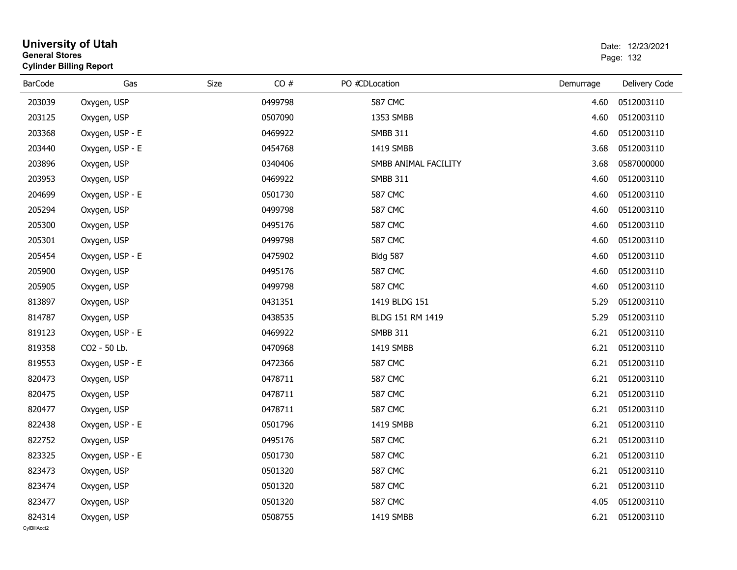| <b>General Stores</b> | <b>Cylinder Billing Report</b> |      |         |  |                      |           | Page: 132       |  |  |
|-----------------------|--------------------------------|------|---------|--|----------------------|-----------|-----------------|--|--|
| <b>BarCode</b>        | Gas                            | Size | CO#     |  | PO #CDLocation       | Demurrage | Delivery Code   |  |  |
| 203039                | Oxygen, USP                    |      | 0499798 |  | <b>587 CMC</b>       | 4.60      | 0512003110      |  |  |
| 203125                | Oxygen, USP                    |      | 0507090 |  | 1353 SMBB            | 4.60      | 0512003110      |  |  |
| 203368                | Oxygen, USP - E                |      | 0469922 |  | <b>SMBB 311</b>      | 4.60      | 0512003110      |  |  |
| 203440                | Oxygen, USP - E                |      | 0454768 |  | 1419 SMBB            | 3.68      | 0512003110      |  |  |
| 203896                | Oxygen, USP                    |      | 0340406 |  | SMBB ANIMAL FACILITY | 3.68      | 0587000000      |  |  |
| 203953                | Oxygen, USP                    |      | 0469922 |  | <b>SMBB 311</b>      | 4.60      | 0512003110      |  |  |
| 204699                | Oxygen, USP - E                |      | 0501730 |  | <b>587 CMC</b>       | 4.60      | 0512003110      |  |  |
| 205294                | Oxygen, USP                    |      | 0499798 |  | <b>587 CMC</b>       | 4.60      | 0512003110      |  |  |
| 205300                | Oxygen, USP                    |      | 0495176 |  | <b>587 CMC</b>       | 4.60      | 0512003110      |  |  |
| 205301                | Oxygen, USP                    |      | 0499798 |  | <b>587 CMC</b>       | 4.60      | 0512003110      |  |  |
| 205454                | Oxygen, USP - E                |      | 0475902 |  | <b>Bldg 587</b>      | 4.60      | 0512003110      |  |  |
| 205900                | Oxygen, USP                    |      | 0495176 |  | <b>587 CMC</b>       | 4.60      | 0512003110      |  |  |
| 205905                | Oxygen, USP                    |      | 0499798 |  | <b>587 CMC</b>       | 4.60      | 0512003110      |  |  |
| 813897                | Oxygen, USP                    |      | 0431351 |  | 1419 BLDG 151        | 5.29      | 0512003110      |  |  |
| 814787                | Oxygen, USP                    |      | 0438535 |  | BLDG 151 RM 1419     | 5.29      | 0512003110      |  |  |
| 819123                | Oxygen, USP - E                |      | 0469922 |  | <b>SMBB 311</b>      | 6.21      | 0512003110      |  |  |
| 819358                | CO2 - 50 Lb.                   |      | 0470968 |  | 1419 SMBB            | 6.21      | 0512003110      |  |  |
| 819553                | Oxygen, USP - E                |      | 0472366 |  | <b>587 CMC</b>       | 6.21      | 0512003110      |  |  |
| 820473                | Oxygen, USP                    |      | 0478711 |  | <b>587 CMC</b>       | 6.21      | 0512003110      |  |  |
| 820475                | Oxygen, USP                    |      | 0478711 |  | <b>587 CMC</b>       | 6.21      | 0512003110      |  |  |
| 820477                | Oxygen, USP                    |      | 0478711 |  | <b>587 CMC</b>       | 6.21      | 0512003110      |  |  |
| 822438                | Oxygen, USP - E                |      | 0501796 |  | 1419 SMBB            | 6.21      | 0512003110      |  |  |
| 822752                | Oxygen, USP                    |      | 0495176 |  | <b>587 CMC</b>       | 6.21      | 0512003110      |  |  |
| 823325                | Oxygen, USP - E                |      | 0501730 |  | <b>587 CMC</b>       | 6.21      | 0512003110      |  |  |
| 823473                | Oxygen, USP                    |      | 0501320 |  | <b>587 CMC</b>       | 6.21      | 0512003110      |  |  |
| 823474                | Oxygen, USP                    |      | 0501320 |  | <b>587 CMC</b>       | 6.21      | 0512003110      |  |  |
| 823477                | Oxygen, USP                    |      | 0501320 |  | <b>587 CMC</b>       | 4.05      | 0512003110      |  |  |
| 824314                | Oxygen, USP                    |      | 0508755 |  | 1419 SMBB            |           | 6.21 0512003110 |  |  |
|                       |                                |      |         |  |                      |           |                 |  |  |

# **University of Utah** Date: 12/23/2021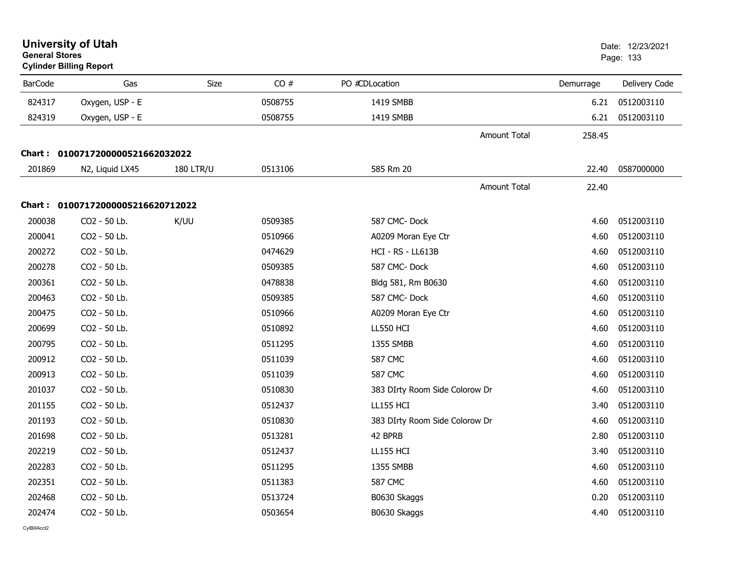|                | <b>University of Utah</b><br><b>General Stores</b><br><b>Cylinder Billing Report</b> |                  |         |                                |           | Date: 12/23/2021<br>Page: 133 |  |
|----------------|--------------------------------------------------------------------------------------|------------------|---------|--------------------------------|-----------|-------------------------------|--|
| <b>BarCode</b> | Gas                                                                                  | Size             | CO#     | PO #CDLocation                 | Demurrage | Delivery Code                 |  |
| 824317         | Oxygen, USP - E                                                                      |                  | 0508755 | 1419 SMBB                      | 6.21      | 0512003110                    |  |
| 824319         | Oxygen, USP - E                                                                      |                  | 0508755 | 1419 SMBB                      | 6.21      | 0512003110                    |  |
|                |                                                                                      |                  |         | <b>Amount Total</b>            | 258.45    |                               |  |
|                | Chart: 0100717200000521662032022                                                     |                  |         |                                |           |                               |  |
| 201869         | N2, Liquid LX45                                                                      | <b>180 LTR/U</b> | 0513106 | 585 Rm 20                      | 22.40     | 0587000000                    |  |
|                |                                                                                      |                  |         | <b>Amount Total</b>            | 22.40     |                               |  |
|                | Chart: 01007172000005216620712022                                                    |                  |         |                                |           |                               |  |
| 200038         | CO2 - 50 Lb.                                                                         | K/UU             | 0509385 | 587 CMC-Dock                   | 4.60      | 0512003110                    |  |
| 200041         | CO2 - 50 Lb.                                                                         |                  | 0510966 | A0209 Moran Eye Ctr            | 4.60      | 0512003110                    |  |
| 200272         | CO2 - 50 Lb.                                                                         |                  | 0474629 | HCI - RS - LL613B              | 4.60      | 0512003110                    |  |
| 200278         | CO2 - 50 Lb.                                                                         |                  | 0509385 | 587 CMC-Dock                   | 4.60      | 0512003110                    |  |
| 200361         | CO2 - 50 Lb.                                                                         |                  | 0478838 | Bldg 581, Rm B0630             | 4.60      | 0512003110                    |  |
| 200463         | CO2 - 50 Lb.                                                                         |                  | 0509385 | 587 CMC-Dock                   | 4.60      | 0512003110                    |  |
| 200475         | CO2 - 50 Lb.                                                                         |                  | 0510966 | A0209 Moran Eye Ctr            | 4.60      | 0512003110                    |  |
| 200699         | CO2 - 50 Lb.                                                                         |                  | 0510892 | <b>LL550 HCI</b>               | 4.60      | 0512003110                    |  |
| 200795         | CO2 - 50 Lb.                                                                         |                  | 0511295 | 1355 SMBB                      | 4.60      | 0512003110                    |  |
| 200912         | CO2 - 50 Lb.                                                                         |                  | 0511039 | <b>587 CMC</b>                 | 4.60      | 0512003110                    |  |
| 200913         | CO2 - 50 Lb.                                                                         |                  | 0511039 | <b>587 CMC</b>                 | 4.60      | 0512003110                    |  |
| 201037         | CO2 - 50 Lb.                                                                         |                  | 0510830 | 383 DIrty Room Side Colorow Dr | 4.60      | 0512003110                    |  |
| 201155         | CO2 - 50 Lb.                                                                         |                  | 0512437 | <b>LL155 HCI</b>               | 3.40      | 0512003110                    |  |
| 201193         | CO2 - 50 Lb.                                                                         |                  | 0510830 | 383 DIrty Room Side Colorow Dr | 4.60      | 0512003110                    |  |
| 201698         | CO2 - 50 Lb.                                                                         |                  | 0513281 | 42 BPRB                        | 2.80      | 0512003110                    |  |
| 202219         | CO2 - 50 Lb.                                                                         |                  | 0512437 | <b>LL155 HCI</b>               | 3.40      | 0512003110                    |  |
| 202283         | CO2 - 50 Lb.                                                                         |                  | 0511295 | 1355 SMBB                      | 4.60      | 0512003110                    |  |
| 202351         | CO2 - 50 Lb.                                                                         |                  | 0511383 | <b>587 CMC</b>                 | 4.60      | 0512003110                    |  |
| 202468         | CO2 - 50 Lb.                                                                         |                  | 0513724 | B0630 Skaggs                   | 0.20      | 0512003110                    |  |
| 202474         | CO2 - 50 Lb.                                                                         |                  | 0503654 | B0630 Skaggs                   | 4.40      | 0512003110                    |  |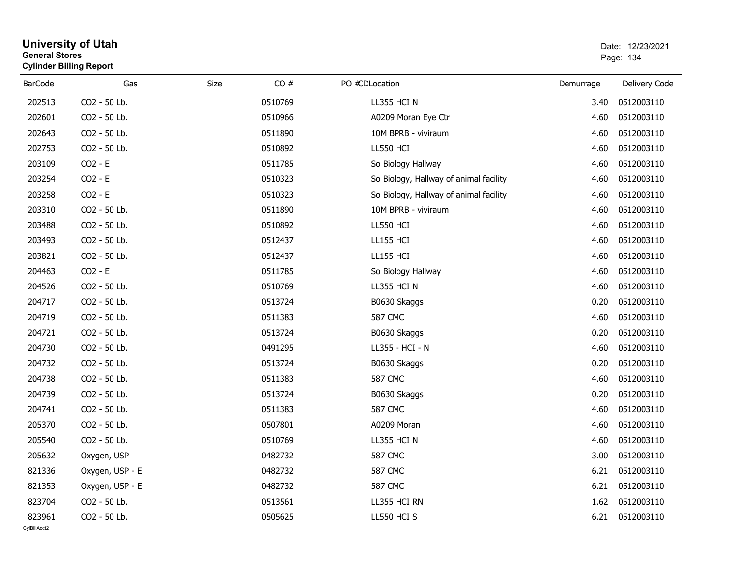| General Stores | <b>Cylinder Billing Report</b> |      |         |                                        |           | Page: 134     |
|----------------|--------------------------------|------|---------|----------------------------------------|-----------|---------------|
| <b>BarCode</b> | Gas                            | Size | CO#     | PO #CDLocation                         | Demurrage | Delivery Code |
| 202513         | CO2 - 50 Lb.                   |      | 0510769 | LL355 HCI N                            | 3.40      | 0512003110    |
| 202601         | CO2 - 50 Lb.                   |      | 0510966 | A0209 Moran Eye Ctr                    | 4.60      | 0512003110    |
| 202643         | CO2 - 50 Lb.                   |      | 0511890 | 10M BPRB - viviraum                    | 4.60      | 0512003110    |
| 202753         | CO2 - 50 Lb.                   |      | 0510892 | LL550 HCI                              | 4.60      | 0512003110    |
| 203109         | $CO2 - E$                      |      | 0511785 | So Biology Hallway                     | 4.60      | 0512003110    |
| 203254         | $CO2 - E$                      |      | 0510323 | So Biology, Hallway of animal facility | 4.60      | 0512003110    |
| 203258         | $CO2 - E$                      |      | 0510323 | So Biology, Hallway of animal facility | 4.60      | 0512003110    |
| 203310         | CO2 - 50 Lb.                   |      | 0511890 | 10M BPRB - viviraum                    | 4.60      | 0512003110    |
| 203488         | CO2 - 50 Lb.                   |      | 0510892 | LL550 HCI                              | 4.60      | 0512003110    |
| 203493         | CO2 - 50 Lb.                   |      | 0512437 | <b>LL155 HCI</b>                       | 4.60      | 0512003110    |
| 203821         | CO2 - 50 Lb.                   |      | 0512437 | <b>LL155 HCI</b>                       | 4.60      | 0512003110    |
| 204463         | $CO2 - E$                      |      | 0511785 | So Biology Hallway                     | 4.60      | 0512003110    |
| 204526         | CO2 - 50 Lb.                   |      | 0510769 | LL355 HCI N                            | 4.60      | 0512003110    |
| 204717         | CO2 - 50 Lb.                   |      | 0513724 | B0630 Skaggs                           | 0.20      | 0512003110    |
| 204719         | CO2 - 50 Lb.                   |      | 0511383 | <b>587 CMC</b>                         | 4.60      | 0512003110    |
| 204721         | CO2 - 50 Lb.                   |      | 0513724 | B0630 Skaggs                           | 0.20      | 0512003110    |
| 204730         | CO2 - 50 Lb.                   |      | 0491295 | LL355 - HCI - N                        | 4.60      | 0512003110    |
| 204732         | CO2 - 50 Lb.                   |      | 0513724 | B0630 Skaggs                           | 0.20      | 0512003110    |
| 204738         | CO2 - 50 Lb.                   |      | 0511383 | <b>587 CMC</b>                         | 4.60      | 0512003110    |
| 204739         | CO2 - 50 Lb.                   |      | 0513724 | B0630 Skaggs                           | 0.20      | 0512003110    |
| 204741         | CO2 - 50 Lb.                   |      | 0511383 | <b>587 CMC</b>                         | 4.60      | 0512003110    |
| 205370         | CO2 - 50 Lb.                   |      | 0507801 | A0209 Moran                            | 4.60      | 0512003110    |
| 205540         | CO2 - 50 Lb.                   |      | 0510769 | LL355 HCI N                            | 4.60      | 0512003110    |
| 205632         | Oxygen, USP                    |      | 0482732 | <b>587 CMC</b>                         | 3.00      | 0512003110    |
| 821336         | Oxygen, USP - E                |      | 0482732 | <b>587 CMC</b>                         | 6.21      | 0512003110    |
| 821353         | Oxygen, USP - E                |      | 0482732 | <b>587 CMC</b>                         | 6.21      | 0512003110    |
| 823704         | CO2 - 50 Lb.                   |      | 0513561 | LL355 HCI RN                           | 1.62      | 0512003110    |
| 823961         | CO2 - 50 Lb.                   |      | 0505625 | LL550 HCI S                            | 6.21      | 0512003110    |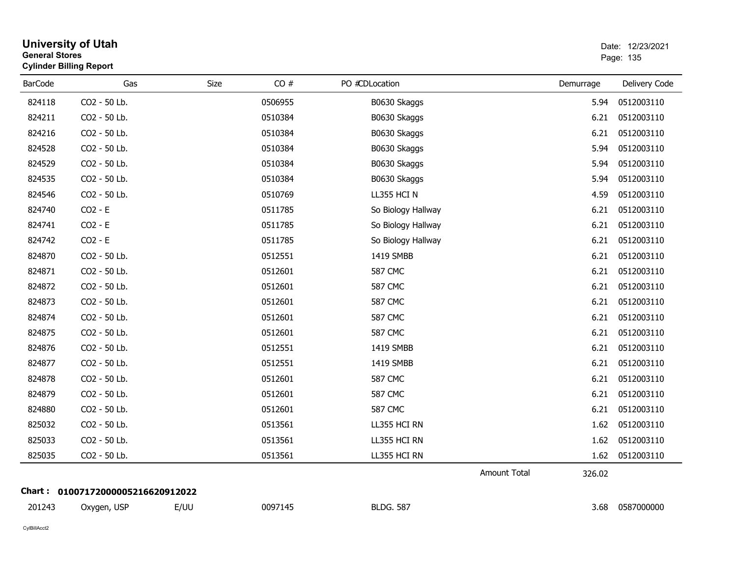| <b>General Stores</b> | <b>University of Utah</b><br><b>Cylinder Billing Report</b> |      |         |                    |              |           | Date: 12/23/2021<br>Page: 135 |
|-----------------------|-------------------------------------------------------------|------|---------|--------------------|--------------|-----------|-------------------------------|
| <b>BarCode</b>        | Gas                                                         | Size | CO#     | PO #CDLocation     |              | Demurrage | Delivery Code                 |
| 824118                | CO2 - 50 Lb.                                                |      | 0506955 | B0630 Skaggs       |              | 5.94      | 0512003110                    |
| 824211                | CO2 - 50 Lb.                                                |      | 0510384 | B0630 Skaggs       |              | 6.21      | 0512003110                    |
| 824216                | CO2 - 50 Lb.                                                |      | 0510384 | B0630 Skaggs       |              | 6.21      | 0512003110                    |
| 824528                | CO2 - 50 Lb.                                                |      | 0510384 | B0630 Skaggs       |              | 5.94      | 0512003110                    |
| 824529                | CO2 - 50 Lb.                                                |      | 0510384 | B0630 Skaggs       |              | 5.94      | 0512003110                    |
| 824535                | CO2 - 50 Lb.                                                |      | 0510384 | B0630 Skaggs       |              | 5.94      | 0512003110                    |
| 824546                | CO2 - 50 Lb.                                                |      | 0510769 | LL355 HCI N        |              | 4.59      | 0512003110                    |
| 824740                | $CO2 - E$                                                   |      | 0511785 | So Biology Hallway |              | 6.21      | 0512003110                    |
| 824741                | $CO2 - E$                                                   |      | 0511785 | So Biology Hallway |              | 6.21      | 0512003110                    |
| 824742                | $CO2 - E$                                                   |      | 0511785 | So Biology Hallway |              | 6.21      | 0512003110                    |
| 824870                | CO2 - 50 Lb.                                                |      | 0512551 | 1419 SMBB          |              | 6.21      | 0512003110                    |
| 824871                | CO2 - 50 Lb.                                                |      | 0512601 | <b>587 CMC</b>     |              | 6.21      | 0512003110                    |
| 824872                | CO2 - 50 Lb.                                                |      | 0512601 | <b>587 CMC</b>     |              | 6.21      | 0512003110                    |
| 824873                | CO2 - 50 Lb.                                                |      | 0512601 | <b>587 CMC</b>     |              | 6.21      | 0512003110                    |
| 824874                | CO2 - 50 Lb.                                                |      | 0512601 | <b>587 CMC</b>     |              | 6.21      | 0512003110                    |
| 824875                | CO2 - 50 Lb.                                                |      | 0512601 | <b>587 CMC</b>     |              | 6.21      | 0512003110                    |
| 824876                | CO2 - 50 Lb.                                                |      | 0512551 | 1419 SMBB          |              | 6.21      | 0512003110                    |
| 824877                | CO2 - 50 Lb.                                                |      | 0512551 | 1419 SMBB          |              | 6.21      | 0512003110                    |
| 824878                | CO2 - 50 Lb.                                                |      | 0512601 | <b>587 CMC</b>     |              | 6.21      | 0512003110                    |
| 824879                | CO2 - 50 Lb.                                                |      | 0512601 | <b>587 CMC</b>     |              | 6.21      | 0512003110                    |
| 824880                | CO2 - 50 Lb.                                                |      | 0512601 | <b>587 CMC</b>     |              | 6.21      | 0512003110                    |
| 825032                | CO2 - 50 Lb.                                                |      | 0513561 | LL355 HCI RN       |              | 1.62      | 0512003110                    |
| 825033                | CO2 - 50 Lb.                                                |      | 0513561 | LL355 HCI RN       |              | 1.62      | 0512003110                    |
| 825035                | CO2 - 50 Lb.                                                |      | 0513561 | LL355 HCI RN       |              | 1.62      | 0512003110                    |
|                       |                                                             |      |         |                    | Amount Total | 326.02    |                               |
|                       | Chart: 01007172000005216620912022                           |      |         |                    |              |           |                               |
| 201243                | Oxygen, USP                                                 | E/UU | 0097145 | <b>BLDG. 587</b>   |              | 3.68      | 0587000000                    |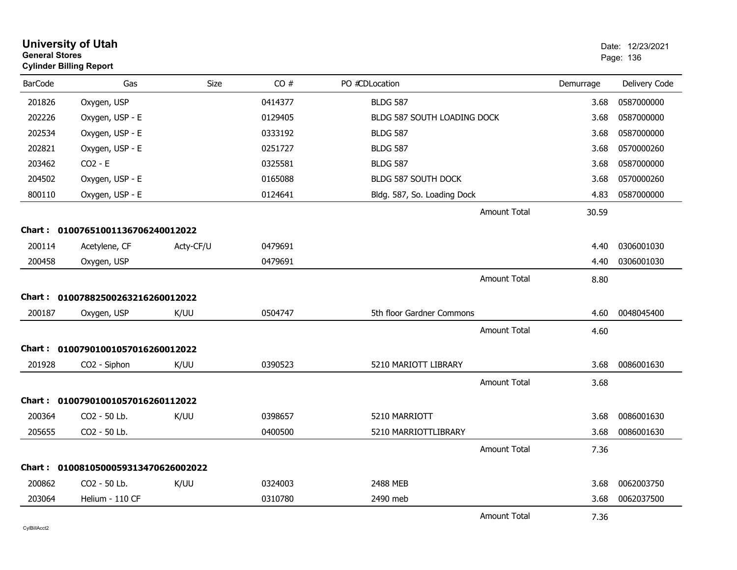| <b>General Stores</b> | <b>University of Utah</b><br><b>Cylinder Billing Report</b> |           |         |                             |                     |           | Date: 12/23/2021<br>Page: 136 |
|-----------------------|-------------------------------------------------------------|-----------|---------|-----------------------------|---------------------|-----------|-------------------------------|
| <b>BarCode</b>        | Gas                                                         | Size      | CO#     | PO #CDLocation              |                     | Demurrage | Delivery Code                 |
| 201826                | Oxygen, USP                                                 |           | 0414377 | <b>BLDG 587</b>             |                     | 3.68      | 0587000000                    |
| 202226                | Oxygen, USP - E                                             |           | 0129405 | BLDG 587 SOUTH LOADING DOCK |                     | 3.68      | 0587000000                    |
| 202534                | Oxygen, USP - E                                             |           | 0333192 | <b>BLDG 587</b>             |                     | 3.68      | 0587000000                    |
| 202821                | Oxygen, USP - E                                             |           | 0251727 | <b>BLDG 587</b>             |                     | 3.68      | 0570000260                    |
| 203462                | $CO2 - E$                                                   |           | 0325581 | <b>BLDG 587</b>             |                     | 3.68      | 0587000000                    |
| 204502                | Oxygen, USP - E                                             |           | 0165088 | BLDG 587 SOUTH DOCK         |                     | 3.68      | 0570000260                    |
| 800110                | Oxygen, USP - E                                             |           | 0124641 | Bldg. 587, So. Loading Dock |                     | 4.83      | 0587000000                    |
|                       |                                                             |           |         |                             | Amount Total        | 30.59     |                               |
|                       | Chart: 01007651001136706240012022                           |           |         |                             |                     |           |                               |
| 200114                | Acetylene, CF                                               | Acty-CF/U | 0479691 |                             |                     | 4.40      | 0306001030                    |
| 200458                | Oxygen, USP                                                 |           | 0479691 |                             |                     | 4.40      | 0306001030                    |
|                       |                                                             |           |         |                             | <b>Amount Total</b> | 8.80      |                               |
|                       | Chart: 01007882500263216260012022                           |           |         |                             |                     |           |                               |
| 200187                | Oxygen, USP                                                 | K/UU      | 0504747 | 5th floor Gardner Commons   |                     | 4.60      | 0048045400                    |
|                       |                                                             |           |         |                             | Amount Total        | 4.60      |                               |
|                       | Chart: 01007901001057016260012022                           |           |         |                             |                     |           |                               |
| 201928                | CO2 - Siphon                                                | K/UU      | 0390523 | 5210 MARIOTT LIBRARY        |                     | 3.68      | 0086001630                    |
|                       |                                                             |           |         |                             | <b>Amount Total</b> | 3.68      |                               |
|                       | Chart: 01007901001057016260112022                           |           |         |                             |                     |           |                               |
| 200364                | CO2 - 50 Lb.                                                | K/UU      | 0398657 | 5210 MARRIOTT               |                     | 3.68      | 0086001630                    |
| 205655                | CO2 - 50 Lb.                                                |           | 0400500 | 5210 MARRIOTTLIBRARY        |                     | 3.68      | 0086001630                    |
|                       |                                                             |           |         |                             | <b>Amount Total</b> | 7.36      |                               |
|                       | Chart: 0100810500059313470626002022                         |           |         |                             |                     |           |                               |
| 200862                | CO <sub>2</sub> - 50 Lb.                                    | K/UU      | 0324003 | 2488 MEB                    |                     | 3.68      | 0062003750                    |
| 203064                | Helium - 110 CF                                             |           | 0310780 | 2490 meb                    |                     | 3.68      | 0062037500                    |
|                       |                                                             |           |         |                             | Amount Total        | 7.36      |                               |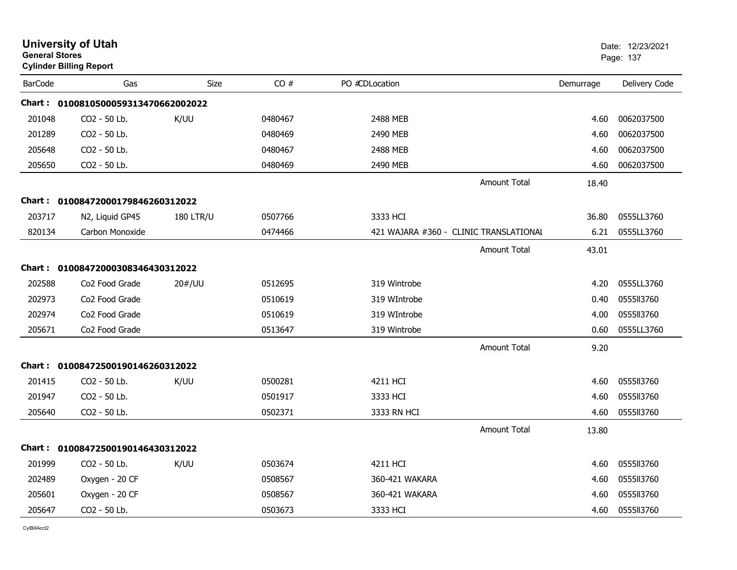| <b>General Stores</b> | <b>University of Utah</b><br><b>Cylinder Billing Report</b> |                  |         |                |                                        |           | Date: 12/23/2021<br>Page: 137 |
|-----------------------|-------------------------------------------------------------|------------------|---------|----------------|----------------------------------------|-----------|-------------------------------|
| <b>BarCode</b>        | Gas                                                         | Size             | CO#     | PO #CDLocation |                                        | Demurrage | Delivery Code                 |
|                       | Chart: 0100810500059313470662002022                         |                  |         |                |                                        |           |                               |
| 201048                | CO2 - 50 Lb.                                                | K/UU             | 0480467 | 2488 MEB       |                                        | 4.60      | 0062037500                    |
| 201289                | CO2 - 50 Lb.                                                |                  | 0480469 | 2490 MEB       |                                        | 4.60      | 0062037500                    |
| 205648                | CO2 - 50 Lb.                                                |                  | 0480467 | 2488 MEB       |                                        | 4.60      | 0062037500                    |
| 205650                | CO2 - 50 Lb.                                                |                  | 0480469 | 2490 MEB       |                                        | 4.60      | 0062037500                    |
|                       |                                                             |                  |         |                | <b>Amount Total</b>                    | 18.40     |                               |
|                       | Chart: 01008472000179846260312022                           |                  |         |                |                                        |           |                               |
| 203717                | N2, Liquid GP45                                             | <b>180 LTR/U</b> | 0507766 | 3333 HCI       |                                        | 36.80     | 0555LL3760                    |
| 820134                | Carbon Monoxide                                             |                  | 0474466 |                | 421 WAJARA #360 - CLINIC TRANSLATIONAL | 6.21      | 0555LL3760                    |
|                       |                                                             |                  |         |                | <b>Amount Total</b>                    | 43.01     |                               |
|                       | Chart: 01008472000308346430312022                           |                  |         |                |                                        |           |                               |
| 202588                | Co <sub>2</sub> Food Grade                                  | 20#/UU           | 0512695 | 319 Wintrobe   |                                        | 4.20      | 0555LL3760                    |
| 202973                | Co2 Food Grade                                              |                  | 0510619 | 319 WIntrobe   |                                        | 0.40      | 0555113760                    |
| 202974                | Co2 Food Grade                                              |                  | 0510619 | 319 WIntrobe   |                                        | 4.00      | 0555113760                    |
| 205671                | Co <sub>2</sub> Food Grade                                  |                  | 0513647 | 319 Wintrobe   |                                        | 0.60      | 0555LL3760                    |
|                       |                                                             |                  |         |                | <b>Amount Total</b>                    | 9.20      |                               |
|                       | Chart: 01008472500190146260312022                           |                  |         |                |                                        |           |                               |
| 201415                | CO2 - 50 Lb.                                                | K/UU             | 0500281 | 4211 HCI       |                                        | 4.60      | 0555113760                    |
| 201947                | CO2 - 50 Lb.                                                |                  | 0501917 | 3333 HCI       |                                        | 4.60      | 0555113760                    |
| 205640                | CO2 - 50 Lb.                                                |                  | 0502371 | 3333 RN HCI    |                                        | 4.60      | 0555113760                    |
|                       |                                                             |                  |         |                | <b>Amount Total</b>                    | 13.80     |                               |
|                       | Chart: 01008472500190146430312022                           |                  |         |                |                                        |           |                               |
| 201999                | CO2 - 50 Lb.                                                | K/UU             | 0503674 | 4211 HCI       |                                        | 4.60      | 0555113760                    |
| 202489                | Oxygen - 20 CF                                              |                  | 0508567 | 360-421 WAKARA |                                        | 4.60      | 0555113760                    |
| 205601                | Oxygen - 20 CF                                              |                  | 0508567 | 360-421 WAKARA |                                        | 4.60      | 0555113760                    |
| 205647                | CO2 - 50 Lb.                                                |                  | 0503673 | 3333 HCI       |                                        | 4.60      | 0555113760                    |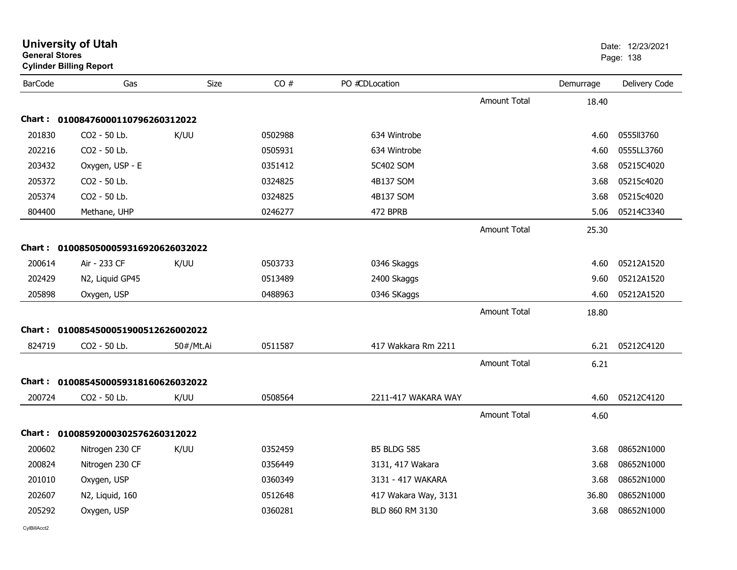| <b>General Stores</b> | <b>University of Utah</b><br><b>Cylinder Billing Report</b> |           |         |                      |                     |           | Date: 12/23/2021<br>Page: 138 |
|-----------------------|-------------------------------------------------------------|-----------|---------|----------------------|---------------------|-----------|-------------------------------|
| <b>BarCode</b>        | Gas                                                         | Size      | CO#     | PO #CDLocation       |                     | Demurrage | Delivery Code                 |
|                       |                                                             |           |         |                      | <b>Amount Total</b> | 18.40     |                               |
|                       | Chart: 01008476000110796260312022                           |           |         |                      |                     |           |                               |
| 201830                | CO2 - 50 Lb.                                                | K/UU      | 0502988 | 634 Wintrobe         |                     | 4.60      | 0555II3760                    |
| 202216                | CO2 - 50 Lb.                                                |           | 0505931 | 634 Wintrobe         |                     | 4.60      | 0555LL3760                    |
| 203432                | Oxygen, USP - E                                             |           | 0351412 | 5C402 SOM            |                     | 3.68      | 05215C4020                    |
| 205372                | CO2 - 50 Lb.                                                |           | 0324825 | 4B137 SOM            |                     | 3.68      | 05215c4020                    |
| 205374                | CO2 - 50 Lb.                                                |           | 0324825 | 4B137 SOM            |                     | 3.68      | 05215c4020                    |
| 804400                | Methane, UHP                                                |           | 0246277 | 472 BPRB             |                     | 5.06      | 05214C3340                    |
|                       |                                                             |           |         |                      | <b>Amount Total</b> | 25.30     |                               |
|                       | Chart: 0100850500059316920626032022                         |           |         |                      |                     |           |                               |
| 200614                | Air - 233 CF                                                | K/UU      | 0503733 | 0346 Skaggs          |                     | 4.60      | 05212A1520                    |
| 202429                | N2, Liquid GP45                                             |           | 0513489 | 2400 Skaggs          |                     | 9.60      | 05212A1520                    |
| 205898                | Oxygen, USP                                                 |           | 0488963 | 0346 SKaggs          |                     | 4.60      | 05212A1520                    |
|                       |                                                             |           |         |                      | <b>Amount Total</b> | 18.80     |                               |
|                       | Chart: 0100854500051900512626002022                         |           |         |                      |                     |           |                               |
| 824719                | CO2 - 50 Lb.                                                | 50#/Mt.Ai | 0511587 | 417 Wakkara Rm 2211  |                     | 6.21      | 05212C4120                    |
|                       |                                                             |           |         |                      | <b>Amount Total</b> | 6.21      |                               |
|                       | Chart: 0100854500059318160626032022                         |           |         |                      |                     |           |                               |
| 200724                | CO2 - 50 Lb.                                                | K/UU      | 0508564 | 2211-417 WAKARA WAY  |                     | 4.60      | 05212C4120                    |
|                       |                                                             |           |         |                      | <b>Amount Total</b> | 4.60      |                               |
|                       | Chart: 01008592000302576260312022                           |           |         |                      |                     |           |                               |
| 200602                | Nitrogen 230 CF                                             | K/UU      | 0352459 | <b>B5 BLDG 585</b>   |                     | 3.68      | 08652N1000                    |
| 200824                | Nitrogen 230 CF                                             |           | 0356449 | 3131, 417 Wakara     |                     | 3.68      | 08652N1000                    |
| 201010                | Oxygen, USP                                                 |           | 0360349 | 3131 - 417 WAKARA    |                     | 3.68      | 08652N1000                    |
| 202607                | N2, Liquid, 160                                             |           | 0512648 | 417 Wakara Way, 3131 |                     | 36.80     | 08652N1000                    |
| 205292                | Oxygen, USP                                                 |           | 0360281 | BLD 860 RM 3130      |                     | 3.68      | 08652N1000                    |
|                       |                                                             |           |         |                      |                     |           |                               |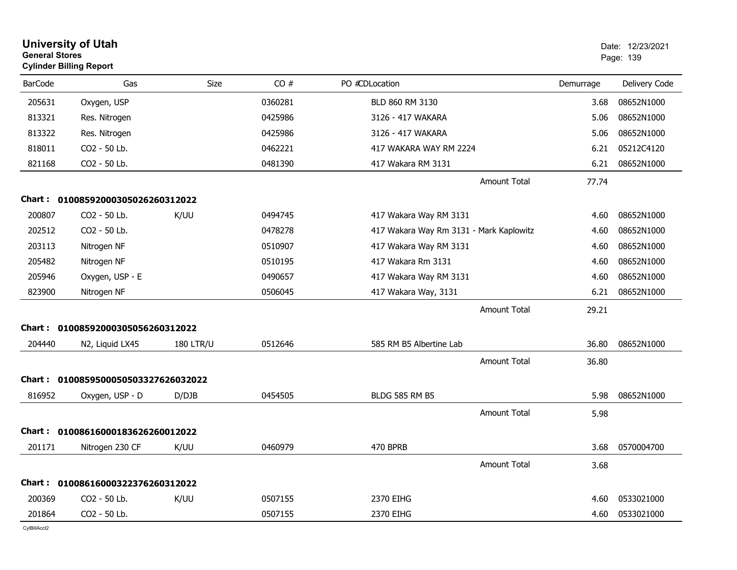| <b>General Stores</b> | <b>University of Utah</b><br><b>Cylinder Billing Report</b> |                  |         |                                         |           | Date: 12/23/2021<br>Page: 139 |
|-----------------------|-------------------------------------------------------------|------------------|---------|-----------------------------------------|-----------|-------------------------------|
| <b>BarCode</b>        | Gas                                                         | Size             | CO#     | PO #CDLocation                          | Demurrage | Delivery Code                 |
| 205631                | Oxygen, USP                                                 |                  | 0360281 | BLD 860 RM 3130                         | 3.68      | 08652N1000                    |
| 813321                | Res. Nitrogen                                               |                  | 0425986 | 3126 - 417 WAKARA                       | 5.06      | 08652N1000                    |
| 813322                | Res. Nitrogen                                               |                  | 0425986 | 3126 - 417 WAKARA                       | 5.06      | 08652N1000                    |
| 818011                | CO2 - 50 Lb.                                                |                  | 0462221 | 417 WAKARA WAY RM 2224                  | 6.21      | 05212C4120                    |
| 821168                | CO2 - 50 Lb.                                                |                  | 0481390 | 417 Wakara RM 3131                      | 6.21      | 08652N1000                    |
|                       |                                                             |                  |         | <b>Amount Total</b>                     | 77.74     |                               |
| Chart :               | 01008592000305026260312022                                  |                  |         |                                         |           |                               |
| 200807                | CO2 - 50 Lb.                                                | K/UU             | 0494745 | 417 Wakara Way RM 3131                  | 4.60      | 08652N1000                    |
| 202512                | CO2 - 50 Lb.                                                |                  | 0478278 | 417 Wakara Way Rm 3131 - Mark Kaplowitz | 4.60      | 08652N1000                    |
| 203113                | Nitrogen NF                                                 |                  | 0510907 | 417 Wakara Way RM 3131                  | 4.60      | 08652N1000                    |
| 205482                | Nitrogen NF                                                 |                  | 0510195 | 417 Wakara Rm 3131                      | 4.60      | 08652N1000                    |
| 205946                | Oxygen, USP - E                                             |                  | 0490657 | 417 Wakara Way RM 3131                  | 4.60      | 08652N1000                    |
| 823900                | Nitrogen NF                                                 |                  | 0506045 | 417 Wakara Way, 3131                    | 6.21      | 08652N1000                    |
|                       |                                                             |                  |         | <b>Amount Total</b>                     | 29.21     |                               |
| Chart:                | 01008592000305056260312022                                  |                  |         |                                         |           |                               |
| 204440                | N2, Liquid LX45                                             | <b>180 LTR/U</b> | 0512646 | 585 RM B5 Albertine Lab                 | 36.80     | 08652N1000                    |
|                       |                                                             |                  |         | <b>Amount Total</b>                     | 36.80     |                               |
|                       | Chart: 0100859500050503327626032022                         |                  |         |                                         |           |                               |
| 816952                | Oxygen, USP - D                                             | D/DJB            | 0454505 | <b>BLDG 585 RM B5</b>                   | 5.98      | 08652N1000                    |
|                       |                                                             |                  |         | <b>Amount Total</b>                     | 5.98      |                               |
| Chart :               | 01008616000183626260012022                                  |                  |         |                                         |           |                               |
| 201171                | Nitrogen 230 CF                                             | K/UU             | 0460979 | 470 BPRB                                | 3.68      | 0570004700                    |
|                       |                                                             |                  |         | <b>Amount Total</b>                     | 3.68      |                               |
| Chart :               | 01008616000322376260312022                                  |                  |         |                                         |           |                               |
| 200369                | CO2 - 50 Lb.                                                | K/UU             | 0507155 | 2370 EIHG                               | 4.60      | 0533021000                    |
| 201864                | CO2 - 50 Lb.                                                |                  | 0507155 | 2370 EIHG                               | 4.60      | 0533021000                    |
|                       |                                                             |                  |         |                                         |           |                               |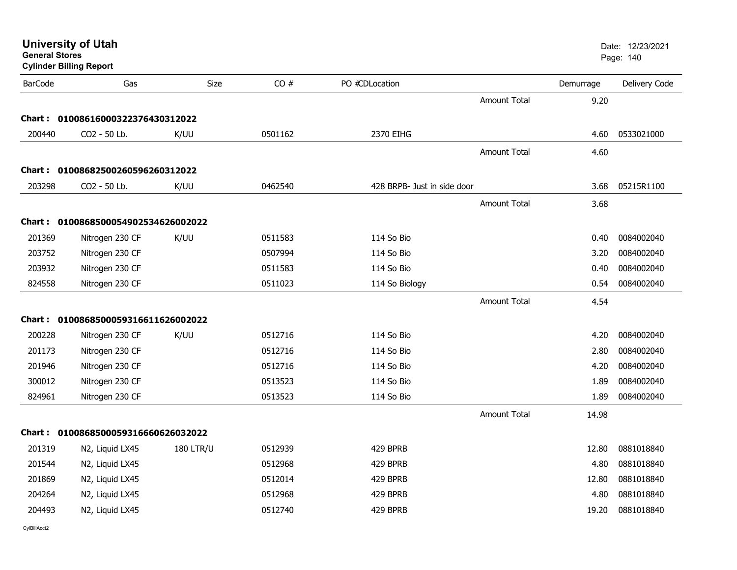|                          |                                                                                                                    |                                                                                                                                                                                             |                |                     |                             | Date: 12/23/2021<br>Page: 140 |
|--------------------------|--------------------------------------------------------------------------------------------------------------------|---------------------------------------------------------------------------------------------------------------------------------------------------------------------------------------------|----------------|---------------------|-----------------------------|-------------------------------|
| Gas                      | Size                                                                                                               | CO#                                                                                                                                                                                         | PO #CDLocation |                     | Demurrage                   | Delivery Code                 |
|                          |                                                                                                                    |                                                                                                                                                                                             |                | <b>Amount Total</b> | 9.20                        |                               |
|                          |                                                                                                                    |                                                                                                                                                                                             |                |                     |                             |                               |
| CO <sub>2</sub> - 50 Lb. | K/UU                                                                                                               | 0501162                                                                                                                                                                                     | 2370 EIHG      |                     | 4.60                        | 0533021000                    |
|                          |                                                                                                                    |                                                                                                                                                                                             |                | <b>Amount Total</b> | 4.60                        |                               |
|                          |                                                                                                                    |                                                                                                                                                                                             |                |                     |                             |                               |
| CO2 - 50 Lb.             | K/UU                                                                                                               | 0462540                                                                                                                                                                                     |                |                     | 3.68                        | 05215R1100                    |
|                          |                                                                                                                    |                                                                                                                                                                                             |                | <b>Amount Total</b> | 3.68                        |                               |
|                          |                                                                                                                    |                                                                                                                                                                                             |                |                     |                             |                               |
| Nitrogen 230 CF          | K/UU                                                                                                               | 0511583                                                                                                                                                                                     | 114 So Bio     |                     | 0.40                        | 0084002040                    |
| Nitrogen 230 CF          |                                                                                                                    | 0507994                                                                                                                                                                                     | 114 So Bio     |                     | 3.20                        | 0084002040                    |
| Nitrogen 230 CF          |                                                                                                                    | 0511583                                                                                                                                                                                     | 114 So Bio     |                     | 0.40                        | 0084002040                    |
| Nitrogen 230 CF          |                                                                                                                    | 0511023                                                                                                                                                                                     | 114 So Biology |                     | 0.54                        | 0084002040                    |
|                          |                                                                                                                    |                                                                                                                                                                                             |                | Amount Total        | 4.54                        |                               |
|                          |                                                                                                                    |                                                                                                                                                                                             |                |                     |                             |                               |
| Nitrogen 230 CF          | K/UU                                                                                                               | 0512716                                                                                                                                                                                     | 114 So Bio     |                     | 4.20                        | 0084002040                    |
| Nitrogen 230 CF          |                                                                                                                    | 0512716                                                                                                                                                                                     | 114 So Bio     |                     | 2.80                        | 0084002040                    |
| Nitrogen 230 CF          |                                                                                                                    | 0512716                                                                                                                                                                                     | 114 So Bio     |                     | 4.20                        | 0084002040                    |
| Nitrogen 230 CF          |                                                                                                                    | 0513523                                                                                                                                                                                     | 114 So Bio     |                     | 1.89                        | 0084002040                    |
| Nitrogen 230 CF          |                                                                                                                    | 0513523                                                                                                                                                                                     | 114 So Bio     |                     | 1.89                        | 0084002040                    |
|                          |                                                                                                                    |                                                                                                                                                                                             |                | Amount Total        | 14.98                       |                               |
|                          |                                                                                                                    |                                                                                                                                                                                             |                |                     |                             |                               |
| N2, Liquid LX45          | <b>180 LTR/U</b>                                                                                                   | 0512939                                                                                                                                                                                     | 429 BPRB       |                     | 12.80                       | 0881018840                    |
| N2, Liquid LX45          |                                                                                                                    | 0512968                                                                                                                                                                                     | 429 BPRB       |                     | 4.80                        | 0881018840                    |
| N2, Liquid LX45          |                                                                                                                    | 0512014                                                                                                                                                                                     | 429 BPRB       |                     | 12.80                       | 0881018840                    |
| N2, Liquid LX45          |                                                                                                                    | 0512968                                                                                                                                                                                     | 429 BPRB       |                     | 4.80                        | 0881018840                    |
| N2, Liquid LX45          |                                                                                                                    | 0512740                                                                                                                                                                                     | 429 BPRB       |                     | 19.20                       | 0881018840                    |
|                          | <b>University of Utah</b><br><b>General Stores</b><br><b>Cylinder Billing Report</b><br>203752<br>203932<br>201946 | Chart: 01008616000322376430312022<br>Chart: 01008682500260596260312022<br>Chart: 0100868500054902534626002022<br>Chart: 0100868500059316611626002022<br>Chart: 0100868500059316660626032022 |                |                     | 428 BRPB- Just in side door |                               |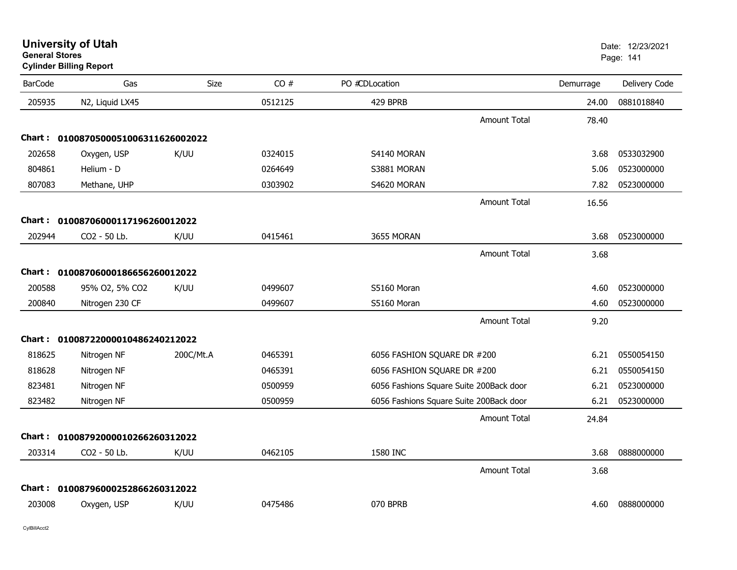| <b>University of Utah</b> |  |
|---------------------------|--|
| <b>General Stores</b>     |  |

## **Cylinder Billing Report**

| <b>BarCode</b> | Gas                                 | <b>Size</b> | CO#     | PO #CDLocation                          |                     | Demurrage | Delivery Code |
|----------------|-------------------------------------|-------------|---------|-----------------------------------------|---------------------|-----------|---------------|
| 205935         | N2, Liquid LX45                     |             | 0512125 | 429 BPRB                                |                     | 24.00     | 0881018840    |
|                |                                     |             |         |                                         | <b>Amount Total</b> | 78.40     |               |
|                | Chart: 0100870500051006311626002022 |             |         |                                         |                     |           |               |
| 202658         | Oxygen, USP                         | K/UU        | 0324015 | S4140 MORAN                             |                     | 3.68      | 0533032900    |
| 804861         | Helium - D                          |             | 0264649 | S3881 MORAN                             |                     | 5.06      | 0523000000    |
| 807083         | Methane, UHP                        |             | 0303902 | S4620 MORAN                             |                     | 7.82      | 0523000000    |
|                |                                     |             |         |                                         | <b>Amount Total</b> | 16.56     |               |
|                | Chart: 01008706000117196260012022   |             |         |                                         |                     |           |               |
| 202944         | CO2 - 50 Lb.                        | K/UU        | 0415461 | 3655 MORAN                              |                     | 3.68      | 0523000000    |
|                |                                     |             |         |                                         | <b>Amount Total</b> | 3.68      |               |
|                | Chart: 01008706000186656260012022   |             |         |                                         |                     |           |               |
| 200588         | 95% O2, 5% CO2                      | K/UU        | 0499607 | S5160 Moran                             |                     | 4.60      | 0523000000    |
| 200840         | Nitrogen 230 CF                     |             | 0499607 | S5160 Moran                             |                     | 4.60      | 0523000000    |
|                |                                     |             |         |                                         | <b>Amount Total</b> | 9.20      |               |
|                | Chart: 01008722000010486240212022   |             |         |                                         |                     |           |               |
| 818625         | Nitrogen NF                         | 200C/Mt.A   | 0465391 | 6056 FASHION SQUARE DR #200             |                     | 6.21      | 0550054150    |
| 818628         | Nitrogen NF                         |             | 0465391 | 6056 FASHION SQUARE DR #200             |                     | 6.21      | 0550054150    |
| 823481         | Nitrogen NF                         |             | 0500959 | 6056 Fashions Square Suite 200Back door |                     | 6.21      | 0523000000    |
| 823482         | Nitrogen NF                         |             | 0500959 | 6056 Fashions Square Suite 200Back door |                     | 6.21      | 0523000000    |
|                |                                     |             |         |                                         | <b>Amount Total</b> | 24.84     |               |
| Chart :        | 01008792000010266260312022          |             |         |                                         |                     |           |               |
| 203314         | CO2 - 50 Lb.                        | K/UU        | 0462105 | 1580 INC                                |                     | 3.68      | 0888000000    |
|                |                                     |             |         |                                         | <b>Amount Total</b> | 3.68      |               |
|                | Chart: 01008796000252866260312022   |             |         |                                         |                     |           |               |
| 203008         | Oxygen, USP                         | K/UU        | 0475486 | 070 BPRB                                |                     | 4.60      | 0888000000    |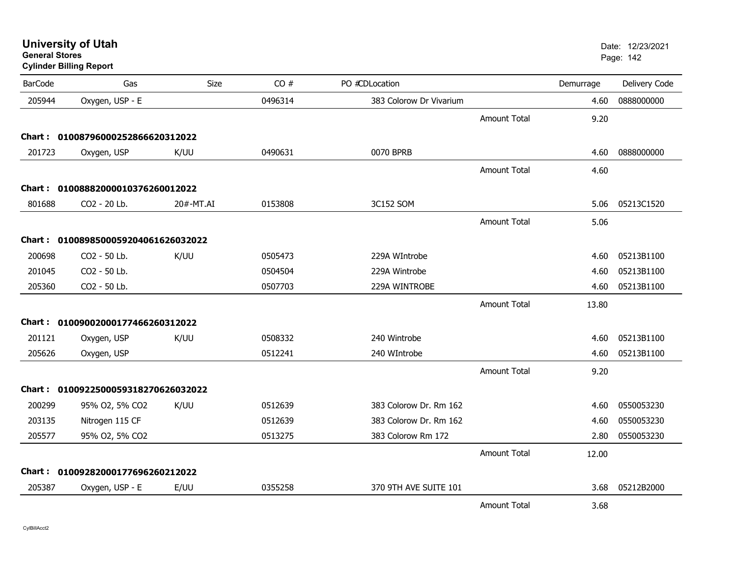**Cylinder Billing Report**

| <b>BarCode</b> | Gas                                 | <b>Size</b> | CO#     | PO #CDLocation          |                     | Demurrage | Delivery Code |
|----------------|-------------------------------------|-------------|---------|-------------------------|---------------------|-----------|---------------|
| 205944         | Oxygen, USP - E                     |             | 0496314 | 383 Colorow Dr Vivarium |                     | 4.60      | 0888000000    |
|                |                                     |             |         |                         | <b>Amount Total</b> | 9.20      |               |
|                | Chart: 01008796000252866620312022   |             |         |                         |                     |           |               |
| 201723         | Oxygen, USP                         | K/UU        | 0490631 | 0070 BPRB               |                     | 4.60      | 0888000000    |
|                |                                     |             |         |                         | <b>Amount Total</b> | 4.60      |               |
|                | Chart: 01008882000010376260012022   |             |         |                         |                     |           |               |
| 801688         | CO2 - 20 Lb.                        | 20#-MT.AI   | 0153808 | 3C152 SOM               |                     | 5.06      | 05213C1520    |
|                |                                     |             |         |                         | <b>Amount Total</b> | 5.06      |               |
|                | Chart: 0100898500059204061626032022 |             |         |                         |                     |           |               |
| 200698         | CO2 - 50 Lb.                        | K/UU        | 0505473 | 229A WIntrobe           |                     | 4.60      | 05213B1100    |
| 201045         | CO2 - 50 Lb.                        |             | 0504504 | 229A Wintrobe           |                     | 4.60      | 05213B1100    |
| 205360         | CO2 - 50 Lb.                        |             | 0507703 | 229A WINTROBE           |                     | 4.60      | 05213B1100    |
|                |                                     |             |         |                         | <b>Amount Total</b> | 13.80     |               |
|                | Chart: 01009002000177466260312022   |             |         |                         |                     |           |               |
| 201121         | Oxygen, USP                         | K/UU        | 0508332 | 240 Wintrobe            |                     | 4.60      | 05213B1100    |
| 205626         | Oxygen, USP                         |             | 0512241 | 240 WIntrobe            |                     | 4.60      | 05213B1100    |
|                |                                     |             |         |                         | <b>Amount Total</b> | 9.20      |               |
|                | Chart: 0100922500059318270626032022 |             |         |                         |                     |           |               |
| 200299         | 95% O2, 5% CO2                      | K/UU        | 0512639 | 383 Colorow Dr. Rm 162  |                     | 4.60      | 0550053230    |
| 203135         | Nitrogen 115 CF                     |             | 0512639 | 383 Colorow Dr. Rm 162  |                     | 4.60      | 0550053230    |
| 205577         | 95% O2, 5% CO2                      |             | 0513275 | 383 Colorow Rm 172      |                     | 2.80      | 0550053230    |
|                |                                     |             |         |                         | <b>Amount Total</b> | 12.00     |               |
|                | Chart: 01009282000177696260212022   |             |         |                         |                     |           |               |
| 205387         | Oxygen, USP - E                     | E/UU        | 0355258 | 370 9TH AVE SUITE 101   |                     | 3.68      | 05212B2000    |
|                |                                     |             |         |                         | <b>Amount Total</b> | 3.68      |               |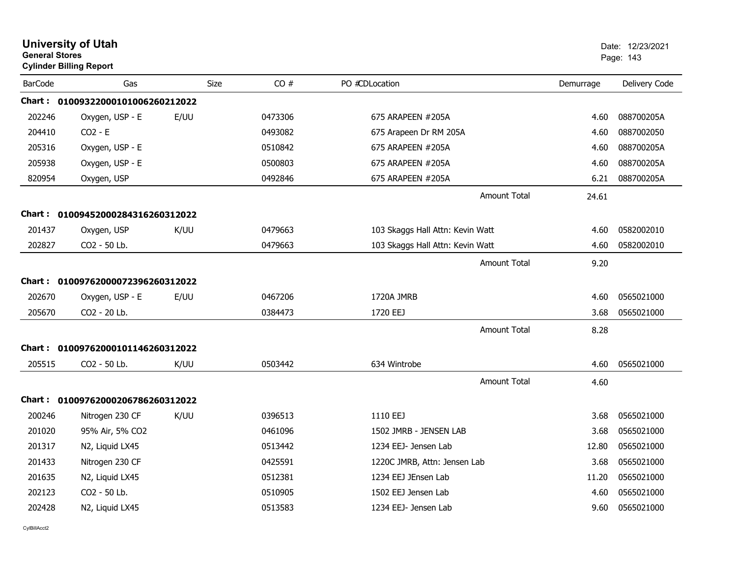| <b>University of Utah</b><br><b>General Stores</b><br><b>Cylinder Billing Report</b> |                                   |      |         |                                  |           | Date: 12/23/2021<br>Page: 143 |  |
|--------------------------------------------------------------------------------------|-----------------------------------|------|---------|----------------------------------|-----------|-------------------------------|--|
| <b>BarCode</b>                                                                       | Gas                               | Size | CO#     | PO #CDLocation                   | Demurrage | Delivery Code                 |  |
|                                                                                      | Chart: 01009322000101006260212022 |      |         |                                  |           |                               |  |
| 202246                                                                               | Oxygen, USP - E                   | E/UU | 0473306 | 675 ARAPEEN #205A                | 4.60      | 088700205A                    |  |
| 204410                                                                               | $CO2 - E$                         |      | 0493082 | 675 Arapeen Dr RM 205A           | 4.60      | 0887002050                    |  |
| 205316                                                                               | Oxygen, USP - E                   |      | 0510842 | 675 ARAPEEN #205A                | 4.60      | 088700205A                    |  |
| 205938                                                                               | Oxygen, USP - E                   |      | 0500803 | 675 ARAPEEN #205A                | 4.60      | 088700205A                    |  |
| 820954                                                                               | Oxygen, USP                       |      | 0492846 | 675 ARAPEEN #205A                | 6.21      | 088700205A                    |  |
|                                                                                      |                                   |      |         | <b>Amount Total</b>              | 24.61     |                               |  |
|                                                                                      | Chart: 01009452000284316260312022 |      |         |                                  |           |                               |  |
| 201437                                                                               | Oxygen, USP                       | K/UU | 0479663 | 103 Skaggs Hall Attn: Kevin Watt | 4.60      | 0582002010                    |  |
| 202827                                                                               | CO2 - 50 Lb.                      |      | 0479663 | 103 Skaggs Hall Attn: Kevin Watt | 4.60      | 0582002010                    |  |
|                                                                                      |                                   |      |         | <b>Amount Total</b>              | 9.20      |                               |  |
|                                                                                      | Chart: 01009762000072396260312022 |      |         |                                  |           |                               |  |
| 202670                                                                               | Oxygen, USP - E                   | E/UU | 0467206 | 1720A JMRB                       | 4.60      | 0565021000                    |  |
| 205670                                                                               | CO2 - 20 Lb.                      |      | 0384473 | 1720 EEJ                         | 3.68      | 0565021000                    |  |
|                                                                                      |                                   |      |         | Amount Total                     | 8.28      |                               |  |
|                                                                                      | Chart: 01009762000101146260312022 |      |         |                                  |           |                               |  |
| 205515                                                                               | CO <sub>2</sub> - 50 Lb.          | K/UU | 0503442 | 634 Wintrobe                     | 4.60      | 0565021000                    |  |
|                                                                                      |                                   |      |         | <b>Amount Total</b>              | 4.60      |                               |  |
|                                                                                      | Chart: 01009762000206786260312022 |      |         |                                  |           |                               |  |
| 200246                                                                               | Nitrogen 230 CF                   | K/UU | 0396513 | 1110 EEJ                         | 3.68      | 0565021000                    |  |
| 201020                                                                               | 95% Air, 5% CO2                   |      | 0461096 | 1502 JMRB - JENSEN LAB           | 3.68      | 0565021000                    |  |
| 201317                                                                               | N2, Liquid LX45                   |      | 0513442 | 1234 EEJ- Jensen Lab             | 12.80     | 0565021000                    |  |
| 201433                                                                               | Nitrogen 230 CF                   |      | 0425591 | 1220C JMRB, Attn: Jensen Lab     | 3.68      | 0565021000                    |  |
| 201635                                                                               | N2, Liquid LX45                   |      | 0512381 | 1234 EEJ JEnsen Lab              | 11.20     | 0565021000                    |  |
| 202123                                                                               | CO2 - 50 Lb.                      |      | 0510905 | 1502 EEJ Jensen Lab              | 4.60      | 0565021000                    |  |
| 202428                                                                               | N2, Liquid LX45                   |      | 0513583 | 1234 EEJ- Jensen Lab             | 9.60      | 0565021000                    |  |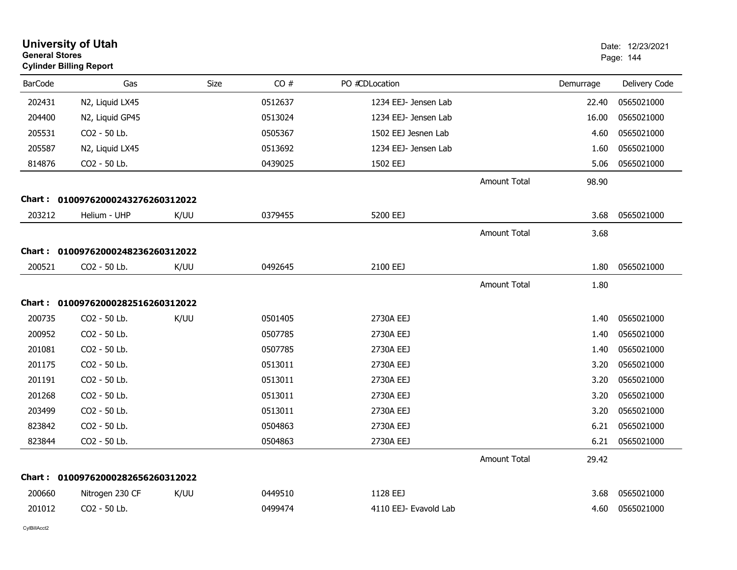| <b>General Stores</b> | <b>University of Utah</b><br><b>Cylinder Billing Report</b> |      |         |                       |                     |           | Date: 12/23/2021<br>Page: 144 |
|-----------------------|-------------------------------------------------------------|------|---------|-----------------------|---------------------|-----------|-------------------------------|
| <b>BarCode</b>        | Gas                                                         | Size | CO#     | PO #CDLocation        |                     | Demurrage | Delivery Code                 |
| 202431                | N2, Liquid LX45                                             |      | 0512637 | 1234 EEJ- Jensen Lab  |                     | 22.40     | 0565021000                    |
| 204400                | N2, Liquid GP45                                             |      | 0513024 | 1234 EEJ- Jensen Lab  |                     | 16.00     | 0565021000                    |
| 205531                | CO2 - 50 Lb.                                                |      | 0505367 | 1502 EEJ Jesnen Lab   |                     | 4.60      | 0565021000                    |
| 205587                | N2, Liquid LX45                                             |      | 0513692 | 1234 EEJ- Jensen Lab  |                     | 1.60      | 0565021000                    |
| 814876                | CO2 - 50 Lb.                                                |      | 0439025 | 1502 EEJ              |                     | 5.06      | 0565021000                    |
|                       |                                                             |      |         |                       | <b>Amount Total</b> | 98.90     |                               |
|                       | Chart: 01009762000243276260312022                           |      |         |                       |                     |           |                               |
| 203212                | Helium - UHP                                                | K/UU | 0379455 | 5200 EEJ              |                     | 3.68      | 0565021000                    |
|                       |                                                             |      |         |                       | <b>Amount Total</b> | 3.68      |                               |
| Chart :               | 01009762000248236260312022                                  |      |         |                       |                     |           |                               |
| 200521                | CO2 - 50 Lb.                                                | K/UU | 0492645 | 2100 EEJ              |                     | 1.80      | 0565021000                    |
|                       |                                                             |      |         |                       | <b>Amount Total</b> | 1.80      |                               |
|                       | Chart: 01009762000282516260312022                           |      |         |                       |                     |           |                               |
| 200735                | CO2 - 50 Lb.                                                | K/UU | 0501405 | 2730A EEJ             |                     | 1.40      | 0565021000                    |
| 200952                | CO2 - 50 Lb.                                                |      | 0507785 | 2730A EEJ             |                     | 1.40      | 0565021000                    |
| 201081                | CO <sub>2</sub> - 50 Lb.                                    |      | 0507785 | 2730A EEJ             |                     | 1.40      | 0565021000                    |
| 201175                | CO2 - 50 Lb.                                                |      | 0513011 | 2730A EEJ             |                     | 3.20      | 0565021000                    |
| 201191                | CO2 - 50 Lb.                                                |      | 0513011 | 2730A EEJ             |                     | 3.20      | 0565021000                    |
| 201268                | CO2 - 50 Lb.                                                |      | 0513011 | 2730A EEJ             |                     | 3.20      | 0565021000                    |
| 203499                | CO2 - 50 Lb.                                                |      | 0513011 | 2730A EEJ             |                     | 3.20      | 0565021000                    |
| 823842                | CO2 - 50 Lb.                                                |      | 0504863 | 2730A EEJ             |                     | 6.21      | 0565021000                    |
| 823844                | CO2 - 50 Lb.                                                |      | 0504863 | 2730A EEJ             |                     | 6.21      | 0565021000                    |
|                       |                                                             |      |         |                       | <b>Amount Total</b> | 29.42     |                               |
| Chart :               | 01009762000282656260312022                                  |      |         |                       |                     |           |                               |
| 200660                | Nitrogen 230 CF                                             | K/UU | 0449510 | 1128 EEJ              |                     | 3.68      | 0565021000                    |
| 201012                | CO2 - 50 Lb.                                                |      | 0499474 | 4110 EEJ- Evavold Lab |                     | 4.60      | 0565021000                    |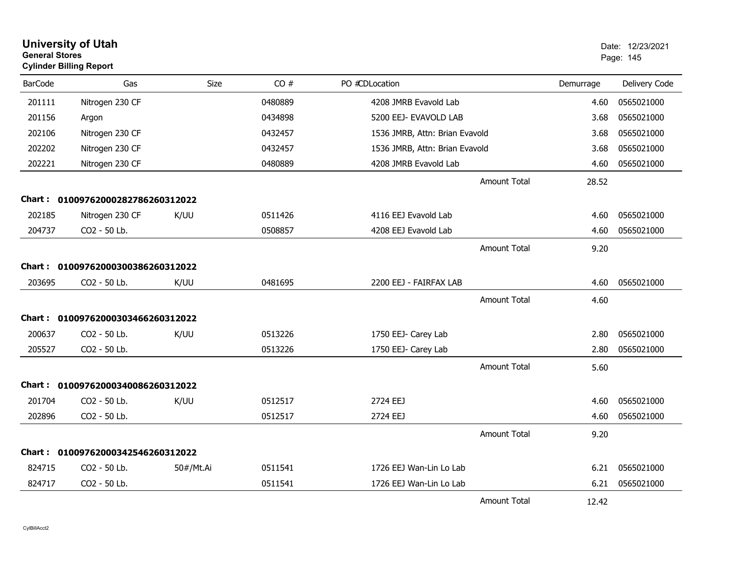| <b>General Stores</b> | <b>University of Utah</b><br><b>Cylinder Billing Report</b> |           |         |                                |                     |           | Date: 12/23/2021<br>Page: 145 |
|-----------------------|-------------------------------------------------------------|-----------|---------|--------------------------------|---------------------|-----------|-------------------------------|
| <b>BarCode</b>        | Gas                                                         | Size      | CO#     | PO #CDLocation                 |                     | Demurrage | Delivery Code                 |
| 201111                | Nitrogen 230 CF                                             |           | 0480889 | 4208 JMRB Evavold Lab          |                     | 4.60      | 0565021000                    |
| 201156                | Argon                                                       |           | 0434898 | 5200 EEJ- EVAVOLD LAB          |                     | 3.68      | 0565021000                    |
| 202106                | Nitrogen 230 CF                                             |           | 0432457 | 1536 JMRB, Attn: Brian Evavold |                     | 3.68      | 0565021000                    |
| 202202                | Nitrogen 230 CF                                             |           | 0432457 | 1536 JMRB, Attn: Brian Evavold |                     | 3.68      | 0565021000                    |
| 202221                | Nitrogen 230 CF                                             |           | 0480889 | 4208 JMRB Evavold Lab          |                     | 4.60      | 0565021000                    |
|                       |                                                             |           |         |                                | <b>Amount Total</b> | 28.52     |                               |
|                       | Chart: 01009762000282786260312022                           |           |         |                                |                     |           |                               |
| 202185                | Nitrogen 230 CF                                             | K/UU      | 0511426 | 4116 EEJ Evavold Lab           |                     | 4.60      | 0565021000                    |
| 204737                | CO2 - 50 Lb.                                                |           | 0508857 | 4208 EEJ Evavold Lab           |                     | 4.60      | 0565021000                    |
|                       |                                                             |           |         |                                | <b>Amount Total</b> | 9.20      |                               |
| <b>Chart :</b>        | 01009762000300386260312022                                  |           |         |                                |                     |           |                               |
| 203695                | CO <sub>2</sub> - 50 Lb.                                    | K/UU      | 0481695 | 2200 EEJ - FAIRFAX LAB         |                     | 4.60      | 0565021000                    |
|                       |                                                             |           |         |                                | <b>Amount Total</b> | 4.60      |                               |
|                       | Chart: 01009762000303466260312022                           |           |         |                                |                     |           |                               |
| 200637                | CO <sub>2</sub> - 50 Lb.                                    | K/UU      | 0513226 | 1750 EEJ- Carey Lab            |                     | 2.80      | 0565021000                    |
| 205527                | CO2 - 50 Lb.                                                |           | 0513226 | 1750 EEJ- Carey Lab            |                     | 2.80      | 0565021000                    |
|                       |                                                             |           |         |                                | <b>Amount Total</b> | 5.60      |                               |
|                       | Chart: 01009762000340086260312022                           |           |         |                                |                     |           |                               |
| 201704                | CO2 - 50 Lb.                                                | K/UU      | 0512517 | 2724 EEJ                       |                     | 4.60      | 0565021000                    |
| 202896                | CO2 - 50 Lb.                                                |           | 0512517 | 2724 EEJ                       |                     | 4.60      | 0565021000                    |
|                       |                                                             |           |         |                                | <b>Amount Total</b> | 9.20      |                               |
| Chart :               | 01009762000342546260312022                                  |           |         |                                |                     |           |                               |
| 824715                | CO <sub>2</sub> - 50 Lb.                                    | 50#/Mt.Ai | 0511541 | 1726 EEJ Wan-Lin Lo Lab        |                     | 6.21      | 0565021000                    |
| 824717                | CO2 - 50 Lb.                                                |           | 0511541 | 1726 EEJ Wan-Lin Lo Lab        |                     | 6.21      | 0565021000                    |
|                       |                                                             |           |         |                                | <b>Amount Total</b> | 12.42     |                               |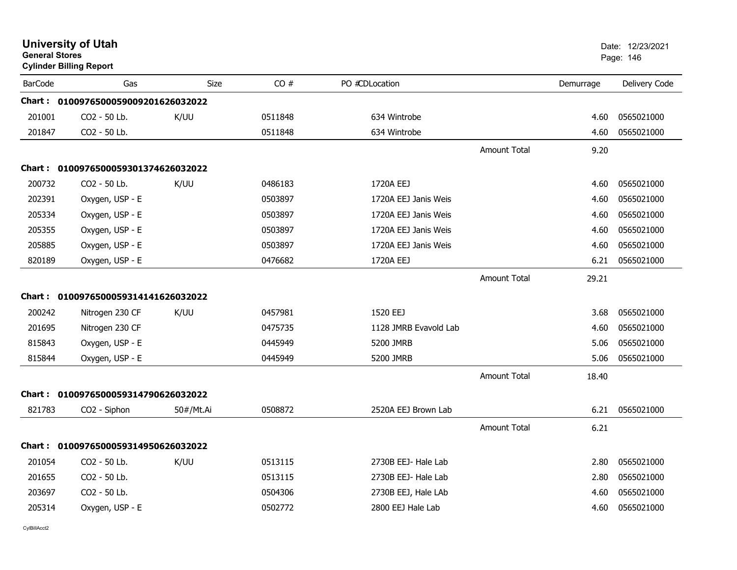| <b>General Stores</b> | <b>University of Utah</b><br><b>Cylinder Billing Report</b> |           |         |                       |                     |           | Date: 12/23/2021<br>Page: 146 |
|-----------------------|-------------------------------------------------------------|-----------|---------|-----------------------|---------------------|-----------|-------------------------------|
| <b>BarCode</b>        | Gas                                                         | Size      | CO#     | PO #CDLocation        |                     | Demurrage | Delivery Code                 |
|                       | Chart: 0100976500059009201626032022                         |           |         |                       |                     |           |                               |
| 201001                | CO <sub>2</sub> - 50 Lb.                                    | K/UU      | 0511848 | 634 Wintrobe          |                     | 4.60      | 0565021000                    |
| 201847                | CO <sub>2</sub> - 50 Lb.                                    |           | 0511848 | 634 Wintrobe          |                     | 4.60      | 0565021000                    |
|                       |                                                             |           |         |                       | <b>Amount Total</b> | 9.20      |                               |
|                       | Chart: 0100976500059301374626032022                         |           |         |                       |                     |           |                               |
| 200732                | CO2 - 50 Lb.                                                | K/UU      | 0486183 | 1720A EEJ             |                     | 4.60      | 0565021000                    |
| 202391                | Oxygen, USP - E                                             |           | 0503897 | 1720A EEJ Janis Weis  |                     | 4.60      | 0565021000                    |
| 205334                | Oxygen, USP - E                                             |           | 0503897 | 1720A EEJ Janis Weis  |                     | 4.60      | 0565021000                    |
| 205355                | Oxygen, USP - E                                             |           | 0503897 | 1720A EEJ Janis Weis  |                     | 4.60      | 0565021000                    |
| 205885                | Oxygen, USP - E                                             |           | 0503897 | 1720A EEJ Janis Weis  |                     | 4.60      | 0565021000                    |
| 820189                | Oxygen, USP - E                                             |           | 0476682 | 1720A EEJ             |                     | 6.21      | 0565021000                    |
|                       |                                                             |           |         |                       | <b>Amount Total</b> | 29.21     |                               |
|                       | Chart: 0100976500059314141626032022                         |           |         |                       |                     |           |                               |
| 200242                | Nitrogen 230 CF                                             | K/UU      | 0457981 | 1520 EEJ              |                     | 3.68      | 0565021000                    |
| 201695                | Nitrogen 230 CF                                             |           | 0475735 | 1128 JMRB Evavold Lab |                     | 4.60      | 0565021000                    |
| 815843                | Oxygen, USP - E                                             |           | 0445949 | 5200 JMRB             |                     | 5.06      | 0565021000                    |
| 815844                | Oxygen, USP - E                                             |           | 0445949 | 5200 JMRB             |                     | 5.06      | 0565021000                    |
|                       |                                                             |           |         |                       | <b>Amount Total</b> | 18.40     |                               |
|                       | Chart: 0100976500059314790626032022                         |           |         |                       |                     |           |                               |
| 821783                | CO2 - Siphon                                                | 50#/Mt.Ai | 0508872 | 2520A EEJ Brown Lab   |                     | 6.21      | 0565021000                    |
|                       |                                                             |           |         |                       | <b>Amount Total</b> | 6.21      |                               |
|                       | Chart: 0100976500059314950626032022                         |           |         |                       |                     |           |                               |
| 201054                | CO2 - 50 Lb.                                                | K/UU      | 0513115 | 2730B EEJ- Hale Lab   |                     | 2.80      | 0565021000                    |
| 201655                | CO2 - 50 Lb.                                                |           | 0513115 | 2730B EEJ- Hale Lab   |                     | 2.80      | 0565021000                    |
| 203697                | CO2 - 50 Lb.                                                |           | 0504306 | 2730B EEJ, Hale LAb   |                     | 4.60      | 0565021000                    |
| 205314                | Oxygen, USP - E                                             |           | 0502772 | 2800 EEJ Hale Lab     |                     | 4.60      | 0565021000                    |
|                       |                                                             |           |         |                       |                     |           |                               |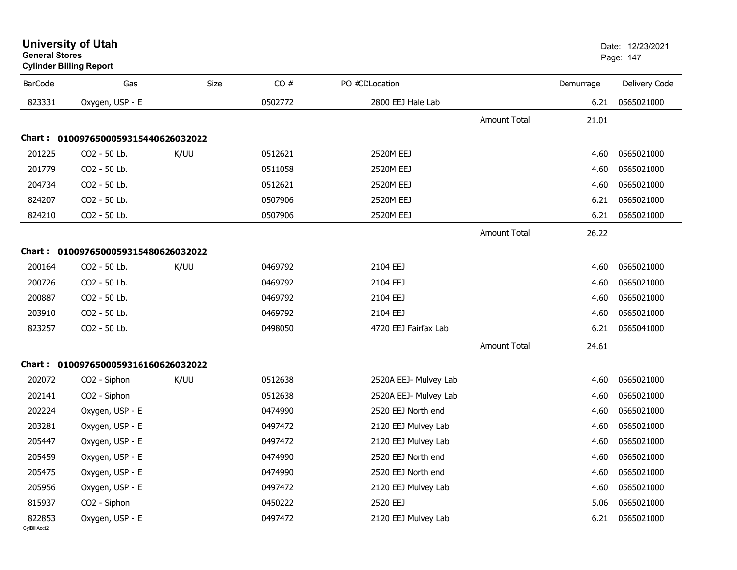|                | oyiinuci Diliniy Report             |      |         |                       |              |           |               |
|----------------|-------------------------------------|------|---------|-----------------------|--------------|-----------|---------------|
| <b>BarCode</b> | Gas                                 | Size | CO#     | PO #CDLocation        |              | Demurrage | Delivery Code |
| 823331         | Oxygen, USP - E                     |      | 0502772 | 2800 EEJ Hale Lab     |              | 6.21      | 0565021000    |
|                |                                     |      |         |                       | Amount Total | 21.01     |               |
|                | Chart: 0100976500059315440626032022 |      |         |                       |              |           |               |
| 201225         | CO2 - 50 Lb.                        | K/UU | 0512621 | 2520M EEJ             |              | 4.60      | 0565021000    |
| 201779         | CO2 - 50 Lb.                        |      | 0511058 | 2520M EEJ             |              | 4.60      | 0565021000    |
| 204734         | CO2 - 50 Lb.                        |      | 0512621 | 2520M EEJ             |              | 4.60      | 0565021000    |
| 824207         | CO2 - 50 Lb.                        |      | 0507906 | 2520M EEJ             |              | 6.21      | 0565021000    |
| 824210         | CO2 - 50 Lb.                        |      | 0507906 | 2520M EEJ             |              | 6.21      | 0565021000    |
|                |                                     |      |         |                       | Amount Total | 26.22     |               |
|                | Chart: 0100976500059315480626032022 |      |         |                       |              |           |               |
| 200164         | CO2 - 50 Lb.                        | K/UU | 0469792 | 2104 EEJ              |              | 4.60      | 0565021000    |
| 200726         | CO2 - 50 Lb.                        |      | 0469792 | 2104 EEJ              |              | 4.60      | 0565021000    |
| 200887         | CO2 - 50 Lb.                        |      | 0469792 | 2104 EEJ              |              | 4.60      | 0565021000    |
| 203910         | CO2 - 50 Lb.                        |      | 0469792 | 2104 EEJ              |              | 4.60      | 0565021000    |
| 823257         | CO2 - 50 Lb.                        |      | 0498050 | 4720 EEJ Fairfax Lab  |              | 6.21      | 0565041000    |
|                |                                     |      |         |                       | Amount Total | 24.61     |               |
|                | Chart: 0100976500059316160626032022 |      |         |                       |              |           |               |
| 202072         | CO <sub>2</sub> - Siphon            | K/UU | 0512638 | 2520A EEJ- Mulvey Lab |              | 4.60      | 0565021000    |
| 202141         | CO2 - Siphon                        |      | 0512638 | 2520A EEJ- Mulvey Lab |              | 4.60      | 0565021000    |
| 202224         | Oxygen, USP - E                     |      | 0474990 | 2520 EEJ North end    |              | 4.60      | 0565021000    |
| 203281         | Oxygen, USP - E                     |      | 0497472 | 2120 EEJ Mulvey Lab   |              | 4.60      | 0565021000    |
| 205447         | Oxygen, USP - E                     |      | 0497472 | 2120 EEJ Mulvey Lab   |              | 4.60      | 0565021000    |
| 205459         | Oxygen, USP - E                     |      | 0474990 | 2520 EEJ North end    |              | 4.60      | 0565021000    |
| 205475         | Oxygen, USP - E                     |      | 0474990 | 2520 EEJ North end    |              | 4.60      | 0565021000    |
| 205956         | Oxygen, USP - E                     |      | 0497472 | 2120 EEJ Mulvey Lab   |              | 4.60      | 0565021000    |

CO2 - Siphon 3.06 3565021000

Oxygen, USP - E 2120 EEJ Mulvey Lab 2120 EEJ Mulvey Lab 6.21 0565021000

#### **University of Utah** Date: 12/23/2021 **General Stores**

**Cylinder Billing Report**

815937

822853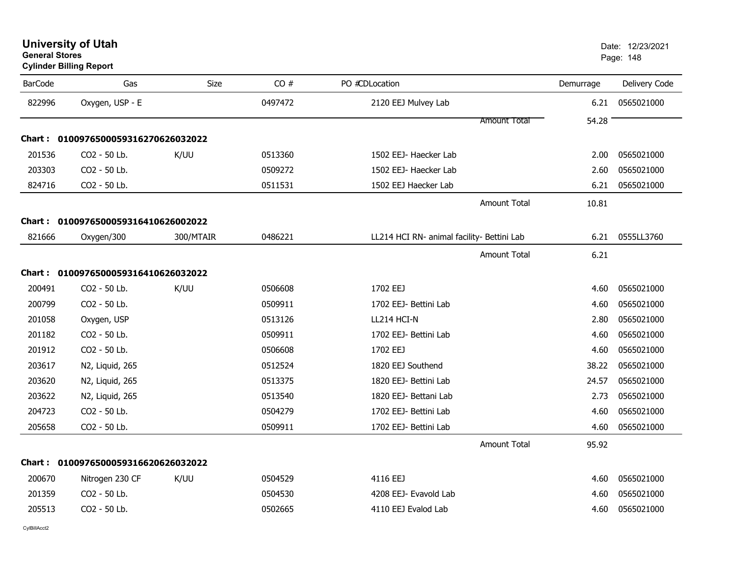| <b>University of Utah</b> |  |
|---------------------------|--|
| <b>General Stores</b>     |  |

| <b>BarCode</b> | Gas                                 | <b>Size</b> | CO#     | PO #CDLocation                             | Demurrage | Delivery Code |
|----------------|-------------------------------------|-------------|---------|--------------------------------------------|-----------|---------------|
| 822996         | Oxygen, USP - E                     |             | 0497472 | 2120 EEJ Mulvey Lab                        | 6.21      | 0565021000    |
|                |                                     |             |         | <b>Amount Total</b>                        | 54.28     |               |
|                | Chart: 0100976500059316270626032022 |             |         |                                            |           |               |
| 201536         | CO2 - 50 Lb.                        | K/UU        | 0513360 | 1502 EEJ- Haecker Lab                      | 2.00      | 0565021000    |
| 203303         | CO2 - 50 Lb.                        |             | 0509272 | 1502 EEJ- Haecker Lab                      | 2.60      | 0565021000    |
| 824716         | CO2 - 50 Lb.                        |             | 0511531 | 1502 EEJ Haecker Lab                       | 6.21      | 0565021000    |
|                |                                     |             |         | <b>Amount Total</b>                        | 10.81     |               |
|                | Chart: 0100976500059316410626002022 |             |         |                                            |           |               |
| 821666         | Oxygen/300                          | 300/MTAIR   | 0486221 | LL214 HCI RN- animal facility- Bettini Lab | 6.21      | 0555LL3760    |
|                |                                     |             |         | Amount Total                               | 6.21      |               |
|                | Chart: 0100976500059316410626032022 |             |         |                                            |           |               |
| 200491         | CO2 - 50 Lb.                        | K/UU        | 0506608 | 1702 EEJ                                   | 4.60      | 0565021000    |
| 200799         | CO2 - 50 Lb.                        |             | 0509911 | 1702 EEJ- Bettini Lab                      | 4.60      | 0565021000    |
| 201058         | Oxygen, USP                         |             | 0513126 | LL214 HCI-N                                | 2.80      | 0565021000    |
| 201182         | CO2 - 50 Lb.                        |             | 0509911 | 1702 EEJ- Bettini Lab                      | 4.60      | 0565021000    |
| 201912         | CO2 - 50 Lb.                        |             | 0506608 | 1702 EEJ                                   | 4.60      | 0565021000    |
| 203617         | N2, Liquid, 265                     |             | 0512524 | 1820 EEJ Southend                          | 38.22     | 0565021000    |
| 203620         | N2, Liquid, 265                     |             | 0513375 | 1820 EEJ- Bettini Lab                      | 24.57     | 0565021000    |
| 203622         | N2, Liquid, 265                     |             | 0513540 | 1820 EEJ- Bettani Lab                      | 2.73      | 0565021000    |
| 204723         | CO2 - 50 Lb.                        |             | 0504279 | 1702 EEJ- Bettini Lab                      | 4.60      | 0565021000    |
| 205658         | CO2 - 50 Lb.                        |             | 0509911 | 1702 EEJ- Bettini Lab                      | 4.60      | 0565021000    |
|                |                                     |             |         | <b>Amount Total</b>                        | 95.92     |               |
|                | Chart: 0100976500059316620626032022 |             |         |                                            |           |               |
| 200670         | Nitrogen 230 CF                     | K/UU        | 0504529 | 4116 EEJ                                   | 4.60      | 0565021000    |
| 201359         | CO2 - 50 Lb.                        |             | 0504530 | 4208 EEJ- Evavold Lab                      | 4.60      | 0565021000    |
| 205513         | CO2 - 50 Lb.                        |             | 0502665 | 4110 EEJ Evalod Lab                        | 4.60      | 0565021000    |
|                |                                     |             |         |                                            |           |               |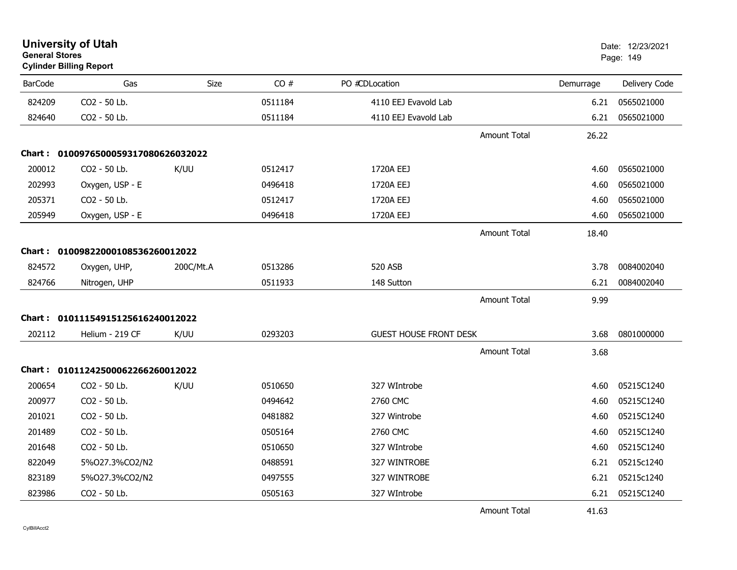| <b>General Stores</b> | <b>University of Utah</b><br><b>Cylinder Billing Report</b> |             |         |                               |                     |           | Date: 12/23/2021<br>Page: 149 |
|-----------------------|-------------------------------------------------------------|-------------|---------|-------------------------------|---------------------|-----------|-------------------------------|
| <b>BarCode</b>        | Gas                                                         | <b>Size</b> | CO#     | PO #CDLocation                |                     | Demurrage | Delivery Code                 |
| 824209                | CO2 - 50 Lb.                                                |             | 0511184 | 4110 EEJ Evavold Lab          |                     | 6.21      | 0565021000                    |
| 824640                | CO2 - 50 Lb.                                                |             | 0511184 | 4110 EEJ Evavold Lab          |                     | 6.21      | 0565021000                    |
|                       |                                                             |             |         |                               | <b>Amount Total</b> | 26.22     |                               |
|                       | Chart: 0100976500059317080626032022                         |             |         |                               |                     |           |                               |
| 200012                | CO2 - 50 Lb.                                                | K/UU        | 0512417 | 1720A EEJ                     |                     | 4.60      | 0565021000                    |
| 202993                | Oxygen, USP - E                                             |             | 0496418 | 1720A EEJ                     |                     | 4.60      | 0565021000                    |
| 205371                | CO2 - 50 Lb.                                                |             | 0512417 | 1720A EEJ                     |                     | 4.60      | 0565021000                    |
| 205949                | Oxygen, USP - E                                             |             | 0496418 | 1720A EEJ                     |                     | 4.60      | 0565021000                    |
|                       |                                                             |             |         |                               | <b>Amount Total</b> | 18.40     |                               |
|                       | Chart: 01009822000108536260012022                           |             |         |                               |                     |           |                               |
| 824572                | Oxygen, UHP,                                                | 200C/Mt.A   | 0513286 | <b>520 ASB</b>                |                     | 3.78      | 0084002040                    |
| 824766                | Nitrogen, UHP                                               |             | 0511933 | 148 Sutton                    |                     | 6.21      | 0084002040                    |
|                       |                                                             |             |         |                               | <b>Amount Total</b> | 9.99      |                               |
|                       | Chart: 01011154915125616240012022                           |             |         |                               |                     |           |                               |
| 202112                | Helium - 219 CF                                             | K/UU        | 0293203 | <b>GUEST HOUSE FRONT DESK</b> |                     | 3.68      | 0801000000                    |
|                       |                                                             |             |         |                               | <b>Amount Total</b> | 3.68      |                               |
|                       | Chart: 01011242500062266260012022                           |             |         |                               |                     |           |                               |
| 200654                | CO2 - 50 Lb.                                                | K/UU        | 0510650 | 327 WIntrobe                  |                     | 4.60      | 05215C1240                    |
| 200977                | CO2 - 50 Lb.                                                |             | 0494642 | 2760 CMC                      |                     | 4.60      | 05215C1240                    |
| 201021                | CO2 - 50 Lb.                                                |             | 0481882 | 327 Wintrobe                  |                     | 4.60      | 05215C1240                    |
| 201489                | CO2 - 50 Lb.                                                |             | 0505164 | 2760 CMC                      |                     | 4.60      | 05215C1240                    |
| 201648                | CO2 - 50 Lb.                                                |             | 0510650 | 327 WIntrobe                  |                     | 4.60      | 05215C1240                    |
| 822049                | 5%027.3%CO2/N2                                              |             | 0488591 | 327 WINTROBE                  |                     | 6.21      | 05215c1240                    |
| 823189                | 5%027.3%CO2/N2                                              |             | 0497555 | 327 WINTROBE                  |                     | 6.21      | 05215c1240                    |
| 823986                | CO2 - 50 Lb.                                                |             | 0505163 | 327 WIntrobe                  |                     | 6.21      | 05215C1240                    |
|                       |                                                             |             |         |                               | <b>Amount Total</b> | 41.63     |                               |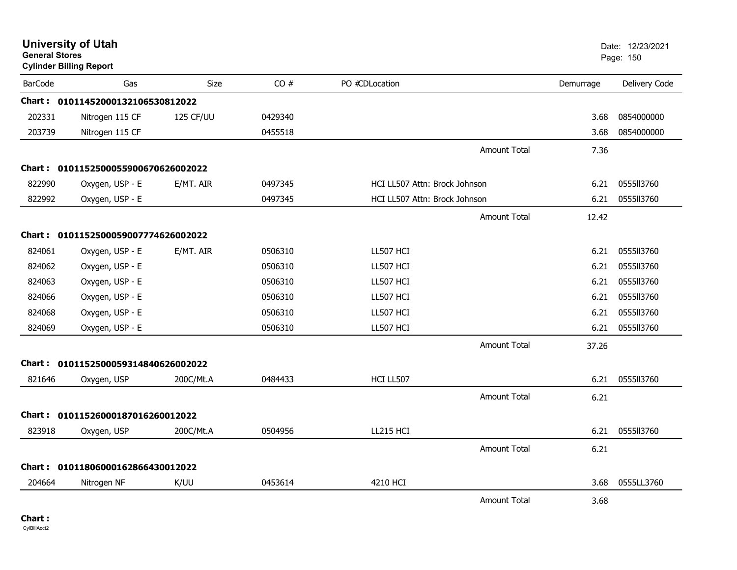| <b>General Stores</b> | <b>University of Utah</b><br><b>Cylinder Billing Report</b> |           |         |                               |                     |           | Date: 12/23/2021<br>Page: 150 |
|-----------------------|-------------------------------------------------------------|-----------|---------|-------------------------------|---------------------|-----------|-------------------------------|
| <b>BarCode</b>        | Gas                                                         | Size      | CO#     | PO #CDLocation                |                     | Demurrage | Delivery Code                 |
|                       | Chart: 01011452000132106530812022                           |           |         |                               |                     |           |                               |
| 202331                | Nitrogen 115 CF                                             | 125 CF/UU | 0429340 |                               |                     | 3.68      | 0854000000                    |
| 203739                | Nitrogen 115 CF                                             |           | 0455518 |                               |                     | 3.68      | 0854000000                    |
|                       |                                                             |           |         |                               | <b>Amount Total</b> | 7.36      |                               |
|                       | Chart: 0101152500055900670626002022                         |           |         |                               |                     |           |                               |
| 822990                | Oxygen, USP - E                                             | E/MT. AIR | 0497345 | HCI LL507 Attn: Brock Johnson |                     | 6.21      | 0555113760                    |
| 822992                | Oxygen, USP - E                                             |           | 0497345 | HCI LL507 Attn: Brock Johnson |                     | 6.21      | 0555113760                    |
|                       |                                                             |           |         |                               | Amount Total        | 12.42     |                               |
|                       | Chart: 0101152500059007774626002022                         |           |         |                               |                     |           |                               |
| 824061                | Oxygen, USP - E                                             | E/MT. AIR | 0506310 | LL507 HCI                     |                     | 6.21      | 0555II3760                    |
| 824062                | Oxygen, USP - E                                             |           | 0506310 | LL507 HCI                     |                     | 6.21      | 0555ll3760                    |
| 824063                | Oxygen, USP - E                                             |           | 0506310 | LL507 HCI                     |                     | 6.21      | 0555113760                    |
| 824066                | Oxygen, USP - E                                             |           | 0506310 | LL507 HCI                     |                     | 6.21      | 0555113760                    |
| 824068                | Oxygen, USP - E                                             |           | 0506310 | LL507 HCI                     |                     | 6.21      | 0555113760                    |
| 824069                | Oxygen, USP - E                                             |           | 0506310 | LL507 HCI                     |                     | 6.21      | 0555ll3760                    |
|                       |                                                             |           |         |                               | <b>Amount Total</b> | 37.26     |                               |
| Chart :               | 0101152500059314840626002022                                |           |         |                               |                     |           |                               |
| 821646                | Oxygen, USP                                                 | 200C/Mt.A | 0484433 | HCI LL507                     |                     | 6.21      | 0555113760                    |
|                       |                                                             |           |         |                               | <b>Amount Total</b> | 6.21      |                               |
| <b>Chart :</b>        | 01011526000187016260012022                                  |           |         |                               |                     |           |                               |
| 823918                | Oxygen, USP                                                 | 200C/Mt.A | 0504956 | LL215 HCI                     |                     | 6.21      | 0555113760                    |
|                       |                                                             |           |         |                               | <b>Amount Total</b> | 6.21      |                               |
| <b>Chart :</b>        | 01011806000162866430012022                                  |           |         |                               |                     |           |                               |
| 204664                | Nitrogen NF                                                 | K/UU      | 0453614 | 4210 HCI                      |                     | 3.68      | 0555LL3760                    |
|                       |                                                             |           |         |                               | <b>Amount Total</b> | 3.68      |                               |
|                       |                                                             |           |         |                               |                     |           |                               |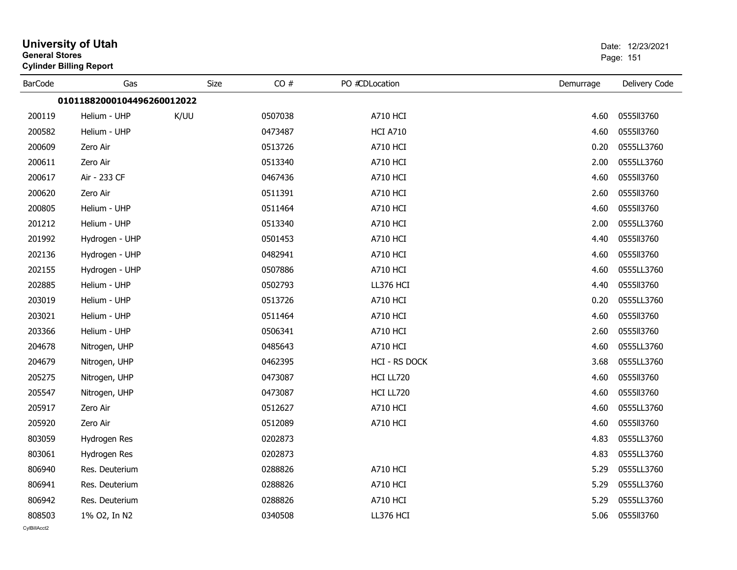| <b>General Stores</b> | <b>University of Utah</b><br><b>Cylinder Billing Report</b> |      |         |                      |           | Date: 12/23/2021<br>Page: 151 |
|-----------------------|-------------------------------------------------------------|------|---------|----------------------|-----------|-------------------------------|
| <b>BarCode</b>        | Gas                                                         | Size | CO#     | PO #CDLocation       | Demurrage | Delivery Code                 |
|                       | 01011882000104496260012022                                  |      |         |                      |           |                               |
| 200119                | Helium - UHP                                                | K/UU | 0507038 | <b>A710 HCI</b>      | 4.60      | 0555113760                    |
| 200582                | Helium - UHP                                                |      | 0473487 | <b>HCI A710</b>      | 4.60      | 0555113760                    |
| 200609                | Zero Air                                                    |      | 0513726 | <b>A710 HCI</b>      | 0.20      | 0555LL3760                    |
| 200611                | Zero Air                                                    |      | 0513340 | <b>A710 HCI</b>      | 2.00      | 0555LL3760                    |
| 200617                | Air - 233 CF                                                |      | 0467436 | <b>A710 HCI</b>      | 4.60      | 0555113760                    |
| 200620                | Zero Air                                                    |      | 0511391 | <b>A710 HCI</b>      | 2.60      | 0555113760                    |
| 200805                | Helium - UHP                                                |      | 0511464 | <b>A710 HCI</b>      | 4.60      | 0555113760                    |
| 201212                | Helium - UHP                                                |      | 0513340 | <b>A710 HCI</b>      | 2.00      | 0555LL3760                    |
| 201992                | Hydrogen - UHP                                              |      | 0501453 | <b>A710 HCI</b>      | 4.40      | 0555113760                    |
| 202136                | Hydrogen - UHP                                              |      | 0482941 | <b>A710 HCI</b>      | 4.60      | 0555113760                    |
| 202155                | Hydrogen - UHP                                              |      | 0507886 | <b>A710 HCI</b>      | 4.60      | 0555LL3760                    |
| 202885                | Helium - UHP                                                |      | 0502793 | LL376 HCI            | 4.40      | 0555113760                    |
| 203019                | Helium - UHP                                                |      | 0513726 | <b>A710 HCI</b>      | 0.20      | 0555LL3760                    |
| 203021                | Helium - UHP                                                |      | 0511464 | <b>A710 HCI</b>      | 4.60      | 0555113760                    |
| 203366                | Helium - UHP                                                |      | 0506341 | <b>A710 HCI</b>      | 2.60      | 0555113760                    |
| 204678                | Nitrogen, UHP                                               |      | 0485643 | <b>A710 HCI</b>      | 4.60      | 0555LL3760                    |
| 204679                | Nitrogen, UHP                                               |      | 0462395 | <b>HCI - RS DOCK</b> | 3.68      | 0555LL3760                    |
| 205275                | Nitrogen, UHP                                               |      | 0473087 | HCI LL720            | 4.60      | 0555113760                    |
| 205547                | Nitrogen, UHP                                               |      | 0473087 | HCI LL720            | 4.60      | 0555113760                    |
| 205917                | Zero Air                                                    |      | 0512627 | A710 HCI             | 4.60      | 0555LL3760                    |
| 205920                | Zero Air                                                    |      | 0512089 | <b>A710 HCI</b>      | 4.60      | 0555113760                    |
| 803059                | Hydrogen Res                                                |      | 0202873 |                      | 4.83      | 0555LL3760                    |
| 803061                | Hydrogen Res                                                |      | 0202873 |                      | 4.83      | 0555LL3760                    |
| 806940                | Res. Deuterium                                              |      | 0288826 | <b>A710 HCI</b>      | 5.29      | 0555LL3760                    |
| 806941                | Res. Deuterium                                              |      | 0288826 | <b>A710 HCI</b>      | 5.29      | 0555LL3760                    |
| 806942                | Res. Deuterium                                              |      | 0288826 | <b>A710 HCI</b>      | 5.29      | 0555LL3760                    |
| 808503                | 1% O2, In N2                                                |      | 0340508 | LL376 HCI            | 5.06      | 0555113760                    |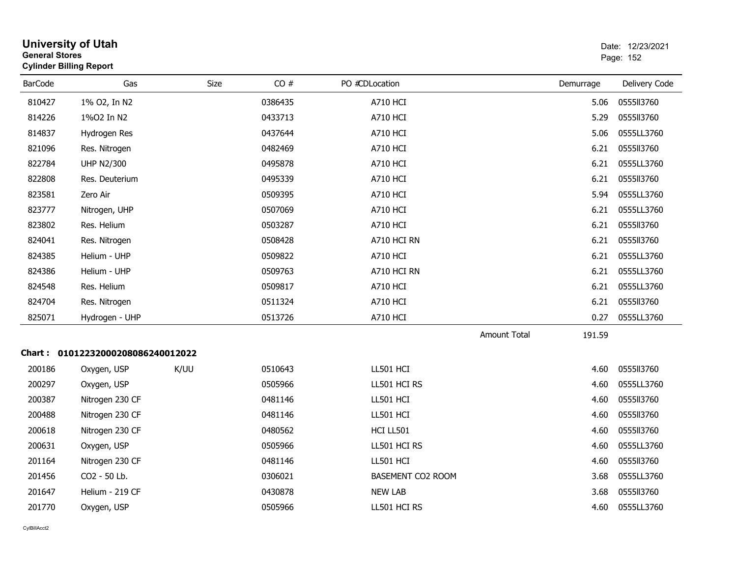| <b>General Stores</b> | <b>University of Utah</b><br><b>Cylinder Billing Report</b> |      |         |                   |                     |           | Date: 12/23/2021<br>Page: 152 |
|-----------------------|-------------------------------------------------------------|------|---------|-------------------|---------------------|-----------|-------------------------------|
| <b>BarCode</b>        | Gas                                                         | Size | CO#     | PO #CDLocation    |                     | Demurrage | Delivery Code                 |
| 810427                | 1% O2, In N2                                                |      | 0386435 | <b>A710 HCI</b>   |                     | 5.06      | 0555113760                    |
| 814226                | 1%02 In N2                                                  |      | 0433713 | <b>A710 HCI</b>   |                     | 5.29      | 0555113760                    |
| 814837                | Hydrogen Res                                                |      | 0437644 | <b>A710 HCI</b>   |                     | 5.06      | 0555LL3760                    |
| 821096                | Res. Nitrogen                                               |      | 0482469 | <b>A710 HCI</b>   |                     | 6.21      | 0555113760                    |
| 822784                | <b>UHP N2/300</b>                                           |      | 0495878 | <b>A710 HCI</b>   |                     | 6.21      | 0555LL3760                    |
| 822808                | Res. Deuterium                                              |      | 0495339 | A710 HCI          |                     | 6.21      | 0555113760                    |
| 823581                | Zero Air                                                    |      | 0509395 | <b>A710 HCI</b>   |                     | 5.94      | 0555LL3760                    |
| 823777                | Nitrogen, UHP                                               |      | 0507069 | <b>A710 HCI</b>   |                     | 6.21      | 0555LL3760                    |
| 823802                | Res. Helium                                                 |      | 0503287 | <b>A710 HCI</b>   |                     | 6.21      | 0555113760                    |
| 824041                | Res. Nitrogen                                               |      | 0508428 | A710 HCI RN       |                     | 6.21      | 0555113760                    |
| 824385                | Helium - UHP                                                |      | 0509822 | A710 HCI          |                     | 6.21      | 0555LL3760                    |
| 824386                | Helium - UHP                                                |      | 0509763 | A710 HCI RN       |                     | 6.21      | 0555LL3760                    |
| 824548                | Res. Helium                                                 |      | 0509817 | <b>A710 HCI</b>   |                     | 6.21      | 0555LL3760                    |
| 824704                | Res. Nitrogen                                               |      | 0511324 | <b>A710 HCI</b>   |                     | 6.21      | 0555113760                    |
| 825071                | Hydrogen - UHP                                              |      | 0513726 | <b>A710 HCI</b>   |                     | 0.27      | 0555LL3760                    |
|                       |                                                             |      |         |                   | <b>Amount Total</b> | 191.59    |                               |
|                       | Chart: 01012232000208086240012022                           |      |         |                   |                     |           |                               |
| 200186                | Oxygen, USP                                                 | K/UU | 0510643 | LL501 HCI         |                     | 4.60      | 0555113760                    |
| 200297                | Oxygen, USP                                                 |      | 0505966 | LL501 HCI RS      |                     | 4.60      | 0555LL3760                    |
| 200387                | Nitrogen 230 CF                                             |      | 0481146 | LL501 HCI         |                     | 4.60      | 0555113760                    |
| 200488                | Nitrogen 230 CF                                             |      | 0481146 | LL501 HCI         |                     | 4.60      | 0555113760                    |
| 200618                | Nitrogen 230 CF                                             |      | 0480562 | HCI LL501         |                     | 4.60      | 0555113760                    |
| 200631                | Oxygen, USP                                                 |      | 0505966 | LL501 HCI RS      |                     | 4.60      | 0555LL3760                    |
| 201164                | Nitrogen 230 CF                                             |      | 0481146 | LL501 HCI         |                     | 4.60      | 0555113760                    |
| 201456                | CO2 - 50 Lb.                                                |      | 0306021 | BASEMENT CO2 ROOM |                     | 3.68      | 0555LL3760                    |
| 201647                | Helium - 219 CF                                             |      | 0430878 | <b>NEW LAB</b>    |                     | 3.68      | 0555113760                    |
| 201770                | Oxygen, USP                                                 |      | 0505966 | LL501 HCI RS      |                     | 4.60      | 0555LL3760                    |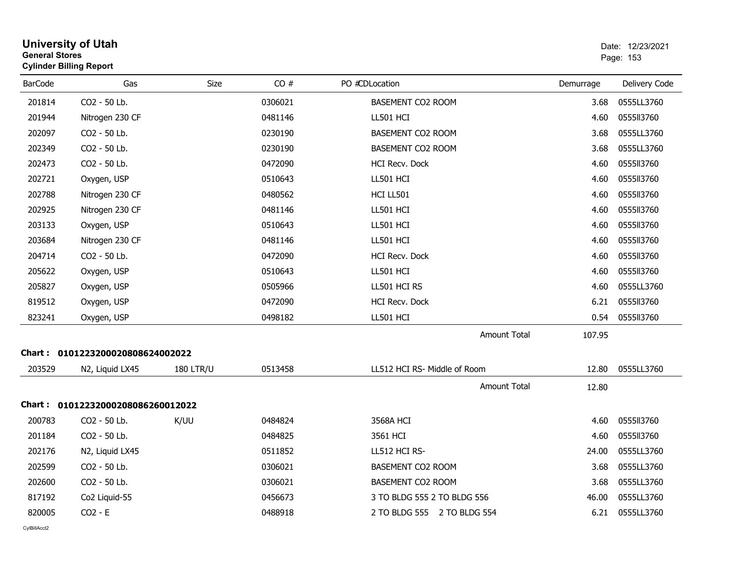| <b>General Stores</b> | <b>University of Utah</b><br><b>Cylinder Billing Report</b> |                  |         |                              |           | Date: 12/23/2021<br>Page: 153 |
|-----------------------|-------------------------------------------------------------|------------------|---------|------------------------------|-----------|-------------------------------|
| <b>BarCode</b>        | Gas                                                         | Size             | CO#     | PO #CDLocation               | Demurrage | Delivery Code                 |
| 201814                | CO2 - 50 Lb.                                                |                  | 0306021 | BASEMENT CO2 ROOM            | 3.68      | 0555LL3760                    |
| 201944                | Nitrogen 230 CF                                             |                  | 0481146 | LL501 HCI                    | 4.60      | 0555113760                    |
| 202097                | CO2 - 50 Lb.                                                |                  | 0230190 | BASEMENT CO2 ROOM            | 3.68      | 0555LL3760                    |
| 202349                | CO2 - 50 Lb.                                                |                  | 0230190 | BASEMENT CO2 ROOM            | 3.68      | 0555LL3760                    |
| 202473                | CO2 - 50 Lb.                                                |                  | 0472090 | <b>HCI Recv. Dock</b>        | 4.60      | 0555II3760                    |
| 202721                | Oxygen, USP                                                 |                  | 0510643 | LL501 HCI                    | 4.60      | 0555113760                    |
| 202788                | Nitrogen 230 CF                                             |                  | 0480562 | HCI LL501                    | 4.60      | 0555113760                    |
| 202925                | Nitrogen 230 CF                                             |                  | 0481146 | LL501 HCI                    | 4.60      | 0555113760                    |
| 203133                | Oxygen, USP                                                 |                  | 0510643 | LL501 HCI                    | 4.60      | 0555II3760                    |
| 203684                | Nitrogen 230 CF                                             |                  | 0481146 | LL501 HCI                    | 4.60      | 0555113760                    |
| 204714                | CO <sub>2</sub> - 50 Lb.                                    |                  | 0472090 | <b>HCI Recv. Dock</b>        | 4.60      | 0555113760                    |
| 205622                | Oxygen, USP                                                 |                  | 0510643 | LL501 HCI                    | 4.60      | 0555113760                    |
| 205827                | Oxygen, USP                                                 |                  | 0505966 | LL501 HCI RS                 | 4.60      | 0555LL3760                    |
| 819512                | Oxygen, USP                                                 |                  | 0472090 | HCI Recv. Dock               | 6.21      | 0555113760                    |
| 823241                | Oxygen, USP                                                 |                  | 0498182 | LL501 HCI                    | 0.54      | 0555113760                    |
|                       |                                                             |                  |         | <b>Amount Total</b>          | 107.95    |                               |
|                       | Chart: 0101223200020808624002022                            |                  |         |                              |           |                               |
| 203529                | N2, Liquid LX45                                             | <b>180 LTR/U</b> | 0513458 | LL512 HCI RS- Middle of Room | 12.80     | 0555LL3760                    |
|                       |                                                             |                  |         | <b>Amount Total</b>          | 12.80     |                               |
|                       | Chart: 01012232000208086260012022                           |                  |         |                              |           |                               |
| 200783                | CO2 - 50 Lb.                                                | K/UU             | 0484824 | 3568A HCI                    | 4.60      | 0555113760                    |
| 201184                | CO2 - 50 Lb.                                                |                  | 0484825 | 3561 HCI                     | 4.60      | 0555II3760                    |
| 202176                | N2, Liquid LX45                                             |                  | 0511852 | LL512 HCI RS-                | 24.00     | 0555LL3760                    |
| 202599                | CO2 - 50 Lb.                                                |                  | 0306021 | BASEMENT CO2 ROOM            | 3.68      | 0555LL3760                    |
| 202600                | CO2 - 50 Lb.                                                |                  | 0306021 | BASEMENT CO2 ROOM            | 3.68      | 0555LL3760                    |
| 817192                | Co2 Liquid-55                                               |                  | 0456673 | 3 TO BLDG 555 2 TO BLDG 556  | 46.00     | 0555LL3760                    |
| 820005                | $CO2 - E$                                                   |                  | 0488918 | 2 TO BLDG 555 2 TO BLDG 554  | 6.21      | 0555LL3760                    |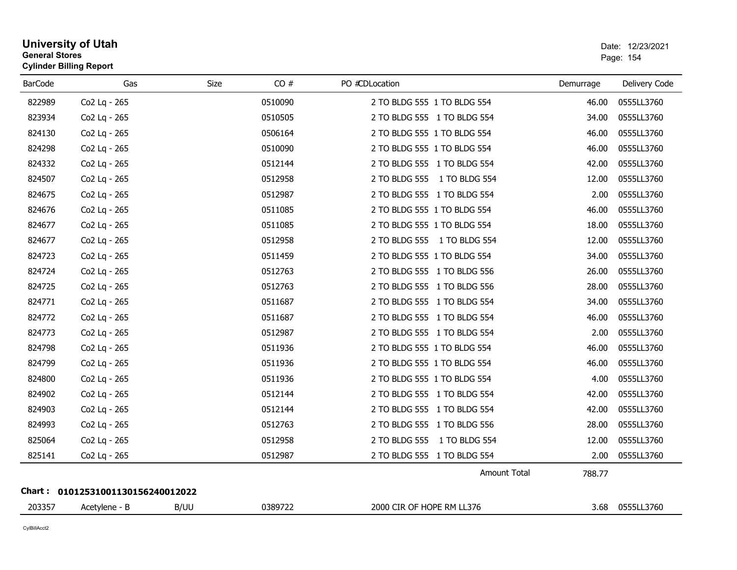| <b>BarCode</b> | Gas                               | <b>Size</b> | CO#     | PO #CDLocation              | Demurrage | Delivery Code   |
|----------------|-----------------------------------|-------------|---------|-----------------------------|-----------|-----------------|
| 822989         | Co2 Lg - 265                      |             | 0510090 | 2 TO BLDG 555 1 TO BLDG 554 | 46.00     | 0555LL3760      |
| 823934         | Co2 Lg - 265                      |             | 0510505 | 2 TO BLDG 555 1 TO BLDG 554 | 34.00     | 0555LL3760      |
| 824130         | Co2 Lq - 265                      |             | 0506164 | 2 TO BLDG 555 1 TO BLDG 554 | 46.00     | 0555LL3760      |
| 824298         | Co2 Lg - 265                      |             | 0510090 | 2 TO BLDG 555 1 TO BLDG 554 | 46.00     | 0555LL3760      |
| 824332         | Co2 Lg - 265                      |             | 0512144 | 2 TO BLDG 555 1 TO BLDG 554 | 42.00     | 0555LL3760      |
| 824507         | Co2 Lg - 265                      |             | 0512958 | 2 TO BLDG 555 1 TO BLDG 554 | 12.00     | 0555LL3760      |
| 824675         | Co2 Lg - 265                      |             | 0512987 | 2 TO BLDG 555 1 TO BLDG 554 | 2.00      | 0555LL3760      |
| 824676         | Co2 Lg - 265                      |             | 0511085 | 2 TO BLDG 555 1 TO BLDG 554 | 46.00     | 0555LL3760      |
| 824677         | Co2 Lq - 265                      |             | 0511085 | 2 TO BLDG 555 1 TO BLDG 554 | 18.00     | 0555LL3760      |
| 824677         | Co2 Lg - 265                      |             | 0512958 | 2 TO BLDG 555 1 TO BLDG 554 | 12.00     | 0555LL3760      |
| 824723         | Co2 Lg - 265                      |             | 0511459 | 2 TO BLDG 555 1 TO BLDG 554 | 34.00     | 0555LL3760      |
| 824724         | Co2 Lq - 265                      |             | 0512763 | 2 TO BLDG 555 1 TO BLDG 556 | 26.00     | 0555LL3760      |
| 824725         | Co2 Lq - 265                      |             | 0512763 | 2 TO BLDG 555 1 TO BLDG 556 | 28.00     | 0555LL3760      |
| 824771         | Co2 Lg - 265                      |             | 0511687 | 2 TO BLDG 555 1 TO BLDG 554 | 34.00     | 0555LL3760      |
| 824772         | Co2 Lg - 265                      |             | 0511687 | 2 TO BLDG 555 1 TO BLDG 554 | 46.00     | 0555LL3760      |
| 824773         | Co2 Lq - 265                      |             | 0512987 | 2 TO BLDG 555 1 TO BLDG 554 | 2.00      | 0555LL3760      |
| 824798         | Co2 Lg - 265                      |             | 0511936 | 2 TO BLDG 555 1 TO BLDG 554 | 46.00     | 0555LL3760      |
| 824799         | Co2 Lq - 265                      |             | 0511936 | 2 TO BLDG 555 1 TO BLDG 554 | 46.00     | 0555LL3760      |
| 824800         | Co2 Lq - 265                      |             | 0511936 | 2 TO BLDG 555 1 TO BLDG 554 | 4.00      | 0555LL3760      |
| 824902         | Co2 Lg - 265                      |             | 0512144 | 2 TO BLDG 555 1 TO BLDG 554 | 42.00     | 0555LL3760      |
| 824903         | Co2 Lq - 265                      |             | 0512144 | 2 TO BLDG 555 1 TO BLDG 554 | 42.00     | 0555LL3760      |
| 824993         | Co2 Lq - 265                      |             | 0512763 | 2 TO BLDG 555 1 TO BLDG 556 | 28.00     | 0555LL3760      |
| 825064         | Co2 Lg - 265                      |             | 0512958 | 2 TO BLDG 555 1 TO BLDG 554 | 12.00     | 0555LL3760      |
| 825141         | Co2 Lq - 265                      |             | 0512987 | 2 TO BLDG 555 1 TO BLDG 554 | 2.00      | 0555LL3760      |
|                |                                   |             |         | <b>Amount Total</b>         | 788.77    |                 |
|                | Chart: 01012531001130156240012022 |             |         |                             |           |                 |
| 203357         | Acetylene - B                     | B/UU        | 0389722 | 2000 CIR OF HOPE RM LL376   |           | 3.68 0555LL3760 |

# **University of Utah** Date: 12/23/2021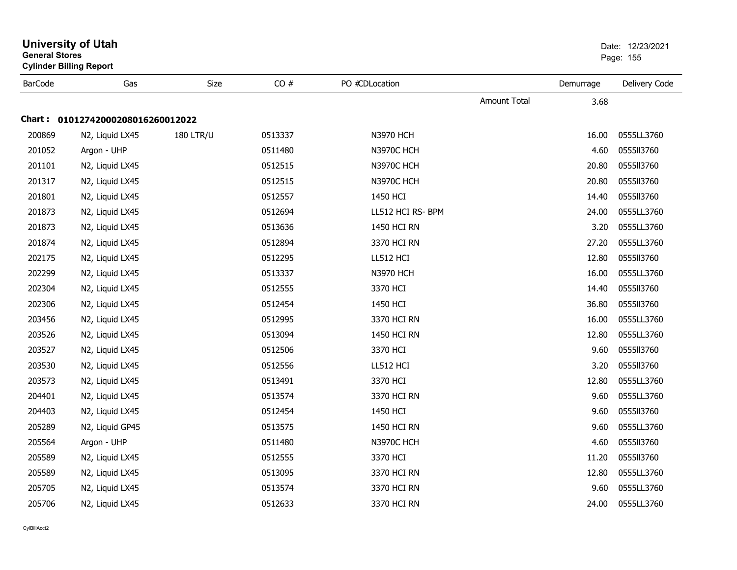| General Stores | <b>Cylinder Billing Report</b>    |                  | Page: 155 |                   |              |           |               |
|----------------|-----------------------------------|------------------|-----------|-------------------|--------------|-----------|---------------|
| <b>BarCode</b> | Gas                               | Size             | CO#       | PO #CDLocation    |              | Demurrage | Delivery Code |
|                |                                   |                  |           |                   | Amount Total | 3.68      |               |
|                | Chart: 01012742000208016260012022 |                  |           |                   |              |           |               |
| 200869         | N2, Liquid LX45                   | <b>180 LTR/U</b> | 0513337   | <b>N3970 HCH</b>  |              | 16.00     | 0555LL3760    |
| 201052         | Argon - UHP                       |                  | 0511480   | <b>N3970C HCH</b> |              | 4.60      | 0555113760    |
| 201101         | N2, Liquid LX45                   |                  | 0512515   | <b>N3970C HCH</b> |              | 20.80     | 0555113760    |
| 201317         | N2, Liquid LX45                   |                  | 0512515   | <b>N3970C HCH</b> |              | 20.80     | 0555113760    |
| 201801         | N2, Liquid LX45                   |                  | 0512557   | 1450 HCI          |              | 14.40     | 0555113760    |
| 201873         | N2, Liquid LX45                   |                  | 0512694   | LL512 HCI RS- BPM |              | 24.00     | 0555LL3760    |
| 201873         | N2, Liquid LX45                   |                  | 0513636   | 1450 HCI RN       |              | 3.20      | 0555LL3760    |
| 201874         | N2, Liquid LX45                   |                  | 0512894   | 3370 HCI RN       |              | 27.20     | 0555LL3760    |
| 202175         | N2, Liquid LX45                   |                  | 0512295   | LL512 HCI         |              | 12.80     | 0555II3760    |
| 202299         | N2, Liquid LX45                   |                  | 0513337   | <b>N3970 HCH</b>  |              | 16.00     | 0555LL3760    |
| 202304         | N2, Liquid LX45                   |                  | 0512555   | 3370 HCI          |              | 14.40     | 0555113760    |
| 202306         | N2, Liquid LX45                   |                  | 0512454   | 1450 HCI          |              | 36.80     | 0555113760    |
| 203456         | N2, Liquid LX45                   |                  | 0512995   | 3370 HCI RN       |              | 16.00     | 0555LL3760    |
| 203526         | N2, Liquid LX45                   |                  | 0513094   | 1450 HCI RN       |              | 12.80     | 0555LL3760    |
| 203527         | N2, Liquid LX45                   |                  | 0512506   | 3370 HCI          |              | 9.60      | 0555113760    |
| 203530         | N2, Liquid LX45                   |                  | 0512556   | LL512 HCI         |              | 3.20      | 0555113760    |
| 203573         | N2, Liquid LX45                   |                  | 0513491   | 3370 HCI          |              | 12.80     | 0555LL3760    |
| 204401         | N2, Liquid LX45                   |                  | 0513574   | 3370 HCI RN       |              | 9.60      | 0555LL3760    |
| 204403         | N2, Liquid LX45                   |                  | 0512454   | 1450 HCI          |              | 9.60      | 0555113760    |
| 205289         | N2, Liquid GP45                   |                  | 0513575   | 1450 HCI RN       |              | 9.60      | 0555LL3760    |
| 205564         | Argon - UHP                       |                  | 0511480   | <b>N3970C HCH</b> |              | 4.60      | 0555113760    |
| 205589         | N2, Liquid LX45                   |                  | 0512555   | 3370 HCI          |              | 11.20     | 0555113760    |
| 205589         | N2, Liquid LX45                   |                  | 0513095   | 3370 HCI RN       |              | 12.80     | 0555LL3760    |
| 205705         | N2, Liquid LX45                   |                  | 0513574   | 3370 HCI RN       |              | 9.60      | 0555LL3760    |
| 205706         | N2, Liquid LX45                   |                  | 0512633   | 3370 HCI RN       |              | 24.00     | 0555LL3760    |

## **University of Utah** Date: 12/23/2021 **General Stores**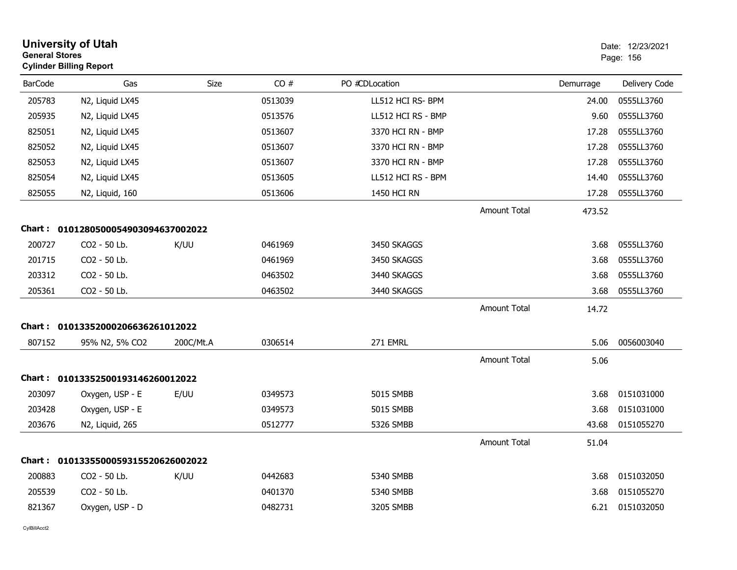| <b>General Stores</b> | <b>University of Utah</b><br><b>Cylinder Billing Report</b> |           |         |                    |                     |           | Date: 12/23/2021<br>Page: 156 |
|-----------------------|-------------------------------------------------------------|-----------|---------|--------------------|---------------------|-----------|-------------------------------|
| <b>BarCode</b>        | Gas                                                         | Size      | CO#     | PO #CDLocation     |                     | Demurrage | Delivery Code                 |
| 205783                | N2, Liquid LX45                                             |           | 0513039 | LL512 HCI RS- BPM  |                     | 24.00     | 0555LL3760                    |
| 205935                | N2, Liquid LX45                                             |           | 0513576 | LL512 HCI RS - BMP |                     | 9.60      | 0555LL3760                    |
| 825051                | N2, Liquid LX45                                             |           | 0513607 | 3370 HCI RN - BMP  |                     | 17.28     | 0555LL3760                    |
| 825052                | N2, Liquid LX45                                             |           | 0513607 | 3370 HCI RN - BMP  |                     | 17.28     | 0555LL3760                    |
| 825053                | N2, Liquid LX45                                             |           | 0513607 | 3370 HCI RN - BMP  |                     | 17.28     | 0555LL3760                    |
| 825054                | N2, Liquid LX45                                             |           | 0513605 | LL512 HCI RS - BPM |                     | 14.40     | 0555LL3760                    |
| 825055                | N2, Liquid, 160                                             |           | 0513606 | 1450 HCI RN        |                     | 17.28     | 0555LL3760                    |
|                       |                                                             |           |         |                    | <b>Amount Total</b> | 473.52    |                               |
|                       | Chart: 0101280500054903094637002022                         |           |         |                    |                     |           |                               |
| 200727                | CO2 - 50 Lb.                                                | K/UU      | 0461969 | 3450 SKAGGS        |                     | 3.68      | 0555LL3760                    |
| 201715                | CO2 - 50 Lb.                                                |           | 0461969 | 3450 SKAGGS        |                     | 3.68      | 0555LL3760                    |
| 203312                | CO2 - 50 Lb.                                                |           | 0463502 | 3440 SKAGGS        |                     | 3.68      | 0555LL3760                    |
| 205361                | CO2 - 50 Lb.                                                |           | 0463502 | 3440 SKAGGS        |                     | 3.68      | 0555LL3760                    |
|                       |                                                             |           |         |                    | <b>Amount Total</b> | 14.72     |                               |
|                       | Chart: 01013352000206636261012022                           |           |         |                    |                     |           |                               |
| 807152                | 95% N2, 5% CO2                                              | 200C/Mt.A | 0306514 | 271 EMRL           |                     | 5.06      | 0056003040                    |
|                       |                                                             |           |         |                    | <b>Amount Total</b> | 5.06      |                               |
|                       | Chart: 01013352500193146260012022                           |           |         |                    |                     |           |                               |
| 203097                | Oxygen, USP - E                                             | E/UU      | 0349573 | 5015 SMBB          |                     | 3.68      | 0151031000                    |
| 203428                | Oxygen, USP - E                                             |           | 0349573 | 5015 SMBB          |                     | 3.68      | 0151031000                    |
| 203676                | N2, Liquid, 265                                             |           | 0512777 | 5326 SMBB          |                     | 43.68     | 0151055270                    |
|                       |                                                             |           |         |                    | <b>Amount Total</b> | 51.04     |                               |
|                       | Chart: 0101335500059315520626002022                         |           |         |                    |                     |           |                               |
| 200883                | CO2 - 50 Lb.                                                | K/UU      | 0442683 | 5340 SMBB          |                     | 3.68      | 0151032050                    |
| 205539                | CO2 - 50 Lb.                                                |           | 0401370 | 5340 SMBB          |                     | 3.68      | 0151055270                    |
| 821367                | Oxygen, USP - D                                             |           | 0482731 | 3205 SMBB          |                     |           | 6.21 0151032050               |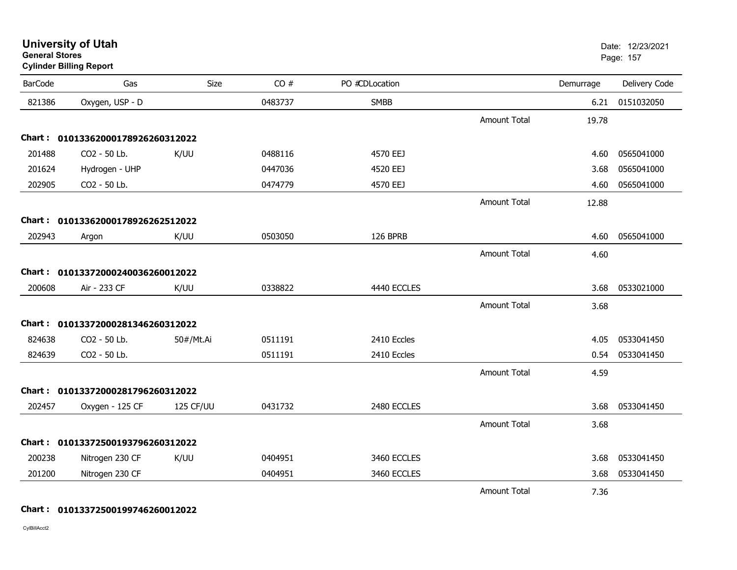|                | <b>Cylinder Billing Report</b>    |           |         |                |                     |           |               |
|----------------|-----------------------------------|-----------|---------|----------------|---------------------|-----------|---------------|
| <b>BarCode</b> | Gas                               | Size      | CO#     | PO #CDLocation |                     | Demurrage | Delivery Code |
| 821386         | Oxygen, USP - D                   |           | 0483737 | <b>SMBB</b>    |                     | 6.21      | 0151032050    |
|                |                                   |           |         |                | <b>Amount Total</b> | 19.78     |               |
|                | Chart: 01013362000178926260312022 |           |         |                |                     |           |               |
| 201488         | CO2 - 50 Lb.                      | K/UU      | 0488116 | 4570 EEJ       |                     | 4.60      | 0565041000    |
| 201624         | Hydrogen - UHP                    |           | 0447036 | 4520 EEJ       |                     | 3.68      | 0565041000    |
| 202905         | CO2 - 50 Lb.                      |           | 0474779 | 4570 EEJ       |                     | 4.60      | 0565041000    |
|                |                                   |           |         |                | <b>Amount Total</b> | 12.88     |               |
|                | Chart: 01013362000178926262512022 |           |         |                |                     |           |               |
| 202943         | Argon                             | K/UU      | 0503050 | 126 BPRB       |                     | 4.60      | 0565041000    |
|                |                                   |           |         |                | <b>Amount Total</b> | 4.60      |               |
|                | Chart: 01013372000240036260012022 |           |         |                |                     |           |               |
| 200608         | Air - 233 CF                      | K/UU      | 0338822 | 4440 ECCLES    |                     | 3.68      | 0533021000    |
|                |                                   |           |         |                | <b>Amount Total</b> | 3.68      |               |
|                | Chart: 01013372000281346260312022 |           |         |                |                     |           |               |
| 824638         | CO2 - 50 Lb.                      | 50#/Mt.Ai | 0511191 | 2410 Eccles    |                     | 4.05      | 0533041450    |
| 824639         | CO2 - 50 Lb.                      |           | 0511191 | 2410 Eccles    |                     | 0.54      | 0533041450    |
|                |                                   |           |         |                | <b>Amount Total</b> | 4.59      |               |
|                | Chart: 01013372000281796260312022 |           |         |                |                     |           |               |
| 202457         | Oxygen - 125 CF                   | 125 CF/UU | 0431732 | 2480 ECCLES    |                     | 3.68      | 0533041450    |
|                |                                   |           |         |                | <b>Amount Total</b> | 3.68      |               |
|                | Chart: 01013372500193796260312022 |           |         |                |                     |           |               |
| 200238         | Nitrogen 230 CF                   | K/UU      | 0404951 | 3460 ECCLES    |                     | 3.68      | 0533041450    |
| 201200         | Nitrogen 230 CF                   |           | 0404951 | 3460 ECCLES    |                     | 3.68      | 0533041450    |
|                |                                   |           |         |                | Amount Total        | 7.36      |               |

**University of Utah** Date: 12/23/2021

er and the state of the state of the state of the state of the state of the state of the state of the state of the state of the state of the state of the state of the state of the state of the state of the state of the sta

**Chart : 01013372500199746260012022**

CylBillAcct2

**General Stores**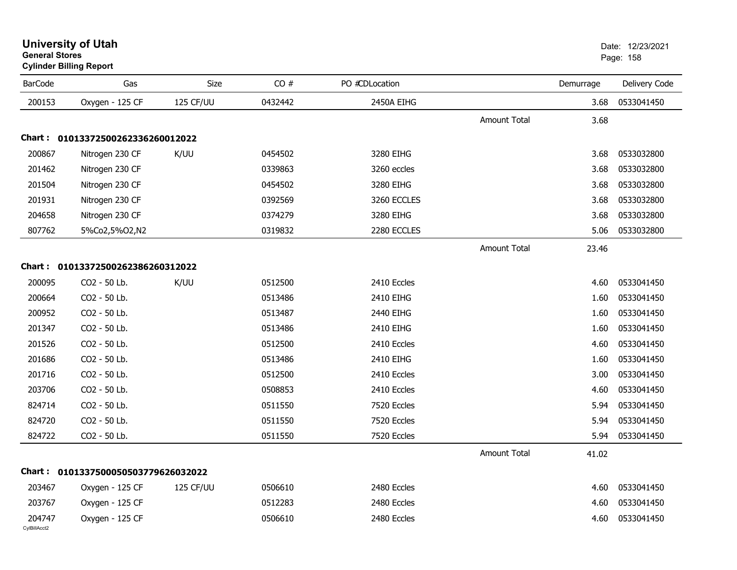| <b>BarCode</b>         | Gas                                 | Size      | CO#     | PO #CDLocation |                     | Demurrage | Delivery Code |
|------------------------|-------------------------------------|-----------|---------|----------------|---------------------|-----------|---------------|
| 200153                 | Oxygen - 125 CF                     | 125 CF/UU | 0432442 | 2450A EIHG     |                     | 3.68      | 0533041450    |
|                        |                                     |           |         |                | <b>Amount Total</b> | 3.68      |               |
|                        | Chart: 01013372500262336260012022   |           |         |                |                     |           |               |
| 200867                 | Nitrogen 230 CF                     | K/UU      | 0454502 | 3280 EIHG      |                     | 3.68      | 0533032800    |
| 201462                 | Nitrogen 230 CF                     |           | 0339863 | 3260 eccles    |                     | 3.68      | 0533032800    |
| 201504                 | Nitrogen 230 CF                     |           | 0454502 | 3280 EIHG      |                     | 3.68      | 0533032800    |
| 201931                 | Nitrogen 230 CF                     |           | 0392569 | 3260 ECCLES    |                     | 3.68      | 0533032800    |
| 204658                 | Nitrogen 230 CF                     |           | 0374279 | 3280 EIHG      |                     | 3.68      | 0533032800    |
| 807762                 | 5%Co2,5%O2,N2                       |           | 0319832 | 2280 ECCLES    |                     | 5.06      | 0533032800    |
|                        |                                     |           |         |                | Amount Total        | 23.46     |               |
|                        | Chart: 01013372500262386260312022   |           |         |                |                     |           |               |
| 200095                 | CO2 - 50 Lb.                        | K/UU      | 0512500 | 2410 Eccles    |                     | 4.60      | 0533041450    |
| 200664                 | CO2 - 50 Lb.                        |           | 0513486 | 2410 EIHG      |                     | 1.60      | 0533041450    |
| 200952                 | CO2 - 50 Lb.                        |           | 0513487 | 2440 EIHG      |                     | 1.60      | 0533041450    |
| 201347                 | CO2 - 50 Lb.                        |           | 0513486 | 2410 EIHG      |                     | 1.60      | 0533041450    |
| 201526                 | CO2 - 50 Lb.                        |           | 0512500 | 2410 Eccles    |                     | 4.60      | 0533041450    |
| 201686                 | CO2 - 50 Lb.                        |           | 0513486 | 2410 EIHG      |                     | 1.60      | 0533041450    |
| 201716                 | CO2 - 50 Lb.                        |           | 0512500 | 2410 Eccles    |                     | 3.00      | 0533041450    |
| 203706                 | CO2 - 50 Lb.                        |           | 0508853 | 2410 Eccles    |                     | 4.60      | 0533041450    |
| 824714                 | CO2 - 50 Lb.                        |           | 0511550 | 7520 Eccles    |                     | 5.94      | 0533041450    |
| 824720                 | CO2 - 50 Lb.                        |           | 0511550 | 7520 Eccles    |                     | 5.94      | 0533041450    |
| 824722                 | CO2 - 50 Lb.                        |           | 0511550 | 7520 Eccles    |                     | 5.94      | 0533041450    |
|                        |                                     |           |         |                | <b>Amount Total</b> | 41.02     |               |
|                        | Chart: 0101337500050503779626032022 |           |         |                |                     |           |               |
| 203467                 | Oxygen - 125 CF                     | 125 CF/UU | 0506610 | 2480 Eccles    |                     | 4.60      | 0533041450    |
| 203767                 | Oxygen - 125 CF                     |           | 0512283 | 2480 Eccles    |                     | 4.60      | 0533041450    |
| 204747<br>CylBillAcct2 | Oxygen - 125 CF                     |           | 0506610 | 2480 Eccles    |                     | 4.60      | 0533041450    |

### **University of Utah** Date: 12/23/2021 **General Stores**

**Cylinder Billing Report**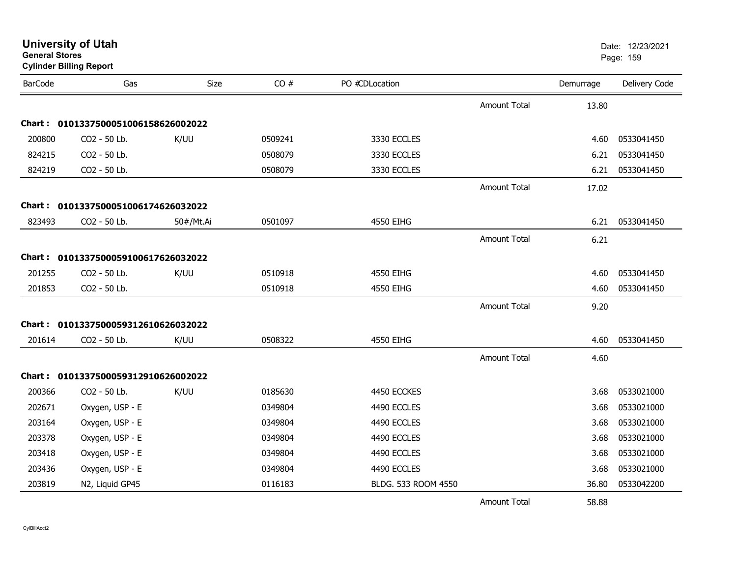| <b>BarCode</b> | Gas                                 | Size      | CO#     | PO #CDLocation      |                     | Demurrage | Delivery Code |
|----------------|-------------------------------------|-----------|---------|---------------------|---------------------|-----------|---------------|
|                |                                     |           |         |                     |                     |           |               |
|                |                                     |           |         |                     | <b>Amount Total</b> | 13.80     |               |
|                | Chart: 0101337500051006158626002022 |           |         |                     |                     |           |               |
| 200800         | CO2 - 50 Lb.                        | K/UU      | 0509241 | 3330 ECCLES         |                     | 4.60      | 0533041450    |
| 824215         | CO2 - 50 Lb.                        |           | 0508079 | 3330 ECCLES         |                     | 6.21      | 0533041450    |
| 824219         | CO2 - 50 Lb.                        |           | 0508079 | 3330 ECCLES         |                     | 6.21      | 0533041450    |
|                |                                     |           |         |                     | <b>Amount Total</b> | 17.02     |               |
|                | Chart: 0101337500051006174626032022 |           |         |                     |                     |           |               |
| 823493         | CO2 - 50 Lb.                        | 50#/Mt.Ai | 0501097 | 4550 EIHG           |                     | 6.21      | 0533041450    |
|                |                                     |           |         |                     | Amount Total        | 6.21      |               |
|                | Chart: 0101337500059100617626032022 |           |         |                     |                     |           |               |
| 201255         | CO2 - 50 Lb.                        | K/UU      | 0510918 | 4550 EIHG           |                     | 4.60      | 0533041450    |
| 201853         | CO2 - 50 Lb.                        |           | 0510918 | 4550 EIHG           |                     | 4.60      | 0533041450    |
|                |                                     |           |         |                     | <b>Amount Total</b> | 9.20      |               |
|                |                                     |           |         |                     |                     |           |               |
|                | Chart: 0101337500059312610626032022 |           |         |                     |                     |           |               |
| 201614         | CO2 - 50 Lb.                        | K/UU      | 0508322 | 4550 EIHG           |                     | 4.60      | 0533041450    |
|                |                                     |           |         |                     | <b>Amount Total</b> | 4.60      |               |
|                | Chart: 0101337500059312910626002022 |           |         |                     |                     |           |               |
| 200366         | CO2 - 50 Lb.                        | K/UU      | 0185630 | 4450 ECCKES         |                     | 3.68      | 0533021000    |
| 202671         | Oxygen, USP - E                     |           | 0349804 | 4490 ECCLES         |                     | 3.68      | 0533021000    |
| 203164         | Oxygen, USP - E                     |           | 0349804 | 4490 ECCLES         |                     | 3.68      | 0533021000    |
| 203378         | Oxygen, USP - E                     |           | 0349804 | 4490 ECCLES         |                     | 3.68      | 0533021000    |
| 203418         | Oxygen, USP - E                     |           | 0349804 | 4490 ECCLES         |                     | 3.68      | 0533021000    |
| 203436         | Oxygen, USP - E                     |           | 0349804 | 4490 ECCLES         |                     | 3.68      | 0533021000    |
| 203819         | N2, Liquid GP45                     |           | 0116183 | BLDG. 533 ROOM 4550 |                     | 36.80     | 0533042200    |
|                |                                     |           |         |                     | <b>Amount Total</b> | 58.88     |               |

#### **University of Utah** Date: 12/23/2021 **General Stores**er and the state of the state of the state of the state of the state of the state of the state of the state of the state of the state of the state of the state of the state of the state of the state of the state of the sta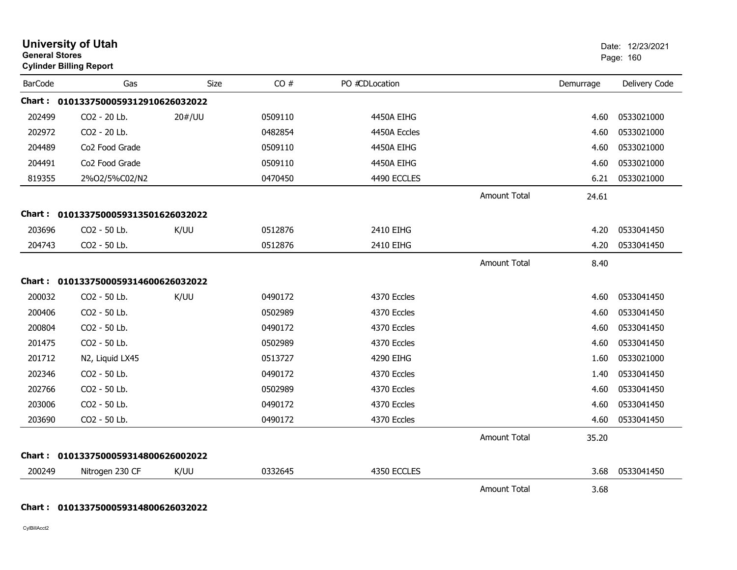|                | <b>University of Utah</b><br><b>General Stores</b><br><b>Cylinder Billing Report</b> |             |         |                |                     |           | Date: 12/23/2021<br>Page: 160 |
|----------------|--------------------------------------------------------------------------------------|-------------|---------|----------------|---------------------|-----------|-------------------------------|
| <b>BarCode</b> | Gas                                                                                  | <b>Size</b> | CO#     | PO #CDLocation |                     | Demurrage | Delivery Code                 |
|                | Chart: 0101337500059312910626032022                                                  |             |         |                |                     |           |                               |
| 202499         | CO2 - 20 Lb.                                                                         | 20#/UU      | 0509110 | 4450A EIHG     |                     | 4.60      | 0533021000                    |
| 202972         | CO2 - 20 Lb.                                                                         |             | 0482854 | 4450A Eccles   |                     | 4.60      | 0533021000                    |
| 204489         | Co2 Food Grade                                                                       |             | 0509110 | 4450A EIHG     |                     | 4.60      | 0533021000                    |
| 204491         | Co2 Food Grade                                                                       |             | 0509110 | 4450A EIHG     |                     | 4.60      | 0533021000                    |
| 819355         | 2%O2/5%C02/N2                                                                        |             | 0470450 | 4490 ECCLES    |                     | 6.21      | 0533021000                    |
|                |                                                                                      |             |         |                | <b>Amount Total</b> | 24.61     |                               |
| Chart :        | 0101337500059313501626032022                                                         |             |         |                |                     |           |                               |
| 203696         | CO2 - 50 Lb.                                                                         | K/UU        | 0512876 | 2410 EIHG      |                     | 4.20      | 0533041450                    |
| 204743         | CO2 - 50 Lb.                                                                         |             | 0512876 | 2410 EIHG      |                     | 4.20      | 0533041450                    |
|                |                                                                                      |             |         |                | <b>Amount Total</b> | 8.40      |                               |
|                | Chart: 0101337500059314600626032022                                                  |             |         |                |                     |           |                               |
| 200032         | CO2 - 50 Lb.                                                                         | K/UU        | 0490172 | 4370 Eccles    |                     | 4.60      | 0533041450                    |
| 200406         | CO2 - 50 Lb.                                                                         |             | 0502989 | 4370 Eccles    |                     | 4.60      | 0533041450                    |
| 200804         | CO2 - 50 Lb.                                                                         |             | 0490172 | 4370 Eccles    |                     | 4.60      | 0533041450                    |
| 201475         | CO2 - 50 Lb.                                                                         |             | 0502989 | 4370 Eccles    |                     | 4.60      | 0533041450                    |
| 201712         | N2, Liquid LX45                                                                      |             | 0513727 | 4290 EIHG      |                     | 1.60      | 0533021000                    |
| 202346         | CO2 - 50 Lb.                                                                         |             | 0490172 | 4370 Eccles    |                     | 1.40      | 0533041450                    |
| 202766         | CO2 - 50 Lb.                                                                         |             | 0502989 | 4370 Eccles    |                     | 4.60      | 0533041450                    |
| 203006         | CO2 - 50 Lb.                                                                         |             | 0490172 | 4370 Eccles    |                     | 4.60      | 0533041450                    |
| 203690         | CO2 - 50 Lb.                                                                         |             | 0490172 | 4370 Eccles    |                     | 4.60      | 0533041450                    |
|                |                                                                                      |             |         |                | <b>Amount Total</b> | 35.20     |                               |
|                | Chart: 0101337500059314800626002022                                                  |             |         |                |                     |           |                               |
| 200249         | Nitrogen 230 CF                                                                      | K/UU        | 0332645 | 4350 ECCLES    |                     | 3.68      | 0533041450                    |
|                |                                                                                      |             |         |                | <b>Amount Total</b> | 3.68      |                               |

#### **Chart : 0101337500059314800626032022**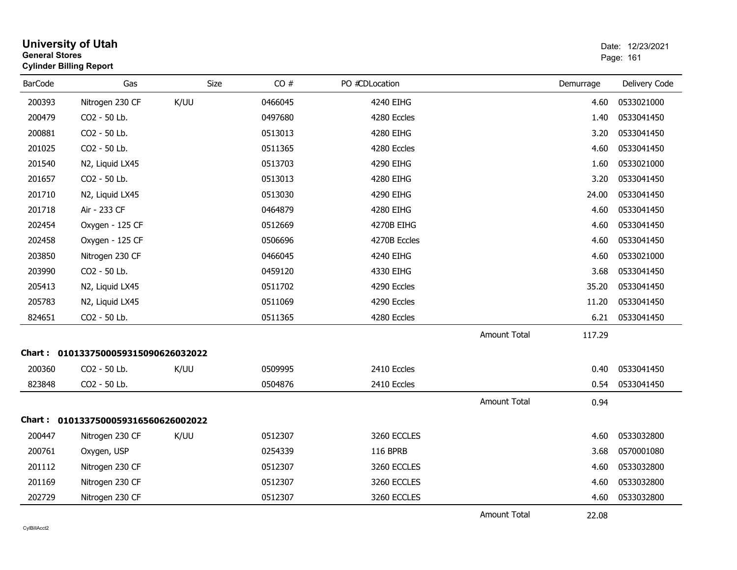| <b>General Stores</b> | <b>University of Utah</b><br><b>Cylinder Billing Report</b> |             |         |                 |                     |           | Date: 12/23/2021<br>Page: 161 |
|-----------------------|-------------------------------------------------------------|-------------|---------|-----------------|---------------------|-----------|-------------------------------|
| <b>BarCode</b>        | Gas                                                         | <b>Size</b> | CO#     | PO #CDLocation  |                     | Demurrage | Delivery Code                 |
| 200393                | Nitrogen 230 CF                                             | K/UU        | 0466045 | 4240 EIHG       |                     | 4.60      | 0533021000                    |
| 200479                | CO2 - 50 Lb.                                                |             | 0497680 | 4280 Eccles     |                     | 1.40      | 0533041450                    |
| 200881                | CO2 - 50 Lb.                                                |             | 0513013 | 4280 EIHG       |                     | 3.20      | 0533041450                    |
| 201025                | CO2 - 50 Lb.                                                |             | 0511365 | 4280 Eccles     |                     | 4.60      | 0533041450                    |
| 201540                | N2, Liquid LX45                                             |             | 0513703 | 4290 EIHG       |                     | 1.60      | 0533021000                    |
| 201657                | CO2 - 50 Lb.                                                |             | 0513013 | 4280 EIHG       |                     | 3.20      | 0533041450                    |
| 201710                | N2, Liquid LX45                                             |             | 0513030 | 4290 EIHG       |                     | 24.00     | 0533041450                    |
| 201718                | Air - 233 CF                                                |             | 0464879 | 4280 EIHG       |                     | 4.60      | 0533041450                    |
| 202454                | Oxygen - 125 CF                                             |             | 0512669 | 4270B EIHG      |                     | 4.60      | 0533041450                    |
| 202458                | Oxygen - 125 CF                                             |             | 0506696 | 4270B Eccles    |                     | 4.60      | 0533041450                    |
| 203850                | Nitrogen 230 CF                                             |             | 0466045 | 4240 EIHG       |                     | 4.60      | 0533021000                    |
| 203990                | CO2 - 50 Lb.                                                |             | 0459120 | 4330 EIHG       |                     | 3.68      | 0533041450                    |
| 205413                | N2, Liquid LX45                                             |             | 0511702 | 4290 Eccles     |                     | 35.20     | 0533041450                    |
| 205783                | N2, Liquid LX45                                             |             | 0511069 | 4290 Eccles     |                     | 11.20     | 0533041450                    |
| 824651                | CO2 - 50 Lb.                                                |             | 0511365 | 4280 Eccles     |                     | 6.21      | 0533041450                    |
|                       |                                                             |             |         |                 | <b>Amount Total</b> | 117.29    |                               |
|                       | Chart: 0101337500059315090626032022                         |             |         |                 |                     |           |                               |
| 200360                | CO2 - 50 Lb.                                                | K/UU        | 0509995 | 2410 Eccles     |                     | 0.40      | 0533041450                    |
| 823848                | CO2 - 50 Lb.                                                |             | 0504876 | 2410 Eccles     |                     | 0.54      | 0533041450                    |
|                       |                                                             |             |         |                 | <b>Amount Total</b> | 0.94      |                               |
|                       | Chart: 0101337500059316560626002022                         |             |         |                 |                     |           |                               |
| 200447                | Nitrogen 230 CF                                             | K/UU        | 0512307 | 3260 ECCLES     |                     | 4.60      | 0533032800                    |
| 200761                | Oxygen, USP                                                 |             | 0254339 | <b>116 BPRB</b> |                     | 3.68      | 0570001080                    |
| 201112                | Nitrogen 230 CF                                             |             | 0512307 | 3260 ECCLES     |                     | 4.60      | 0533032800                    |
| 201169                | Nitrogen 230 CF                                             |             | 0512307 | 3260 ECCLES     |                     | 4.60      | 0533032800                    |
| 202729                | Nitrogen 230 CF                                             |             | 0512307 | 3260 ECCLES     |                     | 4.60      | 0533032800                    |
|                       |                                                             |             |         |                 | <b>Amount Total</b> | 22.08     |                               |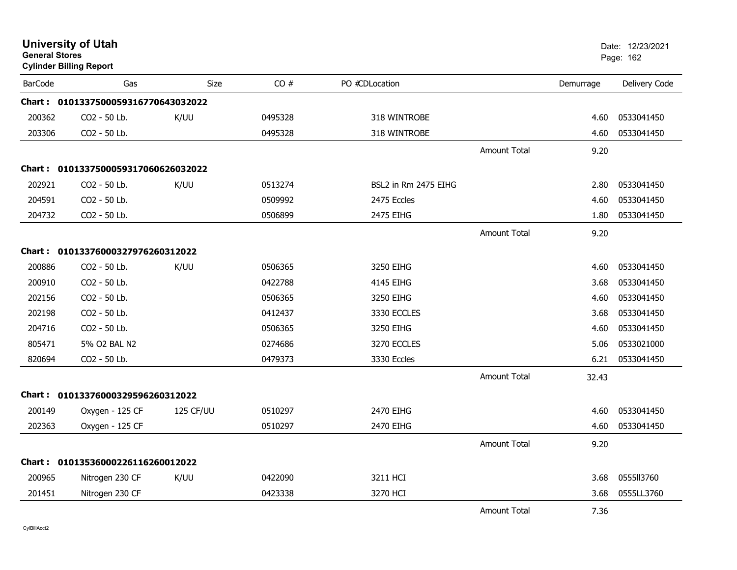| <b>General Stores</b> | <b>University of Utah</b><br><b>Cylinder Billing Report</b> |             |         |                      |                     |           | Date: 12/23/2021<br>Page: 162 |
|-----------------------|-------------------------------------------------------------|-------------|---------|----------------------|---------------------|-----------|-------------------------------|
| <b>BarCode</b>        | Gas                                                         | <b>Size</b> | CO#     | PO #CDLocation       |                     | Demurrage | Delivery Code                 |
|                       | Chart: 0101337500059316770643032022                         |             |         |                      |                     |           |                               |
| 200362                | CO2 - 50 Lb.                                                | K/UU        | 0495328 | 318 WINTROBE         |                     | 4.60      | 0533041450                    |
| 203306                | CO2 - 50 Lb.                                                |             | 0495328 | 318 WINTROBE         |                     | 4.60      | 0533041450                    |
|                       |                                                             |             |         |                      | <b>Amount Total</b> | 9.20      |                               |
|                       | Chart: 0101337500059317060626032022                         |             |         |                      |                     |           |                               |
| 202921                | CO2 - 50 Lb.                                                | K/UU        | 0513274 | BSL2 in Rm 2475 EIHG |                     | 2.80      | 0533041450                    |
| 204591                | CO2 - 50 Lb.                                                |             | 0509992 | 2475 Eccles          |                     | 4.60      | 0533041450                    |
| 204732                | CO2 - 50 Lb.                                                |             | 0506899 | 2475 EIHG            |                     | 1.80      | 0533041450                    |
|                       |                                                             |             |         |                      | <b>Amount Total</b> | 9.20      |                               |
|                       | Chart: 01013376000327976260312022                           |             |         |                      |                     |           |                               |
| 200886                | CO <sub>2</sub> - 50 Lb.                                    | K/UU        | 0506365 | 3250 EIHG            |                     | 4.60      | 0533041450                    |
| 200910                | CO2 - 50 Lb.                                                |             | 0422788 | 4145 EIHG            |                     | 3.68      | 0533041450                    |
| 202156                | CO2 - 50 Lb.                                                |             | 0506365 | 3250 EIHG            |                     | 4.60      | 0533041450                    |
| 202198                | CO2 - 50 Lb.                                                |             | 0412437 | 3330 ECCLES          |                     | 3.68      | 0533041450                    |
| 204716                | CO2 - 50 Lb.                                                |             | 0506365 | 3250 EIHG            |                     | 4.60      | 0533041450                    |
| 805471                | 5% O2 BAL N2                                                |             | 0274686 | 3270 ECCLES          |                     | 5.06      | 0533021000                    |
| 820694                | CO2 - 50 Lb.                                                |             | 0479373 | 3330 Eccles          |                     | 6.21      | 0533041450                    |
|                       |                                                             |             |         |                      | <b>Amount Total</b> | 32.43     |                               |
|                       | Chart: 01013376000329596260312022                           |             |         |                      |                     |           |                               |
| 200149                | Oxygen - 125 CF                                             | 125 CF/UU   | 0510297 | 2470 EIHG            |                     | 4.60      | 0533041450                    |
| 202363                | Oxygen - 125 CF                                             |             | 0510297 | 2470 EIHG            |                     | 4.60      | 0533041450                    |
|                       |                                                             |             |         |                      | <b>Amount Total</b> | 9.20      |                               |
|                       | Chart: 01013536000226116260012022                           |             |         |                      |                     |           |                               |
| 200965                | Nitrogen 230 CF                                             | K/UU        | 0422090 | 3211 HCI             |                     | 3.68      | 0555113760                    |
| 201451                | Nitrogen 230 CF                                             |             | 0423338 | 3270 HCI             |                     | 3.68      | 0555LL3760                    |
|                       |                                                             |             |         |                      | <b>Amount Total</b> | 7.36      |                               |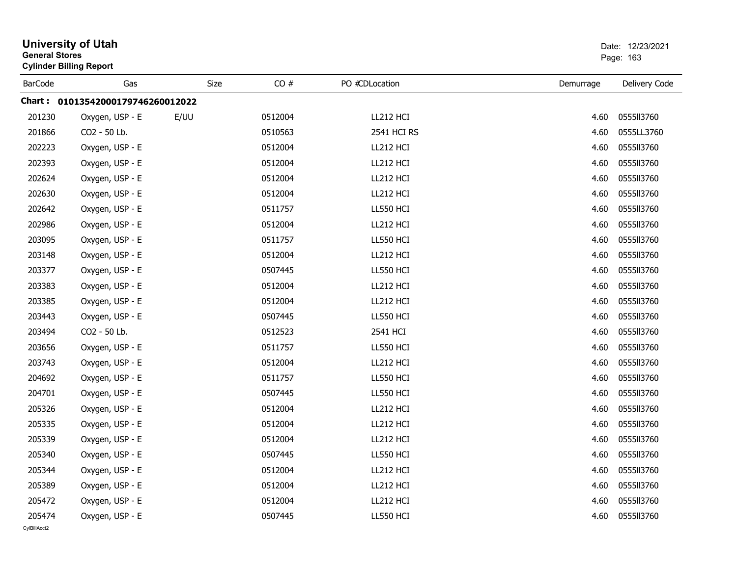| <b>General Stores</b> | <b>University of Utah</b><br>Date: 12/23/2021<br>Page: 163<br><b>Cylinder Billing Report</b> |             |         |                  |           |               |
|-----------------------|----------------------------------------------------------------------------------------------|-------------|---------|------------------|-----------|---------------|
| <b>BarCode</b>        | Gas                                                                                          | <b>Size</b> | CO#     | PO #CDLocation   | Demurrage | Delivery Code |
|                       | Chart: 01013542000179746260012022                                                            |             |         |                  |           |               |
| 201230                | Oxygen, USP - E                                                                              | E/UU        | 0512004 | LL212 HCI        | 4.60      | 0555113760    |
| 201866                | CO2 - 50 Lb.                                                                                 |             | 0510563 | 2541 HCI RS      | 4.60      | 0555LL3760    |
| 202223                | Oxygen, USP - E                                                                              |             | 0512004 | LL212 HCI        | 4.60      | 0555113760    |
| 202393                | Oxygen, USP - E                                                                              |             | 0512004 | LL212 HCI        | 4.60      | 0555113760    |
| 202624                | Oxygen, USP - E                                                                              |             | 0512004 | LL212 HCI        | 4.60      | 0555113760    |
| 202630                | Oxygen, USP - E                                                                              |             | 0512004 | LL212 HCI        | 4.60      | 0555113760    |
| 202642                | Oxygen, USP - E                                                                              |             | 0511757 | <b>LL550 HCI</b> | 4.60      | 0555113760    |
| 202986                | Oxygen, USP - E                                                                              |             | 0512004 | LL212 HCI        | 4.60      | 0555113760    |
| 203095                | Oxygen, USP - E                                                                              |             | 0511757 | <b>LL550 HCI</b> | 4.60      | 0555113760    |
| 203148                | Oxygen, USP - E                                                                              |             | 0512004 | LL212 HCI        | 4.60      | 0555113760    |
| 203377                | Oxygen, USP - E                                                                              |             | 0507445 | <b>LL550 HCI</b> | 4.60      | 0555113760    |
| 203383                | Oxygen, USP - E                                                                              |             | 0512004 | LL212 HCI        | 4.60      | 0555113760    |
| 203385                | Oxygen, USP - E                                                                              |             | 0512004 | LL212 HCI        | 4.60      | 0555113760    |
| 203443                | Oxygen, USP - E                                                                              |             | 0507445 | <b>LL550 HCI</b> | 4.60      | 0555113760    |
| 203494                | CO2 - 50 Lb.                                                                                 |             | 0512523 | 2541 HCI         | 4.60      | 0555113760    |
| 203656                | Oxygen, USP - E                                                                              |             | 0511757 | <b>LL550 HCI</b> | 4.60      | 0555113760    |
| 203743                | Oxygen, USP - E                                                                              |             | 0512004 | LL212 HCI        | 4.60      | 0555113760    |
| 204692                | Oxygen, USP - E                                                                              |             | 0511757 | <b>LL550 HCI</b> | 4.60      | 0555113760    |
| 204701                | Oxygen, USP - E                                                                              |             | 0507445 | <b>LL550 HCI</b> | 4.60      | 0555113760    |
| 205326                | Oxygen, USP - E                                                                              |             | 0512004 | LL212 HCI        | 4.60      | 0555113760    |
| 205335                | Oxygen, USP - E                                                                              |             | 0512004 | LL212 HCI        | 4.60      | 0555113760    |
| 205339                | Oxygen, USP - E                                                                              |             | 0512004 | LL212 HCI        | 4.60      | 0555113760    |
| 205340                | Oxygen, USP - E                                                                              |             | 0507445 | <b>LL550 HCI</b> | 4.60      | 0555113760    |
| 205344                | Oxygen, USP - E                                                                              |             | 0512004 | LL212 HCI        | 4.60      | 0555113760    |
| 205389                | Oxygen, USP - E                                                                              |             | 0512004 | LL212 HCI        | 4.60      | 0555113760    |
| 205472                | Oxygen, USP - E                                                                              |             | 0512004 | LL212 HCI        | 4.60      | 0555ll3760    |
| 205474                | Oxygen, USP - E                                                                              |             | 0507445 | <b>LL550 HCI</b> | 4.60      | 055513760     |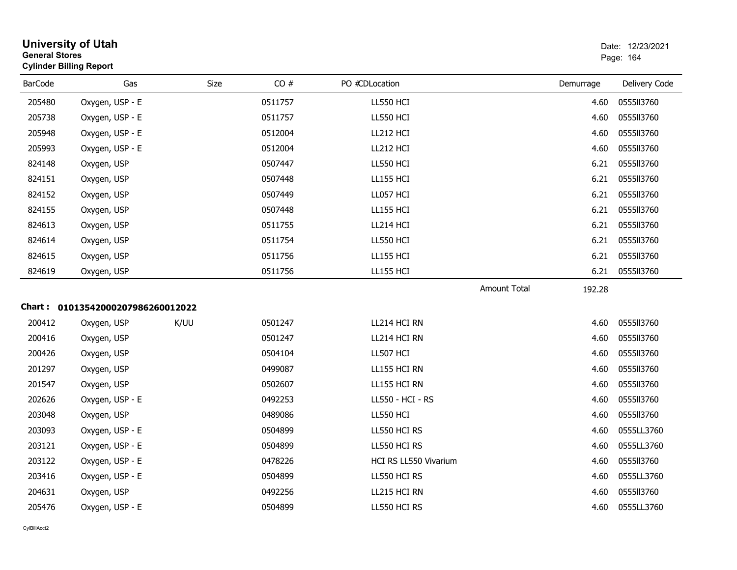| <b>General Stores</b> | <b>University of Utah</b><br><b>Cylinder Billing Report</b> |      |         |                       |                     |           | Date: 12/23/2021<br>Page: 164 |
|-----------------------|-------------------------------------------------------------|------|---------|-----------------------|---------------------|-----------|-------------------------------|
| <b>BarCode</b>        | Gas                                                         | Size | CO#     | PO #CDLocation        |                     | Demurrage | Delivery Code                 |
| 205480                | Oxygen, USP - E                                             |      | 0511757 | <b>LL550 HCI</b>      |                     | 4.60      | 0555113760                    |
| 205738                | Oxygen, USP - E                                             |      | 0511757 | LL550 HCI             |                     | 4.60      | 0555113760                    |
| 205948                | Oxygen, USP - E                                             |      | 0512004 | LL212 HCI             |                     | 4.60      | 0555113760                    |
| 205993                | Oxygen, USP - E                                             |      | 0512004 | LL212 HCI             |                     | 4.60      | 0555113760                    |
| 824148                | Oxygen, USP                                                 |      | 0507447 | <b>LL550 HCI</b>      |                     | 6.21      | 0555113760                    |
| 824151                | Oxygen, USP                                                 |      | 0507448 | <b>LL155 HCI</b>      |                     | 6.21      | 0555113760                    |
| 824152                | Oxygen, USP                                                 |      | 0507449 | LL057 HCI             |                     | 6.21      | 0555113760                    |
| 824155                | Oxygen, USP                                                 |      | 0507448 | <b>LL155 HCI</b>      |                     | 6.21      | 0555113760                    |
| 824613                | Oxygen, USP                                                 |      | 0511755 | LL214 HCI             |                     | 6.21      | 0555113760                    |
| 824614                | Oxygen, USP                                                 |      | 0511754 | <b>LL550 HCI</b>      |                     | 6.21      | 0555113760                    |
| 824615                | Oxygen, USP                                                 |      | 0511756 | <b>LL155 HCI</b>      |                     | 6.21      | 0555113760                    |
| 824619                | Oxygen, USP                                                 |      | 0511756 | <b>LL155 HCI</b>      |                     | 6.21      | 0555113760                    |
|                       |                                                             |      |         |                       | <b>Amount Total</b> | 192.28    |                               |
|                       | Chart: 01013542000207986260012022                           |      |         |                       |                     |           |                               |
| 200412                | Oxygen, USP                                                 | K/UU | 0501247 | LL214 HCI RN          |                     | 4.60      | 0555113760                    |
| 200416                | Oxygen, USP                                                 |      | 0501247 | LL214 HCI RN          |                     | 4.60      | 0555113760                    |
| 200426                | Oxygen, USP                                                 |      | 0504104 | LL507 HCI             |                     | 4.60      | 0555113760                    |
| 201297                | Oxygen, USP                                                 |      | 0499087 | LL155 HCI RN          |                     | 4.60      | 0555113760                    |
| 201547                | Oxygen, USP                                                 |      | 0502607 | LL155 HCI RN          |                     | 4.60      | 0555113760                    |
| 202626                | Oxygen, USP - E                                             |      | 0492253 | LL550 - HCI - RS      |                     | 4.60      | 0555113760                    |
| 203048                | Oxygen, USP                                                 |      | 0489086 | <b>LL550 HCI</b>      |                     | 4.60      | 0555113760                    |
| 203093                | Oxygen, USP - E                                             |      | 0504899 | LL550 HCI RS          |                     | 4.60      | 0555LL3760                    |
| 203121                | Oxygen, USP - E                                             |      | 0504899 | LL550 HCI RS          |                     | 4.60      | 0555LL3760                    |
| 203122                | Oxygen, USP - E                                             |      | 0478226 | HCI RS LL550 Vivarium |                     | 4.60      | 0555113760                    |
| 203416                | Oxygen, USP - E                                             |      | 0504899 | LL550 HCI RS          |                     | 4.60      | 0555LL3760                    |
| 204631                | Oxygen, USP                                                 |      | 0492256 | LL215 HCI RN          |                     | 4.60      | 0555113760                    |
| 205476                | Oxygen, USP - E                                             |      | 0504899 | LL550 HCI RS          |                     | 4.60      | 0555LL3760                    |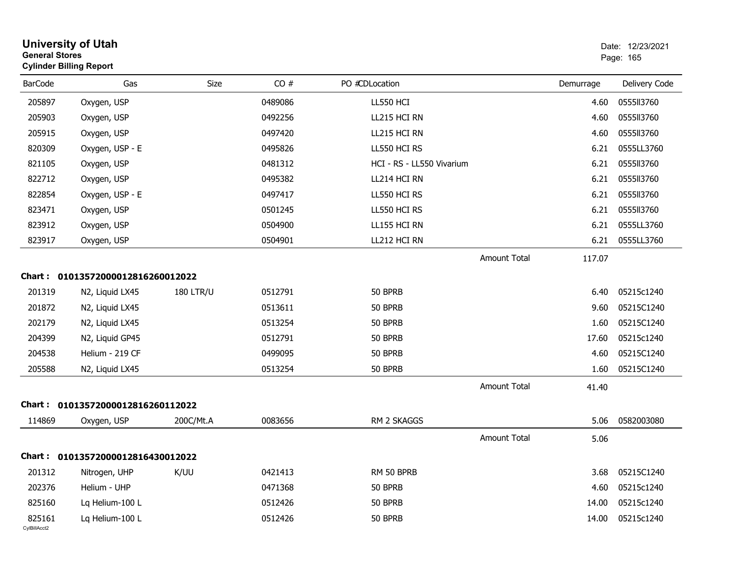| <b>General Stores</b>  | <b>University of Utah</b><br><b>Cylinder Billing Report</b> |                  |         |                           |              |           | Date: 12/23/2021<br>Page: 165 |
|------------------------|-------------------------------------------------------------|------------------|---------|---------------------------|--------------|-----------|-------------------------------|
| <b>BarCode</b>         | Gas                                                         | Size             | CO#     | PO #CDLocation            |              | Demurrage | Delivery Code                 |
| 205897                 | Oxygen, USP                                                 |                  | 0489086 | <b>LL550 HCI</b>          |              | 4.60      | 0555113760                    |
| 205903                 | Oxygen, USP                                                 |                  | 0492256 | LL215 HCI RN              |              | 4.60      | 0555113760                    |
| 205915                 | Oxygen, USP                                                 |                  | 0497420 | LL215 HCI RN              |              | 4.60      | 0555113760                    |
| 820309                 | Oxygen, USP - E                                             |                  | 0495826 | LL550 HCI RS              |              | 6.21      | 0555LL3760                    |
| 821105                 | Oxygen, USP                                                 |                  | 0481312 | HCI - RS - LL550 Vivarium |              | 6.21      | 0555113760                    |
| 822712                 | Oxygen, USP                                                 |                  | 0495382 | LL214 HCI RN              |              | 6.21      | 0555113760                    |
| 822854                 | Oxygen, USP - E                                             |                  | 0497417 | LL550 HCI RS              |              | 6.21      | 0555113760                    |
| 823471                 | Oxygen, USP                                                 |                  | 0501245 | LL550 HCI RS              |              | 6.21      | 0555113760                    |
| 823912                 | Oxygen, USP                                                 |                  | 0504900 | LL155 HCI RN              |              | 6.21      | 0555LL3760                    |
| 823917                 | Oxygen, USP                                                 |                  | 0504901 | LL212 HCI RN              |              | 6.21      | 0555LL3760                    |
|                        |                                                             |                  |         |                           | Amount Total | 117.07    |                               |
|                        | Chart: 01013572000012816260012022                           |                  |         |                           |              |           |                               |
| 201319                 | N2, Liquid LX45                                             | <b>180 LTR/U</b> | 0512791 | 50 BPRB                   |              | 6.40      | 05215c1240                    |
| 201872                 | N2, Liquid LX45                                             |                  | 0513611 | 50 BPRB                   |              | 9.60      | 05215C1240                    |
| 202179                 | N2, Liquid LX45                                             |                  | 0513254 | 50 BPRB                   |              | 1.60      | 05215C1240                    |
| 204399                 | N2, Liquid GP45                                             |                  | 0512791 | 50 BPRB                   |              | 17.60     | 05215c1240                    |
| 204538                 | Helium - 219 CF                                             |                  | 0499095 | 50 BPRB                   |              | 4.60      | 05215C1240                    |
| 205588                 | N2, Liquid LX45                                             |                  | 0513254 | 50 BPRB                   |              | 1.60      | 05215C1240                    |
|                        |                                                             |                  |         |                           | Amount Total | 41.40     |                               |
|                        | Chart: 01013572000012816260112022                           |                  |         |                           |              |           |                               |
| 114869                 | Oxygen, USP                                                 | 200C/Mt.A        | 0083656 | RM 2 SKAGGS               |              | 5.06      | 0582003080                    |
|                        |                                                             |                  |         |                           | Amount Total | 5.06      |                               |
|                        | Chart: 01013572000012816430012022                           |                  |         |                           |              |           |                               |
| 201312                 | Nitrogen, UHP                                               | K/UU             | 0421413 | RM 50 BPRB                |              | 3.68      | 05215C1240                    |
| 202376                 | Helium - UHP                                                |                  | 0471368 | 50 BPRB                   |              | 4.60      | 05215c1240                    |
| 825160                 | Lq Helium-100 L                                             |                  | 0512426 | 50 BPRB                   |              | 14.00     | 05215c1240                    |
| 825161<br>CylBillAcct2 | Lq Helium-100 L                                             |                  | 0512426 | 50 BPRB                   |              | 14.00     | 05215c1240                    |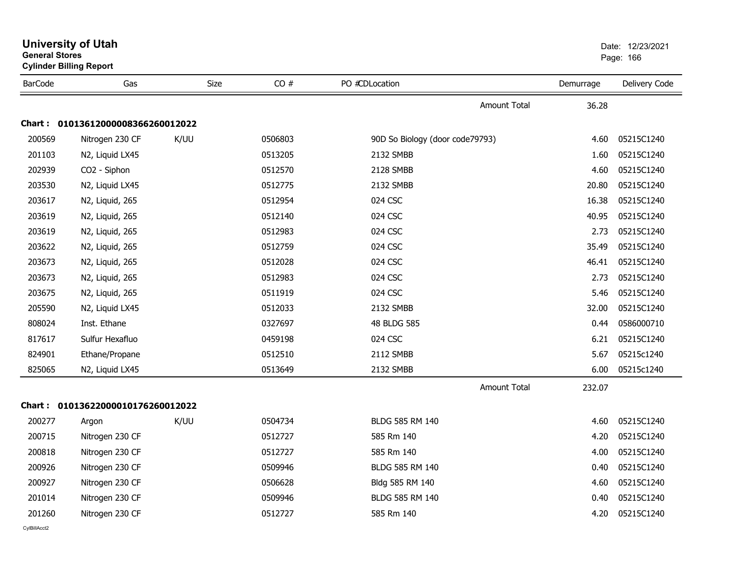| <b>General Stores</b> | <b>University of Utah</b><br><b>Cylinder Billing Report</b> |      | Date: 12/23/2021<br>Page: 166 |                                 |           |               |
|-----------------------|-------------------------------------------------------------|------|-------------------------------|---------------------------------|-----------|---------------|
| <b>BarCode</b>        | Gas                                                         | Size | CO#                           | PO #CDLocation                  | Demurrage | Delivery Code |
|                       |                                                             |      |                               | <b>Amount Total</b>             | 36.28     |               |
| Chart :               | 01013612000008366260012022                                  |      |                               |                                 |           |               |
| 200569                | Nitrogen 230 CF                                             | K/UU | 0506803                       | 90D So Biology (door code79793) | 4.60      | 05215C1240    |
| 201103                | N2, Liquid LX45                                             |      | 0513205                       | 2132 SMBB                       | 1.60      | 05215C1240    |
| 202939                | CO2 - Siphon                                                |      | 0512570                       | 2128 SMBB                       | 4.60      | 05215C1240    |
| 203530                | N2, Liquid LX45                                             |      | 0512775                       | 2132 SMBB                       | 20.80     | 05215C1240    |
| 203617                | N2, Liquid, 265                                             |      | 0512954                       | 024 CSC                         | 16.38     | 05215C1240    |
| 203619                | N2, Liquid, 265                                             |      | 0512140                       | 024 CSC                         | 40.95     | 05215C1240    |
| 203619                | N2, Liquid, 265                                             |      | 0512983                       | 024 CSC                         | 2.73      | 05215C1240    |
| 203622                | N2, Liquid, 265                                             |      | 0512759                       | 024 CSC                         | 35.49     | 05215C1240    |
| 203673                | N2, Liquid, 265                                             |      | 0512028                       | 024 CSC                         | 46.41     | 05215C1240    |
| 203673                | N2, Liquid, 265                                             |      | 0512983                       | 024 CSC                         | 2.73      | 05215C1240    |
| 203675                | N2, Liquid, 265                                             |      | 0511919                       | 024 CSC                         | 5.46      | 05215C1240    |
| 205590                | N2, Liquid LX45                                             |      | 0512033                       | 2132 SMBB                       | 32.00     | 05215C1240    |
| 808024                | Inst. Ethane                                                |      | 0327697                       | 48 BLDG 585                     | 0.44      | 0586000710    |
| 817617                | Sulfur Hexafluo                                             |      | 0459198                       | 024 CSC                         | 6.21      | 05215C1240    |
| 824901                | Ethane/Propane                                              |      | 0512510                       | 2112 SMBB                       | 5.67      | 05215c1240    |
| 825065                | N2, Liquid LX45                                             |      | 0513649                       | 2132 SMBB                       | 6.00      | 05215c1240    |
|                       |                                                             |      |                               | <b>Amount Total</b>             | 232.07    |               |
|                       | Chart: 01013622000010176260012022                           |      |                               |                                 |           |               |
| 200277                | Argon                                                       | K/UU | 0504734                       | BLDG 585 RM 140                 | 4.60      | 05215C1240    |
| 200715                | Nitrogen 230 CF                                             |      | 0512727                       | 585 Rm 140                      | 4.20      | 05215C1240    |
| 200818                | Nitrogen 230 CF                                             |      | 0512727                       | 585 Rm 140                      | 4.00      | 05215C1240    |
| 200926                | Nitrogen 230 CF                                             |      | 0509946                       | BLDG 585 RM 140                 | 0.40      | 05215C1240    |
| 200927                | Nitrogen 230 CF                                             |      | 0506628                       | Bldg 585 RM 140                 | 4.60      | 05215C1240    |
| 201014                | Nitrogen 230 CF                                             |      | 0509946                       | BLDG 585 RM 140                 | 0.40      | 05215C1240    |
| 201260                | Nitrogen 230 CF                                             |      | 0512727                       | 585 Rm 140                      | 4.20      | 05215C1240    |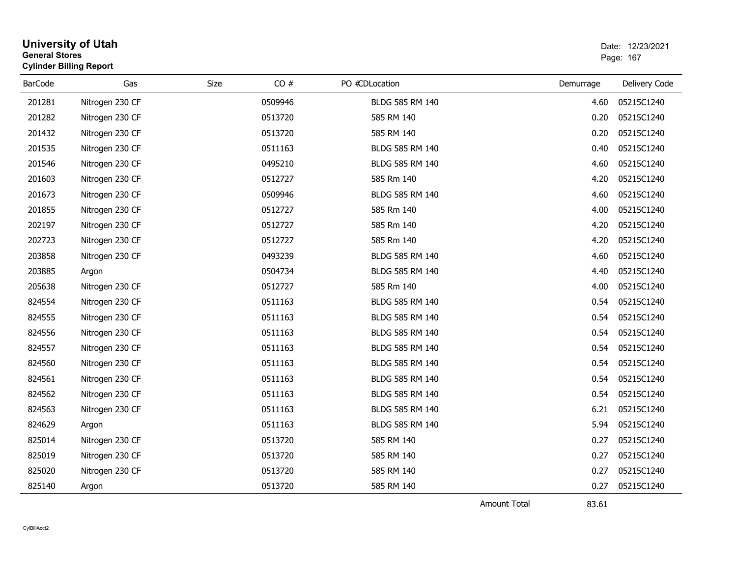|                | <b>University of Utah</b><br>Date: 12/23/2021<br><b>General Stores</b><br>Page: 167<br><b>Cylinder Billing Report</b> |      |         |                 |           |               |
|----------------|-----------------------------------------------------------------------------------------------------------------------|------|---------|-----------------|-----------|---------------|
| <b>BarCode</b> | Gas                                                                                                                   | Size | CO#     | PO #CDLocation  | Demurrage | Delivery Code |
| 201281         | Nitrogen 230 CF                                                                                                       |      | 0509946 | BLDG 585 RM 140 | 4.60      | 05215C1240    |
| 201282         | Nitrogen 230 CF                                                                                                       |      | 0513720 | 585 RM 140      | 0.20      | 05215C1240    |
| 201432         | Nitrogen 230 CF                                                                                                       |      | 0513720 | 585 RM 140      | 0.20      | 05215C1240    |
| 201535         | Nitrogen 230 CF                                                                                                       |      | 0511163 | BLDG 585 RM 140 | 0.40      | 05215C1240    |
| 201546         | Nitrogen 230 CF                                                                                                       |      | 0495210 | BLDG 585 RM 140 | 4.60      | 05215C1240    |
| 201603         | Nitrogen 230 CF                                                                                                       |      | 0512727 | 585 Rm 140      | 4.20      | 05215C1240    |
| 201673         | Nitrogen 230 CF                                                                                                       |      | 0509946 | BLDG 585 RM 140 | 4.60      | 05215C1240    |
| 201855         | Nitrogen 230 CF                                                                                                       |      | 0512727 | 585 Rm 140      | 4.00      | 05215C1240    |
| 202197         | Nitrogen 230 CF                                                                                                       |      | 0512727 | 585 Rm 140      | 4.20      | 05215C1240    |
| 202723         | Nitrogen 230 CF                                                                                                       |      | 0512727 | 585 Rm 140      | 4.20      | 05215C1240    |
| 203858         | Nitrogen 230 CF                                                                                                       |      | 0493239 | BLDG 585 RM 140 | 4.60      | 05215C1240    |
| 203885         | Argon                                                                                                                 |      | 0504734 | BLDG 585 RM 140 | 4.40      | 05215C1240    |
| 205638         | Nitrogen 230 CF                                                                                                       |      | 0512727 | 585 Rm 140      | 4.00      | 05215C1240    |
| 824554         | Nitrogen 230 CF                                                                                                       |      | 0511163 | BLDG 585 RM 140 | 0.54      | 05215C1240    |
| 824555         | Nitrogen 230 CF                                                                                                       |      | 0511163 | BLDG 585 RM 140 | 0.54      | 05215C1240    |
| 824556         | Nitrogen 230 CF                                                                                                       |      | 0511163 | BLDG 585 RM 140 | 0.54      | 05215C1240    |
| 824557         | Nitrogen 230 CF                                                                                                       |      | 0511163 | BLDG 585 RM 140 | 0.54      | 05215C1240    |
| 824560         | Nitrogen 230 CF                                                                                                       |      | 0511163 | BLDG 585 RM 140 | 0.54      | 05215C1240    |
| 824561         | Nitrogen 230 CF                                                                                                       |      | 0511163 | BLDG 585 RM 140 | 0.54      | 05215C1240    |
| 824562         | Nitrogen 230 CF                                                                                                       |      | 0511163 | BLDG 585 RM 140 | 0.54      | 05215C1240    |
| 824563         | Nitrogen 230 CF                                                                                                       |      | 0511163 | BLDG 585 RM 140 | 6.21      | 05215C1240    |
| 824629         | Argon                                                                                                                 |      | 0511163 | BLDG 585 RM 140 | 5.94      | 05215C1240    |
| 825014         | Nitrogen 230 CF                                                                                                       |      | 0513720 | 585 RM 140      | 0.27      | 05215C1240    |
| 825019         | Nitrogen 230 CF                                                                                                       |      | 0513720 | 585 RM 140      | 0.27      | 05215C1240    |
| 825020         | Nitrogen 230 CF                                                                                                       |      | 0513720 | 585 RM 140      | 0.27      | 05215C1240    |
| 825140         | Argon                                                                                                                 |      | 0513720 | 585 RM 140      | 0.27      | 05215C1240    |
|                |                                                                                                                       |      |         |                 | .         |               |

Amount Total

83.61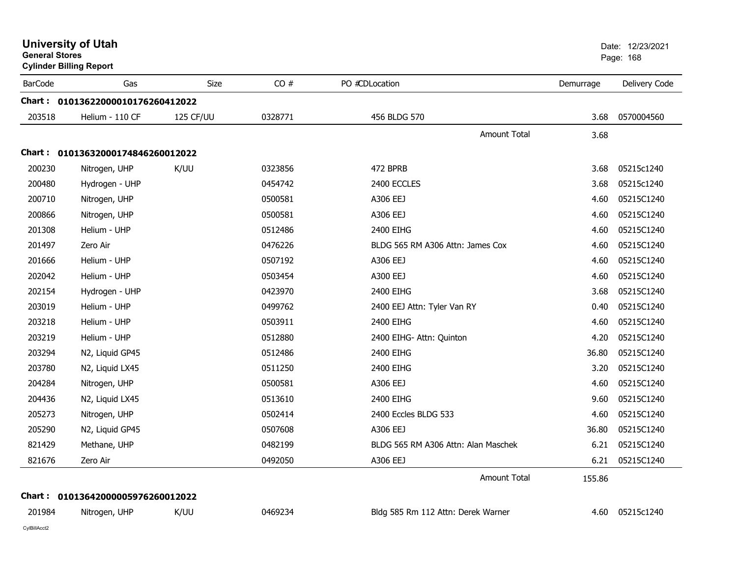| <b>General Stores</b> | <b>University of Utah</b><br><b>Cylinder Billing Report</b> |             |         |                                     |           | Date: 12/23/2021<br>Page: 168 |
|-----------------------|-------------------------------------------------------------|-------------|---------|-------------------------------------|-----------|-------------------------------|
| <b>BarCode</b>        | Gas                                                         | <b>Size</b> | CO#     | PO #CDLocation                      | Demurrage | Delivery Code                 |
|                       | Chart: 01013622000010176260412022                           |             |         |                                     |           |                               |
| 203518                | Helium - 110 CF                                             | 125 CF/UU   | 0328771 | 456 BLDG 570                        | 3.68      | 0570004560                    |
|                       |                                                             |             |         | <b>Amount Total</b>                 | 3.68      |                               |
|                       | Chart: 01013632000174846260012022                           |             |         |                                     |           |                               |
| 200230                | Nitrogen, UHP                                               | K/UU        | 0323856 | 472 BPRB                            | 3.68      | 05215c1240                    |
| 200480                | Hydrogen - UHP                                              |             | 0454742 | 2400 ECCLES                         | 3.68      | 05215c1240                    |
| 200710                | Nitrogen, UHP                                               |             | 0500581 | A306 EEJ                            | 4.60      | 05215C1240                    |
| 200866                | Nitrogen, UHP                                               |             | 0500581 | A306 EEJ                            | 4.60      | 05215C1240                    |
| 201308                | Helium - UHP                                                |             | 0512486 | 2400 EIHG                           | 4.60      | 05215C1240                    |
| 201497                | Zero Air                                                    |             | 0476226 | BLDG 565 RM A306 Attn: James Cox    | 4.60      | 05215C1240                    |
| 201666                | Helium - UHP                                                |             | 0507192 | A306 EEJ                            | 4.60      | 05215C1240                    |
| 202042                | Helium - UHP                                                |             | 0503454 | A300 EEJ                            | 4.60      | 05215C1240                    |
| 202154                | Hydrogen - UHP                                              |             | 0423970 | 2400 EIHG                           | 3.68      | 05215C1240                    |
| 203019                | Helium - UHP                                                |             | 0499762 | 2400 EEJ Attn: Tyler Van RY         | 0.40      | 05215C1240                    |
| 203218                | Helium - UHP                                                |             | 0503911 | 2400 EIHG                           | 4.60      | 05215C1240                    |
| 203219                | Helium - UHP                                                |             | 0512880 | 2400 EIHG- Attn: Quinton            | 4.20      | 05215C1240                    |
| 203294                | N2, Liquid GP45                                             |             | 0512486 | 2400 EIHG                           | 36.80     | 05215C1240                    |
| 203780                | N2, Liquid LX45                                             |             | 0511250 | 2400 EIHG                           | 3.20      | 05215C1240                    |
| 204284                | Nitrogen, UHP                                               |             | 0500581 | A306 EEJ                            | 4.60      | 05215C1240                    |
| 204436                | N2, Liquid LX45                                             |             | 0513610 | 2400 EIHG                           | 9.60      | 05215C1240                    |
| 205273                | Nitrogen, UHP                                               |             | 0502414 | 2400 Eccles BLDG 533                | 4.60      | 05215C1240                    |
| 205290                | N2, Liquid GP45                                             |             | 0507608 | A306 EEJ                            | 36.80     | 05215C1240                    |
| 821429                | Methane, UHP                                                |             | 0482199 | BLDG 565 RM A306 Attn: Alan Maschek | 6.21      | 05215C1240                    |
| 821676                | Zero Air                                                    |             | 0492050 | A306 EEJ                            | 6.21      | 05215C1240                    |
|                       |                                                             |             |         | Amount Total                        | 155.86    |                               |
|                       | Chart: 01013642000005976260012022                           |             |         |                                     |           |                               |
| 201984                | Nitrogen, UHP                                               | K/UU        | 0469234 | Bldg 585 Rm 112 Attn: Derek Warner  |           | 4.60 05215c1240               |
| CylBillAcct2          |                                                             |             |         |                                     |           |                               |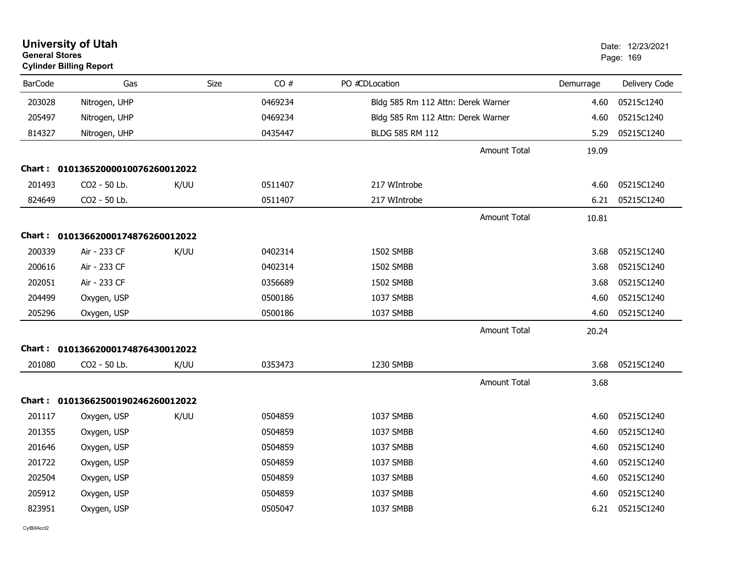| <b>General Stores</b> | <b>University of Utah</b><br><b>Cylinder Billing Report</b> |      |         |                                    |           | Date: 12/23/2021<br>Page: 169 |
|-----------------------|-------------------------------------------------------------|------|---------|------------------------------------|-----------|-------------------------------|
| <b>BarCode</b>        | Gas                                                         | Size | CO#     | PO #CDLocation                     | Demurrage | Delivery Code                 |
| 203028                | Nitrogen, UHP                                               |      | 0469234 | Bldg 585 Rm 112 Attn: Derek Warner | 4.60      | 05215c1240                    |
| 205497                | Nitrogen, UHP                                               |      | 0469234 | Bldg 585 Rm 112 Attn: Derek Warner | 4.60      | 05215c1240                    |
| 814327                | Nitrogen, UHP                                               |      | 0435447 | <b>BLDG 585 RM 112</b>             | 5.29      | 05215C1240                    |
|                       |                                                             |      |         | <b>Amount Total</b>                | 19.09     |                               |
|                       | Chart: 01013652000010076260012022                           |      |         |                                    |           |                               |
| 201493                | CO2 - 50 Lb.                                                | K/UU | 0511407 | 217 WIntrobe                       | 4.60      | 05215C1240                    |
| 824649                | CO2 - 50 Lb.                                                |      | 0511407 | 217 WIntrobe                       | 6.21      | 05215C1240                    |
|                       |                                                             |      |         | <b>Amount Total</b>                | 10.81     |                               |
|                       | Chart: 01013662000174876260012022                           |      |         |                                    |           |                               |
| 200339                | Air - 233 CF                                                | K/UU | 0402314 | 1502 SMBB                          | 3.68      | 05215C1240                    |
| 200616                | Air - 233 CF                                                |      | 0402314 | 1502 SMBB                          | 3.68      | 05215C1240                    |
| 202051                | Air - 233 CF                                                |      | 0356689 | 1502 SMBB                          | 3.68      | 05215C1240                    |
| 204499                | Oxygen, USP                                                 |      | 0500186 | 1037 SMBB                          | 4.60      | 05215C1240                    |
| 205296                | Oxygen, USP                                                 |      | 0500186 | 1037 SMBB                          | 4.60      | 05215C1240                    |
|                       |                                                             |      |         | <b>Amount Total</b>                | 20.24     |                               |
|                       | Chart: 01013662000174876430012022                           |      |         |                                    |           |                               |
| 201080                | CO2 - 50 Lb.                                                | K/UU | 0353473 | 1230 SMBB                          | 3.68      | 05215C1240                    |
|                       |                                                             |      |         | <b>Amount Total</b>                | 3.68      |                               |
|                       | Chart: 01013662500190246260012022                           |      |         |                                    |           |                               |
| 201117                | Oxygen, USP                                                 | K/UU | 0504859 | 1037 SMBB                          | 4.60      | 05215C1240                    |
| 201355                | Oxygen, USP                                                 |      | 0504859 | 1037 SMBB                          | 4.60      | 05215C1240                    |
| 201646                | Oxygen, USP                                                 |      | 0504859 | 1037 SMBB                          | 4.60      | 05215C1240                    |
| 201722                | Oxygen, USP                                                 |      | 0504859 | 1037 SMBB                          | 4.60      | 05215C1240                    |
| 202504                | Oxygen, USP                                                 |      | 0504859 | 1037 SMBB                          | 4.60      | 05215C1240                    |
| 205912                | Oxygen, USP                                                 |      | 0504859 | 1037 SMBB                          | 4.60      | 05215C1240                    |
| 823951                | Oxygen, USP                                                 |      | 0505047 | 1037 SMBB                          | 6.21      | 05215C1240                    |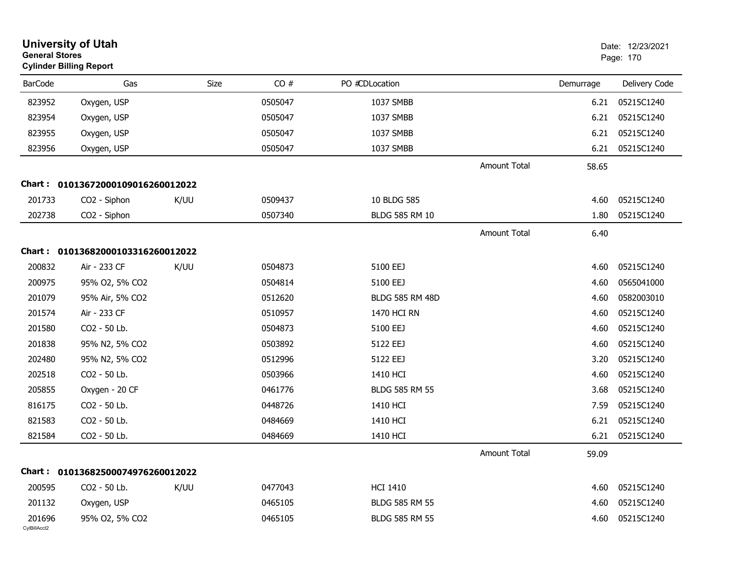| <b>General Stores</b>  | <b>University of Utah</b><br><b>Cylinder Billing Report</b> |      |             |                        |                     | Date: 12/23/2021<br>Page: 170 |               |
|------------------------|-------------------------------------------------------------|------|-------------|------------------------|---------------------|-------------------------------|---------------|
| <b>BarCode</b>         | Gas                                                         |      | CO#<br>Size | PO #CDLocation         |                     | Demurrage                     | Delivery Code |
| 823952                 | Oxygen, USP                                                 |      | 0505047     | 1037 SMBB              |                     | 6.21                          | 05215C1240    |
| 823954                 | Oxygen, USP                                                 |      | 0505047     | 1037 SMBB              |                     | 6.21                          | 05215C1240    |
| 823955                 | Oxygen, USP                                                 |      | 0505047     | 1037 SMBB              |                     | 6.21                          | 05215C1240    |
| 823956                 | Oxygen, USP                                                 |      | 0505047     | 1037 SMBB              |                     | 6.21                          | 05215C1240    |
|                        |                                                             |      |             |                        | <b>Amount Total</b> | 58.65                         |               |
| Chart :                | 01013672000109016260012022                                  |      |             |                        |                     |                               |               |
| 201733                 | CO <sub>2</sub> - Siphon                                    | K/UU | 0509437     | 10 BLDG 585            |                     | 4.60                          | 05215C1240    |
| 202738                 | CO2 - Siphon                                                |      | 0507340     | <b>BLDG 585 RM 10</b>  |                     | 1.80                          | 05215C1240    |
|                        |                                                             |      |             |                        | <b>Amount Total</b> | 6.40                          |               |
|                        | Chart: 01013682000103316260012022                           |      |             |                        |                     |                               |               |
| 200832                 | Air - 233 CF                                                | K/UU | 0504873     | 5100 EEJ               |                     | 4.60                          | 05215C1240    |
| 200975                 | 95% O2, 5% CO2                                              |      | 0504814     | 5100 EEJ               |                     | 4.60                          | 0565041000    |
| 201079                 | 95% Air, 5% CO2                                             |      | 0512620     | <b>BLDG 585 RM 48D</b> |                     | 4.60                          | 0582003010    |
| 201574                 | Air - 233 CF                                                |      | 0510957     | 1470 HCI RN            |                     | 4.60                          | 05215C1240    |
| 201580                 | CO2 - 50 Lb.                                                |      | 0504873     | 5100 EEJ               |                     | 4.60                          | 05215C1240    |
| 201838                 | 95% N2, 5% CO2                                              |      | 0503892     | 5122 EEJ               |                     | 4.60                          | 05215C1240    |
| 202480                 | 95% N2, 5% CO2                                              |      | 0512996     | 5122 EEJ               |                     | 3.20                          | 05215C1240    |
| 202518                 | CO2 - 50 Lb.                                                |      | 0503966     | 1410 HCI               |                     | 4.60                          | 05215C1240    |
| 205855                 | Oxygen - 20 CF                                              |      | 0461776     | <b>BLDG 585 RM 55</b>  |                     | 3.68                          | 05215C1240    |
| 816175                 | CO2 - 50 Lb.                                                |      | 0448726     | 1410 HCI               |                     | 7.59                          | 05215C1240    |
| 821583                 | CO2 - 50 Lb.                                                |      | 0484669     | 1410 HCI               |                     | 6.21                          | 05215C1240    |
| 821584                 | CO2 - 50 Lb.                                                |      | 0484669     | 1410 HCI               |                     | 6.21                          | 05215C1240    |
|                        |                                                             |      |             |                        | Amount Total        | 59.09                         |               |
|                        | Chart: 01013682500074976260012022                           |      |             |                        |                     |                               |               |
| 200595                 | CO2 - 50 Lb.                                                | K/UU | 0477043     | <b>HCI 1410</b>        |                     | 4.60                          | 05215C1240    |
| 201132                 | Oxygen, USP                                                 |      | 0465105     | <b>BLDG 585 RM 55</b>  |                     | 4.60                          | 05215C1240    |
| 201696<br>CylBillAcct2 | 95% O2, 5% CO2                                              |      | 0465105     | BLDG 585 RM 55         |                     | 4.60                          | 05215C1240    |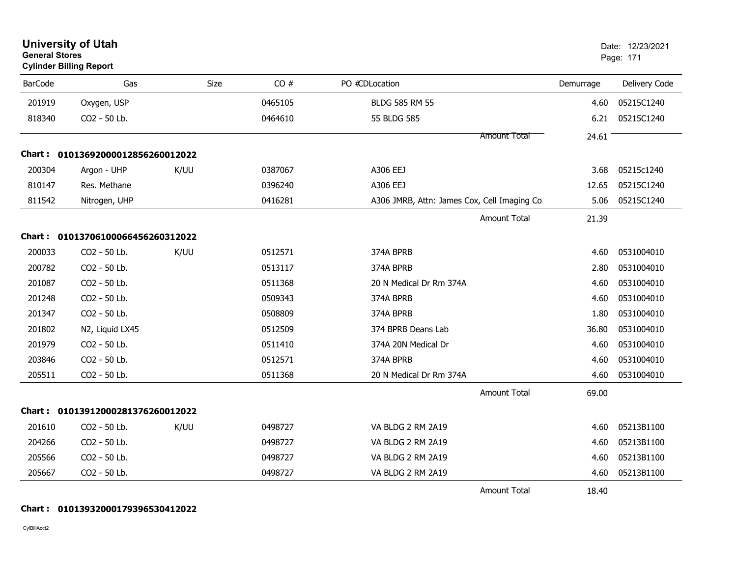| <b>General Stores</b> | <b>University of Utah</b><br><b>Cylinder Billing Report</b> |             |         |                                             |                     | Date: 12/23/2021<br>Page: 171 |               |
|-----------------------|-------------------------------------------------------------|-------------|---------|---------------------------------------------|---------------------|-------------------------------|---------------|
| <b>BarCode</b>        | Gas                                                         | <b>Size</b> | CO#     | PO #CDLocation                              |                     | Demurrage                     | Delivery Code |
| 201919                | Oxygen, USP                                                 |             | 0465105 | <b>BLDG 585 RM 55</b>                       |                     | 4.60                          | 05215C1240    |
| 818340                | CO2 - 50 Lb.                                                |             | 0464610 | 55 BLDG 585                                 |                     | 6.21                          | 05215C1240    |
|                       |                                                             |             |         |                                             | Amount Total        | 24.61                         |               |
|                       | Chart: 01013692000012856260012022                           |             |         |                                             |                     |                               |               |
| 200304                | Argon - UHP                                                 | K/UU        | 0387067 | A306 EEJ                                    |                     | 3.68                          | 05215c1240    |
| 810147                | Res. Methane                                                |             | 0396240 | A306 EEJ                                    |                     | 12.65                         | 05215C1240    |
| 811542                | Nitrogen, UHP                                               |             | 0416281 | A306 JMRB, Attn: James Cox, Cell Imaging Co |                     | 5.06                          | 05215C1240    |
|                       |                                                             |             |         |                                             | <b>Amount Total</b> | 21.39                         |               |
|                       | Chart: 01013706100066456260312022                           |             |         |                                             |                     |                               |               |
| 200033                | CO2 - 50 Lb.                                                | K/UU        | 0512571 | 374A BPRB                                   |                     | 4.60                          | 0531004010    |
| 200782                | CO2 - 50 Lb.                                                |             | 0513117 | 374A BPRB                                   |                     | 2.80                          | 0531004010    |
| 201087                | CO2 - 50 Lb.                                                |             | 0511368 | 20 N Medical Dr Rm 374A                     |                     | 4.60                          | 0531004010    |
| 201248                | CO2 - 50 Lb.                                                |             | 0509343 | 374A BPRB                                   |                     | 4.60                          | 0531004010    |
| 201347                | CO2 - 50 Lb.                                                |             | 0508809 | 374A BPRB                                   |                     | 1.80                          | 0531004010    |
| 201802                | N2, Liquid LX45                                             |             | 0512509 | 374 BPRB Deans Lab                          |                     | 36.80                         | 0531004010    |
| 201979                | CO2 - 50 Lb.                                                |             | 0511410 | 374A 20N Medical Dr                         |                     | 4.60                          | 0531004010    |
| 203846                | CO2 - 50 Lb.                                                |             | 0512571 | 374A BPRB                                   |                     | 4.60                          | 0531004010    |
| 205511                | CO2 - 50 Lb.                                                |             | 0511368 | 20 N Medical Dr Rm 374A                     |                     | 4.60                          | 0531004010    |
|                       |                                                             |             |         |                                             | <b>Amount Total</b> | 69.00                         |               |
|                       | Chart: 01013912000281376260012022                           |             |         |                                             |                     |                               |               |
| 201610                | CO2 - 50 Lb.                                                | K/UU        | 0498727 | VA BLDG 2 RM 2A19                           |                     | 4.60                          | 05213B1100    |
| 204266                | CO2 - 50 Lb.                                                |             | 0498727 | VA BLDG 2 RM 2A19                           |                     | 4.60                          | 05213B1100    |
| 205566                | CO2 - 50 Lb.                                                |             | 0498727 | VA BLDG 2 RM 2A19                           |                     | 4.60                          | 05213B1100    |
| 205667                | CO2 - 50 Lb.                                                |             | 0498727 | VA BLDG 2 RM 2A19                           |                     | 4.60                          | 05213B1100    |
|                       |                                                             |             |         |                                             | <b>Amount Total</b> | 18.40                         |               |

#### **Chart : 01013932000179396530412022**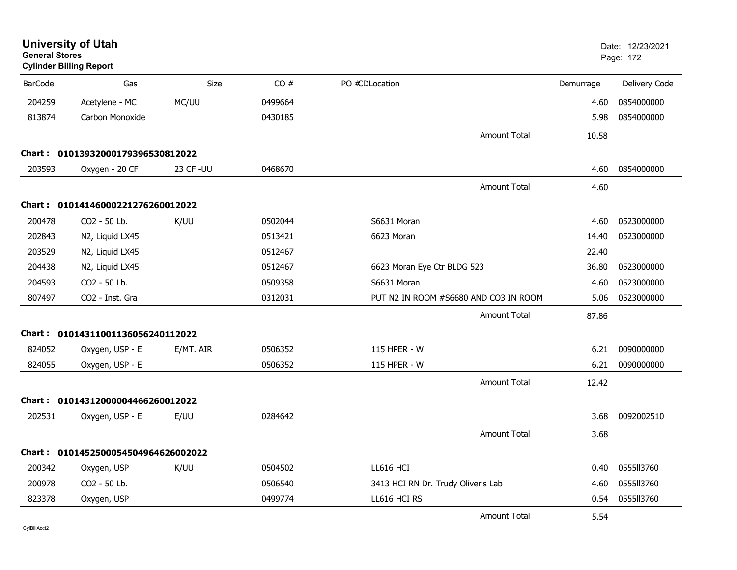|                | <b>University of Utah</b><br><b>General Stores</b><br><b>Cylinder Billing Report</b> |                   |         |                                       |           | Date: 12/23/2021<br>Page: 172 |
|----------------|--------------------------------------------------------------------------------------|-------------------|---------|---------------------------------------|-----------|-------------------------------|
| <b>BarCode</b> | Gas                                                                                  | <b>Size</b>       | CO#     | PO #CDLocation                        | Demurrage | Delivery Code                 |
| 204259         | Acetylene - MC                                                                       | MC/UU             | 0499664 |                                       | 4.60      | 0854000000                    |
| 813874         | Carbon Monoxide                                                                      |                   | 0430185 |                                       | 5.98      | 0854000000                    |
|                |                                                                                      |                   |         | Amount Total                          | 10.58     |                               |
|                | Chart: 01013932000179396530812022                                                    |                   |         |                                       |           |                               |
| 203593         | Oxygen - 20 CF                                                                       | <b>23 CF - UU</b> | 0468670 |                                       | 4.60      | 0854000000                    |
|                |                                                                                      |                   |         | <b>Amount Total</b>                   | 4.60      |                               |
|                | Chart: 01014146000221276260012022                                                    |                   |         |                                       |           |                               |
| 200478         | CO2 - 50 Lb.                                                                         | K/UU              | 0502044 | S6631 Moran                           | 4.60      | 0523000000                    |
| 202843         | N2, Liquid LX45                                                                      |                   | 0513421 | 6623 Moran                            | 14.40     | 0523000000                    |
| 203529         | N2, Liquid LX45                                                                      |                   | 0512467 |                                       | 22.40     |                               |
| 204438         | N2, Liquid LX45                                                                      |                   | 0512467 | 6623 Moran Eye Ctr BLDG 523           | 36.80     | 0523000000                    |
| 204593         | CO <sub>2</sub> - 50 Lb.                                                             |                   | 0509358 | S6631 Moran                           | 4.60      | 0523000000                    |
| 807497         | CO <sub>2</sub> - Inst. Gra                                                          |                   | 0312031 | PUT N2 IN ROOM #S6680 AND CO3 IN ROOM | 5.06      | 0523000000                    |
|                |                                                                                      |                   |         | <b>Amount Total</b>                   | 87.86     |                               |
|                | Chart: 01014311001136056240112022                                                    |                   |         |                                       |           |                               |
| 824052         | Oxygen, USP - E                                                                      | E/MT. AIR         | 0506352 | 115 HPER - W                          | 6.21      | 0090000000                    |
| 824055         | Oxygen, USP - E                                                                      |                   | 0506352 | 115 HPER - W                          | 6.21      | 0090000000                    |
|                |                                                                                      |                   |         | <b>Amount Total</b>                   | 12.42     |                               |
|                | Chart: 01014312000004466260012022                                                    |                   |         |                                       |           |                               |
| 202531         | Oxygen, USP - E                                                                      | E/UU              | 0284642 |                                       | 3.68      | 0092002510                    |
|                |                                                                                      |                   |         | <b>Amount Total</b>                   | 3.68      |                               |
|                | Chart: 0101452500054504964626002022                                                  |                   |         |                                       |           |                               |
| 200342         | Oxygen, USP                                                                          | K/UU              | 0504502 | LL616 HCI                             | 0.40      | 0555113760                    |
| 200978         | CO2 - 50 Lb.                                                                         |                   | 0506540 | 3413 HCI RN Dr. Trudy Oliver's Lab    | 4.60      | 0555113760                    |
| 823378         | Oxygen, USP                                                                          |                   | 0499774 | LL616 HCI RS                          | 0.54      | 0555113760                    |
|                |                                                                                      |                   |         | <b>Amount Total</b>                   | 5.54      |                               |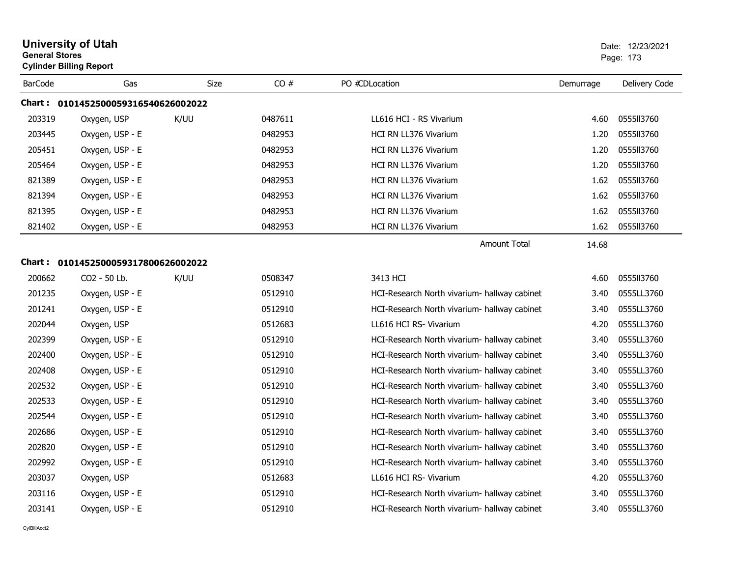| <b>General Stores</b> | <b>University of Utah</b><br><b>Cylinder Billing Report</b> |             |         |                                              |           | Date: 12/23/2021<br>Page: 173 |
|-----------------------|-------------------------------------------------------------|-------------|---------|----------------------------------------------|-----------|-------------------------------|
| <b>BarCode</b>        | Gas                                                         | <b>Size</b> | CO#     | PO #CDLocation                               | Demurrage | Delivery Code                 |
|                       | Chart: 0101452500059316540626002022                         |             |         |                                              |           |                               |
| 203319                | Oxygen, USP                                                 | K/UU        | 0487611 | LL616 HCI - RS Vivarium                      | 4.60      | 0555113760                    |
| 203445                | Oxygen, USP - E                                             |             | 0482953 | HCI RN LL376 Vivarium                        | 1.20      | 0555II3760                    |
| 205451                | Oxygen, USP - E                                             |             | 0482953 | HCI RN LL376 Vivarium                        | 1.20      | 0555113760                    |
| 205464                | Oxygen, USP - E                                             |             | 0482953 | HCI RN LL376 Vivarium                        | 1.20      | 0555113760                    |
| 821389                | Oxygen, USP - E                                             |             | 0482953 | HCI RN LL376 Vivarium                        | 1.62      | 0555113760                    |
| 821394                | Oxygen, USP - E                                             |             | 0482953 | HCI RN LL376 Vivarium                        | 1.62      | 0555113760                    |
| 821395                | Oxygen, USP - E                                             |             | 0482953 | <b>HCI RN LL376 Vivarium</b>                 | 1.62      | 0555113760                    |
| 821402                | Oxygen, USP - E                                             |             | 0482953 | HCI RN LL376 Vivarium                        | 1.62      | 0555113760                    |
|                       |                                                             |             |         | <b>Amount Total</b>                          | 14.68     |                               |
|                       |                                                             |             |         |                                              |           |                               |
| 200662                | CO2 - 50 Lb.                                                | K/UU        | 0508347 | 3413 HCI                                     | 4.60      | 0555113760                    |
| 201235                | Oxygen, USP - E                                             |             | 0512910 | HCI-Research North vivarium- hallway cabinet | 3.40      | 0555LL3760                    |
| 201241                | Oxygen, USP - E                                             |             | 0512910 | HCI-Research North vivarium- hallway cabinet | 3.40      | 0555LL3760                    |
| 202044                | Oxygen, USP                                                 |             | 0512683 | LL616 HCI RS- Vivarium                       | 4.20      | 0555LL3760                    |
| 202399                | Oxygen, USP - E                                             |             | 0512910 | HCI-Research North vivarium- hallway cabinet | 3.40      | 0555LL3760                    |
| 202400                | Oxygen, USP - E                                             |             | 0512910 | HCI-Research North vivarium- hallway cabinet | 3.40      | 0555LL3760                    |
| 202408                | Oxygen, USP - E                                             |             | 0512910 | HCI-Research North vivarium- hallway cabinet | 3.40      | 0555LL3760                    |
| 202532                | Oxygen, USP - E                                             |             | 0512910 | HCI-Research North vivarium- hallway cabinet | 3.40      | 0555LL3760                    |
| 202533                | Oxygen, USP - E                                             |             | 0512910 | HCI-Research North vivarium- hallway cabinet | 3.40      | 0555LL3760                    |
| 202544                | Oxygen, USP - E                                             |             | 0512910 | HCI-Research North vivarium- hallway cabinet | 3.40      | 0555LL3760                    |
| 202686                | Oxygen, USP - E                                             |             | 0512910 | HCI-Research North vivarium- hallway cabinet | 3.40      | 0555LL3760                    |
| 202820                | Oxygen, USP - E                                             |             | 0512910 | HCI-Research North vivarium- hallway cabinet | 3.40      | 0555LL3760                    |
| 202992                | Oxygen, USP - E                                             |             | 0512910 | HCI-Research North vivarium- hallway cabinet | 3.40      | 0555LL3760                    |
| 203037                | Oxygen, USP                                                 |             | 0512683 | LL616 HCI RS- Vivarium                       | 4.20      | 0555LL3760                    |
| 203116                | Oxygen, USP - E                                             |             | 0512910 | HCI-Research North vivarium- hallway cabinet | 3.40      | 0555LL3760                    |
| 203141                | Oxygen, USP - E                                             |             | 0512910 | HCI-Research North vivarium- hallway cabinet | 3.40      | 0555LL3760                    |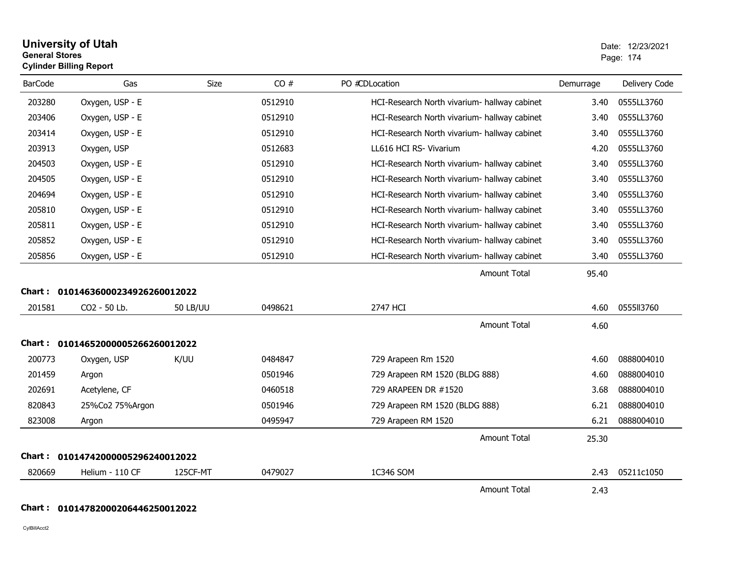| General Stores | <b>Cylinder Billing Report</b>    |                 |         |                                              |           | Page: 174     |
|----------------|-----------------------------------|-----------------|---------|----------------------------------------------|-----------|---------------|
| <b>BarCode</b> | Gas                               | Size            | CO#     | PO #CDLocation                               | Demurrage | Delivery Code |
| 203280         | Oxygen, USP - E                   |                 | 0512910 | HCI-Research North vivarium- hallway cabinet | 3.40      | 0555LL3760    |
| 203406         | Oxygen, USP - E                   |                 | 0512910 | HCI-Research North vivarium- hallway cabinet | 3.40      | 0555LL3760    |
| 203414         | Oxygen, USP - E                   |                 | 0512910 | HCI-Research North vivarium- hallway cabinet | 3.40      | 0555LL3760    |
| 203913         | Oxygen, USP                       |                 | 0512683 | LL616 HCI RS- Vivarium                       | 4.20      | 0555LL3760    |
| 204503         | Oxygen, USP - E                   |                 | 0512910 | HCI-Research North vivarium- hallway cabinet | 3.40      | 0555LL3760    |
| 204505         | Oxygen, USP - E                   |                 | 0512910 | HCI-Research North vivarium- hallway cabinet | 3.40      | 0555LL3760    |
| 204694         | Oxygen, USP - E                   |                 | 0512910 | HCI-Research North vivarium- hallway cabinet | 3.40      | 0555LL3760    |
| 205810         | Oxygen, USP - E                   |                 | 0512910 | HCI-Research North vivarium- hallway cabinet | 3.40      | 0555LL3760    |
| 205811         | Oxygen, USP - E                   |                 | 0512910 | HCI-Research North vivarium- hallway cabinet | 3.40      | 0555LL3760    |
| 205852         | Oxygen, USP - E                   |                 | 0512910 | HCI-Research North vivarium- hallway cabinet | 3.40      | 0555LL3760    |
| 205856         | Oxygen, USP - E                   |                 | 0512910 | HCI-Research North vivarium- hallway cabinet | 3.40      | 0555LL3760    |
|                |                                   |                 |         | <b>Amount Total</b>                          | 95.40     |               |
| Chart :        | 01014636000234926260012022        |                 |         |                                              |           |               |
| 201581         | CO2 - 50 Lb.                      | <b>50 LB/UU</b> | 0498621 | 2747 HCI                                     | 4.60      | 0555113760    |
|                |                                   |                 |         | <b>Amount Total</b>                          | 4.60      |               |
|                | Chart: 01014652000005266260012022 |                 |         |                                              |           |               |
| 200773         | Oxygen, USP                       | K/UU            | 0484847 | 729 Arapeen Rm 1520                          | 4.60      | 0888004010    |
| 201459         | Argon                             |                 | 0501946 | 729 Arapeen RM 1520 (BLDG 888)               | 4.60      | 0888004010    |
| 202691         | Acetylene, CF                     |                 | 0460518 | 729 ARAPEEN DR #1520                         | 3.68      | 0888004010    |
| 820843         | 25%Co2 75%Argon                   |                 | 0501946 | 729 Arapeen RM 1520 (BLDG 888)               | 6.21      | 0888004010    |
| 823008         | Argon                             |                 | 0495947 | 729 Arapeen RM 1520                          | 6.21      | 0888004010    |
|                |                                   |                 |         | <b>Amount Total</b>                          | 25.30     |               |
| Chart :        | 01014742000005296240012022        |                 |         |                                              |           |               |
| 820669         | Helium - 110 CF                   | 125CF-MT        | 0479027 | 1C346 SOM                                    | 2.43      | 05211c1050    |
|                |                                   |                 |         | <b>Amount Total</b>                          | 2.43      |               |

## $\overline{\phantom{a}}$

**Chart : 01014782000206446250012022**

CylBillAcct2

## **University of Utah** Date: 12/23/2021 **General Stores**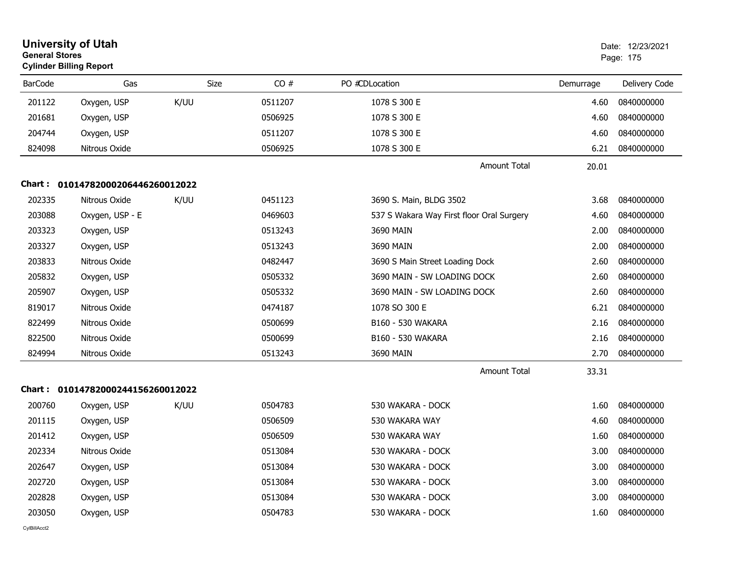|                | <b>University of Utah</b><br><b>General Stores</b><br><b>Cylinder Billing Report</b> |             |         |                                           | Date: 12/23/2021<br>Page: 175 |               |
|----------------|--------------------------------------------------------------------------------------|-------------|---------|-------------------------------------------|-------------------------------|---------------|
| <b>BarCode</b> | Gas                                                                                  | <b>Size</b> | CO#     | PO #CDLocation                            | Demurrage                     | Delivery Code |
| 201122         | Oxygen, USP                                                                          | K/UU        | 0511207 | 1078 S 300 E                              | 4.60                          | 0840000000    |
| 201681         | Oxygen, USP                                                                          |             | 0506925 | 1078 S 300 E                              | 4.60                          | 0840000000    |
| 204744         | Oxygen, USP                                                                          |             | 0511207 | 1078 S 300 E                              | 4.60                          | 0840000000    |
| 824098         | Nitrous Oxide                                                                        |             | 0506925 | 1078 S 300 E                              | 6.21                          | 0840000000    |
|                |                                                                                      |             |         | <b>Amount Total</b>                       | 20.01                         |               |
|                | Chart: 01014782000206446260012022                                                    |             |         |                                           |                               |               |
| 202335         | Nitrous Oxide                                                                        | K/UU        | 0451123 | 3690 S. Main, BLDG 3502                   | 3.68                          | 0840000000    |
| 203088         | Oxygen, USP - E                                                                      |             | 0469603 | 537 S Wakara Way First floor Oral Surgery | 4.60                          | 0840000000    |
| 203323         | Oxygen, USP                                                                          |             | 0513243 | 3690 MAIN                                 | 2.00                          | 0840000000    |
| 203327         | Oxygen, USP                                                                          |             | 0513243 | 3690 MAIN                                 | 2.00                          | 0840000000    |
| 203833         | Nitrous Oxide                                                                        |             | 0482447 | 3690 S Main Street Loading Dock           | 2.60                          | 0840000000    |
| 205832         | Oxygen, USP                                                                          |             | 0505332 | 3690 MAIN - SW LOADING DOCK               | 2.60                          | 0840000000    |
| 205907         | Oxygen, USP                                                                          |             | 0505332 | 3690 MAIN - SW LOADING DOCK               | 2.60                          | 0840000000    |
| 819017         | Nitrous Oxide                                                                        |             | 0474187 | 1078 SO 300 E                             | 6.21                          | 0840000000    |
| 822499         | Nitrous Oxide                                                                        |             | 0500699 | B160 - 530 WAKARA                         | 2.16                          | 0840000000    |
| 822500         | Nitrous Oxide                                                                        |             | 0500699 | B160 - 530 WAKARA                         | 2.16                          | 0840000000    |
| 824994         | Nitrous Oxide                                                                        |             | 0513243 | 3690 MAIN                                 | 2.70                          | 0840000000    |
|                |                                                                                      |             |         | <b>Amount Total</b>                       | 33.31                         |               |
|                | Chart: 01014782000244156260012022                                                    |             |         |                                           |                               |               |
| 200760         | Oxygen, USP                                                                          | K/UU        | 0504783 | 530 WAKARA - DOCK                         | 1.60                          | 0840000000    |
| 201115         | Oxygen, USP                                                                          |             | 0506509 | 530 WAKARA WAY                            | 4.60                          | 0840000000    |
| 201412         | Oxygen, USP                                                                          |             | 0506509 | 530 WAKARA WAY                            | 1.60                          | 0840000000    |
| 202334         | Nitrous Oxide                                                                        |             | 0513084 | 530 WAKARA - DOCK                         | 3.00                          | 0840000000    |
| 202647         | Oxygen, USP                                                                          |             | 0513084 | 530 WAKARA - DOCK                         | 3.00                          | 0840000000    |
| 202720         | Oxygen, USP                                                                          |             | 0513084 | 530 WAKARA - DOCK                         | 3.00                          | 0840000000    |
| 202828         | Oxygen, USP                                                                          |             | 0513084 | 530 WAKARA - DOCK                         | 3.00                          | 0840000000    |
| 203050         | Oxygen, USP                                                                          |             | 0504783 | 530 WAKARA - DOCK                         | 1.60                          | 0840000000    |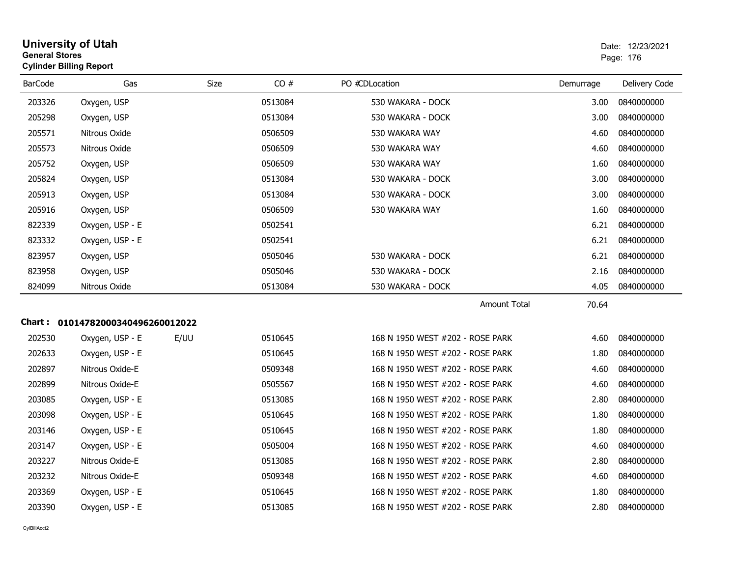| <b>General Stores</b> | <b>University of Utah</b><br><b>Cylinder Billing Report</b> |      |         |                                  |           | Date: 12/23/2021<br>Page: 176 |
|-----------------------|-------------------------------------------------------------|------|---------|----------------------------------|-----------|-------------------------------|
| <b>BarCode</b>        | Gas                                                         | Size | CO#     | PO #CDLocation                   | Demurrage | Delivery Code                 |
| 203326                | Oxygen, USP                                                 |      | 0513084 | 530 WAKARA - DOCK                | 3.00      | 0840000000                    |
| 205298                | Oxygen, USP                                                 |      | 0513084 | 530 WAKARA - DOCK                | 3.00      | 0840000000                    |
| 205571                | Nitrous Oxide                                               |      | 0506509 | 530 WAKARA WAY                   | 4.60      | 0840000000                    |
| 205573                | Nitrous Oxide                                               |      | 0506509 | 530 WAKARA WAY                   | 4.60      | 0840000000                    |
| 205752                | Oxygen, USP                                                 |      | 0506509 | 530 WAKARA WAY                   | 1.60      | 0840000000                    |
| 205824                | Oxygen, USP                                                 |      | 0513084 | 530 WAKARA - DOCK                | 3.00      | 0840000000                    |
| 205913                | Oxygen, USP                                                 |      | 0513084 | 530 WAKARA - DOCK                | 3.00      | 0840000000                    |
| 205916                | Oxygen, USP                                                 |      | 0506509 | 530 WAKARA WAY                   | 1.60      | 0840000000                    |
| 822339                | Oxygen, USP - E                                             |      | 0502541 |                                  | 6.21      | 0840000000                    |
| 823332                | Oxygen, USP - E                                             |      | 0502541 |                                  | 6.21      | 0840000000                    |
| 823957                | Oxygen, USP                                                 |      | 0505046 | 530 WAKARA - DOCK                | 6.21      | 0840000000                    |
| 823958                | Oxygen, USP                                                 |      | 0505046 | 530 WAKARA - DOCK                | 2.16      | 0840000000                    |
| 824099                | Nitrous Oxide                                               |      | 0513084 | 530 WAKARA - DOCK                | 4.05      | 0840000000                    |
|                       |                                                             |      |         | <b>Amount Total</b>              | 70.64     |                               |
|                       | Chart: 01014782000340496260012022                           |      |         |                                  |           |                               |
| 202530                | Oxygen, USP - E                                             | E/UU | 0510645 | 168 N 1950 WEST #202 - ROSE PARK | 4.60      | 0840000000                    |
| 202633                | Oxygen, USP - E                                             |      | 0510645 | 168 N 1950 WEST #202 - ROSE PARK | 1.80      | 0840000000                    |
| 202897                | Nitrous Oxide-E                                             |      | 0509348 | 168 N 1950 WEST #202 - ROSE PARK | 4.60      | 0840000000                    |
| 202899                | Nitrous Oxide-E                                             |      | 0505567 | 168 N 1950 WEST #202 - ROSE PARK | 4.60      | 0840000000                    |
| 203085                | Oxygen, USP - E                                             |      | 0513085 | 168 N 1950 WEST #202 - ROSE PARK | 2.80      | 0840000000                    |
| 203098                | Oxygen, USP - E                                             |      | 0510645 | 168 N 1950 WEST #202 - ROSE PARK | 1.80      | 0840000000                    |
| 203146                | Oxygen, USP - E                                             |      | 0510645 | 168 N 1950 WEST #202 - ROSE PARK | 1.80      | 0840000000                    |
| 203147                | Oxygen, USP - E                                             |      | 0505004 | 168 N 1950 WEST #202 - ROSE PARK | 4.60      | 0840000000                    |
| 203227                | Nitrous Oxide-E                                             |      | 0513085 | 168 N 1950 WEST #202 - ROSE PARK | 2.80      | 0840000000                    |
| 203232                | Nitrous Oxide-E                                             |      | 0509348 | 168 N 1950 WEST #202 - ROSE PARK | 4.60      | 0840000000                    |
| 203369                | Oxygen, USP - E                                             |      | 0510645 | 168 N 1950 WEST #202 - ROSE PARK | 1.80      | 0840000000                    |
| 203390                | Oxygen, USP - E                                             |      | 0513085 | 168 N 1950 WEST #202 - ROSE PARK | 2.80      | 0840000000                    |
|                       |                                                             |      |         |                                  |           |                               |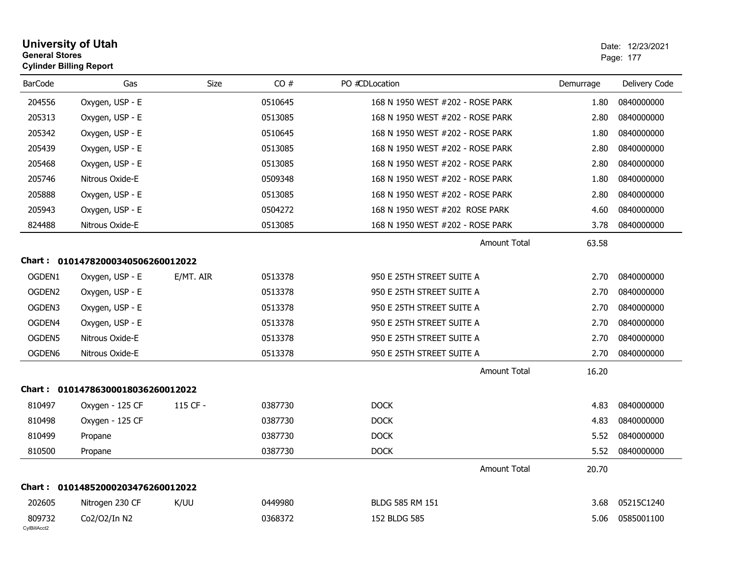| <b>General Stores</b>  | <b>University of Utah</b><br><b>Cylinder Billing Report</b> |             |         |                                  |           | Date: 12/23/2021<br>Page: 177 |
|------------------------|-------------------------------------------------------------|-------------|---------|----------------------------------|-----------|-------------------------------|
| <b>BarCode</b>         | Gas                                                         | <b>Size</b> | CO#     | PO #CDLocation                   | Demurrage | Delivery Code                 |
| 204556                 | Oxygen, USP - E                                             |             | 0510645 | 168 N 1950 WEST #202 - ROSE PARK | 1.80      | 0840000000                    |
| 205313                 | Oxygen, USP - E                                             |             | 0513085 | 168 N 1950 WEST #202 - ROSE PARK | 2.80      | 0840000000                    |
| 205342                 | Oxygen, USP - E                                             |             | 0510645 | 168 N 1950 WEST #202 - ROSE PARK | 1.80      | 0840000000                    |
| 205439                 | Oxygen, USP - E                                             |             | 0513085 | 168 N 1950 WEST #202 - ROSE PARK | 2.80      | 0840000000                    |
| 205468                 | Oxygen, USP - E                                             |             | 0513085 | 168 N 1950 WEST #202 - ROSE PARK | 2.80      | 0840000000                    |
| 205746                 | Nitrous Oxide-E                                             |             | 0509348 | 168 N 1950 WEST #202 - ROSE PARK | 1.80      | 0840000000                    |
| 205888                 | Oxygen, USP - E                                             |             | 0513085 | 168 N 1950 WEST #202 - ROSE PARK | 2.80      | 0840000000                    |
| 205943                 | Oxygen, USP - E                                             |             | 0504272 | 168 N 1950 WEST #202 ROSE PARK   | 4.60      | 0840000000                    |
| 824488                 | Nitrous Oxide-E                                             |             | 0513085 | 168 N 1950 WEST #202 - ROSE PARK | 3.78      | 0840000000                    |
|                        |                                                             |             |         | <b>Amount Total</b>              | 63.58     |                               |
|                        | Chart: 01014782000340506260012022                           |             |         |                                  |           |                               |
| OGDEN1                 | Oxygen, USP - E                                             | E/MT. AIR   | 0513378 | 950 E 25TH STREET SUITE A        | 2.70      | 0840000000                    |
| OGDEN2                 | Oxygen, USP - E                                             |             | 0513378 | 950 E 25TH STREET SUITE A        | 2.70      | 0840000000                    |
| OGDEN3                 | Oxygen, USP - E                                             |             | 0513378 | 950 E 25TH STREET SUITE A        | 2.70      | 0840000000                    |
| OGDEN4                 | Oxygen, USP - E                                             |             | 0513378 | 950 E 25TH STREET SUITE A        | 2.70      | 0840000000                    |
| OGDEN5                 | Nitrous Oxide-E                                             |             | 0513378 | 950 E 25TH STREET SUITE A        | 2.70      | 0840000000                    |
| OGDEN6                 | Nitrous Oxide-E                                             |             | 0513378 | 950 E 25TH STREET SUITE A        | 2.70      | 0840000000                    |
|                        |                                                             |             |         | <b>Amount Total</b>              | 16.20     |                               |
|                        | Chart: 01014786300018036260012022                           |             |         |                                  |           |                               |
| 810497                 | Oxygen - 125 CF                                             | 115 CF -    | 0387730 | <b>DOCK</b>                      | 4.83      | 0840000000                    |
| 810498                 | Oxygen - 125 CF                                             |             | 0387730 | <b>DOCK</b>                      | 4.83      | 0840000000                    |
| 810499                 | Propane                                                     |             | 0387730 | <b>DOCK</b>                      | 5.52      | 0840000000                    |
| 810500                 | Propane                                                     |             | 0387730 | <b>DOCK</b>                      | 5.52      | 0840000000                    |
|                        |                                                             |             |         | <b>Amount Total</b>              | 20.70     |                               |
|                        | Chart: 01014852000203476260012022                           |             |         |                                  |           |                               |
| 202605                 | Nitrogen 230 CF                                             | K/UU        | 0449980 | BLDG 585 RM 151                  | 3.68      | 05215C1240                    |
| 809732<br>CvIBillAcct2 | Co2/O2/In N2                                                |             | 0368372 | 152 BLDG 585                     | 5.06      | 0585001100                    |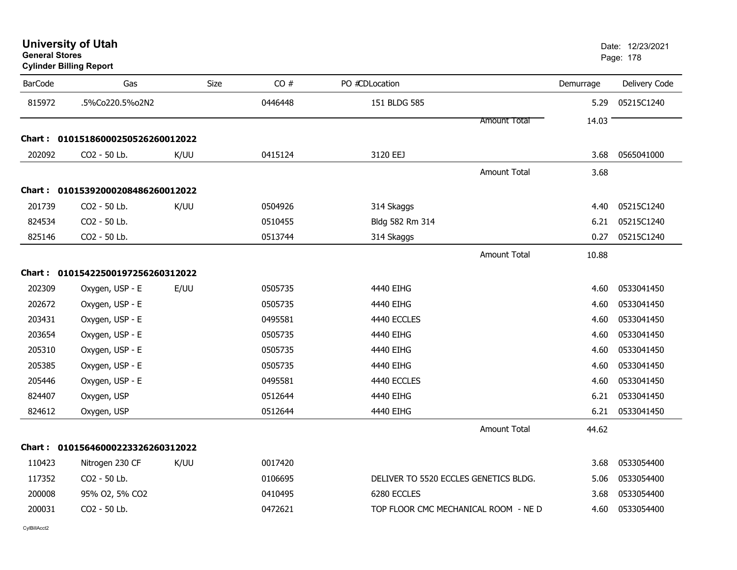|                | <b>Cylinder Billing Report</b>    |             |         |                                       |                     |           |               |
|----------------|-----------------------------------|-------------|---------|---------------------------------------|---------------------|-----------|---------------|
| <b>BarCode</b> | Gas                               | <b>Size</b> | CO#     | PO #CDLocation                        |                     | Demurrage | Delivery Code |
| 815972         | .5%Co220.5%o2N2                   |             | 0446448 | 151 BLDG 585                          |                     | 5.29      | 05215C1240    |
|                |                                   |             |         |                                       | <b>Amount Total</b> | 14.03     |               |
|                | Chart: 01015186000250526260012022 |             |         |                                       |                     |           |               |
| 202092         | CO2 - 50 Lb.                      | K/UU        | 0415124 | 3120 EEJ                              |                     | 3.68      | 0565041000    |
|                |                                   |             |         |                                       | <b>Amount Total</b> | 3.68      |               |
|                | Chart: 01015392000208486260012022 |             |         |                                       |                     |           |               |
| 201739         | CO2 - 50 Lb.                      | K/UU        | 0504926 | 314 Skaggs                            |                     | 4.40      | 05215C1240    |
| 824534         | CO2 - 50 Lb.                      |             | 0510455 | Bldg 582 Rm 314                       |                     | 6.21      | 05215C1240    |
| 825146         | CO2 - 50 Lb.                      |             | 0513744 | 314 Skaggs                            |                     | 0.27      | 05215C1240    |
|                |                                   |             |         |                                       | <b>Amount Total</b> | 10.88     |               |
|                | Chart: 01015422500197256260312022 |             |         |                                       |                     |           |               |
| 202309         | Oxygen, USP - E                   | E/UU        | 0505735 | 4440 EIHG                             |                     | 4.60      | 0533041450    |
| 202672         | Oxygen, USP - E                   |             | 0505735 | 4440 EIHG                             |                     | 4.60      | 0533041450    |
| 203431         | Oxygen, USP - E                   |             | 0495581 | 4440 ECCLES                           |                     | 4.60      | 0533041450    |
| 203654         | Oxygen, USP - E                   |             | 0505735 | 4440 EIHG                             |                     | 4.60      | 0533041450    |
| 205310         | Oxygen, USP - E                   |             | 0505735 | 4440 EIHG                             |                     | 4.60      | 0533041450    |
| 205385         | Oxygen, USP - E                   |             | 0505735 | 4440 EIHG                             |                     | 4.60      | 0533041450    |
| 205446         | Oxygen, USP - E                   |             | 0495581 | 4440 ECCLES                           |                     | 4.60      | 0533041450    |
| 824407         | Oxygen, USP                       |             | 0512644 | 4440 EIHG                             |                     | 6.21      | 0533041450    |
| 824612         | Oxygen, USP                       |             | 0512644 | 4440 EIHG                             |                     | 6.21      | 0533041450    |
|                |                                   |             |         |                                       | <b>Amount Total</b> | 44.62     |               |
|                | Chart: 01015646000223326260312022 |             |         |                                       |                     |           |               |
| 110423         | Nitrogen 230 CF                   | K/UU        | 0017420 |                                       |                     | 3.68      | 0533054400    |
| 117352         | CO2 - 50 Lb.                      |             | 0106695 | DELIVER TO 5520 ECCLES GENETICS BLDG. |                     | 5.06      | 0533054400    |
| 200008         | 95% 02, 5% CO2                    |             | 0410495 | 6280 ECCLES                           |                     | 3.68      | 0533054400    |
| 200031         | CO2 - 50 Lb.                      |             | 0472621 | TOP FLOOR CMC MECHANICAL ROOM - NE D  |                     | 4.60      | 0533054400    |
|                |                                   |             |         |                                       |                     |           |               |

#### **University of Utah** Date: 12/23/2021 **General Stores**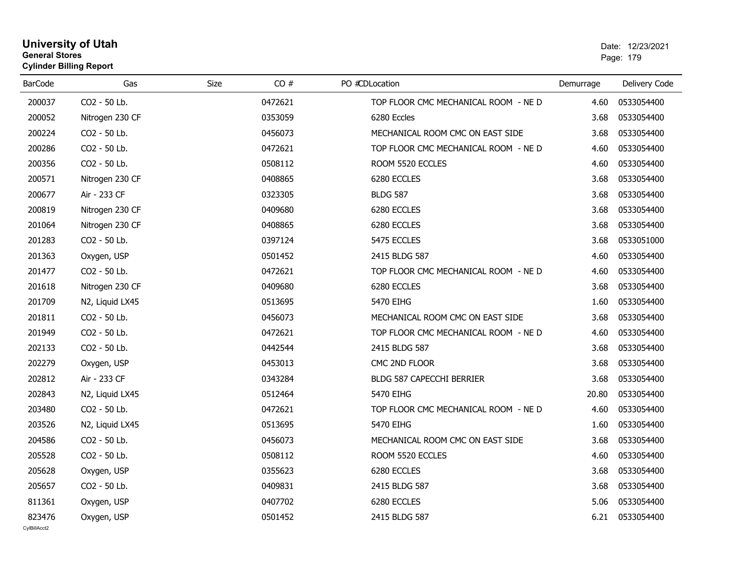## **University of Utah** Date: 12/23/2021 **General Stores**end and the state of the state of the state of the state of the state of the state of the state of the state of the state of the state of the state of the state of the state of the state of the state of the state of the st **Cylinder Billing Report**

| <b>BarCode</b>         | Gas             | <b>Size</b><br>CO# | PO #CDLocation                       | Demurrage | Delivery Code |
|------------------------|-----------------|--------------------|--------------------------------------|-----------|---------------|
| 200037                 | CO2 - 50 Lb.    | 0472621            | TOP FLOOR CMC MECHANICAL ROOM - NE D | 4.60      | 0533054400    |
| 200052                 | Nitrogen 230 CF | 0353059            | 6280 Eccles                          | 3.68      | 0533054400    |
| 200224                 | CO2 - 50 Lb.    | 0456073            | MECHANICAL ROOM CMC ON EAST SIDE     | 3.68      | 0533054400    |
| 200286                 | CO2 - 50 Lb.    | 0472621            | TOP FLOOR CMC MECHANICAL ROOM - NE D | 4.60      | 0533054400    |
| 200356                 | CO2 - 50 Lb.    | 0508112            | ROOM 5520 ECCLES                     | 4.60      | 0533054400    |
| 200571                 | Nitrogen 230 CF | 0408865            | 6280 ECCLES                          | 3.68      | 0533054400    |
| 200677                 | Air - 233 CF    | 0323305            | <b>BLDG 587</b>                      | 3.68      | 0533054400    |
| 200819                 | Nitrogen 230 CF | 0409680            | 6280 ECCLES                          | 3.68      | 0533054400    |
| 201064                 | Nitrogen 230 CF | 0408865            | 6280 ECCLES                          | 3.68      | 0533054400    |
| 201283                 | CO2 - 50 Lb.    | 0397124            | 5475 ECCLES                          | 3.68      | 0533051000    |
| 201363                 | Oxygen, USP     | 0501452            | 2415 BLDG 587                        | 4.60      | 0533054400    |
| 201477                 | CO2 - 50 Lb.    | 0472621            | TOP FLOOR CMC MECHANICAL ROOM - NE D | 4.60      | 0533054400    |
| 201618                 | Nitrogen 230 CF | 0409680            | 6280 ECCLES                          | 3.68      | 0533054400    |
| 201709                 | N2, Liquid LX45 | 0513695            | 5470 EIHG                            | 1.60      | 0533054400    |
| 201811                 | CO2 - 50 Lb.    | 0456073            | MECHANICAL ROOM CMC ON EAST SIDE     | 3.68      | 0533054400    |
| 201949                 | CO2 - 50 Lb.    | 0472621            | TOP FLOOR CMC MECHANICAL ROOM - NE D | 4.60      | 0533054400    |
| 202133                 | CO2 - 50 Lb.    | 0442544            | 2415 BLDG 587                        | 3.68      | 0533054400    |
| 202279                 | Oxygen, USP     | 0453013            | CMC 2ND FLOOR                        | 3.68      | 0533054400    |
| 202812                 | Air - 233 CF    | 0343284            | BLDG 587 CAPECCHI BERRIER            | 3.68      | 0533054400    |
| 202843                 | N2, Liquid LX45 | 0512464            | 5470 EIHG                            | 20.80     | 0533054400    |
| 203480                 | CO2 - 50 Lb.    | 0472621            | TOP FLOOR CMC MECHANICAL ROOM - NE D | 4.60      | 0533054400    |
| 203526                 | N2, Liquid LX45 | 0513695            | 5470 EIHG                            | 1.60      | 0533054400    |
| 204586                 | CO2 - 50 Lb.    | 0456073            | MECHANICAL ROOM CMC ON EAST SIDE     | 3.68      | 0533054400    |
| 205528                 | CO2 - 50 Lb.    | 0508112            | ROOM 5520 ECCLES                     | 4.60      | 0533054400    |
| 205628                 | Oxygen, USP     | 0355623            | 6280 ECCLES                          | 3.68      | 0533054400    |
| 205657                 | CO2 - 50 Lb.    | 0409831            | 2415 BLDG 587                        | 3.68      | 0533054400    |
| 811361                 | Oxygen, USP     | 0407702            | 6280 ECCLES                          | 5.06      | 0533054400    |
| 823476<br>CvIBillAcct2 | Oxygen, USP     | 0501452            | 2415 BLDG 587                        | 6.21      | 0533054400    |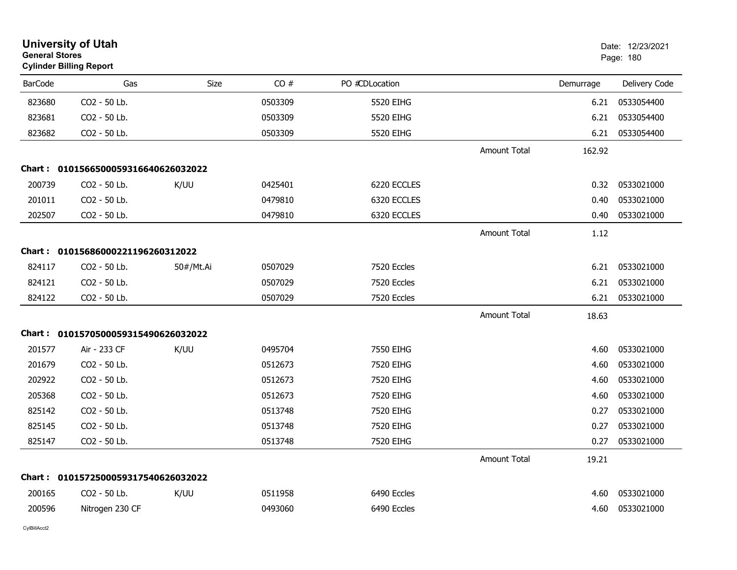| <b>University of Utah</b><br><b>General Stores</b><br><b>Cylinder Billing Report</b> |                                     |           |         |                |                     | Date: 12/23/2021<br>Page: 180 |               |
|--------------------------------------------------------------------------------------|-------------------------------------|-----------|---------|----------------|---------------------|-------------------------------|---------------|
| <b>BarCode</b>                                                                       | Gas                                 | Size      | CO#     | PO #CDLocation |                     | Demurrage                     | Delivery Code |
| 823680                                                                               | CO2 - 50 Lb.                        |           | 0503309 | 5520 EIHG      |                     | 6.21                          | 0533054400    |
| 823681                                                                               | CO2 - 50 Lb.                        |           | 0503309 | 5520 EIHG      |                     | 6.21                          | 0533054400    |
| 823682                                                                               | CO2 - 50 Lb.                        |           | 0503309 | 5520 EIHG      |                     | 6.21                          | 0533054400    |
|                                                                                      |                                     |           |         |                | <b>Amount Total</b> | 162.92                        |               |
|                                                                                      | Chart: 0101566500059316640626032022 |           |         |                |                     |                               |               |
| 200739                                                                               | CO2 - 50 Lb.                        | K/UU      | 0425401 | 6220 ECCLES    |                     | 0.32                          | 0533021000    |
| 201011                                                                               | CO2 - 50 Lb.                        |           | 0479810 | 6320 ECCLES    |                     | 0.40                          | 0533021000    |
| 202507                                                                               | CO2 - 50 Lb.                        |           | 0479810 | 6320 ECCLES    |                     | 0.40                          | 0533021000    |
|                                                                                      |                                     |           |         |                | <b>Amount Total</b> | 1.12                          |               |
|                                                                                      | Chart: 01015686000221196260312022   |           |         |                |                     |                               |               |
| 824117                                                                               | CO2 - 50 Lb.                        | 50#/Mt.Ai | 0507029 | 7520 Eccles    |                     | 6.21                          | 0533021000    |
| 824121                                                                               | CO2 - 50 Lb.                        |           | 0507029 | 7520 Eccles    |                     | 6.21                          | 0533021000    |
| 824122                                                                               | CO2 - 50 Lb.                        |           | 0507029 | 7520 Eccles    |                     | 6.21                          | 0533021000    |
|                                                                                      |                                     |           |         |                | <b>Amount Total</b> | 18.63                         |               |
|                                                                                      | Chart: 0101570500059315490626032022 |           |         |                |                     |                               |               |
| 201577                                                                               | Air - 233 CF                        | K/UU      | 0495704 | 7550 EIHG      |                     | 4.60                          | 0533021000    |
| 201679                                                                               | CO2 - 50 Lb.                        |           | 0512673 | 7520 EIHG      |                     | 4.60                          | 0533021000    |
| 202922                                                                               | CO2 - 50 Lb.                        |           | 0512673 | 7520 EIHG      |                     | 4.60                          | 0533021000    |
| 205368                                                                               | CO <sub>2</sub> - 50 Lb.            |           | 0512673 | 7520 EIHG      |                     | 4.60                          | 0533021000    |
| 825142                                                                               | CO2 - 50 Lb.                        |           | 0513748 | 7520 EIHG      |                     | 0.27                          | 0533021000    |
| 825145                                                                               | CO2 - 50 Lb.                        |           | 0513748 | 7520 EIHG      |                     | 0.27                          | 0533021000    |
| 825147                                                                               | CO2 - 50 Lb.                        |           | 0513748 | 7520 EIHG      |                     | 0.27                          | 0533021000    |
|                                                                                      |                                     |           |         |                | <b>Amount Total</b> | 19.21                         |               |
|                                                                                      | Chart: 0101572500059317540626032022 |           |         |                |                     |                               |               |
| 200165                                                                               | CO2 - 50 Lb.                        | K/UU      | 0511958 | 6490 Eccles    |                     | 4.60                          | 0533021000    |
| 200596                                                                               | Nitrogen 230 CF                     |           | 0493060 | 6490 Eccles    |                     | 4.60                          | 0533021000    |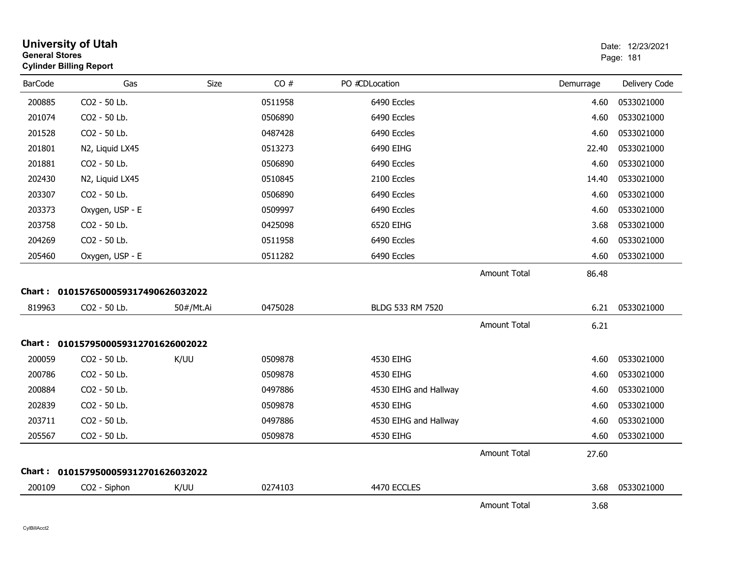| <b>General Stores</b> | <b>University of Utah</b><br><b>Cylinder Billing Report</b> |           |         |                       |                     |           | Date: 12/23/2021<br>Page: 181 |
|-----------------------|-------------------------------------------------------------|-----------|---------|-----------------------|---------------------|-----------|-------------------------------|
| <b>BarCode</b>        | Gas                                                         | Size      | CO#     | PO #CDLocation        |                     | Demurrage | Delivery Code                 |
| 200885                | CO2 - 50 Lb.                                                |           | 0511958 | 6490 Eccles           |                     | 4.60      | 0533021000                    |
| 201074                | CO2 - 50 Lb.                                                |           | 0506890 | 6490 Eccles           |                     | 4.60      | 0533021000                    |
| 201528                | CO2 - 50 Lb.                                                |           | 0487428 | 6490 Eccles           |                     | 4.60      | 0533021000                    |
| 201801                | N2, Liquid LX45                                             |           | 0513273 | 6490 EIHG             |                     | 22.40     | 0533021000                    |
| 201881                | CO2 - 50 Lb.                                                |           | 0506890 | 6490 Eccles           |                     | 4.60      | 0533021000                    |
| 202430                | N2, Liquid LX45                                             |           | 0510845 | 2100 Eccles           |                     | 14.40     | 0533021000                    |
| 203307                | CO2 - 50 Lb.                                                |           | 0506890 | 6490 Eccles           |                     | 4.60      | 0533021000                    |
| 203373                | Oxygen, USP - E                                             |           | 0509997 | 6490 Eccles           |                     | 4.60      | 0533021000                    |
| 203758                | CO2 - 50 Lb.                                                |           | 0425098 | 6520 EIHG             |                     | 3.68      | 0533021000                    |
| 204269                | CO2 - 50 Lb.                                                |           | 0511958 | 6490 Eccles           |                     | 4.60      | 0533021000                    |
| 205460                | Oxygen, USP - E                                             |           | 0511282 | 6490 Eccles           |                     | 4.60      | 0533021000                    |
|                       |                                                             |           |         |                       | <b>Amount Total</b> | 86.48     |                               |
|                       | Chart: 0101576500059317490626032022                         |           |         |                       |                     |           |                               |
| 819963                | CO2 - 50 Lb.                                                | 50#/Mt.Ai | 0475028 | BLDG 533 RM 7520      |                     | 6.21      | 0533021000                    |
|                       |                                                             |           |         |                       | <b>Amount Total</b> | 6.21      |                               |
|                       | Chart: 0101579500059312701626002022                         |           |         |                       |                     |           |                               |
| 200059                | CO2 - 50 Lb.                                                | K/UU      | 0509878 | 4530 EIHG             |                     | 4.60      | 0533021000                    |
| 200786                | CO2 - 50 Lb.                                                |           | 0509878 | 4530 EIHG             |                     | 4.60      | 0533021000                    |
| 200884                | CO2 - 50 Lb.                                                |           | 0497886 | 4530 EIHG and Hallway |                     | 4.60      | 0533021000                    |
| 202839                | CO2 - 50 Lb.                                                |           | 0509878 | 4530 EIHG             |                     | 4.60      | 0533021000                    |
| 203711                | CO2 - 50 Lb.                                                |           | 0497886 | 4530 EIHG and Hallway |                     | 4.60      | 0533021000                    |
| 205567                | CO2 - 50 Lb.                                                |           | 0509878 | 4530 EIHG             |                     | 4.60      | 0533021000                    |
|                       |                                                             |           |         |                       | <b>Amount Total</b> | 27.60     |                               |
|                       | Chart: 0101579500059312701626032022                         |           |         |                       |                     |           |                               |
| 200109                | CO2 - Siphon                                                | K/UU      | 0274103 | 4470 ECCLES           |                     | 3.68      | 0533021000                    |
|                       |                                                             |           |         |                       | <b>Amount Total</b> | 3.68      |                               |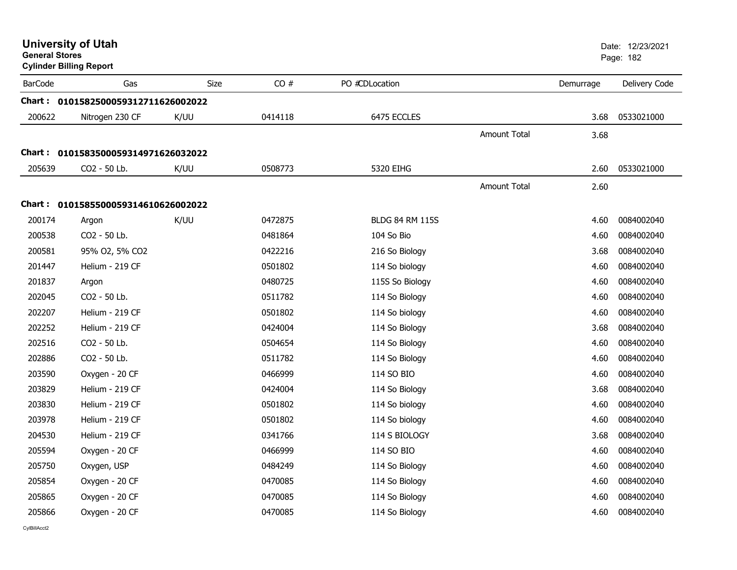| <b>General Stores</b> | <b>University of Utah</b><br><b>Cylinder Billing Report</b> |      |         |                        |                     |           | Date: 12/23/2021<br>Page: 182 |
|-----------------------|-------------------------------------------------------------|------|---------|------------------------|---------------------|-----------|-------------------------------|
| <b>BarCode</b>        | Gas                                                         | Size | CO#     | PO #CDLocation         |                     | Demurrage | Delivery Code                 |
|                       | Chart: 0101582500059312711626002022                         |      |         |                        |                     |           |                               |
| 200622                | Nitrogen 230 CF                                             | K/UU | 0414118 | 6475 ECCLES            |                     | 3.68      | 0533021000                    |
|                       |                                                             |      |         |                        | Amount Total        | 3.68      |                               |
|                       | Chart: 0101583500059314971626032022                         |      |         |                        |                     |           |                               |
| 205639                | CO2 - 50 Lb.                                                | K/UU | 0508773 | 5320 EIHG              |                     | 2.60      | 0533021000                    |
|                       |                                                             |      |         |                        | <b>Amount Total</b> | 2.60      |                               |
|                       | Chart: 0101585500059314610626002022                         |      |         |                        |                     |           |                               |
| 200174                | Argon                                                       | K/UU | 0472875 | <b>BLDG 84 RM 115S</b> |                     | 4.60      | 0084002040                    |
| 200538                | CO2 - 50 Lb.                                                |      | 0481864 | 104 So Bio             |                     | 4.60      | 0084002040                    |
| 200581                | 95% O2, 5% CO2                                              |      | 0422216 | 216 So Biology         |                     | 3.68      | 0084002040                    |
| 201447                | Helium - 219 CF                                             |      | 0501802 | 114 So biology         |                     | 4.60      | 0084002040                    |
| 201837                | Argon                                                       |      | 0480725 | 115S So Biology        |                     | 4.60      | 0084002040                    |
| 202045                | CO2 - 50 Lb.                                                |      | 0511782 | 114 So Biology         |                     | 4.60      | 0084002040                    |
| 202207                | Helium - 219 CF                                             |      | 0501802 | 114 So biology         |                     | 4.60      | 0084002040                    |
| 202252                | Helium - 219 CF                                             |      | 0424004 | 114 So Biology         |                     | 3.68      | 0084002040                    |
| 202516                | CO2 - 50 Lb.                                                |      | 0504654 | 114 So Biology         |                     | 4.60      | 0084002040                    |
| 202886                | CO2 - 50 Lb.                                                |      | 0511782 | 114 So Biology         |                     | 4.60      | 0084002040                    |
| 203590                | Oxygen - 20 CF                                              |      | 0466999 | 114 SO BIO             |                     | 4.60      | 0084002040                    |
| 203829                | Helium - 219 CF                                             |      | 0424004 | 114 So Biology         |                     | 3.68      | 0084002040                    |
| 203830                | Helium - 219 CF                                             |      | 0501802 | 114 So biology         |                     | 4.60      | 0084002040                    |
| 203978                | Helium - 219 CF                                             |      | 0501802 | 114 So biology         |                     | 4.60      | 0084002040                    |
| 204530                | Helium - 219 CF                                             |      | 0341766 | 114 S BIOLOGY          |                     | 3.68      | 0084002040                    |
| 205594                | Oxygen - 20 CF                                              |      | 0466999 | 114 SO BIO             |                     | 4.60      | 0084002040                    |
| 205750                | Oxygen, USP                                                 |      | 0484249 | 114 So Biology         |                     | 4.60      | 0084002040                    |
| 205854                | Oxygen - 20 CF                                              |      | 0470085 | 114 So Biology         |                     | 4.60      | 0084002040                    |
| 205865                | Oxygen - 20 CF                                              |      | 0470085 | 114 So Biology         |                     | 4.60      | 0084002040                    |
| 205866                | Oxygen - 20 CF                                              |      | 0470085 | 114 So Biology         |                     | 4.60      | 0084002040                    |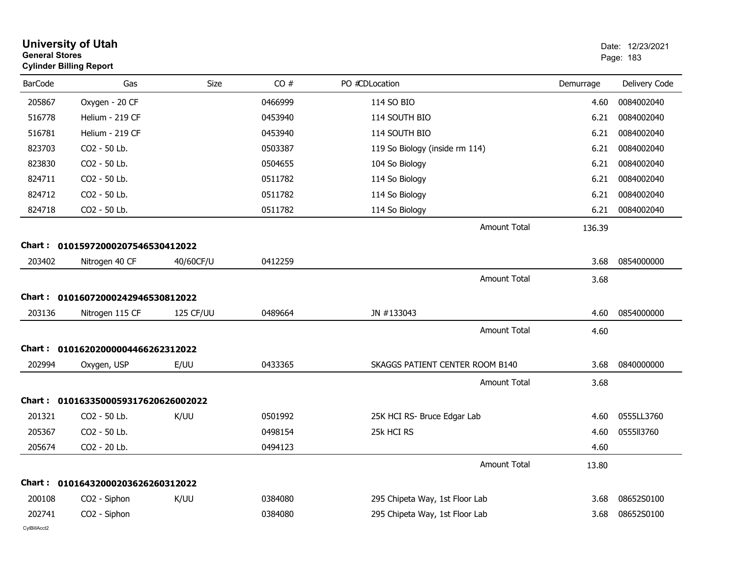| <b>General Stores</b> | <b>University of Utah</b><br><b>Cylinder Billing Report</b> |           |         |                                 |           | Date: 12/23/2021<br>Page: 183 |
|-----------------------|-------------------------------------------------------------|-----------|---------|---------------------------------|-----------|-------------------------------|
| <b>BarCode</b>        | Gas                                                         | Size      | CO#     | PO #CDLocation                  | Demurrage | Delivery Code                 |
| 205867                | Oxygen - 20 CF                                              |           | 0466999 | 114 SO BIO                      | 4.60      | 0084002040                    |
| 516778                | Helium - 219 CF                                             |           | 0453940 | 114 SOUTH BIO                   | 6.21      | 0084002040                    |
| 516781                | Helium - 219 CF                                             |           | 0453940 | 114 SOUTH BIO                   | 6.21      | 0084002040                    |
| 823703                | CO2 - 50 Lb.                                                |           | 0503387 | 119 So Biology (inside rm 114)  | 6.21      | 0084002040                    |
| 823830                | CO2 - 50 Lb.                                                |           | 0504655 | 104 So Biology                  | 6.21      | 0084002040                    |
| 824711                | CO2 - 50 Lb.                                                |           | 0511782 | 114 So Biology                  | 6.21      | 0084002040                    |
| 824712                | CO2 - 50 Lb.                                                |           | 0511782 | 114 So Biology                  | 6.21      | 0084002040                    |
| 824718                | CO2 - 50 Lb.                                                |           | 0511782 | 114 So Biology                  | 6.21      | 0084002040                    |
|                       |                                                             |           |         | <b>Amount Total</b>             | 136.39    |                               |
| Chart :               | 01015972000207546530412022                                  |           |         |                                 |           |                               |
| 203402                | Nitrogen 40 CF                                              | 40/60CF/U | 0412259 |                                 | 3.68      | 0854000000                    |
|                       |                                                             |           |         | <b>Amount Total</b>             | 3.68      |                               |
|                       | Chart: 01016072000242946530812022                           |           |         |                                 |           |                               |
| 203136                | Nitrogen 115 CF                                             | 125 CF/UU | 0489664 | JN #133043                      | 4.60      | 0854000000                    |
|                       |                                                             |           |         | <b>Amount Total</b>             | 4.60      |                               |
| Chart :               | 01016202000004466262312022                                  |           |         |                                 |           |                               |
| 202994                | Oxygen, USP                                                 | E/UU      | 0433365 | SKAGGS PATIENT CENTER ROOM B140 | 3.68      | 0840000000                    |
|                       |                                                             |           |         | <b>Amount Total</b>             | 3.68      |                               |
|                       | Chart: 0101633500059317620626002022                         |           |         |                                 |           |                               |
| 201321                | CO2 - 50 Lb.                                                | K/UU      | 0501992 | 25K HCI RS- Bruce Edgar Lab     | 4.60      | 0555LL3760                    |
| 205367                | CO2 - 50 Lb.                                                |           | 0498154 | 25k HCI RS                      | 4.60      | 0555113760                    |
| 205674                | CO2 - 20 Lb.                                                |           | 0494123 |                                 | 4.60      |                               |
|                       |                                                             |           |         | <b>Amount Total</b>             | 13.80     |                               |
|                       | Chart: 01016432000203626260312022                           |           |         |                                 |           |                               |
| 200108                | CO2 - Siphon                                                | K/UU      | 0384080 | 295 Chipeta Way, 1st Floor Lab  | 3.68      | 08652S0100                    |
| 202741                | CO2 - Siphon                                                |           | 0384080 | 295 Chipeta Way, 1st Floor Lab  | 3.68      | 08652S0100                    |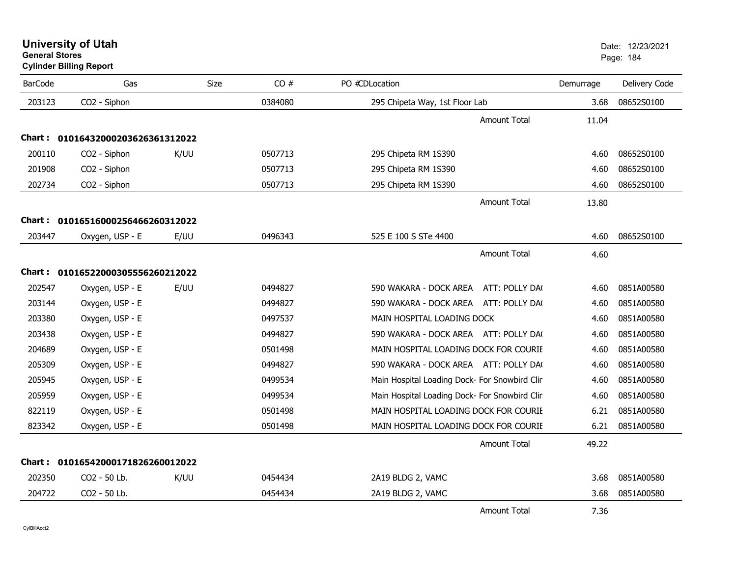| <b>BarCode</b> | Gas                               | Size | CO#     | PO #CDLocation                                | Demurrage | Delivery Code |
|----------------|-----------------------------------|------|---------|-----------------------------------------------|-----------|---------------|
| 203123         | CO2 - Siphon                      |      | 0384080 | 295 Chipeta Way, 1st Floor Lab                | 3.68      | 08652S0100    |
|                |                                   |      |         | <b>Amount Total</b>                           | 11.04     |               |
|                | Chart: 01016432000203626361312022 |      |         |                                               |           |               |
| 200110         | CO2 - Siphon                      | K/UU | 0507713 | 295 Chipeta RM 1S390                          | 4.60      | 08652S0100    |
| 201908         | CO2 - Siphon                      |      | 0507713 | 295 Chipeta RM 1S390                          | 4.60      | 08652S0100    |
| 202734         | CO <sub>2</sub> - Siphon          |      | 0507713 | 295 Chipeta RM 1S390                          | 4.60      | 08652S0100    |
|                |                                   |      |         | <b>Amount Total</b>                           | 13.80     |               |
|                | Chart: 01016516000256466260312022 |      |         |                                               |           |               |
| 203447         | Oxygen, USP - E                   | E/UU | 0496343 | 525 E 100 S STe 4400                          | 4.60      | 08652S0100    |
|                |                                   |      |         | <b>Amount Total</b>                           | 4.60      |               |
|                | Chart: 01016522000305556260212022 |      |         |                                               |           |               |
|                |                                   |      |         |                                               |           |               |
| 202547         | Oxygen, USP - E                   | E/UU | 0494827 | 590 WAKARA - DOCK AREA<br>ATT: POLLY DA(      | 4.60      | 0851A00580    |
| 203144         | Oxygen, USP - E                   |      | 0494827 | 590 WAKARA - DOCK AREA ATT: POLLY DA(         | 4.60      | 0851A00580    |
| 203380         | Oxygen, USP - E                   |      | 0497537 | MAIN HOSPITAL LOADING DOCK                    | 4.60      | 0851A00580    |
| 203438         | Oxygen, USP - E                   |      | 0494827 | 590 WAKARA - DOCK AREA ATT: POLLY DA(         | 4.60      | 0851A00580    |
| 204689         | Oxygen, USP - E                   |      | 0501498 | MAIN HOSPITAL LOADING DOCK FOR COURIE         | 4.60      | 0851A00580    |
| 205309         | Oxygen, USP - E                   |      | 0494827 | 590 WAKARA - DOCK AREA ATT: POLLY DA(         | 4.60      | 0851A00580    |
| 205945         | Oxygen, USP - E                   |      | 0499534 | Main Hospital Loading Dock- For Snowbird Clin | 4.60      | 0851A00580    |
| 205959         | Oxygen, USP - E                   |      | 0499534 | Main Hospital Loading Dock- For Snowbird Clin | 4.60      | 0851A00580    |
| 822119         | Oxygen, USP - E                   |      | 0501498 | MAIN HOSPITAL LOADING DOCK FOR COURIE         | 6.21      | 0851A00580    |
| 823342         | Oxygen, USP - E                   |      | 0501498 | MAIN HOSPITAL LOADING DOCK FOR COURIE         | 6.21      | 0851A00580    |
|                |                                   |      |         | <b>Amount Total</b>                           | 49.22     |               |
| Chart :        | 01016542000171826260012022        |      |         |                                               |           |               |
| 202350         | CO2 - 50 Lb.                      | K/UU | 0454434 | 2A19 BLDG 2, VAMC                             | 3.68      | 0851A00580    |
| 204722         | CO2 - 50 Lb.                      |      | 0454434 | 2A19 BLDG 2, VAMC                             | 3.68      | 0851A00580    |
|                |                                   |      |         | <b>Amount Total</b>                           | 7.36      |               |

# **Cylinder Billing Report**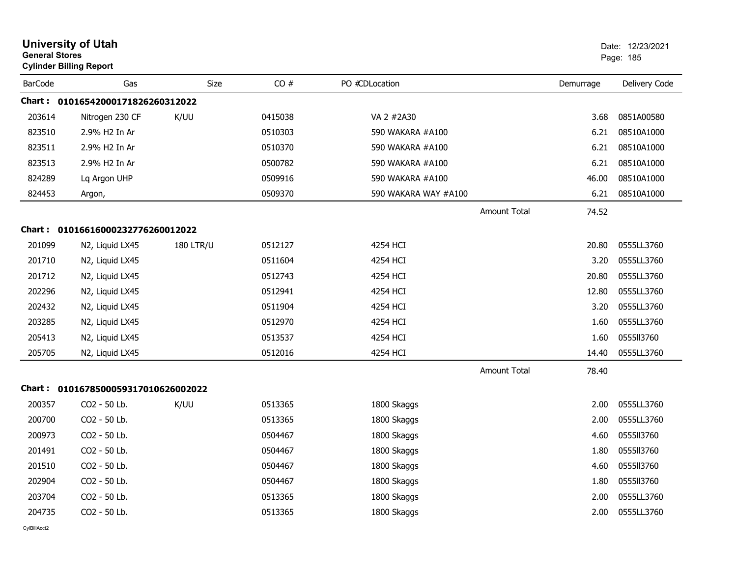| <b>General Stores</b> | <b>University of Utah</b><br><b>Cylinder Billing Report</b> |                  |         |                      |                     |           | Date: 12/23/2021<br>Page: 185 |
|-----------------------|-------------------------------------------------------------|------------------|---------|----------------------|---------------------|-----------|-------------------------------|
| <b>BarCode</b>        | Gas                                                         | <b>Size</b>      | CO#     | PO #CDLocation       |                     | Demurrage | Delivery Code                 |
|                       | Chart: 01016542000171826260312022                           |                  |         |                      |                     |           |                               |
| 203614                | Nitrogen 230 CF                                             | K/UU             | 0415038 | VA 2 #2A30           |                     | 3.68      | 0851A00580                    |
| 823510                | 2.9% H2 In Ar                                               |                  | 0510303 | 590 WAKARA #A100     |                     | 6.21      | 08510A1000                    |
| 823511                | 2.9% H2 In Ar                                               |                  | 0510370 | 590 WAKARA #A100     |                     | 6.21      | 08510A1000                    |
| 823513                | 2.9% H2 In Ar                                               |                  | 0500782 | 590 WAKARA #A100     |                     | 6.21      | 08510A1000                    |
| 824289                | Lq Argon UHP                                                |                  | 0509916 | 590 WAKARA #A100     |                     | 46.00     | 08510A1000                    |
| 824453                | Argon,                                                      |                  | 0509370 | 590 WAKARA WAY #A100 |                     | 6.21      | 08510A1000                    |
|                       |                                                             |                  |         |                      | <b>Amount Total</b> | 74.52     |                               |
| Chart :               | 01016616000232776260012022                                  |                  |         |                      |                     |           |                               |
| 201099                | N2, Liquid LX45                                             | <b>180 LTR/U</b> | 0512127 | 4254 HCI             |                     | 20.80     | 0555LL3760                    |
| 201710                | N2, Liquid LX45                                             |                  | 0511604 | 4254 HCI             |                     | 3.20      | 0555LL3760                    |
| 201712                | N2, Liquid LX45                                             |                  | 0512743 | 4254 HCI             |                     | 20.80     | 0555LL3760                    |
| 202296                | N2, Liquid LX45                                             |                  | 0512941 | 4254 HCI             |                     | 12.80     | 0555LL3760                    |
| 202432                | N2, Liquid LX45                                             |                  | 0511904 | 4254 HCI             |                     | 3.20      | 0555LL3760                    |
| 203285                | N2, Liquid LX45                                             |                  | 0512970 | 4254 HCI             |                     | 1.60      | 0555LL3760                    |
| 205413                | N2, Liquid LX45                                             |                  | 0513537 | 4254 HCI             |                     | 1.60      | 0555113760                    |
| 205705                | N2, Liquid LX45                                             |                  | 0512016 | 4254 HCI             |                     | 14.40     | 0555LL3760                    |
|                       |                                                             |                  |         |                      | <b>Amount Total</b> | 78.40     |                               |
| Chart :               | 0101678500059317010626002022                                |                  |         |                      |                     |           |                               |
| 200357                | CO <sub>2</sub> - 50 Lb.                                    | K/UU             | 0513365 | 1800 Skaggs          |                     | 2.00      | 0555LL3760                    |
| 200700                | CO2 - 50 Lb.                                                |                  | 0513365 | 1800 Skaggs          |                     | 2.00      | 0555LL3760                    |
| 200973                | CO2 - 50 Lb.                                                |                  | 0504467 | 1800 Skaggs          |                     | 4.60      | 0555113760                    |
| 201491                | CO2 - 50 Lb.                                                |                  | 0504467 | 1800 Skaggs          |                     | 1.80      | 0555113760                    |
| 201510                | CO2 - 50 Lb.                                                |                  | 0504467 | 1800 Skaggs          |                     | 4.60      | 0555113760                    |
| 202904                | CO2 - 50 Lb.                                                |                  | 0504467 | 1800 Skaggs          |                     | 1.80      | 0555II3760                    |
| 203704                | CO2 - 50 Lb.                                                |                  | 0513365 | 1800 Skaggs          |                     | 2.00      | 0555LL3760                    |
| 204735                | CO2 - 50 Lb.                                                |                  | 0513365 | 1800 Skaggs          |                     | 2.00      | 0555LL3760                    |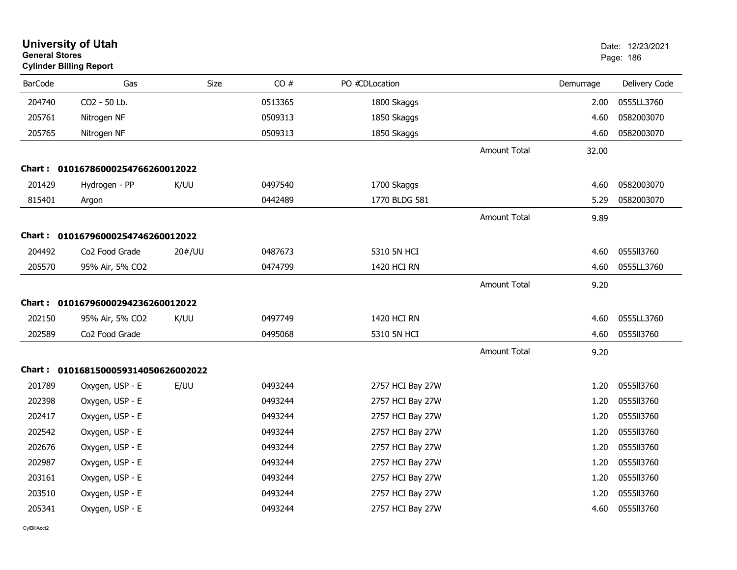| <b>General Stores</b> | <b>University of Utah</b><br><b>Cylinder Billing Report</b> |        |         |                  |                     |           | Date: 12/23/2021<br>Page: 186 |
|-----------------------|-------------------------------------------------------------|--------|---------|------------------|---------------------|-----------|-------------------------------|
| <b>BarCode</b>        | Gas                                                         | Size   | CO#     | PO #CDLocation   |                     | Demurrage | Delivery Code                 |
| 204740                | CO2 - 50 Lb.                                                |        | 0513365 | 1800 Skaggs      |                     | 2.00      | 0555LL3760                    |
| 205761                | Nitrogen NF                                                 |        | 0509313 | 1850 Skaggs      |                     | 4.60      | 0582003070                    |
| 205765                | Nitrogen NF                                                 |        | 0509313 | 1850 Skaggs      |                     | 4.60      | 0582003070                    |
|                       |                                                             |        |         |                  | <b>Amount Total</b> | 32.00     |                               |
|                       | Chart: 01016786000254766260012022                           |        |         |                  |                     |           |                               |
| 201429                | Hydrogen - PP                                               | K/UU   | 0497540 | 1700 Skaggs      |                     | 4.60      | 0582003070                    |
| 815401                | Argon                                                       |        | 0442489 | 1770 BLDG 581    |                     | 5.29      | 0582003070                    |
|                       |                                                             |        |         |                  | <b>Amount Total</b> | 9.89      |                               |
|                       | Chart: 01016796000254746260012022                           |        |         |                  |                     |           |                               |
| 204492                | Co <sub>2</sub> Food Grade                                  | 20#/UU | 0487673 | 5310 5N HCI      |                     | 4.60      | 0555113760                    |
| 205570                | 95% Air, 5% CO2                                             |        | 0474799 | 1420 HCI RN      |                     | 4.60      | 0555LL3760                    |
|                       |                                                             |        |         |                  | <b>Amount Total</b> | 9.20      |                               |
|                       | Chart: 01016796000294236260012022                           |        |         |                  |                     |           |                               |
| 202150                | 95% Air, 5% CO2                                             | K/UU   | 0497749 | 1420 HCI RN      |                     | 4.60      | 0555LL3760                    |
| 202589                | Co <sub>2</sub> Food Grade                                  |        | 0495068 | 5310 5N HCI      |                     | 4.60      | 0555113760                    |
|                       |                                                             |        |         |                  | <b>Amount Total</b> | 9.20      |                               |
|                       | Chart: 0101681500059314050626002022                         |        |         |                  |                     |           |                               |
| 201789                | Oxygen, USP - E                                             | E/UU   | 0493244 | 2757 HCI Bay 27W |                     | 1.20      | 0555113760                    |
| 202398                | Oxygen, USP - E                                             |        | 0493244 | 2757 HCI Bay 27W |                     | 1.20      | 0555II3760                    |
| 202417                | Oxygen, USP - E                                             |        | 0493244 | 2757 HCI Bay 27W |                     | 1.20      | 0555113760                    |
| 202542                | Oxygen, USP - E                                             |        | 0493244 | 2757 HCI Bay 27W |                     | 1.20      | 055513760                     |
| 202676                | Oxygen, USP - E                                             |        | 0493244 | 2757 HCI Bay 27W |                     | 1.20      | 0555113760                    |
| 202987                | Oxygen, USP - E                                             |        | 0493244 | 2757 HCI Bay 27W |                     | 1.20      | 0555ll3760                    |
| 203161                | Oxygen, USP - E                                             |        | 0493244 | 2757 HCI Bay 27W |                     | 1.20      | 0555113760                    |
| 203510                | Oxygen, USP - E                                             |        | 0493244 | 2757 HCI Bay 27W |                     | 1.20      | 0555113760                    |
| 205341                | Oxygen, USP - E                                             |        | 0493244 | 2757 HCI Bay 27W |                     | 4.60      | 0555II3760                    |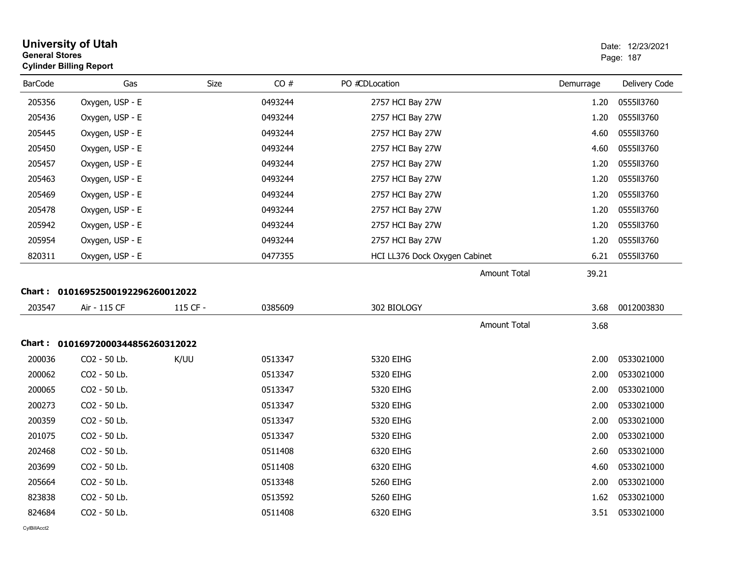| <b>General Stores</b> | <b>University of Utah</b><br><b>Cylinder Billing Report</b> |          |         |                               |           | Date: 12/23/2021<br>Page: 187 |
|-----------------------|-------------------------------------------------------------|----------|---------|-------------------------------|-----------|-------------------------------|
| <b>BarCode</b>        | Gas                                                         | Size     | CO#     | PO #CDLocation                | Demurrage | Delivery Code                 |
| 205356                | Oxygen, USP - E                                             |          | 0493244 | 2757 HCI Bay 27W              | 1.20      | 0555113760                    |
| 205436                | Oxygen, USP - E                                             |          | 0493244 | 2757 HCI Bay 27W              | 1.20      | 0555113760                    |
| 205445                | Oxygen, USP - E                                             |          | 0493244 | 2757 HCI Bay 27W              | 4.60      | 0555113760                    |
| 205450                | Oxygen, USP - E                                             |          | 0493244 | 2757 HCI Bay 27W              | 4.60      | 0555113760                    |
| 205457                | Oxygen, USP - E                                             |          | 0493244 | 2757 HCI Bay 27W              | 1.20      | 0555113760                    |
| 205463                | Oxygen, USP - E                                             |          | 0493244 | 2757 HCI Bay 27W              | 1.20      | 0555113760                    |
| 205469                | Oxygen, USP - E                                             |          | 0493244 | 2757 HCI Bay 27W              | 1.20      | 0555113760                    |
| 205478                | Oxygen, USP - E                                             |          | 0493244 | 2757 HCI Bay 27W              | 1.20      | 0555113760                    |
| 205942                | Oxygen, USP - E                                             |          | 0493244 | 2757 HCI Bay 27W              | 1.20      | 0555113760                    |
| 205954                | Oxygen, USP - E                                             |          | 0493244 | 2757 HCI Bay 27W              | 1.20      | 0555113760                    |
| 820311                | Oxygen, USP - E                                             |          | 0477355 | HCI LL376 Dock Oxygen Cabinet | 6.21      | 0555113760                    |
|                       |                                                             |          |         | Amount Total                  | 39.21     |                               |
|                       | Chart: 01016952500192296260012022                           |          |         |                               |           |                               |
| 203547                | Air - 115 CF                                                | 115 CF - | 0385609 | 302 BIOLOGY                   | 3.68      | 0012003830                    |
|                       |                                                             |          |         | <b>Amount Total</b>           | 3.68      |                               |
|                       | Chart: 01016972000344856260312022                           |          |         |                               |           |                               |
| 200036                | CO2 - 50 Lb.                                                | K/UU     | 0513347 | 5320 EIHG                     | 2.00      | 0533021000                    |
| 200062                | CO2 - 50 Lb.                                                |          | 0513347 | 5320 EIHG                     | 2.00      | 0533021000                    |
| 200065                | CO2 - 50 Lb.                                                |          | 0513347 | 5320 EIHG                     | 2.00      | 0533021000                    |
| 200273                | CO2 - 50 Lb.                                                |          | 0513347 | 5320 EIHG                     | 2.00      | 0533021000                    |
| 200359                | CO2 - 50 Lb.                                                |          | 0513347 | 5320 EIHG                     | 2.00      | 0533021000                    |
| 201075                | CO2 - 50 Lb.                                                |          | 0513347 | 5320 EIHG                     | 2.00      | 0533021000                    |
| 202468                | CO2 - 50 Lb.                                                |          | 0511408 | 6320 EIHG                     | 2.60      | 0533021000                    |
| 203699                | CO2 - 50 Lb.                                                |          | 0511408 | 6320 EIHG                     | 4.60      | 0533021000                    |
| 205664                | CO2 - 50 Lb.                                                |          | 0513348 | 5260 EIHG                     | 2.00      | 0533021000                    |
| 823838                | CO2 - 50 Lb.                                                |          | 0513592 | 5260 EIHG                     | 1.62      | 0533021000                    |
| 824684                | CO2 - 50 Lb.                                                |          | 0511408 | 6320 EIHG                     | 3.51      | 0533021000                    |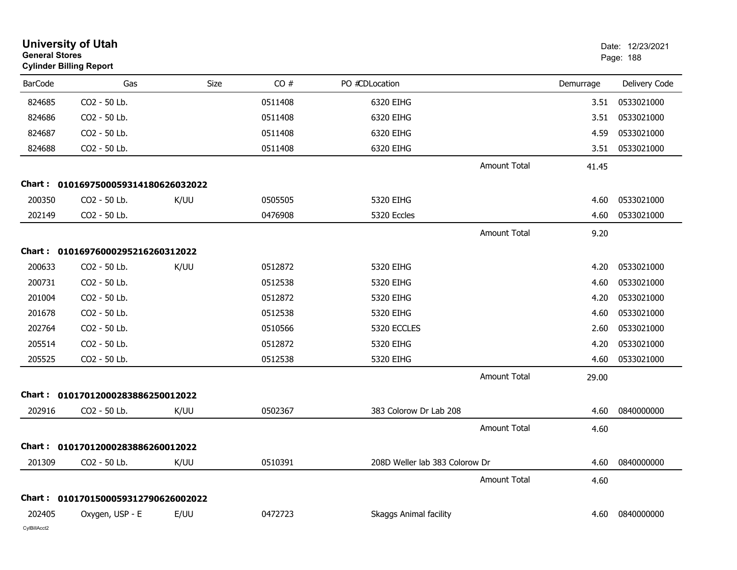| <b>General Stores</b> | <b>University of Utah</b><br><b>Cylinder Billing Report</b> |      |         |                                |                     |           | Date: 12/23/2021<br>Page: 188 |
|-----------------------|-------------------------------------------------------------|------|---------|--------------------------------|---------------------|-----------|-------------------------------|
| <b>BarCode</b>        | Gas                                                         | Size | CO#     | PO #CDLocation                 |                     | Demurrage | Delivery Code                 |
| 824685                | CO2 - 50 Lb.                                                |      | 0511408 | 6320 EIHG                      |                     | 3.51      | 0533021000                    |
| 824686                | CO2 - 50 Lb.                                                |      | 0511408 | 6320 EIHG                      |                     | 3.51      | 0533021000                    |
| 824687                | CO2 - 50 Lb.                                                |      | 0511408 | 6320 EIHG                      |                     | 4.59      | 0533021000                    |
| 824688                | CO2 - 50 Lb.                                                |      | 0511408 | 6320 EIHG                      |                     | 3.51      | 0533021000                    |
|                       |                                                             |      |         |                                | <b>Amount Total</b> | 41.45     |                               |
|                       | Chart: 0101697500059314180626032022                         |      |         |                                |                     |           |                               |
| 200350                | CO2 - 50 Lb.                                                | K/UU | 0505505 | 5320 EIHG                      |                     | 4.60      | 0533021000                    |
| 202149                | CO2 - 50 Lb.                                                |      | 0476908 | 5320 Eccles                    |                     | 4.60      | 0533021000                    |
|                       |                                                             |      |         |                                | <b>Amount Total</b> | 9.20      |                               |
|                       | Chart: 01016976000295216260312022                           |      |         |                                |                     |           |                               |
| 200633                | CO2 - 50 Lb.                                                | K/UU | 0512872 | 5320 EIHG                      |                     | 4.20      | 0533021000                    |
| 200731                | CO2 - 50 Lb.                                                |      | 0512538 | 5320 EIHG                      |                     | 4.60      | 0533021000                    |
| 201004                | CO2 - 50 Lb.                                                |      | 0512872 | 5320 EIHG                      |                     | 4.20      | 0533021000                    |
| 201678                | CO2 - 50 Lb.                                                |      | 0512538 | 5320 EIHG                      |                     | 4.60      | 0533021000                    |
| 202764                | CO2 - 50 Lb.                                                |      | 0510566 | 5320 ECCLES                    |                     | 2.60      | 0533021000                    |
| 205514                | CO2 - 50 Lb.                                                |      | 0512872 | 5320 EIHG                      |                     | 4.20      | 0533021000                    |
| 205525                | CO2 - 50 Lb.                                                |      | 0512538 | 5320 EIHG                      |                     | 4.60      | 0533021000                    |
|                       |                                                             |      |         |                                | <b>Amount Total</b> | 29.00     |                               |
| Chart:                | 01017012000283886250012022                                  |      |         |                                |                     |           |                               |
| 202916                | CO2 - 50 Lb.                                                | K/UU | 0502367 | 383 Colorow Dr Lab 208         |                     | 4.60      | 0840000000                    |
|                       |                                                             |      |         |                                | <b>Amount Total</b> | 4.60      |                               |
|                       | Chart: 01017012000283886260012022                           |      |         |                                |                     |           |                               |
| 201309                | CO2 - 50 Lb.                                                | K/UU | 0510391 | 208D Weller lab 383 Colorow Dr |                     | 4.60      | 0840000000                    |
|                       |                                                             |      |         |                                | <b>Amount Total</b> | 4.60      |                               |
|                       | Chart: 0101701500059312790626002022                         |      |         |                                |                     |           |                               |
| 202405                | Oxygen, USP - E                                             | E/UU | 0472723 | Skaggs Animal facility         |                     | 4.60      | 0840000000                    |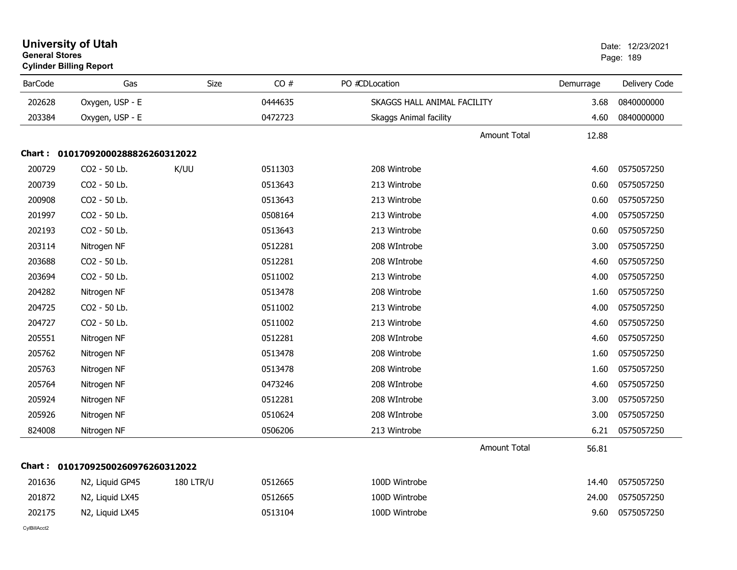| <b>General Stores</b> | <b>Cylinder Billing Report</b>    |                  |         |                               |           | Page: 189     |
|-----------------------|-----------------------------------|------------------|---------|-------------------------------|-----------|---------------|
| <b>BarCode</b>        | Gas                               | Size             | CO#     | PO #CDLocation                | Demurrage | Delivery Code |
| 202628                | Oxygen, USP - E                   |                  | 0444635 | SKAGGS HALL ANIMAL FACILITY   | 3.68      | 0840000000    |
| 203384                | Oxygen, USP - E                   |                  | 0472723 | <b>Skaggs Animal facility</b> | 4.60      | 0840000000    |
|                       |                                   |                  |         | <b>Amount Total</b>           | 12.88     |               |
|                       | Chart: 01017092000288826260312022 |                  |         |                               |           |               |
| 200729                | CO2 - 50 Lb.                      | K/UU             | 0511303 | 208 Wintrobe                  | 4.60      | 0575057250    |
| 200739                | CO2 - 50 Lb.                      |                  | 0513643 | 213 Wintrobe                  | 0.60      | 0575057250    |
| 200908                | CO2 - 50 Lb.                      |                  | 0513643 | 213 Wintrobe                  | 0.60      | 0575057250    |
| 201997                | CO2 - 50 Lb.                      |                  | 0508164 | 213 Wintrobe                  | 4.00      | 0575057250    |
| 202193                | CO2 - 50 Lb.                      |                  | 0513643 | 213 Wintrobe                  | 0.60      | 0575057250    |
| 203114                | Nitrogen NF                       |                  | 0512281 | 208 WIntrobe                  | 3.00      | 0575057250    |
| 203688                | CO2 - 50 Lb.                      |                  | 0512281 | 208 WIntrobe                  | 4.60      | 0575057250    |
| 203694                | CO2 - 50 Lb.                      |                  | 0511002 | 213 Wintrobe                  | 4.00      | 0575057250    |
| 204282                | Nitrogen NF                       |                  | 0513478 | 208 Wintrobe                  | 1.60      | 0575057250    |
| 204725                | CO2 - 50 Lb.                      |                  | 0511002 | 213 Wintrobe                  | 4.00      | 0575057250    |
| 204727                | CO2 - 50 Lb.                      |                  | 0511002 | 213 Wintrobe                  | 4.60      | 0575057250    |
| 205551                | Nitrogen NF                       |                  | 0512281 | 208 WIntrobe                  | 4.60      | 0575057250    |
| 205762                | Nitrogen NF                       |                  | 0513478 | 208 Wintrobe                  | 1.60      | 0575057250    |
| 205763                | Nitrogen NF                       |                  | 0513478 | 208 Wintrobe                  | 1.60      | 0575057250    |
| 205764                | Nitrogen NF                       |                  | 0473246 | 208 WIntrobe                  | 4.60      | 0575057250    |
| 205924                | Nitrogen NF                       |                  | 0512281 | 208 WIntrobe                  | 3.00      | 0575057250    |
| 205926                | Nitrogen NF                       |                  | 0510624 | 208 WIntrobe                  | 3.00      | 0575057250    |
| 824008                | Nitrogen NF                       |                  | 0506206 | 213 Wintrobe                  | 6.21      | 0575057250    |
|                       |                                   |                  |         | <b>Amount Total</b>           | 56.81     |               |
|                       | Chart: 01017092500260976260312022 |                  |         |                               |           |               |
| 201636                | N2, Liquid GP45                   | <b>180 LTR/U</b> | 0512665 | 100D Wintrobe                 | 14.40     | 0575057250    |
| 201872                | N2, Liquid LX45                   |                  | 0512665 | 100D Wintrobe                 | 24.00     | 0575057250    |
| 202175                | N2, Liquid LX45                   |                  | 0513104 | 100D Wintrobe                 | 9.60      | 0575057250    |
|                       |                                   |                  |         |                               |           |               |

# **University of Utah**  Date: 12/23/2021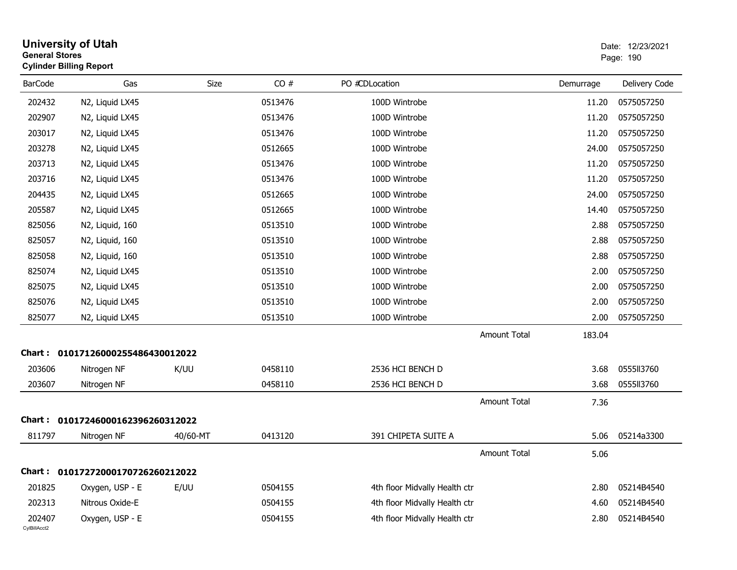| <b>General Stores</b>  | <b>University of Utah</b><br><b>Cylinder Billing Report</b> |             |         |                               |                     |           | Date: 12/23/2021<br>Page: 190 |
|------------------------|-------------------------------------------------------------|-------------|---------|-------------------------------|---------------------|-----------|-------------------------------|
| <b>BarCode</b>         | Gas                                                         | <b>Size</b> | CO#     | PO #CDLocation                |                     | Demurrage | Delivery Code                 |
| 202432                 | N2, Liquid LX45                                             |             | 0513476 | 100D Wintrobe                 |                     | 11.20     | 0575057250                    |
| 202907                 | N2, Liquid LX45                                             |             | 0513476 | 100D Wintrobe                 |                     | 11.20     | 0575057250                    |
| 203017                 | N2, Liquid LX45                                             |             | 0513476 | 100D Wintrobe                 |                     | 11.20     | 0575057250                    |
| 203278                 | N2, Liquid LX45                                             |             | 0512665 | 100D Wintrobe                 |                     | 24.00     | 0575057250                    |
| 203713                 | N2, Liquid LX45                                             |             | 0513476 | 100D Wintrobe                 |                     | 11.20     | 0575057250                    |
| 203716                 | N2, Liquid LX45                                             |             | 0513476 | 100D Wintrobe                 |                     | 11.20     | 0575057250                    |
| 204435                 | N2, Liquid LX45                                             |             | 0512665 | 100D Wintrobe                 |                     | 24.00     | 0575057250                    |
| 205587                 | N2, Liquid LX45                                             |             | 0512665 | 100D Wintrobe                 |                     | 14.40     | 0575057250                    |
| 825056                 | N2, Liquid, 160                                             |             | 0513510 | 100D Wintrobe                 |                     | 2.88      | 0575057250                    |
| 825057                 | N2, Liquid, 160                                             |             | 0513510 | 100D Wintrobe                 |                     | 2.88      | 0575057250                    |
| 825058                 | N2, Liquid, 160                                             |             | 0513510 | 100D Wintrobe                 |                     | 2.88      | 0575057250                    |
| 825074                 | N2, Liquid LX45                                             |             | 0513510 | 100D Wintrobe                 |                     | 2.00      | 0575057250                    |
| 825075                 | N2, Liquid LX45                                             |             | 0513510 | 100D Wintrobe                 |                     | 2.00      | 0575057250                    |
| 825076                 | N2, Liquid LX45                                             |             | 0513510 | 100D Wintrobe                 |                     | 2.00      | 0575057250                    |
| 825077                 | N2, Liquid LX45                                             |             | 0513510 | 100D Wintrobe                 |                     | 2.00      | 0575057250                    |
|                        |                                                             |             |         |                               | <b>Amount Total</b> | 183.04    |                               |
|                        | Chart: 01017126000255486430012022                           |             |         |                               |                     |           |                               |
| 203606                 | Nitrogen NF                                                 | K/UU        | 0458110 | 2536 HCI BENCH D              |                     | 3.68      | 0555113760                    |
| 203607                 | Nitrogen NF                                                 |             | 0458110 | 2536 HCI BENCH D              |                     | 3.68      | 0555113760                    |
|                        |                                                             |             |         |                               | <b>Amount Total</b> | 7.36      |                               |
|                        | Chart: 01017246000162396260312022                           |             |         |                               |                     |           |                               |
| 811797                 | Nitrogen NF                                                 | 40/60-MT    | 0413120 | 391 CHIPETA SUITE A           |                     | 5.06      | 05214a3300                    |
|                        |                                                             |             |         |                               | Amount Total        | 5.06      |                               |
|                        | Chart: 01017272000170726260212022                           |             |         |                               |                     |           |                               |
| 201825                 | Oxygen, USP - E                                             | E/UU        | 0504155 | 4th floor Midvally Health ctr |                     | 2.80      | 05214B4540                    |
| 202313                 | Nitrous Oxide-E                                             |             | 0504155 | 4th floor Midvally Health ctr |                     | 4.60      | 05214B4540                    |
| 202407<br>CylBillAcct2 | Oxygen, USP - E                                             |             | 0504155 | 4th floor Midvally Health ctr |                     | 2.80      | 05214B4540                    |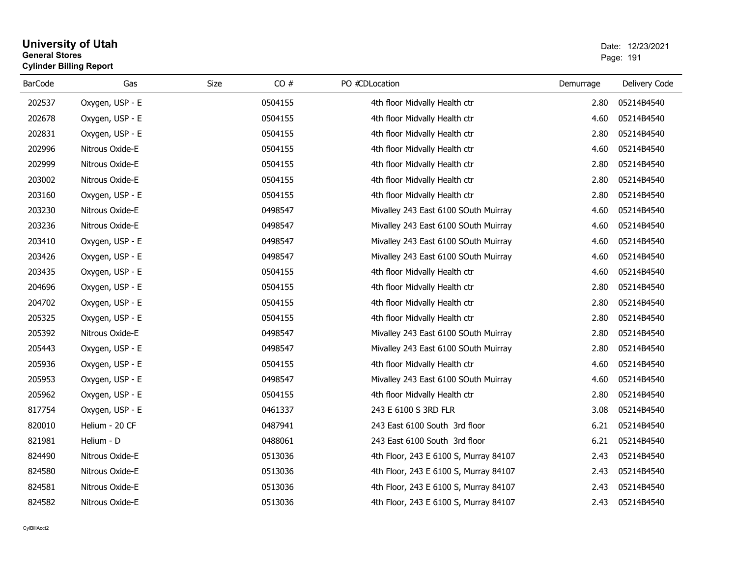#### **University of Utah** Date: 12/23/2021 **General Stores**er van die 1912 van die 1914 van die 1914 van die 1914 van die 1914 van die 1914 van die 1914 van die 1914 van die 1914 van die 1914 van die 1914 van die 1914 van die 1914 van die 1914 van die 1914 van die 1914 van die 191 **Cylinder Billing Report**

| <b>BarCode</b> | Gas             | Size | CO#     | PO #CDLocation                        | Demurrage | Delivery Code |
|----------------|-----------------|------|---------|---------------------------------------|-----------|---------------|
| 202537         | Oxygen, USP - E |      | 0504155 | 4th floor Midvally Health ctr         | 2.80      | 05214B4540    |
| 202678         | Oxygen, USP - E |      | 0504155 | 4th floor Midvally Health ctr         | 4.60      | 05214B4540    |
| 202831         | Oxygen, USP - E |      | 0504155 | 4th floor Midvally Health ctr         | 2.80      | 05214B4540    |
| 202996         | Nitrous Oxide-E |      | 0504155 | 4th floor Midvally Health ctr         | 4.60      | 05214B4540    |
| 202999         | Nitrous Oxide-E |      | 0504155 | 4th floor Midvally Health ctr         | 2.80      | 05214B4540    |
| 203002         | Nitrous Oxide-E |      | 0504155 | 4th floor Midvally Health ctr         | 2.80      | 05214B4540    |
| 203160         | Oxygen, USP - E |      | 0504155 | 4th floor Midvally Health ctr         | 2.80      | 05214B4540    |
| 203230         | Nitrous Oxide-E |      | 0498547 | Mivalley 243 East 6100 SOuth Muirray  | 4.60      | 05214B4540    |
| 203236         | Nitrous Oxide-E |      | 0498547 | Mivalley 243 East 6100 SOuth Muirray  | 4.60      | 05214B4540    |
| 203410         | Oxygen, USP - E |      | 0498547 | Mivalley 243 East 6100 SOuth Muirray  | 4.60      | 05214B4540    |
| 203426         | Oxygen, USP - E |      | 0498547 | Mivalley 243 East 6100 SOuth Muirray  | 4.60      | 05214B4540    |
| 203435         | Oxygen, USP - E |      | 0504155 | 4th floor Midvally Health ctr         | 4.60      | 05214B4540    |
| 204696         | Oxygen, USP - E |      | 0504155 | 4th floor Midvally Health ctr         | 2.80      | 05214B4540    |
| 204702         | Oxygen, USP - E |      | 0504155 | 4th floor Midvally Health ctr         | 2.80      | 05214B4540    |
| 205325         | Oxygen, USP - E |      | 0504155 | 4th floor Midvally Health ctr         | 2.80      | 05214B4540    |
| 205392         | Nitrous Oxide-E |      | 0498547 | Mivalley 243 East 6100 SOuth Muirray  | 2.80      | 05214B4540    |
| 205443         | Oxygen, USP - E |      | 0498547 | Mivalley 243 East 6100 SOuth Muirray  | 2.80      | 05214B4540    |
| 205936         | Oxygen, USP - E |      | 0504155 | 4th floor Midvally Health ctr         | 4.60      | 05214B4540    |
| 205953         | Oxygen, USP - E |      | 0498547 | Mivalley 243 East 6100 SOuth Muirray  | 4.60      | 05214B4540    |
| 205962         | Oxygen, USP - E |      | 0504155 | 4th floor Midvally Health ctr         | 2.80      | 05214B4540    |
| 817754         | Oxygen, USP - E |      | 0461337 | 243 E 6100 S 3RD FLR                  | 3.08      | 05214B4540    |
| 820010         | Helium - 20 CF  |      | 0487941 | 243 East 6100 South 3rd floor         | 6.21      | 05214B4540    |
| 821981         | Helium - D      |      | 0488061 | 243 East 6100 South 3rd floor         | 6.21      | 05214B4540    |
| 824490         | Nitrous Oxide-E |      | 0513036 | 4th Floor, 243 E 6100 S, Murray 84107 | 2.43      | 05214B4540    |
| 824580         | Nitrous Oxide-E |      | 0513036 | 4th Floor, 243 E 6100 S, Murray 84107 | 2.43      | 05214B4540    |
| 824581         | Nitrous Oxide-E |      | 0513036 | 4th Floor, 243 E 6100 S, Murray 84107 | 2.43      | 05214B4540    |
| 824582         | Nitrous Oxide-E |      | 0513036 | 4th Floor, 243 E 6100 S, Murray 84107 | 2.43      | 05214B4540    |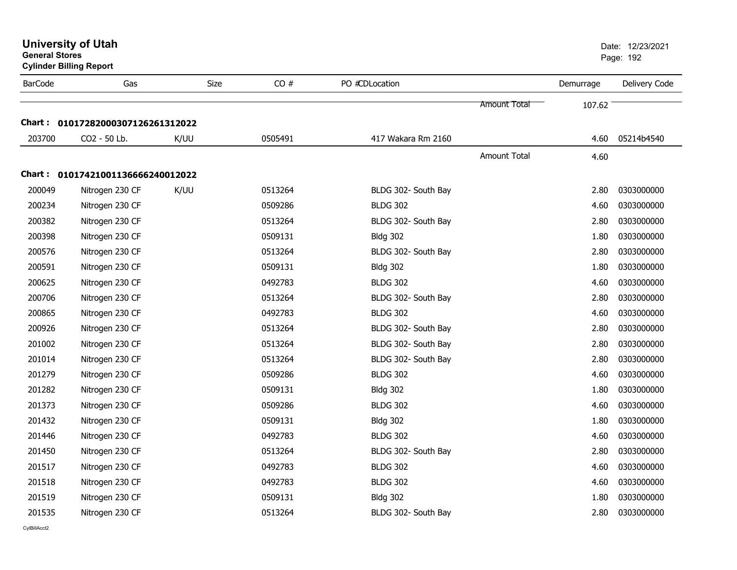|                | <b>University of Utah</b><br><b>General Stores</b><br><b>Cylinder Billing Report</b> |             |         |                     |              |           |               |  |
|----------------|--------------------------------------------------------------------------------------|-------------|---------|---------------------|--------------|-----------|---------------|--|
| <b>BarCode</b> | Gas                                                                                  | <b>Size</b> | CO#     | PO #CDLocation      |              | Demurrage | Delivery Code |  |
|                |                                                                                      |             |         |                     | Amount Total | 107.62    |               |  |
|                | Chart: 01017282000307126261312022                                                    |             |         |                     |              |           |               |  |
| 203700         | CO2 - 50 Lb.                                                                         | K/UU        | 0505491 | 417 Wakara Rm 2160  |              | 4.60      | 05214b4540    |  |
|                |                                                                                      |             |         |                     | Amount Total | 4.60      |               |  |
|                | Chart: 01017421001136666240012022                                                    |             |         |                     |              |           |               |  |
| 200049         | Nitrogen 230 CF                                                                      | K/UU        | 0513264 | BLDG 302- South Bay |              | 2.80      | 0303000000    |  |
| 200234         | Nitrogen 230 CF                                                                      |             | 0509286 | <b>BLDG 302</b>     |              | 4.60      | 0303000000    |  |
| 200382         | Nitrogen 230 CF                                                                      |             | 0513264 | BLDG 302- South Bay |              | 2.80      | 0303000000    |  |
| 200398         | Nitrogen 230 CF                                                                      |             | 0509131 | <b>Bldg 302</b>     |              | 1.80      | 0303000000    |  |
| 200576         | Nitrogen 230 CF                                                                      |             | 0513264 | BLDG 302- South Bay |              | 2.80      | 0303000000    |  |
| 200591         | Nitrogen 230 CF                                                                      |             | 0509131 | <b>Bldg 302</b>     |              | 1.80      | 0303000000    |  |
| 200625         | Nitrogen 230 CF                                                                      |             | 0492783 | <b>BLDG 302</b>     |              | 4.60      | 0303000000    |  |
| 200706         | Nitrogen 230 CF                                                                      |             | 0513264 | BLDG 302- South Bay |              | 2.80      | 0303000000    |  |
| 200865         | Nitrogen 230 CF                                                                      |             | 0492783 | <b>BLDG 302</b>     |              | 4.60      | 0303000000    |  |
| 200926         | Nitrogen 230 CF                                                                      |             | 0513264 | BLDG 302- South Bay |              | 2.80      | 0303000000    |  |
| 201002         | Nitrogen 230 CF                                                                      |             | 0513264 | BLDG 302- South Bay |              | 2.80      | 0303000000    |  |
| 201014         | Nitrogen 230 CF                                                                      |             | 0513264 | BLDG 302- South Bay |              | 2.80      | 0303000000    |  |
| 201279         | Nitrogen 230 CF                                                                      |             | 0509286 | <b>BLDG 302</b>     |              | 4.60      | 0303000000    |  |
| 201282         | Nitrogen 230 CF                                                                      |             | 0509131 | <b>Bldg 302</b>     |              | 1.80      | 0303000000    |  |
| 201373         | Nitrogen 230 CF                                                                      |             | 0509286 | <b>BLDG 302</b>     |              | 4.60      | 0303000000    |  |
| 201432         | Nitrogen 230 CF                                                                      |             | 0509131 | <b>Bldg 302</b>     |              | 1.80      | 0303000000    |  |
| 201446         | Nitrogen 230 CF                                                                      |             | 0492783 | <b>BLDG 302</b>     |              | 4.60      | 0303000000    |  |
| 201450         | Nitrogen 230 CF                                                                      |             | 0513264 | BLDG 302- South Bay |              | 2.80      | 0303000000    |  |
| 201517         | Nitrogen 230 CF                                                                      |             | 0492783 | <b>BLDG 302</b>     |              | 4.60      | 0303000000    |  |
| 201518         | Nitrogen 230 CF                                                                      |             | 0492783 | <b>BLDG 302</b>     |              | 4.60      | 0303000000    |  |
| 201519         | Nitrogen 230 CF                                                                      |             | 0509131 | <b>Bldg 302</b>     |              | 1.80      | 0303000000    |  |
| 201535         | Nitrogen 230 CF                                                                      |             | 0513264 | BLDG 302- South Bay |              | 2.80      | 0303000000    |  |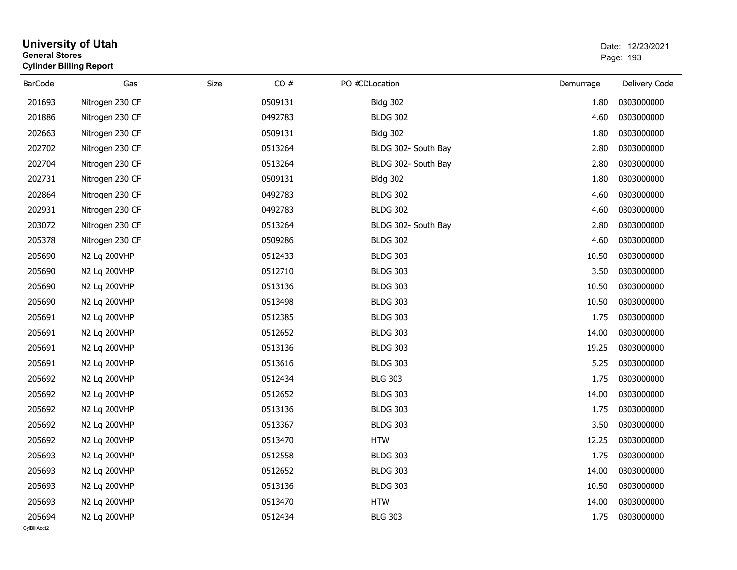| <b>General Stores</b>  | <b>University of Utah</b><br><b>Cylinder Billing Report</b> |             |         |                     |           | Date: 12/23/2021<br>Page: 193 |
|------------------------|-------------------------------------------------------------|-------------|---------|---------------------|-----------|-------------------------------|
| <b>BarCode</b>         | Gas                                                         | <b>Size</b> | CO#     | PO #CDLocation      | Demurrage | Delivery Code                 |
| 201693                 | Nitrogen 230 CF                                             |             | 0509131 | <b>Bldg 302</b>     | 1.80      | 0303000000                    |
| 201886                 | Nitrogen 230 CF                                             |             | 0492783 | <b>BLDG 302</b>     | 4.60      | 0303000000                    |
| 202663                 | Nitrogen 230 CF                                             |             | 0509131 | <b>Bldg 302</b>     | 1.80      | 0303000000                    |
| 202702                 | Nitrogen 230 CF                                             |             | 0513264 | BLDG 302- South Bay | 2.80      | 0303000000                    |
| 202704                 | Nitrogen 230 CF                                             |             | 0513264 | BLDG 302- South Bay | 2.80      | 0303000000                    |
| 202731                 | Nitrogen 230 CF                                             |             | 0509131 | <b>Bldg 302</b>     | 1.80      | 0303000000                    |
| 202864                 | Nitrogen 230 CF                                             |             | 0492783 | <b>BLDG 302</b>     | 4.60      | 0303000000                    |
| 202931                 | Nitrogen 230 CF                                             |             | 0492783 | <b>BLDG 302</b>     | 4.60      | 0303000000                    |
| 203072                 | Nitrogen 230 CF                                             |             | 0513264 | BLDG 302- South Bay | 2.80      | 0303000000                    |
| 205378                 | Nitrogen 230 CF                                             |             | 0509286 | <b>BLDG 302</b>     | 4.60      | 0303000000                    |
| 205690                 | N2 Lq 200VHP                                                |             | 0512433 | <b>BLDG 303</b>     | 10.50     | 0303000000                    |
| 205690                 | N2 Lq 200VHP                                                |             | 0512710 | <b>BLDG 303</b>     | 3.50      | 0303000000                    |
| 205690                 | N2 Lq 200VHP                                                |             | 0513136 | <b>BLDG 303</b>     | 10.50     | 0303000000                    |
| 205690                 | N2 Lq 200VHP                                                |             | 0513498 | <b>BLDG 303</b>     | 10.50     | 0303000000                    |
| 205691                 | N2 Lq 200VHP                                                |             | 0512385 | <b>BLDG 303</b>     | 1.75      | 0303000000                    |
| 205691                 | N2 Lq 200VHP                                                |             | 0512652 | <b>BLDG 303</b>     | 14.00     | 0303000000                    |
| 205691                 | N2 Lq 200VHP                                                |             | 0513136 | <b>BLDG 303</b>     | 19.25     | 0303000000                    |
| 205691                 | N2 Lq 200VHP                                                |             | 0513616 | <b>BLDG 303</b>     | 5.25      | 0303000000                    |
| 205692                 | N2 Lq 200VHP                                                |             | 0512434 | <b>BLG 303</b>      | 1.75      | 0303000000                    |
| 205692                 | N2 Lq 200VHP                                                |             | 0512652 | <b>BLDG 303</b>     | 14.00     | 0303000000                    |
| 205692                 | N2 Lq 200VHP                                                |             | 0513136 | <b>BLDG 303</b>     | 1.75      | 0303000000                    |
| 205692                 | N2 Lq 200VHP                                                |             | 0513367 | <b>BLDG 303</b>     | 3.50      | 0303000000                    |
| 205692                 | N2 Lq 200VHP                                                |             | 0513470 | <b>HTW</b>          | 12.25     | 0303000000                    |
| 205693                 | N2 Lq 200VHP                                                |             | 0512558 | <b>BLDG 303</b>     | 1.75      | 0303000000                    |
| 205693                 | N2 Lq 200VHP                                                |             | 0512652 | <b>BLDG 303</b>     | 14.00     | 0303000000                    |
| 205693                 | N2 Lq 200VHP                                                |             | 0513136 | <b>BLDG 303</b>     | 10.50     | 0303000000                    |
| 205693                 | N2 Lq 200VHP                                                |             | 0513470 | <b>HTW</b>          | 14.00     | 0303000000                    |
| 205694<br>CvIBillAcct2 | N2 Lg 200VHP                                                |             | 0512434 | <b>BLG 303</b>      | 1.75      | 0303000000                    |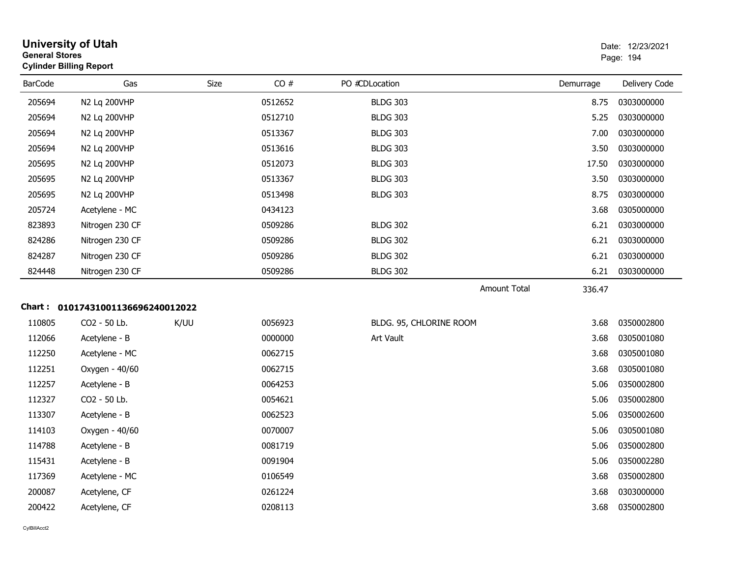| <b>University of Utah</b><br>Date: 12/23/2021<br><b>General Stores</b><br>Page: 194<br><b>Cylinder Billing Report</b> |                                   |      |         |                         |                               |               |
|-----------------------------------------------------------------------------------------------------------------------|-----------------------------------|------|---------|-------------------------|-------------------------------|---------------|
| <b>BarCode</b>                                                                                                        | Gas                               | Size | CO#     | PO #CDLocation          | Demurrage                     | Delivery Code |
| 205694                                                                                                                | N2 Lq 200VHP                      |      | 0512652 | <b>BLDG 303</b>         | 8.75                          | 0303000000    |
| 205694                                                                                                                | N2 Lq 200VHP                      |      | 0512710 | <b>BLDG 303</b>         | 5.25                          | 0303000000    |
| 205694                                                                                                                | N2 Lq 200VHP                      |      | 0513367 | <b>BLDG 303</b>         | 7.00                          | 0303000000    |
| 205694                                                                                                                | N2 Lq 200VHP                      |      | 0513616 | <b>BLDG 303</b>         | 3.50                          | 0303000000    |
| 205695                                                                                                                | N2 Lq 200VHP                      |      | 0512073 | <b>BLDG 303</b>         | 17.50                         | 0303000000    |
| 205695                                                                                                                | N2 Lq 200VHP                      |      | 0513367 | <b>BLDG 303</b>         | 3.50                          | 0303000000    |
| 205695                                                                                                                | N2 Lq 200VHP                      |      | 0513498 | <b>BLDG 303</b>         | 8.75                          | 0303000000    |
| 205724                                                                                                                | Acetylene - MC                    |      | 0434123 |                         | 3.68                          | 0305000000    |
| 823893                                                                                                                | Nitrogen 230 CF                   |      | 0509286 | <b>BLDG 302</b>         | 6.21                          | 0303000000    |
| 824286                                                                                                                | Nitrogen 230 CF                   |      | 0509286 | <b>BLDG 302</b>         | 6.21                          | 0303000000    |
| 824287                                                                                                                | Nitrogen 230 CF                   |      | 0509286 | <b>BLDG 302</b>         | 6.21                          | 0303000000    |
| 824448                                                                                                                | Nitrogen 230 CF                   |      | 0509286 | <b>BLDG 302</b>         | 6.21                          | 0303000000    |
|                                                                                                                       |                                   |      |         |                         | <b>Amount Total</b><br>336.47 |               |
|                                                                                                                       | Chart: 01017431001136696240012022 |      |         |                         |                               |               |
| 110805                                                                                                                | CO2 - 50 Lb.                      | K/UU | 0056923 | BLDG. 95, CHLORINE ROOM | 3.68                          | 0350002800    |
| 112066                                                                                                                | Acetylene - B                     |      | 0000000 | Art Vault               | 3.68                          | 0305001080    |
| 112250                                                                                                                | Acetylene - MC                    |      | 0062715 |                         | 3.68                          | 0305001080    |
| 112251                                                                                                                | Oxygen - 40/60                    |      | 0062715 |                         | 3.68                          | 0305001080    |
| 112257                                                                                                                | Acetylene - B                     |      | 0064253 |                         | 5.06                          | 0350002800    |
| 112327                                                                                                                | CO2 - 50 Lb.                      |      | 0054621 |                         | 5.06                          | 0350002800    |
| 113307                                                                                                                | Acetylene - B                     |      | 0062523 |                         | 5.06                          | 0350002600    |
| 114103                                                                                                                | Oxygen - 40/60                    |      | 0070007 |                         | 5.06                          | 0305001080    |
| 114788                                                                                                                | Acetylene - B                     |      | 0081719 |                         | 5.06                          | 0350002800    |
| 115431                                                                                                                | Acetylene - B                     |      | 0091904 |                         | 5.06                          | 0350002280    |
| 117369                                                                                                                | Acetylene - MC                    |      | 0106549 |                         | 3.68                          | 0350002800    |
| 200087                                                                                                                | Acetylene, CF                     |      | 0261224 |                         | 3.68                          | 0303000000    |
| 200422                                                                                                                | Acetylene, CF                     |      | 0208113 |                         | 3.68                          | 0350002800    |
|                                                                                                                       |                                   |      |         |                         |                               |               |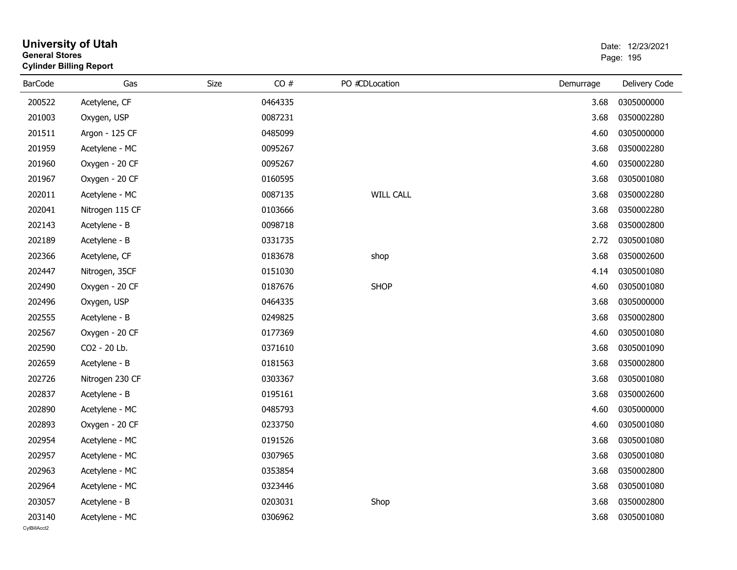| General Stores | <b>Cylinder Billing Report</b> |      |         |                  |           | Page: 195     |
|----------------|--------------------------------|------|---------|------------------|-----------|---------------|
| <b>BarCode</b> | Gas                            | Size | CO#     | PO #CDLocation   | Demurrage | Delivery Code |
| 200522         | Acetylene, CF                  |      | 0464335 |                  | 3.68      | 0305000000    |
| 201003         | Oxygen, USP                    |      | 0087231 |                  | 3.68      | 0350002280    |
| 201511         | Argon - 125 CF                 |      | 0485099 |                  | 4.60      | 0305000000    |
| 201959         | Acetylene - MC                 |      | 0095267 |                  | 3.68      | 0350002280    |
| 201960         | Oxygen - 20 CF                 |      | 0095267 |                  | 4.60      | 0350002280    |
| 201967         | Oxygen - 20 CF                 |      | 0160595 |                  | 3.68      | 0305001080    |
| 202011         | Acetylene - MC                 |      | 0087135 | <b>WILL CALL</b> | 3.68      | 0350002280    |
| 202041         | Nitrogen 115 CF                |      | 0103666 |                  | 3.68      | 0350002280    |
| 202143         | Acetylene - B                  |      | 0098718 |                  | 3.68      | 0350002800    |
| 202189         | Acetylene - B                  |      | 0331735 |                  | 2.72      | 0305001080    |
| 202366         | Acetylene, CF                  |      | 0183678 | shop             | 3.68      | 0350002600    |
| 202447         | Nitrogen, 35CF                 |      | 0151030 |                  | 4.14      | 0305001080    |
| 202490         | Oxygen - 20 CF                 |      | 0187676 | <b>SHOP</b>      | 4.60      | 0305001080    |
| 202496         | Oxygen, USP                    |      | 0464335 |                  | 3.68      | 0305000000    |
| 202555         | Acetylene - B                  |      | 0249825 |                  | 3.68      | 0350002800    |
| 202567         | Oxygen - 20 CF                 |      | 0177369 |                  | 4.60      | 0305001080    |
| 202590         | CO2 - 20 Lb.                   |      | 0371610 |                  | 3.68      | 0305001090    |
| 202659         | Acetylene - B                  |      | 0181563 |                  | 3.68      | 0350002800    |
| 202726         | Nitrogen 230 CF                |      | 0303367 |                  | 3.68      | 0305001080    |
| 202837         | Acetylene - B                  |      | 0195161 |                  | 3.68      | 0350002600    |
| 202890         | Acetylene - MC                 |      | 0485793 |                  | 4.60      | 0305000000    |
| 202893         | Oxygen - 20 CF                 |      | 0233750 |                  | 4.60      | 0305001080    |
| 202954         | Acetylene - MC                 |      | 0191526 |                  | 3.68      | 0305001080    |
| 202957         | Acetylene - MC                 |      | 0307965 |                  | 3.68      | 0305001080    |
| 202963         | Acetylene - MC                 |      | 0353854 |                  | 3.68      | 0350002800    |
| 202964         | Acetylene - MC                 |      | 0323446 |                  | 3.68      | 0305001080    |
| 203057         | Acetylene - B                  |      | 0203031 | Shop             | 3.68      | 0350002800    |
| 203140         | Acetylene - MC                 |      | 0306962 |                  | 3.68      | 0305001080    |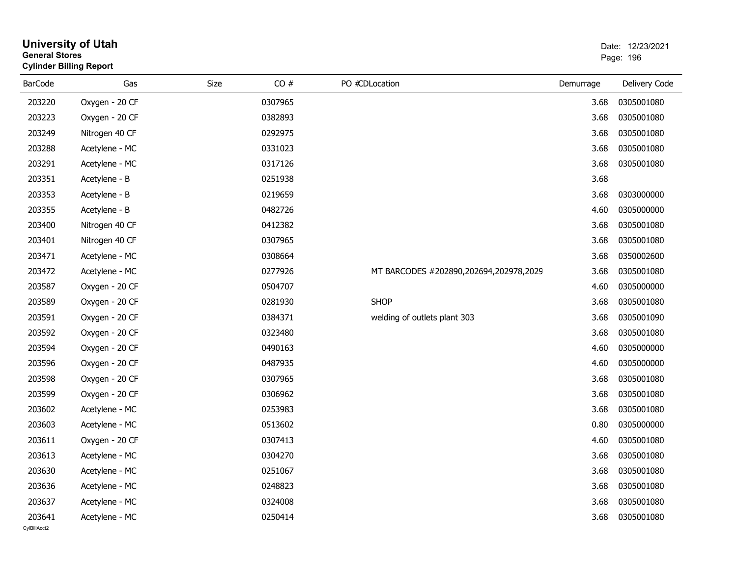| <b>General Stores</b>  | <b>University of Utah</b><br><b>Cylinder Billing Report</b> |      |         |                                        |           | Date: 12/23/2021<br>Page: 196 |
|------------------------|-------------------------------------------------------------|------|---------|----------------------------------------|-----------|-------------------------------|
| <b>BarCode</b>         | Gas                                                         | Size | CO#     | PO #CDLocation                         | Demurrage | Delivery Code                 |
| 203220                 | Oxygen - 20 CF                                              |      | 0307965 |                                        | 3.68      | 0305001080                    |
| 203223                 | Oxygen - 20 CF                                              |      | 0382893 |                                        | 3.68      | 0305001080                    |
| 203249                 | Nitrogen 40 CF                                              |      | 0292975 |                                        | 3.68      | 0305001080                    |
| 203288                 | Acetylene - MC                                              |      | 0331023 |                                        | 3.68      | 0305001080                    |
| 203291                 | Acetylene - MC                                              |      | 0317126 |                                        | 3.68      | 0305001080                    |
| 203351                 | Acetylene - B                                               |      | 0251938 |                                        | 3.68      |                               |
| 203353                 | Acetylene - B                                               |      | 0219659 |                                        | 3.68      | 0303000000                    |
| 203355                 | Acetylene - B                                               |      | 0482726 |                                        | 4.60      | 0305000000                    |
| 203400                 | Nitrogen 40 CF                                              |      | 0412382 |                                        | 3.68      | 0305001080                    |
| 203401                 | Nitrogen 40 CF                                              |      | 0307965 |                                        | 3.68      | 0305001080                    |
| 203471                 | Acetylene - MC                                              |      | 0308664 |                                        | 3.68      | 0350002600                    |
| 203472                 | Acetylene - MC                                              |      | 0277926 | MT BARCODES #202890,202694,202978,2029 | 3.68      | 0305001080                    |
| 203587                 | Oxygen - 20 CF                                              |      | 0504707 |                                        | 4.60      | 0305000000                    |
| 203589                 | Oxygen - 20 CF                                              |      | 0281930 | <b>SHOP</b>                            | 3.68      | 0305001080                    |
| 203591                 | Oxygen - 20 CF                                              |      | 0384371 | welding of outlets plant 303           | 3.68      | 0305001090                    |
| 203592                 | Oxygen - 20 CF                                              |      | 0323480 |                                        | 3.68      | 0305001080                    |
| 203594                 | Oxygen - 20 CF                                              |      | 0490163 |                                        | 4.60      | 0305000000                    |
| 203596                 | Oxygen - 20 CF                                              |      | 0487935 |                                        | 4.60      | 0305000000                    |
| 203598                 | Oxygen - 20 CF                                              |      | 0307965 |                                        | 3.68      | 0305001080                    |
| 203599                 | Oxygen - 20 CF                                              |      | 0306962 |                                        | 3.68      | 0305001080                    |
| 203602                 | Acetylene - MC                                              |      | 0253983 |                                        | 3.68      | 0305001080                    |
| 203603                 | Acetylene - MC                                              |      | 0513602 |                                        | 0.80      | 0305000000                    |
| 203611                 | Oxygen - 20 CF                                              |      | 0307413 |                                        | 4.60      | 0305001080                    |
| 203613                 | Acetylene - MC                                              |      | 0304270 |                                        |           | 3.68 0305001080               |
| 203630                 | Acetylene - MC                                              |      | 0251067 |                                        | 3.68      | 0305001080                    |
| 203636                 | Acetylene - MC                                              |      | 0248823 |                                        | 3.68      | 0305001080                    |
| 203637                 | Acetylene - MC                                              |      | 0324008 |                                        | 3.68      | 0305001080                    |
| 203641<br>CylBillAcct2 | Acetylene - MC                                              |      | 0250414 |                                        | 3.68      | 0305001080                    |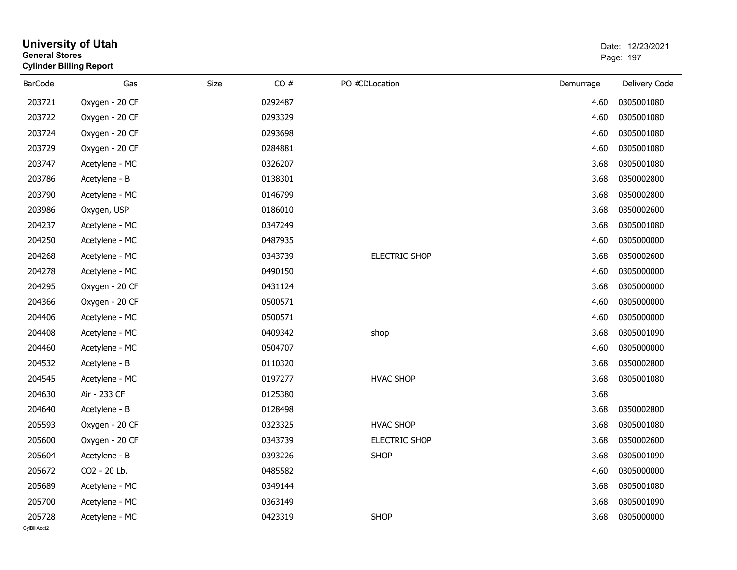| <b>General Stores</b>  | <b>University of Utah</b><br><b>Cylinder Billing Report</b> |      |         |                      |           | Date: 12/23/2021<br>Page: 197 |
|------------------------|-------------------------------------------------------------|------|---------|----------------------|-----------|-------------------------------|
| <b>BarCode</b>         | Gas                                                         | Size | CO#     | PO #CDLocation       | Demurrage | Delivery Code                 |
| 203721                 | Oxygen - 20 CF                                              |      | 0292487 |                      | 4.60      | 0305001080                    |
| 203722                 | Oxygen - 20 CF                                              |      | 0293329 |                      | 4.60      | 0305001080                    |
| 203724                 | Oxygen - 20 CF                                              |      | 0293698 |                      | 4.60      | 0305001080                    |
| 203729                 | Oxygen - 20 CF                                              |      | 0284881 |                      | 4.60      | 0305001080                    |
| 203747                 | Acetylene - MC                                              |      | 0326207 |                      | 3.68      | 0305001080                    |
| 203786                 | Acetylene - B                                               |      | 0138301 |                      | 3.68      | 0350002800                    |
| 203790                 | Acetylene - MC                                              |      | 0146799 |                      | 3.68      | 0350002800                    |
| 203986                 | Oxygen, USP                                                 |      | 0186010 |                      | 3.68      | 0350002600                    |
| 204237                 | Acetylene - MC                                              |      | 0347249 |                      | 3.68      | 0305001080                    |
| 204250                 | Acetylene - MC                                              |      | 0487935 |                      | 4.60      | 0305000000                    |
| 204268                 | Acetylene - MC                                              |      | 0343739 | <b>ELECTRIC SHOP</b> | 3.68      | 0350002600                    |
| 204278                 | Acetylene - MC                                              |      | 0490150 |                      | 4.60      | 0305000000                    |
| 204295                 | Oxygen - 20 CF                                              |      | 0431124 |                      | 3.68      | 0305000000                    |
| 204366                 | Oxygen - 20 CF                                              |      | 0500571 |                      | 4.60      | 0305000000                    |
| 204406                 | Acetylene - MC                                              |      | 0500571 |                      | 4.60      | 0305000000                    |
| 204408                 | Acetylene - MC                                              |      | 0409342 | shop                 | 3.68      | 0305001090                    |
| 204460                 | Acetylene - MC                                              |      | 0504707 |                      | 4.60      | 0305000000                    |
| 204532                 | Acetylene - B                                               |      | 0110320 |                      | 3.68      | 0350002800                    |
| 204545                 | Acetylene - MC                                              |      | 0197277 | <b>HVAC SHOP</b>     | 3.68      | 0305001080                    |
| 204630                 | Air - 233 CF                                                |      | 0125380 |                      | 3.68      |                               |
| 204640                 | Acetylene - B                                               |      | 0128498 |                      | 3.68      | 0350002800                    |
| 205593                 | Oxygen - 20 CF                                              |      | 0323325 | <b>HVAC SHOP</b>     | 3.68      | 0305001080                    |
| 205600                 | Oxygen - 20 CF                                              |      | 0343739 | <b>ELECTRIC SHOP</b> | 3.68      | 0350002600                    |
| 205604                 | Acetylene - B                                               |      | 0393226 | <b>SHOP</b>          | 3.68      | 0305001090                    |
| 205672                 | CO2 - 20 Lb.                                                |      | 0485582 |                      | 4.60      | 0305000000                    |
| 205689                 | Acetylene - MC                                              |      | 0349144 |                      | 3.68      | 0305001080                    |
| 205700                 | Acetylene - MC                                              |      | 0363149 |                      | 3.68      | 0305001090                    |
| 205728<br>CvIBillAcct2 | Acetylene - MC                                              |      | 0423319 | <b>SHOP</b>          | 3.68      | 0305000000                    |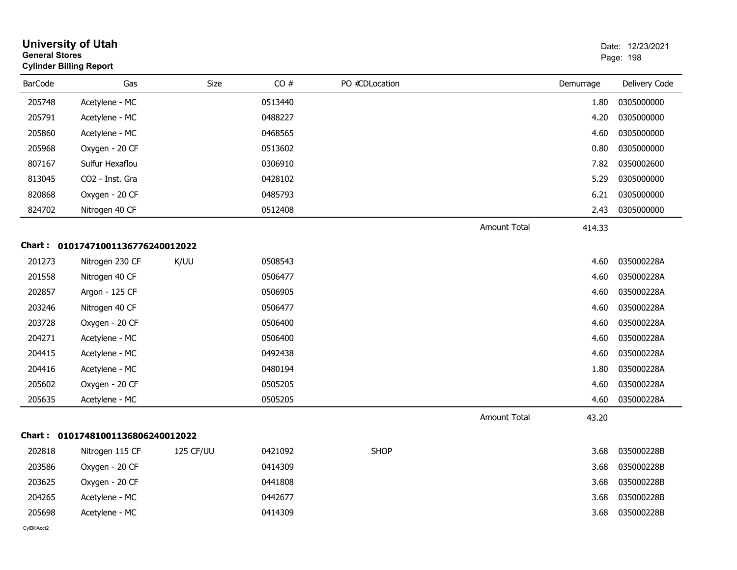| <b>General Stores</b> | <b>University of Utah</b><br><b>Cylinder Billing Report</b> |                  |         |                |                     |           | Date: 12/23/2021<br>Page: 198 |
|-----------------------|-------------------------------------------------------------|------------------|---------|----------------|---------------------|-----------|-------------------------------|
| <b>BarCode</b>        | Gas                                                         | Size             | CO#     | PO #CDLocation |                     | Demurrage | Delivery Code                 |
| 205748                | Acetylene - MC                                              |                  | 0513440 |                |                     | 1.80      | 0305000000                    |
| 205791                | Acetylene - MC                                              |                  | 0488227 |                |                     | 4.20      | 0305000000                    |
| 205860                | Acetylene - MC                                              |                  | 0468565 |                |                     | 4.60      | 0305000000                    |
| 205968                | Oxygen - 20 CF                                              |                  | 0513602 |                |                     | 0.80      | 0305000000                    |
| 807167                | Sulfur Hexaflou                                             |                  | 0306910 |                |                     | 7.82      | 0350002600                    |
| 813045                | CO2 - Inst. Gra                                             |                  | 0428102 |                |                     | 5.29      | 0305000000                    |
| 820868                | Oxygen - 20 CF                                              |                  | 0485793 |                |                     | 6.21      | 0305000000                    |
| 824702                | Nitrogen 40 CF                                              |                  | 0512408 |                |                     | 2.43      | 0305000000                    |
|                       |                                                             |                  |         |                | <b>Amount Total</b> | 414.33    |                               |
|                       | Chart: 01017471001136776240012022                           |                  |         |                |                     |           |                               |
| 201273                | Nitrogen 230 CF                                             | K/UU             | 0508543 |                |                     | 4.60      | 035000228A                    |
| 201558                | Nitrogen 40 CF                                              |                  | 0506477 |                |                     | 4.60      | 035000228A                    |
| 202857                | Argon - 125 CF                                              |                  | 0506905 |                |                     | 4.60      | 035000228A                    |
| 203246                | Nitrogen 40 CF                                              |                  | 0506477 |                |                     | 4.60      | 035000228A                    |
| 203728                | Oxygen - 20 CF                                              |                  | 0506400 |                |                     | 4.60      | 035000228A                    |
| 204271                | Acetylene - MC                                              |                  | 0506400 |                |                     | 4.60      | 035000228A                    |
| 204415                | Acetylene - MC                                              |                  | 0492438 |                |                     | 4.60      | 035000228A                    |
| 204416                | Acetylene - MC                                              |                  | 0480194 |                |                     | 1.80      | 035000228A                    |
| 205602                | Oxygen - 20 CF                                              |                  | 0505205 |                |                     | 4.60      | 035000228A                    |
| 205635                | Acetylene - MC                                              |                  | 0505205 |                |                     | 4.60      | 035000228A                    |
|                       |                                                             |                  |         |                | <b>Amount Total</b> | 43.20     |                               |
| Chart :               | 01017481001136806240012022                                  |                  |         |                |                     |           |                               |
| 202818                | Nitrogen 115 CF                                             | <b>125 CF/UU</b> | 0421092 | <b>SHOP</b>    |                     | 3.68      | 035000228B                    |
| 203586                | Oxygen - 20 CF                                              |                  | 0414309 |                |                     | 3.68      | 035000228B                    |
| 203625                | Oxygen - 20 CF                                              |                  | 0441808 |                |                     | 3.68      | 035000228B                    |
| 204265                | Acetylene - MC                                              |                  | 0442677 |                |                     | 3.68      | 035000228B                    |
| 205698                | Acetylene - MC                                              |                  | 0414309 |                |                     | 3.68      | 035000228B                    |
| CvIBillAcct2          |                                                             |                  |         |                |                     |           |                               |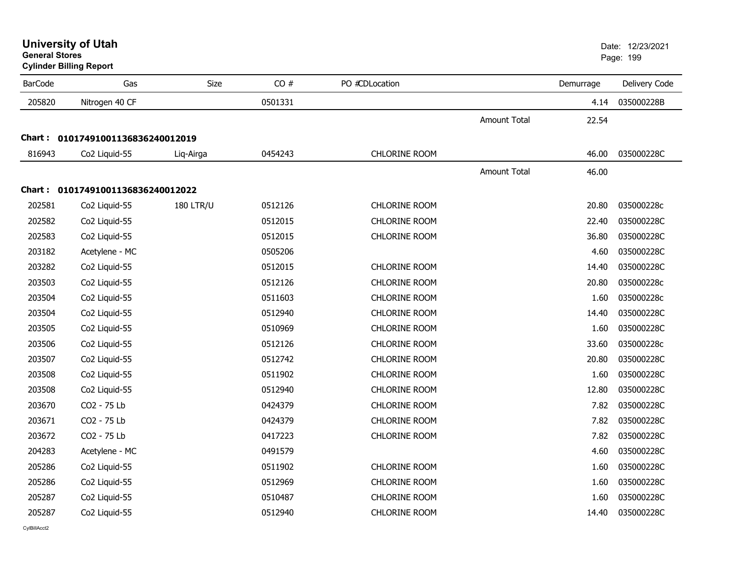| <b>General Stores</b> | <b>University of Utah</b><br><b>Cylinder Billing Report</b> |                  |         |                      |                     |           | Date: 12/23/2021<br>Page: 199 |  |
|-----------------------|-------------------------------------------------------------|------------------|---------|----------------------|---------------------|-----------|-------------------------------|--|
| <b>BarCode</b>        | Gas                                                         | Size             | CO#     | PO #CDLocation       |                     | Demurrage | Delivery Code                 |  |
| 205820                | Nitrogen 40 CF                                              |                  | 0501331 |                      |                     | 4.14      | 035000228B                    |  |
|                       |                                                             |                  |         |                      | <b>Amount Total</b> | 22.54     |                               |  |
|                       | Chart: 01017491001136836240012019                           |                  |         |                      |                     |           |                               |  |
| 816943                | Co <sub>2</sub> Liquid-55                                   | Lig-Airga        | 0454243 | <b>CHLORINE ROOM</b> |                     | 46.00     | 035000228C                    |  |
|                       |                                                             |                  |         |                      | <b>Amount Total</b> | 46.00     |                               |  |
|                       | Chart: 01017491001136836240012022                           |                  |         |                      |                     |           |                               |  |
| 202581                | Co2 Liquid-55                                               | <b>180 LTR/U</b> | 0512126 | CHLORINE ROOM        |                     | 20.80     | 035000228c                    |  |
| 202582                | Co2 Liquid-55                                               |                  | 0512015 | <b>CHLORINE ROOM</b> |                     | 22.40     | 035000228C                    |  |
| 202583                | Co2 Liquid-55                                               |                  | 0512015 | <b>CHLORINE ROOM</b> |                     | 36.80     | 035000228C                    |  |
| 203182                | Acetylene - MC                                              |                  | 0505206 |                      |                     | 4.60      | 035000228C                    |  |
| 203282                | Co2 Liquid-55                                               |                  | 0512015 | <b>CHLORINE ROOM</b> |                     | 14.40     | 035000228C                    |  |
| 203503                | Co2 Liquid-55                                               |                  | 0512126 | <b>CHLORINE ROOM</b> |                     | 20.80     | 035000228c                    |  |
| 203504                | Co2 Liquid-55                                               |                  | 0511603 | CHLORINE ROOM        |                     | 1.60      | 035000228c                    |  |
| 203504                | Co2 Liquid-55                                               |                  | 0512940 | <b>CHLORINE ROOM</b> |                     | 14.40     | 035000228C                    |  |
| 203505                | Co2 Liquid-55                                               |                  | 0510969 | <b>CHLORINE ROOM</b> |                     | 1.60      | 035000228C                    |  |
| 203506                | Co2 Liquid-55                                               |                  | 0512126 | <b>CHLORINE ROOM</b> |                     | 33.60     | 035000228c                    |  |
| 203507                | Co2 Liquid-55                                               |                  | 0512742 | <b>CHLORINE ROOM</b> |                     | 20.80     | 035000228C                    |  |
| 203508                | Co2 Liquid-55                                               |                  | 0511902 | <b>CHLORINE ROOM</b> |                     | 1.60      | 035000228C                    |  |
| 203508                | Co2 Liquid-55                                               |                  | 0512940 | <b>CHLORINE ROOM</b> |                     | 12.80     | 035000228C                    |  |
| 203670                | CO2 - 75 Lb                                                 |                  | 0424379 | <b>CHLORINE ROOM</b> |                     | 7.82      | 035000228C                    |  |
| 203671                | CO2 - 75 Lb                                                 |                  | 0424379 | <b>CHLORINE ROOM</b> |                     | 7.82      | 035000228C                    |  |
| 203672                | CO2 - 75 Lb                                                 |                  | 0417223 | CHLORINE ROOM        |                     | 7.82      | 035000228C                    |  |
| 204283                | Acetylene - MC                                              |                  | 0491579 |                      |                     | 4.60      | 035000228C                    |  |
| 205286                | Co2 Liquid-55                                               |                  | 0511902 | <b>CHLORINE ROOM</b> |                     | 1.60      | 035000228C                    |  |
| 205286                | Co2 Liquid-55                                               |                  | 0512969 | <b>CHLORINE ROOM</b> |                     | 1.60      | 035000228C                    |  |
| 205287                | Co2 Liquid-55                                               |                  | 0510487 | <b>CHLORINE ROOM</b> |                     | 1.60      | 035000228C                    |  |
| 205287                | Co <sub>2</sub> Liguid-55                                   |                  | 0512940 | <b>CHLORINE ROOM</b> |                     | 14.40     | 035000228C                    |  |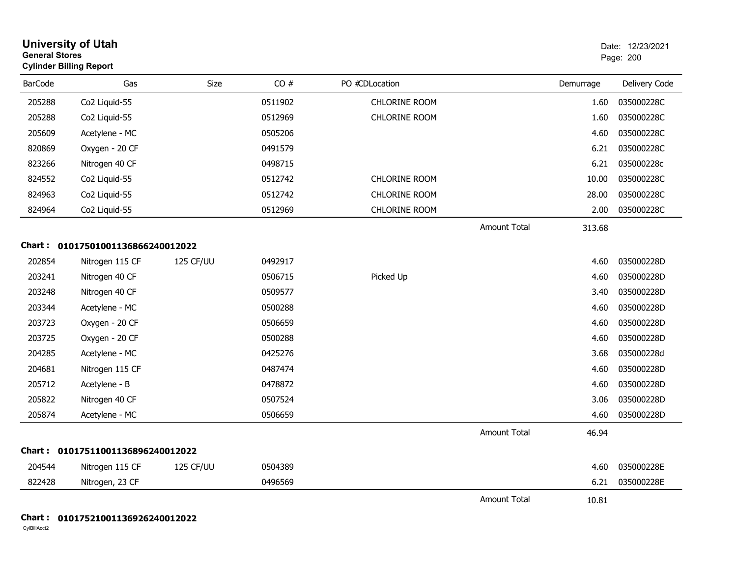| <b>General Stores</b> | <b>University of Utah</b><br><b>Cylinder Billing Report</b> |           |         |                      |                     |           | Date: 12/23/2021<br>Page: 200 |
|-----------------------|-------------------------------------------------------------|-----------|---------|----------------------|---------------------|-----------|-------------------------------|
| <b>BarCode</b>        | Gas                                                         | Size      | CO#     | PO #CDLocation       |                     | Demurrage | Delivery Code                 |
| 205288                | Co2 Liquid-55                                               |           | 0511902 | <b>CHLORINE ROOM</b> |                     | 1.60      | 035000228C                    |
| 205288                | Co2 Liquid-55                                               |           | 0512969 | <b>CHLORINE ROOM</b> |                     | 1.60      | 035000228C                    |
| 205609                | Acetylene - MC                                              |           | 0505206 |                      |                     | 4.60      | 035000228C                    |
| 820869                | Oxygen - 20 CF                                              |           | 0491579 |                      |                     | 6.21      | 035000228C                    |
| 823266                | Nitrogen 40 CF                                              |           | 0498715 |                      |                     | 6.21      | 035000228c                    |
| 824552                | Co2 Liquid-55                                               |           | 0512742 | CHLORINE ROOM        |                     | 10.00     | 035000228C                    |
| 824963                | Co2 Liquid-55                                               |           | 0512742 | CHLORINE ROOM        |                     | 28.00     | 035000228C                    |
| 824964                | Co2 Liquid-55                                               |           | 0512969 | CHLORINE ROOM        |                     | 2.00      | 035000228C                    |
|                       |                                                             |           |         |                      | <b>Amount Total</b> | 313.68    |                               |
|                       | Chart: 01017501001136866240012022                           |           |         |                      |                     |           |                               |
| 202854                | Nitrogen 115 CF                                             | 125 CF/UU | 0492917 |                      |                     | 4.60      | 035000228D                    |
| 203241                | Nitrogen 40 CF                                              |           | 0506715 | Picked Up            |                     | 4.60      | 035000228D                    |
| 203248                | Nitrogen 40 CF                                              |           | 0509577 |                      |                     | 3.40      | 035000228D                    |
| 203344                | Acetylene - MC                                              |           | 0500288 |                      |                     | 4.60      | 035000228D                    |
| 203723                | Oxygen - 20 CF                                              |           | 0506659 |                      |                     | 4.60      | 035000228D                    |
| 203725                | Oxygen - 20 CF                                              |           | 0500288 |                      |                     | 4.60      | 035000228D                    |
| 204285                | Acetylene - MC                                              |           | 0425276 |                      |                     | 3.68      | 035000228d                    |
| 204681                | Nitrogen 115 CF                                             |           | 0487474 |                      |                     | 4.60      | 035000228D                    |
| 205712                | Acetylene - B                                               |           | 0478872 |                      |                     | 4.60      | 035000228D                    |
| 205822                | Nitrogen 40 CF                                              |           | 0507524 |                      |                     | 3.06      | 035000228D                    |
| 205874                | Acetylene - MC                                              |           | 0506659 |                      |                     | 4.60      | 035000228D                    |
|                       |                                                             |           |         |                      | <b>Amount Total</b> | 46.94     |                               |
|                       | Chart: 01017511001136896240012022                           |           |         |                      |                     |           |                               |
| 204544                | Nitrogen 115 CF                                             | 125 CF/UU | 0504389 |                      |                     | 4.60      | 035000228E                    |
| 822428                | Nitrogen, 23 CF                                             |           | 0496569 |                      |                     | 6.21      | 035000228E                    |
|                       |                                                             |           |         |                      | <b>Amount Total</b> | 10.81     |                               |
|                       |                                                             |           |         |                      |                     |           |                               |

#### **Chart : 01017521001136926240012022**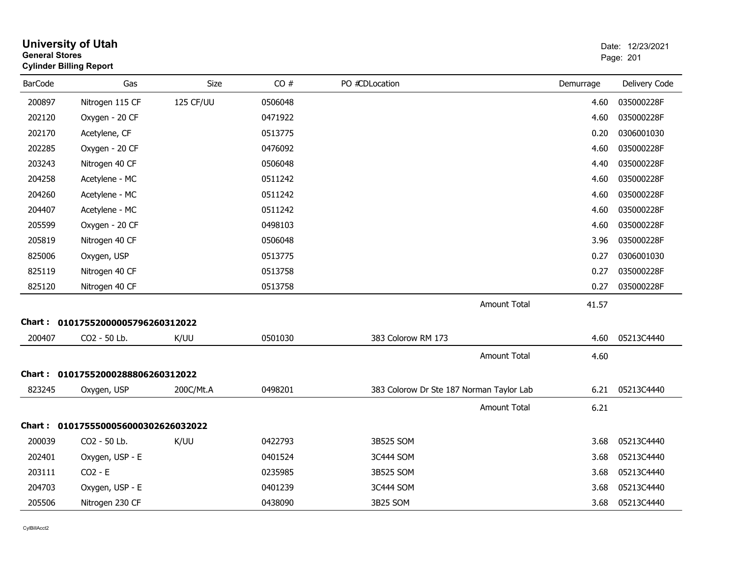| <b>General Stores</b> | <b>University of Utah</b><br><b>Cylinder Billing Report</b> |           |         |                                          |           | Date: 12/23/2021<br>Page: 201 |
|-----------------------|-------------------------------------------------------------|-----------|---------|------------------------------------------|-----------|-------------------------------|
| <b>BarCode</b>        | Gas                                                         | Size      | CO#     | PO #CDLocation                           | Demurrage | Delivery Code                 |
| 200897                | Nitrogen 115 CF                                             | 125 CF/UU | 0506048 |                                          | 4.60      | 035000228F                    |
| 202120                | Oxygen - 20 CF                                              |           | 0471922 |                                          | 4.60      | 035000228F                    |
| 202170                | Acetylene, CF                                               |           | 0513775 |                                          | 0.20      | 0306001030                    |
| 202285                | Oxygen - 20 CF                                              |           | 0476092 |                                          | 4.60      | 035000228F                    |
| 203243                | Nitrogen 40 CF                                              |           | 0506048 |                                          | 4.40      | 035000228F                    |
| 204258                | Acetylene - MC                                              |           | 0511242 |                                          | 4.60      | 035000228F                    |
| 204260                | Acetylene - MC                                              |           | 0511242 |                                          | 4.60      | 035000228F                    |
| 204407                | Acetylene - MC                                              |           | 0511242 |                                          | 4.60      | 035000228F                    |
| 205599                | Oxygen - 20 CF                                              |           | 0498103 |                                          | 4.60      | 035000228F                    |
| 205819                | Nitrogen 40 CF                                              |           | 0506048 |                                          | 3.96      | 035000228F                    |
| 825006                | Oxygen, USP                                                 |           | 0513775 |                                          | 0.27      | 0306001030                    |
| 825119                | Nitrogen 40 CF                                              |           | 0513758 |                                          | 0.27      | 035000228F                    |
| 825120                | Nitrogen 40 CF                                              |           | 0513758 |                                          | 0.27      | 035000228F                    |
|                       |                                                             |           |         | <b>Amount Total</b>                      | 41.57     |                               |
| Chart :               | 01017552000005796260312022                                  |           |         |                                          |           |                               |
| 200407                | CO2 - 50 Lb.                                                | K/UU      | 0501030 | 383 Colorow RM 173                       | 4.60      | 05213C4440                    |
|                       |                                                             |           |         | <b>Amount Total</b>                      | 4.60      |                               |
| Chart :               | 01017552000288806260312022                                  |           |         |                                          |           |                               |
| 823245                | Oxygen, USP                                                 | 200C/Mt.A | 0498201 | 383 Colorow Dr Ste 187 Norman Taylor Lab | 6.21      | 05213C4440                    |
|                       |                                                             |           |         | <b>Amount Total</b>                      | 6.21      |                               |
| Chart :               | 0101755500056000302626032022                                |           |         |                                          |           |                               |
| 200039                | CO2 - 50 Lb.                                                | K/UU      | 0422793 | 3B525 SOM                                | 3.68      | 05213C4440                    |
| 202401                | Oxygen, USP - E                                             |           | 0401524 | 3C444 SOM                                | 3.68      | 05213C4440                    |
| 203111                | $CO2 - E$                                                   |           | 0235985 | 3B525 SOM                                | 3.68      | 05213C4440                    |
| 204703                | Oxygen, USP - E                                             |           | 0401239 | 3C444 SOM                                | 3.68      | 05213C4440                    |
| 205506                | Nitrogen 230 CF                                             |           | 0438090 | 3B25 SOM                                 | 3.68      | 05213C4440                    |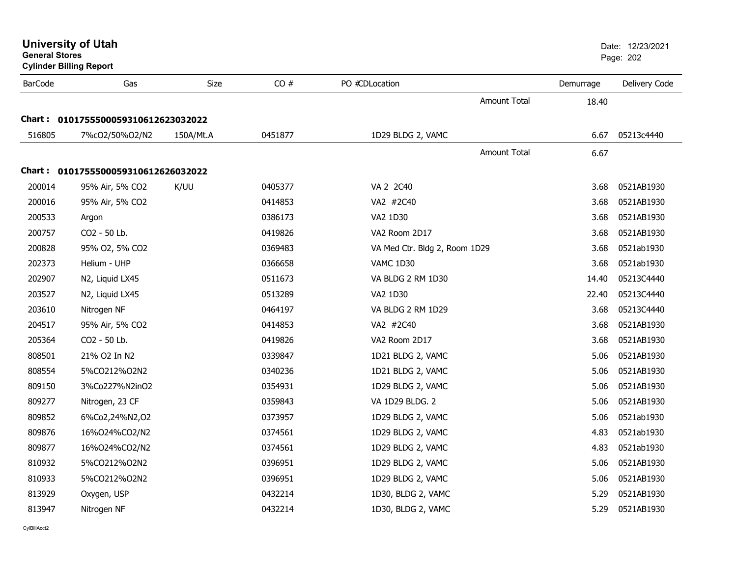| <b>General Stores</b> | <b>Cylinder Billing Report</b>      |           |         |                               |           | Page: 202     |
|-----------------------|-------------------------------------|-----------|---------|-------------------------------|-----------|---------------|
| <b>BarCode</b>        | Gas                                 | Size      | CO#     | PO #CDLocation                | Demurrage | Delivery Code |
|                       |                                     |           |         | <b>Amount Total</b>           | 18.40     |               |
|                       | Chart: 0101755500059310612623032022 |           |         |                               |           |               |
| 516805                | 7%cO2/50%O2/N2                      | 150A/Mt.A | 0451877 | 1D29 BLDG 2, VAMC             | 6.67      | 05213c4440    |
|                       |                                     |           |         | Amount Total                  | 6.67      |               |
|                       | Chart: 0101755500059310612626032022 |           |         |                               |           |               |
| 200014                | 95% Air, 5% CO2                     | K/UU      | 0405377 | VA 2 2C40                     | 3.68      | 0521AB1930    |
| 200016                | 95% Air, 5% CO2                     |           | 0414853 | VA2 #2C40                     | 3.68      | 0521AB1930    |
| 200533                | Argon                               |           | 0386173 | VA2 1D30                      | 3.68      | 0521AB1930    |
| 200757                | CO2 - 50 Lb.                        |           | 0419826 | VA2 Room 2D17                 | 3.68      | 0521AB1930    |
| 200828                | 95% O2, 5% CO2                      |           | 0369483 | VA Med Ctr. Bldg 2, Room 1D29 | 3.68      | 0521ab1930    |
| 202373                | Helium - UHP                        |           | 0366658 | VAMC 1D30                     | 3.68      | 0521ab1930    |
| 202907                | N2, Liquid LX45                     |           | 0511673 | VA BLDG 2 RM 1D30             | 14.40     | 05213C4440    |
| 203527                | N2, Liquid LX45                     |           | 0513289 | VA2 1D30                      | 22.40     | 05213C4440    |
| 203610                | Nitrogen NF                         |           | 0464197 | VA BLDG 2 RM 1D29             | 3.68      | 05213C4440    |
| 204517                | 95% Air, 5% CO2                     |           | 0414853 | VA2 #2C40                     | 3.68      | 0521AB1930    |
| 205364                | CO2 - 50 Lb.                        |           | 0419826 | VA2 Room 2D17                 | 3.68      | 0521AB1930    |
| 808501                | 21% O2 In N2                        |           | 0339847 | 1D21 BLDG 2, VAMC             | 5.06      | 0521AB1930    |
| 808554                | 5%CO212%O2N2                        |           | 0340236 | 1D21 BLDG 2, VAMC             | 5.06      | 0521AB1930    |
| 809150                | 3%Co227%N2inO2                      |           | 0354931 | 1D29 BLDG 2, VAMC             | 5.06      | 0521AB1930    |
| 809277                | Nitrogen, 23 CF                     |           | 0359843 | VA 1D29 BLDG. 2               | 5.06      | 0521AB1930    |
| 809852                | 6%Co2,24%N2,02                      |           | 0373957 | 1D29 BLDG 2, VAMC             | 5.06      | 0521ab1930    |
| 809876                | 16%024%CO2/N2                       |           | 0374561 | 1D29 BLDG 2, VAMC             | 4.83      | 0521ab1930    |
| 809877                | 16%O24%CO2/N2                       |           | 0374561 | 1D29 BLDG 2, VAMC             | 4.83      | 0521ab1930    |
| 810932                | 5%CO212%O2N2                        |           | 0396951 | 1D29 BLDG 2, VAMC             | 5.06      | 0521AB1930    |
| 810933                | 5%CO212%O2N2                        |           | 0396951 | 1D29 BLDG 2, VAMC             | 5.06      | 0521AB1930    |
| 813929                | Oxygen, USP                         |           | 0432214 | 1D30, BLDG 2, VAMC            | 5.29      | 0521AB1930    |
| 813947                | Nitrogen NF                         |           | 0432214 | 1D30, BLDG 2, VAMC            | 5.29      | 0521AB1930    |

**University of Utah** Date: 12/23/2021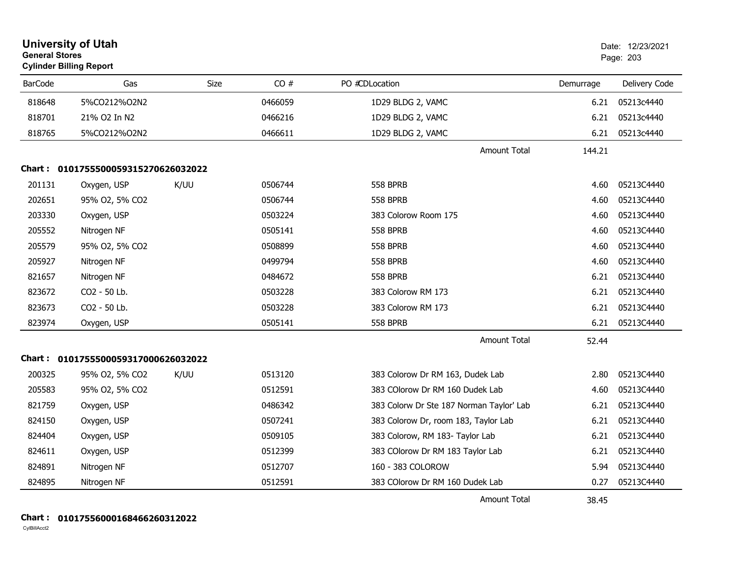|                | <b>University of Utah</b><br><b>General Stores</b><br><b>Cylinder Billing Report</b> |             |         |                                          |           | Date: 12/23/2021<br>Page: 203 |  |
|----------------|--------------------------------------------------------------------------------------|-------------|---------|------------------------------------------|-----------|-------------------------------|--|
| <b>BarCode</b> | Gas                                                                                  | <b>Size</b> | CO#     | PO #CDLocation                           | Demurrage | Delivery Code                 |  |
| 818648         | 5%CO212%O2N2                                                                         |             | 0466059 | 1D29 BLDG 2, VAMC                        | 6.21      | 05213c4440                    |  |
| 818701         | 21% O2 In N2                                                                         |             | 0466216 | 1D29 BLDG 2, VAMC                        | 6.21      | 05213c4440                    |  |
| 818765         | 5%CO212%O2N2                                                                         |             | 0466611 | 1D29 BLDG 2, VAMC                        | 6.21      | 05213c4440                    |  |
|                |                                                                                      |             |         | <b>Amount Total</b>                      | 144.21    |                               |  |
|                | Chart: 0101755500059315270626032022                                                  |             |         |                                          |           |                               |  |
| 201131         | Oxygen, USP                                                                          | K/UU        | 0506744 | <b>558 BPRB</b>                          | 4.60      | 05213C4440                    |  |
| 202651         | 95% O2, 5% CO2                                                                       |             | 0506744 | <b>558 BPRB</b>                          | 4.60      | 05213C4440                    |  |
| 203330         | Oxygen, USP                                                                          |             | 0503224 | 383 Colorow Room 175                     | 4.60      | 05213C4440                    |  |
| 205552         | Nitrogen NF                                                                          |             | 0505141 | <b>558 BPRB</b>                          | 4.60      | 05213C4440                    |  |
| 205579         | 95% O2, 5% CO2                                                                       |             | 0508899 | <b>558 BPRB</b>                          | 4.60      | 05213C4440                    |  |
| 205927         | Nitrogen NF                                                                          |             | 0499794 | <b>558 BPRB</b>                          | 4.60      | 05213C4440                    |  |
| 821657         | Nitrogen NF                                                                          |             | 0484672 | <b>558 BPRB</b>                          | 6.21      | 05213C4440                    |  |
| 823672         | CO2 - 50 Lb.                                                                         |             | 0503228 | 383 Colorow RM 173                       | 6.21      | 05213C4440                    |  |
| 823673         | CO2 - 50 Lb.                                                                         |             | 0503228 | 383 Colorow RM 173                       | 6.21      | 05213C4440                    |  |
| 823974         | Oxygen, USP                                                                          |             | 0505141 | <b>558 BPRB</b>                          | 6.21      | 05213C4440                    |  |
|                |                                                                                      |             |         | <b>Amount Total</b>                      | 52.44     |                               |  |
|                | Chart: 0101755500059317000626032022                                                  |             |         |                                          |           |                               |  |
| 200325         | 95% O2, 5% CO2                                                                       | K/UU        | 0513120 | 383 Colorow Dr RM 163, Dudek Lab         | 2.80      | 05213C4440                    |  |
| 205583         | 95% O2, 5% CO2                                                                       |             | 0512591 | 383 COlorow Dr RM 160 Dudek Lab          | 4.60      | 05213C4440                    |  |
| 821759         | Oxygen, USP                                                                          |             | 0486342 | 383 Colorw Dr Ste 187 Norman Taylor' Lab | 6.21      | 05213C4440                    |  |
| 824150         | Oxygen, USP                                                                          |             | 0507241 | 383 Colorow Dr, room 183, Taylor Lab     | 6.21      | 05213C4440                    |  |
| 824404         | Oxygen, USP                                                                          |             | 0509105 | 383 Colorow, RM 183- Taylor Lab          | 6.21      | 05213C4440                    |  |
| 824611         | Oxygen, USP                                                                          |             | 0512399 | 383 COlorow Dr RM 183 Taylor Lab         | 6.21      | 05213C4440                    |  |
| 824891         | Nitrogen NF                                                                          |             | 0512707 | 160 - 383 COLOROW                        | 5.94      | 05213C4440                    |  |
| 824895         | Nitrogen NF                                                                          |             | 0512591 | 383 COlorow Dr RM 160 Dudek Lab          | 0.27      | 05213C4440                    |  |
|                |                                                                                      |             |         | <b>Amount Total</b>                      | 38.45     |                               |  |

#### **Chart : 01017556000168466260312022**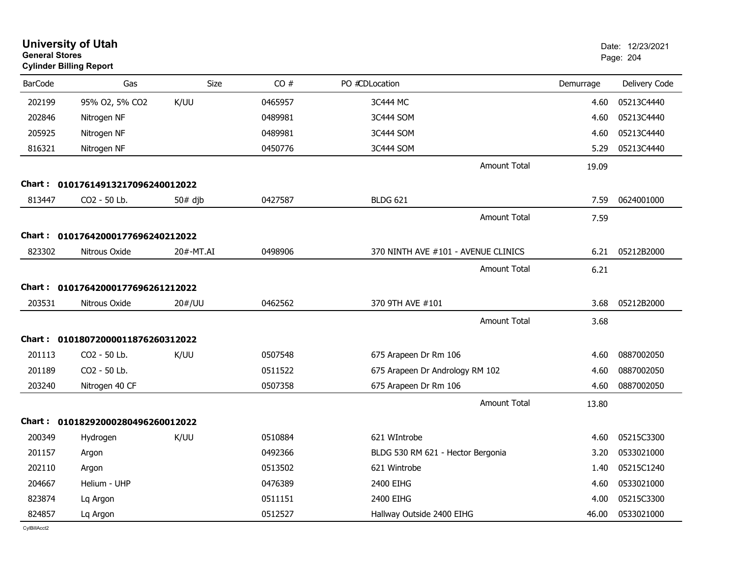| <b>General Stores</b> | <b>University of Utah</b><br><b>Cylinder Billing Report</b> |           |         |                                     |           | Date: 12/23/2021<br>Page: 204 |
|-----------------------|-------------------------------------------------------------|-----------|---------|-------------------------------------|-----------|-------------------------------|
| <b>BarCode</b>        | Gas                                                         | Size      | CO#     | PO #CDLocation                      | Demurrage | Delivery Code                 |
| 202199                | 95% O2, 5% CO2                                              | K/UU      | 0465957 | 3C444 MC                            | 4.60      | 05213C4440                    |
| 202846                | Nitrogen NF                                                 |           | 0489981 | 3C444 SOM                           | 4.60      | 05213C4440                    |
| 205925                | Nitrogen NF                                                 |           | 0489981 | 3C444 SOM                           | 4.60      | 05213C4440                    |
| 816321                | Nitrogen NF                                                 |           | 0450776 | 3C444 SOM                           | 5.29      | 05213C4440                    |
|                       |                                                             |           |         | <b>Amount Total</b>                 | 19.09     |                               |
| Chart :               | 01017614913217096240012022                                  |           |         |                                     |           |                               |
| 813447                | CO2 - 50 Lb.                                                | $50#$ djb | 0427587 | <b>BLDG 621</b>                     | 7.59      | 0624001000                    |
|                       |                                                             |           |         | <b>Amount Total</b>                 | 7.59      |                               |
|                       | Chart: 01017642000177696240212022                           |           |         |                                     |           |                               |
| 823302                | Nitrous Oxide                                               | 20#-MT.AI | 0498906 | 370 NINTH AVE #101 - AVENUE CLINICS | 6.21      | 05212B2000                    |
|                       |                                                             |           |         | <b>Amount Total</b>                 | 6.21      |                               |
|                       | Chart: 01017642000177696261212022                           |           |         |                                     |           |                               |
| 203531                | Nitrous Oxide                                               | 20#/UU    | 0462562 | 370 9TH AVE #101                    | 3.68      | 05212B2000                    |
|                       |                                                             |           |         | <b>Amount Total</b>                 | 3.68      |                               |
| Chart :               | 01018072000011876260312022                                  |           |         |                                     |           |                               |
| 201113                | CO2 - 50 Lb.                                                | K/UU      | 0507548 | 675 Arapeen Dr Rm 106               | 4.60      | 0887002050                    |
| 201189                | CO2 - 50 Lb.                                                |           | 0511522 | 675 Arapeen Dr Andrology RM 102     | 4.60      | 0887002050                    |
| 203240                | Nitrogen 40 CF                                              |           | 0507358 | 675 Arapeen Dr Rm 106               | 4.60      | 0887002050                    |
|                       |                                                             |           |         | <b>Amount Total</b>                 | 13.80     |                               |
| Chart :               | 01018292000280496260012022                                  |           |         |                                     |           |                               |
| 200349                | Hydrogen                                                    | K/UU      | 0510884 | 621 WIntrobe                        | 4.60      | 05215C3300                    |
| 201157                | Argon                                                       |           | 0492366 | BLDG 530 RM 621 - Hector Bergonia   | 3.20      | 0533021000                    |
| 202110                | Argon                                                       |           | 0513502 | 621 Wintrobe                        | 1.40      | 05215C1240                    |
| 204667                | Helium - UHP                                                |           | 0476389 | 2400 EIHG                           | 4.60      | 0533021000                    |
| 823874                | Lq Argon                                                    |           | 0511151 | 2400 EIHG                           | 4.00      | 05215C3300                    |
| 824857                | Lq Argon                                                    |           | 0512527 | Hallway Outside 2400 EIHG           | 46.00     | 0533021000                    |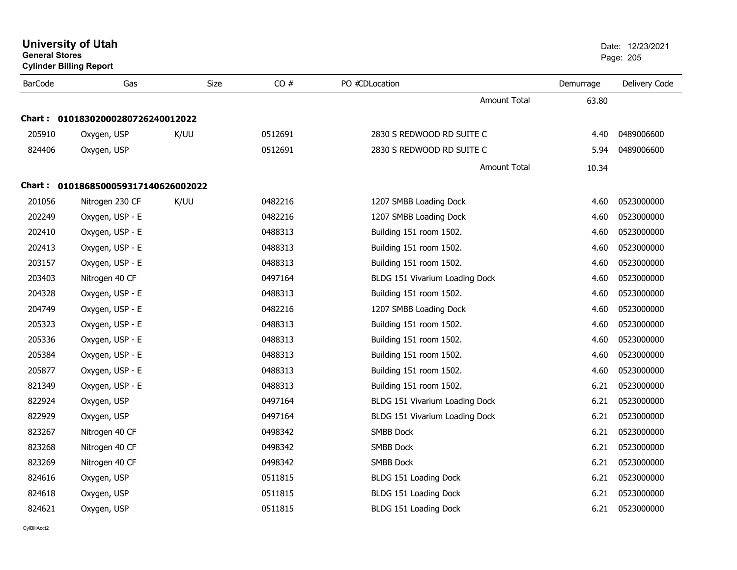**Cylinder Billing Report**

| <b>BarCode</b> | Gas                               | <b>Size</b> | CO#     | PO #CDLocation                 | Demurrage | Delivery Code |
|----------------|-----------------------------------|-------------|---------|--------------------------------|-----------|---------------|
|                |                                   |             |         | Amount Total                   | 63.80     |               |
|                | Chart: 01018302000280726240012022 |             |         |                                |           |               |
| 205910         | Oxygen, USP                       | K/UU        | 0512691 | 2830 S REDWOOD RD SUITE C      | 4.40      | 0489006600    |
| 824406         | Oxygen, USP                       |             | 0512691 | 2830 S REDWOOD RD SUITE C      | 5.94      | 0489006600    |
|                |                                   |             |         | Amount Total                   | 10.34     |               |
| Chart :        | 0101868500059317140626002022      |             |         |                                |           |               |
| 201056         | Nitrogen 230 CF                   | K/UU        | 0482216 | 1207 SMBB Loading Dock         | 4.60      | 0523000000    |
| 202249         | Oxygen, USP - E                   |             | 0482216 | 1207 SMBB Loading Dock         | 4.60      | 0523000000    |
| 202410         | Oxygen, USP - E                   |             | 0488313 | Building 151 room 1502.        | 4.60      | 0523000000    |
| 202413         | Oxygen, USP - E                   |             | 0488313 | Building 151 room 1502.        | 4.60      | 0523000000    |
| 203157         | Oxygen, USP - E                   |             | 0488313 | Building 151 room 1502.        | 4.60      | 0523000000    |
| 203403         | Nitrogen 40 CF                    |             | 0497164 | BLDG 151 Vivarium Loading Dock | 4.60      | 0523000000    |
| 204328         | Oxygen, USP - E                   |             | 0488313 | Building 151 room 1502.        | 4.60      | 0523000000    |
| 204749         | Oxygen, USP - E                   |             | 0482216 | 1207 SMBB Loading Dock         | 4.60      | 0523000000    |
| 205323         | Oxygen, USP - E                   |             | 0488313 | Building 151 room 1502.        | 4.60      | 0523000000    |
| 205336         | Oxygen, USP - E                   |             | 0488313 | Building 151 room 1502.        | 4.60      | 0523000000    |
| 205384         | Oxygen, USP - E                   |             | 0488313 | Building 151 room 1502.        | 4.60      | 0523000000    |
| 205877         | Oxygen, USP - E                   |             | 0488313 | Building 151 room 1502.        | 4.60      | 0523000000    |
| 821349         | Oxygen, USP - E                   |             | 0488313 | Building 151 room 1502.        | 6.21      | 0523000000    |
| 822924         | Oxygen, USP                       |             | 0497164 | BLDG 151 Vivarium Loading Dock | 6.21      | 0523000000    |
| 822929         | Oxygen, USP                       |             | 0497164 | BLDG 151 Vivarium Loading Dock | 6.21      | 0523000000    |
| 823267         | Nitrogen 40 CF                    |             | 0498342 | <b>SMBB Dock</b>               | 6.21      | 0523000000    |
| 823268         | Nitrogen 40 CF                    |             | 0498342 | <b>SMBB Dock</b>               | 6.21      | 0523000000    |
| 823269         | Nitrogen 40 CF                    |             | 0498342 | <b>SMBB Dock</b>               | 6.21      | 0523000000    |
| 824616         | Oxygen, USP                       |             | 0511815 | BLDG 151 Loading Dock          | 6.21      | 0523000000    |
| 824618         | Oxygen, USP                       |             | 0511815 | BLDG 151 Loading Dock          | 6.21      | 0523000000    |
| 824621         | Oxygen, USP                       |             | 0511815 | BLDG 151 Loading Dock          | 6.21      | 0523000000    |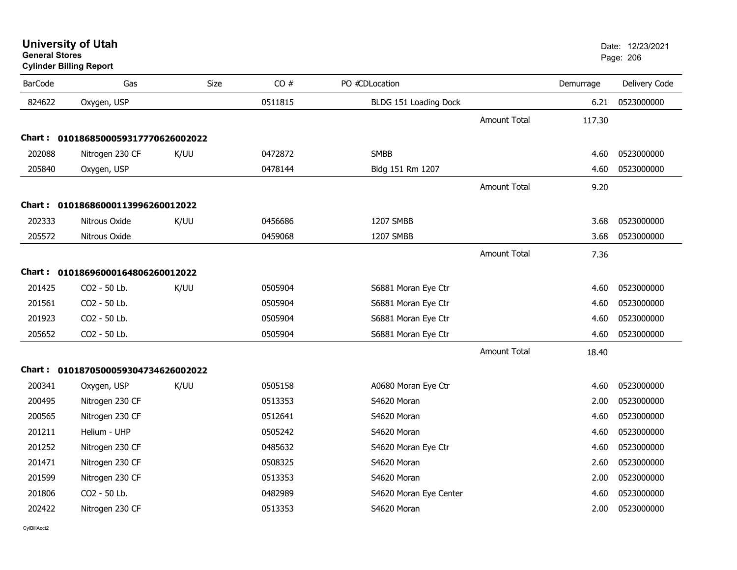## **Cylinder Billing Report**

| <b>BarCode</b> | Gas                                 | Size | CO#     | PO #CDLocation         |                     | Demurrage | Delivery Code |
|----------------|-------------------------------------|------|---------|------------------------|---------------------|-----------|---------------|
| 824622         | Oxygen, USP                         |      | 0511815 | BLDG 151 Loading Dock  |                     | 6.21      | 0523000000    |
|                |                                     |      |         |                        | <b>Amount Total</b> | 117.30    |               |
|                | Chart: 0101868500059317770626002022 |      |         |                        |                     |           |               |
| 202088         | Nitrogen 230 CF                     | K/UU | 0472872 | <b>SMBB</b>            |                     | 4.60      | 0523000000    |
| 205840         | Oxygen, USP                         |      | 0478144 | Bldg 151 Rm 1207       |                     | 4.60      | 0523000000    |
|                |                                     |      |         |                        | <b>Amount Total</b> | 9.20      |               |
|                | Chart: 01018686000113996260012022   |      |         |                        |                     |           |               |
| 202333         | Nitrous Oxide                       | K/UU | 0456686 | 1207 SMBB              |                     | 3.68      | 0523000000    |
| 205572         | Nitrous Oxide                       |      | 0459068 | 1207 SMBB              |                     | 3.68      | 0523000000    |
|                |                                     |      |         |                        | <b>Amount Total</b> | 7.36      |               |
|                | Chart: 01018696000164806260012022   |      |         |                        |                     |           |               |
| 201425         | CO2 - 50 Lb.                        | K/UU | 0505904 | S6881 Moran Eye Ctr    |                     | 4.60      | 0523000000    |
| 201561         | CO2 - 50 Lb.                        |      | 0505904 | S6881 Moran Eye Ctr    |                     | 4.60      | 0523000000    |
| 201923         | CO2 - 50 Lb.                        |      | 0505904 | S6881 Moran Eye Ctr    |                     | 4.60      | 0523000000    |
| 205652         | CO2 - 50 Lb.                        |      | 0505904 | S6881 Moran Eye Ctr    |                     | 4.60      | 0523000000    |
|                |                                     |      |         |                        | <b>Amount Total</b> | 18.40     |               |
|                | Chart: 0101870500059304734626002022 |      |         |                        |                     |           |               |
| 200341         | Oxygen, USP                         | K/UU | 0505158 | A0680 Moran Eye Ctr    |                     | 4.60      | 0523000000    |
| 200495         | Nitrogen 230 CF                     |      | 0513353 | S4620 Moran            |                     | 2.00      | 0523000000    |
| 200565         | Nitrogen 230 CF                     |      | 0512641 | S4620 Moran            |                     | 4.60      | 0523000000    |
| 201211         | Helium - UHP                        |      | 0505242 | S4620 Moran            |                     | 4.60      | 0523000000    |
| 201252         | Nitrogen 230 CF                     |      | 0485632 | S4620 Moran Eye Ctr    |                     | 4.60      | 0523000000    |
| 201471         | Nitrogen 230 CF                     |      | 0508325 | S4620 Moran            |                     | 2.60      | 0523000000    |
| 201599         | Nitrogen 230 CF                     |      | 0513353 | S4620 Moran            |                     | 2.00      | 0523000000    |
| 201806         | CO2 - 50 Lb.                        |      | 0482989 | S4620 Moran Eye Center |                     | 4.60      | 0523000000    |
| 202422         | Nitrogen 230 CF                     |      | 0513353 | S4620 Moran            |                     | 2.00      | 0523000000    |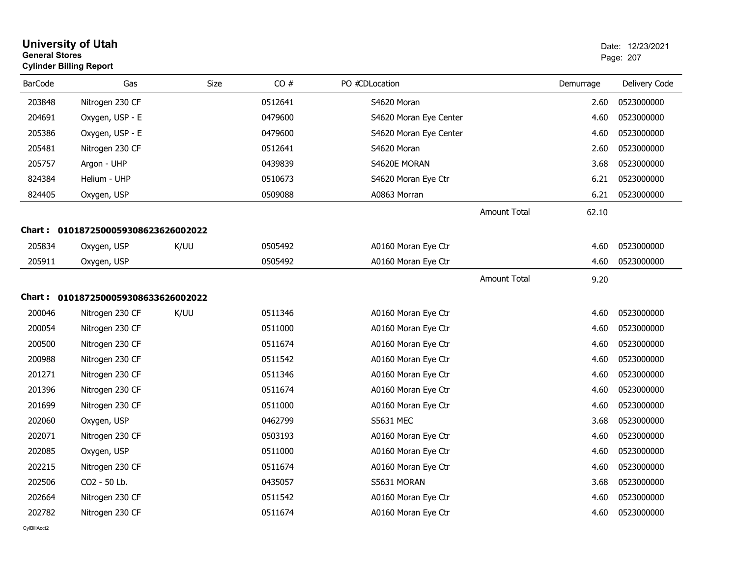| <b>General Stores</b> | <b>University of Utah</b><br><b>Cylinder Billing Report</b> |             |         |                        |                     |           | Date: 12/23/2021<br>Page: 207 |
|-----------------------|-------------------------------------------------------------|-------------|---------|------------------------|---------------------|-----------|-------------------------------|
| <b>BarCode</b>        | Gas                                                         | <b>Size</b> | CO#     | PO #CDLocation         |                     | Demurrage | Delivery Code                 |
| 203848                | Nitrogen 230 CF                                             |             | 0512641 | S4620 Moran            |                     | 2.60      | 0523000000                    |
| 204691                | Oxygen, USP - E                                             |             | 0479600 | S4620 Moran Eye Center |                     | 4.60      | 0523000000                    |
| 205386                | Oxygen, USP - E                                             |             | 0479600 | S4620 Moran Eye Center |                     | 4.60      | 0523000000                    |
| 205481                | Nitrogen 230 CF                                             |             | 0512641 | S4620 Moran            |                     | 2.60      | 0523000000                    |
| 205757                | Argon - UHP                                                 |             | 0439839 | S4620E MORAN           |                     | 3.68      | 0523000000                    |
| 824384                | Helium - UHP                                                |             | 0510673 | S4620 Moran Eye Ctr    |                     | 6.21      | 0523000000                    |
| 824405                | Oxygen, USP                                                 |             | 0509088 | A0863 Morran           |                     | 6.21      | 0523000000                    |
|                       |                                                             |             |         |                        | <b>Amount Total</b> | 62.10     |                               |
|                       | Chart: 0101872500059308623626002022                         |             |         |                        |                     |           |                               |
| 205834                | Oxygen, USP                                                 | K/UU        | 0505492 | A0160 Moran Eye Ctr    |                     | 4.60      | 0523000000                    |
| 205911                | Oxygen, USP                                                 |             | 0505492 | A0160 Moran Eye Ctr    |                     | 4.60      | 0523000000                    |
|                       |                                                             |             |         |                        | <b>Amount Total</b> | 9.20      |                               |
|                       | Chart: 0101872500059308633626002022                         |             |         |                        |                     |           |                               |
| 200046                | Nitrogen 230 CF                                             | K/UU        | 0511346 | A0160 Moran Eye Ctr    |                     | 4.60      | 0523000000                    |
| 200054                | Nitrogen 230 CF                                             |             | 0511000 | A0160 Moran Eye Ctr    |                     | 4.60      | 0523000000                    |
| 200500                | Nitrogen 230 CF                                             |             | 0511674 | A0160 Moran Eye Ctr    |                     | 4.60      | 0523000000                    |
| 200988                | Nitrogen 230 CF                                             |             | 0511542 | A0160 Moran Eye Ctr    |                     | 4.60      | 0523000000                    |
| 201271                | Nitrogen 230 CF                                             |             | 0511346 | A0160 Moran Eye Ctr    |                     | 4.60      | 0523000000                    |
| 201396                | Nitrogen 230 CF                                             |             | 0511674 | A0160 Moran Eye Ctr    |                     | 4.60      | 0523000000                    |
| 201699                | Nitrogen 230 CF                                             |             | 0511000 | A0160 Moran Eye Ctr    |                     | 4.60      | 0523000000                    |
| 202060                | Oxygen, USP                                                 |             | 0462799 | <b>S5631 MEC</b>       |                     | 3.68      | 0523000000                    |
| 202071                | Nitrogen 230 CF                                             |             | 0503193 | A0160 Moran Eye Ctr    |                     | 4.60      | 0523000000                    |
| 202085                | Oxygen, USP                                                 |             | 0511000 | A0160 Moran Eye Ctr    |                     | 4.60      | 0523000000                    |
| 202215                | Nitrogen 230 CF                                             |             | 0511674 | A0160 Moran Eye Ctr    |                     | 4.60      | 0523000000                    |
| 202506                | CO2 - 50 Lb.                                                |             | 0435057 | S5631 MORAN            |                     | 3.68      | 0523000000                    |
| 202664                | Nitrogen 230 CF                                             |             | 0511542 | A0160 Moran Eye Ctr    |                     | 4.60      | 0523000000                    |
| 202782                | Nitrogen 230 CF                                             |             | 0511674 | A0160 Moran Eye Ctr    |                     | 4.60      | 0523000000                    |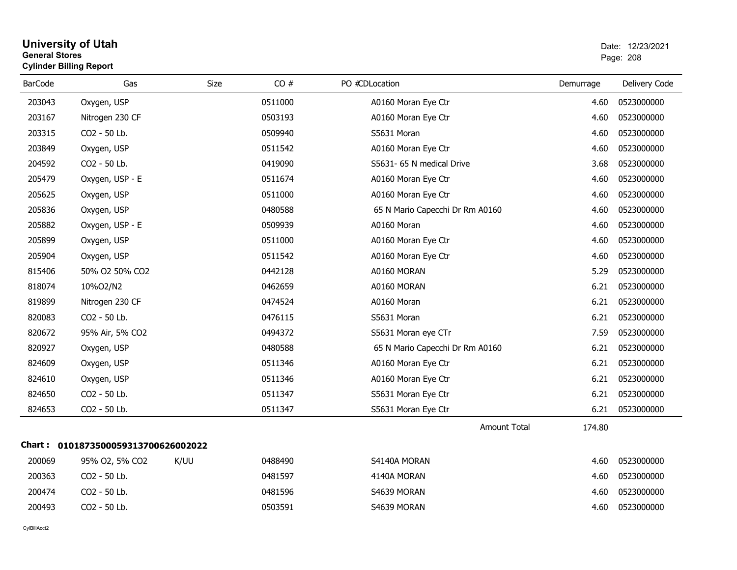| University of Utah             | Date: 12/2 |
|--------------------------------|------------|
| General Stores                 | Page: 208  |
| <b>Cylinder Billing Report</b> |            |

| <b>BarCode</b> | Gas                                 | Size | CO#     | PO #CDLocation                  | Demurrage | Delivery Code |
|----------------|-------------------------------------|------|---------|---------------------------------|-----------|---------------|
| 203043         | Oxygen, USP                         |      | 0511000 | A0160 Moran Eye Ctr             | 4.60      | 0523000000    |
| 203167         | Nitrogen 230 CF                     |      | 0503193 | A0160 Moran Eye Ctr             | 4.60      | 0523000000    |
| 203315         | CO2 - 50 Lb.                        |      | 0509940 | S5631 Moran                     | 4.60      | 0523000000    |
| 203849         | Oxygen, USP                         |      | 0511542 | A0160 Moran Eye Ctr             | 4.60      | 0523000000    |
| 204592         | CO2 - 50 Lb.                        |      | 0419090 | S5631- 65 N medical Drive       | 3.68      | 0523000000    |
| 205479         | Oxygen, USP - E                     |      | 0511674 | A0160 Moran Eye Ctr             | 4.60      | 0523000000    |
| 205625         | Oxygen, USP                         |      | 0511000 | A0160 Moran Eye Ctr             | 4.60      | 0523000000    |
| 205836         | Oxygen, USP                         |      | 0480588 | 65 N Mario Capecchi Dr Rm A0160 | 4.60      | 0523000000    |
| 205882         | Oxygen, USP - E                     |      | 0509939 | A0160 Moran                     | 4.60      | 0523000000    |
| 205899         | Oxygen, USP                         |      | 0511000 | A0160 Moran Eye Ctr             | 4.60      | 0523000000    |
| 205904         | Oxygen, USP                         |      | 0511542 | A0160 Moran Eye Ctr             | 4.60      | 0523000000    |
| 815406         | 50% O2 50% CO2                      |      | 0442128 | A0160 MORAN                     | 5.29      | 0523000000    |
| 818074         | 10%O2/N2                            |      | 0462659 | A0160 MORAN                     | 6.21      | 0523000000    |
| 819899         | Nitrogen 230 CF                     |      | 0474524 | A0160 Moran                     | 6.21      | 0523000000    |
| 820083         | CO2 - 50 Lb.                        |      | 0476115 | S5631 Moran                     | 6.21      | 0523000000    |
| 820672         | 95% Air, 5% CO2                     |      | 0494372 | S5631 Moran eye CTr             | 7.59      | 0523000000    |
| 820927         | Oxygen, USP                         |      | 0480588 | 65 N Mario Capecchi Dr Rm A0160 | 6.21      | 0523000000    |
| 824609         | Oxygen, USP                         |      | 0511346 | A0160 Moran Eye Ctr             | 6.21      | 0523000000    |
| 824610         | Oxygen, USP                         |      | 0511346 | A0160 Moran Eye Ctr             | 6.21      | 0523000000    |
| 824650         | CO2 - 50 Lb.                        |      | 0511347 | S5631 Moran Eye Ctr             | 6.21      | 0523000000    |
| 824653         | CO2 - 50 Lb.                        |      | 0511347 | S5631 Moran Eye Ctr             | 6.21      | 0523000000    |
|                |                                     |      |         | <b>Amount Total</b>             | 174.80    |               |
|                | Chart: 0101873500059313700626002022 |      |         |                                 |           |               |
| 200069         | 95% O2, 5% CO2                      | K/UU | 0488490 | S4140A MORAN                    | 4.60      | 0523000000    |
| 200363         | CO2 - 50 Lb.                        |      | 0481597 | 4140A MORAN                     | 4.60      | 0523000000    |
| 200474         | CO2 - 50 Lb.                        |      | 0481596 | S4639 MORAN                     | 4.60      | 0523000000    |
| 200493         | CO2 - 50 Lb.                        |      | 0503591 | S4639 MORAN                     | 4.60      | 0523000000    |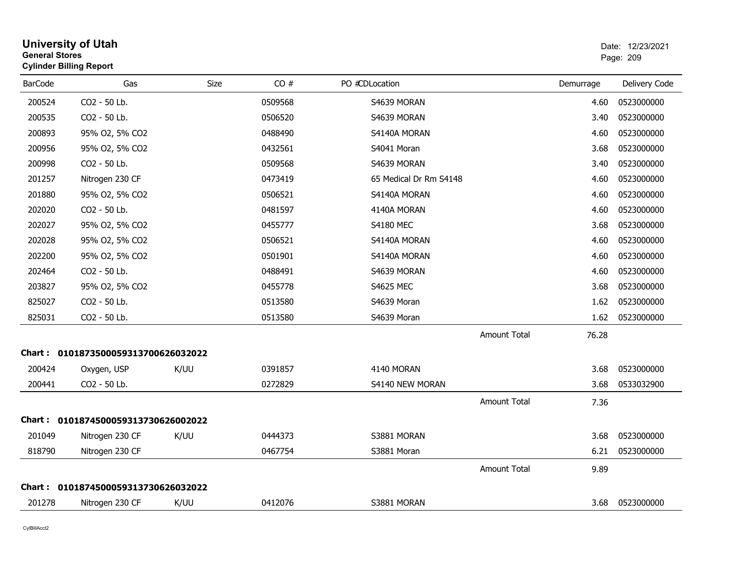| <b>General Stores</b> | <b>Cylinder Billing Report</b>      |             |         |                        |                     |           | Page: 209     |
|-----------------------|-------------------------------------|-------------|---------|------------------------|---------------------|-----------|---------------|
| <b>BarCode</b>        | Gas                                 | <b>Size</b> | CO#     | PO #CDLocation         |                     | Demurrage | Delivery Code |
| 200524                | CO2 - 50 Lb.                        |             | 0509568 | S4639 MORAN            |                     | 4.60      | 0523000000    |
| 200535                | CO2 - 50 Lb.                        |             | 0506520 | S4639 MORAN            |                     | 3.40      | 0523000000    |
| 200893                | 95% O2, 5% CO2                      |             | 0488490 | S4140A MORAN           |                     | 4.60      | 0523000000    |
| 200956                | 95% O2, 5% CO2                      |             | 0432561 | S4041 Moran            |                     | 3.68      | 0523000000    |
| 200998                | CO <sub>2</sub> - 50 Lb.            |             | 0509568 | S4639 MORAN            |                     | 3.40      | 0523000000    |
| 201257                | Nitrogen 230 CF                     |             | 0473419 | 65 Medical Dr Rm S4148 |                     | 4.60      | 0523000000    |
| 201880                | 95% O2, 5% CO2                      |             | 0506521 | S4140A MORAN           |                     | 4.60      | 0523000000    |
| 202020                | CO2 - 50 Lb.                        |             | 0481597 | 4140A MORAN            |                     | 4.60      | 0523000000    |
| 202027                | 95% O2, 5% CO2                      |             | 0455777 | <b>S4180 MEC</b>       |                     | 3.68      | 0523000000    |
| 202028                | 95% O2, 5% CO2                      |             | 0506521 | S4140A MORAN           |                     | 4.60      | 0523000000    |
| 202200                | 95% O2, 5% CO2                      |             | 0501901 | S4140A MORAN           |                     | 4.60      | 0523000000    |
| 202464                | CO2 - 50 Lb.                        |             | 0488491 | S4639 MORAN            |                     | 4.60      | 0523000000    |
| 203827                | 95% O2, 5% CO2                      |             | 0455778 | <b>S4625 MEC</b>       |                     | 3.68      | 0523000000    |
| 825027                | CO2 - 50 Lb.                        |             | 0513580 | S4639 Moran            |                     | 1.62      | 0523000000    |
| 825031                | CO2 - 50 Lb.                        |             | 0513580 | S4639 Moran            |                     | 1.62      | 0523000000    |
|                       |                                     |             |         |                        | <b>Amount Total</b> | 76.28     |               |
|                       | Chart: 0101873500059313700626032022 |             |         |                        |                     |           |               |
| 200424                | Oxygen, USP                         | K/UU        | 0391857 | 4140 MORAN             |                     | 3.68      | 0523000000    |
| 200441                | CO2 - 50 Lb.                        |             | 0272829 | S4140 NEW MORAN        |                     | 3.68      | 0533032900    |
|                       |                                     |             |         |                        | <b>Amount Total</b> | 7.36      |               |
|                       | Chart: 0101874500059313730626002022 |             |         |                        |                     |           |               |
| 201049                | Nitrogen 230 CF                     | K/UU        | 0444373 | S3881 MORAN            |                     | 3.68      | 0523000000    |
| 818790                | Nitrogen 230 CF                     |             | 0467754 | S3881 Moran            |                     | 6.21      | 0523000000    |
|                       |                                     |             |         |                        | <b>Amount Total</b> | 9.89      |               |
|                       | Chart: 0101874500059313730626032022 |             |         |                        |                     |           |               |
| 201278                | Nitrogen 230 CF                     | K/UU        | 0412076 | S3881 MORAN            |                     | 3.68      | 0523000000    |
|                       |                                     |             |         |                        |                     |           |               |

**University of Utah** Date: 12/23/2021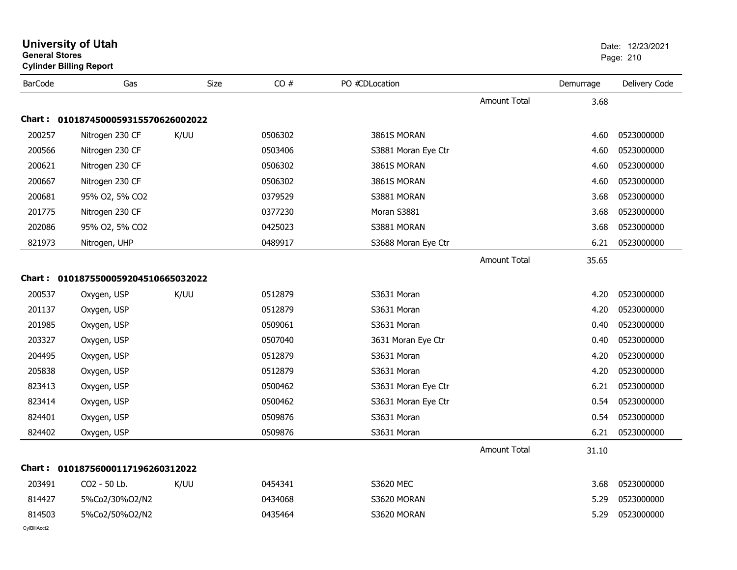|                | <b>University of Utah</b><br><b>General Stores</b><br><b>Cylinder Billing Report</b> |             |         |                     | Date: 12/23/2021<br>Page: 210 |           |               |
|----------------|--------------------------------------------------------------------------------------|-------------|---------|---------------------|-------------------------------|-----------|---------------|
| <b>BarCode</b> | Gas                                                                                  | <b>Size</b> | CO#     | PO #CDLocation      |                               | Demurrage | Delivery Code |
|                |                                                                                      |             |         |                     | <b>Amount Total</b>           | 3.68      |               |
| <b>Chart:</b>  | 0101874500059315570626002022                                                         |             |         |                     |                               |           |               |
| 200257         | Nitrogen 230 CF                                                                      | K/UU        | 0506302 | 3861S MORAN         |                               | 4.60      | 0523000000    |
| 200566         | Nitrogen 230 CF                                                                      |             | 0503406 | S3881 Moran Eye Ctr |                               | 4.60      | 0523000000    |
| 200621         | Nitrogen 230 CF                                                                      |             | 0506302 | 3861S MORAN         |                               | 4.60      | 0523000000    |
| 200667         | Nitrogen 230 CF                                                                      |             | 0506302 | 3861S MORAN         |                               | 4.60      | 0523000000    |
| 200681         | 95% O2, 5% CO2                                                                       |             | 0379529 | S3881 MORAN         |                               | 3.68      | 0523000000    |
| 201775         | Nitrogen 230 CF                                                                      |             | 0377230 | Moran S3881         |                               | 3.68      | 0523000000    |
| 202086         | 95% O2, 5% CO2                                                                       |             | 0425023 | S3881 MORAN         |                               | 3.68      | 0523000000    |
| 821973         | Nitrogen, UHP                                                                        |             | 0489917 | S3688 Moran Eye Ctr |                               | 6.21      | 0523000000    |
|                |                                                                                      |             |         |                     | <b>Amount Total</b>           | 35.65     |               |
|                | Chart: 0101875500059204510665032022                                                  |             |         |                     |                               |           |               |
| 200537         | Oxygen, USP                                                                          | K/UU        | 0512879 | S3631 Moran         |                               | 4.20      | 0523000000    |
| 201137         | Oxygen, USP                                                                          |             | 0512879 | S3631 Moran         |                               | 4.20      | 0523000000    |
| 201985         | Oxygen, USP                                                                          |             | 0509061 | S3631 Moran         |                               | 0.40      | 0523000000    |
| 203327         | Oxygen, USP                                                                          |             | 0507040 | 3631 Moran Eye Ctr  |                               | 0.40      | 0523000000    |
| 204495         | Oxygen, USP                                                                          |             | 0512879 | S3631 Moran         |                               | 4.20      | 0523000000    |
| 205838         | Oxygen, USP                                                                          |             | 0512879 | S3631 Moran         |                               | 4.20      | 0523000000    |
| 823413         | Oxygen, USP                                                                          |             | 0500462 | S3631 Moran Eye Ctr |                               | 6.21      | 0523000000    |
| 823414         | Oxygen, USP                                                                          |             | 0500462 | S3631 Moran Eye Ctr |                               | 0.54      | 0523000000    |
| 824401         | Oxygen, USP                                                                          |             | 0509876 | S3631 Moran         |                               | 0.54      | 0523000000    |
| 824402         | Oxygen, USP                                                                          |             | 0509876 | S3631 Moran         |                               | 6.21      | 0523000000    |
|                |                                                                                      |             |         |                     | <b>Amount Total</b>           | 31.10     |               |
|                | Chart: 01018756000117196260312022                                                    |             |         |                     |                               |           |               |
| 203491         | CO2 - 50 Lb.                                                                         | K/UU        | 0454341 | S3620 MEC           |                               | 3.68      | 0523000000    |
| 814427         | 5%Co2/30%O2/N2                                                                       |             | 0434068 | S3620 MORAN         |                               | 5.29      | 0523000000    |
| 814503         | 5%Co2/50%O2/N2                                                                       |             | 0435464 | S3620 MORAN         |                               | 5.29      | 0523000000    |
| CylBillAcct2   |                                                                                      |             |         |                     |                               |           |               |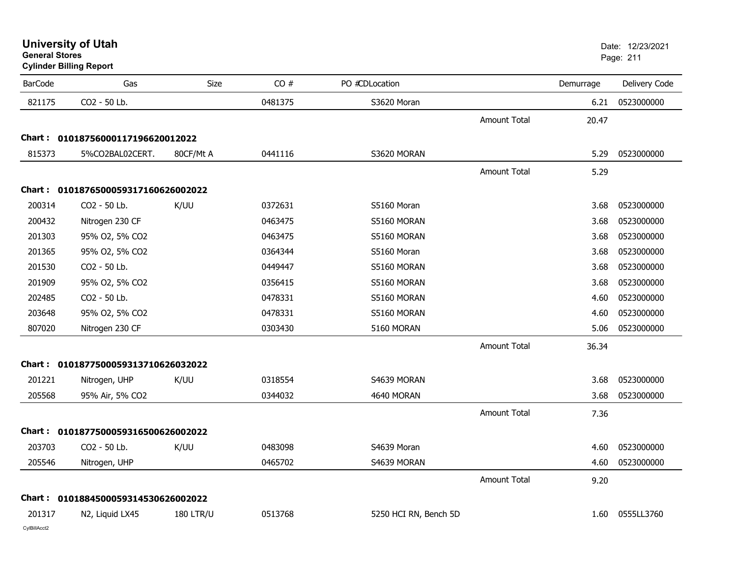|  |  | <b>University of Utah</b> |
|--|--|---------------------------|
|  |  |                           |

| <b>BarCode</b> | Gas                                 | Size             | CO#     | PO #CDLocation        |                     | Demurrage | Delivery Code |
|----------------|-------------------------------------|------------------|---------|-----------------------|---------------------|-----------|---------------|
| 821175         | CO2 - 50 Lb.                        |                  | 0481375 | S3620 Moran           |                     | 6.21      | 0523000000    |
|                |                                     |                  |         |                       | <b>Amount Total</b> | 20.47     |               |
|                | Chart: 01018756000117196620012022   |                  |         |                       |                     |           |               |
| 815373         | 5%CO2BAL02CERT.                     | 80CF/Mt A        | 0441116 | S3620 MORAN           |                     | 5.29      | 0523000000    |
|                |                                     |                  |         |                       | <b>Amount Total</b> | 5.29      |               |
|                | Chart: 0101876500059317160626002022 |                  |         |                       |                     |           |               |
| 200314         | CO2 - 50 Lb.                        | K/UU             | 0372631 | S5160 Moran           |                     | 3.68      | 0523000000    |
| 200432         | Nitrogen 230 CF                     |                  | 0463475 | S5160 MORAN           |                     | 3.68      | 0523000000    |
| 201303         | 95% O2, 5% CO2                      |                  | 0463475 | S5160 MORAN           |                     | 3.68      | 0523000000    |
| 201365         | 95% O2, 5% CO2                      |                  | 0364344 | S5160 Moran           |                     | 3.68      | 0523000000    |
| 201530         | CO2 - 50 Lb.                        |                  | 0449447 | S5160 MORAN           |                     | 3.68      | 0523000000    |
| 201909         | 95% O2, 5% CO2                      |                  | 0356415 | S5160 MORAN           |                     | 3.68      | 0523000000    |
| 202485         | CO2 - 50 Lb.                        |                  | 0478331 | S5160 MORAN           |                     | 4.60      | 0523000000    |
| 203648         | 95% O2, 5% CO2                      |                  | 0478331 | S5160 MORAN           |                     | 4.60      | 0523000000    |
| 807020         | Nitrogen 230 CF                     |                  | 0303430 | 5160 MORAN            |                     | 5.06      | 0523000000    |
|                |                                     |                  |         |                       | <b>Amount Total</b> | 36.34     |               |
|                | Chart: 0101877500059313710626032022 |                  |         |                       |                     |           |               |
| 201221         | Nitrogen, UHP                       | K/UU             | 0318554 | S4639 MORAN           |                     | 3.68      | 0523000000    |
| 205568         | 95% Air, 5% CO2                     |                  | 0344032 | 4640 MORAN            |                     | 3.68      | 0523000000    |
|                |                                     |                  |         |                       | <b>Amount Total</b> | 7.36      |               |
|                | Chart: 0101877500059316500626002022 |                  |         |                       |                     |           |               |
| 203703         | CO2 - 50 Lb.                        | K/UU             | 0483098 | S4639 Moran           |                     | 4.60      | 0523000000    |
| 205546         | Nitrogen, UHP                       |                  | 0465702 | S4639 MORAN           |                     | 4.60      | 0523000000    |
|                |                                     |                  |         |                       | <b>Amount Total</b> | 9.20      |               |
|                | Chart: 0101884500059314530626002022 |                  |         |                       |                     |           |               |
| 201317         | N2, Liquid LX45                     | <b>180 LTR/U</b> | 0513768 | 5250 HCI RN, Bench 5D |                     | 1.60      | 0555LL3760    |
| CvIBillAcct2   |                                     |                  |         |                       |                     |           |               |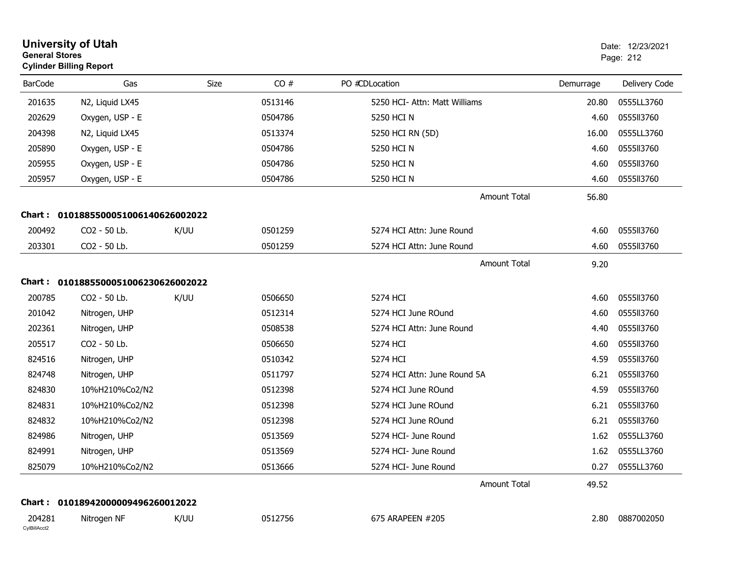| <b>General Stores</b>  | <b>University of Utah</b><br><b>Cylinder Billing Report</b> |             |         |                               |           | Date: 12/23/2021<br>Page: 212 |
|------------------------|-------------------------------------------------------------|-------------|---------|-------------------------------|-----------|-------------------------------|
| <b>BarCode</b>         | Gas                                                         | <b>Size</b> | CO#     | PO #CDLocation                | Demurrage | Delivery Code                 |
| 201635                 | N2, Liquid LX45                                             |             | 0513146 | 5250 HCI- Attn: Matt Williams | 20.80     | 0555LL3760                    |
| 202629                 | Oxygen, USP - E                                             |             | 0504786 | 5250 HCI N                    | 4.60      | 0555113760                    |
| 204398                 | N2, Liquid LX45                                             |             | 0513374 | 5250 HCI RN (5D)              | 16.00     | 0555LL3760                    |
| 205890                 | Oxygen, USP - E                                             |             | 0504786 | 5250 HCI N                    | 4.60      | 0555113760                    |
| 205955                 | Oxygen, USP - E                                             |             | 0504786 | 5250 HCI N                    | 4.60      | 0555113760                    |
| 205957                 | Oxygen, USP - E                                             |             | 0504786 | 5250 HCI N                    | 4.60      | 0555113760                    |
|                        |                                                             |             |         | <b>Amount Total</b>           | 56.80     |                               |
|                        | Chart: 0101885500051006140626002022                         |             |         |                               |           |                               |
| 200492                 | CO2 - 50 Lb.                                                | K/UU        | 0501259 | 5274 HCI Attn: June Round     | 4.60      | 0555113760                    |
| 203301                 | CO2 - 50 Lb.                                                |             | 0501259 | 5274 HCI Attn: June Round     | 4.60      | 0555113760                    |
|                        |                                                             |             |         | <b>Amount Total</b>           | 9.20      |                               |
|                        | Chart: 0101885500051006230626002022                         |             |         |                               |           |                               |
| 200785                 | CO2 - 50 Lb.                                                | K/UU        | 0506650 | 5274 HCI                      | 4.60      | 0555113760                    |
| 201042                 | Nitrogen, UHP                                               |             | 0512314 | 5274 HCI June ROund           | 4.60      | 0555113760                    |
| 202361                 | Nitrogen, UHP                                               |             | 0508538 | 5274 HCI Attn: June Round     | 4.40      | 0555113760                    |
| 205517                 | CO2 - 50 Lb.                                                |             | 0506650 | 5274 HCI                      | 4.60      | 0555113760                    |
| 824516                 | Nitrogen, UHP                                               |             | 0510342 | 5274 HCI                      | 4.59      | 0555113760                    |
| 824748                 | Nitrogen, UHP                                               |             | 0511797 | 5274 HCI Attn: June Round 5A  | 6.21      | 0555113760                    |
| 824830                 | 10%H210%Co2/N2                                              |             | 0512398 | 5274 HCI June ROund           | 4.59      | 0555113760                    |
| 824831                 | 10%H210%Co2/N2                                              |             | 0512398 | 5274 HCI June ROund           | 6.21      | 0555113760                    |
| 824832                 | 10%H210%Co2/N2                                              |             | 0512398 | 5274 HCI June ROund           | 6.21      | 0555113760                    |
| 824986                 | Nitrogen, UHP                                               |             | 0513569 | 5274 HCI- June Round          | 1.62      | 0555LL3760                    |
| 824991                 | Nitrogen, UHP                                               |             | 0513569 | 5274 HCI- June Round          | 1.62      | 0555LL3760                    |
| 825079                 | 10%H210%Co2/N2                                              |             | 0513666 | 5274 HCI- June Round          |           | 0.27 0555LL3760               |
|                        |                                                             |             |         | Amount Total                  | 49.52     |                               |
|                        | Chart: 01018942000009496260012022                           |             |         |                               |           |                               |
| 204281<br>CylBillAcct2 | Nitrogen NF                                                 | K/UU        | 0512756 | 675 ARAPEEN #205              |           | 2.80 0887002050               |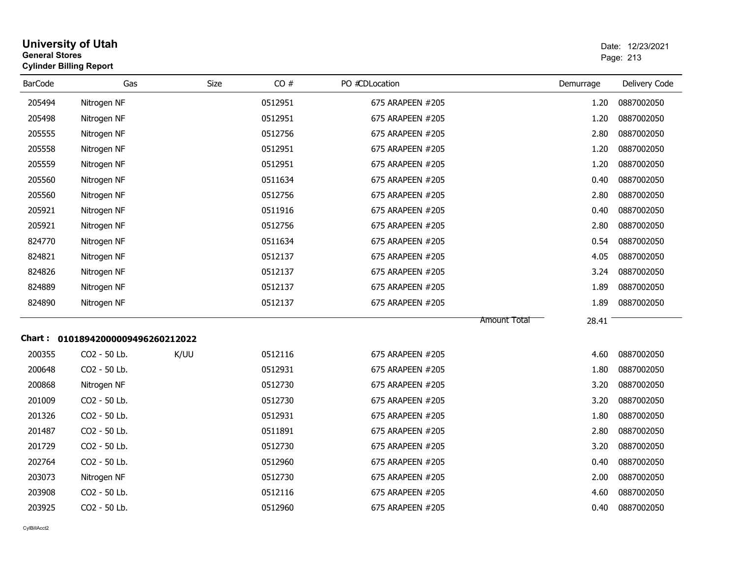| <b>General Stores</b><br><b>Cylinder Billing Report</b> | <b>University of Utah</b>         |      |         |                  |                              | Date: 12/23/2021<br>Page: 213 |
|---------------------------------------------------------|-----------------------------------|------|---------|------------------|------------------------------|-------------------------------|
| <b>BarCode</b>                                          | Gas                               | Size | CO#     | PO #CDLocation   | Demurrage                    | Delivery Code                 |
| 205494                                                  | Nitrogen NF                       |      | 0512951 | 675 ARAPEEN #205 | 1.20                         | 0887002050                    |
| 205498                                                  | Nitrogen NF                       |      | 0512951 | 675 ARAPEEN #205 | 1.20                         | 0887002050                    |
| 205555                                                  | Nitrogen NF                       |      | 0512756 | 675 ARAPEEN #205 | 2.80                         | 0887002050                    |
| 205558                                                  | Nitrogen NF                       |      | 0512951 | 675 ARAPEEN #205 | 1.20                         | 0887002050                    |
| 205559                                                  | Nitrogen NF                       |      | 0512951 | 675 ARAPEEN #205 | 1.20                         | 0887002050                    |
| 205560                                                  | Nitrogen NF                       |      | 0511634 | 675 ARAPEEN #205 | 0.40                         | 0887002050                    |
| 205560                                                  | Nitrogen NF                       |      | 0512756 | 675 ARAPEEN #205 | 2.80                         | 0887002050                    |
| 205921                                                  | Nitrogen NF                       |      | 0511916 | 675 ARAPEEN #205 | 0.40                         | 0887002050                    |
| 205921                                                  | Nitrogen NF                       |      | 0512756 | 675 ARAPEEN #205 | 2.80                         | 0887002050                    |
| 824770                                                  | Nitrogen NF                       |      | 0511634 | 675 ARAPEEN #205 | 0.54                         | 0887002050                    |
| 824821                                                  | Nitrogen NF                       |      | 0512137 | 675 ARAPEEN #205 | 4.05                         | 0887002050                    |
| 824826                                                  | Nitrogen NF                       |      | 0512137 | 675 ARAPEEN #205 | 3.24                         | 0887002050                    |
| 824889                                                  | Nitrogen NF                       |      | 0512137 | 675 ARAPEEN #205 | 1.89                         | 0887002050                    |
| 824890                                                  | Nitrogen NF                       |      | 0512137 | 675 ARAPEEN #205 | 1.89                         | 0887002050                    |
|                                                         | Chart: 01018942000009496260212022 |      |         |                  | 28.41<br><b>Amount Total</b> |                               |
| 200355                                                  | CO <sub>2</sub> - 50 Lb.          | K/UU | 0512116 | 675 ARAPEEN #205 | 4.60                         | 0887002050                    |
| 200648                                                  | CO2 - 50 Lb.                      |      | 0512931 | 675 ARAPEEN #205 | 1.80                         | 0887002050                    |
| 200868                                                  | Nitrogen NF                       |      | 0512730 | 675 ARAPEEN #205 | 3.20                         | 0887002050                    |
| 201009                                                  | CO2 - 50 Lb.                      |      | 0512730 | 675 ARAPEEN #205 | 3.20                         | 0887002050                    |
| 201326                                                  | CO2 - 50 Lb.                      |      | 0512931 | 675 ARAPEEN #205 | 1.80                         | 0887002050                    |
| 201487                                                  | CO <sub>2</sub> - 50 Lb.          |      | 0511891 | 675 ARAPEEN #205 | 2.80                         | 0887002050                    |
| 201729                                                  | CO2 - 50 Lb.                      |      | 0512730 | 675 ARAPEEN #205 | 3.20                         | 0887002050                    |
| 202764                                                  | CO2 - 50 Lb.                      |      | 0512960 | 675 ARAPEEN #205 | 0.40                         | 0887002050                    |
| 203073                                                  | Nitrogen NF                       |      | 0512730 | 675 ARAPEEN #205 | 2.00                         | 0887002050                    |
| 203908                                                  | CO2 - 50 Lb.                      |      | 0512116 | 675 ARAPEEN #205 | 4.60                         | 0887002050                    |
| 203925                                                  | CO <sub>2</sub> - 50 Lb.          |      | 0512960 | 675 ARAPEEN #205 | 0.40                         | 0887002050                    |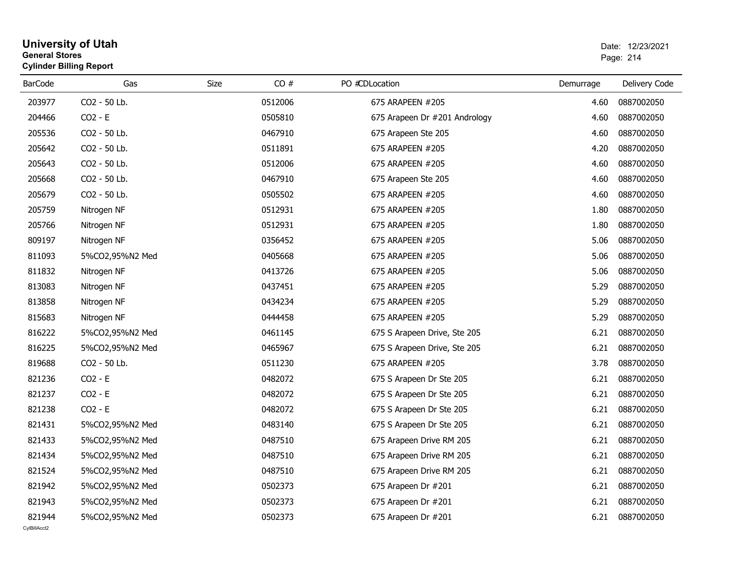| General Stores | <b>Cylinder Billing Report</b> |             |         |                               | Page: 214 |               |  |
|----------------|--------------------------------|-------------|---------|-------------------------------|-----------|---------------|--|
| <b>BarCode</b> | Gas                            | <b>Size</b> | CO#     | PO #CDLocation                | Demurrage | Delivery Code |  |
| 203977         | CO2 - 50 Lb.                   |             | 0512006 | 675 ARAPEEN #205              | 4.60      | 0887002050    |  |
| 204466         | $CO2 - E$                      |             | 0505810 | 675 Arapeen Dr #201 Andrology | 4.60      | 0887002050    |  |
| 205536         | CO2 - 50 Lb.                   |             | 0467910 | 675 Arapeen Ste 205           | 4.60      | 0887002050    |  |
| 205642         | CO2 - 50 Lb.                   |             | 0511891 | 675 ARAPEEN #205              | 4.20      | 0887002050    |  |
| 205643         | CO2 - 50 Lb.                   |             | 0512006 | 675 ARAPEEN #205              | 4.60      | 0887002050    |  |
| 205668         | CO2 - 50 Lb.                   |             | 0467910 | 675 Arapeen Ste 205           | 4.60      | 0887002050    |  |
| 205679         | CO2 - 50 Lb.                   |             | 0505502 | 675 ARAPEEN #205              | 4.60      | 0887002050    |  |
| 205759         | Nitrogen NF                    |             | 0512931 | 675 ARAPEEN #205              | 1.80      | 0887002050    |  |
| 205766         | Nitrogen NF                    |             | 0512931 | 675 ARAPEEN #205              | 1.80      | 0887002050    |  |
| 809197         | Nitrogen NF                    |             | 0356452 | 675 ARAPEEN #205              | 5.06      | 0887002050    |  |
| 811093         | 5%CO2,95%N2 Med                |             | 0405668 | 675 ARAPEEN #205              | 5.06      | 0887002050    |  |
| 811832         | Nitrogen NF                    |             | 0413726 | 675 ARAPEEN #205              | 5.06      | 0887002050    |  |
| 813083         | Nitrogen NF                    |             | 0437451 | 675 ARAPEEN #205              | 5.29      | 0887002050    |  |
| 813858         | Nitrogen NF                    |             | 0434234 | 675 ARAPEEN #205              | 5.29      | 0887002050    |  |
| 815683         | Nitrogen NF                    |             | 0444458 | 675 ARAPEEN #205              | 5.29      | 0887002050    |  |
| 816222         | 5%CO2,95%N2 Med                |             | 0461145 | 675 S Arapeen Drive, Ste 205  | 6.21      | 0887002050    |  |
| 816225         | 5%CO2,95%N2 Med                |             | 0465967 | 675 S Arapeen Drive, Ste 205  | 6.21      | 0887002050    |  |
| 819688         | CO2 - 50 Lb.                   |             | 0511230 | 675 ARAPEEN #205              | 3.78      | 0887002050    |  |
| 821236         | $CO2 - E$                      |             | 0482072 | 675 S Arapeen Dr Ste 205      | 6.21      | 0887002050    |  |
| 821237         | $CO2 - E$                      |             | 0482072 | 675 S Arapeen Dr Ste 205      | 6.21      | 0887002050    |  |
| 821238         | $CO2 - E$                      |             | 0482072 | 675 S Arapeen Dr Ste 205      | 6.21      | 0887002050    |  |
| 821431         | 5%CO2,95%N2 Med                |             | 0483140 | 675 S Arapeen Dr Ste 205      | 6.21      | 0887002050    |  |
| 821433         | 5%CO2,95%N2 Med                |             | 0487510 | 675 Arapeen Drive RM 205      | 6.21      | 0887002050    |  |
| 821434         | 5%CO2,95%N2 Med                |             | 0487510 | 675 Arapeen Drive RM 205      | 6.21      | 0887002050    |  |
| 821524         | 5%CO2,95%N2 Med                |             | 0487510 | 675 Arapeen Drive RM 205      | 6.21      | 0887002050    |  |
| 821942         | 5%CO2,95%N2 Med                |             | 0502373 | 675 Arapeen Dr #201           | 6.21      | 0887002050    |  |
| 821943         | 5%CO2,95%N2 Med                |             | 0502373 | 675 Arapeen Dr #201           | 6.21      | 0887002050    |  |
| 821944         |                                |             | 0502373 | 675 Arapeen Dr #201           | 6.21      | 0887002050    |  |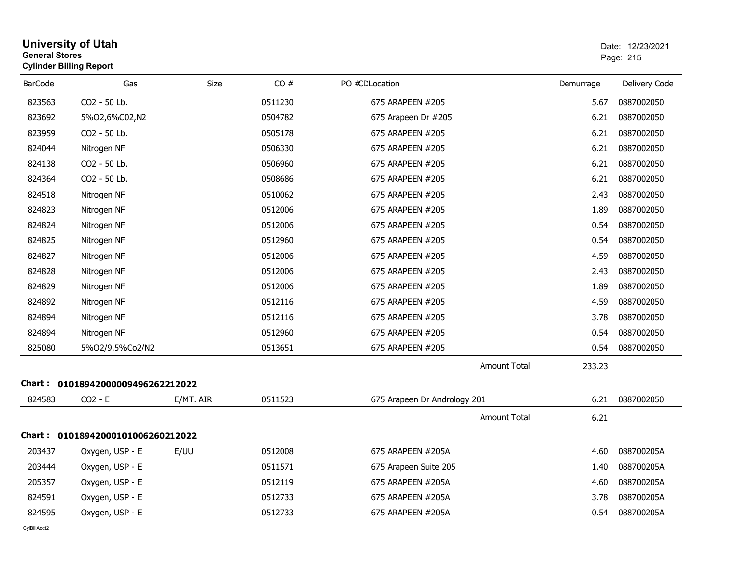| <b>University of Utah</b><br><b>General Stores</b><br><b>Cylinder Billing Report</b> |                                   | Date: 12/23/2021<br>Page: 215 |         |                              |                               |               |
|--------------------------------------------------------------------------------------|-----------------------------------|-------------------------------|---------|------------------------------|-------------------------------|---------------|
| <b>BarCode</b>                                                                       | Gas                               | Size                          | CO#     | PO #CDLocation               | Demurrage                     | Delivery Code |
| 823563                                                                               | CO2 - 50 Lb.                      |                               | 0511230 | 675 ARAPEEN #205             | 5.67                          | 0887002050    |
| 823692                                                                               | 5%02,6%C02,N2                     |                               | 0504782 | 675 Arapeen Dr #205          | 6.21                          | 0887002050    |
| 823959                                                                               | CO2 - 50 Lb.                      |                               | 0505178 | 675 ARAPEEN #205             | 6.21                          | 0887002050    |
| 824044                                                                               | Nitrogen NF                       |                               | 0506330 | 675 ARAPEEN #205             | 6.21                          | 0887002050    |
| 824138                                                                               | CO2 - 50 Lb.                      |                               | 0506960 | 675 ARAPEEN #205             | 6.21                          | 0887002050    |
| 824364                                                                               | CO2 - 50 Lb.                      |                               | 0508686 | 675 ARAPEEN #205             | 6.21                          | 0887002050    |
| 824518                                                                               | Nitrogen NF                       |                               | 0510062 | 675 ARAPEEN #205             | 2.43                          | 0887002050    |
| 824823                                                                               | Nitrogen NF                       |                               | 0512006 | 675 ARAPEEN #205             | 1.89                          | 0887002050    |
| 824824                                                                               | Nitrogen NF                       |                               | 0512006 | 675 ARAPEEN #205             | 0.54                          | 0887002050    |
| 824825                                                                               | Nitrogen NF                       |                               | 0512960 | 675 ARAPEEN #205             | 0.54                          | 0887002050    |
| 824827                                                                               | Nitrogen NF                       |                               | 0512006 | 675 ARAPEEN #205             | 4.59                          | 0887002050    |
| 824828                                                                               | Nitrogen NF                       |                               | 0512006 | 675 ARAPEEN #205             | 2.43                          | 0887002050    |
| 824829                                                                               | Nitrogen NF                       |                               | 0512006 | 675 ARAPEEN #205             | 1.89                          | 0887002050    |
| 824892                                                                               | Nitrogen NF                       |                               | 0512116 | 675 ARAPEEN #205             | 4.59                          | 0887002050    |
| 824894                                                                               | Nitrogen NF                       |                               | 0512116 | 675 ARAPEEN #205             | 3.78                          | 0887002050    |
| 824894                                                                               | Nitrogen NF                       |                               | 0512960 | 675 ARAPEEN #205             | 0.54                          | 0887002050    |
| 825080                                                                               | 5%O2/9.5%Co2/N2                   |                               | 0513651 | 675 ARAPEEN #205             | 0.54                          | 0887002050    |
|                                                                                      |                                   |                               |         |                              | <b>Amount Total</b><br>233.23 |               |
|                                                                                      | Chart: 01018942000009496262212022 |                               |         |                              |                               |               |
| 824583                                                                               | $CO2 - E$                         | E/MT. AIR                     | 0511523 | 675 Arapeen Dr Andrology 201 | 6.21                          | 0887002050    |
|                                                                                      |                                   |                               |         |                              | <b>Amount Total</b><br>6.21   |               |
|                                                                                      | Chart: 01018942000101006260212022 |                               |         |                              |                               |               |
| 203437                                                                               | Oxygen, USP - E                   | E/UU                          | 0512008 | 675 ARAPEEN #205A            | 4.60                          | 088700205A    |
| 203444                                                                               | Oxygen, USP - E                   |                               | 0511571 | 675 Arapeen Suite 205        | 1.40                          | 088700205A    |
| 205357                                                                               | Oxygen, USP - E                   |                               | 0512119 | 675 ARAPEEN #205A            | 4.60                          | 088700205A    |
| 824591                                                                               | Oxygen, USP - E                   |                               | 0512733 | 675 ARAPEEN #205A            | 3.78                          | 088700205A    |
| 824595                                                                               | Oxygen, USP - E                   |                               | 0512733 | 675 ARAPEEN #205A            | 0.54                          | 088700205A    |
| CvIBillAcct2                                                                         |                                   |                               |         |                              |                               |               |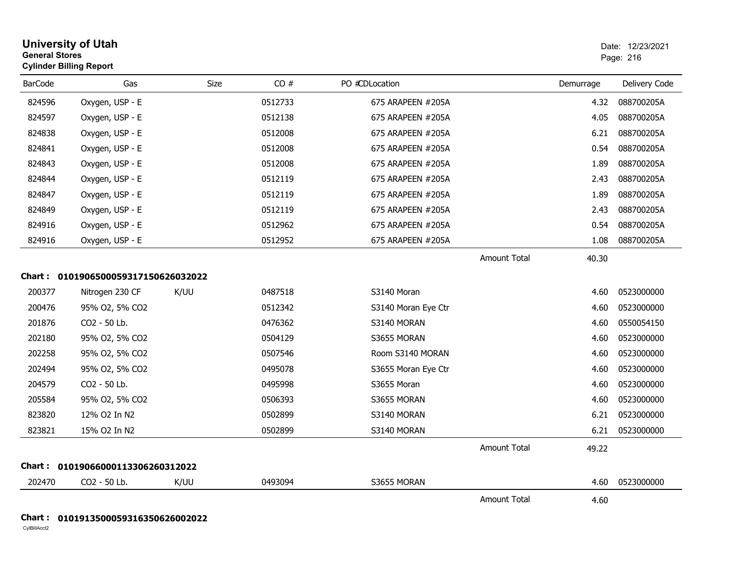| <b>University of Utah</b><br><b>General Stores</b><br><b>Cylinder Billing Report</b> |                                     |      |         |                     |                     |           | Date: 12/23/2021<br>Page: 216 |  |
|--------------------------------------------------------------------------------------|-------------------------------------|------|---------|---------------------|---------------------|-----------|-------------------------------|--|
| <b>BarCode</b>                                                                       | Gas                                 | Size | CO#     | PO #CDLocation      |                     | Demurrage | Delivery Code                 |  |
| 824596                                                                               | Oxygen, USP - E                     |      | 0512733 | 675 ARAPEEN #205A   |                     | 4.32      | 088700205A                    |  |
| 824597                                                                               | Oxygen, USP - E                     |      | 0512138 | 675 ARAPEEN #205A   |                     | 4.05      | 088700205A                    |  |
| 824838                                                                               | Oxygen, USP - E                     |      | 0512008 | 675 ARAPEEN #205A   |                     | 6.21      | 088700205A                    |  |
| 824841                                                                               | Oxygen, USP - E                     |      | 0512008 | 675 ARAPEEN #205A   |                     | 0.54      | 088700205A                    |  |
| 824843                                                                               | Oxygen, USP - E                     |      | 0512008 | 675 ARAPEEN #205A   |                     | 1.89      | 088700205A                    |  |
| 824844                                                                               | Oxygen, USP - E                     |      | 0512119 | 675 ARAPEEN #205A   |                     | 2.43      | 088700205A                    |  |
| 824847                                                                               | Oxygen, USP - E                     |      | 0512119 | 675 ARAPEEN #205A   |                     | 1.89      | 088700205A                    |  |
| 824849                                                                               | Oxygen, USP - E                     |      | 0512119 | 675 ARAPEEN #205A   |                     | 2.43      | 088700205A                    |  |
| 824916                                                                               | Oxygen, USP - E                     |      | 0512962 | 675 ARAPEEN #205A   |                     | 0.54      | 088700205A                    |  |
| 824916                                                                               | Oxygen, USP - E                     |      | 0512952 | 675 ARAPEEN #205A   |                     | 1.08      | 088700205A                    |  |
|                                                                                      |                                     |      |         |                     | <b>Amount Total</b> | 40.30     |                               |  |
|                                                                                      | Chart: 0101906500059317150626032022 |      |         |                     |                     |           |                               |  |
| 200377                                                                               | Nitrogen 230 CF                     | K/UU | 0487518 | S3140 Moran         |                     | 4.60      | 0523000000                    |  |
| 200476                                                                               | 95% O2, 5% CO2                      |      | 0512342 | S3140 Moran Eye Ctr |                     | 4.60      | 0523000000                    |  |
| 201876                                                                               | CO2 - 50 Lb.                        |      | 0476362 | S3140 MORAN         |                     | 4.60      | 0550054150                    |  |
| 202180                                                                               | 95% O2, 5% CO2                      |      | 0504129 | S3655 MORAN         |                     | 4.60      | 0523000000                    |  |
| 202258                                                                               | 95% O2, 5% CO2                      |      | 0507546 | Room S3140 MORAN    |                     | 4.60      | 0523000000                    |  |
| 202494                                                                               | 95% O2, 5% CO2                      |      | 0495078 | S3655 Moran Eye Ctr |                     | 4.60      | 0523000000                    |  |
| 204579                                                                               | CO2 - 50 Lb.                        |      | 0495998 | S3655 Moran         |                     | 4.60      | 0523000000                    |  |
| 205584                                                                               | 95% O2, 5% CO2                      |      | 0506393 | S3655 MORAN         |                     | 4.60      | 0523000000                    |  |
| 823820                                                                               | 12% O2 In N2                        |      | 0502899 | S3140 MORAN         |                     | 6.21      | 0523000000                    |  |
| 823821                                                                               | 15% O2 In N2                        |      | 0502899 | S3140 MORAN         |                     | 6.21      | 0523000000                    |  |
|                                                                                      |                                     |      |         |                     | Amount Total        | 49.22     |                               |  |
|                                                                                      | Chart: 01019066000113306260312022   |      |         |                     |                     |           |                               |  |
| 202470                                                                               | CO2 - 50 Lb.                        | K/UU | 0493094 | S3655 MORAN         |                     | 4.60      | 0523000000                    |  |
|                                                                                      |                                     |      |         |                     | <b>Amount Total</b> | 4.60      |                               |  |

#### **Chart : 0101913500059316350626002022**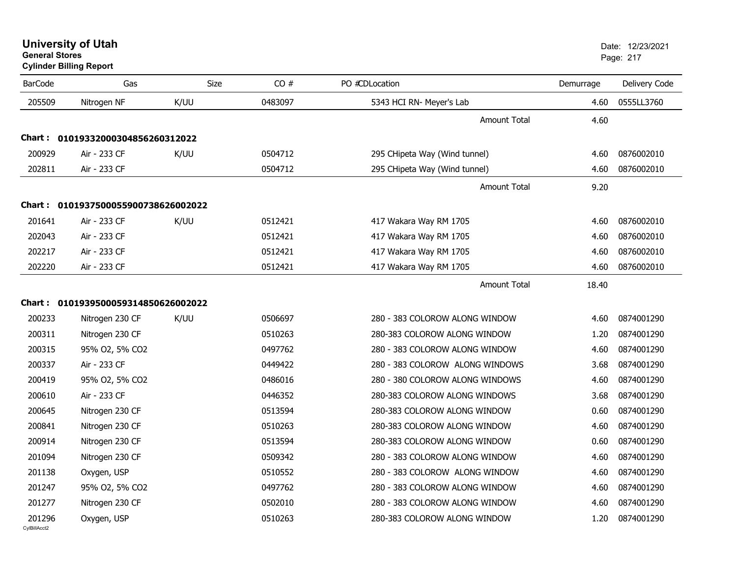**University of Utah** Date: 12/23/2021 **General Stores**

**Cylinder Billing Report**

| <b>BarCode</b>         | Gas                                 | Size | CO#     | PO #CDLocation                  | Demurrage | Delivery Code |
|------------------------|-------------------------------------|------|---------|---------------------------------|-----------|---------------|
| 205509                 | Nitrogen NF                         | K/UU | 0483097 | 5343 HCI RN- Meyer's Lab        | 4.60      | 0555LL3760    |
|                        |                                     |      |         | <b>Amount Total</b>             | 4.60      |               |
| Chart :                | 01019332000304856260312022          |      |         |                                 |           |               |
| 200929                 | Air - 233 CF                        | K/UU | 0504712 | 295 CHipeta Way (Wind tunnel)   | 4.60      | 0876002010    |
| 202811                 | Air - 233 CF                        |      | 0504712 | 295 CHipeta Way (Wind tunnel)   | 4.60      | 0876002010    |
|                        |                                     |      |         | <b>Amount Total</b>             | 9.20      |               |
|                        | Chart: 0101937500055900738626002022 |      |         |                                 |           |               |
| 201641                 | Air - 233 CF                        | K/UU | 0512421 | 417 Wakara Way RM 1705          | 4.60      | 0876002010    |
| 202043                 | Air - 233 CF                        |      | 0512421 | 417 Wakara Way RM 1705          | 4.60      | 0876002010    |
| 202217                 | Air - 233 CF                        |      | 0512421 | 417 Wakara Way RM 1705          | 4.60      | 0876002010    |
| 202220                 | Air - 233 CF                        |      | 0512421 | 417 Wakara Way RM 1705          | 4.60      | 0876002010    |
|                        |                                     |      |         | <b>Amount Total</b>             | 18.40     |               |
|                        | Chart: 0101939500059314850626002022 |      |         |                                 |           |               |
| 200233                 | Nitrogen 230 CF                     | K/UU | 0506697 | 280 - 383 COLOROW ALONG WINDOW  | 4.60      | 0874001290    |
| 200311                 | Nitrogen 230 CF                     |      | 0510263 | 280-383 COLOROW ALONG WINDOW    | 1.20      | 0874001290    |
| 200315                 | 95% O2, 5% CO2                      |      | 0497762 | 280 - 383 COLOROW ALONG WINDOW  | 4.60      | 0874001290    |
| 200337                 | Air - 233 CF                        |      | 0449422 | 280 - 383 COLOROW ALONG WINDOWS | 3.68      | 0874001290    |
| 200419                 | 95% O2, 5% CO2                      |      | 0486016 | 280 - 380 COLOROW ALONG WINDOWS | 4.60      | 0874001290    |
| 200610                 | Air - 233 CF                        |      | 0446352 | 280-383 COLOROW ALONG WINDOWS   | 3.68      | 0874001290    |
| 200645                 | Nitrogen 230 CF                     |      | 0513594 | 280-383 COLOROW ALONG WINDOW    | 0.60      | 0874001290    |
| 200841                 | Nitrogen 230 CF                     |      | 0510263 | 280-383 COLOROW ALONG WINDOW    | 4.60      | 0874001290    |
| 200914                 | Nitrogen 230 CF                     |      | 0513594 | 280-383 COLOROW ALONG WINDOW    | 0.60      | 0874001290    |
| 201094                 | Nitrogen 230 CF                     |      | 0509342 | 280 - 383 COLOROW ALONG WINDOW  | 4.60      | 0874001290    |
| 201138                 | Oxygen, USP                         |      | 0510552 | 280 - 383 COLOROW ALONG WINDOW  | 4.60      | 0874001290    |
| 201247                 | 95% O2, 5% CO2                      |      | 0497762 | 280 - 383 COLOROW ALONG WINDOW  | 4.60      | 0874001290    |
| 201277                 | Nitrogen 230 CF                     |      | 0502010 | 280 - 383 COLOROW ALONG WINDOW  | 4.60      | 0874001290    |
| 201296<br>CvIBillAcct2 | Oxygen, USP                         |      | 0510263 | 280-383 COLOROW ALONG WINDOW    | 1.20      | 0874001290    |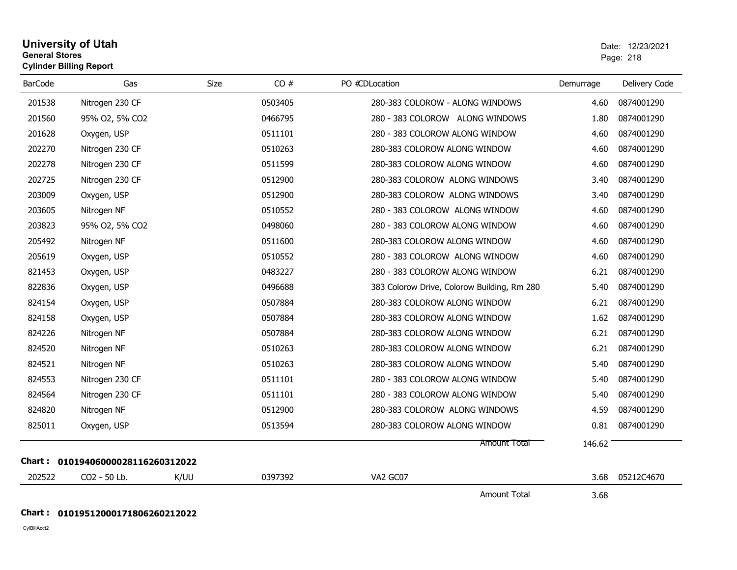# **University of Utah** Date: 12/23/2021 **General Stores**s and the contract of the contract of the contract of the contract of the contract of the contract of the contract of the contract of the contract of the contract of the contract of the contract of the contract of the cont **Cylinder Billing Report**

| <b>BarCode</b> | Gas                        | Size | CO#     | PO #CDLocation                              | Demurrage | Delivery Code |
|----------------|----------------------------|------|---------|---------------------------------------------|-----------|---------------|
| 201538         | Nitrogen 230 CF            |      | 0503405 | 280-383 COLOROW - ALONG WINDOWS             | 4.60      | 0874001290    |
| 201560         | 95% O2, 5% CO2             |      | 0466795 | 280 - 383 COLOROW ALONG WINDOWS             | 1.80      | 0874001290    |
| 201628         | Oxygen, USP                |      | 0511101 | 280 - 383 COLOROW ALONG WINDOW              | 4.60      | 0874001290    |
| 202270         | Nitrogen 230 CF            |      | 0510263 | 280-383 COLOROW ALONG WINDOW                | 4.60      | 0874001290    |
| 202278         | Nitrogen 230 CF            |      | 0511599 | 280-383 COLOROW ALONG WINDOW                | 4.60      | 0874001290    |
| 202725         | Nitrogen 230 CF            |      | 0512900 | 280-383 COLOROW ALONG WINDOWS               | 3.40      | 0874001290    |
| 203009         | Oxygen, USP                |      | 0512900 | 280-383 COLOROW ALONG WINDOWS               | 3.40      | 0874001290    |
| 203605         | Nitrogen NF                |      | 0510552 | 280 - 383 COLOROW ALONG WINDOW              | 4.60      | 0874001290    |
| 203823         | 95% O2, 5% CO2             |      | 0498060 | 280 - 383 COLOROW ALONG WINDOW              | 4.60      | 0874001290    |
| 205492         | Nitrogen NF                |      | 0511600 | 280-383 COLOROW ALONG WINDOW                | 4.60      | 0874001290    |
| 205619         | Oxygen, USP                |      | 0510552 | 280 - 383 COLOROW ALONG WINDOW              | 4.60      | 0874001290    |
| 821453         | Oxygen, USP                |      | 0483227 | 280 - 383 COLOROW ALONG WINDOW              | 6.21      | 0874001290    |
| 822836         | Oxygen, USP                |      | 0496688 | 383 Colorow Drive, Colorow Building, Rm 280 | 5.40      | 0874001290    |
| 824154         | Oxygen, USP                |      | 0507884 | 280-383 COLOROW ALONG WINDOW                | 6.21      | 0874001290    |
| 824158         | Oxygen, USP                |      | 0507884 | 280-383 COLOROW ALONG WINDOW                | 1.62      | 0874001290    |
| 824226         | Nitrogen NF                |      | 0507884 | 280-383 COLOROW ALONG WINDOW                | 6.21      | 0874001290    |
| 824520         | Nitrogen NF                |      | 0510263 | 280-383 COLOROW ALONG WINDOW                | 6.21      | 0874001290    |
| 824521         | Nitrogen NF                |      | 0510263 | 280-383 COLOROW ALONG WINDOW                | 5.40      | 0874001290    |
| 824553         | Nitrogen 230 CF            |      | 0511101 | 280 - 383 COLOROW ALONG WINDOW              | 5.40      | 0874001290    |
| 824564         | Nitrogen 230 CF            |      | 0511101 | 280 - 383 COLOROW ALONG WINDOW              | 5.40      | 0874001290    |
| 824820         | Nitrogen NF                |      | 0512900 | 280-383 COLOROW ALONG WINDOWS               | 4.59      | 0874001290    |
| 825011         | Oxygen, USP                |      | 0513594 | 280-383 COLOROW ALONG WINDOW                | 0.81      | 0874001290    |
|                |                            |      |         | Amount Total                                | 146.62    |               |
| Chart :        | 01019406000028116260312022 |      |         |                                             |           |               |
| 202522         | CO2 - 50 Lb.               | K/UU | 0397392 | VA2 GC07                                    | 3.68      | 05212C4670    |
|                |                            |      |         | <b>Amount Total</b>                         | 3.68      |               |

# **Chart : 01019512000171806260212022**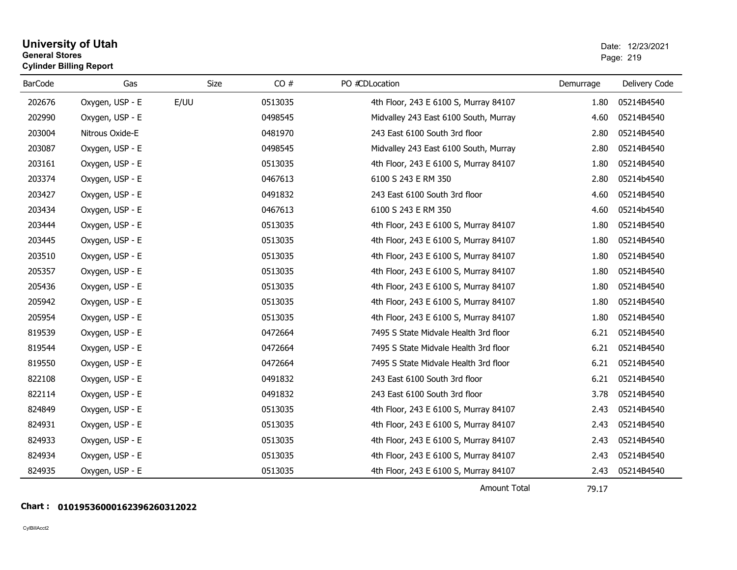# **University of Utah** Date: 12/23/2021 **General Stores**end and the state of the state of the state of the state of the state of the state of the state of the state of the state of the state of the state of the state of the state of the state of the state of the state of the st **Cylinder Billing Report**

| <b>BarCode</b> | Gas             | <b>Size</b> | CO#     | PO #CDLocation                        | Demurrage | Delivery Code |
|----------------|-----------------|-------------|---------|---------------------------------------|-----------|---------------|
| 202676         | Oxygen, USP - E | E/UU        | 0513035 | 4th Floor, 243 E 6100 S, Murray 84107 | 1.80      | 05214B4540    |
| 202990         | Oxygen, USP - E |             | 0498545 | Midvalley 243 East 6100 South, Murray | 4.60      | 05214B4540    |
| 203004         | Nitrous Oxide-E |             | 0481970 | 243 East 6100 South 3rd floor         | 2.80      | 05214B4540    |
| 203087         | Oxygen, USP - E |             | 0498545 | Midvalley 243 East 6100 South, Murray | 2.80      | 05214B4540    |
| 203161         | Oxygen, USP - E |             | 0513035 | 4th Floor, 243 E 6100 S, Murray 84107 | 1.80      | 05214B4540    |
| 203374         | Oxygen, USP - E |             | 0467613 | 6100 S 243 E RM 350                   | 2.80      | 05214b4540    |
| 203427         | Oxygen, USP - E |             | 0491832 | 243 East 6100 South 3rd floor         | 4.60      | 05214B4540    |
| 203434         | Oxygen, USP - E |             | 0467613 | 6100 S 243 E RM 350                   | 4.60      | 05214b4540    |
| 203444         | Oxygen, USP - E |             | 0513035 | 4th Floor, 243 E 6100 S, Murray 84107 | 1.80      | 05214B4540    |
| 203445         | Oxygen, USP - E |             | 0513035 | 4th Floor, 243 E 6100 S, Murray 84107 | 1.80      | 05214B4540    |
| 203510         | Oxygen, USP - E |             | 0513035 | 4th Floor, 243 E 6100 S, Murray 84107 | 1.80      | 05214B4540    |
| 205357         | Oxygen, USP - E |             | 0513035 | 4th Floor, 243 E 6100 S, Murray 84107 | 1.80      | 05214B4540    |
| 205436         | Oxygen, USP - E |             | 0513035 | 4th Floor, 243 E 6100 S, Murray 84107 | 1.80      | 05214B4540    |
| 205942         | Oxygen, USP - E |             | 0513035 | 4th Floor, 243 E 6100 S, Murray 84107 | 1.80      | 05214B4540    |
| 205954         | Oxygen, USP - E |             | 0513035 | 4th Floor, 243 E 6100 S, Murray 84107 | 1.80      | 05214B4540    |
| 819539         | Oxygen, USP - E |             | 0472664 | 7495 S State Midvale Health 3rd floor | 6.21      | 05214B4540    |
| 819544         | Oxygen, USP - E |             | 0472664 | 7495 S State Midvale Health 3rd floor | 6.21      | 05214B4540    |
| 819550         | Oxygen, USP - E |             | 0472664 | 7495 S State Midvale Health 3rd floor | 6.21      | 05214B4540    |
| 822108         | Oxygen, USP - E |             | 0491832 | 243 East 6100 South 3rd floor         | 6.21      | 05214B4540    |
| 822114         | Oxygen, USP - E |             | 0491832 | 243 East 6100 South 3rd floor         | 3.78      | 05214B4540    |
| 824849         | Oxygen, USP - E |             | 0513035 | 4th Floor, 243 E 6100 S, Murray 84107 | 2.43      | 05214B4540    |
| 824931         | Oxygen, USP - E |             | 0513035 | 4th Floor, 243 E 6100 S, Murray 84107 | 2.43      | 05214B4540    |
| 824933         | Oxygen, USP - E |             | 0513035 | 4th Floor, 243 E 6100 S, Murray 84107 | 2.43      | 05214B4540    |
| 824934         | Oxygen, USP - E |             | 0513035 | 4th Floor, 243 E 6100 S, Murray 84107 | 2.43      | 05214B4540    |
| 824935         | Oxygen, USP - E |             | 0513035 | 4th Floor, 243 E 6100 S, Murray 84107 | 2.43      | 05214B4540    |

Amount Total

# 79.17

# **Chart : 01019536000162396260312022**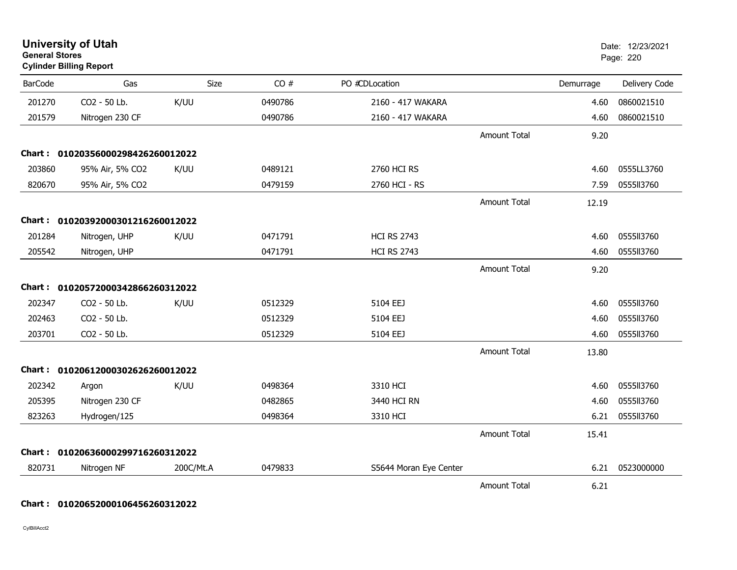| <b>General Stores</b> | <b>University of Utah</b><br><b>Cylinder Billing Report</b> |           |         |                        |                     |           | Date: 12/23/2021<br>Page: 220 |
|-----------------------|-------------------------------------------------------------|-----------|---------|------------------------|---------------------|-----------|-------------------------------|
| <b>BarCode</b>        | Gas                                                         | Size      | CO#     | PO #CDLocation         |                     | Demurrage | Delivery Code                 |
| 201270                | CO2 - 50 Lb.                                                | K/UU      | 0490786 | 2160 - 417 WAKARA      |                     | 4.60      | 0860021510                    |
| 201579                | Nitrogen 230 CF                                             |           | 0490786 | 2160 - 417 WAKARA      |                     | 4.60      | 0860021510                    |
|                       |                                                             |           |         |                        | <b>Amount Total</b> | 9.20      |                               |
|                       | Chart: 01020356000298426260012022                           |           |         |                        |                     |           |                               |
| 203860                | 95% Air, 5% CO2                                             | K/UU      | 0489121 | 2760 HCI RS            |                     | 4.60      | 0555LL3760                    |
| 820670                | 95% Air, 5% CO2                                             |           | 0479159 | 2760 HCI - RS          |                     | 7.59      | 0555113760                    |
|                       |                                                             |           |         |                        | <b>Amount Total</b> | 12.19     |                               |
|                       | Chart: 01020392000301216260012022                           |           |         |                        |                     |           |                               |
| 201284                | Nitrogen, UHP                                               | K/UU      | 0471791 | <b>HCI RS 2743</b>     |                     | 4.60      | 0555113760                    |
| 205542                | Nitrogen, UHP                                               |           | 0471791 | <b>HCI RS 2743</b>     |                     | 4.60      | 0555113760                    |
|                       |                                                             |           |         |                        | <b>Amount Total</b> | 9.20      |                               |
|                       | Chart: 01020572000342866260312022                           |           |         |                        |                     |           |                               |
| 202347                | CO2 - 50 Lb.                                                | K/UU      | 0512329 | 5104 EEJ               |                     | 4.60      | 0555113760                    |
| 202463                | CO2 - 50 Lb.                                                |           | 0512329 | 5104 EEJ               |                     | 4.60      | 0555113760                    |
| 203701                | CO2 - 50 Lb.                                                |           | 0512329 | 5104 EEJ               |                     | 4.60      | 0555113760                    |
|                       |                                                             |           |         |                        | <b>Amount Total</b> | 13.80     |                               |
|                       | Chart: 01020612000302626260012022                           |           |         |                        |                     |           |                               |
| 202342                | Argon                                                       | K/UU      | 0498364 | 3310 HCI               |                     | 4.60      | 0555113760                    |
| 205395                | Nitrogen 230 CF                                             |           | 0482865 | 3440 HCI RN            |                     | 4.60      | 0555113760                    |
| 823263                | Hydrogen/125                                                |           | 0498364 | 3310 HCI               |                     | 6.21      | 0555113760                    |
|                       |                                                             |           |         |                        | <b>Amount Total</b> | 15.41     |                               |
|                       | Chart: 01020636000299716260312022                           |           |         |                        |                     |           |                               |
| 820731                | Nitrogen NF                                                 | 200C/Mt.A | 0479833 | S5644 Moran Eye Center |                     | 6.21      | 0523000000                    |
|                       |                                                             |           |         |                        | <b>Amount Total</b> | 6.21      |                               |

# **Chart : 01020652000106456260312022**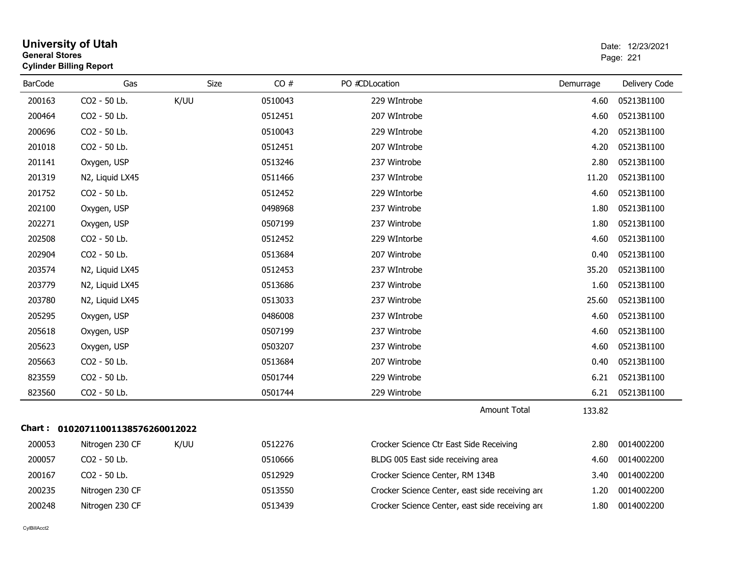| <b>General Stores</b> | <b>University of Utah</b><br><b>Cylinder Billing Report</b> |      |             |         |                                                 |           | Date: 12/23/2021<br>Page: 221 |
|-----------------------|-------------------------------------------------------------|------|-------------|---------|-------------------------------------------------|-----------|-------------------------------|
| <b>BarCode</b>        | Gas                                                         |      | <b>Size</b> | CO#     | PO #CDLocation                                  | Demurrage | Delivery Code                 |
| 200163                | CO2 - 50 Lb.                                                | K/UU |             | 0510043 | 229 WIntrobe                                    | 4.60      | 05213B1100                    |
| 200464                | CO2 - 50 Lb.                                                |      |             | 0512451 | 207 WIntrobe                                    | 4.60      | 05213B1100                    |
| 200696                | CO2 - 50 Lb.                                                |      |             | 0510043 | 229 WIntrobe                                    | 4.20      | 05213B1100                    |
| 201018                | CO2 - 50 Lb.                                                |      |             | 0512451 | 207 WIntrobe                                    | 4.20      | 05213B1100                    |
| 201141                | Oxygen, USP                                                 |      |             | 0513246 | 237 Wintrobe                                    | 2.80      | 05213B1100                    |
| 201319                | N2, Liquid LX45                                             |      |             | 0511466 | 237 WIntrobe                                    | 11.20     | 05213B1100                    |
| 201752                | CO2 - 50 Lb.                                                |      |             | 0512452 | 229 WIntorbe                                    | 4.60      | 05213B1100                    |
| 202100                | Oxygen, USP                                                 |      |             | 0498968 | 237 Wintrobe                                    | 1.80      | 05213B1100                    |
| 202271                | Oxygen, USP                                                 |      |             | 0507199 | 237 Wintrobe                                    | 1.80      | 05213B1100                    |
| 202508                | CO2 - 50 Lb.                                                |      |             | 0512452 | 229 WIntorbe                                    | 4.60      | 05213B1100                    |
| 202904                | CO2 - 50 Lb.                                                |      |             | 0513684 | 207 Wintrobe                                    | 0.40      | 05213B1100                    |
| 203574                | N2, Liquid LX45                                             |      |             | 0512453 | 237 WIntrobe                                    | 35.20     | 05213B1100                    |
| 203779                | N2, Liquid LX45                                             |      |             | 0513686 | 237 Wintrobe                                    | 1.60      | 05213B1100                    |
| 203780                | N2, Liquid LX45                                             |      |             | 0513033 | 237 Wintrobe                                    | 25.60     | 05213B1100                    |
| 205295                | Oxygen, USP                                                 |      |             | 0486008 | 237 WIntrobe                                    | 4.60      | 05213B1100                    |
| 205618                | Oxygen, USP                                                 |      |             | 0507199 | 237 Wintrobe                                    | 4.60      | 05213B1100                    |
| 205623                | Oxygen, USP                                                 |      |             | 0503207 | 237 Wintrobe                                    | 4.60      | 05213B1100                    |
| 205663                | CO2 - 50 Lb.                                                |      |             | 0513684 | 207 Wintrobe                                    | 0.40      | 05213B1100                    |
| 823559                | CO2 - 50 Lb.                                                |      |             | 0501744 | 229 Wintrobe                                    | 6.21      | 05213B1100                    |
| 823560                | CO2 - 50 Lb.                                                |      |             | 0501744 | 229 Wintrobe                                    | 6.21      | 05213B1100                    |
|                       |                                                             |      |             |         | Amount Total                                    | 133.82    |                               |
|                       | Chart: 01020711001138576260012022                           |      |             |         |                                                 |           |                               |
| 200053                | Nitrogen 230 CF                                             | K/UU |             | 0512276 | Crocker Science Ctr East Side Receiving         | 2.80      | 0014002200                    |
| 200057                | CO <sub>2</sub> - 50 Lb.                                    |      |             | 0510666 | BLDG 005 East side receiving area               | 4.60      | 0014002200                    |
| 200167                | CO2 - 50 Lb.                                                |      |             | 0512929 | Crocker Science Center, RM 134B                 | 3.40      | 0014002200                    |
| 200235                | Nitrogen 230 CF                                             |      |             | 0513550 | Crocker Science Center, east side receiving are | 1.20      | 0014002200                    |
| 200248                | Nitrogen 230 CF                                             |      |             | 0513439 | Crocker Science Center, east side receiving are | 1.80      | 0014002200                    |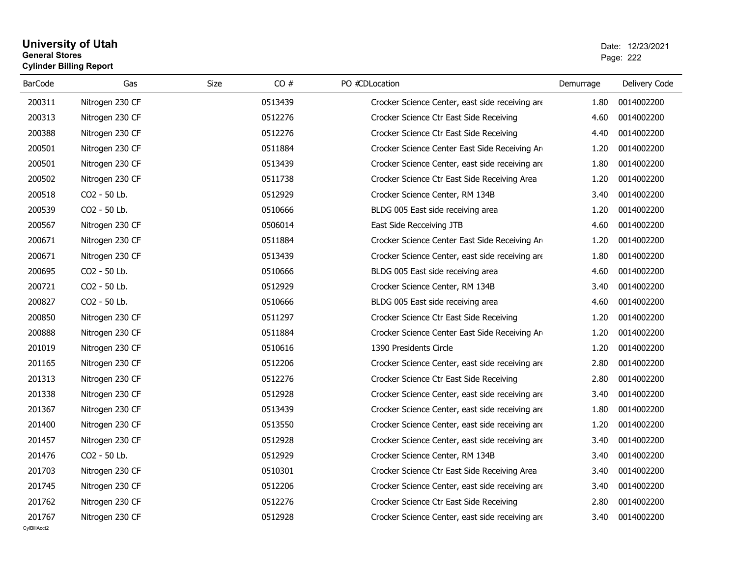## **University of Utah** Date: 12/23/2021 **General Stores**estate the control of the control of the control of the control of the control of the control of the control of the control of the control of the control of the control of the control of the control of the control of the c **Cylinder Billing Report**

| <b>BarCode</b> | Gas             | Size<br>CO# | PO #CDLocation                                  | Demurrage | Delivery Code |
|----------------|-----------------|-------------|-------------------------------------------------|-----------|---------------|
| 200311         | Nitrogen 230 CF | 0513439     | Crocker Science Center, east side receiving are | 1.80      | 0014002200    |
| 200313         | Nitrogen 230 CF | 0512276     | Crocker Science Ctr East Side Receiving         | 4.60      | 0014002200    |
| 200388         | Nitrogen 230 CF | 0512276     | Crocker Science Ctr East Side Receiving         | 4.40      | 0014002200    |
| 200501         | Nitrogen 230 CF | 0511884     | Crocker Science Center East Side Receiving Arm  | 1.20      | 0014002200    |
| 200501         | Nitrogen 230 CF | 0513439     | Crocker Science Center, east side receiving are | 1.80      | 0014002200    |
| 200502         | Nitrogen 230 CF | 0511738     | Crocker Science Ctr East Side Receiving Area    | 1.20      | 0014002200    |
| 200518         | CO2 - 50 Lb.    | 0512929     | Crocker Science Center, RM 134B                 | 3.40      | 0014002200    |
| 200539         | CO2 - 50 Lb.    | 0510666     | BLDG 005 East side receiving area               | 1.20      | 0014002200    |
| 200567         | Nitrogen 230 CF | 0506014     | East Side Recceiving JTB                        | 4.60      | 0014002200    |
| 200671         | Nitrogen 230 CF | 0511884     | Crocker Science Center East Side Receiving Arm  | 1.20      | 0014002200    |
| 200671         | Nitrogen 230 CF | 0513439     | Crocker Science Center, east side receiving are | 1.80      | 0014002200    |
| 200695         | CO2 - 50 Lb.    | 0510666     | BLDG 005 East side receiving area               | 4.60      | 0014002200    |
| 200721         | CO2 - 50 Lb.    | 0512929     | Crocker Science Center, RM 134B                 | 3.40      | 0014002200    |
| 200827         | CO2 - 50 Lb.    | 0510666     | BLDG 005 East side receiving area               | 4.60      | 0014002200    |
| 200850         | Nitrogen 230 CF | 0511297     | Crocker Science Ctr East Side Receiving         | 1.20      | 0014002200    |
| 200888         | Nitrogen 230 CF | 0511884     | Crocker Science Center East Side Receiving Ard  | 1.20      | 0014002200    |
| 201019         | Nitrogen 230 CF | 0510616     | 1390 Presidents Circle                          | 1.20      | 0014002200    |
| 201165         | Nitrogen 230 CF | 0512206     | Crocker Science Center, east side receiving are | 2.80      | 0014002200    |
| 201313         | Nitrogen 230 CF | 0512276     | Crocker Science Ctr East Side Receiving         | 2.80      | 0014002200    |
| 201338         | Nitrogen 230 CF | 0512928     | Crocker Science Center, east side receiving are | 3.40      | 0014002200    |
| 201367         | Nitrogen 230 CF | 0513439     | Crocker Science Center, east side receiving are | 1.80      | 0014002200    |
| 201400         | Nitrogen 230 CF | 0513550     | Crocker Science Center, east side receiving are | 1.20      | 0014002200    |
| 201457         | Nitrogen 230 CF | 0512928     | Crocker Science Center, east side receiving are | 3.40      | 0014002200    |
| 201476         | CO2 - 50 Lb.    | 0512929     | Crocker Science Center, RM 134B                 | 3.40      | 0014002200    |
| 201703         | Nitrogen 230 CF | 0510301     | Crocker Science Ctr East Side Receiving Area    | 3.40      | 0014002200    |
| 201745         | Nitrogen 230 CF | 0512206     | Crocker Science Center, east side receiving are | 3.40      | 0014002200    |
| 201762         | Nitrogen 230 CF | 0512276     | Crocker Science Ctr East Side Receiving         | 2.80      | 0014002200    |
| 201767         | Nitrogen 230 CF | 0512928     | Crocker Science Center, east side receiving are | 3.40      | 0014002200    |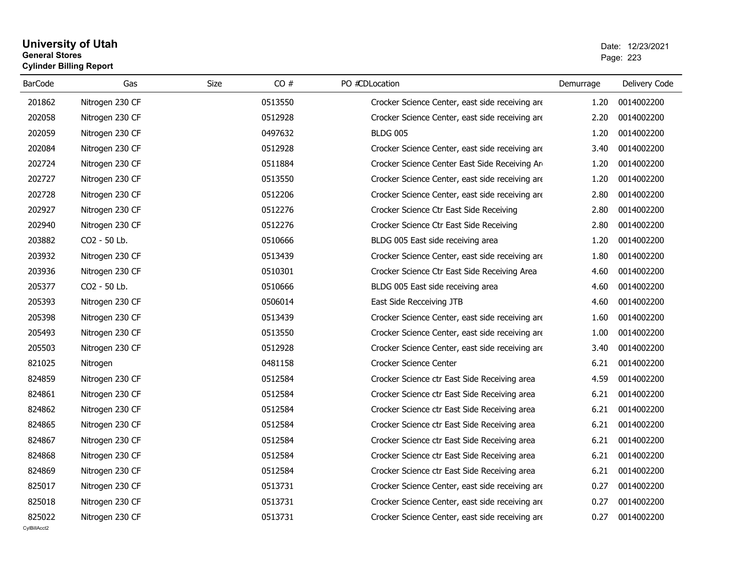## **University of Utah** Date: 12/23/2021 **General Stores**entry of the contract of the contract of the contract of the contract of the contract of the contract of the contract of the contract of the contract of the contract of the contract of the contract of the contract of the c **Cylinder Billing Report**

| <b>BarCode</b> | Gas             | <b>Size</b><br>CO# | PO #CDLocation                                  | Demurrage | Delivery Code |
|----------------|-----------------|--------------------|-------------------------------------------------|-----------|---------------|
| 201862         | Nitrogen 230 CF | 0513550            | Crocker Science Center, east side receiving are | 1.20      | 0014002200    |
| 202058         | Nitrogen 230 CF | 0512928            | Crocker Science Center, east side receiving are | 2.20      | 0014002200    |
| 202059         | Nitrogen 230 CF | 0497632            | <b>BLDG 005</b>                                 | 1.20      | 0014002200    |
| 202084         | Nitrogen 230 CF | 0512928            | Crocker Science Center, east side receiving are | 3.40      | 0014002200    |
| 202724         | Nitrogen 230 CF | 0511884            | Crocker Science Center East Side Receiving Are  | 1.20      | 0014002200    |
| 202727         | Nitrogen 230 CF | 0513550            | Crocker Science Center, east side receiving are | 1.20      | 0014002200    |
| 202728         | Nitrogen 230 CF | 0512206            | Crocker Science Center, east side receiving are | 2.80      | 0014002200    |
| 202927         | Nitrogen 230 CF | 0512276            | Crocker Science Ctr East Side Receiving         | 2.80      | 0014002200    |
| 202940         | Nitrogen 230 CF | 0512276            | Crocker Science Ctr East Side Receiving         | 2.80      | 0014002200    |
| 203882         | CO2 - 50 Lb.    | 0510666            | BLDG 005 East side receiving area               | 1.20      | 0014002200    |
| 203932         | Nitrogen 230 CF | 0513439            | Crocker Science Center, east side receiving are | 1.80      | 0014002200    |
| 203936         | Nitrogen 230 CF | 0510301            | Crocker Science Ctr East Side Receiving Area    | 4.60      | 0014002200    |
| 205377         | CO2 - 50 Lb.    | 0510666            | BLDG 005 East side receiving area               | 4.60      | 0014002200    |
| 205393         | Nitrogen 230 CF | 0506014            | East Side Recceiving JTB                        | 4.60      | 0014002200    |
| 205398         | Nitrogen 230 CF | 0513439            | Crocker Science Center, east side receiving are | 1.60      | 0014002200    |
| 205493         | Nitrogen 230 CF | 0513550            | Crocker Science Center, east side receiving are | 1.00      | 0014002200    |
| 205503         | Nitrogen 230 CF | 0512928            | Crocker Science Center, east side receiving are | 3.40      | 0014002200    |
| 821025         | Nitrogen        | 0481158            | <b>Crocker Science Center</b>                   | 6.21      | 0014002200    |
| 824859         | Nitrogen 230 CF | 0512584            | Crocker Science ctr East Side Receiving area    | 4.59      | 0014002200    |
| 824861         | Nitrogen 230 CF | 0512584            | Crocker Science ctr East Side Receiving area    | 6.21      | 0014002200    |
| 824862         | Nitrogen 230 CF | 0512584            | Crocker Science ctr East Side Receiving area    | 6.21      | 0014002200    |
| 824865         | Nitrogen 230 CF | 0512584            | Crocker Science ctr East Side Receiving area    | 6.21      | 0014002200    |
| 824867         | Nitrogen 230 CF | 0512584            | Crocker Science ctr East Side Receiving area    | 6.21      | 0014002200    |
| 824868         | Nitrogen 230 CF | 0512584            | Crocker Science ctr East Side Receiving area    | 6.21      | 0014002200    |
| 824869         | Nitrogen 230 CF | 0512584            | Crocker Science ctr East Side Receiving area    | 6.21      | 0014002200    |
| 825017         | Nitrogen 230 CF | 0513731            | Crocker Science Center, east side receiving are | 0.27      | 0014002200    |
| 825018         | Nitrogen 230 CF | 0513731            | Crocker Science Center, east side receiving are | 0.27      | 0014002200    |
| 825022         | Nitrogen 230 CF | 0513731            | Crocker Science Center, east side receiving are | 0.27      | 0014002200    |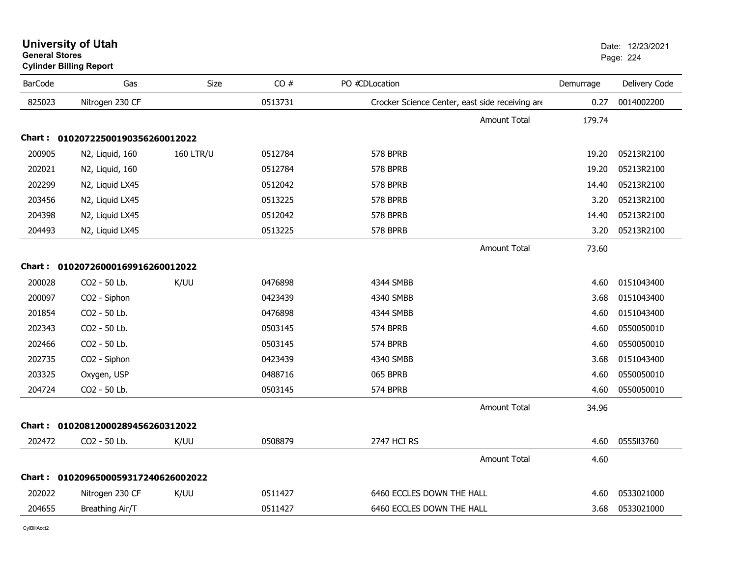| <b>BarCode</b> | Gas                                 | Size             | CO#     | PO #CDLocation                                  | Demurrage | Delivery Code |
|----------------|-------------------------------------|------------------|---------|-------------------------------------------------|-----------|---------------|
| 825023         | Nitrogen 230 CF                     |                  | 0513731 | Crocker Science Center, east side receiving are | 0.27      | 0014002200    |
|                |                                     |                  |         | <b>Amount Total</b>                             | 179.74    |               |
|                | Chart: 01020722500190356260012022   |                  |         |                                                 |           |               |
| 200905         | N2, Liquid, 160                     | <b>160 LTR/U</b> | 0512784 | 578 BPRB                                        | 19.20     | 05213R2100    |
| 202021         | N2, Liquid, 160                     |                  | 0512784 | 578 BPRB                                        | 19.20     | 05213R2100    |
| 202299         | N2, Liquid LX45                     |                  | 0512042 | 578 BPRB                                        | 14.40     | 05213R2100    |
| 203456         | N2, Liquid LX45                     |                  | 0513225 | 578 BPRB                                        | 3.20      | 05213R2100    |
| 204398         | N2, Liquid LX45                     |                  | 0512042 | 578 BPRB                                        | 14.40     | 05213R2100    |
| 204493         | N2, Liquid LX45                     |                  | 0513225 | 578 BPRB                                        | 3.20      | 05213R2100    |
|                |                                     |                  |         | <b>Amount Total</b>                             | 73.60     |               |
|                | Chart: 01020726000169916260012022   |                  |         |                                                 |           |               |
| 200028         | CO2 - 50 Lb.                        | K/UU             | 0476898 | 4344 SMBB                                       | 4.60      | 0151043400    |
| 200097         | CO2 - Siphon                        |                  | 0423439 | 4340 SMBB                                       | 3.68      | 0151043400    |
| 201854         | CO2 - 50 Lb.                        |                  | 0476898 | 4344 SMBB                                       | 4.60      | 0151043400    |
| 202343         | CO2 - 50 Lb.                        |                  | 0503145 | 574 BPRB                                        | 4.60      | 0550050010    |
| 202466         | CO2 - 50 Lb.                        |                  | 0503145 | 574 BPRB                                        | 4.60      | 0550050010    |
| 202735         | CO2 - Siphon                        |                  | 0423439 | 4340 SMBB                                       | 3.68      | 0151043400    |
| 203325         | Oxygen, USP                         |                  | 0488716 | 065 BPRB                                        | 4.60      | 0550050010    |
| 204724         | CO2 - 50 Lb.                        |                  | 0503145 | 574 BPRB                                        | 4.60      | 0550050010    |
|                |                                     |                  |         | <b>Amount Total</b>                             | 34.96     |               |
|                | Chart: 01020812000289456260312022   |                  |         |                                                 |           |               |
| 202472         | CO2 - 50 Lb.                        | K/UU             | 0508879 | <b>2747 HCI RS</b>                              | 4.60      | 0555113760    |
|                |                                     |                  |         | <b>Amount Total</b>                             | 4.60      |               |
|                | Chart: 0102096500059317240626002022 |                  |         |                                                 |           |               |
| 202022         | Nitrogen 230 CF                     | K/UU             | 0511427 | 6460 ECCLES DOWN THE HALL                       | 4.60      | 0533021000    |
| 204655         | Breathing Air/T                     |                  | 0511427 | 6460 ECCLES DOWN THE HALL                       | 3.68      | 0533021000    |

# **University of Utah** Date: 12/23/2021 **General Stores**

**Cylinder Billing Report**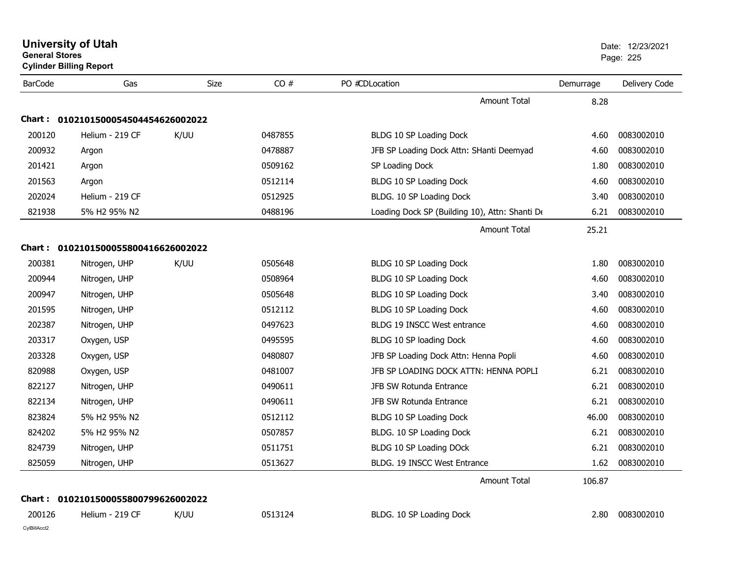| <b>General Stores</b> | <b>University of Utah</b><br><b>Cylinder Billing Report</b> |      |         |                                                |           | Date: 12/23/2021<br>Page: 225 |
|-----------------------|-------------------------------------------------------------|------|---------|------------------------------------------------|-----------|-------------------------------|
| <b>BarCode</b>        | Gas                                                         | Size | CO#     | PO #CDLocation                                 | Demurrage | Delivery Code                 |
|                       |                                                             |      |         | <b>Amount Total</b>                            | 8.28      |                               |
| Chart :               | 0102101500054504454626002022                                |      |         |                                                |           |                               |
| 200120                | Helium - 219 CF                                             | K/UU | 0487855 | BLDG 10 SP Loading Dock                        | 4.60      | 0083002010                    |
| 200932                | Argon                                                       |      | 0478887 | JFB SP Loading Dock Attn: SHanti Deemyad       | 4.60      | 0083002010                    |
| 201421                | Argon                                                       |      | 0509162 | SP Loading Dock                                | 1.80      | 0083002010                    |
| 201563                | Argon                                                       |      | 0512114 | BLDG 10 SP Loading Dock                        | 4.60      | 0083002010                    |
| 202024                | Helium - 219 CF                                             |      | 0512925 | BLDG. 10 SP Loading Dock                       | 3.40      | 0083002010                    |
| 821938                | 5% H2 95% N2                                                |      | 0488196 | Loading Dock SP (Building 10), Attn: Shanti De | 6.21      | 0083002010                    |
|                       |                                                             |      |         | <b>Amount Total</b>                            | 25.21     |                               |
|                       | Chart: 0102101500055800416626002022                         |      |         |                                                |           |                               |
| 200381                | Nitrogen, UHP                                               | K/UU | 0505648 | BLDG 10 SP Loading Dock                        | 1.80      | 0083002010                    |
| 200944                | Nitrogen, UHP                                               |      | 0508964 | BLDG 10 SP Loading Dock                        | 4.60      | 0083002010                    |
| 200947                | Nitrogen, UHP                                               |      | 0505648 | BLDG 10 SP Loading Dock                        | 3.40      | 0083002010                    |
| 201595                | Nitrogen, UHP                                               |      | 0512112 | BLDG 10 SP Loading Dock                        | 4.60      | 0083002010                    |
| 202387                | Nitrogen, UHP                                               |      | 0497623 | BLDG 19 INSCC West entrance                    | 4.60      | 0083002010                    |
| 203317                | Oxygen, USP                                                 |      | 0495595 | BLDG 10 SP loading Dock                        | 4.60      | 0083002010                    |
| 203328                | Oxygen, USP                                                 |      | 0480807 | JFB SP Loading Dock Attn: Henna Popli          | 4.60      | 0083002010                    |
| 820988                | Oxygen, USP                                                 |      | 0481007 | JFB SP LOADING DOCK ATTN: HENNA POPLI          | 6.21      | 0083002010                    |
| 822127                | Nitrogen, UHP                                               |      | 0490611 | JFB SW Rotunda Entrance                        | 6.21      | 0083002010                    |
| 822134                | Nitrogen, UHP                                               |      | 0490611 | JFB SW Rotunda Entrance                        | 6.21      | 0083002010                    |
| 823824                | 5% H2 95% N2                                                |      | 0512112 | BLDG 10 SP Loading Dock                        | 46.00     | 0083002010                    |
| 824202                | 5% H2 95% N2                                                |      | 0507857 | BLDG. 10 SP Loading Dock                       | 6.21      | 0083002010                    |
| 824739                | Nitrogen, UHP                                               |      | 0511751 | BLDG 10 SP Loading DOck                        | 6.21      | 0083002010                    |
| 825059                | Nitrogen, UHP                                               |      | 0513627 | BLDG. 19 INSCC West Entrance                   | 1.62      | 0083002010                    |
|                       |                                                             |      |         | <b>Amount Total</b>                            | 106.87    |                               |
|                       | Chart: 0102101500055800799626002022                         |      |         |                                                |           |                               |
| 200126                | Helium - 219 CF                                             | K/UU | 0513124 | BLDG. 10 SP Loading Dock                       | 2.80      | 0083002010                    |
| CylBillAcct2          |                                                             |      |         |                                                |           |                               |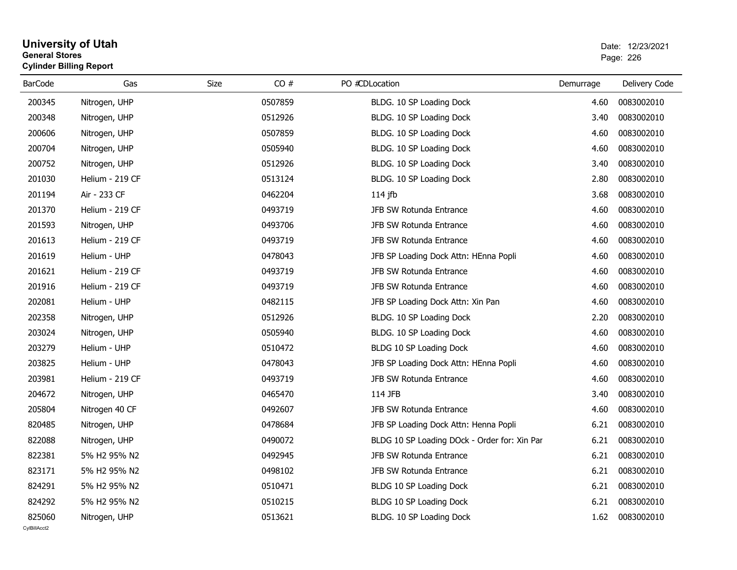# **University of Utah** Date: 12/23/2021 **General Stores**entry of the control of the control of the control of the control of the control of the control of the control of the control of the control of the control of the control of the control of the control of the control of the **Cylinder Billing Report**

| <b>BarCode</b> | Gas             | CO#<br>Size | PO #CDLocation                               | Demurrage | Delivery Code |
|----------------|-----------------|-------------|----------------------------------------------|-----------|---------------|
| 200345         | Nitrogen, UHP   | 0507859     | BLDG. 10 SP Loading Dock                     | 4.60      | 0083002010    |
| 200348         | Nitrogen, UHP   | 0512926     | BLDG. 10 SP Loading Dock                     | 3.40      | 0083002010    |
| 200606         | Nitrogen, UHP   | 0507859     | BLDG. 10 SP Loading Dock                     | 4.60      | 0083002010    |
| 200704         | Nitrogen, UHP   | 0505940     | BLDG. 10 SP Loading Dock                     | 4.60      | 0083002010    |
| 200752         | Nitrogen, UHP   | 0512926     | BLDG. 10 SP Loading Dock                     | 3.40      | 0083002010    |
| 201030         | Helium - 219 CF | 0513124     | BLDG. 10 SP Loading Dock                     | 2.80      | 0083002010    |
| 201194         | Air - 233 CF    | 0462204     | 114 jfb                                      | 3.68      | 0083002010    |
| 201370         | Helium - 219 CF | 0493719     | JFB SW Rotunda Entrance                      | 4.60      | 0083002010    |
| 201593         | Nitrogen, UHP   | 0493706     | JFB SW Rotunda Entrance                      | 4.60      | 0083002010    |
| 201613         | Helium - 219 CF | 0493719     | JFB SW Rotunda Entrance                      | 4.60      | 0083002010    |
| 201619         | Helium - UHP    | 0478043     | JFB SP Loading Dock Attn: HEnna Popli        | 4.60      | 0083002010    |
| 201621         | Helium - 219 CF | 0493719     | JFB SW Rotunda Entrance                      | 4.60      | 0083002010    |
| 201916         | Helium - 219 CF | 0493719     | JFB SW Rotunda Entrance                      | 4.60      | 0083002010    |
| 202081         | Helium - UHP    | 0482115     | JFB SP Loading Dock Attn: Xin Pan            | 4.60      | 0083002010    |
| 202358         | Nitrogen, UHP   | 0512926     | BLDG. 10 SP Loading Dock                     | 2.20      | 0083002010    |
| 203024         | Nitrogen, UHP   | 0505940     | BLDG. 10 SP Loading Dock                     | 4.60      | 0083002010    |
| 203279         | Helium - UHP    | 0510472     | BLDG 10 SP Loading Dock                      | 4.60      | 0083002010    |
| 203825         | Helium - UHP    | 0478043     | JFB SP Loading Dock Attn: HEnna Popli        | 4.60      | 0083002010    |
| 203981         | Helium - 219 CF | 0493719     | JFB SW Rotunda Entrance                      | 4.60      | 0083002010    |
| 204672         | Nitrogen, UHP   | 0465470     | 114 JFB                                      | 3.40      | 0083002010    |
| 205804         | Nitrogen 40 CF  | 0492607     | JFB SW Rotunda Entrance                      | 4.60      | 0083002010    |
| 820485         | Nitrogen, UHP   | 0478684     | JFB SP Loading Dock Attn: Henna Popli        | 6.21      | 0083002010    |
| 822088         | Nitrogen, UHP   | 0490072     | BLDG 10 SP Loading DOck - Order for: Xin Par | 6.21      | 0083002010    |
| 822381         | 5% H2 95% N2    | 0492945     | JFB SW Rotunda Entrance                      | 6.21      | 0083002010    |
| 823171         | 5% H2 95% N2    | 0498102     | JFB SW Rotunda Entrance                      | 6.21      | 0083002010    |
| 824291         | 5% H2 95% N2    | 0510471     | BLDG 10 SP Loading Dock                      | 6.21      | 0083002010    |
| 824292         | 5% H2 95% N2    | 0510215     | BLDG 10 SP Loading Dock                      | 6.21      | 0083002010    |
| 825060         | Nitrogen, UHP   | 0513621     | BLDG. 10 SP Loading Dock                     | 1.62      | 0083002010    |
| CvIBillAcct2   |                 |             |                                              |           |               |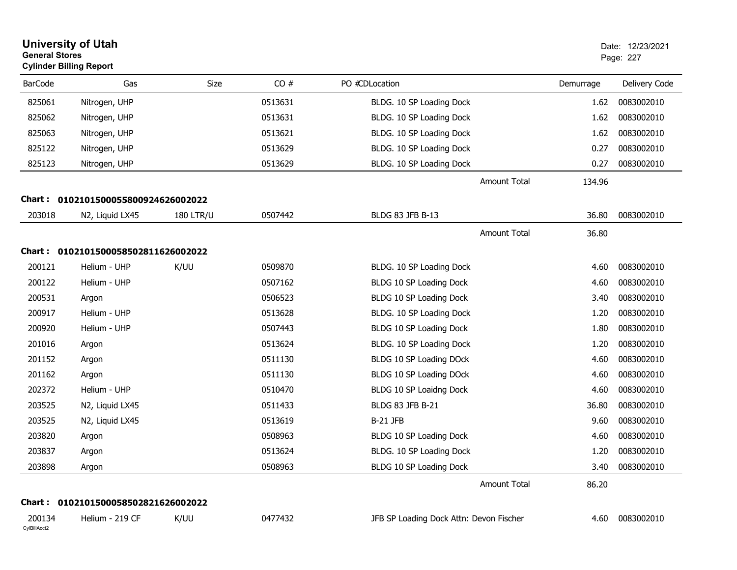| <b>General Stores</b>  | <b>University of Utah</b><br><b>Cylinder Billing Report</b> |                  |         |                                         |                     |           | Date: 12/23/2021<br>Page: 227 |
|------------------------|-------------------------------------------------------------|------------------|---------|-----------------------------------------|---------------------|-----------|-------------------------------|
| <b>BarCode</b>         | Gas                                                         | Size             | CO#     | PO #CDLocation                          |                     | Demurrage | Delivery Code                 |
| 825061                 | Nitrogen, UHP                                               |                  | 0513631 | BLDG. 10 SP Loading Dock                |                     | 1.62      | 0083002010                    |
| 825062                 | Nitrogen, UHP                                               |                  | 0513631 | BLDG. 10 SP Loading Dock                |                     | 1.62      | 0083002010                    |
| 825063                 | Nitrogen, UHP                                               |                  | 0513621 | BLDG. 10 SP Loading Dock                |                     | 1.62      | 0083002010                    |
| 825122                 | Nitrogen, UHP                                               |                  | 0513629 | BLDG. 10 SP Loading Dock                |                     | 0.27      | 0083002010                    |
| 825123                 | Nitrogen, UHP                                               |                  | 0513629 | BLDG. 10 SP Loading Dock                |                     | 0.27      | 0083002010                    |
|                        |                                                             |                  |         |                                         | <b>Amount Total</b> | 134.96    |                               |
|                        | Chart: 0102101500055800924626002022                         |                  |         |                                         |                     |           |                               |
| 203018                 | N2, Liquid LX45                                             | <b>180 LTR/U</b> | 0507442 | <b>BLDG 83 JFB B-13</b>                 |                     | 36.80     | 0083002010                    |
|                        |                                                             |                  |         |                                         | <b>Amount Total</b> | 36.80     |                               |
|                        | Chart: 0102101500058502811626002022                         |                  |         |                                         |                     |           |                               |
| 200121                 | Helium - UHP                                                | K/UU             | 0509870 | BLDG. 10 SP Loading Dock                |                     | 4.60      | 0083002010                    |
| 200122                 | Helium - UHP                                                |                  | 0507162 | BLDG 10 SP Loading Dock                 |                     | 4.60      | 0083002010                    |
| 200531                 | Argon                                                       |                  | 0506523 | BLDG 10 SP Loading Dock                 |                     | 3.40      | 0083002010                    |
| 200917                 | Helium - UHP                                                |                  | 0513628 | BLDG. 10 SP Loading Dock                |                     | 1.20      | 0083002010                    |
| 200920                 | Helium - UHP                                                |                  | 0507443 | BLDG 10 SP Loading Dock                 |                     | 1.80      | 0083002010                    |
| 201016                 | Argon                                                       |                  | 0513624 | BLDG. 10 SP Loading Dock                |                     | 1.20      | 0083002010                    |
| 201152                 | Argon                                                       |                  | 0511130 | BLDG 10 SP Loading DOck                 |                     | 4.60      | 0083002010                    |
| 201162                 | Argon                                                       |                  | 0511130 | BLDG 10 SP Loading DOck                 |                     | 4.60      | 0083002010                    |
| 202372                 | Helium - UHP                                                |                  | 0510470 | BLDG 10 SP Loaidng Dock                 |                     | 4.60      | 0083002010                    |
| 203525                 | N2, Liquid LX45                                             |                  | 0511433 | BLDG 83 JFB B-21                        |                     | 36.80     | 0083002010                    |
| 203525                 | N2, Liquid LX45                                             |                  | 0513619 | <b>B-21 JFB</b>                         |                     | 9.60      | 0083002010                    |
| 203820                 | Argon                                                       |                  | 0508963 | BLDG 10 SP Loading Dock                 |                     | 4.60      | 0083002010                    |
| 203837                 | Argon                                                       |                  | 0513624 | BLDG. 10 SP Loading Dock                |                     | 1.20      | 0083002010                    |
| 203898                 | Argon                                                       |                  | 0508963 | BLDG 10 SP Loading Dock                 |                     | 3.40      | 0083002010                    |
|                        |                                                             |                  |         |                                         | Amount Total        | 86.20     |                               |
|                        | Chart: 0102101500058502821626002022                         |                  |         |                                         |                     |           |                               |
| 200134<br>CylBillAcct2 | Helium - 219 CF                                             | K/UU             | 0477432 | JFB SP Loading Dock Attn: Devon Fischer |                     | 4.60      | 0083002010                    |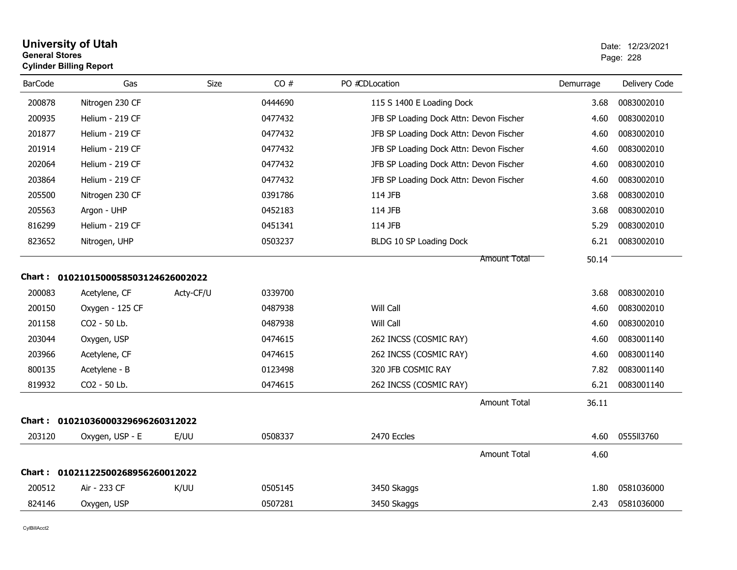| <b>General Stores</b> | <b>Cylinder Billing Report</b>      |           |         |                                         |           | Page: 228     |
|-----------------------|-------------------------------------|-----------|---------|-----------------------------------------|-----------|---------------|
| <b>BarCode</b>        | Gas                                 | Size      | CO#     | PO #CDLocation                          | Demurrage | Delivery Code |
| 200878                | Nitrogen 230 CF                     |           | 0444690 | 115 S 1400 E Loading Dock               | 3.68      | 0083002010    |
| 200935                | Helium - 219 CF                     |           | 0477432 | JFB SP Loading Dock Attn: Devon Fischer | 4.60      | 0083002010    |
| 201877                | Helium - 219 CF                     |           | 0477432 | JFB SP Loading Dock Attn: Devon Fischer | 4.60      | 0083002010    |
| 201914                | Helium - 219 CF                     |           | 0477432 | JFB SP Loading Dock Attn: Devon Fischer | 4.60      | 0083002010    |
| 202064                | Helium - 219 CF                     |           | 0477432 | JFB SP Loading Dock Attn: Devon Fischer | 4.60      | 0083002010    |
| 203864                | Helium - 219 CF                     |           | 0477432 | JFB SP Loading Dock Attn: Devon Fischer | 4.60      | 0083002010    |
| 205500                | Nitrogen 230 CF                     |           | 0391786 | 114 JFB                                 | 3.68      | 0083002010    |
| 205563                | Argon - UHP                         |           | 0452183 | 114 JFB                                 | 3.68      | 0083002010    |
| 816299                | Helium - 219 CF                     |           | 0451341 | 114 JFB                                 | 5.29      | 0083002010    |
| 823652                | Nitrogen, UHP                       |           | 0503237 | BLDG 10 SP Loading Dock                 | 6.21      | 0083002010    |
|                       |                                     |           |         | <b>Amount Total</b>                     | 50.14     |               |
|                       | Chart: 0102101500058503124626002022 |           |         |                                         |           |               |
| 200083                | Acetylene, CF                       | Acty-CF/U | 0339700 |                                         | 3.68      | 0083002010    |
| 200150                | Oxygen - 125 CF                     |           | 0487938 | Will Call                               | 4.60      | 0083002010    |
| 201158                | CO2 - 50 Lb.                        |           | 0487938 | Will Call                               | 4.60      | 0083002010    |
| 203044                | Oxygen, USP                         |           | 0474615 | 262 INCSS (COSMIC RAY)                  | 4.60      | 0083001140    |
| 203966                | Acetylene, CF                       |           | 0474615 | 262 INCSS (COSMIC RAY)                  | 4.60      | 0083001140    |
| 800135                | Acetylene - B                       |           | 0123498 | 320 JFB COSMIC RAY                      | 7.82      | 0083001140    |
| 819932                | CO2 - 50 Lb.                        |           | 0474615 | 262 INCSS (COSMIC RAY)                  | 6.21      | 0083001140    |
|                       |                                     |           |         | <b>Amount Total</b>                     | 36.11     |               |
|                       | Chart: 01021036000329696260312022   |           |         |                                         |           |               |
| 203120                | Oxygen, USP - E                     | E/UU      | 0508337 | 2470 Eccles                             | 4.60      | 0555113760    |
|                       |                                     |           |         | <b>Amount Total</b>                     | 4.60      |               |
|                       | Chart: 01021122500268956260012022   |           |         |                                         |           |               |
| 200512                | Air - 233 CF                        | K/UU      | 0505145 | 3450 Skaggs                             | 1.80      | 0581036000    |
| 824146                | Oxygen, USP                         |           | 0507281 | 3450 Skaggs                             | 2.43      | 0581036000    |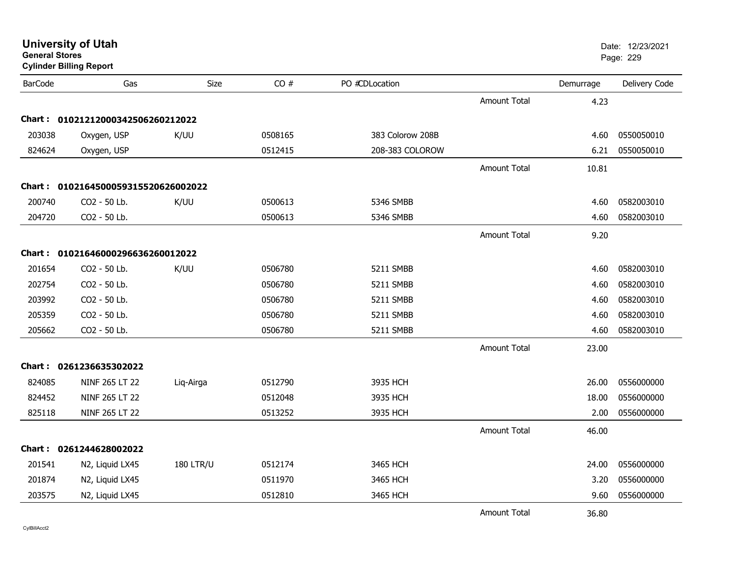| General Stores | <b>Cylinder Billing Report</b>      |                  |         |                  |                     |           | Page: 229     |
|----------------|-------------------------------------|------------------|---------|------------------|---------------------|-----------|---------------|
| <b>BarCode</b> | Gas                                 | Size             | CO#     | PO #CDLocation   |                     | Demurrage | Delivery Code |
|                |                                     |                  |         |                  | <b>Amount Total</b> | 4.23      |               |
|                | Chart: 01021212000342506260212022   |                  |         |                  |                     |           |               |
| 203038         | Oxygen, USP                         | K/UU             | 0508165 | 383 Colorow 208B |                     | 4.60      | 0550050010    |
| 824624         | Oxygen, USP                         |                  | 0512415 | 208-383 COLOROW  |                     | 6.21      | 0550050010    |
|                |                                     |                  |         |                  | Amount Total        | 10.81     |               |
|                | Chart: 0102164500059315520626002022 |                  |         |                  |                     |           |               |
| 200740         | CO2 - 50 Lb.                        | K/UU             | 0500613 | 5346 SMBB        |                     | 4.60      | 0582003010    |
| 204720         | CO2 - 50 Lb.                        |                  | 0500613 | 5346 SMBB        |                     | 4.60      | 0582003010    |
|                |                                     |                  |         |                  | <b>Amount Total</b> | 9.20      |               |
|                | Chart: 01021646000296636260012022   |                  |         |                  |                     |           |               |
| 201654         | CO2 - 50 Lb.                        | K/UU             | 0506780 | 5211 SMBB        |                     | 4.60      | 0582003010    |
| 202754         | CO2 - 50 Lb.                        |                  | 0506780 | 5211 SMBB        |                     | 4.60      | 0582003010    |
| 203992         | CO2 - 50 Lb.                        |                  | 0506780 | 5211 SMBB        |                     | 4.60      | 0582003010    |
| 205359         | CO2 - 50 Lb.                        |                  | 0506780 | 5211 SMBB        |                     | 4.60      | 0582003010    |
| 205662         | CO2 - 50 Lb.                        |                  | 0506780 | 5211 SMBB        |                     | 4.60      | 0582003010    |
|                |                                     |                  |         |                  | <b>Amount Total</b> | 23.00     |               |
|                | Chart: 0261236635302022             |                  |         |                  |                     |           |               |
| 824085         | NINF 265 LT 22                      | Liq-Airga        | 0512790 | 3935 HCH         |                     | 26.00     | 0556000000    |
| 824452         | NINF 265 LT 22                      |                  | 0512048 | 3935 HCH         |                     | 18.00     | 0556000000    |
| 825118         | NINF 265 LT 22                      |                  | 0513252 | 3935 HCH         |                     | 2.00      | 0556000000    |
|                |                                     |                  |         |                  | <b>Amount Total</b> | 46.00     |               |
|                | Chart: 0261244628002022             |                  |         |                  |                     |           |               |
| 201541         | N2, Liquid LX45                     | <b>180 LTR/U</b> | 0512174 | 3465 HCH         |                     | 24.00     | 0556000000    |
| 201874         | N2, Liquid LX45                     |                  | 0511970 | 3465 HCH         |                     | 3.20      | 0556000000    |
| 203575         | N2, Liquid LX45                     |                  | 0512810 | 3465 HCH         |                     | 9.60      | 0556000000    |
|                |                                     |                  |         |                  | <b>Amount Total</b> | 36.80     |               |

CylBillAcct2

**General Stores**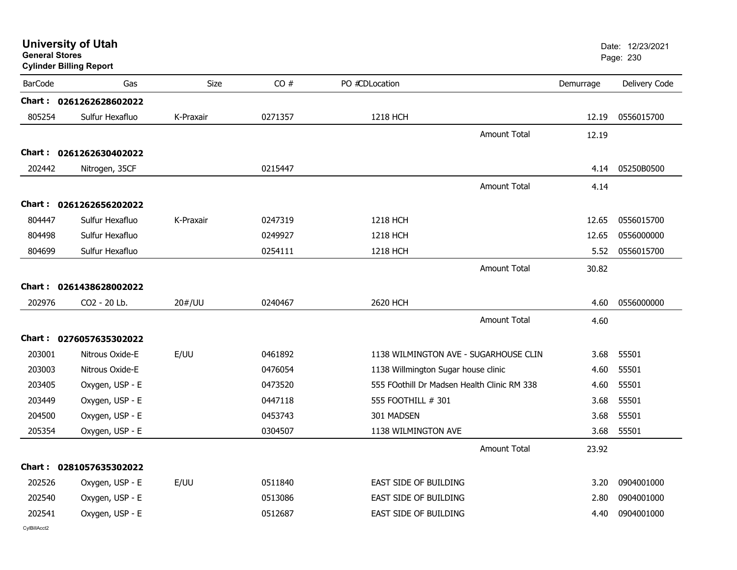| <b>General Stores</b> | <b>University of Utah</b><br><b>Cylinder Billing Report</b> |           |         |                                     |                                             |           | Date: 12/23/2021<br>Page: 230 |
|-----------------------|-------------------------------------------------------------|-----------|---------|-------------------------------------|---------------------------------------------|-----------|-------------------------------|
| <b>BarCode</b>        | Gas                                                         | Size      | CO#     | PO #CDLocation                      |                                             | Demurrage | Delivery Code                 |
|                       | Chart: 0261262628602022                                     |           |         |                                     |                                             |           |                               |
| 805254                | Sulfur Hexafluo                                             | K-Praxair | 0271357 | 1218 HCH                            |                                             | 12.19     | 0556015700                    |
|                       |                                                             |           |         |                                     | Amount Total                                | 12.19     |                               |
|                       | Chart: 0261262630402022                                     |           |         |                                     |                                             |           |                               |
| 202442                | Nitrogen, 35CF                                              |           | 0215447 |                                     |                                             | 4.14      | 05250B0500                    |
|                       |                                                             |           |         |                                     | <b>Amount Total</b>                         | 4.14      |                               |
|                       | Chart: 0261262656202022                                     |           |         |                                     |                                             |           |                               |
| 804447                | Sulfur Hexafluo                                             | K-Praxair | 0247319 | 1218 HCH                            |                                             | 12.65     | 0556015700                    |
| 804498                | Sulfur Hexafluo                                             |           | 0249927 | 1218 HCH                            |                                             | 12.65     | 0556000000                    |
| 804699                | Sulfur Hexafluo                                             |           | 0254111 | 1218 HCH                            |                                             | 5.52      | 0556015700                    |
|                       |                                                             |           |         |                                     | Amount Total                                | 30.82     |                               |
|                       | Chart: 0261438628002022                                     |           |         |                                     |                                             |           |                               |
| 202976                | CO2 - 20 Lb.                                                | 20#/UU    | 0240467 | 2620 HCH                            |                                             | 4.60      | 0556000000                    |
|                       |                                                             |           |         |                                     | <b>Amount Total</b>                         | 4.60      |                               |
|                       | Chart: 0276057635302022                                     |           |         |                                     |                                             |           |                               |
| 203001                | Nitrous Oxide-E                                             | E/UU      | 0461892 |                                     | 1138 WILMINGTON AVE - SUGARHOUSE CLIN       | 3.68      | 55501                         |
| 203003                | Nitrous Oxide-E                                             |           | 0476054 | 1138 Willmington Sugar house clinic |                                             | 4.60      | 55501                         |
| 203405                | Oxygen, USP - E                                             |           | 0473520 |                                     | 555 FOothill Dr Madsen Health Clinic RM 338 | 4.60      | 55501                         |
| 203449                | Oxygen, USP - E                                             |           | 0447118 | 555 FOOTHILL # 301                  |                                             | 3.68      | 55501                         |
| 204500                | Oxygen, USP - E                                             |           | 0453743 | 301 MADSEN                          |                                             | 3.68      | 55501                         |
| 205354                | Oxygen, USP - E                                             |           | 0304507 | 1138 WILMINGTON AVE                 |                                             | 3.68      | 55501                         |
|                       |                                                             |           |         |                                     | <b>Amount Total</b>                         | 23.92     |                               |
|                       | Chart: 0281057635302022                                     |           |         |                                     |                                             |           |                               |
| 202526                | Oxygen, USP - E                                             | E/UU      | 0511840 | EAST SIDE OF BUILDING               |                                             | 3.20      | 0904001000                    |
| 202540                | Oxygen, USP - E                                             |           | 0513086 | EAST SIDE OF BUILDING               |                                             | 2.80      | 0904001000                    |
| 202541                | Oxygen, USP - E                                             |           | 0512687 | EAST SIDE OF BUILDING               |                                             | 4.40      | 0904001000                    |
| CvIBillAcct2          |                                                             |           |         |                                     |                                             |           |                               |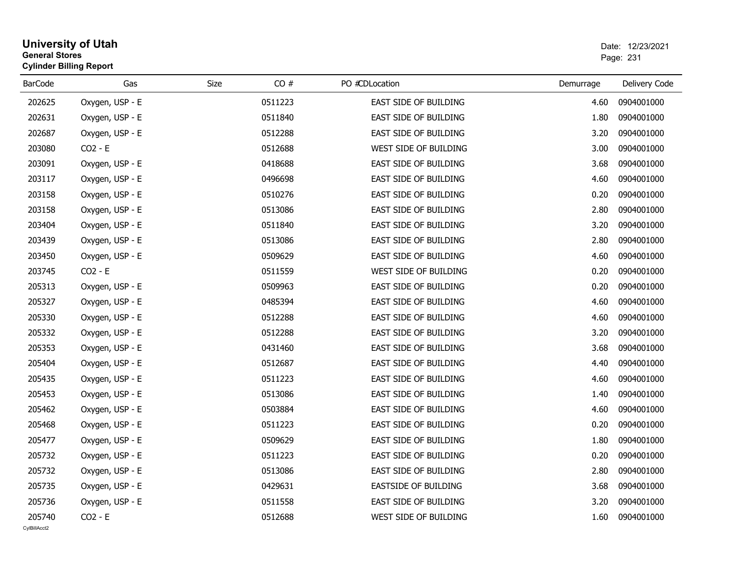## **University of Utah** Date: 12/23/2021 **General Stores**er and the state of the state of the state of the state of the state of the state of the Page: 231  $\,$ **Cylinder Billing Report**

| <b>BarCode</b> | Gas             | CO#<br>Size | PO #CDLocation               | Demurrage | Delivery Code |
|----------------|-----------------|-------------|------------------------------|-----------|---------------|
| 202625         | Oxygen, USP - E | 0511223     | EAST SIDE OF BUILDING        | 4.60      | 0904001000    |
| 202631         | Oxygen, USP - E | 0511840     | <b>EAST SIDE OF BUILDING</b> | 1.80      | 0904001000    |
| 202687         | Oxygen, USP - E | 0512288     | <b>EAST SIDE OF BUILDING</b> | 3.20      | 0904001000    |
| 203080         | $CO2 - E$       | 0512688     | WEST SIDE OF BUILDING        | 3.00      | 0904001000    |
| 203091         | Oxygen, USP - E | 0418688     | EAST SIDE OF BUILDING        | 3.68      | 0904001000    |
| 203117         | Oxygen, USP - E | 0496698     | EAST SIDE OF BUILDING        | 4.60      | 0904001000    |
| 203158         | Oxygen, USP - E | 0510276     | <b>EAST SIDE OF BUILDING</b> | 0.20      | 0904001000    |
| 203158         | Oxygen, USP - E | 0513086     | EAST SIDE OF BUILDING        | 2.80      | 0904001000    |
| 203404         | Oxygen, USP - E | 0511840     | <b>EAST SIDE OF BUILDING</b> | 3.20      | 0904001000    |
| 203439         | Oxygen, USP - E | 0513086     | EAST SIDE OF BUILDING        | 2.80      | 0904001000    |
| 203450         | Oxygen, USP - E | 0509629     | EAST SIDE OF BUILDING        | 4.60      | 0904001000    |
| 203745         | $CO2 - E$       | 0511559     | WEST SIDE OF BUILDING        | 0.20      | 0904001000    |
| 205313         | Oxygen, USP - E | 0509963     | <b>EAST SIDE OF BUILDING</b> | 0.20      | 0904001000    |
| 205327         | Oxygen, USP - E | 0485394     | EAST SIDE OF BUILDING        | 4.60      | 0904001000    |
| 205330         | Oxygen, USP - E | 0512288     | EAST SIDE OF BUILDING        | 4.60      | 0904001000    |
| 205332         | Oxygen, USP - E | 0512288     | EAST SIDE OF BUILDING        | 3.20      | 0904001000    |
| 205353         | Oxygen, USP - E | 0431460     | EAST SIDE OF BUILDING        | 3.68      | 0904001000    |
| 205404         | Oxygen, USP - E | 0512687     | EAST SIDE OF BUILDING        | 4.40      | 0904001000    |
| 205435         | Oxygen, USP - E | 0511223     | EAST SIDE OF BUILDING        | 4.60      | 0904001000    |
| 205453         | Oxygen, USP - E | 0513086     | EAST SIDE OF BUILDING        | 1.40      | 0904001000    |
| 205462         | Oxygen, USP - E | 0503884     | EAST SIDE OF BUILDING        | 4.60      | 0904001000    |
| 205468         | Oxygen, USP - E | 0511223     | EAST SIDE OF BUILDING        | 0.20      | 0904001000    |
| 205477         | Oxygen, USP - E | 0509629     | EAST SIDE OF BUILDING        | 1.80      | 0904001000    |
| 205732         | Oxygen, USP - E | 0511223     | EAST SIDE OF BUILDING        | 0.20      | 0904001000    |
| 205732         | Oxygen, USP - E | 0513086     | EAST SIDE OF BUILDING        | 2.80      | 0904001000    |
| 205735         | Oxygen, USP - E | 0429631     | EASTSIDE OF BUILDING         | 3.68      | 0904001000    |
| 205736         | Oxygen, USP - E | 0511558     | EAST SIDE OF BUILDING        | 3.20      | 0904001000    |
| 205740         | $CO2 - E$       | 0512688     | WEST SIDE OF BUILDING        | 1.60      | 0904001000    |
| CvIBillAcct2   |                 |             |                              |           |               |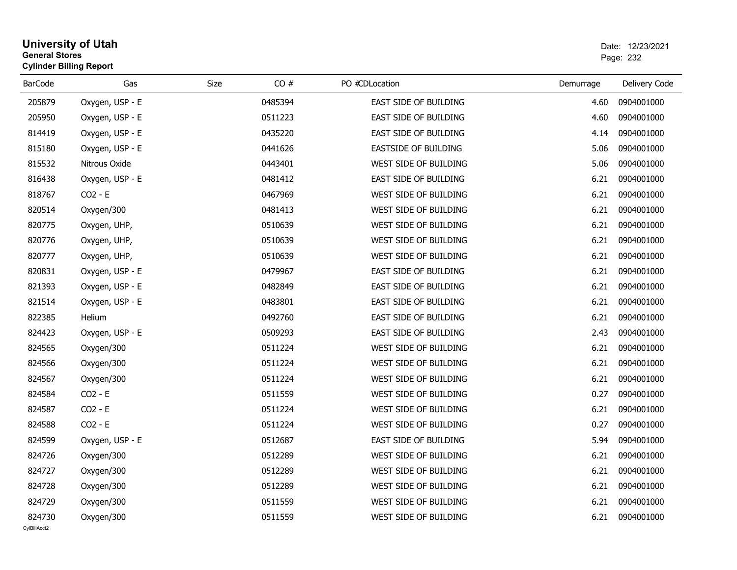## **University of Utah** Date: 12/23/2021 **General Stores**estate the control of the control of the control of the control of the control of the control of the control of the control of the control of the control of the control of the control of the control of the control of the c **Cylinder Billing Report**

| <b>BarCode</b> | Gas             | CO#<br>Size | PO #CDLocation               | Demurrage | Delivery Code |
|----------------|-----------------|-------------|------------------------------|-----------|---------------|
| 205879         | Oxygen, USP - E | 0485394     | EAST SIDE OF BUILDING        | 4.60      | 0904001000    |
| 205950         | Oxygen, USP - E | 0511223     | EAST SIDE OF BUILDING        | 4.60      | 0904001000    |
| 814419         | Oxygen, USP - E | 0435220     | EAST SIDE OF BUILDING        | 4.14      | 0904001000    |
| 815180         | Oxygen, USP - E | 0441626     | <b>EASTSIDE OF BUILDING</b>  | 5.06      | 0904001000    |
| 815532         | Nitrous Oxide   | 0443401     | WEST SIDE OF BUILDING        | 5.06      | 0904001000    |
| 816438         | Oxygen, USP - E | 0481412     | EAST SIDE OF BUILDING        | 6.21      | 0904001000    |
| 818767         | $CO2 - E$       | 0467969     | WEST SIDE OF BUILDING        | 6.21      | 0904001000    |
| 820514         | Oxygen/300      | 0481413     | WEST SIDE OF BUILDING        | 6.21      | 0904001000    |
| 820775         | Oxygen, UHP,    | 0510639     | WEST SIDE OF BUILDING        | 6.21      | 0904001000    |
| 820776         | Oxygen, UHP,    | 0510639     | WEST SIDE OF BUILDING        | 6.21      | 0904001000    |
| 820777         | Oxygen, UHP,    | 0510639     | WEST SIDE OF BUILDING        | 6.21      | 0904001000    |
| 820831         | Oxygen, USP - E | 0479967     | EAST SIDE OF BUILDING        | 6.21      | 0904001000    |
| 821393         | Oxygen, USP - E | 0482849     | <b>EAST SIDE OF BUILDING</b> | 6.21      | 0904001000    |
| 821514         | Oxygen, USP - E | 0483801     | EAST SIDE OF BUILDING        | 6.21      | 0904001000    |
| 822385         | Helium          | 0492760     | EAST SIDE OF BUILDING        | 6.21      | 0904001000    |
| 824423         | Oxygen, USP - E | 0509293     | EAST SIDE OF BUILDING        | 2.43      | 0904001000    |
| 824565         | Oxygen/300      | 0511224     | WEST SIDE OF BUILDING        | 6.21      | 0904001000    |
| 824566         | Oxygen/300      | 0511224     | WEST SIDE OF BUILDING        | 6.21      | 0904001000    |
| 824567         | Oxygen/300      | 0511224     | WEST SIDE OF BUILDING        | 6.21      | 0904001000    |
| 824584         | $CO2 - E$       | 0511559     | WEST SIDE OF BUILDING        | 0.27      | 0904001000    |
| 824587         | $CO2 - E$       | 0511224     | WEST SIDE OF BUILDING        | 6.21      | 0904001000    |
| 824588         | $CO2 - E$       | 0511224     | WEST SIDE OF BUILDING        | 0.27      | 0904001000    |
| 824599         | Oxygen, USP - E | 0512687     | EAST SIDE OF BUILDING        | 5.94      | 0904001000    |
| 824726         | Oxygen/300      | 0512289     | WEST SIDE OF BUILDING        | 6.21      | 0904001000    |
| 824727         | Oxygen/300      | 0512289     | WEST SIDE OF BUILDING        | 6.21      | 0904001000    |
| 824728         | Oxygen/300      | 0512289     | WEST SIDE OF BUILDING        | 6.21      | 0904001000    |
| 824729         | Oxygen/300      | 0511559     | WEST SIDE OF BUILDING        | 6.21      | 0904001000    |
| 824730         | Oxygen/300      | 0511559     | WEST SIDE OF BUILDING        | 6.21      | 0904001000    |
| CvIBillAcct2   |                 |             |                              |           |               |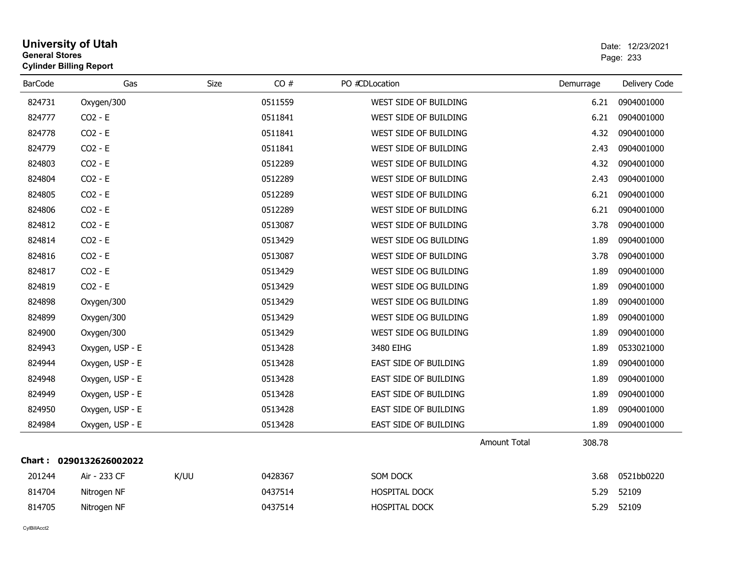| <b>General Stores</b> | <b>Cylinder Billing Report</b> |      |         |                       |                               | Page: 233     |
|-----------------------|--------------------------------|------|---------|-----------------------|-------------------------------|---------------|
| <b>BarCode</b>        | Gas                            | Size | CO#     | PO #CDLocation        | Demurrage                     | Delivery Code |
| 824731                | Oxygen/300                     |      | 0511559 | WEST SIDE OF BUILDING | 6.21                          | 0904001000    |
| 824777                | $CO2 - E$                      |      | 0511841 | WEST SIDE OF BUILDING | 6.21                          | 0904001000    |
| 824778                | $CO2 - E$                      |      | 0511841 | WEST SIDE OF BUILDING | 4.32                          | 0904001000    |
| 824779                | $CO2 - E$                      |      | 0511841 | WEST SIDE OF BUILDING | 2.43                          | 0904001000    |
| 824803                | $CO2 - E$                      |      | 0512289 | WEST SIDE OF BUILDING | 4.32                          | 0904001000    |
| 824804                | $CO2 - E$                      |      | 0512289 | WEST SIDE OF BUILDING | 2.43                          | 0904001000    |
| 824805                | $CO2 - E$                      |      | 0512289 | WEST SIDE OF BUILDING | 6.21                          | 0904001000    |
| 824806                | $CO2 - E$                      |      | 0512289 | WEST SIDE OF BUILDING | 6.21                          | 0904001000    |
| 824812                | CO2 - E                        |      | 0513087 | WEST SIDE OF BUILDING | 3.78                          | 0904001000    |
| 824814                | $CO2 - E$                      |      | 0513429 | WEST SIDE OG BUILDING | 1.89                          | 0904001000    |
| 824816                | $CO2 - E$                      |      | 0513087 | WEST SIDE OF BUILDING | 3.78                          | 0904001000    |
| 824817                | $CO2 - E$                      |      | 0513429 | WEST SIDE OG BUILDING | 1.89                          | 0904001000    |
| 824819                | $CO2 - E$                      |      | 0513429 | WEST SIDE OG BUILDING | 1.89                          | 0904001000    |
| 824898                | Oxygen/300                     |      | 0513429 | WEST SIDE OG BUILDING | 1.89                          | 0904001000    |
| 824899                | Oxygen/300                     |      | 0513429 | WEST SIDE OG BUILDING | 1.89                          | 0904001000    |
| 824900                | Oxygen/300                     |      | 0513429 | WEST SIDE OG BUILDING | 1.89                          | 0904001000    |
| 824943                | Oxygen, USP - E                |      | 0513428 | 3480 EIHG             | 1.89                          | 0533021000    |
| 824944                | Oxygen, USP - E                |      | 0513428 | EAST SIDE OF BUILDING | 1.89                          | 0904001000    |
| 824948                | Oxygen, USP - E                |      | 0513428 | EAST SIDE OF BUILDING | 1.89                          | 0904001000    |
| 824949                | Oxygen, USP - E                |      | 0513428 | EAST SIDE OF BUILDING | 1.89                          | 0904001000    |
| 824950                | Oxygen, USP - E                |      | 0513428 | EAST SIDE OF BUILDING | 1.89                          | 0904001000    |
| 824984                | Oxygen, USP - E                |      | 0513428 | EAST SIDE OF BUILDING | 1.89                          | 0904001000    |
|                       |                                |      |         |                       | <b>Amount Total</b><br>308.78 |               |
|                       | Chart: 0290132626002022        |      |         |                       |                               |               |
| 201244                | Air - 233 CF                   | K/UU | 0428367 | SOM DOCK              | 3.68                          | 0521bb0220    |
| 814704                | Nitrogen NF                    |      | 0437514 | <b>HOSPITAL DOCK</b>  | 5.29                          | 52109         |
| 814705                | Nitrogen NF                    |      | 0437514 | <b>HOSPITAL DOCK</b>  | 5.29                          | 52109         |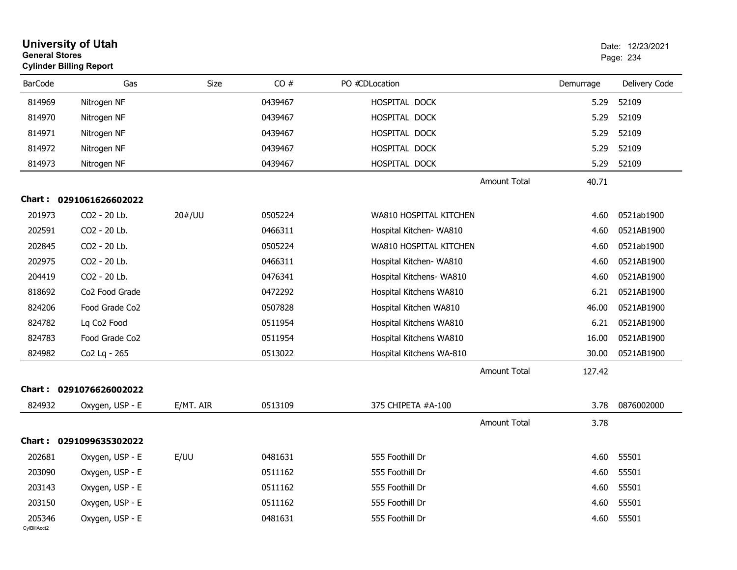| <b>General Stores</b>  | <b>University of Utah</b><br><b>Cylinder Billing Report</b> |             |         |                          |           | Date: 12/23/2021<br>Page: 234 |
|------------------------|-------------------------------------------------------------|-------------|---------|--------------------------|-----------|-------------------------------|
| <b>BarCode</b>         | Gas                                                         | <b>Size</b> | CO#     | PO #CDLocation           | Demurrage | Delivery Code                 |
| 814969                 | Nitrogen NF                                                 |             | 0439467 | HOSPITAL DOCK            | 5.29      | 52109                         |
| 814970                 | Nitrogen NF                                                 |             | 0439467 | HOSPITAL DOCK            | 5.29      | 52109                         |
| 814971                 | Nitrogen NF                                                 |             | 0439467 | HOSPITAL DOCK            | 5.29      | 52109                         |
| 814972                 | Nitrogen NF                                                 |             | 0439467 | HOSPITAL DOCK            | 5.29      | 52109                         |
| 814973                 | Nitrogen NF                                                 |             | 0439467 | HOSPITAL DOCK            | 5.29      | 52109                         |
|                        |                                                             |             |         | <b>Amount Total</b>      | 40.71     |                               |
|                        | Chart: 0291061626602022                                     |             |         |                          |           |                               |
| 201973                 | CO2 - 20 Lb.                                                | 20#/UU      | 0505224 | WA810 HOSPITAL KITCHEN   | 4.60      | 0521ab1900                    |
| 202591                 | CO2 - 20 Lb.                                                |             | 0466311 | Hospital Kitchen- WA810  | 4.60      | 0521AB1900                    |
| 202845                 | CO2 - 20 Lb.                                                |             | 0505224 | WA810 HOSPITAL KITCHEN   | 4.60      | 0521ab1900                    |
| 202975                 | CO2 - 20 Lb.                                                |             | 0466311 | Hospital Kitchen- WA810  | 4.60      | 0521AB1900                    |
| 204419                 | CO2 - 20 Lb.                                                |             | 0476341 | Hospital Kitchens- WA810 | 4.60      | 0521AB1900                    |
| 818692                 | Co <sub>2</sub> Food Grade                                  |             | 0472292 | Hospital Kitchens WA810  | 6.21      | 0521AB1900                    |
| 824206                 | Food Grade Co2                                              |             | 0507828 | Hospital Kitchen WA810   | 46.00     | 0521AB1900                    |
| 824782                 | Lq Co <sub>2</sub> Food                                     |             | 0511954 | Hospital Kitchens WA810  | 6.21      | 0521AB1900                    |
| 824783                 | Food Grade Co2                                              |             | 0511954 | Hospital Kitchens WA810  | 16.00     | 0521AB1900                    |
| 824982                 | Co2 Lq - 265                                                |             | 0513022 | Hospital Kitchens WA-810 | 30.00     | 0521AB1900                    |
|                        |                                                             |             |         | <b>Amount Total</b>      | 127.42    |                               |
| Chart :                | 0291076626002022                                            |             |         |                          |           |                               |
| 824932                 | Oxygen, USP - E                                             | E/MT. AIR   | 0513109 | 375 CHIPETA #A-100       | 3.78      | 0876002000                    |
|                        |                                                             |             |         | <b>Amount Total</b>      | 3.78      |                               |
|                        | Chart: 0291099635302022                                     |             |         |                          |           |                               |
| 202681                 | Oxygen, USP - E                                             | E/UU        | 0481631 | 555 Foothill Dr          | 4.60      | 55501                         |
| 203090                 | Oxygen, USP - E                                             |             | 0511162 | 555 Foothill Dr          | 4.60      | 55501                         |
| 203143                 | Oxygen, USP - E                                             |             | 0511162 | 555 Foothill Dr          | 4.60      | 55501                         |
| 203150                 | Oxygen, USP - E                                             |             | 0511162 | 555 Foothill Dr          | 4.60      | 55501                         |
| 205346<br>CylBillAcct2 | Oxygen, USP - E                                             |             | 0481631 | 555 Foothill Dr          | 4.60      | 55501                         |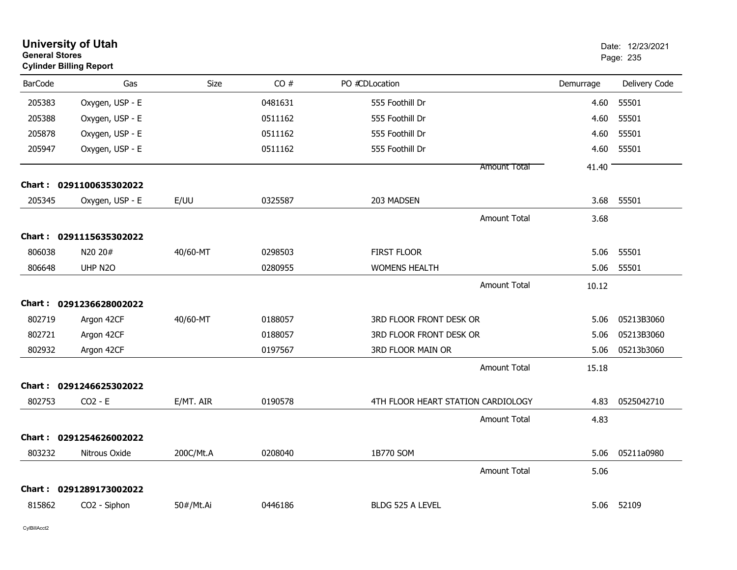| <b>General Stores</b> | <b>University of Utah</b><br><b>Cylinder Billing Report</b> |             |         |                                    |                     |           | Date: 12/23/2021<br>Page: 235 |
|-----------------------|-------------------------------------------------------------|-------------|---------|------------------------------------|---------------------|-----------|-------------------------------|
| <b>BarCode</b>        | Gas                                                         | <b>Size</b> | CO#     | PO #CDLocation                     |                     | Demurrage | Delivery Code                 |
| 205383                | Oxygen, USP - E                                             |             | 0481631 | 555 Foothill Dr                    |                     | 4.60      | 55501                         |
| 205388                | Oxygen, USP - E                                             |             | 0511162 | 555 Foothill Dr                    |                     | 4.60      | 55501                         |
| 205878                | Oxygen, USP - E                                             |             | 0511162 | 555 Foothill Dr                    |                     | 4.60      | 55501                         |
| 205947                | Oxygen, USP - E                                             |             | 0511162 | 555 Foothill Dr                    |                     | 4.60      | 55501                         |
|                       |                                                             |             |         |                                    | <b>Amount Total</b> | 41.40     |                               |
|                       | Chart: 0291100635302022                                     |             |         |                                    |                     |           |                               |
| 205345                | Oxygen, USP - E                                             | E/UU        | 0325587 | 203 MADSEN                         |                     | 3.68      | 55501                         |
|                       |                                                             |             |         |                                    | <b>Amount Total</b> | 3.68      |                               |
|                       | Chart: 0291115635302022                                     |             |         |                                    |                     |           |                               |
| 806038                | N20 20#                                                     | 40/60-MT    | 0298503 | <b>FIRST FLOOR</b>                 |                     | 5.06      | 55501                         |
| 806648                | UHP N <sub>20</sub>                                         |             | 0280955 | <b>WOMENS HEALTH</b>               |                     | 5.06      | 55501                         |
|                       |                                                             |             |         |                                    | <b>Amount Total</b> | 10.12     |                               |
|                       | Chart: 0291236628002022                                     |             |         |                                    |                     |           |                               |
| 802719                | Argon 42CF                                                  | 40/60-MT    | 0188057 | 3RD FLOOR FRONT DESK OR            |                     | 5.06      | 05213B3060                    |
| 802721                | Argon 42CF                                                  |             | 0188057 | 3RD FLOOR FRONT DESK OR            |                     | 5.06      | 05213B3060                    |
| 802932                | Argon 42CF                                                  |             | 0197567 | 3RD FLOOR MAIN OR                  |                     | 5.06      | 05213b3060                    |
|                       |                                                             |             |         |                                    | <b>Amount Total</b> | 15.18     |                               |
|                       | Chart: 0291246625302022                                     |             |         |                                    |                     |           |                               |
| 802753                | $CO2 - E$                                                   | E/MT. AIR   | 0190578 | 4TH FLOOR HEART STATION CARDIOLOGY |                     | 4.83      | 0525042710                    |
|                       |                                                             |             |         |                                    | <b>Amount Total</b> | 4.83      |                               |
|                       | Chart: 0291254626002022                                     |             |         |                                    |                     |           |                               |
| 803232                | Nitrous Oxide                                               | 200C/Mt.A   | 0208040 | 1B770 SOM                          |                     | 5.06      | 05211a0980                    |
|                       |                                                             |             |         |                                    | <b>Amount Total</b> | 5.06      |                               |
|                       | Chart: 0291289173002022                                     |             |         |                                    |                     |           |                               |
| 815862                | CO2 - Siphon                                                | 50#/Mt.Ai   | 0446186 | <b>BLDG 525 A LEVEL</b>            |                     | 5.06      | 52109                         |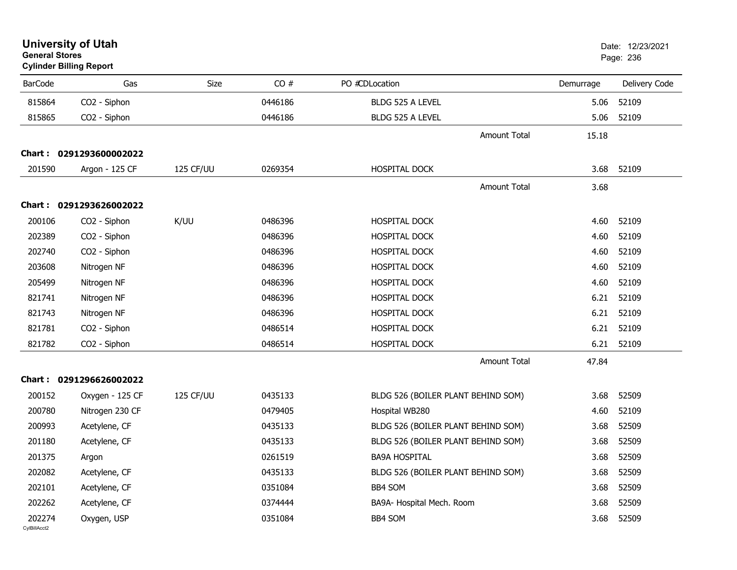| <b>General Stores</b>  | <b>University of Utah</b><br><b>Cylinder Billing Report</b> |             |         |                                    |                     |           | Date: 12/23/2021<br>Page: 236 |
|------------------------|-------------------------------------------------------------|-------------|---------|------------------------------------|---------------------|-----------|-------------------------------|
| <b>BarCode</b>         | Gas                                                         | <b>Size</b> | CO#     | PO #CDLocation                     |                     | Demurrage | Delivery Code                 |
| 815864                 | CO2 - Siphon                                                |             | 0446186 | BLDG 525 A LEVEL                   |                     | 5.06      | 52109                         |
| 815865                 | CO2 - Siphon                                                |             | 0446186 | BLDG 525 A LEVEL                   |                     | 5.06      | 52109                         |
|                        |                                                             |             |         |                                    | <b>Amount Total</b> | 15.18     |                               |
|                        | Chart: 0291293600002022                                     |             |         |                                    |                     |           |                               |
| 201590                 | Argon - 125 CF                                              | 125 CF/UU   | 0269354 | HOSPITAL DOCK                      |                     | 3.68      | 52109                         |
|                        |                                                             |             |         |                                    | <b>Amount Total</b> | 3.68      |                               |
|                        | Chart: 0291293626002022                                     |             |         |                                    |                     |           |                               |
| 200106                 | CO <sub>2</sub> - Siphon                                    | K/UU        | 0486396 | <b>HOSPITAL DOCK</b>               |                     | 4.60      | 52109                         |
| 202389                 | CO2 - Siphon                                                |             | 0486396 | HOSPITAL DOCK                      |                     | 4.60      | 52109                         |
| 202740                 | CO2 - Siphon                                                |             | 0486396 | HOSPITAL DOCK                      |                     | 4.60      | 52109                         |
| 203608                 | Nitrogen NF                                                 |             | 0486396 | HOSPITAL DOCK                      |                     | 4.60      | 52109                         |
| 205499                 | Nitrogen NF                                                 |             | 0486396 | HOSPITAL DOCK                      |                     | 4.60      | 52109                         |
| 821741                 | Nitrogen NF                                                 |             | 0486396 | HOSPITAL DOCK                      |                     | 6.21      | 52109                         |
| 821743                 | Nitrogen NF                                                 |             | 0486396 | HOSPITAL DOCK                      |                     | 6.21      | 52109                         |
| 821781                 | CO2 - Siphon                                                |             | 0486514 | HOSPITAL DOCK                      |                     | 6.21      | 52109                         |
| 821782                 | CO2 - Siphon                                                |             | 0486514 | HOSPITAL DOCK                      |                     | 6.21      | 52109                         |
|                        |                                                             |             |         |                                    | <b>Amount Total</b> | 47.84     |                               |
|                        | Chart: 0291296626002022                                     |             |         |                                    |                     |           |                               |
| 200152                 | Oxygen - 125 CF                                             | 125 CF/UU   | 0435133 | BLDG 526 (BOILER PLANT BEHIND SOM) |                     | 3.68      | 52509                         |
| 200780                 | Nitrogen 230 CF                                             |             | 0479405 | Hospital WB280                     |                     | 4.60      | 52109                         |
| 200993                 | Acetylene, CF                                               |             | 0435133 | BLDG 526 (BOILER PLANT BEHIND SOM) |                     | 3.68      | 52509                         |
| 201180                 | Acetylene, CF                                               |             | 0435133 | BLDG 526 (BOILER PLANT BEHIND SOM) |                     | 3.68      | 52509                         |
| 201375                 | Argon                                                       |             | 0261519 | <b>BA9A HOSPITAL</b>               |                     | 3.68      | 52509                         |
| 202082                 | Acetylene, CF                                               |             | 0435133 | BLDG 526 (BOILER PLANT BEHIND SOM) |                     | 3.68      | 52509                         |
| 202101                 | Acetylene, CF                                               |             | 0351084 | BB4 SOM                            |                     | 3.68      | 52509                         |
| 202262                 | Acetylene, CF                                               |             | 0374444 | BA9A- Hospital Mech. Room          |                     | 3.68      | 52509                         |
| 202274<br>CvIBillAcct2 | Oxygen, USP                                                 |             | 0351084 | BB4 SOM                            |                     | 3.68      | 52509                         |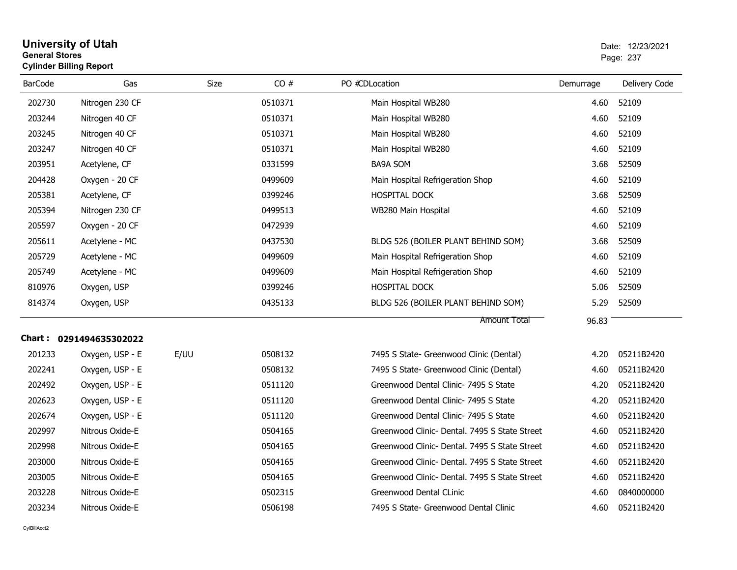| <b>General Stores</b> | <b>Cylinder Billing Report</b> |             | Page: 237 |                                               |           |               |
|-----------------------|--------------------------------|-------------|-----------|-----------------------------------------------|-----------|---------------|
| <b>BarCode</b>        | Gas                            | <b>Size</b> | CO#       | PO #CDLocation                                | Demurrage | Delivery Code |
| 202730                | Nitrogen 230 CF                |             | 0510371   | Main Hospital WB280                           | 4.60      | 52109         |
| 203244                | Nitrogen 40 CF                 |             | 0510371   | Main Hospital WB280                           | 4.60      | 52109         |
| 203245                | Nitrogen 40 CF                 |             | 0510371   | Main Hospital WB280                           | 4.60      | 52109         |
| 203247                | Nitrogen 40 CF                 |             | 0510371   | Main Hospital WB280                           | 4.60      | 52109         |
| 203951                | Acetylene, CF                  |             | 0331599   | <b>BA9A SOM</b>                               | 3.68      | 52509         |
| 204428                | Oxygen - 20 CF                 |             | 0499609   | Main Hospital Refrigeration Shop              | 4.60      | 52109         |
| 205381                | Acetylene, CF                  |             | 0399246   | HOSPITAL DOCK                                 | 3.68      | 52509         |
| 205394                | Nitrogen 230 CF                |             | 0499513   | WB280 Main Hospital                           | 4.60      | 52109         |
| 205597                | Oxygen - 20 CF                 |             | 0472939   |                                               | 4.60      | 52109         |
| 205611                | Acetylene - MC                 |             | 0437530   | BLDG 526 (BOILER PLANT BEHIND SOM)            | 3.68      | 52509         |
| 205729                | Acetylene - MC                 |             | 0499609   | Main Hospital Refrigeration Shop              | 4.60      | 52109         |
| 205749                | Acetylene - MC                 |             | 0499609   | Main Hospital Refrigeration Shop              | 4.60      | 52109         |
| 810976                | Oxygen, USP                    |             | 0399246   | <b>HOSPITAL DOCK</b>                          | 5.06      | 52509         |
| 814374                | Oxygen, USP                    |             | 0435133   | BLDG 526 (BOILER PLANT BEHIND SOM)            | 5.29      | 52509         |
|                       |                                |             |           | <b>Amount Total</b>                           | 96.83     |               |
|                       | Chart: 0291494635302022        |             |           |                                               |           |               |
| 201233                | Oxygen, USP - E                | E/UU        | 0508132   | 7495 S State- Greenwood Clinic (Dental)       | 4.20      | 05211B2420    |
| 202241                | Oxygen, USP - E                |             | 0508132   | 7495 S State- Greenwood Clinic (Dental)       | 4.60      | 05211B2420    |
| 202492                | Oxygen, USP - E                |             | 0511120   | Greenwood Dental Clinic- 7495 S State         | 4.20      | 05211B2420    |
| 202623                | Oxygen, USP - E                |             | 0511120   | Greenwood Dental Clinic- 7495 S State         | 4.20      | 05211B2420    |
| 202674                | Oxygen, USP - E                |             | 0511120   | Greenwood Dental Clinic- 7495 S State         | 4.60      | 05211B2420    |
| 202997                | Nitrous Oxide-E                |             | 0504165   | Greenwood Clinic- Dental. 7495 S State Street | 4.60      | 05211B2420    |
| 202998                | Nitrous Oxide-E                |             | 0504165   | Greenwood Clinic- Dental. 7495 S State Street | 4.60      | 05211B2420    |
| 203000                | Nitrous Oxide-E                |             | 0504165   | Greenwood Clinic- Dental, 7495 S State Street | 4.60      | 05211B2420    |
| 203005                | Nitrous Oxide-E                |             | 0504165   | Greenwood Clinic- Dental. 7495 S State Street | 4.60      | 05211B2420    |
| 203228                | Nitrous Oxide-E                |             | 0502315   | Greenwood Dental CLinic                       | 4.60      | 0840000000    |
| 203234                | Nitrous Oxide-E                |             | 0506198   | 7495 S State- Greenwood Dental Clinic         | 4.60      | 05211B2420    |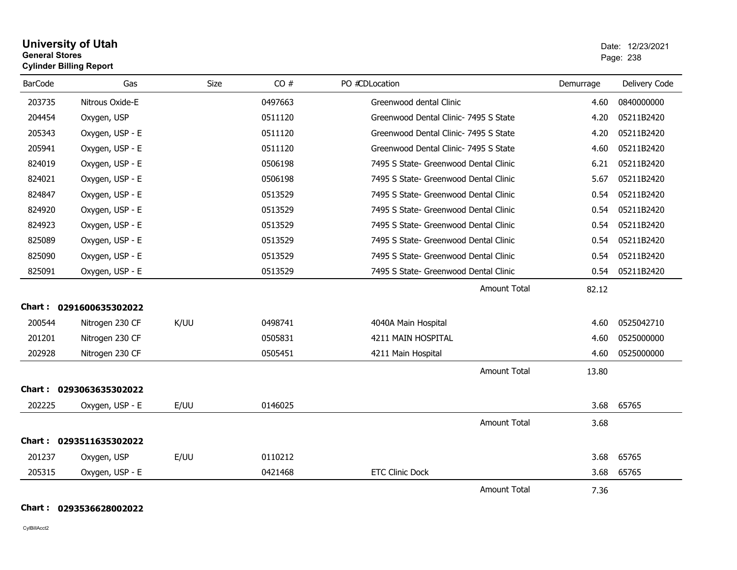|                | <b>University of Utah</b><br><b>General Stores</b><br><b>Cylinder Billing Report</b> |      |         |                         |           |       |
|----------------|--------------------------------------------------------------------------------------|------|---------|-------------------------|-----------|-------|
| <b>BarCode</b> | Gas                                                                                  | Size | CO #    | PO #CDLocation          | Demurrage | Deliv |
| 203735         | Nitrous Oxide-E                                                                      |      | 0497663 | Greenwood dental Clinic | 4.60      | 08400 |

| <b>BarCode</b> | Gas                     | Size | CO#     | PO #CDLocation                        | Demurrage | Delivery Code |
|----------------|-------------------------|------|---------|---------------------------------------|-----------|---------------|
| 203735         | Nitrous Oxide-E         |      | 0497663 | Greenwood dental Clinic               | 4.60      | 0840000000    |
| 204454         | Oxygen, USP             |      | 0511120 | Greenwood Dental Clinic- 7495 S State | 4.20      | 05211B2420    |
| 205343         | Oxygen, USP - E         |      | 0511120 | Greenwood Dental Clinic- 7495 S State | 4.20      | 05211B2420    |
| 205941         | Oxygen, USP - E         |      | 0511120 | Greenwood Dental Clinic- 7495 S State | 4.60      | 05211B2420    |
| 824019         | Oxygen, USP - E         |      | 0506198 | 7495 S State- Greenwood Dental Clinic | 6.21      | 05211B2420    |
| 824021         | Oxygen, USP - E         |      | 0506198 | 7495 S State- Greenwood Dental Clinic | 5.67      | 05211B2420    |
| 824847         | Oxygen, USP - E         |      | 0513529 | 7495 S State- Greenwood Dental Clinic | 0.54      | 05211B2420    |
| 824920         | Oxygen, USP - E         |      | 0513529 | 7495 S State- Greenwood Dental Clinic | 0.54      | 05211B2420    |
| 824923         | Oxygen, USP - E         |      | 0513529 | 7495 S State- Greenwood Dental Clinic | 0.54      | 05211B2420    |
| 825089         | Oxygen, USP - E         |      | 0513529 | 7495 S State- Greenwood Dental Clinic | 0.54      | 05211B2420    |
| 825090         | Oxygen, USP - E         |      | 0513529 | 7495 S State- Greenwood Dental Clinic | 0.54      | 05211B2420    |
| 825091         | Oxygen, USP - E         |      | 0513529 | 7495 S State- Greenwood Dental Clinic | 0.54      | 05211B2420    |
|                |                         |      |         | <b>Amount Total</b>                   | 82.12     |               |
|                | Chart: 0291600635302022 |      |         |                                       |           |               |
| 200544         | Nitrogen 230 CF         | K/UU | 0498741 | 4040A Main Hospital                   | 4.60      | 0525042710    |
| 201201         | Nitrogen 230 CF         |      | 0505831 | 4211 MAIN HOSPITAL                    | 4.60      | 0525000000    |
| 202928         | Nitrogen 230 CF         |      | 0505451 | 4211 Main Hospital                    | 4.60      | 0525000000    |
|                |                         |      |         | <b>Amount Total</b>                   | 13.80     |               |
| Chart :        | 0293063635302022        |      |         |                                       |           |               |
| 202225         | Oxygen, USP - E         | E/UU | 0146025 |                                       | 3.68      | 65765         |
|                |                         |      |         | <b>Amount Total</b>                   | 3.68      |               |
|                | Chart: 0293511635302022 |      |         |                                       |           |               |
| 201237         | Oxygen, USP             | E/UU | 0110212 |                                       | 3.68      | 65765         |
| 205315         | Oxygen, USP - E         |      | 0421468 | <b>ETC Clinic Dock</b>                | 3.68      | 65765         |
|                |                         |      |         | <b>Amount Total</b>                   | 7.36      |               |

**Chart : 0293536628002022**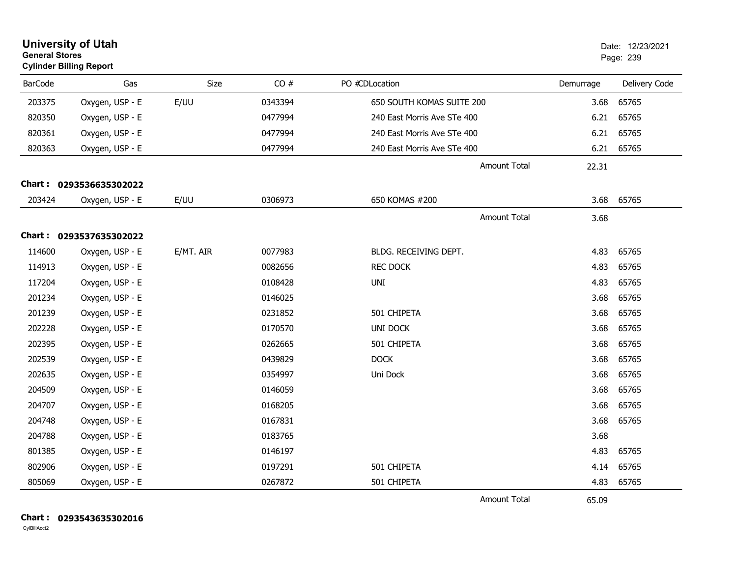| <b>University of Utah</b><br><b>General Stores</b><br><b>Cylinder Billing Report</b> |                         |           |         |                             |           | Date: 12/23/2021<br>Page: 239 |
|--------------------------------------------------------------------------------------|-------------------------|-----------|---------|-----------------------------|-----------|-------------------------------|
| <b>BarCode</b>                                                                       | Gas                     | Size      | CO#     | PO #CDLocation              | Demurrage | Delivery Code                 |
| 203375                                                                               | Oxygen, USP - E         | E/UU      | 0343394 | 650 SOUTH KOMAS SUITE 200   | 3.68      | 65765                         |
| 820350                                                                               | Oxygen, USP - E         |           | 0477994 | 240 East Morris Ave STe 400 |           | 6.21 65765                    |
| 820361                                                                               | Oxygen, USP - E         |           | 0477994 | 240 East Morris Ave STe 400 | 6.21      | 65765                         |
| 820363                                                                               | Oxygen, USP - E         |           | 0477994 | 240 East Morris Ave STe 400 | 6.21      | 65765                         |
|                                                                                      |                         |           |         | <b>Amount Total</b>         | 22.31     |                               |
|                                                                                      | Chart: 0293536635302022 |           |         |                             |           |                               |
| 203424                                                                               | Oxygen, USP - E         | E/UU      | 0306973 | 650 KOMAS #200              | 3.68      | 65765                         |
|                                                                                      |                         |           |         | <b>Amount Total</b>         | 3.68      |                               |
|                                                                                      | Chart: 0293537635302022 |           |         |                             |           |                               |
| 114600                                                                               | Oxygen, USP - E         | E/MT. AIR | 0077983 | BLDG. RECEIVING DEPT.       | 4.83      | 65765                         |
| 114913                                                                               | Oxygen, USP - E         |           | 0082656 | <b>REC DOCK</b>             | 4.83      | 65765                         |
| 117204                                                                               | Oxygen, USP - E         |           | 0108428 | <b>UNI</b>                  | 4.83      | 65765                         |
| 201234                                                                               | Oxygen, USP - E         |           | 0146025 |                             | 3.68      | 65765                         |
| 201239                                                                               | Oxygen, USP - E         |           | 0231852 | 501 CHIPETA                 | 3.68      | 65765                         |
| 202228                                                                               | Oxygen, USP - E         |           | 0170570 | <b>UNI DOCK</b>             | 3.68      | 65765                         |
| 202395                                                                               | Oxygen, USP - E         |           | 0262665 | 501 CHIPETA                 | 3.68      | 65765                         |
| 202539                                                                               | Oxygen, USP - E         |           | 0439829 | <b>DOCK</b>                 | 3.68      | 65765                         |
| 202635                                                                               | Oxygen, USP - E         |           | 0354997 | Uni Dock                    | 3.68      | 65765                         |
| 204509                                                                               | Oxygen, USP - E         |           | 0146059 |                             | 3.68      | 65765                         |
| 204707                                                                               | Oxygen, USP - E         |           | 0168205 |                             | 3.68      | 65765                         |
| 204748                                                                               | Oxygen, USP - E         |           | 0167831 |                             | 3.68      | 65765                         |
| 204788                                                                               | Oxygen, USP - E         |           | 0183765 |                             | 3.68      |                               |
| 801385                                                                               | Oxygen, USP - E         |           | 0146197 |                             | 4.83      | 65765                         |
| 802906                                                                               | Oxygen, USP - E         |           | 0197291 | 501 CHIPETA                 | 4.14      | 65765                         |
| 805069                                                                               | Oxygen, USP - E         |           | 0267872 | 501 CHIPETA                 | 4.83      | 65765                         |
|                                                                                      |                         |           |         | <b>Amount Total</b>         | 65.09     |                               |

**Chart : 0293543635302016**